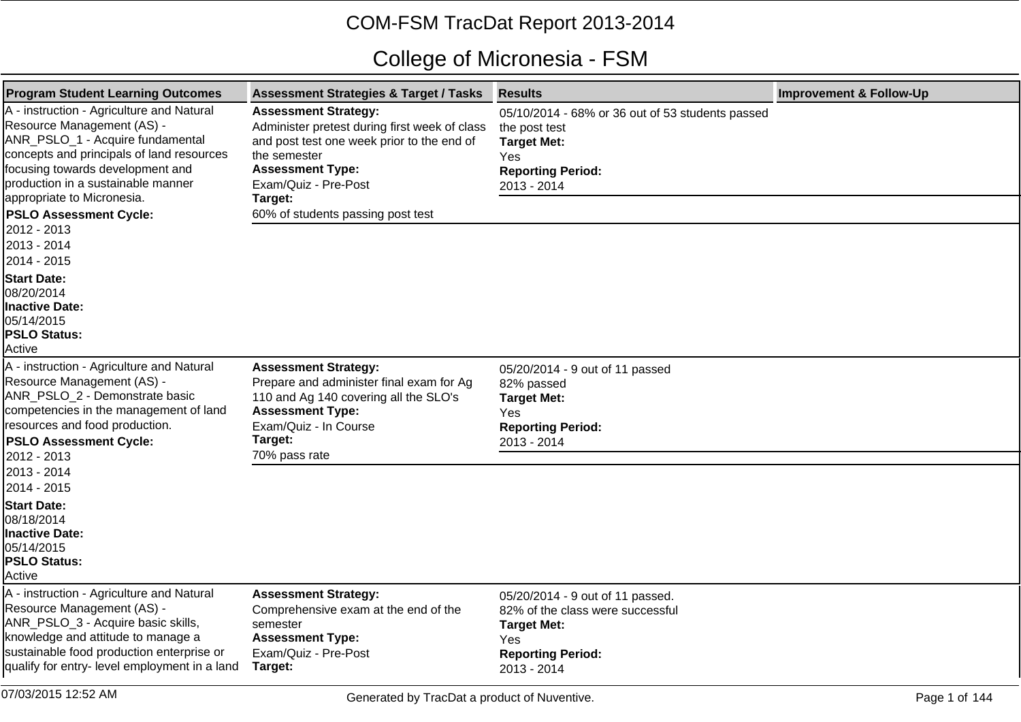## COM-FSM TracDat Report 2013-2014

## College of Micronesia - FSM

| <b>Program Student Learning Outcomes</b>                                                                                                                                                                                                                                                                                                       | <b>Assessment Strategies &amp; Target / Tasks</b>                                                                                                                                                                                             | <b>Results</b>                                                                                                                               | <b>Improvement &amp; Follow-Up</b> |
|------------------------------------------------------------------------------------------------------------------------------------------------------------------------------------------------------------------------------------------------------------------------------------------------------------------------------------------------|-----------------------------------------------------------------------------------------------------------------------------------------------------------------------------------------------------------------------------------------------|----------------------------------------------------------------------------------------------------------------------------------------------|------------------------------------|
| A - instruction - Agriculture and Natural<br>Resource Management (AS) -<br>ANR_PSLO_1 - Acquire fundamental<br>concepts and principals of land resources<br>focusing towards development and<br>production in a sustainable manner<br>appropriate to Micronesia.<br><b>PSLO Assessment Cycle:</b><br>2012 - 2013<br>2013 - 2014<br>2014 - 2015 | <b>Assessment Strategy:</b><br>Administer pretest during first week of class<br>and post test one week prior to the end of<br>the semester<br><b>Assessment Type:</b><br>Exam/Quiz - Pre-Post<br>Target:<br>60% of students passing post test | 05/10/2014 - 68% or 36 out of 53 students passed<br>the post test<br><b>Target Met:</b><br>Yes<br><b>Reporting Period:</b><br>2013 - 2014    |                                    |
| <b>Start Date:</b><br>08/20/2014<br><b>Inactive Date:</b><br>05/14/2015<br><b>PSLO Status:</b><br>Active                                                                                                                                                                                                                                       |                                                                                                                                                                                                                                               |                                                                                                                                              |                                    |
| A - instruction - Agriculture and Natural<br>Resource Management (AS) -<br>ANR_PSLO_2 - Demonstrate basic<br>competencies in the management of land<br>resources and food production.<br><b>PSLO Assessment Cycle:</b><br>2012 - 2013<br>2013 - 2014<br>2014 - 2015                                                                            | <b>Assessment Strategy:</b><br>Prepare and administer final exam for Ag<br>110 and Ag 140 covering all the SLO's<br><b>Assessment Type:</b><br>Exam/Quiz - In Course<br>Target:<br>70% pass rate                                              | 05/20/2014 - 9 out of 11 passed<br>82% passed<br><b>Target Met:</b><br>Yes<br><b>Reporting Period:</b><br>2013 - 2014                        |                                    |
| <b>Start Date:</b><br>08/18/2014<br><b>Inactive Date:</b><br>05/14/2015<br><b>PSLO Status:</b><br>Active                                                                                                                                                                                                                                       |                                                                                                                                                                                                                                               |                                                                                                                                              |                                    |
| A - instruction - Agriculture and Natural<br>Resource Management (AS) -<br>ANR_PSLO_3 - Acquire basic skills,<br>knowledge and attitude to manage a<br>sustainable food production enterprise or<br>qualify for entry- level employment in a land                                                                                              | <b>Assessment Strategy:</b><br>Comprehensive exam at the end of the<br>semester<br><b>Assessment Type:</b><br>Exam/Quiz - Pre-Post<br>Target:                                                                                                 | 05/20/2014 - 9 out of 11 passed.<br>82% of the class were successful<br><b>Target Met:</b><br>Yes<br><b>Reporting Period:</b><br>2013 - 2014 |                                    |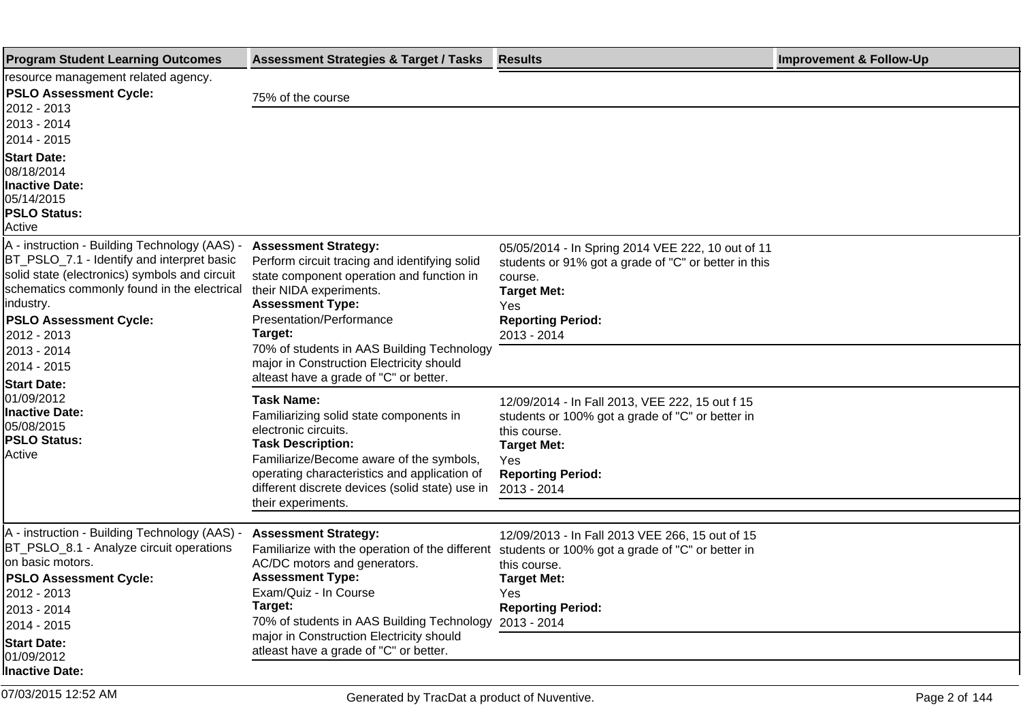| <b>Program Student Learning Outcomes</b>                                                                                                                                                                                                                                               | <b>Assessment Strategies &amp; Target / Tasks</b>                                                                                                                                                                                                                                                                                                          | <b>Results</b>                                                                                                                                                                               | <b>Improvement &amp; Follow-Up</b> |
|----------------------------------------------------------------------------------------------------------------------------------------------------------------------------------------------------------------------------------------------------------------------------------------|------------------------------------------------------------------------------------------------------------------------------------------------------------------------------------------------------------------------------------------------------------------------------------------------------------------------------------------------------------|----------------------------------------------------------------------------------------------------------------------------------------------------------------------------------------------|------------------------------------|
| resource management related agency.<br><b>PSLO Assessment Cycle:</b><br>2012 - 2013<br>2013 - 2014                                                                                                                                                                                     | 75% of the course                                                                                                                                                                                                                                                                                                                                          |                                                                                                                                                                                              |                                    |
| 2014 - 2015<br><b>Start Date:</b><br>108/18/2014<br><b>Inactive Date:</b><br>05/14/2015<br><b>PSLO Status:</b><br>Active                                                                                                                                                               |                                                                                                                                                                                                                                                                                                                                                            |                                                                                                                                                                                              |                                    |
| A - instruction - Building Technology (AAS) -<br>BT_PSLO_7.1 - Identify and interpret basic<br>solid state (electronics) symbols and circuit<br>schematics commonly found in the electrical<br>industry.<br><b>PSLO Assessment Cycle:</b><br>2012 - 2013<br>2013 - 2014<br>2014 - 2015 | <b>Assessment Strategy:</b><br>Perform circuit tracing and identifying solid<br>state component operation and function in<br>their NIDA experiments.<br><b>Assessment Type:</b><br>Presentation/Performance<br>Target:<br>70% of students in AAS Building Technology<br>major in Construction Electricity should<br>alteast have a grade of "C" or better. | 05/05/2014 - In Spring 2014 VEE 222, 10 out of 11<br>students or 91% got a grade of "C" or better in this<br>course.<br><b>Target Met:</b><br>Yes<br><b>Reporting Period:</b><br>2013 - 2014 |                                    |
| <b>Start Date:</b><br>01/09/2012<br><b>Inactive Date:</b><br>05/08/2015<br><b>PSLO Status:</b><br>Active                                                                                                                                                                               | <b>Task Name:</b><br>Familiarizing solid state components in<br>electronic circuits.<br><b>Task Description:</b><br>Familiarize/Become aware of the symbols,<br>operating characteristics and application of<br>different discrete devices (solid state) use in<br>their experiments.                                                                      | 12/09/2014 - In Fall 2013, VEE 222, 15 out f 15<br>students or 100% got a grade of "C" or better in<br>this course.<br><b>Target Met:</b><br>Yes<br><b>Reporting Period:</b><br>2013 - 2014  |                                    |
| A - instruction - Building Technology (AAS) -<br>BT_PSLO_8.1 - Analyze circuit operations<br>on basic motors.<br><b>PSLO Assessment Cycle:</b><br>2012 - 2013<br>2013 - 2014<br>2014 - 2015<br><b>Start Date:</b><br>01/09/2012<br><b>Inactive Date:</b>                               | <b>Assessment Strategy:</b><br>Familiarize with the operation of the different<br>AC/DC motors and generators.<br><b>Assessment Type:</b><br>Exam/Quiz - In Course<br>Target:<br>70% of students in AAS Building Technology<br>major in Construction Electricity should<br>atleast have a grade of "C" or better.                                          | 12/09/2013 - In Fall 2013 VEE 266, 15 out of 15<br>students or 100% got a grade of "C" or better in<br>this course.<br><b>Target Met:</b><br>Yes<br><b>Reporting Period:</b><br>2013 - 2014  |                                    |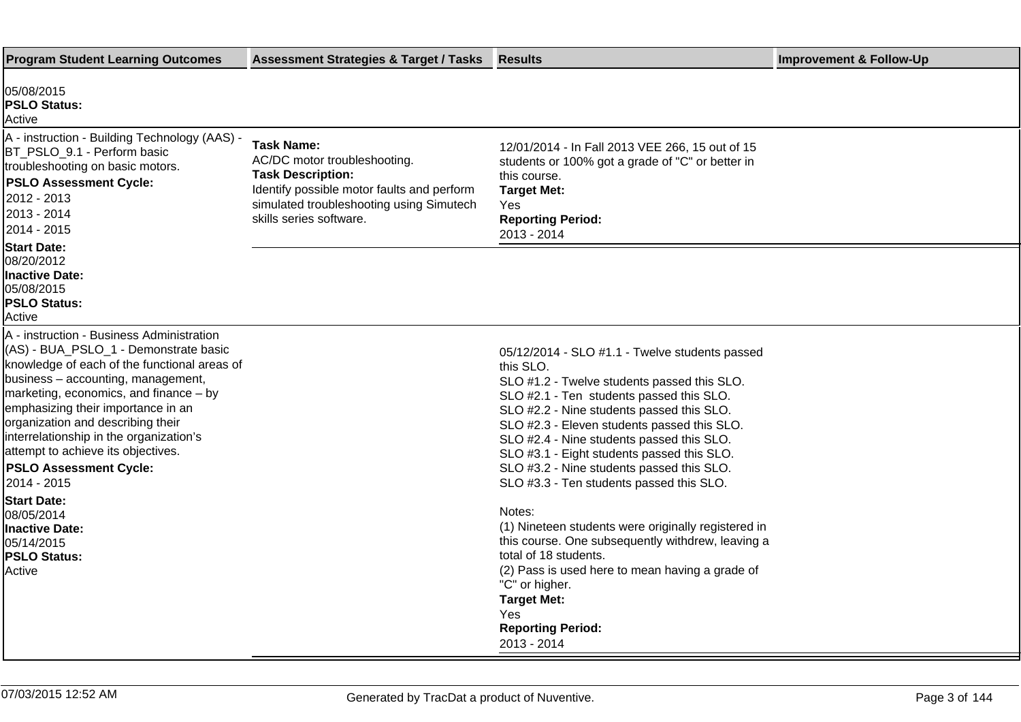| <b>Program Student Learning Outcomes</b>                                                                                                                                                                                                                                                                                                                                                                                                                                                                                                   | <b>Assessment Strategies &amp; Target / Tasks</b>                                                                                                                                                  | <b>Results</b>                                                                                                                                                                                                                                                                                                                                                                                                                                                                                                                                                                                                                                                                   | <b>Improvement &amp; Follow-Up</b> |
|--------------------------------------------------------------------------------------------------------------------------------------------------------------------------------------------------------------------------------------------------------------------------------------------------------------------------------------------------------------------------------------------------------------------------------------------------------------------------------------------------------------------------------------------|----------------------------------------------------------------------------------------------------------------------------------------------------------------------------------------------------|----------------------------------------------------------------------------------------------------------------------------------------------------------------------------------------------------------------------------------------------------------------------------------------------------------------------------------------------------------------------------------------------------------------------------------------------------------------------------------------------------------------------------------------------------------------------------------------------------------------------------------------------------------------------------------|------------------------------------|
| 05/08/2015<br><b>PSLO Status:</b><br>Active                                                                                                                                                                                                                                                                                                                                                                                                                                                                                                |                                                                                                                                                                                                    |                                                                                                                                                                                                                                                                                                                                                                                                                                                                                                                                                                                                                                                                                  |                                    |
| A - instruction - Building Technology (AAS) -<br>BT_PSLO_9.1 - Perform basic<br>troubleshooting on basic motors.<br><b>PSLO Assessment Cycle:</b><br>2012 - 2013<br>2013 - 2014<br>2014 - 2015                                                                                                                                                                                                                                                                                                                                             | <b>Task Name:</b><br>AC/DC motor troubleshooting.<br><b>Task Description:</b><br>Identify possible motor faults and perform<br>simulated troubleshooting using Simutech<br>skills series software. | 12/01/2014 - In Fall 2013 VEE 266, 15 out of 15<br>students or 100% got a grade of "C" or better in<br>this course.<br><b>Target Met:</b><br>Yes<br><b>Reporting Period:</b><br>2013 - 2014                                                                                                                                                                                                                                                                                                                                                                                                                                                                                      |                                    |
| <b>Start Date:</b><br>08/20/2012<br><b>Inactive Date:</b><br>05/08/2015<br><b>PSLO Status:</b><br>Active                                                                                                                                                                                                                                                                                                                                                                                                                                   |                                                                                                                                                                                                    |                                                                                                                                                                                                                                                                                                                                                                                                                                                                                                                                                                                                                                                                                  |                                    |
| A - instruction - Business Administration<br>(AS) - BUA_PSLO_1 - Demonstrate basic<br>knowledge of each of the functional areas of<br>business - accounting, management,<br>marketing, economics, and finance - by<br>emphasizing their importance in an<br>organization and describing their<br>interrelationship in the organization's<br>attempt to achieve its objectives.<br><b>PSLO Assessment Cycle:</b><br>2014 - 2015<br><b>Start Date:</b><br>08/05/2014<br><b>Inactive Date:</b><br>05/14/2015<br><b>PSLO Status:</b><br>Active |                                                                                                                                                                                                    | 05/12/2014 - SLO #1.1 - Twelve students passed<br>this SLO.<br>SLO #1.2 - Twelve students passed this SLO.<br>SLO #2.1 - Ten students passed this SLO.<br>SLO #2.2 - Nine students passed this SLO.<br>SLO #2.3 - Eleven students passed this SLO.<br>SLO #2.4 - Nine students passed this SLO.<br>SLO #3.1 - Eight students passed this SLO.<br>SLO #3.2 - Nine students passed this SLO.<br>SLO #3.3 - Ten students passed this SLO.<br>Notes:<br>(1) Nineteen students were originally registered in<br>this course. One subsequently withdrew, leaving a<br>total of 18 students.<br>(2) Pass is used here to mean having a grade of<br>"C" or higher.<br><b>Target Met:</b> |                                    |
|                                                                                                                                                                                                                                                                                                                                                                                                                                                                                                                                            |                                                                                                                                                                                                    | Yes<br><b>Reporting Period:</b><br>2013 - 2014                                                                                                                                                                                                                                                                                                                                                                                                                                                                                                                                                                                                                                   |                                    |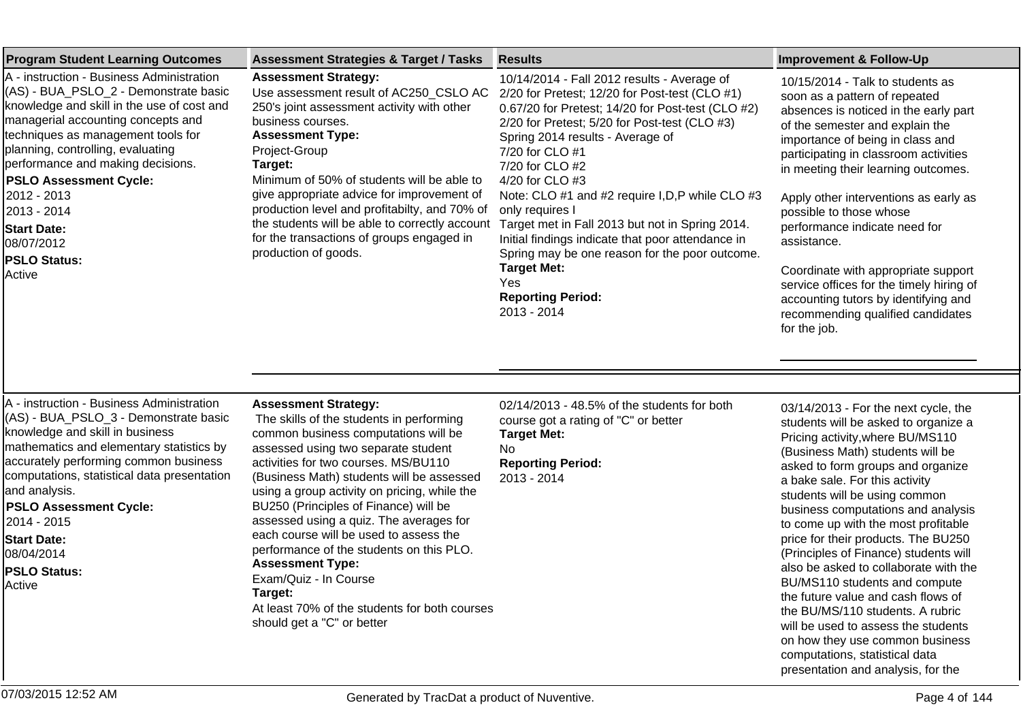| <b>Program Student Learning Outcomes</b>                                                                                                                                                                                                                                                                                                                                                                            | <b>Assessment Strategies &amp; Target / Tasks</b>                                                                                                                                                                                                                                                                                                                                                                                                                                                                                                                                                                   | <b>Results</b>                                                                                                                                                                                                                                                                                                                                                                                                                                                                                                                                                                                            | <b>Improvement &amp; Follow-Up</b>                                                                                                                                                                                                                                                                                                                                                                                                                                                                                                                                                                                                                                                                                              |
|---------------------------------------------------------------------------------------------------------------------------------------------------------------------------------------------------------------------------------------------------------------------------------------------------------------------------------------------------------------------------------------------------------------------|---------------------------------------------------------------------------------------------------------------------------------------------------------------------------------------------------------------------------------------------------------------------------------------------------------------------------------------------------------------------------------------------------------------------------------------------------------------------------------------------------------------------------------------------------------------------------------------------------------------------|-----------------------------------------------------------------------------------------------------------------------------------------------------------------------------------------------------------------------------------------------------------------------------------------------------------------------------------------------------------------------------------------------------------------------------------------------------------------------------------------------------------------------------------------------------------------------------------------------------------|---------------------------------------------------------------------------------------------------------------------------------------------------------------------------------------------------------------------------------------------------------------------------------------------------------------------------------------------------------------------------------------------------------------------------------------------------------------------------------------------------------------------------------------------------------------------------------------------------------------------------------------------------------------------------------------------------------------------------------|
| A - instruction - Business Administration<br>(AS) - BUA_PSLO_2 - Demonstrate basic<br>knowledge and skill in the use of cost and<br>managerial accounting concepts and<br>techniques as management tools for<br>planning, controlling, evaluating<br>performance and making decisions.<br><b>PSLO Assessment Cycle:</b><br>2012 - 2013<br>2013 - 2014<br><b>Start Date:</b><br>08/07/2012<br>PSLO Status:<br>Active | <b>Assessment Strategy:</b><br>Use assessment result of AC250_CSLO AC<br>250's joint assessment activity with other<br>business courses.<br><b>Assessment Type:</b><br>Project-Group<br>Target:<br>Minimum of 50% of students will be able to<br>give appropriate advice for improvement of<br>production level and profitabilty, and 70% of<br>the students will be able to correctly account<br>for the transactions of groups engaged in<br>production of goods.                                                                                                                                                 | 10/14/2014 - Fall 2012 results - Average of<br>2/20 for Pretest; 12/20 for Post-test (CLO #1)<br>0.67/20 for Pretest; 14/20 for Post-test (CLO #2)<br>2/20 for Pretest; 5/20 for Post-test (CLO #3)<br>Spring 2014 results - Average of<br>7/20 for CLO #1<br>7/20 for CLO #2<br>4/20 for CLO #3<br>Note: CLO #1 and #2 require I, D, P while CLO #3<br>only requires I<br>Target met in Fall 2013 but not in Spring 2014.<br>Initial findings indicate that poor attendance in<br>Spring may be one reason for the poor outcome.<br><b>Target Met:</b><br>Yes<br><b>Reporting Period:</b><br>2013 - 2014 | 10/15/2014 - Talk to students as<br>soon as a pattern of repeated<br>absences is noticed in the early part<br>of the semester and explain the<br>importance of being in class and<br>participating in classroom activities<br>in meeting their learning outcomes.<br>Apply other interventions as early as<br>possible to those whose<br>performance indicate need for<br>assistance.<br>Coordinate with appropriate support<br>service offices for the timely hiring of<br>accounting tutors by identifying and<br>recommending qualified candidates<br>for the job.                                                                                                                                                           |
| A - instruction - Business Administration<br>(AS) - BUA_PSLO_3 - Demonstrate basic<br>knowledge and skill in business<br>mathematics and elementary statistics by<br>accurately performing common business<br>computations, statistical data presentation<br>and analysis.<br><b>PSLO Assessment Cycle:</b><br>2014 - 2015<br><b>Start Date:</b><br>08/04/2014<br><b>PSLO Status:</b><br>Active                     | <b>Assessment Strategy:</b><br>The skills of the students in performing<br>common business computations will be<br>assessed using two separate student<br>activities for two courses. MS/BU110<br>(Business Math) students will be assessed<br>using a group activity on pricing, while the<br>BU250 (Principles of Finance) will be<br>assessed using a quiz. The averages for<br>each course will be used to assess the<br>performance of the students on this PLO.<br><b>Assessment Type:</b><br>Exam/Quiz - In Course<br>Target:<br>At least 70% of the students for both courses<br>should get a "C" or better | 02/14/2013 - 48.5% of the students for both<br>course got a rating of "C" or better<br><b>Target Met:</b><br>No<br><b>Reporting Period:</b><br>2013 - 2014                                                                                                                                                                                                                                                                                                                                                                                                                                                | 03/14/2013 - For the next cycle, the<br>students will be asked to organize a<br>Pricing activity, where BU/MS110<br>(Business Math) students will be<br>asked to form groups and organize<br>a bake sale. For this activity<br>students will be using common<br>business computations and analysis<br>to come up with the most profitable<br>price for their products. The BU250<br>(Principles of Finance) students will<br>also be asked to collaborate with the<br>BU/MS110 students and compute<br>the future value and cash flows of<br>the BU/MS/110 students. A rubric<br>will be used to assess the students<br>on how they use common business<br>computations, statistical data<br>presentation and analysis, for the |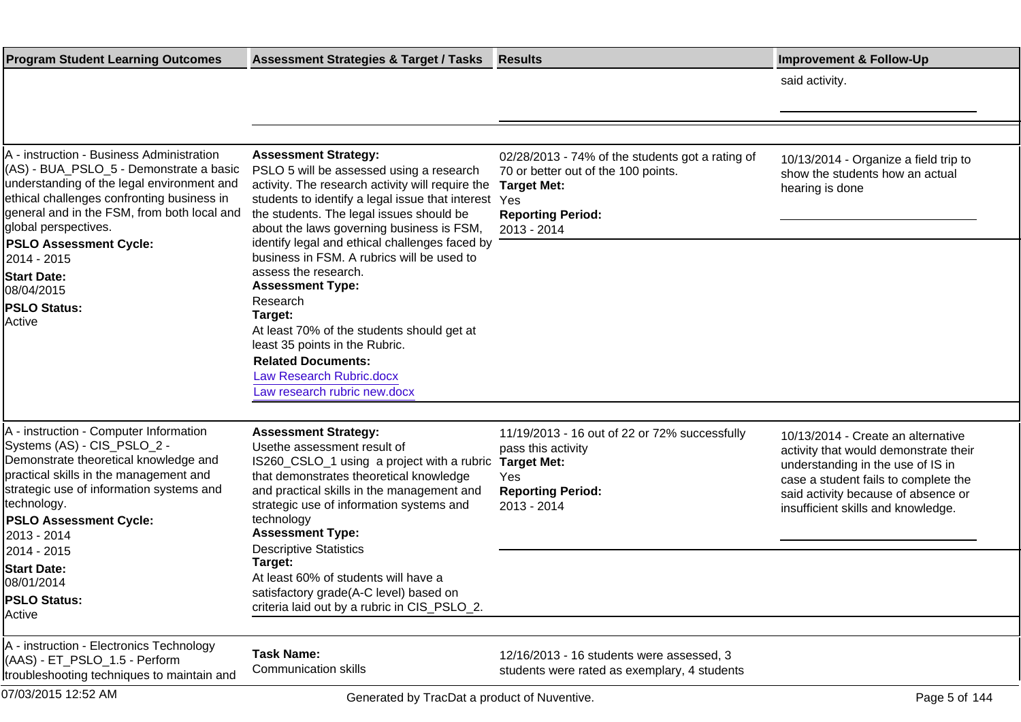| <b>Program Student Learning Outcomes</b>                                                                                                                                                                                                                                                 | <b>Assessment Strategies &amp; Target / Tasks</b>                                                                                                                                                                                                                                                                              | <b>Results</b>                                                                                                                                           | <b>Improvement &amp; Follow-Up</b>                                                                                                                                                                                                    |
|------------------------------------------------------------------------------------------------------------------------------------------------------------------------------------------------------------------------------------------------------------------------------------------|--------------------------------------------------------------------------------------------------------------------------------------------------------------------------------------------------------------------------------------------------------------------------------------------------------------------------------|----------------------------------------------------------------------------------------------------------------------------------------------------------|---------------------------------------------------------------------------------------------------------------------------------------------------------------------------------------------------------------------------------------|
|                                                                                                                                                                                                                                                                                          |                                                                                                                                                                                                                                                                                                                                |                                                                                                                                                          | said activity.                                                                                                                                                                                                                        |
|                                                                                                                                                                                                                                                                                          |                                                                                                                                                                                                                                                                                                                                |                                                                                                                                                          |                                                                                                                                                                                                                                       |
|                                                                                                                                                                                                                                                                                          |                                                                                                                                                                                                                                                                                                                                |                                                                                                                                                          |                                                                                                                                                                                                                                       |
| A - instruction - Business Administration<br>(AS) - BUA_PSLO_5 - Demonstrate a basic<br>understanding of the legal environment and<br>ethical challenges confronting business in<br>general and in the FSM, from both local and<br>global perspectives.<br><b>PSLO Assessment Cycle:</b> | <b>Assessment Strategy:</b><br>PSLO 5 will be assessed using a research<br>activity. The research activity will require the<br>students to identify a legal issue that interest Yes<br>the students. The legal issues should be<br>about the laws governing business is FSM,<br>identify legal and ethical challenges faced by | 02/28/2013 - 74% of the students got a rating of<br>70 or better out of the 100 points.<br><b>Target Met:</b><br><b>Reporting Period:</b><br>2013 - 2014 | 10/13/2014 - Organize a field trip to<br>show the students how an actual<br>hearing is done                                                                                                                                           |
| 2014 - 2015<br><b>Start Date:</b>                                                                                                                                                                                                                                                        | business in FSM. A rubrics will be used to<br>assess the research.<br><b>Assessment Type:</b>                                                                                                                                                                                                                                  |                                                                                                                                                          |                                                                                                                                                                                                                                       |
| 08/04/2015<br><b>PSLO Status:</b><br>Active                                                                                                                                                                                                                                              | Research<br>Target:<br>At least 70% of the students should get at<br>least 35 points in the Rubric.<br><b>Related Documents:</b><br><b>Law Research Rubric.docx</b><br>Law research rubric new.docx                                                                                                                            |                                                                                                                                                          |                                                                                                                                                                                                                                       |
|                                                                                                                                                                                                                                                                                          |                                                                                                                                                                                                                                                                                                                                |                                                                                                                                                          |                                                                                                                                                                                                                                       |
| A - instruction - Computer Information<br>Systems (AS) - CIS_PSLO_2 -<br>Demonstrate theoretical knowledge and<br>practical skills in the management and<br>strategic use of information systems and<br>technology.<br><b>PSLO Assessment Cycle:</b><br>2013 - 2014                      | <b>Assessment Strategy:</b><br>Usethe assessment result of<br>IS260_CSLO_1 using a project with a rubric<br>that demonstrates theoretical knowledge<br>and practical skills in the management and<br>strategic use of information systems and<br>technology<br><b>Assessment Type:</b><br><b>Descriptive Statistics</b>        | 11/19/2013 - 16 out of 22 or 72% successfully<br>pass this activity<br><b>Target Met:</b><br>Yes<br><b>Reporting Period:</b><br>2013 - 2014              | 10/13/2014 - Create an alternative<br>activity that would demonstrate their<br>understanding in the use of IS in<br>case a student fails to complete the<br>said activity because of absence or<br>insufficient skills and knowledge. |
| 2014 - 2015<br><b>Start Date:</b>                                                                                                                                                                                                                                                        | Target:                                                                                                                                                                                                                                                                                                                        |                                                                                                                                                          |                                                                                                                                                                                                                                       |
| 08/01/2014                                                                                                                                                                                                                                                                               | At least 60% of students will have a<br>satisfactory grade(A-C level) based on                                                                                                                                                                                                                                                 |                                                                                                                                                          |                                                                                                                                                                                                                                       |
| <b>PSLO Status:</b><br>Active                                                                                                                                                                                                                                                            | criteria laid out by a rubric in CIS_PSLO_2.                                                                                                                                                                                                                                                                                   |                                                                                                                                                          |                                                                                                                                                                                                                                       |
| A - instruction - Electronics Technology<br>(AAS) - ET_PSLO_1.5 - Perform<br>troubleshooting techniques to maintain and                                                                                                                                                                  | <b>Task Name:</b><br><b>Communication skills</b>                                                                                                                                                                                                                                                                               | 12/16/2013 - 16 students were assessed, 3<br>students were rated as exemplary, 4 students                                                                |                                                                                                                                                                                                                                       |
| 07/03/2015 12:52 AM                                                                                                                                                                                                                                                                      | Generated by TracDat a product of Nuventive.                                                                                                                                                                                                                                                                                   |                                                                                                                                                          | Page 5 of 144                                                                                                                                                                                                                         |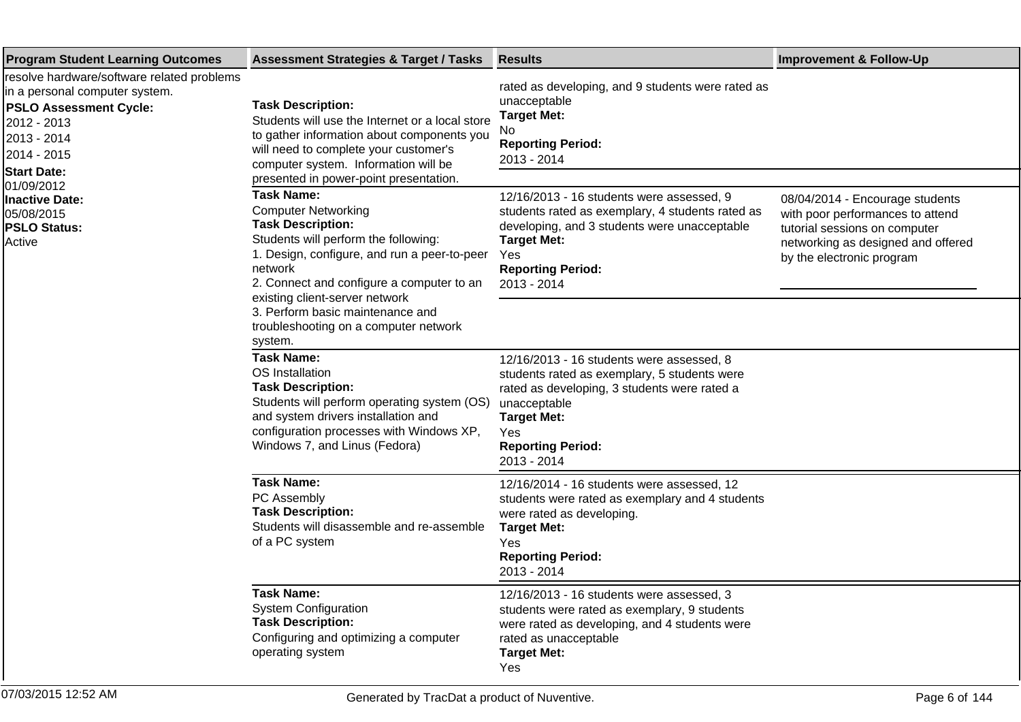| <b>Program Student Learning Outcomes</b>                                                                                                                                                                                                                        | <b>Assessment Strategies &amp; Target / Tasks</b>                                                                                                                                                                                                                                                                                                     | <b>Results</b>                                                                                                                                                                                                                    | <b>Improvement &amp; Follow-Up</b>                                                                                                                                      |
|-----------------------------------------------------------------------------------------------------------------------------------------------------------------------------------------------------------------------------------------------------------------|-------------------------------------------------------------------------------------------------------------------------------------------------------------------------------------------------------------------------------------------------------------------------------------------------------------------------------------------------------|-----------------------------------------------------------------------------------------------------------------------------------------------------------------------------------------------------------------------------------|-------------------------------------------------------------------------------------------------------------------------------------------------------------------------|
| resolve hardware/software related problems<br>in a personal computer system.<br><b>PSLO Assessment Cycle:</b><br>2012 - 2013<br>2013 - 2014<br>2014 - 2015<br><b>Start Date:</b><br>01/09/2012<br>Inactive Date:<br>05/08/2015<br><b>PSLO Status:</b><br>Active | <b>Task Description:</b><br>Students will use the Internet or a local store<br>to gather information about components you<br>will need to complete your customer's<br>computer system. Information will be<br>presented in power-point presentation.                                                                                                  | rated as developing, and 9 students were rated as<br>unacceptable<br><b>Target Met:</b><br>No<br><b>Reporting Period:</b><br>2013 - 2014                                                                                          |                                                                                                                                                                         |
|                                                                                                                                                                                                                                                                 | <b>Task Name:</b><br><b>Computer Networking</b><br><b>Task Description:</b><br>Students will perform the following:<br>1. Design, configure, and run a peer-to-peer<br>network<br>2. Connect and configure a computer to an<br>existing client-server network<br>3. Perform basic maintenance and<br>troubleshooting on a computer network<br>system. | 12/16/2013 - 16 students were assessed, 9<br>students rated as exemplary, 4 students rated as<br>developing, and 3 students were unacceptable<br><b>Target Met:</b><br>Yes<br><b>Reporting Period:</b><br>2013 - 2014             | 08/04/2014 - Encourage students<br>with poor performances to attend<br>tutorial sessions on computer<br>networking as designed and offered<br>by the electronic program |
|                                                                                                                                                                                                                                                                 | <b>Task Name:</b><br>OS Installation<br><b>Task Description:</b><br>Students will perform operating system (OS)<br>and system drivers installation and<br>configuration processes with Windows XP,<br>Windows 7, and Linus (Fedora)                                                                                                                   | 12/16/2013 - 16 students were assessed, 8<br>students rated as exemplary, 5 students were<br>rated as developing, 3 students were rated a<br>unacceptable<br><b>Target Met:</b><br>Yes<br><b>Reporting Period:</b><br>2013 - 2014 |                                                                                                                                                                         |
|                                                                                                                                                                                                                                                                 | <b>Task Name:</b><br>PC Assembly<br><b>Task Description:</b><br>Students will disassemble and re-assemble<br>of a PC system                                                                                                                                                                                                                           | 12/16/2014 - 16 students were assessed, 12<br>students were rated as exemplary and 4 students<br>were rated as developing.<br><b>Target Met:</b><br>Yes<br><b>Reporting Period:</b><br>2013 - 2014                                |                                                                                                                                                                         |
|                                                                                                                                                                                                                                                                 | <b>Task Name:</b><br><b>System Configuration</b><br><b>Task Description:</b><br>Configuring and optimizing a computer<br>operating system                                                                                                                                                                                                             | 12/16/2013 - 16 students were assessed, 3<br>students were rated as exemplary, 9 students<br>were rated as developing, and 4 students were<br>rated as unacceptable<br><b>Target Met:</b><br>Yes                                  |                                                                                                                                                                         |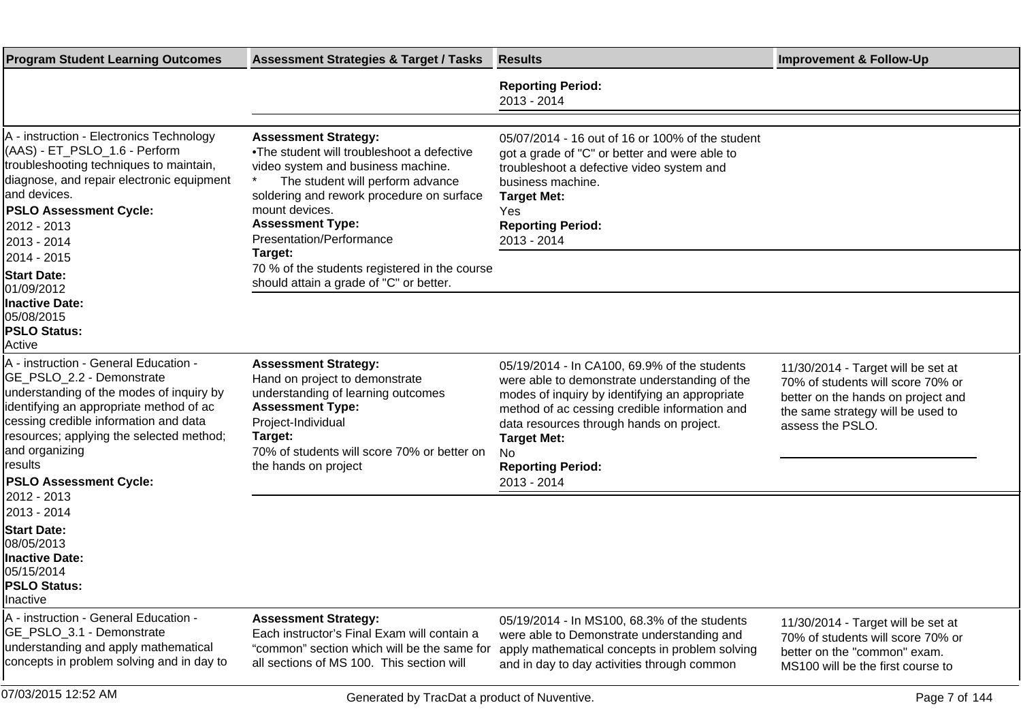| <b>Program Student Learning Outcomes</b>                                                                                                                                                                                                                                                                                     | <b>Assessment Strategies &amp; Target / Tasks</b>                                                                                                                                                                                                                                                                                                                                 | <b>Results</b>                                                                                                                                                                                                                                                                                                       | <b>Improvement &amp; Follow-Up</b>                                                                                                                                     |
|------------------------------------------------------------------------------------------------------------------------------------------------------------------------------------------------------------------------------------------------------------------------------------------------------------------------------|-----------------------------------------------------------------------------------------------------------------------------------------------------------------------------------------------------------------------------------------------------------------------------------------------------------------------------------------------------------------------------------|----------------------------------------------------------------------------------------------------------------------------------------------------------------------------------------------------------------------------------------------------------------------------------------------------------------------|------------------------------------------------------------------------------------------------------------------------------------------------------------------------|
|                                                                                                                                                                                                                                                                                                                              |                                                                                                                                                                                                                                                                                                                                                                                   | <b>Reporting Period:</b><br>2013 - 2014                                                                                                                                                                                                                                                                              |                                                                                                                                                                        |
| A - instruction - Electronics Technology<br>(AAS) - ET_PSLO_1.6 - Perform<br>troubleshooting techniques to maintain,<br>diagnose, and repair electronic equipment<br>and devices.<br><b>PSLO Assessment Cycle:</b><br>2012 - 2013<br>2013 - 2014<br>2014 - 2015<br><b>Start Date:</b><br>01/09/2012<br><b>Inactive Date:</b> | <b>Assessment Strategy:</b><br>• The student will troubleshoot a defective<br>video system and business machine.<br>The student will perform advance<br>soldering and rework procedure on surface<br>mount devices.<br><b>Assessment Type:</b><br>Presentation/Performance<br>Target:<br>70 % of the students registered in the course<br>should attain a grade of "C" or better. | 05/07/2014 - 16 out of 16 or 100% of the student<br>got a grade of "C" or better and were able to<br>troubleshoot a defective video system and<br>business machine.<br><b>Target Met:</b><br>Yes<br><b>Reporting Period:</b><br>2013 - 2014                                                                          |                                                                                                                                                                        |
| 05/08/2015<br><b>PSLO Status:</b><br>Active                                                                                                                                                                                                                                                                                  |                                                                                                                                                                                                                                                                                                                                                                                   |                                                                                                                                                                                                                                                                                                                      |                                                                                                                                                                        |
| A - instruction - General Education -<br>GE_PSLO_2.2 - Demonstrate<br>understanding of the modes of inquiry by<br>identifying an appropriate method of ac<br>cessing credible information and data<br>resources; applying the selected method;<br>and organizing<br>results<br><b>PSLO Assessment Cycle:</b>                 | <b>Assessment Strategy:</b><br>Hand on project to demonstrate<br>understanding of learning outcomes<br><b>Assessment Type:</b><br>Project-Individual<br>Target:<br>70% of students will score 70% or better on<br>the hands on project                                                                                                                                            | 05/19/2014 - In CA100, 69.9% of the students<br>were able to demonstrate understanding of the<br>modes of inquiry by identifying an appropriate<br>method of ac cessing credible information and<br>data resources through hands on project.<br><b>Target Met:</b><br>No.<br><b>Reporting Period:</b><br>2013 - 2014 | 11/30/2014 - Target will be set at<br>70% of students will score 70% or<br>better on the hands on project and<br>the same strategy will be used to<br>assess the PSLO. |
| 2012 - 2013<br>2013 - 2014<br><b>Start Date:</b><br>08/05/2013<br><b>Inactive Date:</b><br>05/15/2014<br><b>PSLO Status:</b><br>Inactive                                                                                                                                                                                     |                                                                                                                                                                                                                                                                                                                                                                                   |                                                                                                                                                                                                                                                                                                                      |                                                                                                                                                                        |
| A - instruction - General Education -<br>GE_PSLO_3.1 - Demonstrate<br>understanding and apply mathematical<br>concepts in problem solving and in day to                                                                                                                                                                      | <b>Assessment Strategy:</b><br>Each instructor's Final Exam will contain a<br>"common" section which will be the same for<br>all sections of MS 100. This section will                                                                                                                                                                                                            | 05/19/2014 - In MS100, 68.3% of the students<br>were able to Demonstrate understanding and<br>apply mathematical concepts in problem solving<br>and in day to day activities through common                                                                                                                          | 11/30/2014 - Target will be set at<br>70% of students will score 70% or<br>better on the "common" exam.<br>MS100 will be the first course to                           |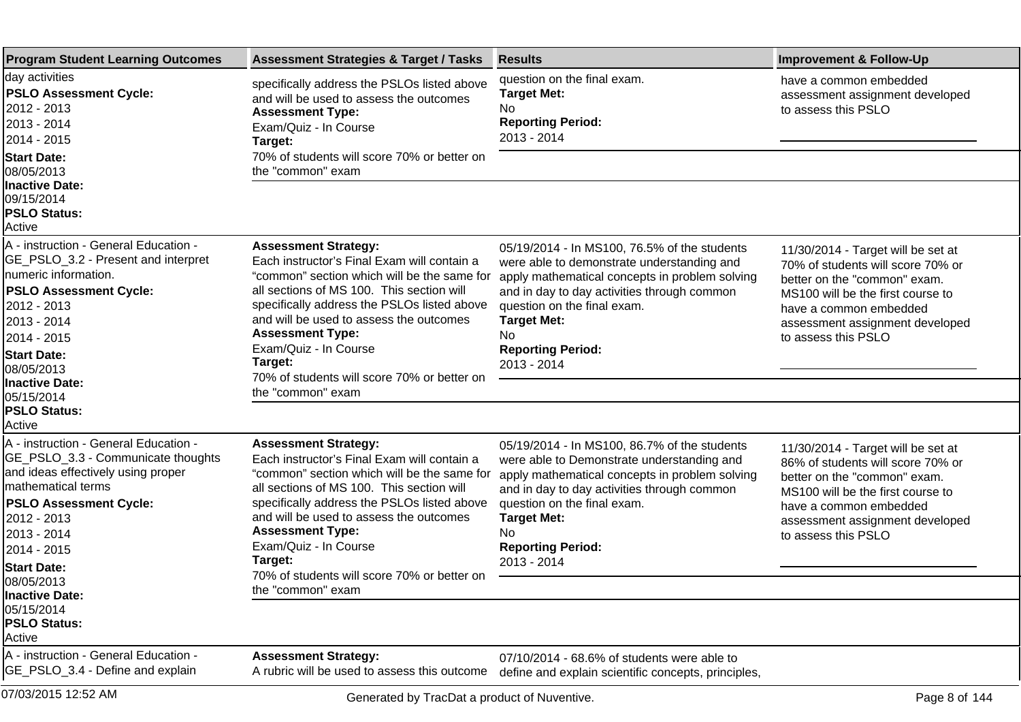| <b>Program Student Learning Outcomes</b>                                                                                                                                                                                                                                                                                                    | <b>Assessment Strategies &amp; Target / Tasks</b>                                                                                                                                                                                                                                                                                                                                                   | <b>Results</b>                                                                                                                                                                                                                                                                                     | <b>Improvement &amp; Follow-Up</b>                                                                                                                                                                                               |
|---------------------------------------------------------------------------------------------------------------------------------------------------------------------------------------------------------------------------------------------------------------------------------------------------------------------------------------------|-----------------------------------------------------------------------------------------------------------------------------------------------------------------------------------------------------------------------------------------------------------------------------------------------------------------------------------------------------------------------------------------------------|----------------------------------------------------------------------------------------------------------------------------------------------------------------------------------------------------------------------------------------------------------------------------------------------------|----------------------------------------------------------------------------------------------------------------------------------------------------------------------------------------------------------------------------------|
| day activities<br><b>PSLO Assessment Cycle:</b><br>2012 - 2013<br>2013 - 2014<br>2014 - 2015<br><b>Start Date:</b>                                                                                                                                                                                                                          | specifically address the PSLOs listed above<br>and will be used to assess the outcomes<br><b>Assessment Type:</b><br>Exam/Quiz - In Course<br>Target:<br>70% of students will score 70% or better on                                                                                                                                                                                                | question on the final exam.<br><b>Target Met:</b><br>No<br><b>Reporting Period:</b><br>2013 - 2014                                                                                                                                                                                                 | have a common embedded<br>assessment assignment developed<br>to assess this PSLO                                                                                                                                                 |
| 08/05/2013<br><b>Inactive Date:</b><br>09/15/2014<br><b>PSLO Status:</b><br>Active                                                                                                                                                                                                                                                          | the "common" exam                                                                                                                                                                                                                                                                                                                                                                                   |                                                                                                                                                                                                                                                                                                    |                                                                                                                                                                                                                                  |
| A - instruction - General Education -<br>GE_PSLO_3.2 - Present and interpret<br>Inumeric information.<br><b>PSLO Assessment Cycle:</b><br>2012 - 2013<br>2013 - 2014<br>2014 - 2015<br><b>Start Date:</b><br>08/05/2013<br>Inactive Date:<br>05/15/2014<br><b>PSLO Status:</b>                                                              | <b>Assessment Strategy:</b><br>Each instructor's Final Exam will contain a<br>"common" section which will be the same for<br>all sections of MS 100. This section will<br>specifically address the PSLOs listed above<br>and will be used to assess the outcomes<br><b>Assessment Type:</b><br>Exam/Quiz - In Course<br>Target:<br>70% of students will score 70% or better on<br>the "common" exam | 05/19/2014 - In MS100, 76.5% of the students<br>were able to demonstrate understanding and<br>apply mathematical concepts in problem solving<br>and in day to day activities through common<br>question on the final exam.<br><b>Target Met:</b><br>No.<br><b>Reporting Period:</b><br>2013 - 2014 | 11/30/2014 - Target will be set at<br>70% of students will score 70% or<br>better on the "common" exam.<br>MS100 will be the first course to<br>have a common embedded<br>assessment assignment developed<br>to assess this PSLO |
| Active<br>A - instruction - General Education -<br>GE_PSLO_3.3 - Communicate thoughts<br>and ideas effectively using proper<br>mathematical terms<br><b>PSLO Assessment Cycle:</b><br>2012 - 2013<br>2013 - 2014<br>2014 - 2015<br><b>Start Date:</b><br>08/05/2013<br><b>Inactive Date:</b><br>05/15/2014<br><b>PSLO Status:</b><br>Active | <b>Assessment Strategy:</b><br>Each instructor's Final Exam will contain a<br>"common" section which will be the same for<br>all sections of MS 100. This section will<br>specifically address the PSLOs listed above<br>and will be used to assess the outcomes<br><b>Assessment Type:</b><br>Exam/Quiz - In Course<br>Target:<br>70% of students will score 70% or better on<br>the "common" exam | 05/19/2014 - In MS100, 86.7% of the students<br>were able to Demonstrate understanding and<br>apply mathematical concepts in problem solving<br>and in day to day activities through common<br>question on the final exam.<br><b>Target Met:</b><br>No.<br><b>Reporting Period:</b><br>2013 - 2014 | 11/30/2014 - Target will be set at<br>86% of students will score 70% or<br>better on the "common" exam.<br>MS100 will be the first course to<br>have a common embedded<br>assessment assignment developed<br>to assess this PSLO |
| A - instruction - General Education -<br>GE_PSLO_3.4 - Define and explain                                                                                                                                                                                                                                                                   | <b>Assessment Strategy:</b><br>A rubric will be used to assess this outcome                                                                                                                                                                                                                                                                                                                         | 07/10/2014 - 68.6% of students were able to<br>define and explain scientific concepts, principles,                                                                                                                                                                                                 |                                                                                                                                                                                                                                  |
| 07/03/2015 12:52 AM                                                                                                                                                                                                                                                                                                                         | Generated by TracDat a product of Nuventive.                                                                                                                                                                                                                                                                                                                                                        |                                                                                                                                                                                                                                                                                                    | Page 8 of 144                                                                                                                                                                                                                    |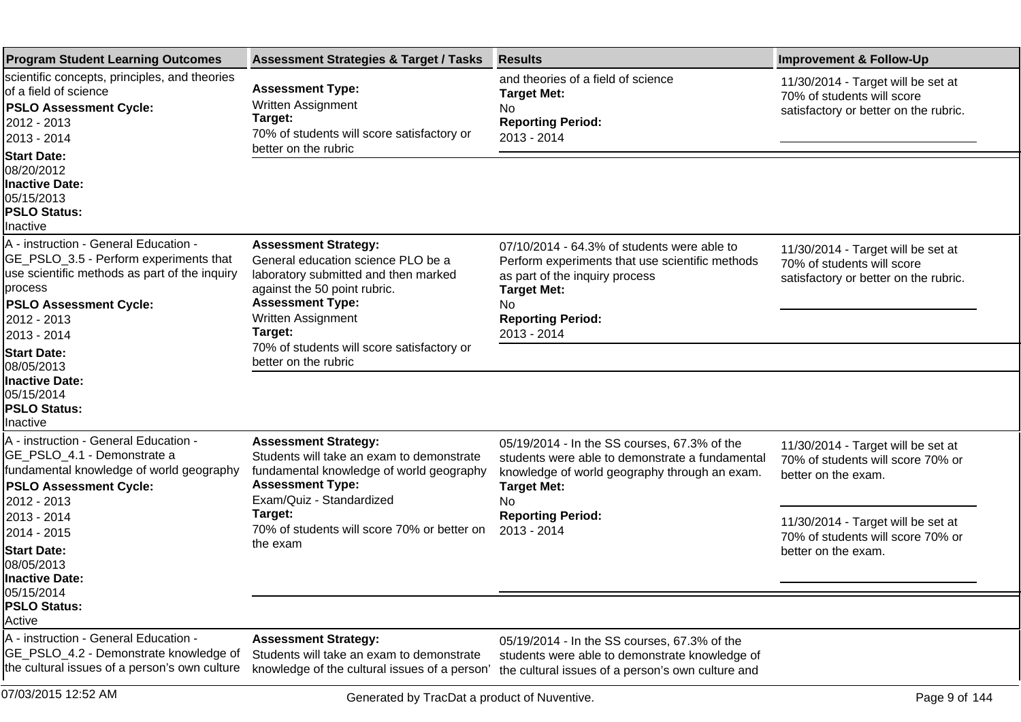| <b>Program Student Learning Outcomes</b>                                                                                                                                                                                                                                  | <b>Assessment Strategies &amp; Target / Tasks</b>                                                                                                                                                                                                   | <b>Results</b>                                                                                                                                                                                          | <b>Improvement &amp; Follow-Up</b>                                                                        |
|---------------------------------------------------------------------------------------------------------------------------------------------------------------------------------------------------------------------------------------------------------------------------|-----------------------------------------------------------------------------------------------------------------------------------------------------------------------------------------------------------------------------------------------------|---------------------------------------------------------------------------------------------------------------------------------------------------------------------------------------------------------|-----------------------------------------------------------------------------------------------------------|
| scientific concepts, principles, and theories<br>of a field of science<br><b>PSLO Assessment Cycle:</b><br>2012 - 2013<br>2013 - 2014                                                                                                                                     | <b>Assessment Type:</b><br>Written Assignment<br>Target:<br>70% of students will score satisfactory or<br>better on the rubric                                                                                                                      | and theories of a field of science<br><b>Target Met:</b><br>No<br><b>Reporting Period:</b><br>2013 - 2014                                                                                               | 11/30/2014 - Target will be set at<br>70% of students will score<br>satisfactory or better on the rubric. |
| <b>Start Date:</b><br>08/20/2012<br><b>Inactive Date:</b><br>05/15/2013<br><b>PSLO Status:</b><br>Inactive                                                                                                                                                                |                                                                                                                                                                                                                                                     |                                                                                                                                                                                                         |                                                                                                           |
| A - instruction - General Education -<br>GE_PSLO_3.5 - Perform experiments that<br>use scientific methods as part of the inquiry<br>process<br><b>PSLO Assessment Cycle:</b><br>2012 - 2013<br>2013 - 2014<br><b>Start Date:</b>                                          | <b>Assessment Strategy:</b><br>General education science PLO be a<br>laboratory submitted and then marked<br>against the 50 point rubric.<br><b>Assessment Type:</b><br>Written Assignment<br>Target:<br>70% of students will score satisfactory or | 07/10/2014 - 64.3% of students were able to<br>Perform experiments that use scientific methods<br>as part of the inquiry process<br><b>Target Met:</b><br>No<br><b>Reporting Period:</b><br>2013 - 2014 | 11/30/2014 - Target will be set at<br>70% of students will score<br>satisfactory or better on the rubric. |
| 08/05/2013<br><b>Inactive Date:</b><br>05/15/2014<br><b>PSLO Status:</b><br>Inactive                                                                                                                                                                                      | better on the rubric                                                                                                                                                                                                                                |                                                                                                                                                                                                         |                                                                                                           |
| A - instruction - General Education -<br>GE_PSLO_4.1 - Demonstrate a<br>fundamental knowledge of world geography<br><b>PSLO Assessment Cycle:</b><br>2012 - 2013<br>2013 - 2014<br>2014 - 2015<br><b>Start Date:</b><br>08/05/2013<br><b>Inactive Date:</b><br>05/15/2014 | <b>Assessment Strategy:</b><br>Students will take an exam to demonstrate<br>fundamental knowledge of world geography<br><b>Assessment Type:</b><br>Exam/Quiz - Standardized                                                                         | 05/19/2014 - In the SS courses, 67.3% of the<br>students were able to demonstrate a fundamental<br>knowledge of world geography through an exam.<br><b>Target Met:</b><br><b>No</b>                     | 11/30/2014 - Target will be set at<br>70% of students will score 70% or<br>better on the exam.            |
|                                                                                                                                                                                                                                                                           | Target:<br>70% of students will score 70% or better on<br>the exam                                                                                                                                                                                  | <b>Reporting Period:</b><br>2013 - 2014                                                                                                                                                                 | 11/30/2014 - Target will be set at<br>70% of students will score 70% or<br>better on the exam.            |
| <b>PSLO Status:</b><br>Active                                                                                                                                                                                                                                             |                                                                                                                                                                                                                                                     |                                                                                                                                                                                                         |                                                                                                           |
| A - instruction - General Education -<br>GE_PSLO_4.2 - Demonstrate knowledge of<br>the cultural issues of a person's own culture                                                                                                                                          | <b>Assessment Strategy:</b><br>Students will take an exam to demonstrate<br>knowledge of the cultural issues of a person'                                                                                                                           | 05/19/2014 - In the SS courses, 67.3% of the<br>students were able to demonstrate knowledge of<br>the cultural issues of a person's own culture and                                                     |                                                                                                           |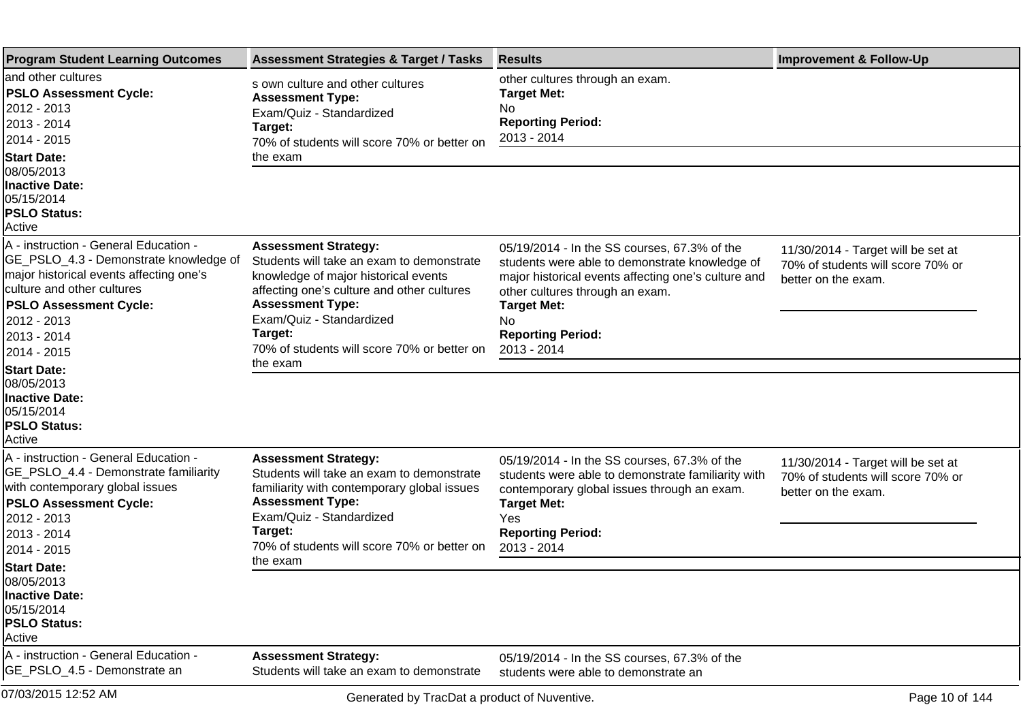| <b>Program Student Learning Outcomes</b>                                                                                                                                                                                               | <b>Assessment Strategies &amp; Target / Tasks</b>                                                                                                                                                                                                                               | <b>Results</b>                                                                                                                                                                                                                                                         | <b>Improvement &amp; Follow-Up</b>                                                             |
|----------------------------------------------------------------------------------------------------------------------------------------------------------------------------------------------------------------------------------------|---------------------------------------------------------------------------------------------------------------------------------------------------------------------------------------------------------------------------------------------------------------------------------|------------------------------------------------------------------------------------------------------------------------------------------------------------------------------------------------------------------------------------------------------------------------|------------------------------------------------------------------------------------------------|
| land other cultures<br><b>PSLO Assessment Cycle:</b><br>2012 - 2013<br>2013 - 2014<br>2014 - 2015                                                                                                                                      | s own culture and other cultures<br><b>Assessment Type:</b><br>Exam/Quiz - Standardized<br>Target:<br>70% of students will score 70% or better on                                                                                                                               | other cultures through an exam.<br><b>Target Met:</b><br>No<br><b>Reporting Period:</b><br>2013 - 2014                                                                                                                                                                 |                                                                                                |
| <b>Start Date:</b><br>08/05/2013<br><b>Inactive Date:</b>                                                                                                                                                                              | the exam                                                                                                                                                                                                                                                                        |                                                                                                                                                                                                                                                                        |                                                                                                |
| 05/15/2014<br><b>PSLO Status:</b><br>Active                                                                                                                                                                                            |                                                                                                                                                                                                                                                                                 |                                                                                                                                                                                                                                                                        |                                                                                                |
| A - instruction - General Education -<br>GE_PSLO_4.3 - Demonstrate knowledge of<br>major historical events affecting one's<br>culture and other cultures<br><b>PSLO Assessment Cycle:</b><br>2012 - 2013<br>2013 - 2014<br>2014 - 2015 | <b>Assessment Strategy:</b><br>Students will take an exam to demonstrate<br>knowledge of major historical events<br>affecting one's culture and other cultures<br><b>Assessment Type:</b><br>Exam/Quiz - Standardized<br>Target:<br>70% of students will score 70% or better on | 05/19/2014 - In the SS courses, 67.3% of the<br>students were able to demonstrate knowledge of<br>major historical events affecting one's culture and<br>other cultures through an exam.<br><b>Target Met:</b><br><b>No</b><br><b>Reporting Period:</b><br>2013 - 2014 | 11/30/2014 - Target will be set at<br>70% of students will score 70% or<br>better on the exam. |
| <b>Start Date:</b><br>08/05/2013<br><b>Inactive Date:</b><br>05/15/2014<br><b>PSLO Status:</b><br><b>Active</b>                                                                                                                        | the exam                                                                                                                                                                                                                                                                        |                                                                                                                                                                                                                                                                        |                                                                                                |
| A - instruction - General Education -<br>GE_PSLO_4.4 - Demonstrate familiarity<br>with contemporary global issues<br><b>PSLO Assessment Cycle:</b><br>2012 - 2013<br>2013 - 2014<br>2014 - 2015                                        | <b>Assessment Strategy:</b><br>Students will take an exam to demonstrate<br>familiarity with contemporary global issues<br><b>Assessment Type:</b><br>Exam/Quiz - Standardized<br>Target:<br>70% of students will score 70% or better on                                        | 05/19/2014 - In the SS courses, 67.3% of the<br>students were able to demonstrate familiarity with<br>contemporary global issues through an exam.<br><b>Target Met:</b><br>Yes<br><b>Reporting Period:</b><br>2013 - 2014                                              | 11/30/2014 - Target will be set at<br>70% of students will score 70% or<br>better on the exam. |
| <b>Start Date:</b><br>08/05/2013<br><b>Inactive Date:</b><br>05/15/2014<br><b>PSLO Status:</b><br>Active                                                                                                                               | the exam                                                                                                                                                                                                                                                                        |                                                                                                                                                                                                                                                                        |                                                                                                |
| A - instruction - General Education -<br>GE_PSLO_4.5 - Demonstrate an                                                                                                                                                                  | <b>Assessment Strategy:</b><br>Students will take an exam to demonstrate                                                                                                                                                                                                        | 05/19/2014 - In the SS courses, 67.3% of the<br>students were able to demonstrate an                                                                                                                                                                                   |                                                                                                |
| 07/03/2015 12:52 AM                                                                                                                                                                                                                    | Generated by TracDat a product of Nuventive.                                                                                                                                                                                                                                    |                                                                                                                                                                                                                                                                        | Page 10 of 144                                                                                 |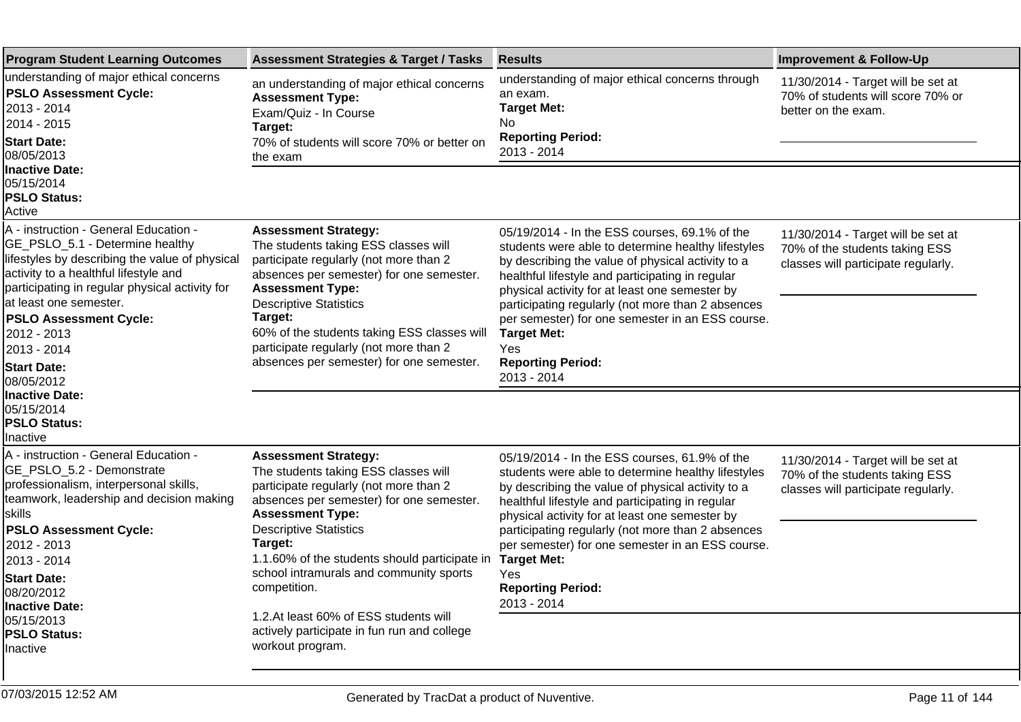| <b>Program Student Learning Outcomes</b>                                                                                                                                                                                                                                                                                                                                                                         | <b>Assessment Strategies &amp; Target / Tasks</b>                                                                                                                                                                                                                                                                                                                                                                                                                      | <b>Results</b>                                                                                                                                                                                                                                                                                                                                                                                                                                  | <b>Improvement &amp; Follow-Up</b>                                                                          |
|------------------------------------------------------------------------------------------------------------------------------------------------------------------------------------------------------------------------------------------------------------------------------------------------------------------------------------------------------------------------------------------------------------------|------------------------------------------------------------------------------------------------------------------------------------------------------------------------------------------------------------------------------------------------------------------------------------------------------------------------------------------------------------------------------------------------------------------------------------------------------------------------|-------------------------------------------------------------------------------------------------------------------------------------------------------------------------------------------------------------------------------------------------------------------------------------------------------------------------------------------------------------------------------------------------------------------------------------------------|-------------------------------------------------------------------------------------------------------------|
| understanding of major ethical concerns<br><b>PSLO Assessment Cycle:</b><br>2013 - 2014<br>2014 - 2015<br><b>Start Date:</b><br>08/05/2013                                                                                                                                                                                                                                                                       | an understanding of major ethical concerns<br><b>Assessment Type:</b><br>Exam/Quiz - In Course<br>Target:<br>70% of students will score 70% or better on<br>the exam                                                                                                                                                                                                                                                                                                   | understanding of major ethical concerns through<br>an exam.<br><b>Target Met:</b><br>No.<br><b>Reporting Period:</b><br>2013 - 2014                                                                                                                                                                                                                                                                                                             | 11/30/2014 - Target will be set at<br>70% of students will score 70% or<br>better on the exam.              |
| <b>Inactive Date:</b><br>05/15/2014<br><b>PSLO Status:</b><br>Active                                                                                                                                                                                                                                                                                                                                             |                                                                                                                                                                                                                                                                                                                                                                                                                                                                        |                                                                                                                                                                                                                                                                                                                                                                                                                                                 |                                                                                                             |
| A - instruction - General Education -<br>GE_PSLO_5.1 - Determine healthy<br>lifestyles by describing the value of physical<br>activity to a healthful lifestyle and<br>participating in regular physical activity for<br>at least one semester.<br><b>PSLO Assessment Cycle:</b><br>2012 - 2013<br>2013 - 2014<br><b>Start Date:</b><br>08/05/2012<br><b>Inactive Date:</b><br>05/15/2014<br><b>PSLO Status:</b> | <b>Assessment Strategy:</b><br>The students taking ESS classes will<br>participate regularly (not more than 2<br>absences per semester) for one semester.<br><b>Assessment Type:</b><br><b>Descriptive Statistics</b><br>Target:<br>60% of the students taking ESS classes will<br>participate regularly (not more than 2<br>absences per semester) for one semester.                                                                                                  | 05/19/2014 - In the ESS courses, 69.1% of the<br>students were able to determine healthy lifestyles<br>by describing the value of physical activity to a<br>healthful lifestyle and participating in regular<br>physical activity for at least one semester by<br>participating regularly (not more than 2 absences<br>per semester) for one semester in an ESS course.<br><b>Target Met:</b><br>Yes<br><b>Reporting Period:</b><br>2013 - 2014 | 11/30/2014 - Target will be set at<br>70% of the students taking ESS<br>classes will participate regularly. |
| Inactive<br>A - instruction - General Education -<br>GE_PSLO_5.2 - Demonstrate<br>professionalism, interpersonal skills,<br>teamwork, leadership and decision making<br>∣skills<br><b>PSLO Assessment Cycle:</b><br>2012 - 2013<br>2013 - 2014<br><b>Start Date:</b><br>08/20/2012<br>Inactive Date:<br>05/15/2013<br><b>PSLO Status:</b><br>Inactive                                                            | <b>Assessment Strategy:</b><br>The students taking ESS classes will<br>participate regularly (not more than 2<br>absences per semester) for one semester.<br><b>Assessment Type:</b><br><b>Descriptive Statistics</b><br>Target:<br>1.1. 60% of the students should participate in Target Met:<br>school intramurals and community sports<br>competition.<br>1.2. At least 60% of ESS students will<br>actively participate in fun run and college<br>workout program. | 05/19/2014 - In the ESS courses, 61.9% of the<br>students were able to determine healthy lifestyles<br>by describing the value of physical activity to a<br>healthful lifestyle and participating in regular<br>physical activity for at least one semester by<br>participating regularly (not more than 2 absences<br>per semester) for one semester in an ESS course.<br>Yes<br><b>Reporting Period:</b><br>2013 - 2014                       | 11/30/2014 - Target will be set at<br>70% of the students taking ESS<br>classes will participate regularly. |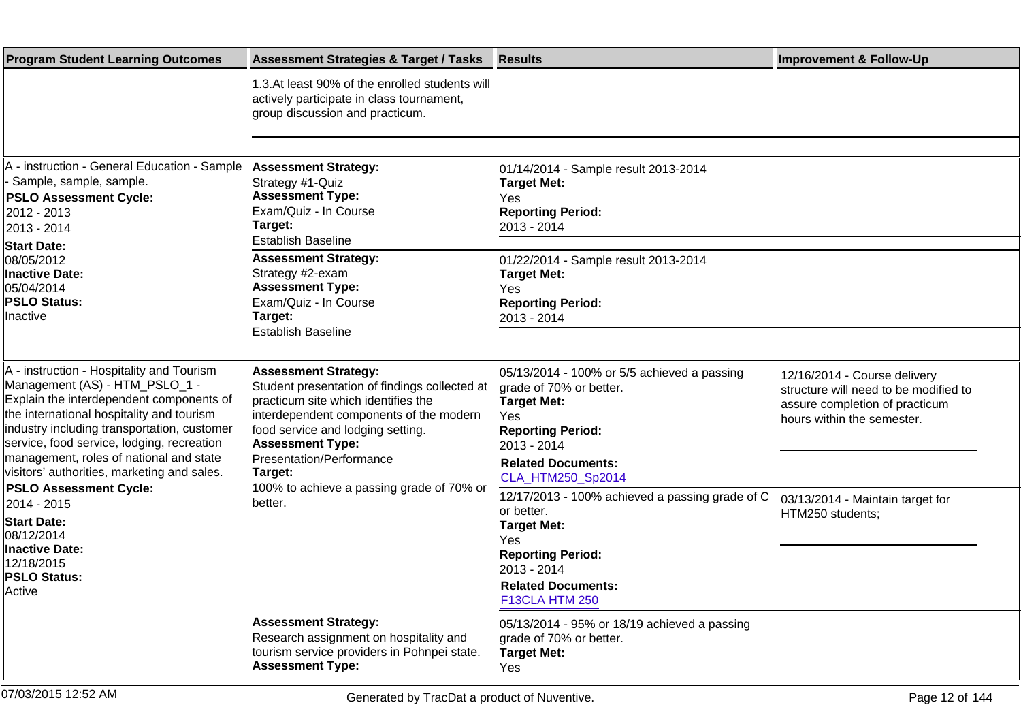| <b>Program Student Learning Outcomes</b>                                                                                                                                                                                                                                                                                                                                                                                                                                                                                | <b>Assessment Strategies &amp; Target / Tasks</b>                                                                                                                                                                                                                                                                             | <b>Results</b>                                                                                                                                                                                   | <b>Improvement &amp; Follow-Up</b>                                                                                                    |
|-------------------------------------------------------------------------------------------------------------------------------------------------------------------------------------------------------------------------------------------------------------------------------------------------------------------------------------------------------------------------------------------------------------------------------------------------------------------------------------------------------------------------|-------------------------------------------------------------------------------------------------------------------------------------------------------------------------------------------------------------------------------------------------------------------------------------------------------------------------------|--------------------------------------------------------------------------------------------------------------------------------------------------------------------------------------------------|---------------------------------------------------------------------------------------------------------------------------------------|
|                                                                                                                                                                                                                                                                                                                                                                                                                                                                                                                         | 1.3. At least 90% of the enrolled students will<br>actively participate in class tournament,<br>group discussion and practicum.                                                                                                                                                                                               |                                                                                                                                                                                                  |                                                                                                                                       |
|                                                                                                                                                                                                                                                                                                                                                                                                                                                                                                                         |                                                                                                                                                                                                                                                                                                                               |                                                                                                                                                                                                  |                                                                                                                                       |
| A - instruction - General Education - Sample<br>Sample, sample, sample.<br><b>PSLO Assessment Cycle:</b><br>2012 - 2013<br>2013 - 2014                                                                                                                                                                                                                                                                                                                                                                                  | <b>Assessment Strategy:</b><br>Strategy #1-Quiz<br><b>Assessment Type:</b><br>Exam/Quiz - In Course<br>Target:<br><b>Establish Baseline</b>                                                                                                                                                                                   | 01/14/2014 - Sample result 2013-2014<br><b>Target Met:</b><br>Yes<br><b>Reporting Period:</b><br>2013 - 2014                                                                                     |                                                                                                                                       |
| <b>Start Date:</b><br>08/05/2012<br><b>Inactive Date:</b><br>05/04/2014<br><b>PSLO Status:</b><br>Inactive                                                                                                                                                                                                                                                                                                                                                                                                              | <b>Assessment Strategy:</b><br>Strategy #2-exam<br><b>Assessment Type:</b><br>Exam/Quiz - In Course<br>Target:<br><b>Establish Baseline</b>                                                                                                                                                                                   | 01/22/2014 - Sample result 2013-2014<br><b>Target Met:</b><br>Yes<br><b>Reporting Period:</b><br>2013 - 2014                                                                                     |                                                                                                                                       |
| A - instruction - Hospitality and Tourism<br>Management (AS) - HTM_PSLO_1 -<br>Explain the interdependent components of<br>the international hospitality and tourism<br>industry including transportation, customer<br>service, food service, lodging, recreation<br>management, roles of national and state<br>visitors' authorities, marketing and sales.<br><b>PSLO Assessment Cycle:</b><br>2014 - 2015<br><b>Start Date:</b><br>08/12/2014<br><b>Inactive Date:</b><br>12/18/2015<br><b>PSLO Status:</b><br>Active | <b>Assessment Strategy:</b><br>Student presentation of findings collected at<br>practicum site which identifies the<br>interdependent components of the modern<br>food service and lodging setting.<br><b>Assessment Type:</b><br>Presentation/Performance<br>Target:<br>100% to achieve a passing grade of 70% or<br>better. | 05/13/2014 - 100% or 5/5 achieved a passing<br>grade of 70% or better.<br><b>Target Met:</b><br>Yes<br><b>Reporting Period:</b><br>2013 - 2014<br><b>Related Documents:</b><br>CLA_HTM250_Sp2014 | 12/16/2014 - Course delivery<br>structure will need to be modified to<br>assure completion of practicum<br>hours within the semester. |
|                                                                                                                                                                                                                                                                                                                                                                                                                                                                                                                         |                                                                                                                                                                                                                                                                                                                               | 12/17/2013 - 100% achieved a passing grade of C<br>or better.<br><b>Target Met:</b><br>Yes<br><b>Reporting Period:</b><br>2013 - 2014<br><b>Related Documents:</b><br>F13CLA HTM 250             | 03/13/2014 - Maintain target for<br>HTM250 students;                                                                                  |
|                                                                                                                                                                                                                                                                                                                                                                                                                                                                                                                         | <b>Assessment Strategy:</b><br>Research assignment on hospitality and<br>tourism service providers in Pohnpei state.<br><b>Assessment Type:</b>                                                                                                                                                                               | 05/13/2014 - 95% or 18/19 achieved a passing<br>grade of 70% or better.<br><b>Target Met:</b><br>Yes                                                                                             |                                                                                                                                       |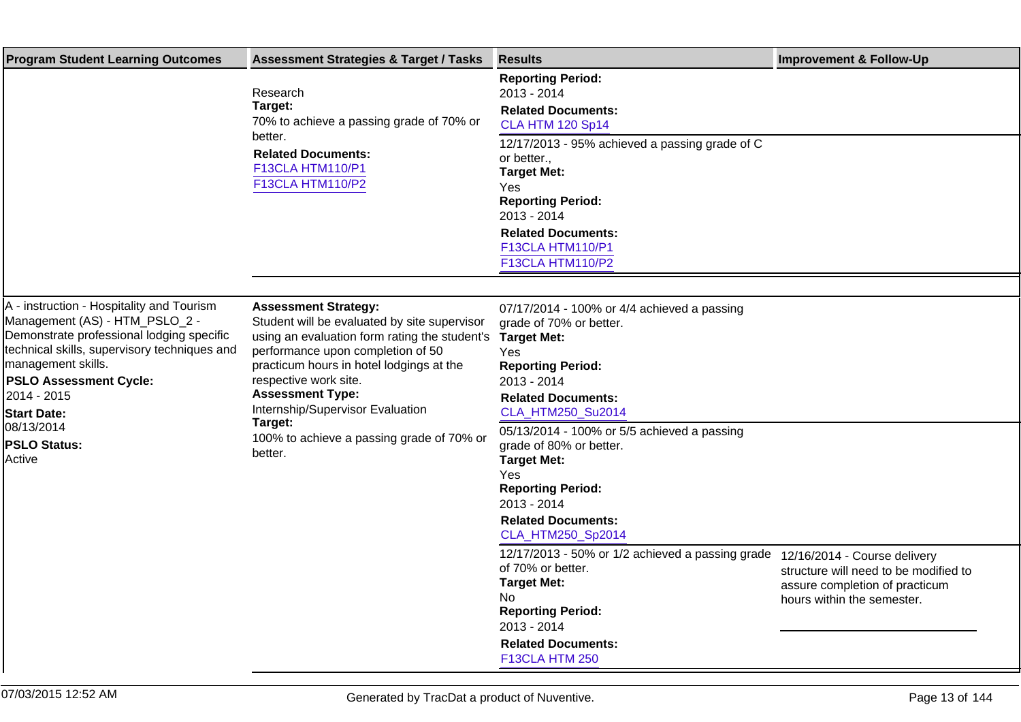| <b>Program Student Learning Outcomes</b>                                                                                                                                                                                                                                                                            | <b>Assessment Strategies &amp; Target / Tasks</b>                                                                                                                                                                                                                                                                                                                        | <b>Results</b>                                                                                                                                                                                                                                                                                                                                     | <b>Improvement &amp; Follow-Up</b>                                                                                                    |
|---------------------------------------------------------------------------------------------------------------------------------------------------------------------------------------------------------------------------------------------------------------------------------------------------------------------|--------------------------------------------------------------------------------------------------------------------------------------------------------------------------------------------------------------------------------------------------------------------------------------------------------------------------------------------------------------------------|----------------------------------------------------------------------------------------------------------------------------------------------------------------------------------------------------------------------------------------------------------------------------------------------------------------------------------------------------|---------------------------------------------------------------------------------------------------------------------------------------|
|                                                                                                                                                                                                                                                                                                                     | Research<br>Target:<br>70% to achieve a passing grade of 70% or                                                                                                                                                                                                                                                                                                          | <b>Reporting Period:</b><br>2013 - 2014<br><b>Related Documents:</b><br><b>CLA HTM 120 Sp14</b>                                                                                                                                                                                                                                                    |                                                                                                                                       |
|                                                                                                                                                                                                                                                                                                                     | better.<br><b>Related Documents:</b><br>F13CLA HTM110/P1<br><b>F13CLA HTM110/P2</b>                                                                                                                                                                                                                                                                                      | 12/17/2013 - 95% achieved a passing grade of C<br>or better.,<br><b>Target Met:</b><br>Yes<br><b>Reporting Period:</b><br>2013 - 2014<br><b>Related Documents:</b><br>F13CLA HTM110/P1<br>F13CLA HTM110/P2                                                                                                                                         |                                                                                                                                       |
|                                                                                                                                                                                                                                                                                                                     |                                                                                                                                                                                                                                                                                                                                                                          |                                                                                                                                                                                                                                                                                                                                                    |                                                                                                                                       |
| A - instruction - Hospitality and Tourism<br>Management (AS) - HTM_PSLO_2 -<br>Demonstrate professional lodging specific<br>technical skills, supervisory techniques and<br>management skills.<br><b>PSLO Assessment Cycle:</b><br>2014 - 2015<br><b>Start Date:</b><br>08/13/2014<br><b>PSLO Status:</b><br>Active | <b>Assessment Strategy:</b><br>Student will be evaluated by site supervisor<br>using an evaluation form rating the student's<br>performance upon completion of 50<br>practicum hours in hotel lodgings at the<br>respective work site.<br><b>Assessment Type:</b><br>Internship/Supervisor Evaluation<br>Target:<br>100% to achieve a passing grade of 70% or<br>better. | 07/17/2014 - 100% or 4/4 achieved a passing<br>grade of 70% or better.<br><b>Target Met:</b><br>Yes<br><b>Reporting Period:</b><br>2013 - 2014<br><b>Related Documents:</b><br>CLA_HTM250_Su2014<br>05/13/2014 - 100% or 5/5 achieved a passing<br>grade of 80% or better.<br><b>Target Met:</b><br>Yes<br><b>Reporting Period:</b><br>2013 - 2014 |                                                                                                                                       |
|                                                                                                                                                                                                                                                                                                                     |                                                                                                                                                                                                                                                                                                                                                                          | <b>Related Documents:</b><br>CLA_HTM250_Sp2014                                                                                                                                                                                                                                                                                                     |                                                                                                                                       |
|                                                                                                                                                                                                                                                                                                                     |                                                                                                                                                                                                                                                                                                                                                                          | 12/17/2013 - 50% or 1/2 achieved a passing grade<br>of 70% or better.<br><b>Target Met:</b><br>No<br><b>Reporting Period:</b><br>2013 - 2014<br><b>Related Documents:</b><br>F13CLA HTM 250                                                                                                                                                        | 12/16/2014 - Course delivery<br>structure will need to be modified to<br>assure completion of practicum<br>hours within the semester. |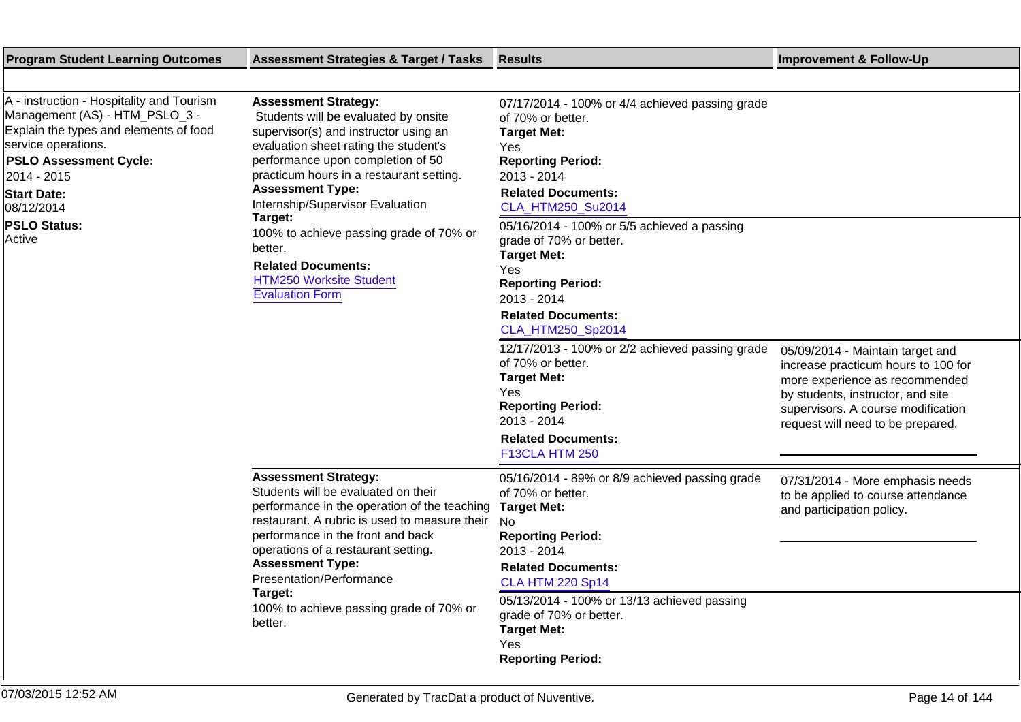| <b>Program Student Learning Outcomes</b>                                                                                                                                                                                                                          | <b>Assessment Strategies &amp; Target / Tasks</b>                                                                                                                                                                                                                                                                                                                                                                                                               | Results                                                                                                                                                                                                                                       | <b>Improvement &amp; Follow-Up</b>                                                                                                                                                                                        |
|-------------------------------------------------------------------------------------------------------------------------------------------------------------------------------------------------------------------------------------------------------------------|-----------------------------------------------------------------------------------------------------------------------------------------------------------------------------------------------------------------------------------------------------------------------------------------------------------------------------------------------------------------------------------------------------------------------------------------------------------------|-----------------------------------------------------------------------------------------------------------------------------------------------------------------------------------------------------------------------------------------------|---------------------------------------------------------------------------------------------------------------------------------------------------------------------------------------------------------------------------|
|                                                                                                                                                                                                                                                                   |                                                                                                                                                                                                                                                                                                                                                                                                                                                                 |                                                                                                                                                                                                                                               |                                                                                                                                                                                                                           |
| A - instruction - Hospitality and Tourism<br>Management (AS) - HTM_PSLO_3 -<br>Explain the types and elements of food<br>service operations.<br><b>PSLO Assessment Cycle:</b><br>2014 - 2015<br><b>Start Date:</b><br>08/12/2014<br><b>PSLO Status:</b><br>Active | <b>Assessment Strategy:</b><br>Students will be evaluated by onsite<br>supervisor(s) and instructor using an<br>evaluation sheet rating the student's<br>performance upon completion of 50<br>practicum hours in a restaurant setting.<br><b>Assessment Type:</b><br>Internship/Supervisor Evaluation<br>Target:<br>100% to achieve passing grade of 70% or<br>better.<br><b>Related Documents:</b><br><b>HTM250 Worksite Student</b><br><b>Evaluation Form</b> | 07/17/2014 - 100% or 4/4 achieved passing grade<br>of 70% or better.<br><b>Target Met:</b><br>Yes<br><b>Reporting Period:</b><br>2013 - 2014<br><b>Related Documents:</b><br>CLA_HTM250_Su2014<br>05/16/2014 - 100% or 5/5 achieved a passing |                                                                                                                                                                                                                           |
|                                                                                                                                                                                                                                                                   |                                                                                                                                                                                                                                                                                                                                                                                                                                                                 | grade of 70% or better.<br><b>Target Met:</b><br>Yes<br><b>Reporting Period:</b><br>2013 - 2014<br><b>Related Documents:</b><br>CLA_HTM250_Sp2014                                                                                             |                                                                                                                                                                                                                           |
|                                                                                                                                                                                                                                                                   |                                                                                                                                                                                                                                                                                                                                                                                                                                                                 | 12/17/2013 - 100% or 2/2 achieved passing grade<br>of 70% or better.<br><b>Target Met:</b><br>Yes<br><b>Reporting Period:</b><br>2013 - 2014<br><b>Related Documents:</b><br>F13CLA HTM 250                                                   | 05/09/2014 - Maintain target and<br>increase practicum hours to 100 for<br>more experience as recommended<br>by students, instructor, and site<br>supervisors. A course modification<br>request will need to be prepared. |
|                                                                                                                                                                                                                                                                   | <b>Assessment Strategy:</b><br>Students will be evaluated on their<br>performance in the operation of the teaching<br>restaurant. A rubric is used to measure their<br>performance in the front and back<br>operations of a restaurant setting.<br><b>Assessment Type:</b><br>Presentation/Performance<br>Target:<br>100% to achieve passing grade of 70% or<br>better.                                                                                         | 05/16/2014 - 89% or 8/9 achieved passing grade<br>of 70% or better.<br><b>Target Met:</b><br>No.<br><b>Reporting Period:</b><br>2013 - 2014<br><b>Related Documents:</b><br><b>CLA HTM 220 Sp14</b>                                           | 07/31/2014 - More emphasis needs<br>to be applied to course attendance<br>and participation policy.                                                                                                                       |
|                                                                                                                                                                                                                                                                   |                                                                                                                                                                                                                                                                                                                                                                                                                                                                 | 05/13/2014 - 100% or 13/13 achieved passing<br>grade of 70% or better.<br><b>Target Met:</b><br>Yes<br><b>Reporting Period:</b>                                                                                                               |                                                                                                                                                                                                                           |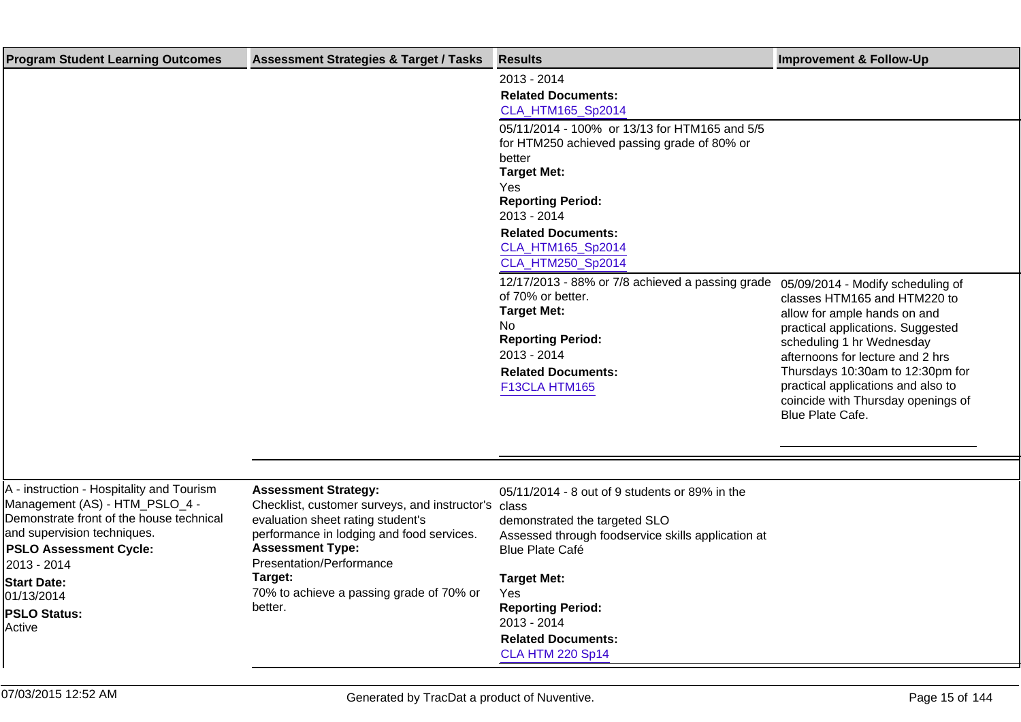| <b>Program Student Learning Outcomes</b>                                                                                                                                                               | <b>Assessment Strategies &amp; Target / Tasks</b>                                                                                                                                                                           | <b>Results</b>                                                                                                                                                                                                               | <b>Improvement &amp; Follow-Up</b>                                                                                                                                                                                                                                                                     |
|--------------------------------------------------------------------------------------------------------------------------------------------------------------------------------------------------------|-----------------------------------------------------------------------------------------------------------------------------------------------------------------------------------------------------------------------------|------------------------------------------------------------------------------------------------------------------------------------------------------------------------------------------------------------------------------|--------------------------------------------------------------------------------------------------------------------------------------------------------------------------------------------------------------------------------------------------------------------------------------------------------|
|                                                                                                                                                                                                        |                                                                                                                                                                                                                             | 2013 - 2014<br><b>Related Documents:</b><br>CLA_HTM165_Sp2014                                                                                                                                                                |                                                                                                                                                                                                                                                                                                        |
|                                                                                                                                                                                                        |                                                                                                                                                                                                                             | 05/11/2014 - 100% or 13/13 for HTM165 and 5/5<br>for HTM250 achieved passing grade of 80% or<br>better<br><b>Target Met:</b><br>Yes<br><b>Reporting Period:</b><br>2013 - 2014                                               |                                                                                                                                                                                                                                                                                                        |
|                                                                                                                                                                                                        |                                                                                                                                                                                                                             | <b>Related Documents:</b><br>CLA_HTM165_Sp2014<br>CLA_HTM250_Sp2014                                                                                                                                                          |                                                                                                                                                                                                                                                                                                        |
|                                                                                                                                                                                                        |                                                                                                                                                                                                                             | 12/17/2013 - 88% or 7/8 achieved a passing grade 05/09/2014 - Modify scheduling of<br>of 70% or better.<br><b>Target Met:</b><br>No<br><b>Reporting Period:</b><br>2013 - 2014<br><b>Related Documents:</b><br>F13CLA HTM165 | classes HTM165 and HTM220 to<br>allow for ample hands on and<br>practical applications. Suggested<br>scheduling 1 hr Wednesday<br>afternoons for lecture and 2 hrs<br>Thursdays 10:30am to 12:30pm for<br>practical applications and also to<br>coincide with Thursday openings of<br>Blue Plate Cafe. |
| A - instruction - Hospitality and Tourism<br>Management (AS) - HTM_PSLO_4 -<br>Demonstrate front of the house technical<br>and supervision techniques.<br><b>PSLO Assessment Cycle:</b><br>2013 - 2014 | <b>Assessment Strategy:</b><br>Checklist, customer surveys, and instructor's class<br>evaluation sheet rating student's<br>performance in lodging and food services.<br><b>Assessment Type:</b><br>Presentation/Performance | 05/11/2014 - 8 out of 9 students or 89% in the<br>demonstrated the targeted SLO<br>Assessed through foodservice skills application at<br><b>Blue Plate Café</b>                                                              |                                                                                                                                                                                                                                                                                                        |
| <b>Start Date:</b><br>01/13/2014<br><b>PSLO Status:</b><br>Active                                                                                                                                      | Target:<br>70% to achieve a passing grade of 70% or<br>better.                                                                                                                                                              | <b>Target Met:</b><br>Yes<br><b>Reporting Period:</b><br>2013 - 2014<br><b>Related Documents:</b><br><b>CLA HTM 220 Sp14</b>                                                                                                 |                                                                                                                                                                                                                                                                                                        |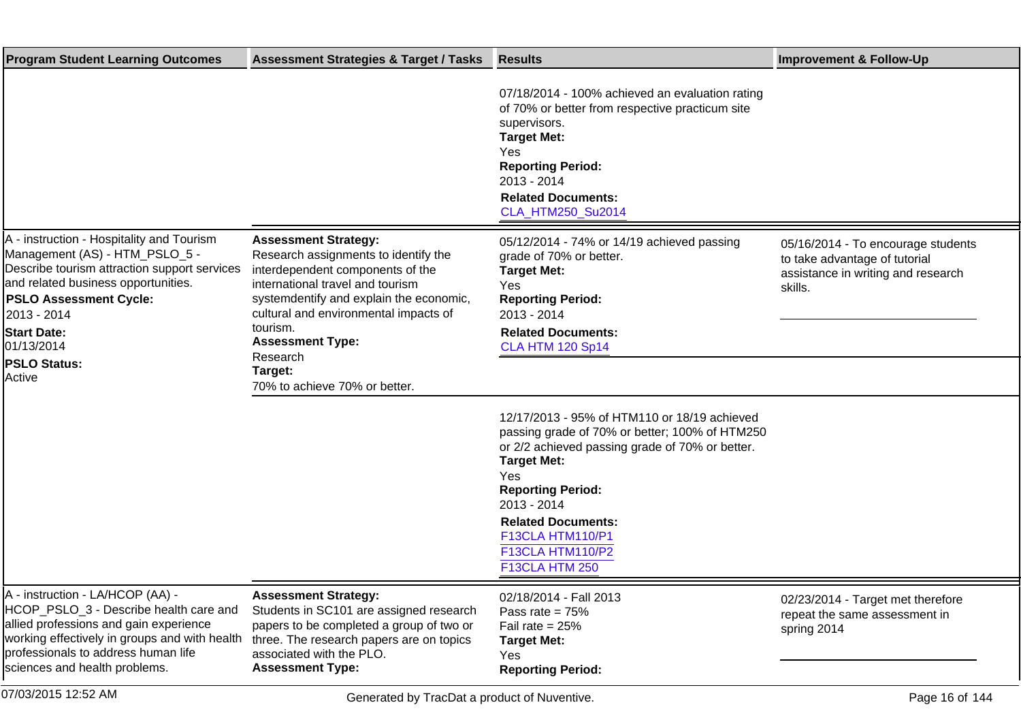| <b>Program Student Learning Outcomes</b>                                                                                                                                                                                                                                                | <b>Assessment Strategies &amp; Target / Tasks</b>                                                                                                                                                                                                                                                                              | <b>Results</b>                                                                                                                                                                                                                                                                                                   | <b>Improvement &amp; Follow-Up</b>                                                                                   |
|-----------------------------------------------------------------------------------------------------------------------------------------------------------------------------------------------------------------------------------------------------------------------------------------|--------------------------------------------------------------------------------------------------------------------------------------------------------------------------------------------------------------------------------------------------------------------------------------------------------------------------------|------------------------------------------------------------------------------------------------------------------------------------------------------------------------------------------------------------------------------------------------------------------------------------------------------------------|----------------------------------------------------------------------------------------------------------------------|
|                                                                                                                                                                                                                                                                                         |                                                                                                                                                                                                                                                                                                                                | 07/18/2014 - 100% achieved an evaluation rating<br>of 70% or better from respective practicum site<br>supervisors.<br><b>Target Met:</b><br>Yes<br><b>Reporting Period:</b><br>2013 - 2014<br><b>Related Documents:</b><br>CLA_HTM250_Su2014                                                                     |                                                                                                                      |
| A - instruction - Hospitality and Tourism<br>Management (AS) - HTM_PSLO_5 -<br>Describe tourism attraction support services<br>and related business opportunities.<br><b>PSLO Assessment Cycle:</b><br>2013 - 2014<br><b>Start Date:</b><br>01/13/2014<br><b>PSLO Status:</b><br>Active | <b>Assessment Strategy:</b><br>Research assignments to identify the<br>interdependent components of the<br>international travel and tourism<br>systemdentify and explain the economic,<br>cultural and environmental impacts of<br>tourism.<br><b>Assessment Type:</b><br>Research<br>Target:<br>70% to achieve 70% or better. | 05/12/2014 - 74% or 14/19 achieved passing<br>grade of 70% or better.<br><b>Target Met:</b><br>Yes<br><b>Reporting Period:</b><br>2013 - 2014<br><b>Related Documents:</b><br><b>CLA HTM 120 Sp14</b>                                                                                                            | 05/16/2014 - To encourage students<br>to take advantage of tutorial<br>assistance in writing and research<br>skills. |
|                                                                                                                                                                                                                                                                                         |                                                                                                                                                                                                                                                                                                                                | 12/17/2013 - 95% of HTM110 or 18/19 achieved<br>passing grade of 70% or better; 100% of HTM250<br>or 2/2 achieved passing grade of 70% or better.<br><b>Target Met:</b><br>Yes<br><b>Reporting Period:</b><br>2013 - 2014<br><b>Related Documents:</b><br>F13CLA HTM110/P1<br>F13CLA HTM110/P2<br>F13CLA HTM 250 |                                                                                                                      |
| A - instruction - LA/HCOP (AA) -<br>HCOP_PSLO_3 - Describe health care and<br>allied professions and gain experience<br>working effectively in groups and with health<br>professionals to address human life<br>sciences and health problems.                                           | <b>Assessment Strategy:</b><br>Students in SC101 are assigned research<br>papers to be completed a group of two or<br>three. The research papers are on topics<br>associated with the PLO.<br><b>Assessment Type:</b>                                                                                                          | 02/18/2014 - Fall 2013<br>Pass rate = $75%$<br>Fail rate = $25%$<br><b>Target Met:</b><br>Yes<br><b>Reporting Period:</b>                                                                                                                                                                                        | 02/23/2014 - Target met therefore<br>repeat the same assessment in<br>spring 2014                                    |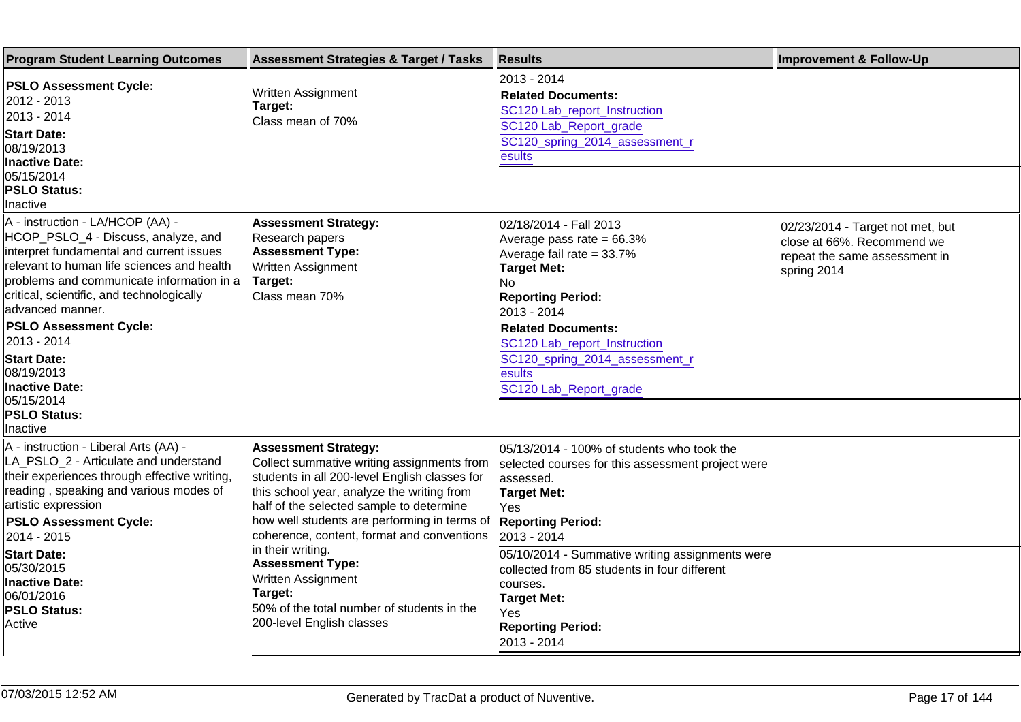| <b>Program Student Learning Outcomes</b>                                                                                                                                                                                                                                                                                                                                                            | <b>Assessment Strategies &amp; Target / Tasks</b>                                                                                                                                                                                                                                                                  | <b>Results</b>                                                                                                                                                                                                                                                                                 | <b>Improvement &amp; Follow-Up</b>                                                                             |
|-----------------------------------------------------------------------------------------------------------------------------------------------------------------------------------------------------------------------------------------------------------------------------------------------------------------------------------------------------------------------------------------------------|--------------------------------------------------------------------------------------------------------------------------------------------------------------------------------------------------------------------------------------------------------------------------------------------------------------------|------------------------------------------------------------------------------------------------------------------------------------------------------------------------------------------------------------------------------------------------------------------------------------------------|----------------------------------------------------------------------------------------------------------------|
| <b>PSLO Assessment Cycle:</b><br>2012 - 2013<br>2013 - 2014<br><b>Start Date:</b><br>08/19/2013<br>Inactive Date:                                                                                                                                                                                                                                                                                   | Written Assignment<br>Target:<br>Class mean of 70%                                                                                                                                                                                                                                                                 | 2013 - 2014<br><b>Related Documents:</b><br>SC120 Lab_report_Instruction<br>SC120 Lab_Report_grade<br>SC120_spring_2014_assessment_r<br>esults                                                                                                                                                 |                                                                                                                |
| 05/15/2014<br><b>PSLO Status:</b><br>Inactive                                                                                                                                                                                                                                                                                                                                                       |                                                                                                                                                                                                                                                                                                                    |                                                                                                                                                                                                                                                                                                |                                                                                                                |
| A - instruction - LA/HCOP (AA) -<br>HCOP_PSLO_4 - Discuss, analyze, and<br>interpret fundamental and current issues<br>relevant to human life sciences and health<br>problems and communicate information in a<br>critical, scientific, and technologically<br>advanced manner.<br><b>PSLO Assessment Cycle:</b><br>2013 - 2014<br><b>Start Date:</b><br>08/19/2013<br>Inactive Date:<br>05/15/2014 | <b>Assessment Strategy:</b><br>Research papers<br><b>Assessment Type:</b><br>Written Assignment<br>Target:<br>Class mean 70%                                                                                                                                                                                       | 02/18/2014 - Fall 2013<br>Average pass rate = $66.3\%$<br>Average fail rate = 33.7%<br><b>Target Met:</b><br>No.<br><b>Reporting Period:</b><br>2013 - 2014<br><b>Related Documents:</b><br>SC120 Lab_report_Instruction<br>SC120_spring_2014_assessment_r<br>esults<br>SC120 Lab_Report_grade | 02/23/2014 - Target not met, but<br>close at 66%. Recommend we<br>repeat the same assessment in<br>spring 2014 |
| <b>PSLO Status:</b><br>Inactive                                                                                                                                                                                                                                                                                                                                                                     |                                                                                                                                                                                                                                                                                                                    |                                                                                                                                                                                                                                                                                                |                                                                                                                |
| A - instruction - Liberal Arts (AA) -<br>LA_PSLO_2 - Articulate and understand<br>their experiences through effective writing,<br>reading, speaking and various modes of<br>artistic expression<br><b>PSLO Assessment Cycle:</b><br>2014 - 2015                                                                                                                                                     | <b>Assessment Strategy:</b><br>Collect summative writing assignments from<br>students in all 200-level English classes for<br>this school year, analyze the writing from<br>half of the selected sample to determine<br>how well students are performing in terms of<br>coherence, content, format and conventions | 05/13/2014 - 100% of students who took the<br>selected courses for this assessment project were<br>assessed.<br><b>Target Met:</b><br>Yes<br><b>Reporting Period:</b><br>2013 - 2014                                                                                                           |                                                                                                                |
| in their writing.<br><b>Start Date:</b><br><b>Assessment Type:</b><br>05/30/2015<br>Written Assignment<br><b>Inactive Date:</b><br>Target:<br>06/01/2016<br>50% of the total number of students in the<br><b>PSLO Status:</b><br>200-level English classes<br>Active                                                                                                                                | 05/10/2014 - Summative writing assignments were<br>collected from 85 students in four different<br>courses.<br><b>Target Met:</b><br>Yes<br><b>Reporting Period:</b><br>2013 - 2014                                                                                                                                |                                                                                                                                                                                                                                                                                                |                                                                                                                |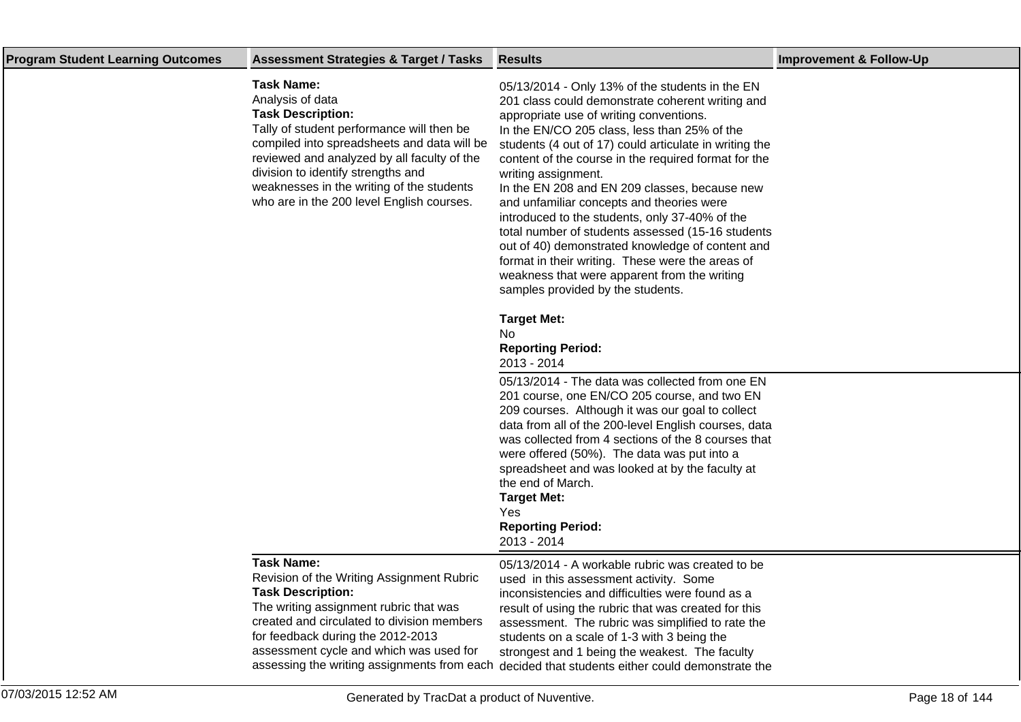| <b>Program Student Learning Outcomes</b> | <b>Assessment Strategies &amp; Target / Tasks</b>                                                                                                                                                                                                                                                                                            | <b>Results</b>                                                                                                                                                                                                                                                                                                                                                                                                                                                                                                                                                                                                                                                                                                                            | <b>Improvement &amp; Follow-Up</b> |
|------------------------------------------|----------------------------------------------------------------------------------------------------------------------------------------------------------------------------------------------------------------------------------------------------------------------------------------------------------------------------------------------|-------------------------------------------------------------------------------------------------------------------------------------------------------------------------------------------------------------------------------------------------------------------------------------------------------------------------------------------------------------------------------------------------------------------------------------------------------------------------------------------------------------------------------------------------------------------------------------------------------------------------------------------------------------------------------------------------------------------------------------------|------------------------------------|
|                                          | <b>Task Name:</b><br>Analysis of data<br><b>Task Description:</b><br>Tally of student performance will then be<br>compiled into spreadsheets and data will be<br>reviewed and analyzed by all faculty of the<br>division to identify strengths and<br>weaknesses in the writing of the students<br>who are in the 200 level English courses. | 05/13/2014 - Only 13% of the students in the EN<br>201 class could demonstrate coherent writing and<br>appropriate use of writing conventions.<br>In the EN/CO 205 class, less than 25% of the<br>students (4 out of 17) could articulate in writing the<br>content of the course in the required format for the<br>writing assignment.<br>In the EN 208 and EN 209 classes, because new<br>and unfamiliar concepts and theories were<br>introduced to the students, only 37-40% of the<br>total number of students assessed (15-16 students<br>out of 40) demonstrated knowledge of content and<br>format in their writing. These were the areas of<br>weakness that were apparent from the writing<br>samples provided by the students. |                                    |
|                                          |                                                                                                                                                                                                                                                                                                                                              | <b>Target Met:</b><br>No.<br><b>Reporting Period:</b><br>2013 - 2014<br>05/13/2014 - The data was collected from one EN<br>201 course, one EN/CO 205 course, and two EN                                                                                                                                                                                                                                                                                                                                                                                                                                                                                                                                                                   |                                    |
|                                          |                                                                                                                                                                                                                                                                                                                                              | 209 courses. Although it was our goal to collect<br>data from all of the 200-level English courses, data<br>was collected from 4 sections of the 8 courses that<br>were offered (50%). The data was put into a<br>spreadsheet and was looked at by the faculty at<br>the end of March.<br><b>Target Met:</b><br>Yes<br><b>Reporting Period:</b><br>2013 - 2014                                                                                                                                                                                                                                                                                                                                                                            |                                    |
|                                          | <b>Task Name:</b><br>Revision of the Writing Assignment Rubric<br><b>Task Description:</b><br>The writing assignment rubric that was<br>created and circulated to division members<br>for feedback during the 2012-2013<br>assessment cycle and which was used for                                                                           | 05/13/2014 - A workable rubric was created to be<br>used in this assessment activity. Some<br>inconsistencies and difficulties were found as a<br>result of using the rubric that was created for this<br>assessment. The rubric was simplified to rate the<br>students on a scale of 1-3 with 3 being the<br>strongest and 1 being the weakest. The faculty<br>assessing the writing assignments from each decided that students either could demonstrate the                                                                                                                                                                                                                                                                            |                                    |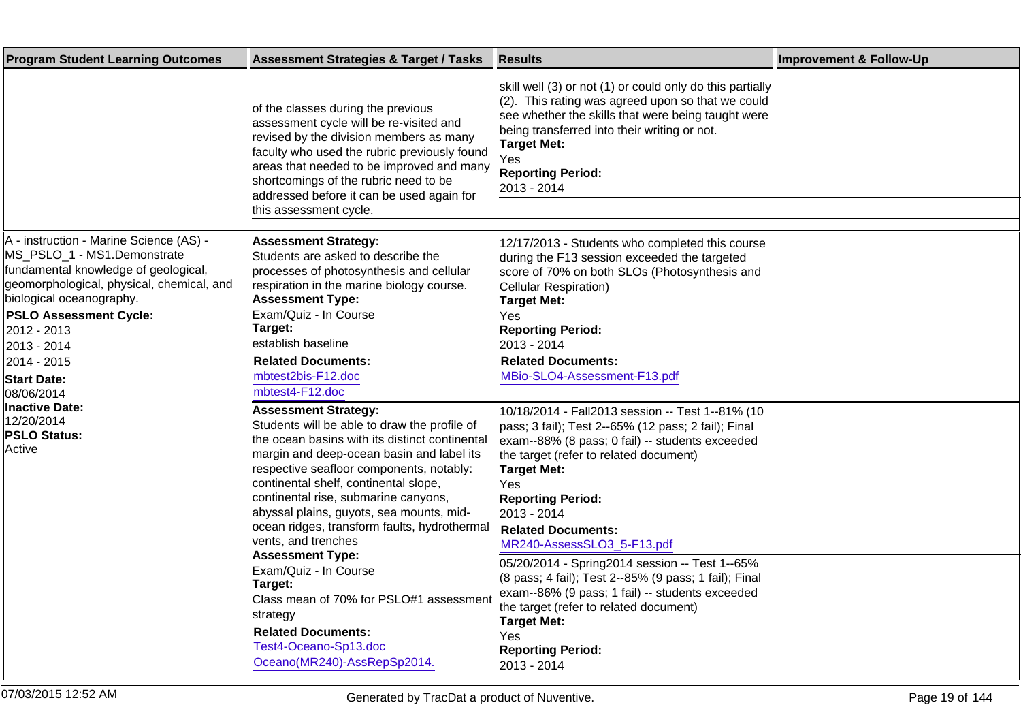| <b>Program Student Learning Outcomes</b>                                                                                                                                                                                                                                                                   | <b>Assessment Strategies &amp; Target / Tasks</b>                                                                                                                                                                                                                                                                                                                                                                                                                                                                                                                                                                                     | <b>Results</b>                                                                                                                                                                                                                                                                                                                                                                                                                                                                                                                                                                                                          | <b>Improvement &amp; Follow-Up</b> |
|------------------------------------------------------------------------------------------------------------------------------------------------------------------------------------------------------------------------------------------------------------------------------------------------------------|---------------------------------------------------------------------------------------------------------------------------------------------------------------------------------------------------------------------------------------------------------------------------------------------------------------------------------------------------------------------------------------------------------------------------------------------------------------------------------------------------------------------------------------------------------------------------------------------------------------------------------------|-------------------------------------------------------------------------------------------------------------------------------------------------------------------------------------------------------------------------------------------------------------------------------------------------------------------------------------------------------------------------------------------------------------------------------------------------------------------------------------------------------------------------------------------------------------------------------------------------------------------------|------------------------------------|
|                                                                                                                                                                                                                                                                                                            | of the classes during the previous<br>assessment cycle will be re-visited and<br>revised by the division members as many<br>faculty who used the rubric previously found<br>areas that needed to be improved and many<br>shortcomings of the rubric need to be<br>addressed before it can be used again for<br>this assessment cycle.                                                                                                                                                                                                                                                                                                 | skill well (3) or not (1) or could only do this partially<br>(2). This rating was agreed upon so that we could<br>see whether the skills that were being taught were<br>being transferred into their writing or not.<br><b>Target Met:</b><br>Yes<br><b>Reporting Period:</b><br>2013 - 2014                                                                                                                                                                                                                                                                                                                            |                                    |
| A - instruction - Marine Science (AS) -<br>MS_PSLO_1 - MS1. Demonstrate<br>fundamental knowledge of geological,<br>geomorphological, physical, chemical, and<br>biological oceanography.<br><b>PSLO Assessment Cycle:</b><br>2012 - 2013<br>2013 - 2014<br>2014 - 2015<br><b>Start Date:</b><br>08/06/2014 | <b>Assessment Strategy:</b><br>Students are asked to describe the<br>processes of photosynthesis and cellular<br>respiration in the marine biology course.<br><b>Assessment Type:</b><br>Exam/Quiz - In Course<br>Target:<br>establish baseline<br><b>Related Documents:</b><br>mbtest2bis-F12.doc<br>mbtest4-F12.doc                                                                                                                                                                                                                                                                                                                 | 12/17/2013 - Students who completed this course<br>during the F13 session exceeded the targeted<br>score of 70% on both SLOs (Photosynthesis and<br><b>Cellular Respiration)</b><br><b>Target Met:</b><br>Yes<br><b>Reporting Period:</b><br>2013 - 2014<br><b>Related Documents:</b><br>MBio-SLO4-Assessment-F13.pdf                                                                                                                                                                                                                                                                                                   |                                    |
| <b>Inactive Date:</b><br>12/20/2014<br><b>PSLO Status:</b><br>Active                                                                                                                                                                                                                                       | <b>Assessment Strategy:</b><br>Students will be able to draw the profile of<br>the ocean basins with its distinct continental<br>margin and deep-ocean basin and label its<br>respective seafloor components, notably:<br>continental shelf, continental slope,<br>continental rise, submarine canyons,<br>abyssal plains, guyots, sea mounts, mid-<br>ocean ridges, transform faults, hydrothermal<br>vents, and trenches<br><b>Assessment Type:</b><br>Exam/Quiz - In Course<br>Target:<br>Class mean of 70% for PSLO#1 assessment<br>strategy<br><b>Related Documents:</b><br>Test4-Oceano-Sp13.doc<br>Oceano(MR240)-AssRepSp2014. | 10/18/2014 - Fall2013 session -- Test 1--81% (10<br>pass; 3 fail); Test 2--65% (12 pass; 2 fail); Final<br>exam--88% (8 pass; 0 fail) -- students exceeded<br>the target (refer to related document)<br><b>Target Met:</b><br>Yes<br><b>Reporting Period:</b><br>2013 - 2014<br><b>Related Documents:</b><br>MR240-AssessSLO3_5-F13.pdf<br>05/20/2014 - Spring2014 session -- Test 1--65%<br>(8 pass; 4 fail); Test 2--85% (9 pass; 1 fail); Final<br>exam--86% (9 pass; 1 fail) -- students exceeded<br>the target (refer to related document)<br><b>Target Met:</b><br>Yes<br><b>Reporting Period:</b><br>2013 - 2014 |                                    |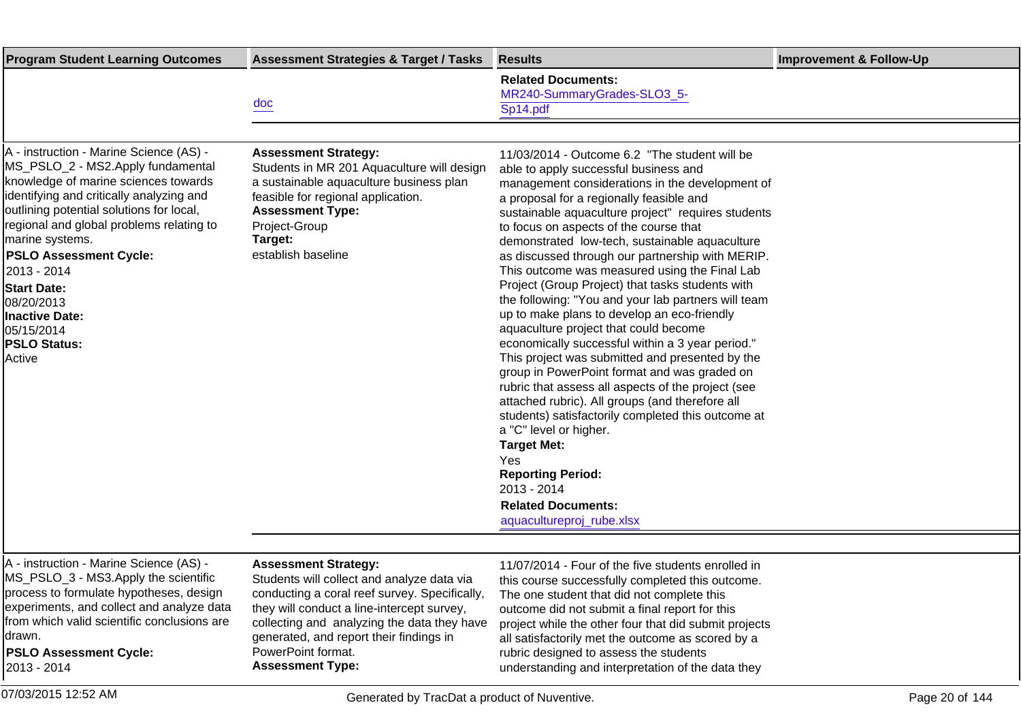| <b>Program Student Learning Outcomes</b>                                                                                                                                                                                                                                                                                                                         | <b>Assessment Strategies &amp; Target / Tasks</b>                                                                                                                                                                                       | <b>Results</b>                                                                                                                                                                                                                                                                                                                                                                                                                                                                                                                                          | <b>Improvement &amp; Follow-Up</b> |
|------------------------------------------------------------------------------------------------------------------------------------------------------------------------------------------------------------------------------------------------------------------------------------------------------------------------------------------------------------------|-----------------------------------------------------------------------------------------------------------------------------------------------------------------------------------------------------------------------------------------|---------------------------------------------------------------------------------------------------------------------------------------------------------------------------------------------------------------------------------------------------------------------------------------------------------------------------------------------------------------------------------------------------------------------------------------------------------------------------------------------------------------------------------------------------------|------------------------------------|
|                                                                                                                                                                                                                                                                                                                                                                  | doc                                                                                                                                                                                                                                     | <b>Related Documents:</b><br>MR240-SummaryGrades-SLO3_5-<br>Sp14.pdf                                                                                                                                                                                                                                                                                                                                                                                                                                                                                    |                                    |
| A - instruction - Marine Science (AS) -<br>MS_PSLO_2 - MS2. Apply fundamental<br>knowledge of marine sciences towards<br>identifying and critically analyzing and<br>outlining potential solutions for local,<br>regional and global problems relating to<br>marine systems.<br><b>PSLO Assessment Cycle:</b><br>2013 - 2014<br><b>Start Date:</b><br>08/20/2013 | <b>Assessment Strategy:</b><br>Students in MR 201 Aquaculture will design<br>a sustainable aquaculture business plan<br>feasible for regional application.<br><b>Assessment Type:</b><br>Project-Group<br>Target:<br>establish baseline | 11/03/2014 - Outcome 6.2 "The student will be<br>able to apply successful business and<br>management considerations in the development of<br>a proposal for a regionally feasible and<br>sustainable aquaculture project" requires students<br>to focus on aspects of the course that<br>demonstrated low-tech, sustainable aquaculture<br>as discussed through our partnership with MERIP.<br>This outcome was measured using the Final Lab<br>Project (Group Project) that tasks students with<br>the following: "You and your lab partners will team |                                    |
| <b>Inactive Date:</b><br>05/15/2014<br><b>PSLO Status:</b><br>Active                                                                                                                                                                                                                                                                                             |                                                                                                                                                                                                                                         | up to make plans to develop an eco-friendly<br>aquaculture project that could become<br>economically successful within a 3 year period."<br>This project was submitted and presented by the<br>group in PowerPoint format and was graded on<br>rubric that assess all aspects of the project (see<br>attached rubric). All groups (and therefore all<br>students) satisfactorily completed this outcome at<br>a "C" level or higher.<br><b>Target Met:</b>                                                                                              |                                    |
|                                                                                                                                                                                                                                                                                                                                                                  |                                                                                                                                                                                                                                         | Yes<br><b>Reporting Period:</b><br>2013 - 2014<br><b>Related Documents:</b><br>aquacultureproj_rube.xlsx                                                                                                                                                                                                                                                                                                                                                                                                                                                |                                    |
| A - instruction - Marine Science (AS) -<br>$MS$ $PSI$ $\bigcap$ 3 $MSS$ Annly the scientific                                                                                                                                                                                                                                                                     | <b>Assessment Strategy:</b><br>Students will collect and analyze data via                                                                                                                                                               | 11/07/2014 - Four of the five students enrolled in<br>this course quescostully completed this quicome                                                                                                                                                                                                                                                                                                                                                                                                                                                   |                                    |

\_ડ - iviS3. Apply the scientific process to formulate hypotheses, design experiments, and collect and analyze data from which valid scientific conclusions are drawn.

**PSLO Assessment Cycle:** 2013 - 2014

Students will collect and analyze data via conducting a coral reef survey. Specifically, they will conduct a line-intercept survey, collecting and analyzing the data they have generated, and report their findings in PowerPoint format. **Assessment Type:**

this course successfully completed this outcome. The one student that did not complete this outcome did not submit a final report for this project while the other four that did submit projects all satisfactorily met the outcome as scored by a rubric designed to assess the students understanding and interpretation of the data they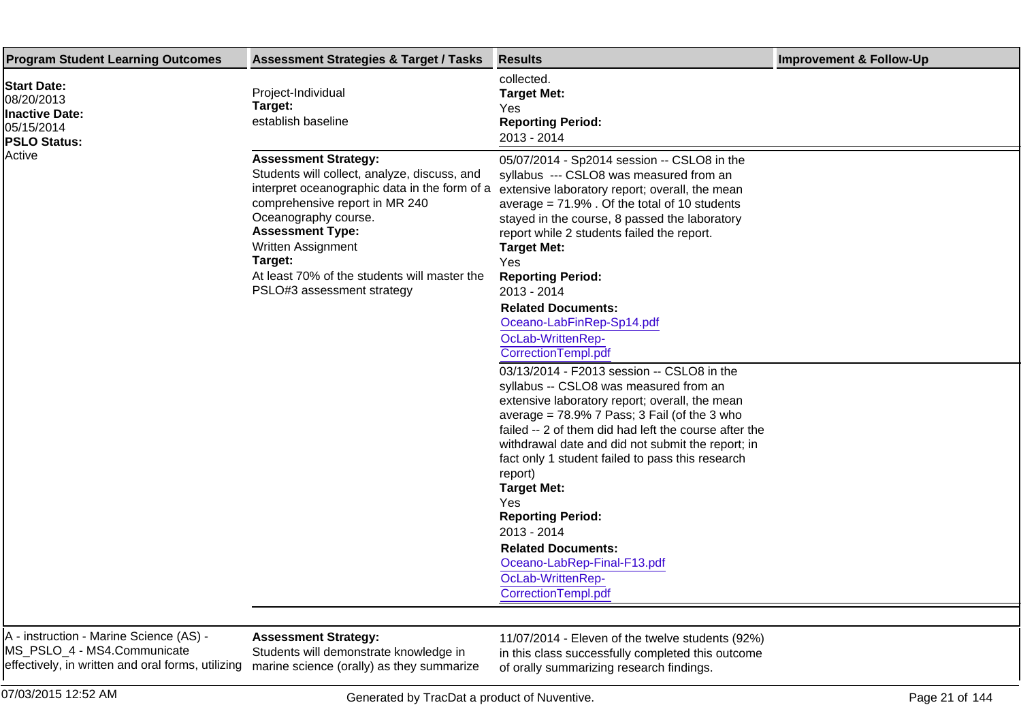| <b>Program Student Learning Outcomes</b>                                                       | <b>Assessment Strategies &amp; Target / Tasks</b>                                                                                                                                                                                                                                                                                | <b>Results</b>                                                                                                                                                                                                                                                                                                                                                                                                                                                                                                                                                                                                                                                                                                                                                                                                                                                                                                                                                                                                                      | <b>Improvement &amp; Follow-Up</b> |
|------------------------------------------------------------------------------------------------|----------------------------------------------------------------------------------------------------------------------------------------------------------------------------------------------------------------------------------------------------------------------------------------------------------------------------------|-------------------------------------------------------------------------------------------------------------------------------------------------------------------------------------------------------------------------------------------------------------------------------------------------------------------------------------------------------------------------------------------------------------------------------------------------------------------------------------------------------------------------------------------------------------------------------------------------------------------------------------------------------------------------------------------------------------------------------------------------------------------------------------------------------------------------------------------------------------------------------------------------------------------------------------------------------------------------------------------------------------------------------------|------------------------------------|
| <b>Start Date:</b><br>08/20/2013<br><b>Inactive Date:</b><br>05/15/2014<br><b>PSLO Status:</b> | Project-Individual<br>Target:<br>establish baseline                                                                                                                                                                                                                                                                              | collected.<br><b>Target Met:</b><br>Yes<br><b>Reporting Period:</b><br>2013 - 2014                                                                                                                                                                                                                                                                                                                                                                                                                                                                                                                                                                                                                                                                                                                                                                                                                                                                                                                                                  |                                    |
| Active                                                                                         | <b>Assessment Strategy:</b><br>Students will collect, analyze, discuss, and<br>interpret oceanographic data in the form of a<br>comprehensive report in MR 240<br>Oceanography course.<br><b>Assessment Type:</b><br>Written Assignment<br>Target:<br>At least 70% of the students will master the<br>PSLO#3 assessment strategy | 05/07/2014 - Sp2014 session -- CSLO8 in the<br>syllabus --- CSLO8 was measured from an<br>extensive laboratory report; overall, the mean<br>average = $71.9\%$ . Of the total of 10 students<br>stayed in the course, 8 passed the laboratory<br>report while 2 students failed the report.<br><b>Target Met:</b><br>Yes<br><b>Reporting Period:</b><br>2013 - 2014<br><b>Related Documents:</b><br>Oceano-LabFinRep-Sp14.pdf<br>OcLab-WrittenRep-<br>CorrectionTempl.pdf<br>03/13/2014 - F2013 session -- CSLO8 in the<br>syllabus -- CSLO8 was measured from an<br>extensive laboratory report; overall, the mean<br>average = $78.9\%$ 7 Pass; 3 Fail (of the 3 who<br>failed -- 2 of them did had left the course after the<br>withdrawal date and did not submit the report; in<br>fact only 1 student failed to pass this research<br>report)<br><b>Target Met:</b><br>Yes<br><b>Reporting Period:</b><br>2013 - 2014<br><b>Related Documents:</b><br>Oceano-LabRep-Final-F13.pdf<br>OcLab-WrittenRep-<br>CorrectionTempl.pdf |                                    |

A - instruction - Marine Science (AS) - MS\_PSLO\_4 - MS4. Communicate effectively, in written and oral forms, utilizing

## **Assessment Strategy:**

Students will demonstrate knowledge in marine science (orally) as they summarize 11/07/2014 - Eleven of the twelve students (92%) in this class successfully completed this outcome of orally summarizing research findings.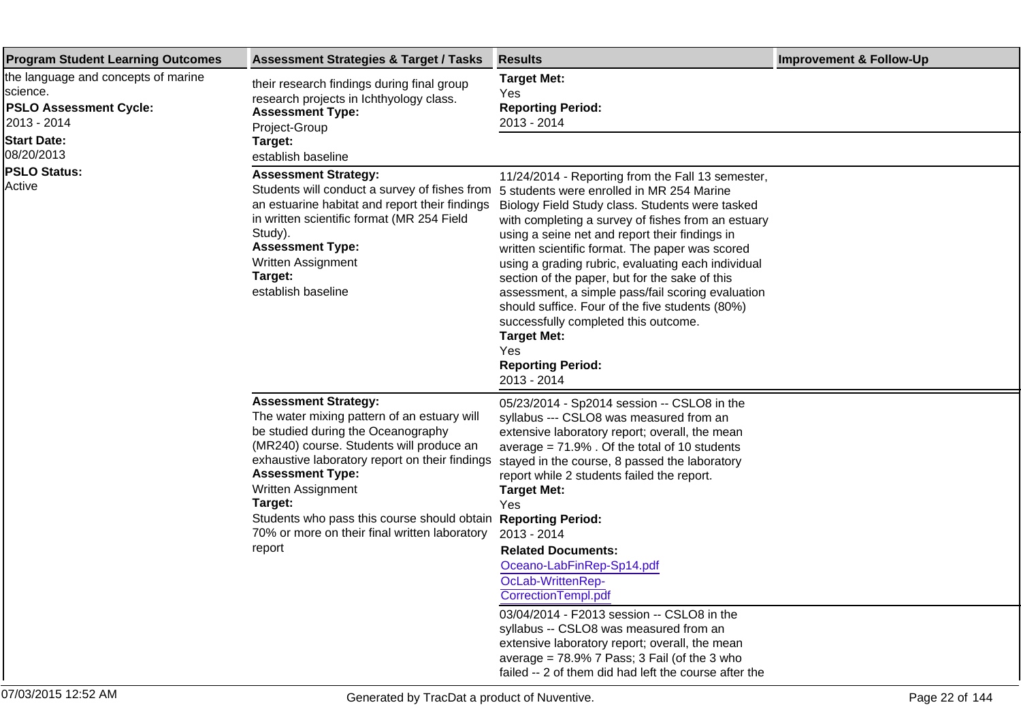| <b>Program Student Learning Outcomes</b>                                                                              | <b>Assessment Strategies &amp; Target / Tasks</b>                                                                                                                                                                                                                                                                                                                                                             | <b>Results</b>                                                                                                                                                                                                                                                                                                                                                                                                                                                                                                                                                                                  | <b>Improvement &amp; Follow-Up</b> |
|-----------------------------------------------------------------------------------------------------------------------|---------------------------------------------------------------------------------------------------------------------------------------------------------------------------------------------------------------------------------------------------------------------------------------------------------------------------------------------------------------------------------------------------------------|-------------------------------------------------------------------------------------------------------------------------------------------------------------------------------------------------------------------------------------------------------------------------------------------------------------------------------------------------------------------------------------------------------------------------------------------------------------------------------------------------------------------------------------------------------------------------------------------------|------------------------------------|
| the language and concepts of marine<br>science.<br><b>PSLO Assessment Cycle:</b><br>2013 - 2014<br><b>Start Date:</b> | their research findings during final group<br>research projects in Ichthyology class.<br><b>Assessment Type:</b><br>Project-Group<br>Target:                                                                                                                                                                                                                                                                  | <b>Target Met:</b><br>Yes<br><b>Reporting Period:</b><br>2013 - 2014                                                                                                                                                                                                                                                                                                                                                                                                                                                                                                                            |                                    |
| 08/20/2013                                                                                                            | establish baseline                                                                                                                                                                                                                                                                                                                                                                                            |                                                                                                                                                                                                                                                                                                                                                                                                                                                                                                                                                                                                 |                                    |
| <b>PSLO Status:</b><br>Active                                                                                         | <b>Assessment Strategy:</b><br>Students will conduct a survey of fishes from 5 students were enrolled in MR 254 Marine<br>an estuarine habitat and report their findings<br>in written scientific format (MR 254 Field<br>Study).<br><b>Assessment Type:</b><br><b>Written Assignment</b><br>Target:<br>establish baseline                                                                                    | 11/24/2014 - Reporting from the Fall 13 semester,<br>Biology Field Study class. Students were tasked<br>with completing a survey of fishes from an estuary<br>using a seine net and report their findings in<br>written scientific format. The paper was scored<br>using a grading rubric, evaluating each individual<br>section of the paper, but for the sake of this<br>assessment, a simple pass/fail scoring evaluation<br>should suffice. Four of the five students (80%)<br>successfully completed this outcome.<br><b>Target Met:</b><br>Yes<br><b>Reporting Period:</b><br>2013 - 2014 |                                    |
|                                                                                                                       | <b>Assessment Strategy:</b><br>The water mixing pattern of an estuary will<br>be studied during the Oceanography<br>(MR240) course. Students will produce an<br>exhaustive laboratory report on their findings<br><b>Assessment Type:</b><br><b>Written Assignment</b><br>Target:<br>Students who pass this course should obtain Reporting Period:<br>70% or more on their final written laboratory<br>report | 05/23/2014 - Sp2014 session -- CSLO8 in the<br>syllabus --- CSLO8 was measured from an<br>extensive laboratory report; overall, the mean<br>average $= 71.9\%$ . Of the total of 10 students<br>stayed in the course, 8 passed the laboratory<br>report while 2 students failed the report.<br><b>Target Met:</b><br>Yes<br>2013 - 2014<br><b>Related Documents:</b><br>Oceano-LabFinRep-Sp14.pdf<br>OcLab-WrittenRep-<br>Correction Templ.pdf<br>03/04/2014 - F2013 session -- CSLO8 in the                                                                                                    |                                    |
|                                                                                                                       |                                                                                                                                                                                                                                                                                                                                                                                                               | syllabus -- CSLO8 was measured from an<br>extensive laboratory report; overall, the mean<br>average = $78.9\%$ 7 Pass; 3 Fail (of the 3 who<br>failed -- 2 of them did had left the course after the                                                                                                                                                                                                                                                                                                                                                                                            |                                    |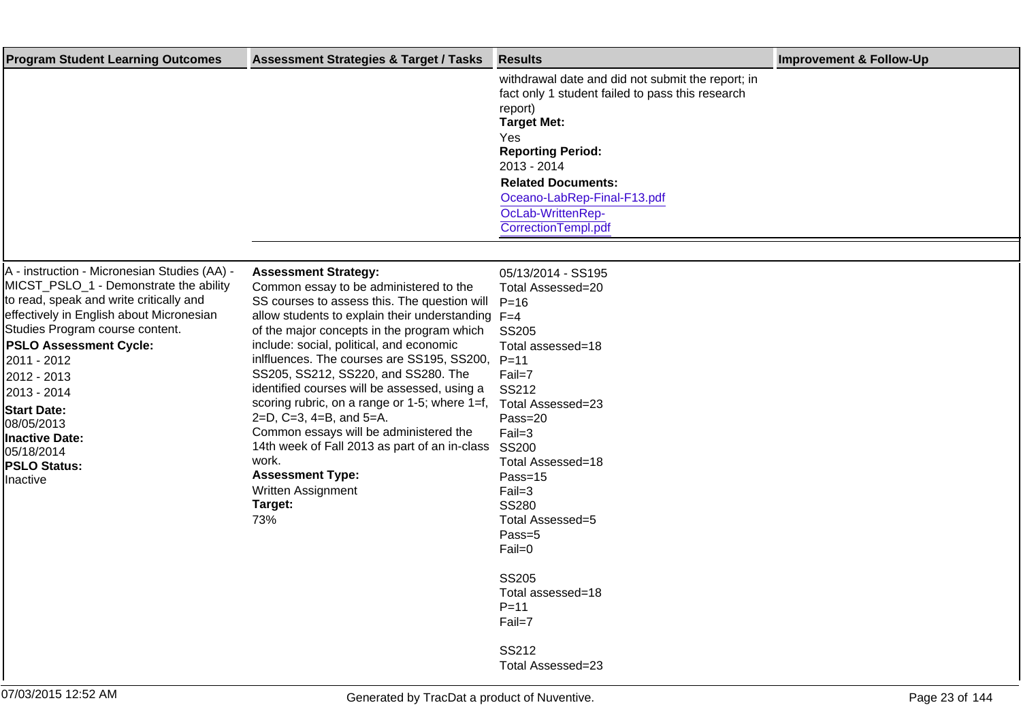| <b>Program Student Learning Outcomes</b>                                                                                                                                                                                                                                                                                                                                                                     | <b>Assessment Strategies &amp; Target / Tasks</b>                                                                                                                                                                                                                                                                                                                                                                                                                                                                                                                                                                                                                 | <b>Results</b>                                                                                                                                                                                                                                                                   | <b>Improvement &amp; Follow-Up</b> |
|--------------------------------------------------------------------------------------------------------------------------------------------------------------------------------------------------------------------------------------------------------------------------------------------------------------------------------------------------------------------------------------------------------------|-------------------------------------------------------------------------------------------------------------------------------------------------------------------------------------------------------------------------------------------------------------------------------------------------------------------------------------------------------------------------------------------------------------------------------------------------------------------------------------------------------------------------------------------------------------------------------------------------------------------------------------------------------------------|----------------------------------------------------------------------------------------------------------------------------------------------------------------------------------------------------------------------------------------------------------------------------------|------------------------------------|
|                                                                                                                                                                                                                                                                                                                                                                                                              |                                                                                                                                                                                                                                                                                                                                                                                                                                                                                                                                                                                                                                                                   | withdrawal date and did not submit the report; in<br>fact only 1 student failed to pass this research<br>report)<br><b>Target Met:</b><br>Yes<br><b>Reporting Period:</b><br>2013 - 2014<br><b>Related Documents:</b><br>Oceano-LabRep-Final-F13.pdf                             |                                    |
|                                                                                                                                                                                                                                                                                                                                                                                                              |                                                                                                                                                                                                                                                                                                                                                                                                                                                                                                                                                                                                                                                                   | OcLab-WrittenRep-<br>CorrectionTempl.pdf                                                                                                                                                                                                                                         |                                    |
|                                                                                                                                                                                                                                                                                                                                                                                                              |                                                                                                                                                                                                                                                                                                                                                                                                                                                                                                                                                                                                                                                                   |                                                                                                                                                                                                                                                                                  |                                    |
| A - instruction - Micronesian Studies (AA) -<br>MICST_PSLO_1 - Demonstrate the ability<br>to read, speak and write critically and<br>effectively in English about Micronesian<br>Studies Program course content.<br><b>PSLO Assessment Cycle:</b><br>2011 - 2012<br>2012 - 2013<br>2013 - 2014<br><b>Start Date:</b><br>08/05/2013<br><b>Inactive Date:</b><br>05/18/2014<br><b>PSLO Status:</b><br>Inactive | <b>Assessment Strategy:</b><br>Common essay to be administered to the<br>SS courses to assess this. The question will<br>allow students to explain their understanding $F=4$<br>of the major concepts in the program which<br>include: social, political, and economic<br>inlfluences. The courses are SS195, SS200,<br>SS205, SS212, SS220, and SS280. The<br>identified courses will be assessed, using a<br>scoring rubric, on a range or 1-5; where $1=f$ ,<br>2=D, C=3, 4=B, and 5=A.<br>Common essays will be administered the<br>14th week of Fall 2013 as part of an in-class<br>work.<br><b>Assessment Type:</b><br>Written Assignment<br>Target:<br>73% | 05/13/2014 - SS195<br>Total Assessed=20<br>$P = 16$<br><b>SS205</b><br>Total assessed=18<br>$P = 11$<br>Fail=7<br>SS212<br>Total Assessed=23<br>Pass=20<br>$Fail=3$<br>SS200<br>Total Assessed=18<br>Pass=15<br>$Fail=3$<br><b>SS280</b><br>Total Assessed=5<br>Pass=5<br>Fail=0 |                                    |
|                                                                                                                                                                                                                                                                                                                                                                                                              |                                                                                                                                                                                                                                                                                                                                                                                                                                                                                                                                                                                                                                                                   | <b>SS205</b><br>Total assessed=18<br>$P = 11$<br>Fail=7                                                                                                                                                                                                                          |                                    |
|                                                                                                                                                                                                                                                                                                                                                                                                              |                                                                                                                                                                                                                                                                                                                                                                                                                                                                                                                                                                                                                                                                   | SS212<br>Total Assessed=23                                                                                                                                                                                                                                                       |                                    |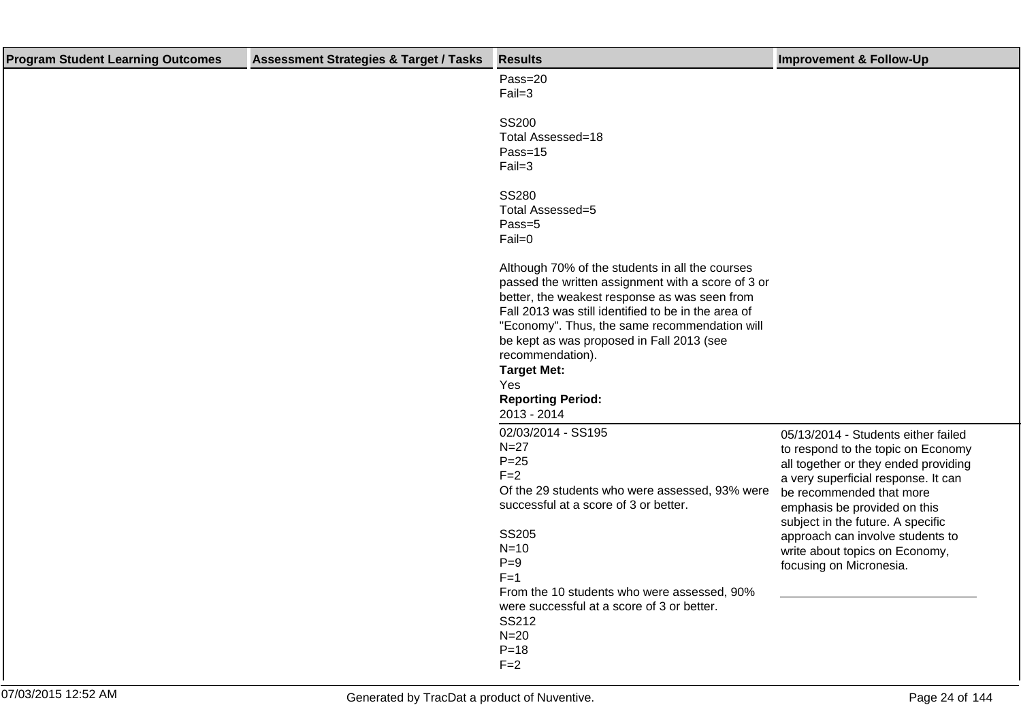| <b>Program Student Learning Outcomes</b> | <b>Assessment Strategies &amp; Target / Tasks</b> | <b>Results</b>                                                                                                                                                                                                                                                                                                                                                                                          | <b>Improvement &amp; Follow-Up</b>                                                                                                                                                                                                                                                                                                                         |
|------------------------------------------|---------------------------------------------------|---------------------------------------------------------------------------------------------------------------------------------------------------------------------------------------------------------------------------------------------------------------------------------------------------------------------------------------------------------------------------------------------------------|------------------------------------------------------------------------------------------------------------------------------------------------------------------------------------------------------------------------------------------------------------------------------------------------------------------------------------------------------------|
|                                          |                                                   | Pass=20<br>$Fail=3$                                                                                                                                                                                                                                                                                                                                                                                     |                                                                                                                                                                                                                                                                                                                                                            |
|                                          |                                                   | <b>SS200</b><br>Total Assessed=18<br>Pass=15<br>$Fail=3$                                                                                                                                                                                                                                                                                                                                                |                                                                                                                                                                                                                                                                                                                                                            |
|                                          |                                                   | <b>SS280</b><br>Total Assessed=5<br>Pass=5<br>$Fail=0$                                                                                                                                                                                                                                                                                                                                                  |                                                                                                                                                                                                                                                                                                                                                            |
|                                          |                                                   | Although 70% of the students in all the courses<br>passed the written assignment with a score of 3 or<br>better, the weakest response as was seen from<br>Fall 2013 was still identified to be in the area of<br>"Economy". Thus, the same recommendation will<br>be kept as was proposed in Fall 2013 (see<br>recommendation).<br><b>Target Met:</b><br>Yes<br><b>Reporting Period:</b><br>2013 - 2014 |                                                                                                                                                                                                                                                                                                                                                            |
|                                          |                                                   | 02/03/2014 - SS195<br>$N=27$<br>$P = 25$<br>$F=2$<br>Of the 29 students who were assessed, 93% were<br>successful at a score of 3 or better.<br><b>SS205</b><br>$N=10$<br>$P=9$<br>$F=1$<br>From the 10 students who were assessed, 90%                                                                                                                                                                 | 05/13/2014 - Students either failed<br>to respond to the topic on Economy<br>all together or they ended providing<br>a very superficial response. It can<br>be recommended that more<br>emphasis be provided on this<br>subject in the future. A specific<br>approach can involve students to<br>write about topics on Economy,<br>focusing on Micronesia. |
|                                          |                                                   | were successful at a score of 3 or better.<br>SS212<br>$N=20$<br>$P = 18$<br>$F = 2$                                                                                                                                                                                                                                                                                                                    |                                                                                                                                                                                                                                                                                                                                                            |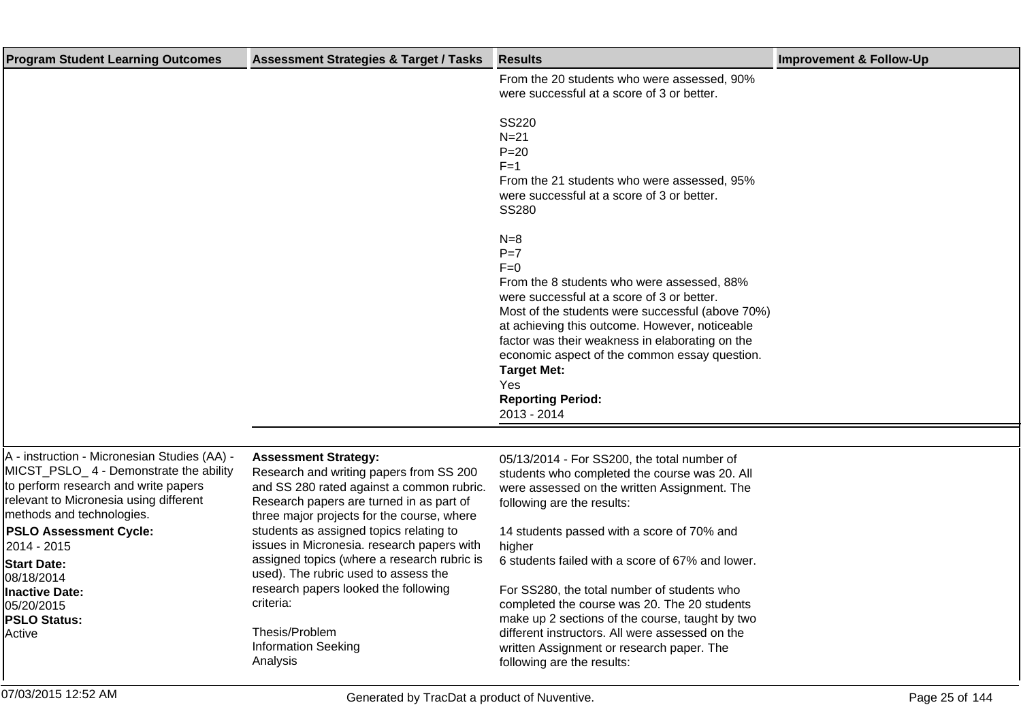| <b>Program Student Learning Outcomes</b>                                                                                                                                                                                                                                                                                                                   | <b>Assessment Strategies &amp; Target / Tasks</b>                                                                                                                                                                                                                                                                                                                                                                                                                                                              | <b>Results</b>                                                                                                                                                                                                                                                                                                                                                                                                                                                                                                                                                         | <b>Improvement &amp; Follow-Up</b> |
|------------------------------------------------------------------------------------------------------------------------------------------------------------------------------------------------------------------------------------------------------------------------------------------------------------------------------------------------------------|----------------------------------------------------------------------------------------------------------------------------------------------------------------------------------------------------------------------------------------------------------------------------------------------------------------------------------------------------------------------------------------------------------------------------------------------------------------------------------------------------------------|------------------------------------------------------------------------------------------------------------------------------------------------------------------------------------------------------------------------------------------------------------------------------------------------------------------------------------------------------------------------------------------------------------------------------------------------------------------------------------------------------------------------------------------------------------------------|------------------------------------|
|                                                                                                                                                                                                                                                                                                                                                            |                                                                                                                                                                                                                                                                                                                                                                                                                                                                                                                | From the 20 students who were assessed, 90%<br>were successful at a score of 3 or better.                                                                                                                                                                                                                                                                                                                                                                                                                                                                              |                                    |
|                                                                                                                                                                                                                                                                                                                                                            |                                                                                                                                                                                                                                                                                                                                                                                                                                                                                                                | <b>SS220</b><br>$N = 21$<br>$P = 20$<br>$F = 1$<br>From the 21 students who were assessed, 95%<br>were successful at a score of 3 or better.<br><b>SS280</b>                                                                                                                                                                                                                                                                                                                                                                                                           |                                    |
|                                                                                                                                                                                                                                                                                                                                                            |                                                                                                                                                                                                                                                                                                                                                                                                                                                                                                                | $N=8$<br>$P=7$<br>$F=0$<br>From the 8 students who were assessed, 88%<br>were successful at a score of 3 or better.<br>Most of the students were successful (above 70%)<br>at achieving this outcome. However, noticeable<br>factor was their weakness in elaborating on the<br>economic aspect of the common essay question.<br><b>Target Met:</b><br>Yes<br><b>Reporting Period:</b><br>2013 - 2014                                                                                                                                                                  |                                    |
|                                                                                                                                                                                                                                                                                                                                                            |                                                                                                                                                                                                                                                                                                                                                                                                                                                                                                                |                                                                                                                                                                                                                                                                                                                                                                                                                                                                                                                                                                        |                                    |
| A - instruction - Micronesian Studies (AA) -<br>MICST_PSLO_4 - Demonstrate the ability<br>to perform research and write papers<br>relevant to Micronesia using different<br>methods and technologies.<br><b>PSLO Assessment Cycle:</b><br>2014 - 2015<br><b>Start Date:</b><br>08/18/2014<br><b>Inactive Date:</b><br>05/20/2015<br>PSLO Status:<br>Active | <b>Assessment Strategy:</b><br>Research and writing papers from SS 200<br>and SS 280 rated against a common rubric.<br>Research papers are turned in as part of<br>three major projects for the course, where<br>students as assigned topics relating to<br>issues in Micronesia. research papers with<br>assigned topics (where a research rubric is<br>used). The rubric used to assess the<br>research papers looked the following<br>criteria:<br>Thesis/Problem<br><b>Information Seeking</b><br>Analysis | 05/13/2014 - For SS200, the total number of<br>students who completed the course was 20. All<br>were assessed on the written Assignment. The<br>following are the results:<br>14 students passed with a score of 70% and<br>higher<br>6 students failed with a score of 67% and lower.<br>For SS280, the total number of students who<br>completed the course was 20. The 20 students<br>make up 2 sections of the course, taught by two<br>different instructors. All were assessed on the<br>written Assignment or research paper. The<br>following are the results: |                                    |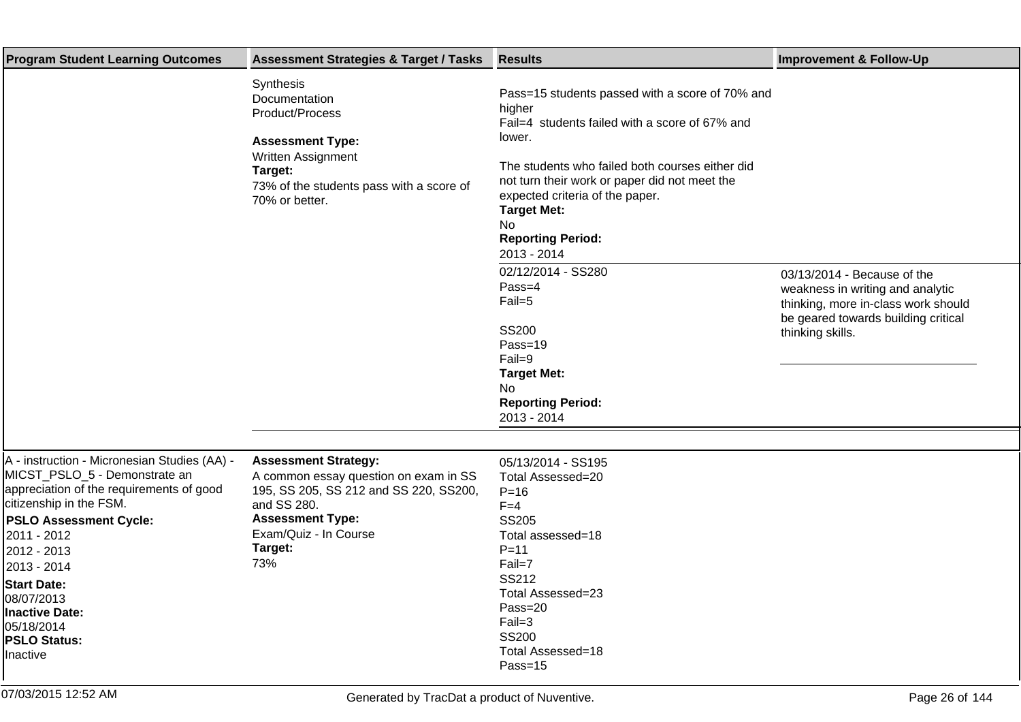| <b>Program Student Learning Outcomes</b>                                                                                                                                                                                                                                                                                                  | <b>Assessment Strategies &amp; Target / Tasks</b>                                                                                                                                                   | <b>Results</b>                                                                                                                                                                                                                                                                                                                                                                                                                                                                                   | <b>Improvement &amp; Follow-Up</b>                                                                                                                                |
|-------------------------------------------------------------------------------------------------------------------------------------------------------------------------------------------------------------------------------------------------------------------------------------------------------------------------------------------|-----------------------------------------------------------------------------------------------------------------------------------------------------------------------------------------------------|--------------------------------------------------------------------------------------------------------------------------------------------------------------------------------------------------------------------------------------------------------------------------------------------------------------------------------------------------------------------------------------------------------------------------------------------------------------------------------------------------|-------------------------------------------------------------------------------------------------------------------------------------------------------------------|
|                                                                                                                                                                                                                                                                                                                                           | Synthesis<br>Documentation<br>Product/Process<br><b>Assessment Type:</b><br>Written Assignment<br>Target:<br>73% of the students pass with a score of<br>70% or better.                             | Pass=15 students passed with a score of 70% and<br>higher<br>Fail=4 students failed with a score of 67% and<br>lower.<br>The students who failed both courses either did<br>not turn their work or paper did not meet the<br>expected criteria of the paper.<br><b>Target Met:</b><br><b>No</b><br><b>Reporting Period:</b><br>2013 - 2014<br>02/12/2014 - SS280<br>Pass=4<br>Fail=5<br><b>SS200</b><br>Pass=19<br>Fail=9<br><b>Target Met:</b><br>No<br><b>Reporting Period:</b><br>2013 - 2014 | 03/13/2014 - Because of the<br>weakness in writing and analytic<br>thinking, more in-class work should<br>be geared towards building critical<br>thinking skills. |
| A - instruction - Micronesian Studies (AA) -<br>MICST_PSLO_5 - Demonstrate an<br>appreciation of the requirements of good<br>citizenship in the FSM.<br><b>PSLO Assessment Cycle:</b><br>2011 - 2012<br>2012 - 2013<br>2013 - 2014<br><b>Start Date:</b><br>08/07/2013<br>Inactive Date:<br>05/18/2014<br><b>PSLO Status:</b><br>Inactive | <b>Assessment Strategy:</b><br>A common essay question on exam in SS<br>195, SS 205, SS 212 and SS 220, SS200,<br>and SS 280.<br><b>Assessment Type:</b><br>Exam/Quiz - In Course<br>Target:<br>73% | 05/13/2014 - SS195<br>Total Assessed=20<br>$P = 16$<br>$F = 4$<br><b>SS205</b><br>Total assessed=18<br>$P = 11$<br>Fail=7<br>SS212<br>Total Assessed=23<br>Pass=20<br>$Fail=3$<br><b>SS200</b><br>Total Assessed=18<br>Pass=15                                                                                                                                                                                                                                                                   |                                                                                                                                                                   |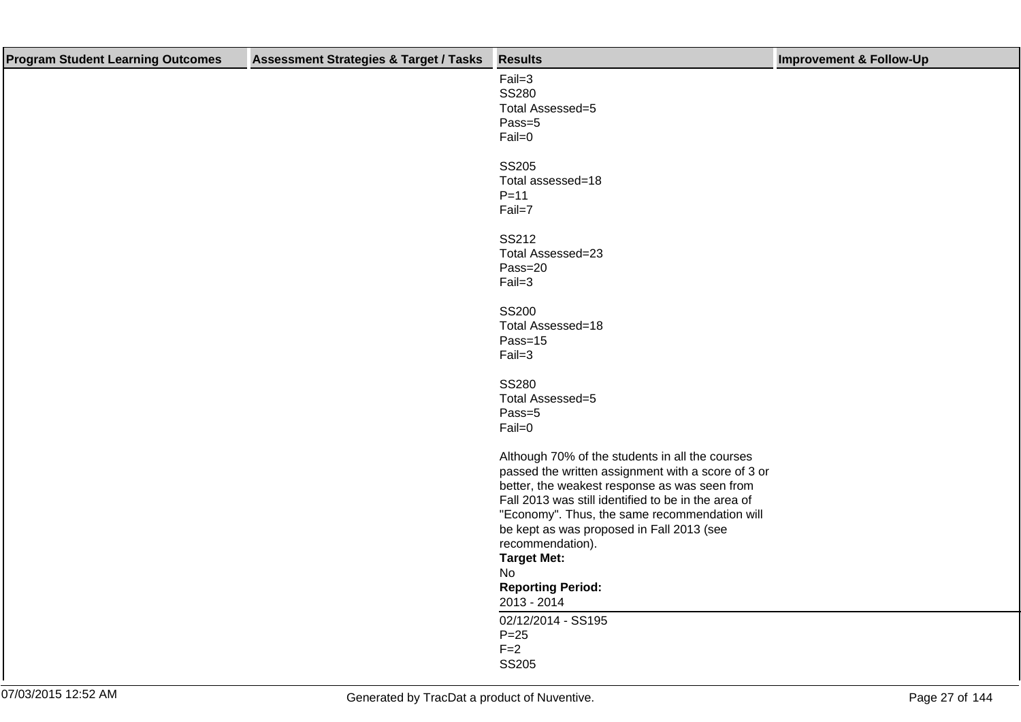| <b>Program Student Learning Outcomes</b> | <b>Assessment Strategies &amp; Target / Tasks</b> | <b>Results</b>                                      | <b>Improvement &amp; Follow-Up</b> |
|------------------------------------------|---------------------------------------------------|-----------------------------------------------------|------------------------------------|
|                                          |                                                   | $Fail=3$                                            |                                    |
|                                          |                                                   | <b>SS280</b>                                        |                                    |
|                                          |                                                   | Total Assessed=5                                    |                                    |
|                                          |                                                   | Pass=5                                              |                                    |
|                                          |                                                   | Fail=0                                              |                                    |
|                                          |                                                   | <b>SS205</b>                                        |                                    |
|                                          |                                                   | Total assessed=18                                   |                                    |
|                                          |                                                   | $P=11$                                              |                                    |
|                                          |                                                   | Fail=7                                              |                                    |
|                                          |                                                   | SS212                                               |                                    |
|                                          |                                                   | Total Assessed=23                                   |                                    |
|                                          |                                                   | Pass=20                                             |                                    |
|                                          |                                                   | $Fail=3$                                            |                                    |
|                                          |                                                   | <b>SS200</b>                                        |                                    |
|                                          |                                                   | Total Assessed=18                                   |                                    |
|                                          |                                                   | Pass=15                                             |                                    |
|                                          |                                                   | $Fail=3$                                            |                                    |
|                                          |                                                   | SS280                                               |                                    |
|                                          |                                                   | Total Assessed=5                                    |                                    |
|                                          |                                                   | Pass=5                                              |                                    |
|                                          |                                                   | Fail=0                                              |                                    |
|                                          |                                                   | Although 70% of the students in all the courses     |                                    |
|                                          |                                                   | passed the written assignment with a score of 3 or  |                                    |
|                                          |                                                   | better, the weakest response as was seen from       |                                    |
|                                          |                                                   | Fall 2013 was still identified to be in the area of |                                    |
|                                          |                                                   | "Economy". Thus, the same recommendation will       |                                    |
|                                          |                                                   | be kept as was proposed in Fall 2013 (see           |                                    |
|                                          |                                                   | recommendation).                                    |                                    |
|                                          |                                                   | <b>Target Met:</b>                                  |                                    |
|                                          |                                                   | No                                                  |                                    |
|                                          |                                                   | <b>Reporting Period:</b>                            |                                    |
|                                          |                                                   | 2013 - 2014<br>02/12/2014 - SS195                   |                                    |
|                                          |                                                   | $P = 25$                                            |                                    |
|                                          |                                                   | $F=2$                                               |                                    |
|                                          |                                                   | <b>SS205</b>                                        |                                    |
|                                          |                                                   |                                                     |                                    |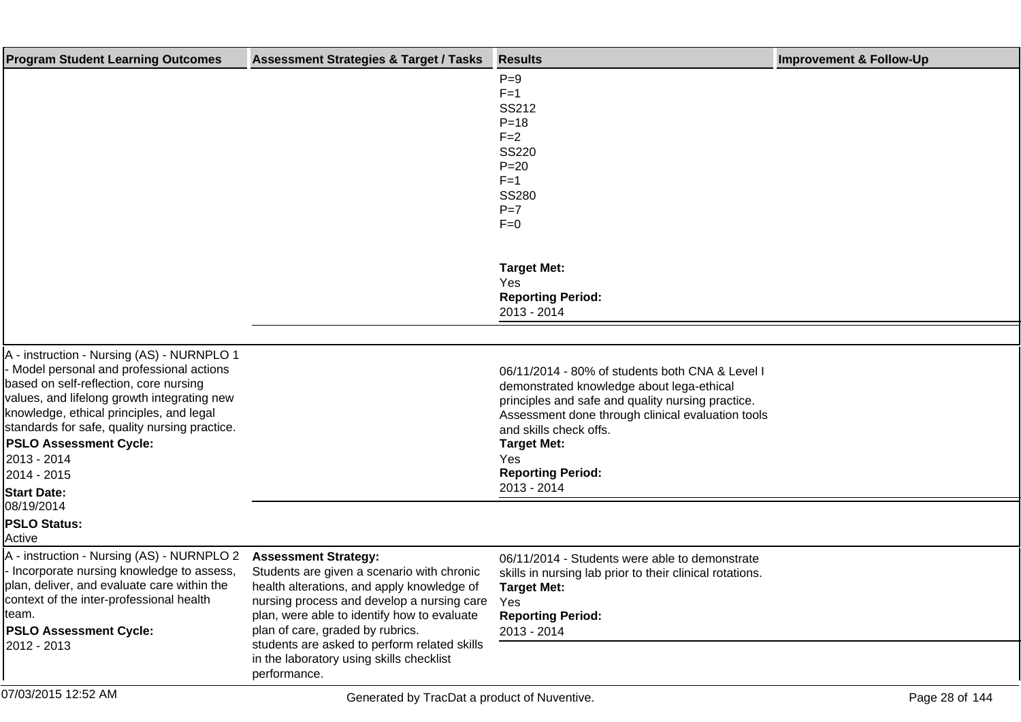| <b>Program Student Learning Outcomes</b>                                                                                                                                                                                                                                                                                                     | <b>Assessment Strategies &amp; Target / Tasks</b>                                                                                                                                                                                                        | <b>Results</b>                                                                                                                                                                                                                                                                            | <b>Improvement &amp; Follow-Up</b> |
|----------------------------------------------------------------------------------------------------------------------------------------------------------------------------------------------------------------------------------------------------------------------------------------------------------------------------------------------|----------------------------------------------------------------------------------------------------------------------------------------------------------------------------------------------------------------------------------------------------------|-------------------------------------------------------------------------------------------------------------------------------------------------------------------------------------------------------------------------------------------------------------------------------------------|------------------------------------|
|                                                                                                                                                                                                                                                                                                                                              |                                                                                                                                                                                                                                                          | $P=9$<br>$F=1$<br>SS212<br>$P = 18$<br>$F = 2$                                                                                                                                                                                                                                            |                                    |
|                                                                                                                                                                                                                                                                                                                                              |                                                                                                                                                                                                                                                          | <b>SS220</b><br>$P = 20$<br>$F=1$<br><b>SS280</b><br>$P=7$                                                                                                                                                                                                                                |                                    |
|                                                                                                                                                                                                                                                                                                                                              |                                                                                                                                                                                                                                                          | $F=0$<br><b>Target Met:</b><br>Yes<br><b>Reporting Period:</b><br>2013 - 2014                                                                                                                                                                                                             |                                    |
|                                                                                                                                                                                                                                                                                                                                              |                                                                                                                                                                                                                                                          |                                                                                                                                                                                                                                                                                           |                                    |
| A - instruction - Nursing (AS) - NURNPLO 1<br>- Model personal and professional actions<br>based on self-reflection, core nursing<br>values, and lifelong growth integrating new<br>knowledge, ethical principles, and legal<br>standards for safe, quality nursing practice.<br><b>PSLO Assessment Cycle:</b><br>2013 - 2014<br>2014 - 2015 |                                                                                                                                                                                                                                                          | 06/11/2014 - 80% of students both CNA & Level I<br>demonstrated knowledge about lega-ethical<br>principles and safe and quality nursing practice.<br>Assessment done through clinical evaluation tools<br>and skills check offs.<br><b>Target Met:</b><br>Yes<br><b>Reporting Period:</b> |                                    |
| <b>Start Date:</b><br>08/19/2014                                                                                                                                                                                                                                                                                                             |                                                                                                                                                                                                                                                          | 2013 - 2014                                                                                                                                                                                                                                                                               |                                    |
| <b>PSLO Status:</b><br>Active                                                                                                                                                                                                                                                                                                                |                                                                                                                                                                                                                                                          |                                                                                                                                                                                                                                                                                           |                                    |
| A - instruction - Nursing (AS) - NURNPLO 2<br>- Incorporate nursing knowledge to assess,<br>lplan, deliver, and evaluate care within the<br>context of the inter-professional health<br>lteam.<br><b>PSLO Assessment Cycle:</b>                                                                                                              | <b>Assessment Strategy:</b><br>Students are given a scenario with chronic<br>health alterations, and apply knowledge of<br>nursing process and develop a nursing care<br>plan, were able to identify how to evaluate<br>plan of care, graded by rubrics. | 06/11/2014 - Students were able to demonstrate<br>skills in nursing lab prior to their clinical rotations.<br><b>Target Met:</b><br>Yes<br><b>Reporting Period:</b><br>2013 - 2014                                                                                                        |                                    |
| 2012 - 2013                                                                                                                                                                                                                                                                                                                                  | students are asked to perform related skills<br>in the laboratory using skills checklist<br>performance.                                                                                                                                                 |                                                                                                                                                                                                                                                                                           |                                    |
| 07/03/2015 12:52 AM                                                                                                                                                                                                                                                                                                                          | Generated by TracDat a product of Nuventive.                                                                                                                                                                                                             |                                                                                                                                                                                                                                                                                           | Page 28 of 144                     |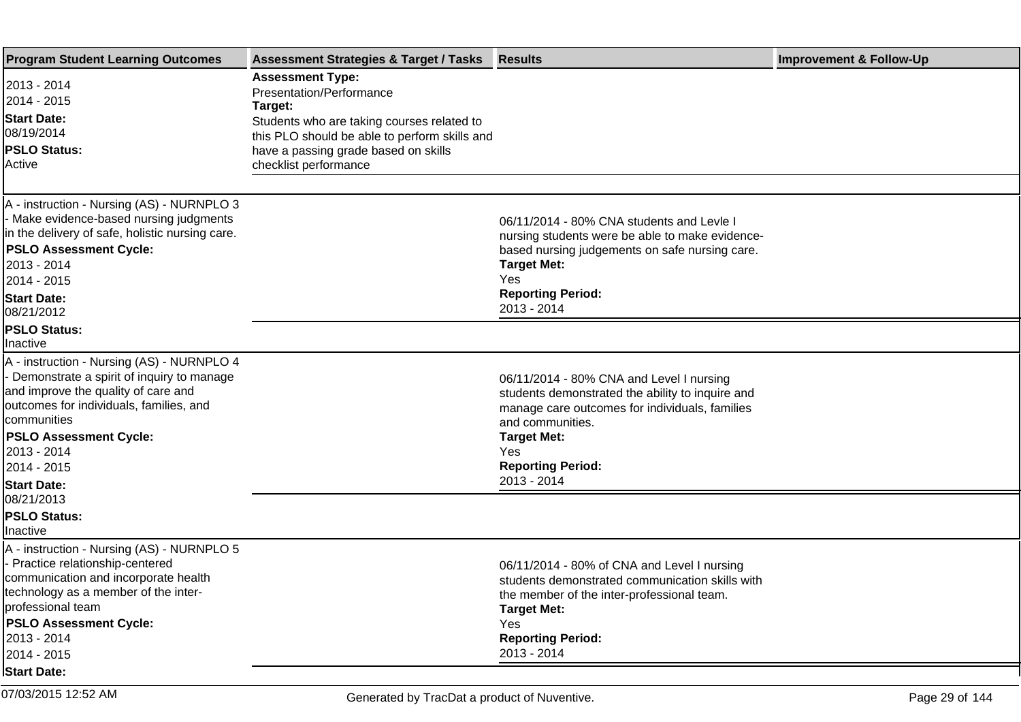| <b>Program Student Learning Outcomes</b>                                                                                                                                                                                                                                        | <b>Assessment Strategies &amp; Target / Tasks Results</b>                                                                                                                                                                      |                                                                                                                                                                                                                                            | <b>Improvement &amp; Follow-Up</b> |
|---------------------------------------------------------------------------------------------------------------------------------------------------------------------------------------------------------------------------------------------------------------------------------|--------------------------------------------------------------------------------------------------------------------------------------------------------------------------------------------------------------------------------|--------------------------------------------------------------------------------------------------------------------------------------------------------------------------------------------------------------------------------------------|------------------------------------|
| 2013 - 2014<br>2014 - 2015<br><b>Start Date:</b><br>08/19/2014<br><b>PSLO Status:</b><br>Active                                                                                                                                                                                 | <b>Assessment Type:</b><br>Presentation/Performance<br>Target:<br>Students who are taking courses related to<br>this PLO should be able to perform skills and<br>have a passing grade based on skills<br>checklist performance |                                                                                                                                                                                                                                            |                                    |
| A - instruction - Nursing (AS) - NURNPLO 3<br>- Make evidence-based nursing judgments<br>in the delivery of safe, holistic nursing care.<br><b>PSLO Assessment Cycle:</b><br>2013 - 2014<br>2014 - 2015<br><b>Start Date:</b><br>08/21/2012                                     |                                                                                                                                                                                                                                | 06/11/2014 - 80% CNA students and Levle<br>nursing students were be able to make evidence-<br>based nursing judgements on safe nursing care.<br><b>Target Met:</b><br>Yes<br><b>Reporting Period:</b><br>2013 - 2014                       |                                    |
| <b>PSLO Status:</b><br>Inactive                                                                                                                                                                                                                                                 |                                                                                                                                                                                                                                |                                                                                                                                                                                                                                            |                                    |
| A - instruction - Nursing (AS) - NURNPLO 4<br>- Demonstrate a spirit of inquiry to manage<br>and improve the quality of care and<br>outcomes for individuals, families, and<br>communities<br><b>PSLO Assessment Cycle:</b><br>2013 - 2014<br>2014 - 2015<br><b>Start Date:</b> |                                                                                                                                                                                                                                | 06/11/2014 - 80% CNA and Level I nursing<br>students demonstrated the ability to inquire and<br>manage care outcomes for individuals, families<br>and communities.<br><b>Target Met:</b><br>Yes<br><b>Reporting Period:</b><br>2013 - 2014 |                                    |
| 08/21/2013<br><b>PSLO Status:</b><br>Inactive                                                                                                                                                                                                                                   |                                                                                                                                                                                                                                |                                                                                                                                                                                                                                            |                                    |
| A - instruction - Nursing (AS) - NURNPLO 5<br>- Practice relationship-centered<br>communication and incorporate health<br>technology as a member of the inter-<br>professional team<br><b>PSLO Assessment Cycle:</b><br>2013 - 2014<br>2014 - 2015                              |                                                                                                                                                                                                                                | 06/11/2014 - 80% of CNA and Level I nursing<br>students demonstrated communication skills with<br>the member of the inter-professional team.<br><b>Target Met:</b><br>Yes<br><b>Reporting Period:</b><br>2013 - 2014                       |                                    |
| <b>Start Date:</b>                                                                                                                                                                                                                                                              |                                                                                                                                                                                                                                |                                                                                                                                                                                                                                            |                                    |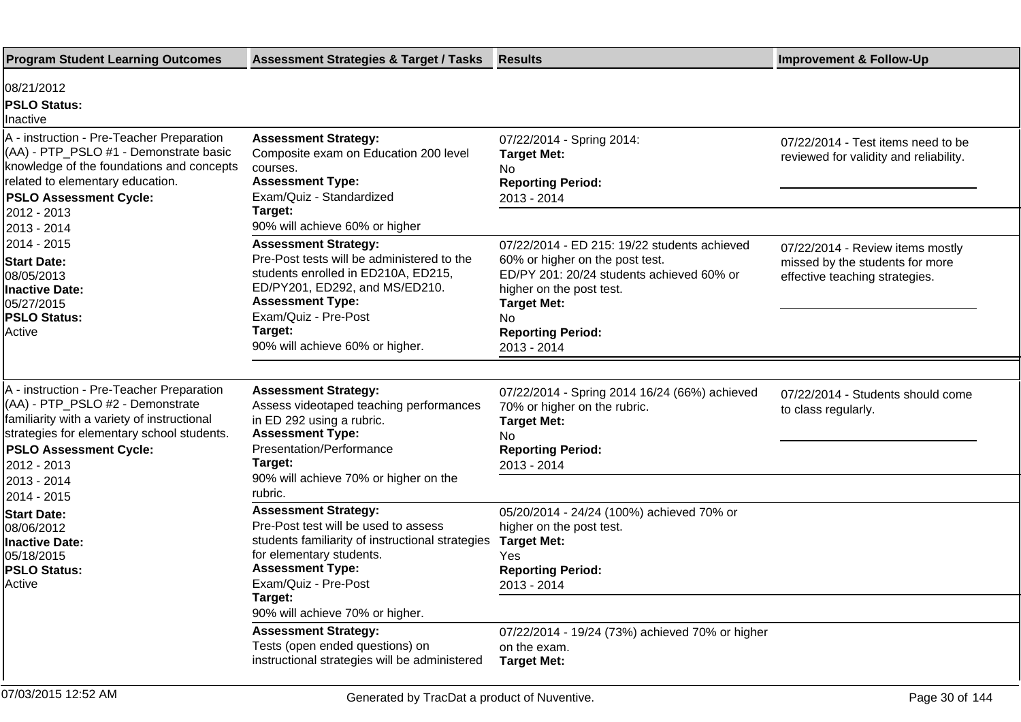| <b>Program Student Learning Outcomes</b>                                                                                                                                                                                                  | <b>Assessment Strategies &amp; Target / Tasks</b>                                                                                                                                                                                                                                     | <b>Results</b>                                                                                                                                                                                                                  | <b>Improvement &amp; Follow-Up</b>                                                                    |
|-------------------------------------------------------------------------------------------------------------------------------------------------------------------------------------------------------------------------------------------|---------------------------------------------------------------------------------------------------------------------------------------------------------------------------------------------------------------------------------------------------------------------------------------|---------------------------------------------------------------------------------------------------------------------------------------------------------------------------------------------------------------------------------|-------------------------------------------------------------------------------------------------------|
| 08/21/2012<br><b>PSLO Status:</b><br>Inactive                                                                                                                                                                                             |                                                                                                                                                                                                                                                                                       |                                                                                                                                                                                                                                 |                                                                                                       |
| A - instruction - Pre-Teacher Preparation<br>(AA) - PTP_PSLO #1 - Demonstrate basic<br>knowledge of the foundations and concepts<br>related to elementary education.<br><b>PSLO Assessment Cycle:</b><br>2012 - 2013                      | <b>Assessment Strategy:</b><br>Composite exam on Education 200 level<br>courses.<br><b>Assessment Type:</b><br>Exam/Quiz - Standardized<br>Target:                                                                                                                                    | 07/22/2014 - Spring 2014:<br><b>Target Met:</b><br>No<br><b>Reporting Period:</b><br>2013 - 2014                                                                                                                                | 07/22/2014 - Test items need to be<br>reviewed for validity and reliability.                          |
| 2013 - 2014<br>2014 - 2015<br><b>Start Date:</b><br>08/05/2013<br><b>Inactive Date:</b><br>05/27/2015<br><b>PSLO Status:</b><br>Active                                                                                                    | 90% will achieve 60% or higher<br><b>Assessment Strategy:</b><br>Pre-Post tests will be administered to the<br>students enrolled in ED210A, ED215,<br>ED/PY201, ED292, and MS/ED210.<br><b>Assessment Type:</b><br>Exam/Quiz - Pre-Post<br>Target:<br>90% will achieve 60% or higher. | 07/22/2014 - ED 215: 19/22 students achieved<br>60% or higher on the post test.<br>ED/PY 201: 20/24 students achieved 60% or<br>higher on the post test.<br><b>Target Met:</b><br>No<br><b>Reporting Period:</b><br>2013 - 2014 | 07/22/2014 - Review items mostly<br>missed by the students for more<br>effective teaching strategies. |
| A - instruction - Pre-Teacher Preparation<br>(AA) - PTP_PSLO #2 - Demonstrate<br>familiarity with a variety of instructional<br>strategies for elementary school students.<br><b>PSLO Assessment Cycle:</b><br>2012 - 2013<br>2013 - 2014 | <b>Assessment Strategy:</b><br>Assess videotaped teaching performances<br>in ED 292 using a rubric.<br><b>Assessment Type:</b><br>Presentation/Performance<br>Target:<br>90% will achieve 70% or higher on the                                                                        | 07/22/2014 - Spring 2014 16/24 (66%) achieved<br>70% or higher on the rubric.<br><b>Target Met:</b><br>No.<br><b>Reporting Period:</b><br>2013 - 2014                                                                           | 07/22/2014 - Students should come<br>to class regularly.                                              |
| 2014 - 2015<br><b>Start Date:</b><br>08/06/2012<br><b>Inactive Date:</b><br>05/18/2015<br><b>PSLO Status:</b><br>lActive                                                                                                                  | rubric.<br><b>Assessment Strategy:</b><br>Pre-Post test will be used to assess<br>students familiarity of instructional strategies<br>for elementary students.<br><b>Assessment Type:</b><br>Exam/Quiz - Pre-Post<br>Target:<br>90% will achieve 70% or higher.                       | 05/20/2014 - 24/24 (100%) achieved 70% or<br>higher on the post test.<br><b>Target Met:</b><br>Yes<br><b>Reporting Period:</b><br>2013 - 2014                                                                                   |                                                                                                       |
|                                                                                                                                                                                                                                           | <b>Assessment Strategy:</b><br>Tests (open ended questions) on<br>instructional strategies will be administered                                                                                                                                                                       | 07/22/2014 - 19/24 (73%) achieved 70% or higher<br>on the exam.<br><b>Target Met:</b>                                                                                                                                           |                                                                                                       |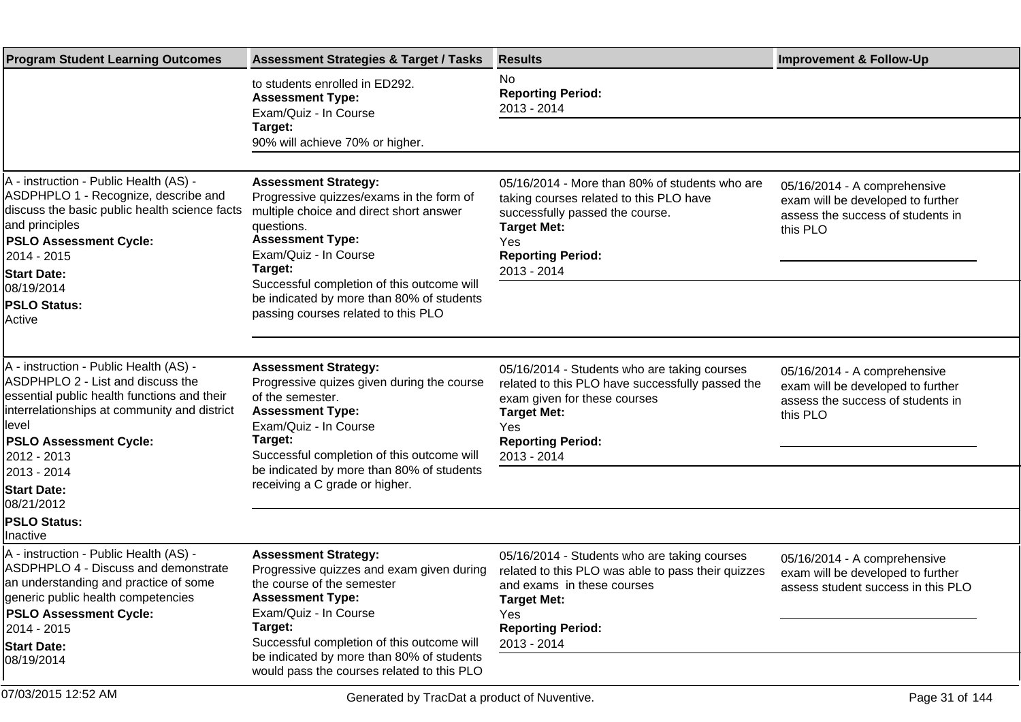| <b>Program Student Learning Outcomes</b>                                                                                                                                                                                                                                               | <b>Assessment Strategies &amp; Target / Tasks</b>                                                                                                                                                                                                                                                                                 | <b>Results</b>                                                                                                                                                                                           | <b>Improvement &amp; Follow-Up</b>                                                                                 |
|----------------------------------------------------------------------------------------------------------------------------------------------------------------------------------------------------------------------------------------------------------------------------------------|-----------------------------------------------------------------------------------------------------------------------------------------------------------------------------------------------------------------------------------------------------------------------------------------------------------------------------------|----------------------------------------------------------------------------------------------------------------------------------------------------------------------------------------------------------|--------------------------------------------------------------------------------------------------------------------|
|                                                                                                                                                                                                                                                                                        | to students enrolled in ED292.<br><b>Assessment Type:</b><br>Exam/Quiz - In Course                                                                                                                                                                                                                                                | No<br><b>Reporting Period:</b><br>2013 - 2014                                                                                                                                                            |                                                                                                                    |
|                                                                                                                                                                                                                                                                                        | Target:<br>90% will achieve 70% or higher.                                                                                                                                                                                                                                                                                        |                                                                                                                                                                                                          |                                                                                                                    |
| A - instruction - Public Health (AS) -<br>ASDPHPLO 1 - Recognize, describe and<br>discuss the basic public health science facts<br>and principles<br><b>PSLO Assessment Cycle:</b><br>2014 - 2015<br><b>Start Date:</b><br>08/19/2014<br><b>PSLO Status:</b><br>Active                 | <b>Assessment Strategy:</b><br>Progressive quizzes/exams in the form of<br>multiple choice and direct short answer<br>questions.<br><b>Assessment Type:</b><br>Exam/Quiz - In Course<br>Target:<br>Successful completion of this outcome will<br>be indicated by more than 80% of students<br>passing courses related to this PLO | 05/16/2014 - More than 80% of students who are<br>taking courses related to this PLO have<br>successfully passed the course.<br><b>Target Met:</b><br>Yes<br><b>Reporting Period:</b><br>2013 - 2014     | 05/16/2014 - A comprehensive<br>exam will be developed to further<br>assess the success of students in<br>this PLO |
| A - instruction - Public Health (AS) -<br>ASDPHPLO 2 - List and discuss the<br>essential public health functions and their<br>interrelationships at community and district<br>level<br><b>PSLO Assessment Cycle:</b><br>2012 - 2013<br>2013 - 2014<br><b>Start Date:</b><br>08/21/2012 | <b>Assessment Strategy:</b><br>Progressive quizes given during the course<br>of the semester.<br><b>Assessment Type:</b><br>Exam/Quiz - In Course<br>Target:<br>Successful completion of this outcome will<br>be indicated by more than 80% of students<br>receiving a C grade or higher.                                         | 05/16/2014 - Students who are taking courses<br>related to this PLO have successfully passed the<br>exam given for these courses<br><b>Target Met:</b><br>Yes<br><b>Reporting Period:</b><br>2013 - 2014 | 05/16/2014 - A comprehensive<br>exam will be developed to further<br>assess the success of students in<br>this PLO |
| <b>PSLO Status:</b><br>Inactive                                                                                                                                                                                                                                                        |                                                                                                                                                                                                                                                                                                                                   |                                                                                                                                                                                                          |                                                                                                                    |
| A - instruction - Public Health (AS) -<br><b>ASDPHPLO 4 - Discuss and demonstrate</b><br>an understanding and practice of some<br>generic public health competencies<br><b>PSLO Assessment Cycle:</b>                                                                                  | <b>Assessment Strategy:</b><br>Progressive quizzes and exam given during<br>the course of the semester<br><b>Assessment Type:</b><br>Exam/Quiz - In Course                                                                                                                                                                        | 05/16/2014 - Students who are taking courses<br>related to this PLO was able to pass their quizzes<br>and exams in these courses<br><b>Target Met:</b><br>Yes                                            | 05/16/2014 - A comprehensive<br>exam will be developed to further<br>assess student success in this PLO            |
| 2014 - 2015<br><b>Start Date:</b>                                                                                                                                                                                                                                                      | Target:<br>Successful completion of this outcome will                                                                                                                                                                                                                                                                             | <b>Reporting Period:</b><br>2013 - 2014                                                                                                                                                                  |                                                                                                                    |
| 08/19/2014                                                                                                                                                                                                                                                                             | be indicated by more than 80% of students<br>would pass the courses related to this PLO                                                                                                                                                                                                                                           |                                                                                                                                                                                                          |                                                                                                                    |
| 07/03/2015 12:52 AM                                                                                                                                                                                                                                                                    | Generated by TracDat a product of Nuventive.                                                                                                                                                                                                                                                                                      |                                                                                                                                                                                                          | Page 31 of 144                                                                                                     |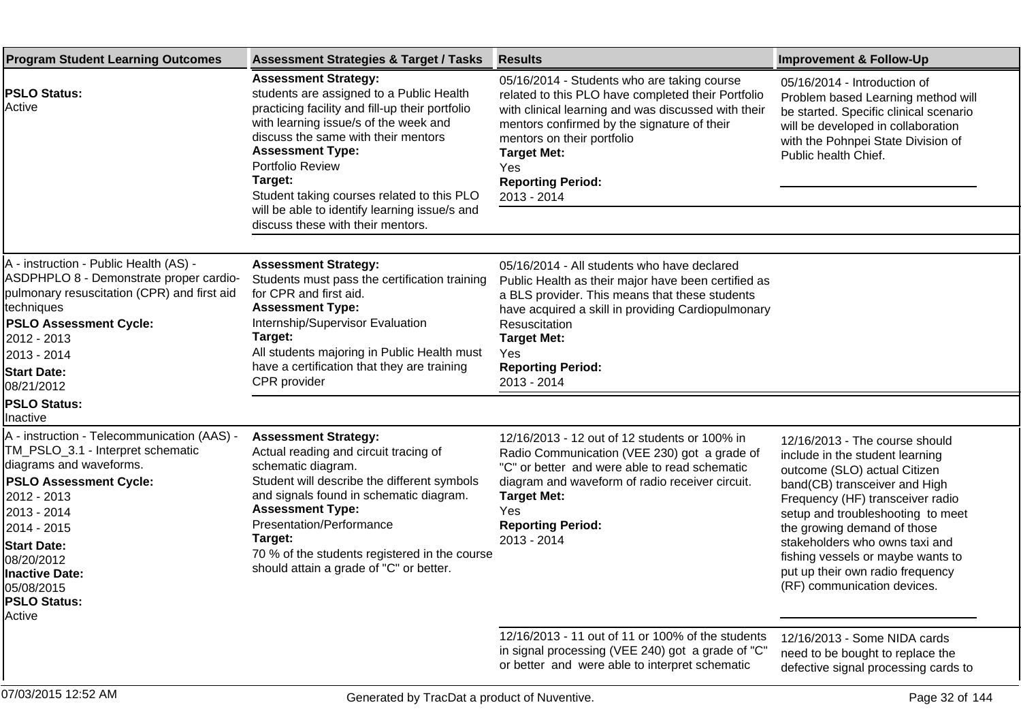| <b>Program Student Learning Outcomes</b>                                                                                                                                                                                                                                                    | <b>Assessment Strategies &amp; Target / Tasks</b>                                                                                                                                                                                                                                                                                                                                                        | <b>Results</b>                                                                                                                                                                                                                                                                                                | <b>Improvement &amp; Follow-Up</b>                                                                                                                                                                                                                                                                                                                                                   |
|---------------------------------------------------------------------------------------------------------------------------------------------------------------------------------------------------------------------------------------------------------------------------------------------|----------------------------------------------------------------------------------------------------------------------------------------------------------------------------------------------------------------------------------------------------------------------------------------------------------------------------------------------------------------------------------------------------------|---------------------------------------------------------------------------------------------------------------------------------------------------------------------------------------------------------------------------------------------------------------------------------------------------------------|--------------------------------------------------------------------------------------------------------------------------------------------------------------------------------------------------------------------------------------------------------------------------------------------------------------------------------------------------------------------------------------|
| <b>PSLO Status:</b><br>Active                                                                                                                                                                                                                                                               | <b>Assessment Strategy:</b><br>students are assigned to a Public Health<br>practicing facility and fill-up their portfolio<br>with learning issue/s of the week and<br>discuss the same with their mentors<br><b>Assessment Type:</b><br>Portfolio Review<br>Target:<br>Student taking courses related to this PLO<br>will be able to identify learning issue/s and<br>discuss these with their mentors. | 05/16/2014 - Students who are taking course<br>related to this PLO have completed their Portfolio<br>with clinical learning and was discussed with their<br>mentors confirmed by the signature of their<br>mentors on their portfolio<br><b>Target Met:</b><br>Yes<br><b>Reporting Period:</b><br>2013 - 2014 | 05/16/2014 - Introduction of<br>Problem based Learning method will<br>be started. Specific clinical scenario<br>will be developed in collaboration<br>with the Pohnpei State Division of<br>Public health Chief.                                                                                                                                                                     |
| A - instruction - Public Health (AS) -                                                                                                                                                                                                                                                      |                                                                                                                                                                                                                                                                                                                                                                                                          |                                                                                                                                                                                                                                                                                                               |                                                                                                                                                                                                                                                                                                                                                                                      |
| ASDPHPLO 8 - Demonstrate proper cardio-<br>pulmonary resuscitation (CPR) and first aid<br>techniques<br><b>PSLO Assessment Cycle:</b><br>2012 - 2013<br>2013 - 2014<br><b>Start Date:</b><br>08/21/2012                                                                                     | <b>Assessment Strategy:</b><br>Students must pass the certification training<br>for CPR and first aid.<br><b>Assessment Type:</b><br>Internship/Supervisor Evaluation<br>Target:<br>All students majoring in Public Health must<br>have a certification that they are training<br>CPR provider                                                                                                           | 05/16/2014 - All students who have declared<br>Public Health as their major have been certified as<br>a BLS provider. This means that these students<br>have acquired a skill in providing Cardiopulmonary<br>Resuscitation<br><b>Target Met:</b><br><b>Yes</b><br><b>Reporting Period:</b><br>2013 - 2014    |                                                                                                                                                                                                                                                                                                                                                                                      |
| <b>PSLO Status:</b><br>Inactive                                                                                                                                                                                                                                                             |                                                                                                                                                                                                                                                                                                                                                                                                          |                                                                                                                                                                                                                                                                                                               |                                                                                                                                                                                                                                                                                                                                                                                      |
| A - instruction - Telecommunication (AAS) -<br>TM_PSLO_3.1 - Interpret schematic<br>diagrams and waveforms.<br><b>PSLO Assessment Cycle:</b><br>2012 - 2013<br>2013 - 2014<br>2014 - 2015<br><b>Start Date:</b><br>08/20/2012<br><b>Inactive Date:</b><br>05/08/2015<br><b>PSLO Status:</b> | <b>Assessment Strategy:</b><br>Actual reading and circuit tracing of<br>schematic diagram.<br>Student will describe the different symbols<br>and signals found in schematic diagram.<br><b>Assessment Type:</b><br>Presentation/Performance<br>Target:<br>70 % of the students registered in the course<br>should attain a grade of "C" or better.                                                       | 12/16/2013 - 12 out of 12 students or 100% in<br>Radio Communication (VEE 230) got a grade of<br>"C" or better and were able to read schematic<br>diagram and waveform of radio receiver circuit.<br><b>Target Met:</b><br>Yes<br><b>Reporting Period:</b><br>2013 - 2014                                     | 12/16/2013 - The course should<br>include in the student learning<br>outcome (SLO) actual Citizen<br>band(CB) transceiver and High<br>Frequency (HF) transceiver radio<br>setup and troubleshooting to meet<br>the growing demand of those<br>stakeholders who owns taxi and<br>fishing vessels or maybe wants to<br>put up their own radio frequency<br>(RF) communication devices. |
| Active                                                                                                                                                                                                                                                                                      |                                                                                                                                                                                                                                                                                                                                                                                                          |                                                                                                                                                                                                                                                                                                               |                                                                                                                                                                                                                                                                                                                                                                                      |
|                                                                                                                                                                                                                                                                                             |                                                                                                                                                                                                                                                                                                                                                                                                          | 12/16/2013 - 11 out of 11 or 100% of the students<br>in signal processing (VEE 240) got a grade of "C"<br>or better and were able to interpret schematic                                                                                                                                                      | 12/16/2013 - Some NIDA cards<br>need to be bought to replace the<br>defective signal processing cards to                                                                                                                                                                                                                                                                             |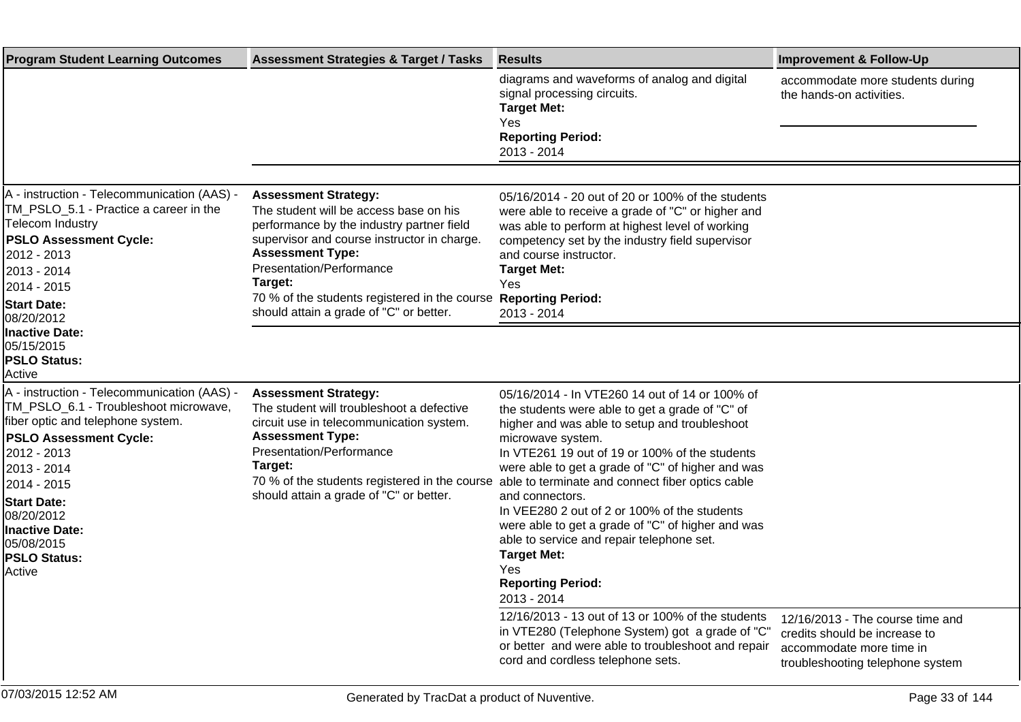| <b>Program Student Learning Outcomes</b>                                                                                                                                                                                                                                                                            | <b>Assessment Strategies &amp; Target / Tasks</b>                                                                                                                                                                                                                                                                               | <b>Results</b>                                                                                                                                                                                                                                                                                                                                                                                                                                                                                                                                                                  | <b>Improvement &amp; Follow-Up</b>                                                                                                |
|---------------------------------------------------------------------------------------------------------------------------------------------------------------------------------------------------------------------------------------------------------------------------------------------------------------------|---------------------------------------------------------------------------------------------------------------------------------------------------------------------------------------------------------------------------------------------------------------------------------------------------------------------------------|---------------------------------------------------------------------------------------------------------------------------------------------------------------------------------------------------------------------------------------------------------------------------------------------------------------------------------------------------------------------------------------------------------------------------------------------------------------------------------------------------------------------------------------------------------------------------------|-----------------------------------------------------------------------------------------------------------------------------------|
|                                                                                                                                                                                                                                                                                                                     |                                                                                                                                                                                                                                                                                                                                 | diagrams and waveforms of analog and digital<br>signal processing circuits.<br><b>Target Met:</b><br>Yes<br><b>Reporting Period:</b><br>2013 - 2014                                                                                                                                                                                                                                                                                                                                                                                                                             | accommodate more students during<br>the hands-on activities.                                                                      |
|                                                                                                                                                                                                                                                                                                                     |                                                                                                                                                                                                                                                                                                                                 |                                                                                                                                                                                                                                                                                                                                                                                                                                                                                                                                                                                 |                                                                                                                                   |
| A - instruction - Telecommunication (AAS) -<br>TM_PSLO_5.1 - Practice a career in the<br><b>Telecom Industry</b><br><b>PSLO Assessment Cycle:</b><br>2012 - 2013<br>2013 - 2014<br>2014 - 2015<br><b>Start Date:</b><br>08/20/2012                                                                                  | <b>Assessment Strategy:</b><br>The student will be access base on his<br>performance by the industry partner field<br>supervisor and course instructor in charge.<br><b>Assessment Type:</b><br>Presentation/Performance<br>Target:<br>70 % of the students registered in the course<br>should attain a grade of "C" or better. | 05/16/2014 - 20 out of 20 or 100% of the students<br>were able to receive a grade of "C" or higher and<br>was able to perform at highest level of working<br>competency set by the industry field supervisor<br>and course instructor.<br><b>Target Met:</b><br>Yes<br><b>Reporting Period:</b><br>2013 - 2014                                                                                                                                                                                                                                                                  |                                                                                                                                   |
| <b>Inactive Date:</b><br>05/15/2015<br><b>PSLO Status:</b><br>lActive                                                                                                                                                                                                                                               |                                                                                                                                                                                                                                                                                                                                 |                                                                                                                                                                                                                                                                                                                                                                                                                                                                                                                                                                                 |                                                                                                                                   |
| A - instruction - Telecommunication (AAS) -<br>TM_PSLO_6.1 - Troubleshoot microwave,<br>fiber optic and telephone system.<br><b>PSLO Assessment Cycle:</b><br>2012 - 2013<br>2013 - 2014<br>2014 - 2015<br><b>Start Date:</b><br>08/20/2012<br><b>Inactive Date:</b><br>05/08/2015<br><b>PSLO Status:</b><br>Active | <b>Assessment Strategy:</b><br>The student will troubleshoot a defective<br>circuit use in telecommunication system.<br><b>Assessment Type:</b><br>Presentation/Performance<br>Target:<br>70 % of the students registered in the course<br>should attain a grade of "C" or better.                                              | 05/16/2014 - In VTE260 14 out of 14 or 100% of<br>the students were able to get a grade of "C" of<br>higher and was able to setup and troubleshoot<br>microwave system.<br>In VTE261 19 out of 19 or 100% of the students<br>were able to get a grade of "C" of higher and was<br>able to terminate and connect fiber optics cable<br>and connectors.<br>In VEE280 2 out of 2 or 100% of the students<br>were able to get a grade of "C" of higher and was<br>able to service and repair telephone set.<br><b>Target Met:</b><br>Yes<br><b>Reporting Period:</b><br>2013 - 2014 |                                                                                                                                   |
|                                                                                                                                                                                                                                                                                                                     |                                                                                                                                                                                                                                                                                                                                 | 12/16/2013 - 13 out of 13 or 100% of the students<br>in VTE280 (Telephone System) got a grade of "C"<br>or better and were able to troubleshoot and repair<br>cord and cordless telephone sets.                                                                                                                                                                                                                                                                                                                                                                                 | 12/16/2013 - The course time and<br>credits should be increase to<br>accommodate more time in<br>troubleshooting telephone system |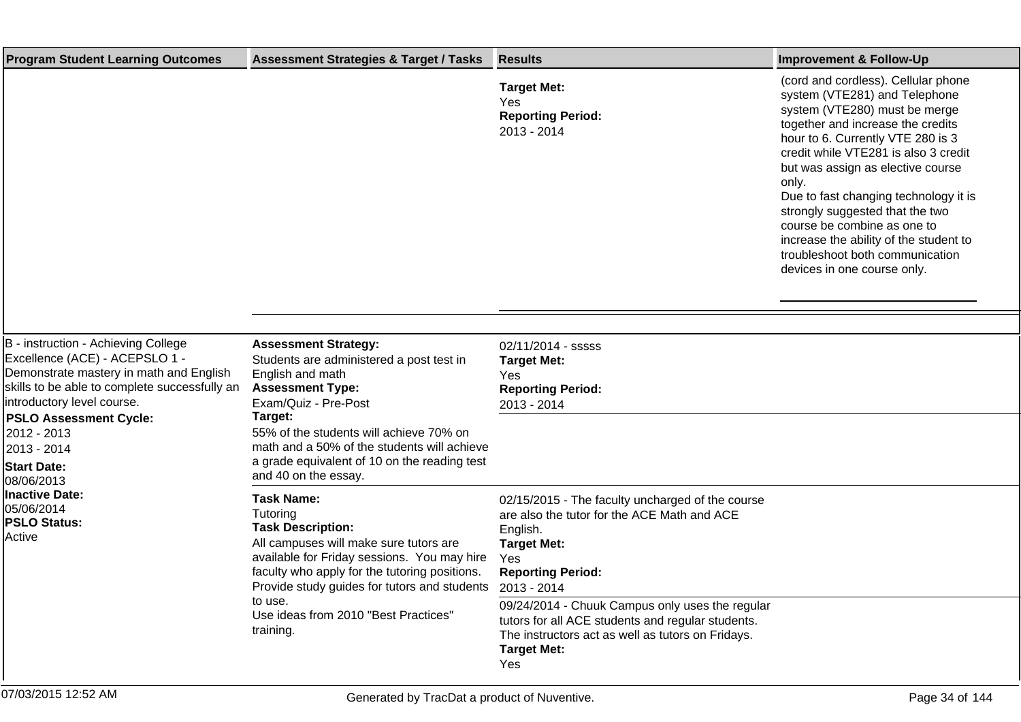| <b>Program Student Learning Outcomes</b>                                                                                                                                                                                                                                                           | <b>Assessment Strategies &amp; Target / Tasks</b>                                                                                                                                                                                                                                                                           | <b>Results</b>                                                                                                                                                                         | <b>Improvement &amp; Follow-Up</b>                                                                                                                                                                                                                                                                                                                                                                                                                                                           |
|----------------------------------------------------------------------------------------------------------------------------------------------------------------------------------------------------------------------------------------------------------------------------------------------------|-----------------------------------------------------------------------------------------------------------------------------------------------------------------------------------------------------------------------------------------------------------------------------------------------------------------------------|----------------------------------------------------------------------------------------------------------------------------------------------------------------------------------------|----------------------------------------------------------------------------------------------------------------------------------------------------------------------------------------------------------------------------------------------------------------------------------------------------------------------------------------------------------------------------------------------------------------------------------------------------------------------------------------------|
|                                                                                                                                                                                                                                                                                                    |                                                                                                                                                                                                                                                                                                                             | <b>Target Met:</b><br>Yes<br><b>Reporting Period:</b><br>2013 - 2014                                                                                                                   | (cord and cordless). Cellular phone<br>system (VTE281) and Telephone<br>system (VTE280) must be merge<br>together and increase the credits<br>hour to 6. Currently VTE 280 is 3<br>credit while VTE281 is also 3 credit<br>but was assign as elective course<br>only.<br>Due to fast changing technology it is<br>strongly suggested that the two<br>course be combine as one to<br>increase the ability of the student to<br>troubleshoot both communication<br>devices in one course only. |
| B - instruction - Achieving College<br>Excellence (ACE) - ACEPSLO 1 -<br>Demonstrate mastery in math and English<br>skills to be able to complete successfully an<br>introductory level course.<br><b>PSLO Assessment Cycle:</b><br>2012 - 2013<br>2013 - 2014<br><b>Start Date:</b><br>08/06/2013 | <b>Assessment Strategy:</b><br>Students are administered a post test in<br>English and math<br><b>Assessment Type:</b><br>Exam/Quiz - Pre-Post<br>Target:<br>55% of the students will achieve 70% on<br>math and a 50% of the students will achieve<br>a grade equivalent of 10 on the reading test<br>and 40 on the essay. | 02/11/2014 - sssss<br><b>Target Met:</b><br>Yes<br><b>Reporting Period:</b><br>2013 - 2014                                                                                             |                                                                                                                                                                                                                                                                                                                                                                                                                                                                                              |
| Inactive Date:<br>05/06/2014<br><b>PSLO Status:</b><br>Active                                                                                                                                                                                                                                      | <b>Task Name:</b><br>Tutoring<br><b>Task Description:</b><br>All campuses will make sure tutors are<br>available for Friday sessions. You may hire<br>faculty who apply for the tutoring positions.<br>Provide study guides for tutors and students<br>to use.<br>Use ideas from 2010 "Best Practices"<br>training.         | 02/15/2015 - The faculty uncharged of the course<br>are also the tutor for the ACE Math and ACE<br>English.<br><b>Target Met:</b><br>Yes<br><b>Reporting Period:</b><br>2013 - 2014    |                                                                                                                                                                                                                                                                                                                                                                                                                                                                                              |
|                                                                                                                                                                                                                                                                                                    |                                                                                                                                                                                                                                                                                                                             | 09/24/2014 - Chuuk Campus only uses the regular<br>tutors for all ACE students and regular students.<br>The instructors act as well as tutors on Fridays.<br><b>Target Met:</b><br>Yes |                                                                                                                                                                                                                                                                                                                                                                                                                                                                                              |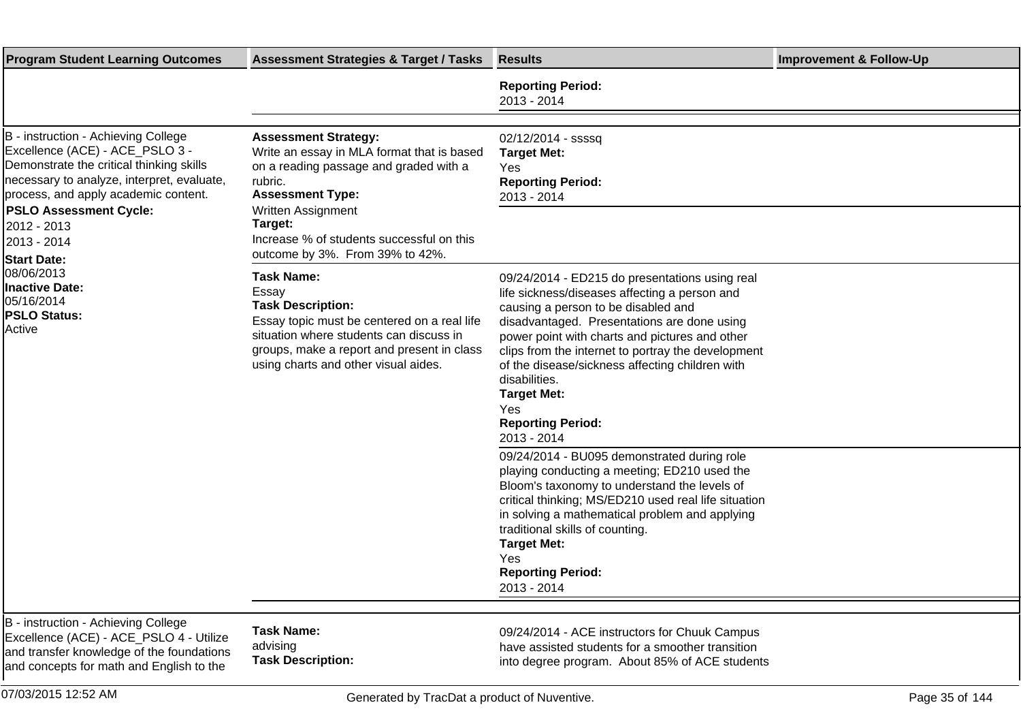| <b>Program Student Learning Outcomes</b>                                                                                                                                                                                                                                                                                                                                            | <b>Assessment Strategies &amp; Target / Tasks</b>                                                                                                                                                                                                                          | <b>Results</b>                                                                                                                                                                                                                                                                                                                                                                                                                            | <b>Improvement &amp; Follow-Up</b> |
|-------------------------------------------------------------------------------------------------------------------------------------------------------------------------------------------------------------------------------------------------------------------------------------------------------------------------------------------------------------------------------------|----------------------------------------------------------------------------------------------------------------------------------------------------------------------------------------------------------------------------------------------------------------------------|-------------------------------------------------------------------------------------------------------------------------------------------------------------------------------------------------------------------------------------------------------------------------------------------------------------------------------------------------------------------------------------------------------------------------------------------|------------------------------------|
|                                                                                                                                                                                                                                                                                                                                                                                     |                                                                                                                                                                                                                                                                            | <b>Reporting Period:</b><br>2013 - 2014                                                                                                                                                                                                                                                                                                                                                                                                   |                                    |
| B - instruction - Achieving College<br>Excellence (ACE) - ACE_PSLO 3 -<br>Demonstrate the critical thinking skills<br>necessary to analyze, interpret, evaluate,<br>process, and apply academic content.<br><b>PSLO Assessment Cycle:</b><br>2012 - 2013<br>2013 - 2014<br><b>Start Date:</b><br>08/06/2013<br><b>Inactive Date:</b><br>05/16/2014<br><b>PSLO Status:</b><br>Active | <b>Assessment Strategy:</b><br>Write an essay in MLA format that is based<br>on a reading passage and graded with a<br>rubric.<br><b>Assessment Type:</b><br>Written Assignment<br>Target:<br>Increase % of students successful on this<br>outcome by 3%. From 39% to 42%. | 02/12/2014 - ssssq<br><b>Target Met:</b><br>Yes<br><b>Reporting Period:</b><br>2013 - 2014                                                                                                                                                                                                                                                                                                                                                |                                    |
|                                                                                                                                                                                                                                                                                                                                                                                     | <b>Task Name:</b><br>Essav<br><b>Task Description:</b><br>Essay topic must be centered on a real life<br>situation where students can discuss in<br>groups, make a report and present in class<br>using charts and other visual aides.                                     | 09/24/2014 - ED215 do presentations using real<br>life sickness/diseases affecting a person and<br>causing a person to be disabled and<br>disadvantaged. Presentations are done using<br>power point with charts and pictures and other<br>clips from the internet to portray the development<br>of the disease/sickness affecting children with<br>disabilities.<br><b>Target Met:</b><br>Yes<br><b>Reporting Period:</b><br>2013 - 2014 |                                    |
|                                                                                                                                                                                                                                                                                                                                                                                     |                                                                                                                                                                                                                                                                            | 09/24/2014 - BU095 demonstrated during role<br>playing conducting a meeting; ED210 used the<br>Bloom's taxonomy to understand the levels of<br>critical thinking; MS/ED210 used real life situation<br>in solving a mathematical problem and applying<br>traditional skills of counting.<br><b>Target Met:</b><br>Yes<br><b>Reporting Period:</b><br>2013 - 2014                                                                          |                                    |
| B - instruction - Achieving College<br>Excellence (ACE) - ACE_PSLO 4 - Utilize<br>and transfer knowledge of the foundations<br>and concepts for math and English to the                                                                                                                                                                                                             | <b>Task Name:</b><br>advising<br><b>Task Description:</b>                                                                                                                                                                                                                  | 09/24/2014 - ACE instructors for Chuuk Campus<br>have assisted students for a smoother transition<br>into degree program. About 85% of ACE students                                                                                                                                                                                                                                                                                       |                                    |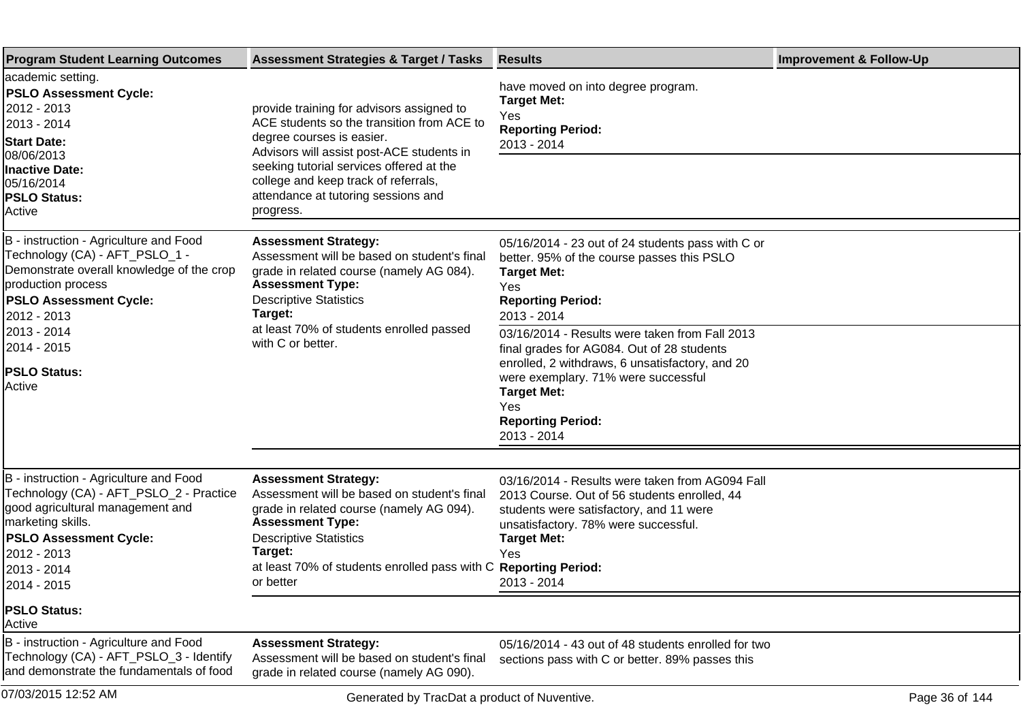| <b>Program Student Learning Outcomes</b>                                                                                                                                                                                                                    | <b>Assessment Strategies &amp; Target / Tasks</b>                                                                                                                                                                                                                                                         | <b>Results</b>                                                                                                                                                                                                                                                                                                                                                                                                             | <b>Improvement &amp; Follow-Up</b> |
|-------------------------------------------------------------------------------------------------------------------------------------------------------------------------------------------------------------------------------------------------------------|-----------------------------------------------------------------------------------------------------------------------------------------------------------------------------------------------------------------------------------------------------------------------------------------------------------|----------------------------------------------------------------------------------------------------------------------------------------------------------------------------------------------------------------------------------------------------------------------------------------------------------------------------------------------------------------------------------------------------------------------------|------------------------------------|
| academic setting.<br><b>PSLO Assessment Cycle:</b><br>2012 - 2013<br>2013 - 2014<br><b>Start Date:</b><br>08/06/2013<br>Inactive Date:<br>05/16/2014<br><b>PSLO Status:</b><br>Active                                                                       | provide training for advisors assigned to<br>ACE students so the transition from ACE to<br>degree courses is easier.<br>Advisors will assist post-ACE students in<br>seeking tutorial services offered at the<br>college and keep track of referrals,<br>attendance at tutoring sessions and<br>progress. | have moved on into degree program.<br><b>Target Met:</b><br>Yes<br><b>Reporting Period:</b><br>2013 - 2014                                                                                                                                                                                                                                                                                                                 |                                    |
| B - instruction - Agriculture and Food<br>Technology (CA) - AFT_PSLO_1 -<br>Demonstrate overall knowledge of the crop<br>production process<br><b>PSLO Assessment Cycle:</b><br>2012 - 2013<br>2013 - 2014<br>2014 - 2015 <br><b>PSLO Status:</b><br>Active | <b>Assessment Strategy:</b><br>Assessment will be based on student's final<br>grade in related course (namely AG 084).<br><b>Assessment Type:</b><br><b>Descriptive Statistics</b><br>Target:<br>at least 70% of students enrolled passed<br>with C or better.                                            | 05/16/2014 - 23 out of 24 students pass with C or<br>better. 95% of the course passes this PSLO<br><b>Target Met:</b><br>Yes<br><b>Reporting Period:</b><br>2013 - 2014<br>03/16/2014 - Results were taken from Fall 2013<br>final grades for AG084. Out of 28 students<br>enrolled, 2 withdraws, 6 unsatisfactory, and 20<br>were exemplary. 71% were successful<br><b>Target Met:</b><br>Yes<br><b>Reporting Period:</b> |                                    |
|                                                                                                                                                                                                                                                             |                                                                                                                                                                                                                                                                                                           | 2013 - 2014                                                                                                                                                                                                                                                                                                                                                                                                                |                                    |
| B - instruction - Agriculture and Food<br>Technology (CA) - AFT_PSLO_2 - Practice<br>good agricultural management and<br>marketing skills.<br><b>PSLO Assessment Cycle:</b><br>2012 - 2013<br>2013 - 2014<br>2014 - 2015                                    | <b>Assessment Strategy:</b><br>Assessment will be based on student's final<br>grade in related course (namely AG 094).<br><b>Assessment Type:</b><br><b>Descriptive Statistics</b><br>Target:<br>at least 70% of students enrolled pass with C Reporting Period:<br>or better                             | 03/16/2014 - Results were taken from AG094 Fall<br>2013 Course. Out of 56 students enrolled, 44<br>students were satisfactory, and 11 were<br>unsatisfactory. 78% were successful.<br><b>Target Met:</b><br>Yes<br>2013 - 2014                                                                                                                                                                                             |                                    |
| <b>PSLO Status:</b><br>Active                                                                                                                                                                                                                               |                                                                                                                                                                                                                                                                                                           |                                                                                                                                                                                                                                                                                                                                                                                                                            |                                    |
| B - instruction - Agriculture and Food<br>Technology (CA) - AFT_PSLO_3 - Identify<br>and demonstrate the fundamentals of food                                                                                                                               | <b>Assessment Strategy:</b><br>Assessment will be based on student's final<br>grade in related course (namely AG 090).                                                                                                                                                                                    | 05/16/2014 - 43 out of 48 students enrolled for two<br>sections pass with C or better. 89% passes this                                                                                                                                                                                                                                                                                                                     |                                    |
| 07/03/2015 12:52 AM                                                                                                                                                                                                                                         | Generated by TracDat a product of Nuventive.                                                                                                                                                                                                                                                              |                                                                                                                                                                                                                                                                                                                                                                                                                            | Page 36 of 144                     |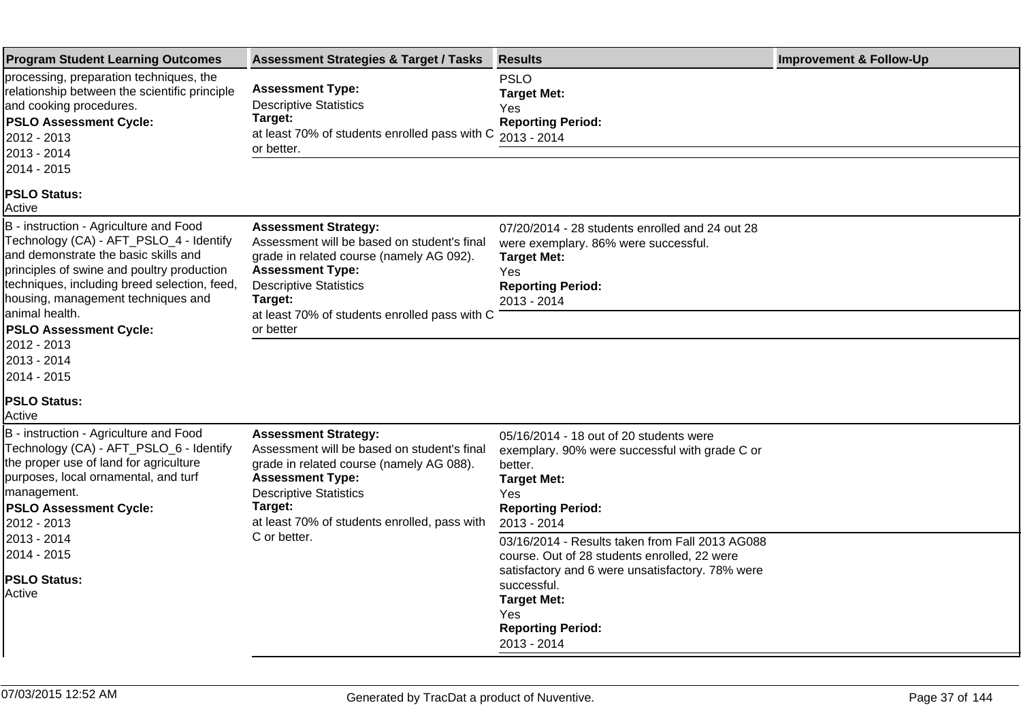| <b>Program Student Learning Outcomes</b>                                                                                                                                                                                                                                                                                                                                                                                                                                            | <b>Assessment Strategies &amp; Target / Tasks</b>                                                                                                                                                                                                           | <b>Results</b>                                                                                                                                                                                                                             | <b>Improvement &amp; Follow-Up</b> |
|-------------------------------------------------------------------------------------------------------------------------------------------------------------------------------------------------------------------------------------------------------------------------------------------------------------------------------------------------------------------------------------------------------------------------------------------------------------------------------------|-------------------------------------------------------------------------------------------------------------------------------------------------------------------------------------------------------------------------------------------------------------|--------------------------------------------------------------------------------------------------------------------------------------------------------------------------------------------------------------------------------------------|------------------------------------|
| processing, preparation techniques, the<br>relationship between the scientific principle<br>and cooking procedures.<br><b>PSLO Assessment Cycle:</b><br>2012 - 2013<br>2013 - 2014<br>2014 - 2015                                                                                                                                                                                                                                                                                   | <b>Assessment Type:</b><br><b>Descriptive Statistics</b><br>Target:<br>at least 70% of students enrolled pass with C<br>or better.                                                                                                                          | <b>PSLO</b><br><b>Target Met:</b><br>Yes<br><b>Reporting Period:</b><br>2013 - 2014                                                                                                                                                        |                                    |
| <b>PSLO Status:</b><br>Active                                                                                                                                                                                                                                                                                                                                                                                                                                                       |                                                                                                                                                                                                                                                             |                                                                                                                                                                                                                                            |                                    |
| B - instruction - Agriculture and Food<br>Technology (CA) - AFT_PSLO_4 - Identify<br>and demonstrate the basic skills and<br>principles of swine and poultry production<br>techniques, including breed selection, feed,<br>housing, management techniques and<br>animal health.<br><b>PSLO Assessment Cycle:</b><br>2012 - 2013<br>2013 - 2014<br>2014 - 2015                                                                                                                       | <b>Assessment Strategy:</b><br>Assessment will be based on student's final<br>grade in related course (namely AG 092).<br><b>Assessment Type:</b><br><b>Descriptive Statistics</b><br>Target:<br>at least 70% of students enrolled pass with C<br>or better | 07/20/2014 - 28 students enrolled and 24 out 28<br>were exemplary. 86% were successful.<br><b>Target Met:</b><br>Yes<br><b>Reporting Period:</b><br>2013 - 2014                                                                            |                                    |
| <b>PSLO Status:</b><br>Active                                                                                                                                                                                                                                                                                                                                                                                                                                                       |                                                                                                                                                                                                                                                             |                                                                                                                                                                                                                                            |                                    |
| B - instruction - Agriculture and Food<br><b>Assessment Strategy:</b><br>Technology (CA) - AFT_PSLO_6 - Identify<br>Assessment will be based on student's final<br>the proper use of land for agriculture<br>grade in related course (namely AG 088).<br>purposes, local ornamental, and turf<br><b>Assessment Type:</b><br>management.<br><b>Descriptive Statistics</b><br>Target:<br><b>PSLO Assessment Cycle:</b><br>at least 70% of students enrolled, pass with<br>2012 - 2013 | 05/16/2014 - 18 out of 20 students were<br>exemplary. 90% were successful with grade C or<br>better.<br><b>Target Met:</b><br>Yes<br><b>Reporting Period:</b><br>2013 - 2014                                                                                |                                                                                                                                                                                                                                            |                                    |
| 2013 - 2014<br>2014 - 2015<br><b>PSLO Status:</b><br>Active                                                                                                                                                                                                                                                                                                                                                                                                                         | C or better.                                                                                                                                                                                                                                                | 03/16/2014 - Results taken from Fall 2013 AG088<br>course. Out of 28 students enrolled, 22 were<br>satisfactory and 6 were unsatisfactory. 78% were<br>successful.<br><b>Target Met:</b><br>Yes<br><b>Reporting Period:</b><br>2013 - 2014 |                                    |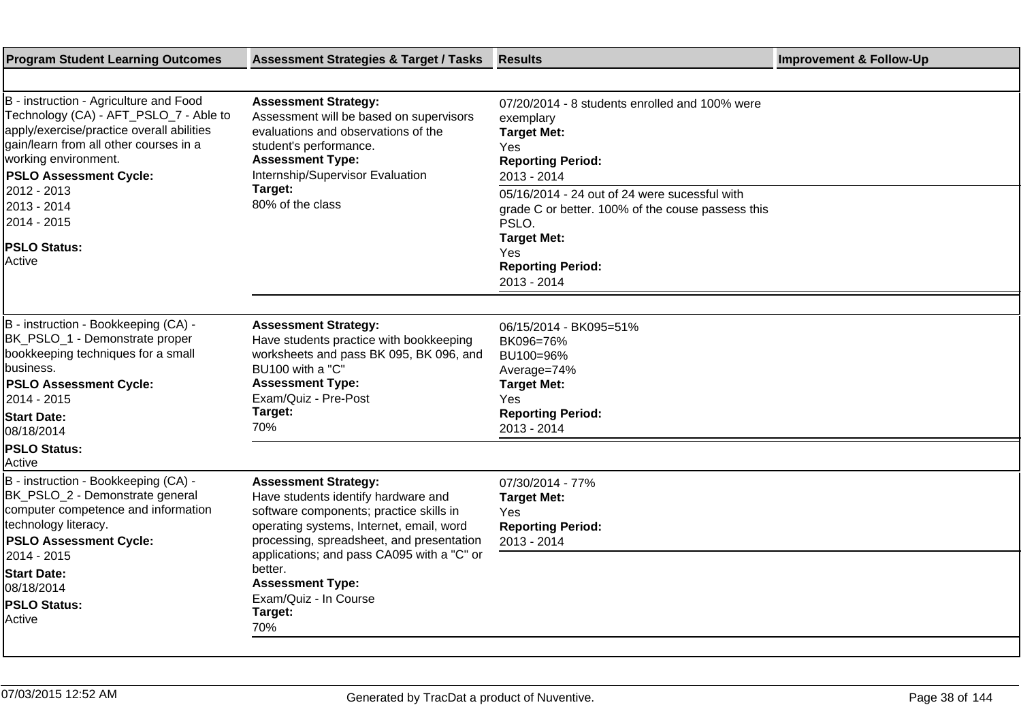| <b>Program Student Learning Outcomes</b>                                                                                                                                                                                                                                                                                                                                                    | <b>Assessment Strategies &amp; Target / Tasks</b>                                                                                                                                                                                     | <b>Results</b>                                                                                                                                                                                                                                                                                                     | <b>Improvement &amp; Follow-Up</b> |
|---------------------------------------------------------------------------------------------------------------------------------------------------------------------------------------------------------------------------------------------------------------------------------------------------------------------------------------------------------------------------------------------|---------------------------------------------------------------------------------------------------------------------------------------------------------------------------------------------------------------------------------------|--------------------------------------------------------------------------------------------------------------------------------------------------------------------------------------------------------------------------------------------------------------------------------------------------------------------|------------------------------------|
| B - instruction - Agriculture and Food<br>Technology (CA) - AFT_PSLO_7 - Able to<br>apply/exercise/practice overall abilities<br>gain/learn from all other courses in a<br>working environment.<br><b>PSLO Assessment Cycle:</b><br>2012 - 2013<br>2013 - 2014<br>2014 - 2015<br><b>PSLO Status:</b><br>Active                                                                              | <b>Assessment Strategy:</b><br>Assessment will be based on supervisors<br>evaluations and observations of the<br>student's performance.<br><b>Assessment Type:</b><br>Internship/Supervisor Evaluation<br>Target:<br>80% of the class | 07/20/2014 - 8 students enrolled and 100% were<br>exemplary<br><b>Target Met:</b><br>Yes<br><b>Reporting Period:</b><br>2013 - 2014<br>05/16/2014 - 24 out of 24 were sucessful with<br>grade C or better. 100% of the couse passess this<br>PSLO.<br><b>Target Met:</b><br><b>Yes</b><br><b>Reporting Period:</b> |                                    |
|                                                                                                                                                                                                                                                                                                                                                                                             |                                                                                                                                                                                                                                       | 2013 - 2014                                                                                                                                                                                                                                                                                                        |                                    |
| B - instruction - Bookkeeping (CA) -<br>BK_PSLO_1 - Demonstrate proper<br>bookkeeping techniques for a small<br>business.<br><b>PSLO Assessment Cycle:</b><br>2014 - 2015<br><b>Start Date:</b><br>08/18/2014<br><b>PSLO Status:</b>                                                                                                                                                        | <b>Assessment Strategy:</b><br>Have students practice with bookkeeping<br>worksheets and pass BK 095, BK 096, and<br>BU100 with a "C"<br><b>Assessment Type:</b><br>Exam/Quiz - Pre-Post<br>Target:<br>70%                            | 06/15/2014 - BK095=51%<br>BK096=76%<br>BU100=96%<br>Average=74%<br><b>Target Met:</b><br>Yes<br><b>Reporting Period:</b><br>2013 - 2014                                                                                                                                                                            |                                    |
| Active<br>B - instruction - Bookkeeping (CA) -<br><b>Assessment Strategy:</b><br>BK_PSLO_2 - Demonstrate general<br>Have students identify hardware and<br>computer competence and information<br>software components; practice skills in<br>technology literacy.<br>operating systems, Internet, email, word<br>processing, spreadsheet, and presentation<br><b>PSLO Assessment Cycle:</b> | 07/30/2014 - 77%<br><b>Target Met:</b><br>Yes<br><b>Reporting Period:</b><br>2013 - 2014                                                                                                                                              |                                                                                                                                                                                                                                                                                                                    |                                    |
| 2014 - 2015<br><b>Start Date:</b><br>08/18/2014<br><b>PSLO Status:</b><br>Active                                                                                                                                                                                                                                                                                                            | applications; and pass CA095 with a "C" or<br>better.<br><b>Assessment Type:</b><br>Exam/Quiz - In Course<br>Target:<br>70%                                                                                                           |                                                                                                                                                                                                                                                                                                                    |                                    |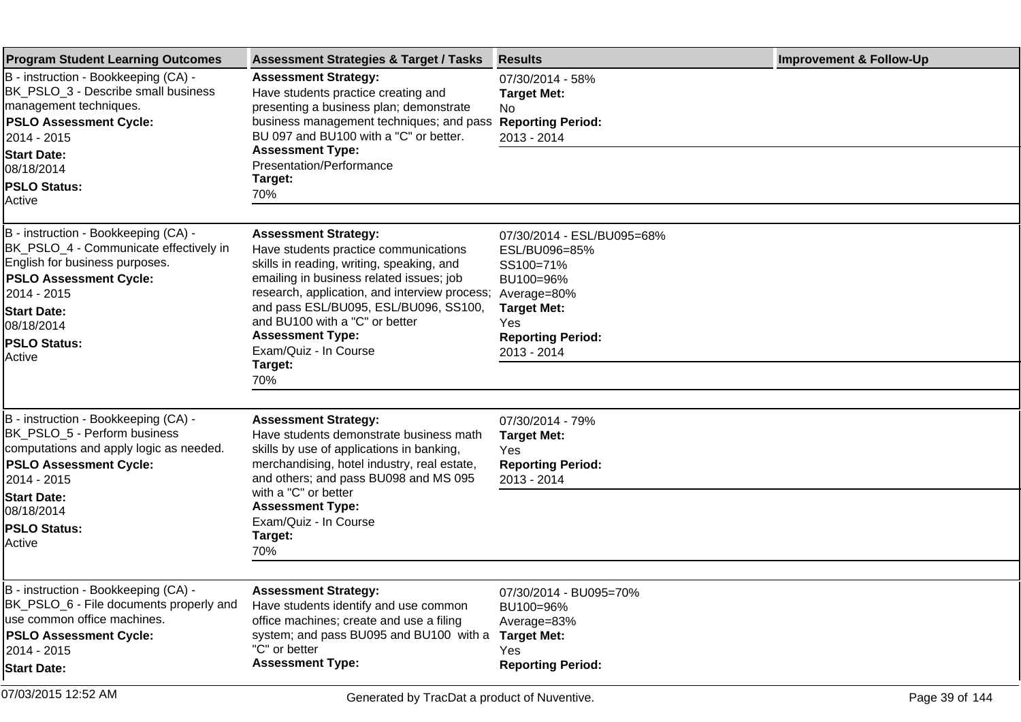| <b>Program Student Learning Outcomes</b>                                                                                                                                                                                              | <b>Assessment Strategies &amp; Target / Tasks</b>                                                                                                                                                                                                                                                                                                        | <b>Results</b>                                                                                                                                               | <b>Improvement &amp; Follow-Up</b> |
|---------------------------------------------------------------------------------------------------------------------------------------------------------------------------------------------------------------------------------------|----------------------------------------------------------------------------------------------------------------------------------------------------------------------------------------------------------------------------------------------------------------------------------------------------------------------------------------------------------|--------------------------------------------------------------------------------------------------------------------------------------------------------------|------------------------------------|
| B - instruction - Bookkeeping (CA) -<br>BK_PSLO_3 - Describe small business<br>management techniques.<br><b>PSLO Assessment Cycle:</b><br>2014 - 2015                                                                                 | <b>Assessment Strategy:</b><br>Have students practice creating and<br>presenting a business plan; demonstrate<br>business management techniques; and pass<br>BU 097 and BU100 with a "C" or better.                                                                                                                                                      | 07/30/2014 - 58%<br><b>Target Met:</b><br>No.<br><b>Reporting Period:</b><br>2013 - 2014                                                                     |                                    |
| <b>Start Date:</b><br>08/18/2014                                                                                                                                                                                                      | <b>Assessment Type:</b><br>Presentation/Performance<br>Target:                                                                                                                                                                                                                                                                                           |                                                                                                                                                              |                                    |
| <b>PSLO Status:</b><br><b>Active</b>                                                                                                                                                                                                  | 70%                                                                                                                                                                                                                                                                                                                                                      |                                                                                                                                                              |                                    |
| B - instruction - Bookkeeping (CA) -<br>BK_PSLO_4 - Communicate effectively in<br>English for business purposes.<br><b>PSLO Assessment Cycle:</b><br>2014 - 2015<br><b>Start Date:</b><br>08/18/2014<br><b>PSLO Status:</b><br>Active | <b>Assessment Strategy:</b><br>Have students practice communications<br>skills in reading, writing, speaking, and<br>emailing in business related issues; job<br>research, application, and interview process;<br>and pass ESL/BU095, ESL/BU096, SS100,<br>and BU100 with a "C" or better<br><b>Assessment Type:</b><br>Exam/Quiz - In Course<br>Target: | 07/30/2014 - ESL/BU095=68%<br>ESL/BU096=85%<br>SS100=71%<br>BU100=96%<br>Average=80%<br><b>Target Met:</b><br>Yes<br><b>Reporting Period:</b><br>2013 - 2014 |                                    |
|                                                                                                                                                                                                                                       | 70%                                                                                                                                                                                                                                                                                                                                                      |                                                                                                                                                              |                                    |
| B - instruction - Bookkeeping (CA) -<br>BK_PSLO_5 - Perform business<br>computations and apply logic as needed.<br><b>PSLO Assessment Cycle:</b><br>2014 - 2015                                                                       | <b>Assessment Strategy:</b><br>Have students demonstrate business math<br>skills by use of applications in banking,<br>merchandising, hotel industry, real estate,<br>and others; and pass BU098 and MS 095<br>with a "C" or better                                                                                                                      | 07/30/2014 - 79%<br><b>Target Met:</b><br>Yes<br><b>Reporting Period:</b><br>2013 - 2014                                                                     |                                    |
| <b>Start Date:</b><br>08/18/2014                                                                                                                                                                                                      | <b>Assessment Type:</b><br>Exam/Quiz - In Course                                                                                                                                                                                                                                                                                                         |                                                                                                                                                              |                                    |
| <b>PSLO Status:</b><br><b>Active</b>                                                                                                                                                                                                  | Target:<br>70%                                                                                                                                                                                                                                                                                                                                           |                                                                                                                                                              |                                    |
| B - instruction - Bookkeeping (CA)                                                                                                                                                                                                    | <b>Assessment Strategy:</b>                                                                                                                                                                                                                                                                                                                              | 07/30/2014 - BU095=70%                                                                                                                                       |                                    |
| BK_PSLO_6 - File documents properly and<br>use common office machines.                                                                                                                                                                | Have students identify and use common                                                                                                                                                                                                                                                                                                                    | BU100=96%                                                                                                                                                    |                                    |
| <b>PSLO Assessment Cycle:</b>                                                                                                                                                                                                         | office machines; create and use a filing<br>system; and pass BU095 and BU100 with a                                                                                                                                                                                                                                                                      | Average=83%<br><b>Target Met:</b>                                                                                                                            |                                    |
| 2014 - 2015                                                                                                                                                                                                                           | "C" or better<br><b>Assessment Type:</b>                                                                                                                                                                                                                                                                                                                 | Yes<br><b>Reporting Period:</b>                                                                                                                              |                                    |
| <b>Start Date:</b>                                                                                                                                                                                                                    |                                                                                                                                                                                                                                                                                                                                                          |                                                                                                                                                              |                                    |
| 07/03/2015 12:52 AM                                                                                                                                                                                                                   | Generated by TracDat a product of Nuventive.                                                                                                                                                                                                                                                                                                             |                                                                                                                                                              | Page 39 of 144                     |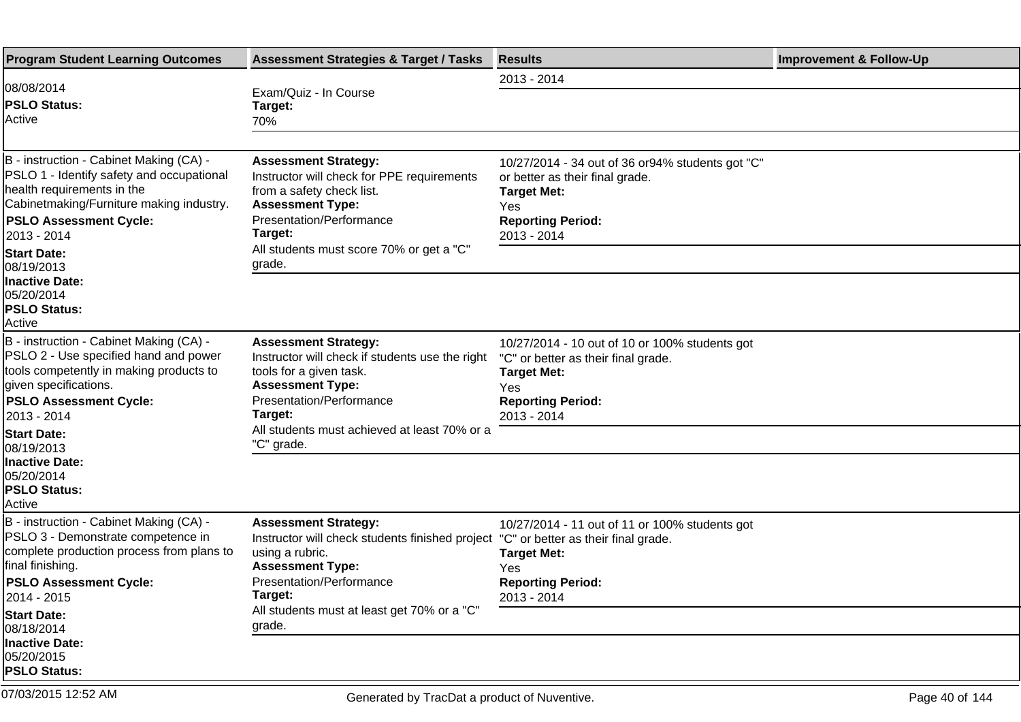| <b>Program Student Learning Outcomes</b>                                                                                                                                                                       | <b>Assessment Strategies &amp; Target / Tasks</b>                                                                                                                                                                           | <b>Results</b>                                                                                                                                                | <b>Improvement &amp; Follow-Up</b> |
|----------------------------------------------------------------------------------------------------------------------------------------------------------------------------------------------------------------|-----------------------------------------------------------------------------------------------------------------------------------------------------------------------------------------------------------------------------|---------------------------------------------------------------------------------------------------------------------------------------------------------------|------------------------------------|
| 08/08/2014                                                                                                                                                                                                     |                                                                                                                                                                                                                             | 2013 - 2014                                                                                                                                                   |                                    |
| <b>PSLO Status:</b><br><b>Active</b>                                                                                                                                                                           | Exam/Quiz - In Course<br>Target:<br>70%                                                                                                                                                                                     |                                                                                                                                                               |                                    |
|                                                                                                                                                                                                                |                                                                                                                                                                                                                             |                                                                                                                                                               |                                    |
| B - instruction - Cabinet Making (CA) -<br>PSLO 1 - Identify safety and occupational<br>health requirements in the<br>Cabinetmaking/Furniture making industry.<br><b>PSLO Assessment Cycle:</b><br>2013 - 2014 | <b>Assessment Strategy:</b><br>Instructor will check for PPE requirements<br>from a safety check list.<br><b>Assessment Type:</b><br>Presentation/Performance<br>Target:                                                    | 10/27/2014 - 34 out of 36 or 94% students got "C"<br>or better as their final grade.<br><b>Target Met:</b><br>Yes<br><b>Reporting Period:</b><br>2013 - 2014  |                                    |
| <b>Start Date:</b><br>08/19/2013                                                                                                                                                                               | All students must score 70% or get a "C"<br>grade.                                                                                                                                                                          |                                                                                                                                                               |                                    |
| <b>Inactive Date:</b><br>05/20/2014<br><b>PSLO Status:</b><br><b>Active</b>                                                                                                                                    |                                                                                                                                                                                                                             |                                                                                                                                                               |                                    |
| B - instruction - Cabinet Making (CA) -<br>PSLO 2 - Use specified hand and power<br>tools competently in making products to<br>given specifications.<br><b>PSLO Assessment Cycle:</b><br>2013 - 2014           | <b>Assessment Strategy:</b><br>Instructor will check if students use the right<br>tools for a given task.<br><b>Assessment Type:</b><br>Presentation/Performance<br>Target:<br>All students must achieved at least 70% or a | 10/27/2014 - 10 out of 10 or 100% students got<br>"C" or better as their final grade.<br><b>Target Met:</b><br>Yes<br><b>Reporting Period:</b><br>2013 - 2014 |                                    |
| <b>Start Date:</b><br>08/19/2013                                                                                                                                                                               | "C" grade.                                                                                                                                                                                                                  |                                                                                                                                                               |                                    |
| <b>Inactive Date:</b><br>05/20/2014<br><b>PSLO Status:</b><br> Active                                                                                                                                          |                                                                                                                                                                                                                             |                                                                                                                                                               |                                    |
| B - instruction - Cabinet Making (CA) -<br>PSLO 3 - Demonstrate competence in<br>complete production process from plans to<br>final finishing.<br><b>PSLO Assessment Cycle:</b><br>2014 - 2015                 | <b>Assessment Strategy:</b><br>Instructor will check students finished project "C" or better as their final grade.<br>using a rubric.<br><b>Assessment Type:</b><br>Presentation/Performance<br>Target:                     | 10/27/2014 - 11 out of 11 or 100% students got<br><b>Target Met:</b><br>Yes<br><b>Reporting Period:</b><br>2013 - 2014                                        |                                    |
| <b>Start Date:</b>                                                                                                                                                                                             | All students must at least get 70% or a "C"                                                                                                                                                                                 |                                                                                                                                                               |                                    |
| 08/18/2014<br>Inactive Date:<br>05/20/2015<br><b>PSLO Status:</b>                                                                                                                                              | grade.                                                                                                                                                                                                                      |                                                                                                                                                               |                                    |
| 07/03/2015 12:52 AM                                                                                                                                                                                            | Generated by TracDat a product of Nuventive.                                                                                                                                                                                |                                                                                                                                                               | Page 40 of 144                     |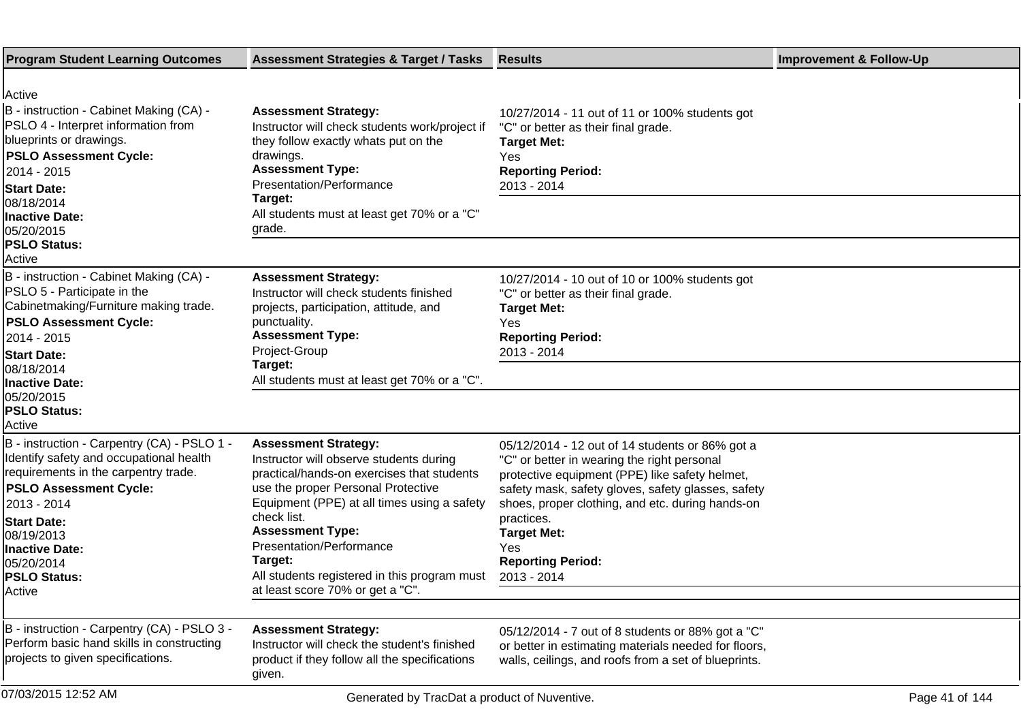| <b>Program Student Learning Outcomes</b>                                                                                                                                                                                                                                                   | <b>Assessment Strategies &amp; Target / Tasks</b>                                                                                                                                                                                                                                                                                                                              | <b>Results</b>                                                                                                                                                                                                                                                                                                                                   | <b>Improvement &amp; Follow-Up</b> |
|--------------------------------------------------------------------------------------------------------------------------------------------------------------------------------------------------------------------------------------------------------------------------------------------|--------------------------------------------------------------------------------------------------------------------------------------------------------------------------------------------------------------------------------------------------------------------------------------------------------------------------------------------------------------------------------|--------------------------------------------------------------------------------------------------------------------------------------------------------------------------------------------------------------------------------------------------------------------------------------------------------------------------------------------------|------------------------------------|
| <b>IActive</b><br>B - instruction - Cabinet Making (CA) -<br>PSLO 4 - Interpret information from<br>blueprints or drawings.<br><b>PSLO Assessment Cycle:</b><br>2014 - 2015 <br><b>Start Date:</b><br>08/18/2014<br><b>Inactive Date:</b><br>05/20/2015<br><b>PSLO Status:</b>             | <b>Assessment Strategy:</b><br>Instructor will check students work/project if<br>they follow exactly whats put on the<br>drawings.<br><b>Assessment Type:</b><br>Presentation/Performance<br>Target:<br>All students must at least get 70% or a "C"<br>grade.                                                                                                                  | 10/27/2014 - 11 out of 11 or 100% students got<br>"C" or better as their final grade.<br><b>Target Met:</b><br><b>Yes</b><br><b>Reporting Period:</b><br>2013 - 2014                                                                                                                                                                             |                                    |
| Active<br>B - instruction - Cabinet Making (CA) -<br>PSLO 5 - Participate in the<br>Cabinetmaking/Furniture making trade.<br><b>PSLO Assessment Cycle:</b><br>2014 - 2015 <br><b>Start Date:</b><br>08/18/2014<br><b>Inactive Date:</b><br>05/20/2015<br><b>PSLO Status:</b><br>Active     | <b>Assessment Strategy:</b><br>Instructor will check students finished<br>projects, participation, attitude, and<br>punctuality.<br><b>Assessment Type:</b><br>Project-Group<br>Target:<br>All students must at least get 70% or a "C".                                                                                                                                        | 10/27/2014 - 10 out of 10 or 100% students got<br>"C" or better as their final grade.<br><b>Target Met:</b><br>Yes<br><b>Reporting Period:</b><br>2013 - 2014                                                                                                                                                                                    |                                    |
| B - instruction - Carpentry (CA) - PSLO 1 -<br>Identify safety and occupational health<br>requirements in the carpentry trade.<br><b>PSLO Assessment Cycle:</b><br>2013 - 2014<br><b>Start Date:</b><br>08/19/2013<br><b>Inactive Date:</b><br>05/20/2014<br><b>PSLO Status:</b><br>Active | <b>Assessment Strategy:</b><br>Instructor will observe students during<br>practical/hands-on exercises that students<br>use the proper Personal Protective<br>Equipment (PPE) at all times using a safety<br>check list.<br><b>Assessment Type:</b><br>Presentation/Performance<br>Target:<br>All students registered in this program must<br>at least score 70% or get a "C". | 05/12/2014 - 12 out of 14 students or 86% got a<br>"C" or better in wearing the right personal<br>protective equipment (PPE) like safety helmet,<br>safety mask, safety gloves, safety glasses, safety<br>shoes, proper clothing, and etc. during hands-on<br>practices.<br><b>Target Met:</b><br>Yes<br><b>Reporting Period:</b><br>2013 - 2014 |                                    |
| B - instruction - Carpentry (CA) - PSLO 3 -<br>Perform basic hand skills in constructing<br>projects to given specifications.<br>07/03/2015 12:52 AM                                                                                                                                       | <b>Assessment Strategy:</b><br>Instructor will check the student's finished<br>product if they follow all the specifications<br>given.<br>Generated by TracDat a product of Nuventive.                                                                                                                                                                                         | 05/12/2014 - 7 out of 8 students or 88% got a "C"<br>or better in estimating materials needed for floors,<br>walls, ceilings, and roofs from a set of blueprints.                                                                                                                                                                                | Page 41 of 144                     |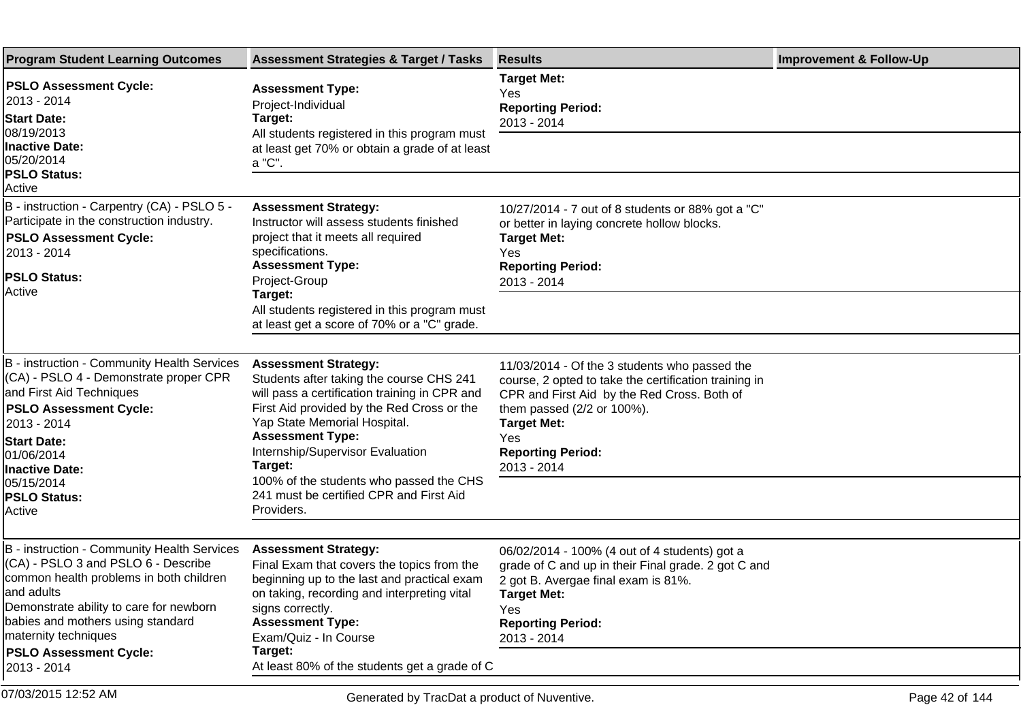| <b>Program Student Learning Outcomes</b>                                                                                                                                                                                                                                                             | <b>Assessment Strategies &amp; Target / Tasks</b>                                                                                                                                                                                                                                                                                                                                    | <b>Results</b>                                                                                                                                                                                                                                              | <b>Improvement &amp; Follow-Up</b> |
|------------------------------------------------------------------------------------------------------------------------------------------------------------------------------------------------------------------------------------------------------------------------------------------------------|--------------------------------------------------------------------------------------------------------------------------------------------------------------------------------------------------------------------------------------------------------------------------------------------------------------------------------------------------------------------------------------|-------------------------------------------------------------------------------------------------------------------------------------------------------------------------------------------------------------------------------------------------------------|------------------------------------|
| <b>PSLO Assessment Cycle:</b><br>2013 - 2014<br><b>Start Date:</b><br>08/19/2013<br>Inactive Date:<br>05/20/2014<br><b>PSLO Status:</b><br>Active                                                                                                                                                    | <b>Assessment Type:</b><br>Project-Individual<br>Target:<br>All students registered in this program must<br>at least get 70% or obtain a grade of at least<br>a "C".                                                                                                                                                                                                                 | <b>Target Met:</b><br>Yes<br><b>Reporting Period:</b><br>2013 - 2014                                                                                                                                                                                        |                                    |
| B - instruction - Carpentry (CA) - PSLO 5 -<br>Participate in the construction industry.<br><b>PSLO Assessment Cycle:</b><br>2013 - 2014<br><b>PSLO Status:</b><br>Active                                                                                                                            | <b>Assessment Strategy:</b><br>Instructor will assess students finished<br>project that it meets all required<br>specifications.<br><b>Assessment Type:</b><br>Project-Group<br>Target:<br>All students registered in this program must<br>at least get a score of 70% or a "C" grade.                                                                                               | 10/27/2014 - 7 out of 8 students or 88% got a "C"<br>or better in laying concrete hollow blocks.<br><b>Target Met:</b><br>Yes<br><b>Reporting Period:</b><br>2013 - 2014                                                                                    |                                    |
| B - instruction - Community Health Services<br>(CA) - PSLO 4 - Demonstrate proper CPR<br>and First Aid Techniques<br><b>PSLO Assessment Cycle:</b><br>2013 - 2014<br><b>Start Date:</b><br>01/06/2014<br><b>Inactive Date:</b><br>05/15/2014<br><b>PSLO Status:</b><br><b>Active</b>                 | <b>Assessment Strategy:</b><br>Students after taking the course CHS 241<br>will pass a certification training in CPR and<br>First Aid provided by the Red Cross or the<br>Yap State Memorial Hospital.<br><b>Assessment Type:</b><br>Internship/Supervisor Evaluation<br>Target:<br>100% of the students who passed the CHS<br>241 must be certified CPR and First Aid<br>Providers. | 11/03/2014 - Of the 3 students who passed the<br>course, 2 opted to take the certification training in<br>CPR and First Aid by the Red Cross. Both of<br>them passed (2/2 or 100%).<br><b>Target Met:</b><br>Yes<br><b>Reporting Period:</b><br>2013 - 2014 |                                    |
| B - instruction - Community Health Services<br>(CA) - PSLO 3 and PSLO 6 - Describe<br>common health problems in both children<br>Jand adults<br>Demonstrate ability to care for newborn<br>babies and mothers using standard<br>maternity techniques<br><b>PSLO Assessment Cycle:</b><br>2013 - 2014 | <b>Assessment Strategy:</b><br>Final Exam that covers the topics from the<br>beginning up to the last and practical exam<br>on taking, recording and interpreting vital<br>signs correctly.<br><b>Assessment Type:</b><br>Exam/Quiz - In Course<br>Target:<br>At least 80% of the students get a grade of C                                                                          | 06/02/2014 - 100% (4 out of 4 students) got a<br>grade of C and up in their Final grade. 2 got C and<br>2 got B. Avergae final exam is 81%.<br><b>Target Met:</b><br>Yes<br><b>Reporting Period:</b><br>2013 - 2014                                         |                                    |
| 07/03/2015 12:52 AM                                                                                                                                                                                                                                                                                  | Generated by TracDat a product of Nuventive.                                                                                                                                                                                                                                                                                                                                         |                                                                                                                                                                                                                                                             | Page 42 of 144                     |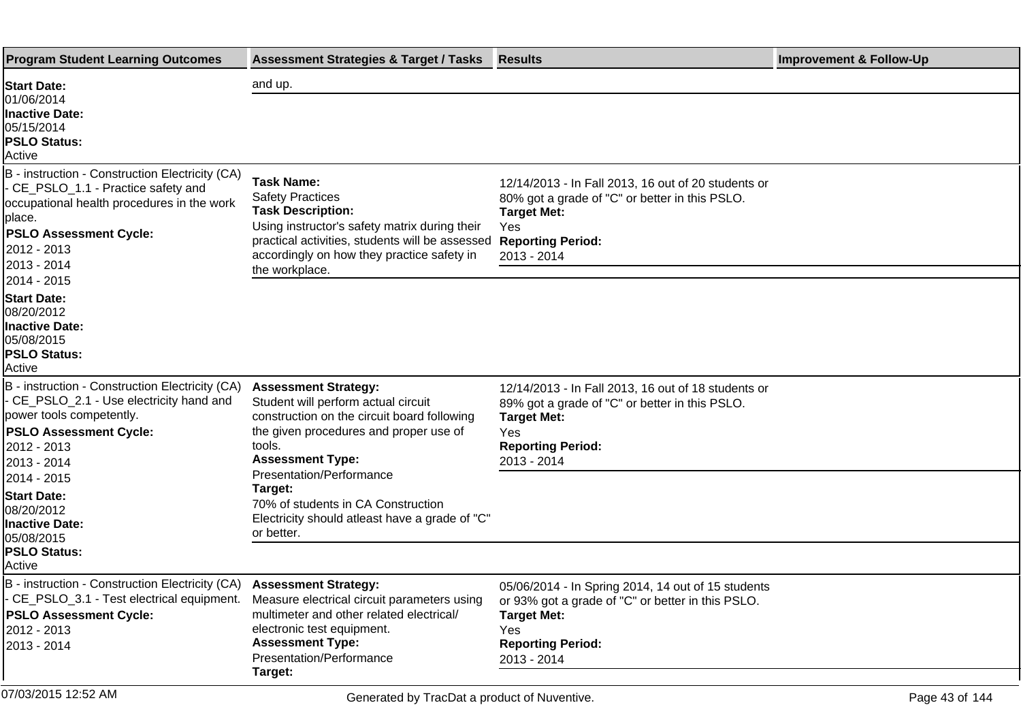| <b>Program Student Learning Outcomes</b>                                                                                                                                                                                     | <b>Assessment Strategies &amp; Target / Tasks</b>                                                                                                                                                                                            | <b>Results</b>                                                                                                                                                                         | <b>Improvement &amp; Follow-Up</b> |
|------------------------------------------------------------------------------------------------------------------------------------------------------------------------------------------------------------------------------|----------------------------------------------------------------------------------------------------------------------------------------------------------------------------------------------------------------------------------------------|----------------------------------------------------------------------------------------------------------------------------------------------------------------------------------------|------------------------------------|
| <b>Start Date:</b>                                                                                                                                                                                                           | and up.                                                                                                                                                                                                                                      |                                                                                                                                                                                        |                                    |
| 01/06/2014<br><b>Inactive Date:</b><br>05/15/2014<br><b>PSLO Status:</b><br>Active                                                                                                                                           |                                                                                                                                                                                                                                              |                                                                                                                                                                                        |                                    |
| B - instruction - Construction Electricity (CA)<br>- CE_PSLO_1.1 - Practice safety and<br>occupational health procedures in the work<br>place.<br><b>PSLO Assessment Cycle:</b><br>2012 - 2013<br>2013 - 2014<br>2014 - 2015 | <b>Task Name:</b><br><b>Safety Practices</b><br><b>Task Description:</b><br>Using instructor's safety matrix during their<br>practical activities, students will be assessed<br>accordingly on how they practice safety in<br>the workplace. | 12/14/2013 - In Fall 2013, 16 out of 20 students or<br>80% got a grade of "C" or better in this PSLO.<br><b>Target Met:</b><br>Yes<br><b>Reporting Period:</b><br>2013 - 2014          |                                    |
| <b>Start Date:</b><br>08/20/2012<br>Inactive Date:<br>05/08/2015<br><b>PSLO Status:</b><br>Active                                                                                                                            |                                                                                                                                                                                                                                              |                                                                                                                                                                                        |                                    |
| B - instruction - Construction Electricity (CA)<br>- CE_PSLO_2.1 - Use electricity hand and<br>power tools competently.<br><b>PSLO Assessment Cycle:</b><br>2012 - 2013<br>2013 - 2014<br>2014 - 2015                        | <b>Assessment Strategy:</b><br>Student will perform actual circuit<br>construction on the circuit board following<br>the given procedures and proper use of<br>tools.<br><b>Assessment Type:</b><br>Presentation/Performance                 | 12/14/2013 - In Fall 2013, 16 out of 18 students or<br>89% got a grade of "C" or better in this PSLO.<br><b>Target Met:</b><br>Yes<br><b>Reporting Period:</b><br>2013 - 2014          |                                    |
| <b>Start Date:</b><br>08/20/2012<br>Inactive Date:<br>05/08/2015<br><b>PSLO Status:</b><br>Active                                                                                                                            | Target:<br>70% of students in CA Construction<br>Electricity should atleast have a grade of "C"<br>or better.                                                                                                                                |                                                                                                                                                                                        |                                    |
| B - instruction - Construction Electricity (CA) Assessment Strategy:<br>- CE_PSLO_3.1 - Test electrical equipment.<br><b>PSLO Assessment Cycle:</b><br>2012 - 2013<br>2013 - 2014                                            | Measure electrical circuit parameters using<br>multimeter and other related electrical/<br>electronic test equipment.<br><b>Assessment Type:</b><br>Presentation/Performance<br>Target:                                                      | 05/06/2014 - In Spring 2014, 14 out of 15 students<br>or 93% got a grade of "C" or better in this PSLO.<br><b>Target Met:</b><br><b>Yes</b><br><b>Reporting Period:</b><br>2013 - 2014 |                                    |
| 07/03/2015 12:52 AM                                                                                                                                                                                                          | Generated by TracDat a product of Nuventive.                                                                                                                                                                                                 |                                                                                                                                                                                        | Page 43 of 144                     |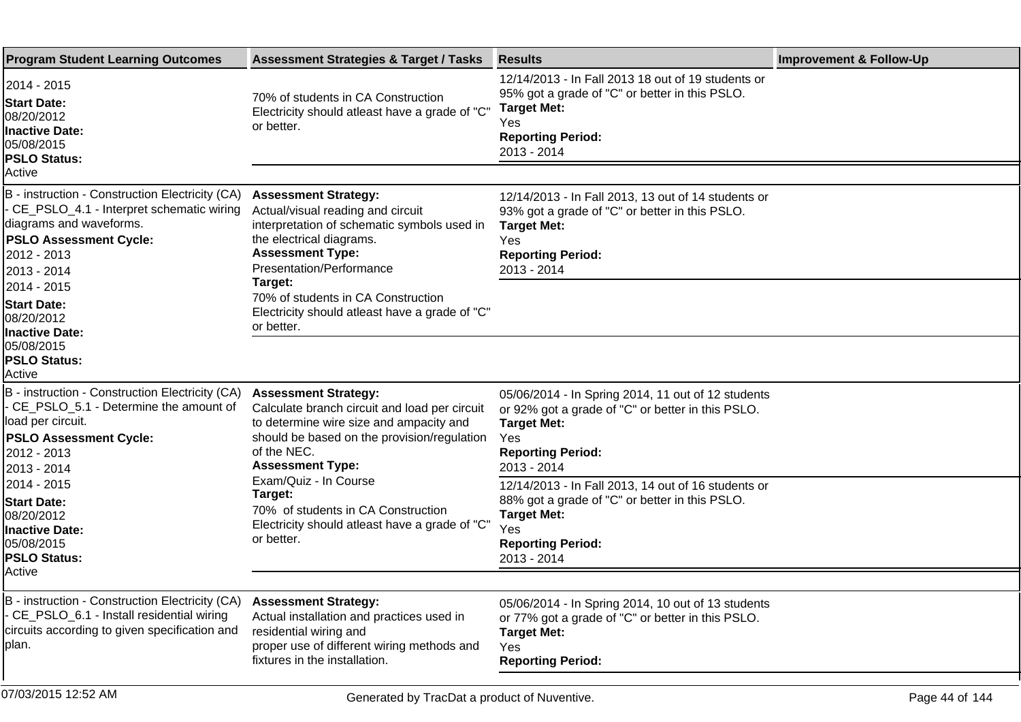| <b>Program Student Learning Outcomes</b>                                                                                                                                                | <b>Assessment Strategies &amp; Target / Tasks</b>                                                                                                                                                                | <b>Results</b>                                                                                                                                                                  | <b>Improvement &amp; Follow-Up</b> |
|-----------------------------------------------------------------------------------------------------------------------------------------------------------------------------------------|------------------------------------------------------------------------------------------------------------------------------------------------------------------------------------------------------------------|---------------------------------------------------------------------------------------------------------------------------------------------------------------------------------|------------------------------------|
| 2014 - 2015<br><b>Start Date:</b><br>08/20/2012<br><b>Inactive Date:</b><br>05/08/2015<br><b>PSLO Status:</b>                                                                           | 70% of students in CA Construction<br>Electricity should atleast have a grade of "C"<br>or better.                                                                                                               | 12/14/2013 - In Fall 2013 18 out of 19 students or<br>95% got a grade of "C" or better in this PSLO.<br><b>Target Met:</b><br>Yes<br><b>Reporting Period:</b><br>2013 - 2014    |                                    |
| Active                                                                                                                                                                                  |                                                                                                                                                                                                                  |                                                                                                                                                                                 |                                    |
| B - instruction - Construction Electricity (CA)<br>- CE_PSLO_4.1 - Interpret schematic wiring<br>diagrams and waveforms.<br><b>PSLO Assessment Cycle:</b><br>2012 - 2013<br>2013 - 2014 | <b>Assessment Strategy:</b><br>Actual/visual reading and circuit<br>interpretation of schematic symbols used in<br>the electrical diagrams.<br><b>Assessment Type:</b><br>Presentation/Performance               | 12/14/2013 - In Fall 2013, 13 out of 14 students or<br>93% got a grade of "C" or better in this PSLO.<br><b>Target Met:</b><br>Yes<br><b>Reporting Period:</b><br>2013 - 2014   |                                    |
| 2014 - 2015<br><b>Start Date:</b><br>08/20/2012<br><b>Inactive Date:</b>                                                                                                                | Target:<br>70% of students in CA Construction<br>Electricity should atleast have a grade of "C"<br>or better.                                                                                                    |                                                                                                                                                                                 |                                    |
| 05/08/2015<br><b>PSLO Status:</b><br>Active                                                                                                                                             |                                                                                                                                                                                                                  |                                                                                                                                                                                 |                                    |
| B - instruction - Construction Electricity (CA)<br>- CE_PSLO_5.1 - Determine the amount of<br>load per circuit.<br><b>PSLO Assessment Cycle:</b><br>2012 - 2013<br>2013 - 2014          | <b>Assessment Strategy:</b><br>Calculate branch circuit and load per circuit<br>to determine wire size and ampacity and<br>should be based on the provision/regulation<br>of the NEC.<br><b>Assessment Type:</b> | 05/06/2014 - In Spring 2014, 11 out of 12 students<br>or 92% got a grade of "C" or better in this PSLO.<br><b>Target Met:</b><br>Yes<br><b>Reporting Period:</b><br>2013 - 2014 |                                    |
| 2014 - 2015<br><b>Start Date:</b><br>08/20/2012<br><b>Inactive Date:</b><br>05/08/2015<br><b>PSLO Status:</b>                                                                           | Exam/Quiz - In Course<br>Target:<br>70% of students in CA Construction<br>Electricity should atleast have a grade of "C"<br>or better.                                                                           | 12/14/2013 - In Fall 2013, 14 out of 16 students or<br>88% got a grade of "C" or better in this PSLO.<br><b>Target Met:</b><br>Yes<br><b>Reporting Period:</b><br>2013 - 2014   |                                    |
| Active                                                                                                                                                                                  |                                                                                                                                                                                                                  |                                                                                                                                                                                 |                                    |
| B - instruction - Construction Electricity (CA)<br>- CE_PSLO_6.1 - Install residential wiring<br>circuits according to given specification and<br>plan.                                 | <b>Assessment Strategy:</b><br>Actual installation and practices used in<br>residential wiring and<br>proper use of different wiring methods and<br>fixtures in the installation.                                | 05/06/2014 - In Spring 2014, 10 out of 13 students<br>or 77% got a grade of "C" or better in this PSLO.<br><b>Target Met:</b><br>Yes<br><b>Reporting Period:</b>                |                                    |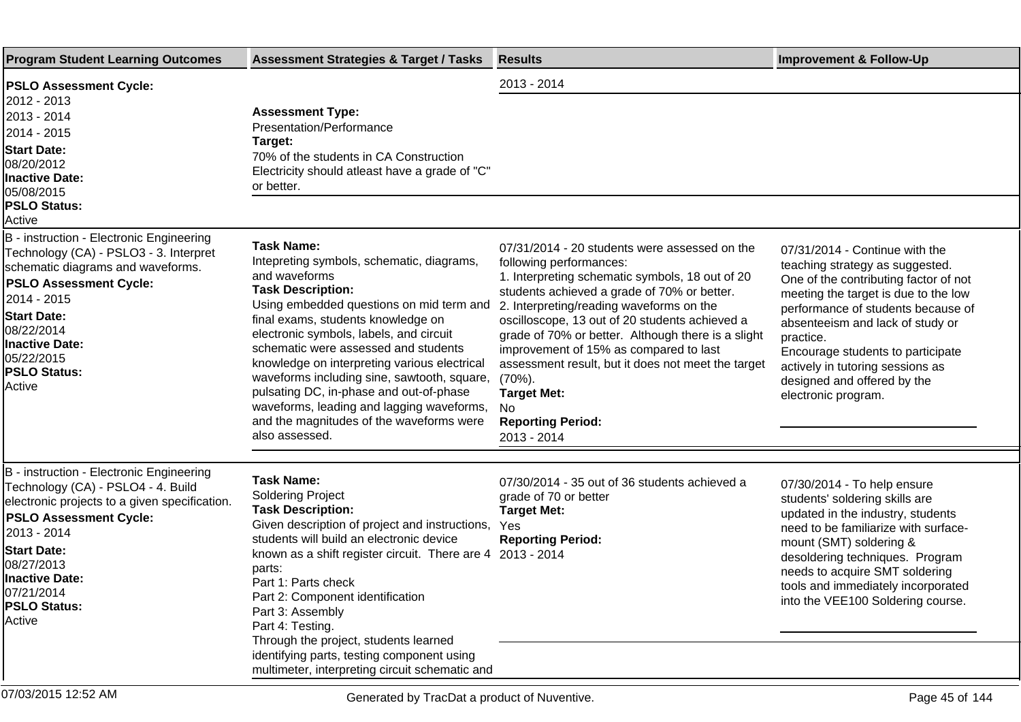| <b>Program Student Learning Outcomes</b>                                                                                                                                                                                                                                             | <b>Assessment Strategies &amp; Target / Tasks</b>                                                                                                                                                                                                                                                                                                                                                                                                                                                                                     | <b>Results</b>                                                                                                                                                                                                                                                                                                                                                                                                                                                                                                       | <b>Improvement &amp; Follow-Up</b>                                                                                                                                                                                                                                                                                                                                       |
|--------------------------------------------------------------------------------------------------------------------------------------------------------------------------------------------------------------------------------------------------------------------------------------|---------------------------------------------------------------------------------------------------------------------------------------------------------------------------------------------------------------------------------------------------------------------------------------------------------------------------------------------------------------------------------------------------------------------------------------------------------------------------------------------------------------------------------------|----------------------------------------------------------------------------------------------------------------------------------------------------------------------------------------------------------------------------------------------------------------------------------------------------------------------------------------------------------------------------------------------------------------------------------------------------------------------------------------------------------------------|--------------------------------------------------------------------------------------------------------------------------------------------------------------------------------------------------------------------------------------------------------------------------------------------------------------------------------------------------------------------------|
| <b>PSLO Assessment Cycle:</b><br>2012 - 2013<br>2013 - 2014<br>2014 - 2015 <br><b>Start Date:</b><br>08/20/2012<br><b>Inactive Date:</b><br>05/08/2015<br><b>PSLO Status:</b><br>Active                                                                                              | <b>Assessment Type:</b><br>Presentation/Performance<br>Target:<br>70% of the students in CA Construction<br>Electricity should atleast have a grade of "C"<br>or better.                                                                                                                                                                                                                                                                                                                                                              | 2013 - 2014                                                                                                                                                                                                                                                                                                                                                                                                                                                                                                          |                                                                                                                                                                                                                                                                                                                                                                          |
| B - instruction - Electronic Engineering<br>Technology (CA) - PSLO3 - 3. Interpret<br>schematic diagrams and waveforms.<br><b>PSLO Assessment Cycle:</b><br>2014 - 2015<br><b>Start Date:</b><br>08/22/2014<br>Inactive Date:<br>05/22/2015<br><b>PSLO Status:</b><br>Active         | <b>Task Name:</b><br>Intepreting symbols, schematic, diagrams,<br>and waveforms<br><b>Task Description:</b><br>Using embedded questions on mid term and<br>final exams, students knowledge on<br>electronic symbols, labels, and circuit<br>schematic were assessed and students<br>knowledge on interpreting various electrical<br>waveforms including sine, sawtooth, square,<br>pulsating DC, in-phase and out-of-phase<br>waveforms, leading and lagging waveforms,<br>and the magnitudes of the waveforms were<br>also assessed. | 07/31/2014 - 20 students were assessed on the<br>following performances:<br>1. Interpreting schematic symbols, 18 out of 20<br>students achieved a grade of 70% or better.<br>2. Interpreting/reading waveforms on the<br>oscilloscope, 13 out of 20 students achieved a<br>grade of 70% or better. Although there is a slight<br>improvement of 15% as compared to last<br>assessment result, but it does not meet the target<br>$(70\%)$ .<br><b>Target Met:</b><br>No.<br><b>Reporting Period:</b><br>2013 - 2014 | 07/31/2014 - Continue with the<br>teaching strategy as suggested.<br>One of the contributing factor of not<br>meeting the target is due to the low<br>performance of students because of<br>absenteeism and lack of study or<br>practice.<br>Encourage students to participate<br>actively in tutoring sessions as<br>designed and offered by the<br>electronic program. |
| B - instruction - Electronic Engineering<br>Technology (CA) - PSLO4 - 4. Build<br>electronic projects to a given specification.<br><b>PSLO Assessment Cycle:</b><br>2013 - 2014<br><b>Start Date:</b><br>08/27/2013<br>Inactive Date:<br>07/21/2014<br><b>PSLO Status:</b><br>Active | <b>Task Name:</b><br><b>Soldering Project</b><br><b>Task Description:</b><br>Given description of project and instructions,<br>students will build an electronic device<br>known as a shift register circuit. There are 4<br>parts:<br>Part 1: Parts check<br>Part 2: Component identification<br>Part 3: Assembly<br>Part 4: Testing.<br>Through the project, students learned<br>identifying parts, testing component using<br>multimeter, interpreting circuit schematic and                                                       | 07/30/2014 - 35 out of 36 students achieved a<br>grade of 70 or better<br><b>Target Met:</b><br>Yes<br><b>Reporting Period:</b><br>2013 - 2014                                                                                                                                                                                                                                                                                                                                                                       | 07/30/2014 - To help ensure<br>students' soldering skills are<br>updated in the industry, students<br>need to be familiarize with surface-<br>mount (SMT) soldering &<br>desoldering techniques. Program<br>needs to acquire SMT soldering<br>tools and immediately incorporated<br>into the VEE100 Soldering course.                                                    |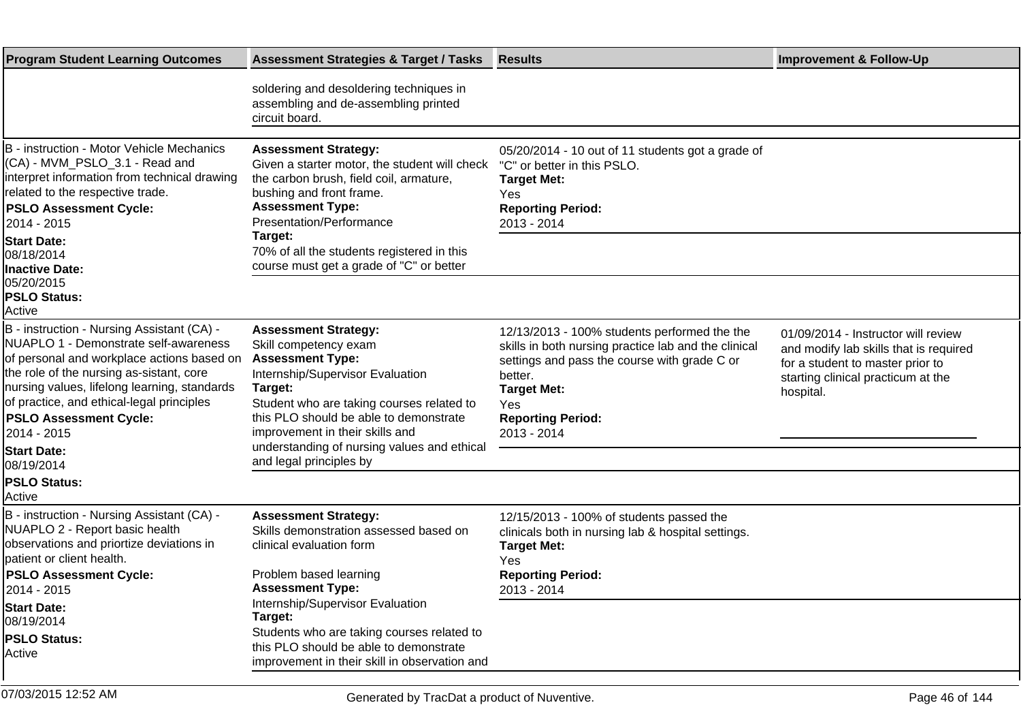| <b>Program Student Learning Outcomes</b>                                                                                                                                                                                                                                                                                                                       | <b>Assessment Strategies &amp; Target / Tasks</b>                                                                                                                                                                                                                                                                                  | <b>Results</b>                                                                                                                                                                                                                          | <b>Improvement &amp; Follow-Up</b>                                                                                                                                   |
|----------------------------------------------------------------------------------------------------------------------------------------------------------------------------------------------------------------------------------------------------------------------------------------------------------------------------------------------------------------|------------------------------------------------------------------------------------------------------------------------------------------------------------------------------------------------------------------------------------------------------------------------------------------------------------------------------------|-----------------------------------------------------------------------------------------------------------------------------------------------------------------------------------------------------------------------------------------|----------------------------------------------------------------------------------------------------------------------------------------------------------------------|
|                                                                                                                                                                                                                                                                                                                                                                | soldering and desoldering techniques in<br>assembling and de-assembling printed<br>circuit board.                                                                                                                                                                                                                                  |                                                                                                                                                                                                                                         |                                                                                                                                                                      |
| B - instruction - Motor Vehicle Mechanics<br>(CA) - MVM_PSLO_3.1 - Read and<br>interpret information from technical drawing<br>related to the respective trade.<br><b>PSLO Assessment Cycle:</b><br>2014 - 2015<br><b>Start Date:</b><br>08/18/2014<br><b>Inactive Date:</b>                                                                                   | <b>Assessment Strategy:</b><br>Given a starter motor, the student will check<br>the carbon brush, field coil, armature,<br>bushing and front frame.<br><b>Assessment Type:</b><br>Presentation/Performance<br>Target:<br>70% of all the students registered in this<br>course must get a grade of "C" or better                    | 05/20/2014 - 10 out of 11 students got a grade of<br>"C" or better in this PSLO.<br><b>Target Met:</b><br>Yes<br><b>Reporting Period:</b><br>2013 - 2014                                                                                |                                                                                                                                                                      |
| 05/20/2015<br><b>PSLO Status:</b><br>Active                                                                                                                                                                                                                                                                                                                    |                                                                                                                                                                                                                                                                                                                                    |                                                                                                                                                                                                                                         |                                                                                                                                                                      |
| B - instruction - Nursing Assistant (CA) -<br>NUAPLO 1 - Demonstrate self-awareness<br>of personal and workplace actions based on<br>the role of the nursing as-sistant, core<br>nursing values, lifelong learning, standards<br>of practice, and ethical-legal principles<br><b>PSLO Assessment Cycle:</b><br>2014 - 2015<br><b>Start Date:</b><br>08/19/2014 | <b>Assessment Strategy:</b><br>Skill competency exam<br><b>Assessment Type:</b><br>Internship/Supervisor Evaluation<br>Target:<br>Student who are taking courses related to<br>this PLO should be able to demonstrate<br>improvement in their skills and<br>understanding of nursing values and ethical<br>and legal principles by | 12/13/2013 - 100% students performed the the<br>skills in both nursing practice lab and the clinical<br>settings and pass the course with grade C or<br>better.<br><b>Target Met:</b><br>Yes<br><b>Reporting Period:</b><br>2013 - 2014 | 01/09/2014 - Instructor will review<br>and modify lab skills that is required<br>for a student to master prior to<br>starting clinical practicum at the<br>hospital. |
| <b>PSLO Status:</b><br>Active                                                                                                                                                                                                                                                                                                                                  |                                                                                                                                                                                                                                                                                                                                    |                                                                                                                                                                                                                                         |                                                                                                                                                                      |
| B - instruction - Nursing Assistant (CA) -<br>NUAPLO 2 - Report basic health<br>observations and priortize deviations in<br>patient or client health.<br><b>PSLO Assessment Cycle:</b><br>2014 - 2015                                                                                                                                                          | <b>Assessment Strategy:</b><br>Skills demonstration assessed based on<br>clinical evaluation form<br>Problem based learning<br><b>Assessment Type:</b>                                                                                                                                                                             | 12/15/2013 - 100% of students passed the<br>clinicals both in nursing lab & hospital settings.<br><b>Target Met:</b><br>Yes<br><b>Reporting Period:</b><br>2013 - 2014                                                                  |                                                                                                                                                                      |
| <b>Start Date:</b><br>08/19/2014<br><b>PSLO Status:</b><br>Active                                                                                                                                                                                                                                                                                              | Internship/Supervisor Evaluation<br>Target:<br>Students who are taking courses related to<br>this PLO should be able to demonstrate<br>improvement in their skill in observation and                                                                                                                                               |                                                                                                                                                                                                                                         |                                                                                                                                                                      |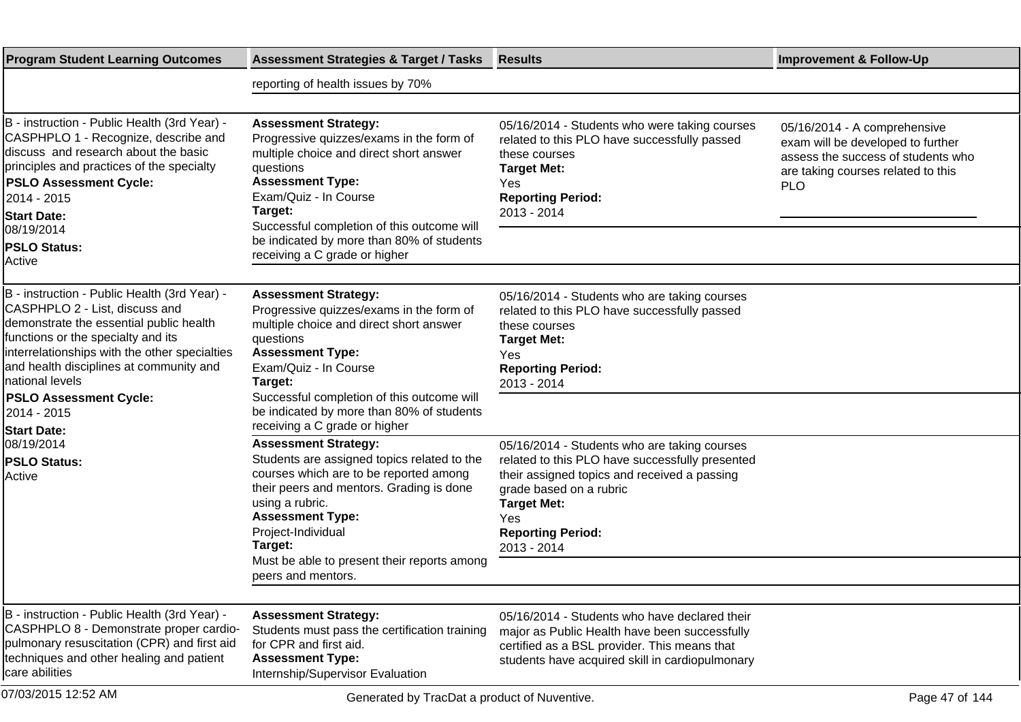| <b>Program Student Learning Outcomes</b>                                                                                                                                                                                                                                                                                        | <b>Assessment Strategies &amp; Target / Tasks</b>                                                                                                                                                                                                                                                                          | <b>Results</b>                                                                                                                                                                                    | <b>Improvement &amp; Follow-Up</b>                                                                                                                          |
|---------------------------------------------------------------------------------------------------------------------------------------------------------------------------------------------------------------------------------------------------------------------------------------------------------------------------------|----------------------------------------------------------------------------------------------------------------------------------------------------------------------------------------------------------------------------------------------------------------------------------------------------------------------------|---------------------------------------------------------------------------------------------------------------------------------------------------------------------------------------------------|-------------------------------------------------------------------------------------------------------------------------------------------------------------|
|                                                                                                                                                                                                                                                                                                                                 | reporting of health issues by 70%                                                                                                                                                                                                                                                                                          |                                                                                                                                                                                                   |                                                                                                                                                             |
|                                                                                                                                                                                                                                                                                                                                 |                                                                                                                                                                                                                                                                                                                            |                                                                                                                                                                                                   |                                                                                                                                                             |
| B - instruction - Public Health (3rd Year) -<br>CASPHPLO 1 - Recognize, describe and<br>discuss and research about the basic<br>principles and practices of the specialty<br><b>PSLO Assessment Cycle:</b><br>2014 - 2015<br><b>Start Date:</b><br>08/19/2014<br><b>PSLO Status:</b><br>Active                                  | <b>Assessment Strategy:</b><br>Progressive quizzes/exams in the form of<br>multiple choice and direct short answer<br>questions<br><b>Assessment Type:</b><br>Exam/Quiz - In Course<br>Target:<br>Successful completion of this outcome will<br>be indicated by more than 80% of students<br>receiving a C grade or higher | 05/16/2014 - Students who were taking courses<br>related to this PLO have successfully passed<br>these courses<br><b>Target Met:</b><br>Yes<br><b>Reporting Period:</b><br>2013 - 2014            | 05/16/2014 - A comprehensive<br>exam will be developed to further<br>assess the success of students who<br>are taking courses related to this<br><b>PLO</b> |
| B - instruction - Public Health (3rd Year) -<br>CASPHPLO 2 - List, discuss and<br>demonstrate the essential public health<br>functions or the specialty and its<br>interrelationships with the other specialties<br>and health disciplines at community and<br>Inational levels<br><b>PSLO Assessment Cycle:</b><br>2014 - 2015 | <b>Assessment Strategy:</b><br>Progressive quizzes/exams in the form of<br>multiple choice and direct short answer<br>questions<br><b>Assessment Type:</b><br>Exam/Quiz - In Course<br>Target:<br>Successful completion of this outcome will<br>be indicated by more than 80% of students                                  | 05/16/2014 - Students who are taking courses<br>related to this PLO have successfully passed<br>these courses<br><b>Target Met:</b><br>Yes<br><b>Reporting Period:</b><br>2013 - 2014             |                                                                                                                                                             |
| <b>Start Date:</b><br>08/19/2014<br><b>PSLO Status:</b><br><b>Active</b>                                                                                                                                                                                                                                                        | receiving a C grade or higher<br><b>Assessment Strategy:</b><br>Students are assigned topics related to the<br>courses which are to be reported among<br>their peers and mentors. Grading is done<br>using a rubric.                                                                                                       | 05/16/2014 - Students who are taking courses<br>related to this PLO have successfully presented<br>their assigned topics and received a passing<br>grade based on a rubric                        |                                                                                                                                                             |
|                                                                                                                                                                                                                                                                                                                                 | <b>Assessment Type:</b><br>Project-Individual<br>Target:<br>Must be able to present their reports among<br>peers and mentors.                                                                                                                                                                                              | <b>Target Met:</b><br>Yes<br><b>Reporting Period:</b><br>2013 - 2014                                                                                                                              |                                                                                                                                                             |
|                                                                                                                                                                                                                                                                                                                                 |                                                                                                                                                                                                                                                                                                                            |                                                                                                                                                                                                   |                                                                                                                                                             |
| B - instruction - Public Health (3rd Year) -<br>CASPHPLO 8 - Demonstrate proper cardio-<br>pulmonary resuscitation (CPR) and first aid<br>techniques and other healing and patient<br>care abilities                                                                                                                            | <b>Assessment Strategy:</b><br>Students must pass the certification training<br>for CPR and first aid.<br><b>Assessment Type:</b><br>Internship/Supervisor Evaluation                                                                                                                                                      | 05/16/2014 - Students who have declared their<br>major as Public Health have been successfully<br>certified as a BSL provider. This means that<br>students have acquired skill in cardiopulmonary |                                                                                                                                                             |
| 07/03/2015 12:52 AM                                                                                                                                                                                                                                                                                                             | Generated by TracDat a product of Nuventive.                                                                                                                                                                                                                                                                               |                                                                                                                                                                                                   | Page 47 of 144                                                                                                                                              |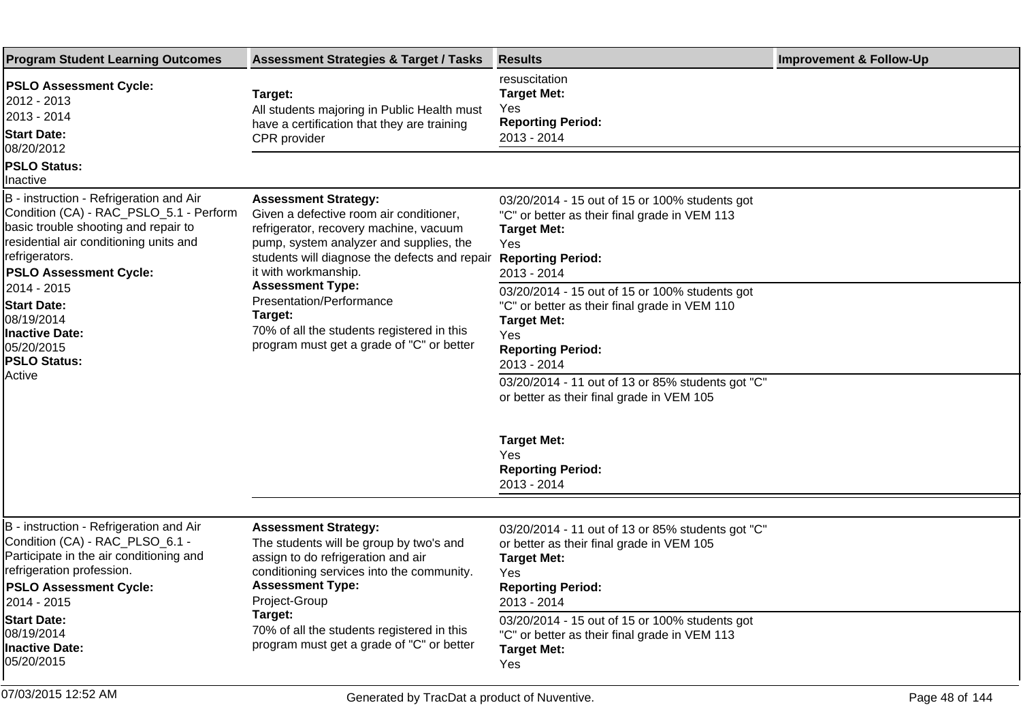| <b>Program Student Learning Outcomes</b>                                                                                                                                                                                               | <b>Assessment Strategies &amp; Target / Tasks</b>                                                                                                                                                                                                              | <b>Results</b>                                                                                                                                                                                                                                                            | <b>Improvement &amp; Follow-Up</b> |
|----------------------------------------------------------------------------------------------------------------------------------------------------------------------------------------------------------------------------------------|----------------------------------------------------------------------------------------------------------------------------------------------------------------------------------------------------------------------------------------------------------------|---------------------------------------------------------------------------------------------------------------------------------------------------------------------------------------------------------------------------------------------------------------------------|------------------------------------|
| <b>PSLO Assessment Cycle:</b><br>2012 - 2013<br>2013 - 2014<br><b>Start Date:</b><br>08/20/2012                                                                                                                                        | Target:<br>All students majoring in Public Health must<br>have a certification that they are training<br><b>CPR</b> provider                                                                                                                                   | resuscitation<br><b>Target Met:</b><br>Yes<br><b>Reporting Period:</b><br>2013 - 2014                                                                                                                                                                                     |                                    |
| <b>PSLO Status:</b><br>Inactive                                                                                                                                                                                                        |                                                                                                                                                                                                                                                                |                                                                                                                                                                                                                                                                           |                                    |
| B - instruction - Refrigeration and Air<br>Condition (CA) - RAC_PSLO_5.1 - Perform<br>basic trouble shooting and repair to<br>residential air conditioning units and<br>refrigerators.<br><b>PSLO Assessment Cycle:</b>                | <b>Assessment Strategy:</b><br>Given a defective room air conditioner,<br>refrigerator, recovery machine, vacuum<br>pump, system analyzer and supplies, the<br>students will diagnose the defects and repair<br>it with workmanship.                           | 03/20/2014 - 15 out of 15 or 100% students got<br>"C" or better as their final grade in VEM 113<br><b>Target Met:</b><br>Yes<br><b>Reporting Period:</b><br>2013 - 2014                                                                                                   |                                    |
| 2014 - 2015<br><b>Start Date:</b><br>08/19/2014<br><b>Inactive Date:</b><br>05/20/2015<br><b>PSLO Status:</b><br>Active                                                                                                                | <b>Assessment Type:</b><br>Presentation/Performance<br>Target:<br>70% of all the students registered in this<br>program must get a grade of "C" or better                                                                                                      | 03/20/2014 - 15 out of 15 or 100% students got<br>"C" or better as their final grade in VEM 110<br><b>Target Met:</b><br>Yes<br><b>Reporting Period:</b><br>2013 - 2014                                                                                                   |                                    |
|                                                                                                                                                                                                                                        |                                                                                                                                                                                                                                                                | 03/20/2014 - 11 out of 13 or 85% students got "C"<br>or better as their final grade in VEM 105                                                                                                                                                                            |                                    |
|                                                                                                                                                                                                                                        |                                                                                                                                                                                                                                                                | <b>Target Met:</b><br>Yes<br><b>Reporting Period:</b><br>2013 - 2014                                                                                                                                                                                                      |                                    |
| B - instruction - Refrigeration and Air<br>Condition (CA) - RAC_PLSO_6.1 -<br>Participate in the air conditioning and<br>refrigeration profession.<br><b>PSLO Assessment Cycle:</b><br>2014 - 2015<br><b>Start Date:</b><br>08/19/2014 | <b>Assessment Strategy:</b><br>The students will be group by two's and<br>assign to do refrigeration and air<br>conditioning services into the community.<br><b>Assessment Type:</b><br>Project-Group<br>Target:<br>70% of all the students registered in this | 03/20/2014 - 11 out of 13 or 85% students got "C"<br>or better as their final grade in VEM 105<br><b>Target Met:</b><br>Yes<br><b>Reporting Period:</b><br>2013 - 2014<br>03/20/2014 - 15 out of 15 or 100% students got<br>"C" or better as their final grade in VEM 113 |                                    |
| <b>Inactive Date:</b><br>05/20/2015                                                                                                                                                                                                    | program must get a grade of "C" or better                                                                                                                                                                                                                      | <b>Target Met:</b><br>Yes                                                                                                                                                                                                                                                 |                                    |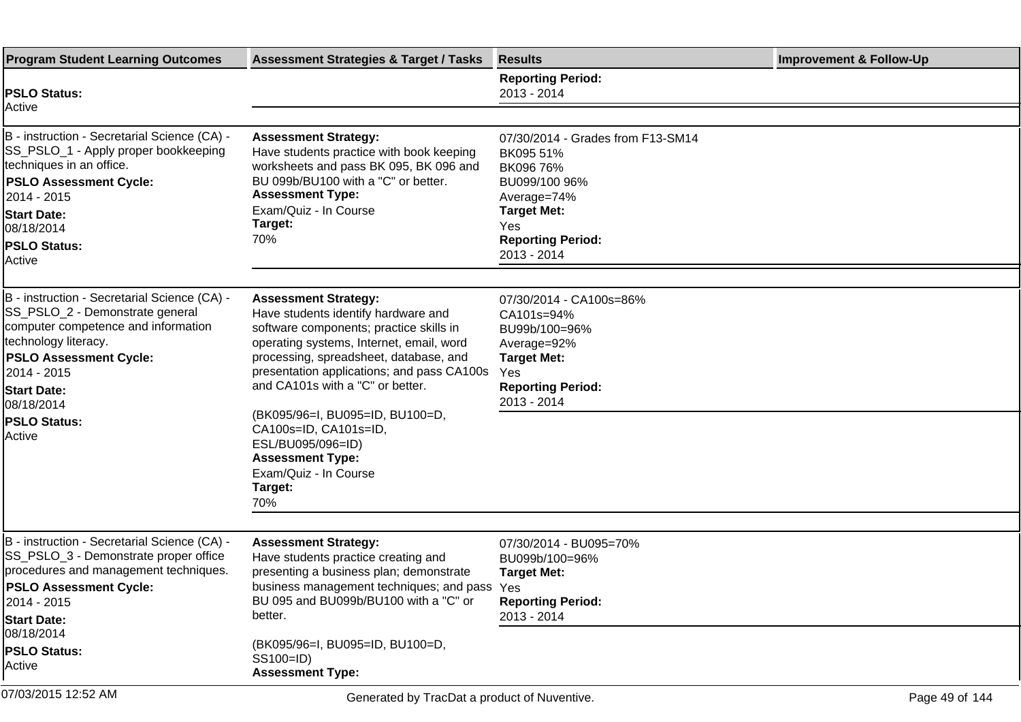| <b>Program Student Learning Outcomes</b>                                                                                                                                                                                                                            | <b>Assessment Strategies &amp; Target / Tasks</b>                                                                                                                                                                                                                                                                                                                                                                                            | <b>Results</b>                                                                                                                                                      | <b>Improvement &amp; Follow-Up</b> |
|---------------------------------------------------------------------------------------------------------------------------------------------------------------------------------------------------------------------------------------------------------------------|----------------------------------------------------------------------------------------------------------------------------------------------------------------------------------------------------------------------------------------------------------------------------------------------------------------------------------------------------------------------------------------------------------------------------------------------|---------------------------------------------------------------------------------------------------------------------------------------------------------------------|------------------------------------|
| <b>PSLO Status:</b>                                                                                                                                                                                                                                                 |                                                                                                                                                                                                                                                                                                                                                                                                                                              | <b>Reporting Period:</b><br>2013 - 2014                                                                                                                             |                                    |
| Active                                                                                                                                                                                                                                                              |                                                                                                                                                                                                                                                                                                                                                                                                                                              |                                                                                                                                                                     |                                    |
| B - instruction - Secretarial Science (CA) -<br>SS_PSLO_1 - Apply proper bookkeeping<br>techniques in an office.<br><b>PSLO Assessment Cycle:</b><br>2014 - 2015<br><b>Start Date:</b><br>08/18/2014<br><b>PSLO Status:</b><br>Active                               | <b>Assessment Strategy:</b><br>Have students practice with book keeping<br>worksheets and pass BK 095, BK 096 and<br>BU 099b/BU100 with a "C" or better.<br><b>Assessment Type:</b><br>Exam/Quiz - In Course<br>Target:<br>70%                                                                                                                                                                                                               | 07/30/2014 - Grades from F13-SM14<br>BK095 51%<br>BK096 76%<br>BU099/100 96%<br>Average=74%<br><b>Target Met:</b><br>Yes<br><b>Reporting Period:</b><br>2013 - 2014 |                                    |
| B - instruction - Secretarial Science (CA) -<br>SS_PSLO_2 - Demonstrate general<br>computer competence and information<br>technology literacy.<br><b>PSLO Assessment Cycle:</b><br>2014 - 2015<br><b>Start Date:</b><br>08/18/2014<br><b>PSLO Status:</b><br>Active | <b>Assessment Strategy:</b><br>Have students identify hardware and<br>software components; practice skills in<br>operating systems, Internet, email, word<br>processing, spreadsheet, database, and<br>presentation applications; and pass CA100s<br>and CA101s with a "C" or better.<br>(BK095/96=I, BU095=ID, BU100=D,<br>CA100s=ID, CA101s=ID,<br>ESL/BU095/096=ID)<br><b>Assessment Type:</b><br>Exam/Quiz - In Course<br>Target:<br>70% | 07/30/2014 - CA100s=86%<br>CA101s=94%<br>BU99b/100=96%<br>Average=92%<br><b>Target Met:</b><br>Yes<br><b>Reporting Period:</b><br>2013 - 2014                       |                                    |
| B - instruction - Secretarial Science (CA) -<br>SS_PSLO_3 - Demonstrate proper office<br>procedures and management techniques.<br><b>PSLO Assessment Cycle:</b><br>2014 - 2015<br><b>Start Date:</b>                                                                | <b>Assessment Strategy:</b><br>Have students practice creating and<br>presenting a business plan; demonstrate<br>business management techniques; and pass Yes<br>BU 095 and BU099b/BU100 with a "C" or<br>better.                                                                                                                                                                                                                            | 07/30/2014 - BU095=70%<br>BU099b/100=96%<br><b>Target Met:</b><br><b>Reporting Period:</b><br>2013 - 2014                                                           |                                    |
| 08/18/2014<br><b>PSLO Status:</b><br>Active                                                                                                                                                                                                                         | (BK095/96=I, BU095=ID, BU100=D,<br>SS100=ID)<br><b>Assessment Type:</b>                                                                                                                                                                                                                                                                                                                                                                      |                                                                                                                                                                     |                                    |
| 07/03/2015 12:52 AM                                                                                                                                                                                                                                                 | Generated by TracDat a product of Nuventive.                                                                                                                                                                                                                                                                                                                                                                                                 |                                                                                                                                                                     | Page 49 of 144                     |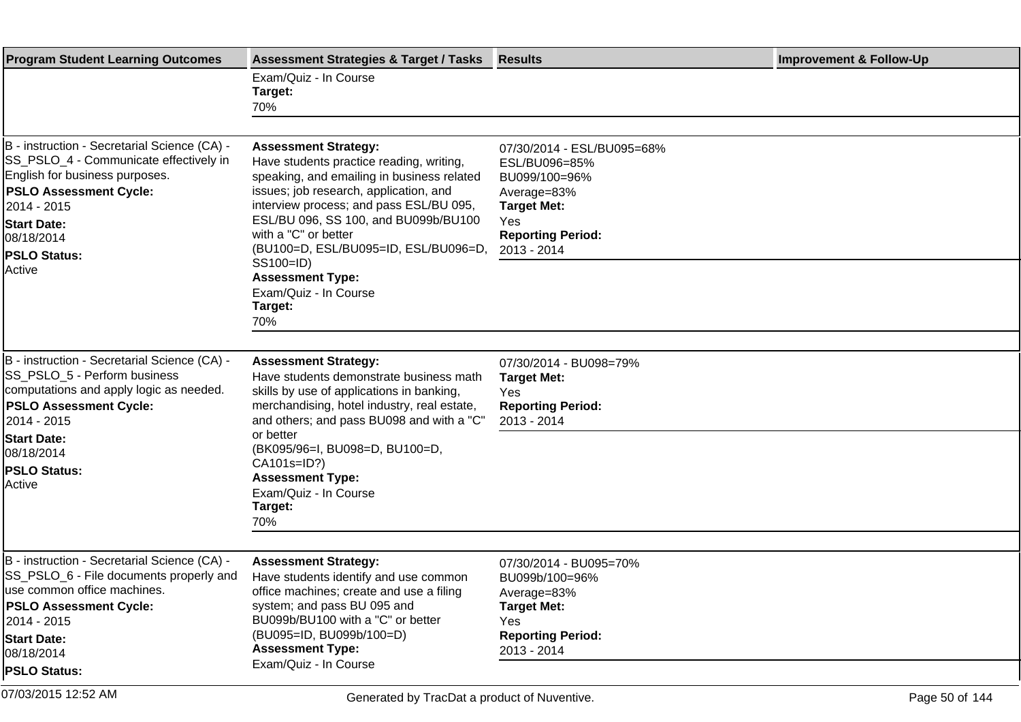| <b>Program Student Learning Outcomes</b>                                                                                                                                                                                                       | <b>Assessment Strategies &amp; Target / Tasks</b>                                                                                                                                                                                                                                                                  | <b>Results</b>                                                                                                                                      | <b>Improvement &amp; Follow-Up</b> |
|------------------------------------------------------------------------------------------------------------------------------------------------------------------------------------------------------------------------------------------------|--------------------------------------------------------------------------------------------------------------------------------------------------------------------------------------------------------------------------------------------------------------------------------------------------------------------|-----------------------------------------------------------------------------------------------------------------------------------------------------|------------------------------------|
|                                                                                                                                                                                                                                                | Exam/Quiz - In Course<br>Target:<br>70%                                                                                                                                                                                                                                                                            |                                                                                                                                                     |                                    |
|                                                                                                                                                                                                                                                |                                                                                                                                                                                                                                                                                                                    |                                                                                                                                                     |                                    |
| B - instruction - Secretarial Science (CA) -<br>SS_PSLO_4 - Communicate effectively in<br>English for business purposes.<br><b>PSLO Assessment Cycle:</b><br>2014 - 2015 <br><b>Start Date:</b><br>08/18/2014<br><b>PSLO Status:</b><br>Active | <b>Assessment Strategy:</b><br>Have students practice reading, writing,<br>speaking, and emailing in business related<br>issues; job research, application, and<br>interview process; and pass ESL/BU 095,<br>ESL/BU 096, SS 100, and BU099b/BU100<br>with a "C" or better<br>(BU100=D, ESL/BU095=ID, ESL/BU096=D, | 07/30/2014 - ESL/BU095=68%<br>ESL/BU096=85%<br>BU099/100=96%<br>Average=83%<br><b>Target Met:</b><br>Yes<br><b>Reporting Period:</b><br>2013 - 2014 |                                    |
|                                                                                                                                                                                                                                                | SS100=ID)<br><b>Assessment Type:</b><br>Exam/Quiz - In Course<br>Target:<br>70%                                                                                                                                                                                                                                    |                                                                                                                                                     |                                    |
|                                                                                                                                                                                                                                                |                                                                                                                                                                                                                                                                                                                    |                                                                                                                                                     |                                    |
| B - instruction - Secretarial Science (CA) -<br><b>SS PSLO 5 - Perform business</b><br>computations and apply logic as needed.<br><b>PSLO Assessment Cycle:</b><br>2014 - 2015                                                                 | <b>Assessment Strategy:</b><br>Have students demonstrate business math<br>skills by use of applications in banking,<br>merchandising, hotel industry, real estate,<br>and others; and pass BU098 and with a "C"                                                                                                    | 07/30/2014 - BU098=79%<br><b>Target Met:</b><br>Yes<br><b>Reporting Period:</b><br>2013 - 2014                                                      |                                    |
| <b>Start Date:</b><br>08/18/2014<br><b>PSLO Status:</b><br>Active                                                                                                                                                                              | or better<br>(BK095/96=I, BU098=D, BU100=D,<br>CA101s=ID?)<br><b>Assessment Type:</b><br>Exam/Quiz - In Course<br>Target:<br>70%                                                                                                                                                                                   |                                                                                                                                                     |                                    |
|                                                                                                                                                                                                                                                |                                                                                                                                                                                                                                                                                                                    |                                                                                                                                                     |                                    |
| B - instruction - Secretarial Science (CA) -<br>SS_PSLO_6 - File documents properly and<br>use common office machines.<br><b>PSLO Assessment Cycle:</b><br>2014 - 2015 <br><b>Start Date:</b><br>08/18/2014                                    | <b>Assessment Strategy:</b><br>Have students identify and use common<br>office machines; create and use a filing<br>system; and pass BU 095 and<br>BU099b/BU100 with a "C" or better<br>(BU095=ID, BU099b/100=D)<br><b>Assessment Type:</b><br>Exam/Quiz - In Course                                               | 07/30/2014 - BU095=70%<br>BU099b/100=96%<br>Average=83%<br><b>Target Met:</b><br>Yes<br><b>Reporting Period:</b><br>2013 - 2014                     |                                    |
| <b>PSLO Status:</b>                                                                                                                                                                                                                            |                                                                                                                                                                                                                                                                                                                    |                                                                                                                                                     |                                    |
| 07/03/2015 12:52 AM                                                                                                                                                                                                                            | Generated by TracDat a product of Nuventive.                                                                                                                                                                                                                                                                       |                                                                                                                                                     | Page 50 of 144                     |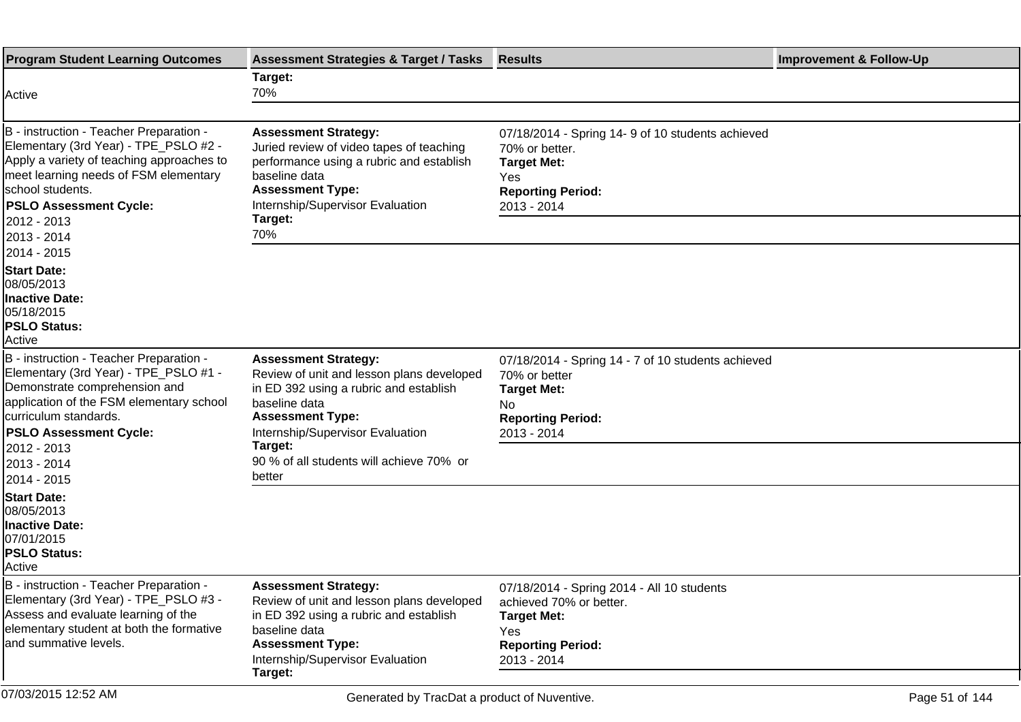| <b>Program Student Learning Outcomes</b>                                                                                                                                                                                                   | <b>Assessment Strategies &amp; Target / Tasks</b>                                                                                                                                                              | <b>Results</b>                                                                                                                                | <b>Improvement &amp; Follow-Up</b> |
|--------------------------------------------------------------------------------------------------------------------------------------------------------------------------------------------------------------------------------------------|----------------------------------------------------------------------------------------------------------------------------------------------------------------------------------------------------------------|-----------------------------------------------------------------------------------------------------------------------------------------------|------------------------------------|
| Active                                                                                                                                                                                                                                     | Target:<br>70%                                                                                                                                                                                                 |                                                                                                                                               |                                    |
|                                                                                                                                                                                                                                            |                                                                                                                                                                                                                |                                                                                                                                               |                                    |
| B - instruction - Teacher Preparation -<br>Elementary (3rd Year) - TPE_PSLO #2 -<br>Apply a variety of teaching approaches to<br>meet learning needs of FSM elementary<br>school students.<br><b>PSLO Assessment Cycle:</b><br>2012 - 2013 | <b>Assessment Strategy:</b><br>Juried review of video tapes of teaching<br>performance using a rubric and establish<br>baseline data<br><b>Assessment Type:</b><br>Internship/Supervisor Evaluation<br>Target: | 07/18/2014 - Spring 14-9 of 10 students achieved<br>70% or better.<br><b>Target Met:</b><br>Yes<br><b>Reporting Period:</b><br>2013 - 2014    |                                    |
| 2013 - 2014                                                                                                                                                                                                                                | 70%                                                                                                                                                                                                            |                                                                                                                                               |                                    |
| 2014 - 2015<br><b>Start Date:</b><br>08/05/2013<br><b>Inactive Date:</b><br>05/18/2015<br><b>PSLO Status:</b><br>Active                                                                                                                    |                                                                                                                                                                                                                |                                                                                                                                               |                                    |
| B - instruction - Teacher Preparation -<br>Elementary (3rd Year) - TPE_PSLO #1 -<br>Demonstrate comprehension and<br>application of the FSM elementary school<br>curriculum standards.<br><b>PSLO Assessment Cycle:</b><br>2012 - 2013     | <b>Assessment Strategy:</b><br>Review of unit and lesson plans developed<br>in ED 392 using a rubric and establish<br>baseline data<br><b>Assessment Type:</b><br>Internship/Supervisor Evaluation<br>Target:  | 07/18/2014 - Spring 14 - 7 of 10 students achieved<br>70% or better<br><b>Target Met:</b><br>No.<br><b>Reporting Period:</b><br>2013 - 2014   |                                    |
| 2013 - 2014                                                                                                                                                                                                                                | 90 % of all students will achieve 70% or<br>better                                                                                                                                                             |                                                                                                                                               |                                    |
| 2014 - 2015<br><b>Start Date:</b><br>08/05/2013<br><b>Inactive Date:</b><br>07/01/2015<br><b>PSLO Status:</b><br>Active                                                                                                                    |                                                                                                                                                                                                                |                                                                                                                                               |                                    |
| B - instruction - Teacher Preparation -<br>Elementary (3rd Year) - TPE_PSLO #3 -<br>Assess and evaluate learning of the<br>elementary student at both the formative<br>and summative levels.                                               | <b>Assessment Strategy:</b><br>Review of unit and lesson plans developed<br>in ED 392 using a rubric and establish<br>baseline data<br><b>Assessment Type:</b><br>Internship/Supervisor Evaluation<br>Target:  | 07/18/2014 - Spring 2014 - All 10 students<br>achieved 70% or better.<br><b>Target Met:</b><br>Yes<br><b>Reporting Period:</b><br>2013 - 2014 |                                    |
| 07/03/2015 12:52 AM                                                                                                                                                                                                                        | Generated by TracDat a product of Nuventive.                                                                                                                                                                   |                                                                                                                                               | Page 51 of 144                     |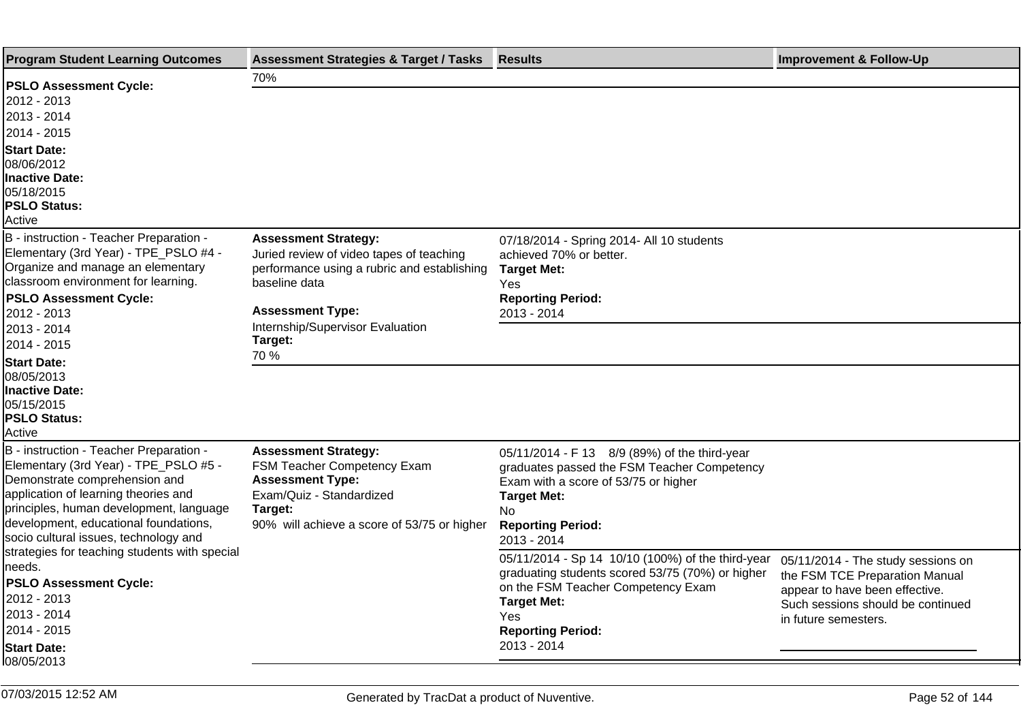| <b>Program Student Learning Outcomes</b>                                                                                                                                                                                                                                               | <b>Assessment Strategies &amp; Target / Tasks</b>                                                                                                                                                                 | <b>Results</b>                                                                                                                                                                                                      | <b>Improvement &amp; Follow-Up</b>                                                                                                                                  |
|----------------------------------------------------------------------------------------------------------------------------------------------------------------------------------------------------------------------------------------------------------------------------------------|-------------------------------------------------------------------------------------------------------------------------------------------------------------------------------------------------------------------|---------------------------------------------------------------------------------------------------------------------------------------------------------------------------------------------------------------------|---------------------------------------------------------------------------------------------------------------------------------------------------------------------|
| <b>PSLO Assessment Cycle:</b><br>2012 - 2013<br>2013 - 2014<br>2014 - 2015<br><b>Start Date:</b><br>08/06/2012<br>Inactive Date:<br>05/18/2015<br><b>PSLO Status:</b><br>Active                                                                                                        | 70%                                                                                                                                                                                                               |                                                                                                                                                                                                                     |                                                                                                                                                                     |
| B - instruction - Teacher Preparation -<br>Elementary (3rd Year) - TPE_PSLO #4 -<br>Organize and manage an elementary<br>classroom environment for learning.<br><b>PSLO Assessment Cycle:</b><br>2012 - 2013<br>2013 - 2014                                                            | <b>Assessment Strategy:</b><br>Juried review of video tapes of teaching<br>performance using a rubric and establishing<br>baseline data<br><b>Assessment Type:</b><br>Internship/Supervisor Evaluation<br>Target: | 07/18/2014 - Spring 2014- All 10 students<br>achieved 70% or better.<br><b>Target Met:</b><br>Yes<br><b>Reporting Period:</b><br>2013 - 2014                                                                        |                                                                                                                                                                     |
| 2014 - 2015<br><b>Start Date:</b><br>08/05/2013<br><b>Inactive Date:</b><br>05/15/2015<br><b>PSLO Status:</b><br>Active                                                                                                                                                                | 70 %                                                                                                                                                                                                              |                                                                                                                                                                                                                     |                                                                                                                                                                     |
| B - instruction - Teacher Preparation -<br>Elementary (3rd Year) - TPE_PSLO #5 -<br>Demonstrate comprehension and<br>application of learning theories and<br>principles, human development, language<br>development, educational foundations,<br>socio cultural issues, technology and | <b>Assessment Strategy:</b><br>FSM Teacher Competency Exam<br><b>Assessment Type:</b><br>Exam/Quiz - Standardized<br>Target:<br>90% will achieve a score of 53/75 or higher                                       | 05/11/2014 - F 13 8/9 (89%) of the third-year<br>graduates passed the FSM Teacher Competency<br>Exam with a score of 53/75 or higher<br><b>Target Met:</b><br>No.<br><b>Reporting Period:</b><br>2013 - 2014        |                                                                                                                                                                     |
| strategies for teaching students with special<br>needs.<br><b>PSLO Assessment Cycle:</b><br>2012 - 2013<br>2013 - 2014<br>2014 - 2015<br><b>Start Date:</b><br>08/05/2013                                                                                                              |                                                                                                                                                                                                                   | 05/11/2014 - Sp 14 10/10 (100%) of the third-year<br>graduating students scored 53/75 (70%) or higher<br>on the FSM Teacher Competency Exam<br><b>Target Met:</b><br>Yes<br><b>Reporting Period:</b><br>2013 - 2014 | 05/11/2014 - The study sessions on<br>the FSM TCE Preparation Manual<br>appear to have been effective.<br>Such sessions should be continued<br>in future semesters. |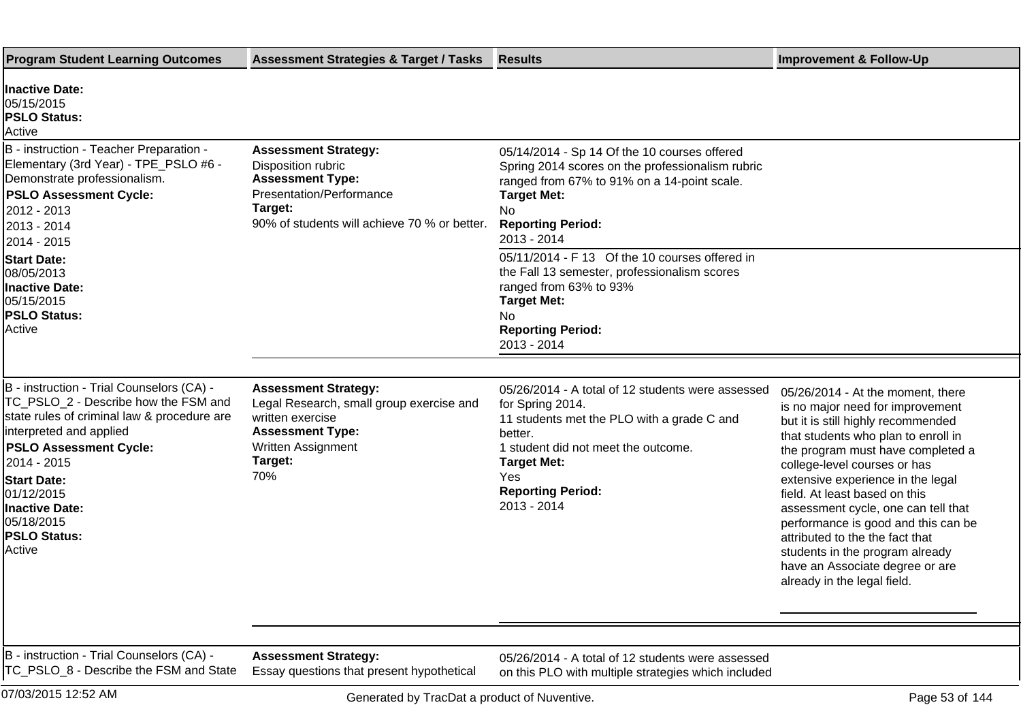| <b>Program Student Learning Outcomes</b>                                                                                                                                                                                                                                                                  | <b>Assessment Strategies &amp; Target / Tasks</b>                                                                                                                     | <b>Results</b>                                                                                                                                                                                                                                | <b>Improvement &amp; Follow-Up</b>                                                                                                                                                                                                                                                                                                                                                                                                                                                                                  |
|-----------------------------------------------------------------------------------------------------------------------------------------------------------------------------------------------------------------------------------------------------------------------------------------------------------|-----------------------------------------------------------------------------------------------------------------------------------------------------------------------|-----------------------------------------------------------------------------------------------------------------------------------------------------------------------------------------------------------------------------------------------|---------------------------------------------------------------------------------------------------------------------------------------------------------------------------------------------------------------------------------------------------------------------------------------------------------------------------------------------------------------------------------------------------------------------------------------------------------------------------------------------------------------------|
| <b>Inactive Date:</b><br>05/15/2015<br><b>PSLO Status:</b><br>Active                                                                                                                                                                                                                                      |                                                                                                                                                                       |                                                                                                                                                                                                                                               |                                                                                                                                                                                                                                                                                                                                                                                                                                                                                                                     |
| B - instruction - Teacher Preparation -<br>Elementary (3rd Year) - TPE_PSLO #6 -<br>Demonstrate professionalism.<br><b>PSLO Assessment Cycle:</b><br>2012 - 2013<br>2013 - 2014<br>2014 - 2015                                                                                                            | <b>Assessment Strategy:</b><br>Disposition rubric<br><b>Assessment Type:</b><br>Presentation/Performance<br>Target:<br>90% of students will achieve 70 % or better.   | 05/14/2014 - Sp 14 Of the 10 courses offered<br>Spring 2014 scores on the professionalism rubric<br>ranged from 67% to 91% on a 14-point scale.<br><b>Target Met:</b><br>No<br><b>Reporting Period:</b><br>2013 - 2014                        |                                                                                                                                                                                                                                                                                                                                                                                                                                                                                                                     |
| <b>Start Date:</b><br>08/05/2013<br><b>Inactive Date:</b><br>05/15/2015<br><b>PSLO Status:</b><br>Active                                                                                                                                                                                                  |                                                                                                                                                                       | 05/11/2014 - F 13 Of the 10 courses offered in<br>the Fall 13 semester, professionalism scores<br>ranged from 63% to 93%<br><b>Target Met:</b><br>No<br><b>Reporting Period:</b><br>2013 - 2014                                               |                                                                                                                                                                                                                                                                                                                                                                                                                                                                                                                     |
| B - instruction - Trial Counselors (CA) -<br>TC_PSLO_2 - Describe how the FSM and<br>state rules of criminal law & procedure are<br>interpreted and applied<br><b>PSLO Assessment Cycle:</b><br>2014 - 2015<br><b>Start Date:</b><br>01/12/2015<br>Inactive Date:<br>05/18/2015<br>PSLO Status:<br>Active | <b>Assessment Strategy:</b><br>Legal Research, small group exercise and<br>written exercise<br><b>Assessment Type:</b><br><b>Written Assignment</b><br>Target:<br>70% | 05/26/2014 - A total of 12 students were assessed<br>for Spring 2014.<br>11 students met the PLO with a grade C and<br>better.<br>1 student did not meet the outcome.<br><b>Target Met:</b><br>Yes<br><b>Reporting Period:</b><br>2013 - 2014 | 05/26/2014 - At the moment, there<br>is no major need for improvement<br>but it is still highly recommended<br>that students who plan to enroll in<br>the program must have completed a<br>college-level courses or has<br>extensive experience in the legal<br>field. At least based on this<br>assessment cycle, one can tell that<br>performance is good and this can be<br>attributed to the the fact that<br>students in the program already<br>have an Associate degree or are<br>already in the legal field. |
| B - instruction - Trial Counselors (CA) -                                                                                                                                                                                                                                                                 | <b>Assessment Strategy:</b>                                                                                                                                           | 05/26/2014 - A total of 12 students were assessed                                                                                                                                                                                             |                                                                                                                                                                                                                                                                                                                                                                                                                                                                                                                     |
| TC_PSLO_8 - Describe the FSM and State                                                                                                                                                                                                                                                                    | Essay questions that present hypothetical                                                                                                                             | on this PLO with multiple strategies which included                                                                                                                                                                                           |                                                                                                                                                                                                                                                                                                                                                                                                                                                                                                                     |
| 07/03/2015 12:52 AM                                                                                                                                                                                                                                                                                       | Generated by TracDat a product of Nuventive.                                                                                                                          |                                                                                                                                                                                                                                               | Page 53 of 144                                                                                                                                                                                                                                                                                                                                                                                                                                                                                                      |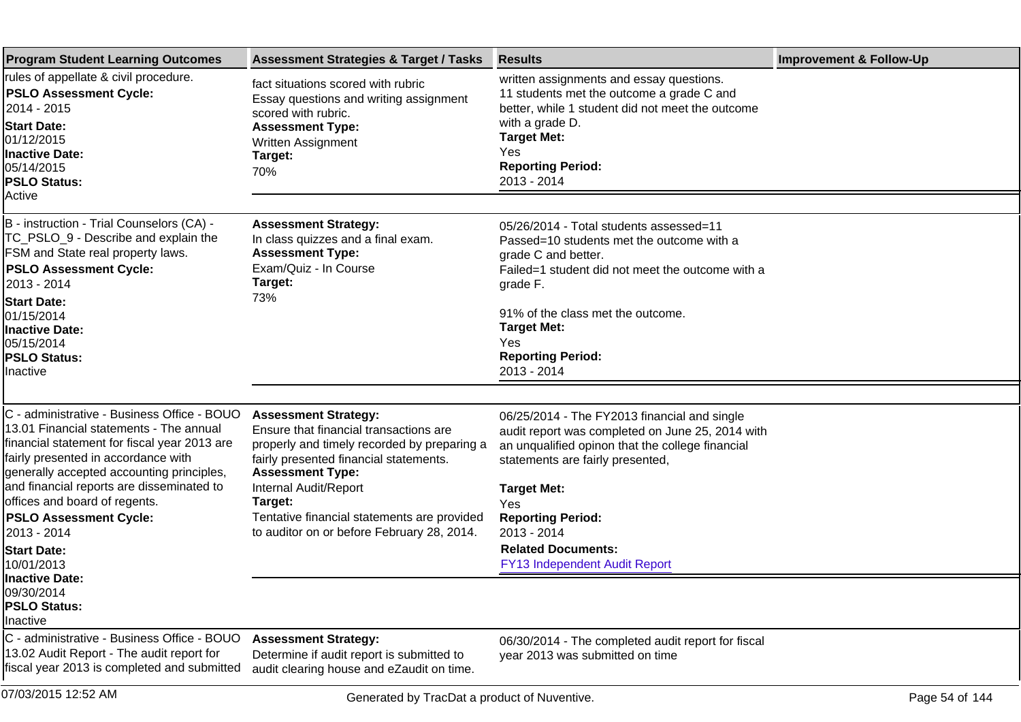| <b>Program Student Learning Outcomes</b>                                                                                                                                                                                                                                                                 | <b>Assessment Strategies &amp; Target / Tasks</b>                                                                                                                                                                             | <b>Results</b>                                                                                                                                                                                                                              | <b>Improvement &amp; Follow-Up</b> |
|----------------------------------------------------------------------------------------------------------------------------------------------------------------------------------------------------------------------------------------------------------------------------------------------------------|-------------------------------------------------------------------------------------------------------------------------------------------------------------------------------------------------------------------------------|---------------------------------------------------------------------------------------------------------------------------------------------------------------------------------------------------------------------------------------------|------------------------------------|
| rules of appellate & civil procedure.<br><b>PSLO Assessment Cycle:</b><br>2014 - 2015<br><b>Start Date:</b><br>01/12/2015<br><b>Inactive Date:</b><br>05/14/2015<br><b>PSLO Status:</b><br>Active                                                                                                        | fact situations scored with rubric<br>Essay questions and writing assignment<br>scored with rubric.<br><b>Assessment Type:</b><br>Written Assignment<br>Target:<br>70%                                                        | written assignments and essay questions.<br>11 students met the outcome a grade C and<br>better, while 1 student did not meet the outcome<br>with a grade D.<br><b>Target Met:</b><br><b>Yes</b><br><b>Reporting Period:</b><br>2013 - 2014 |                                    |
|                                                                                                                                                                                                                                                                                                          |                                                                                                                                                                                                                               |                                                                                                                                                                                                                                             |                                    |
| B - instruction - Trial Counselors (CA) -<br>TC_PSLO_9 - Describe and explain the<br>FSM and State real property laws.<br><b>PSLO Assessment Cycle:</b><br>2013 - 2014                                                                                                                                   | <b>Assessment Strategy:</b><br>In class quizzes and a final exam.<br><b>Assessment Type:</b><br>Exam/Quiz - In Course<br>Target:<br>73%                                                                                       | 05/26/2014 - Total students assessed=11<br>Passed=10 students met the outcome with a<br>grade C and better.<br>Failed=1 student did not meet the outcome with a<br>grade F.                                                                 |                                    |
| <b>Start Date:</b><br>01/15/2014<br><b>Inactive Date:</b><br>05/15/2014<br><b>PSLO Status:</b><br>Inactive                                                                                                                                                                                               |                                                                                                                                                                                                                               | 91% of the class met the outcome.<br><b>Target Met:</b><br>Yes<br><b>Reporting Period:</b><br>2013 - 2014                                                                                                                                   |                                    |
|                                                                                                                                                                                                                                                                                                          |                                                                                                                                                                                                                               |                                                                                                                                                                                                                                             |                                    |
| C - administrative - Business Office - BOUO<br>13.01 Financial statements - The annual<br>financial statement for fiscal year 2013 are<br>fairly presented in accordance with<br>generally accepted accounting principles,<br>and financial reports are disseminated to<br>offices and board of regents. | <b>Assessment Strategy:</b><br>Ensure that financial transactions are<br>properly and timely recorded by preparing a<br>fairly presented financial statements.<br><b>Assessment Type:</b><br>Internal Audit/Report<br>Target: | 06/25/2014 - The FY2013 financial and single<br>audit report was completed on June 25, 2014 with<br>an unqualified opinon that the college financial<br>statements are fairly presented,<br><b>Target Met:</b><br>Yes                       |                                    |
| <b>PSLO Assessment Cycle:</b><br>2013 - 2014                                                                                                                                                                                                                                                             | Tentative financial statements are provided<br>to auditor on or before February 28, 2014.                                                                                                                                     | <b>Reporting Period:</b><br>2013 - 2014                                                                                                                                                                                                     |                                    |
| <b>Start Date:</b><br>10/01/2013<br><b>Inactive Date:</b><br>09/30/2014<br><b>PSLO Status:</b>                                                                                                                                                                                                           |                                                                                                                                                                                                                               | <b>Related Documents:</b><br>FY13 Independent Audit Report                                                                                                                                                                                  |                                    |
| Inactive                                                                                                                                                                                                                                                                                                 |                                                                                                                                                                                                                               |                                                                                                                                                                                                                                             |                                    |
| C - administrative - Business Office - BOUO<br>13.02 Audit Report - The audit report for<br>fiscal year 2013 is completed and submitted                                                                                                                                                                  | <b>Assessment Strategy:</b><br>Determine if audit report is submitted to<br>audit clearing house and eZaudit on time.                                                                                                         | 06/30/2014 - The completed audit report for fiscal<br>year 2013 was submitted on time                                                                                                                                                       |                                    |
| 07/03/2015 12:52 AM                                                                                                                                                                                                                                                                                      | Generated by TracDat a product of Nuventive.                                                                                                                                                                                  |                                                                                                                                                                                                                                             | Page 54 of 144                     |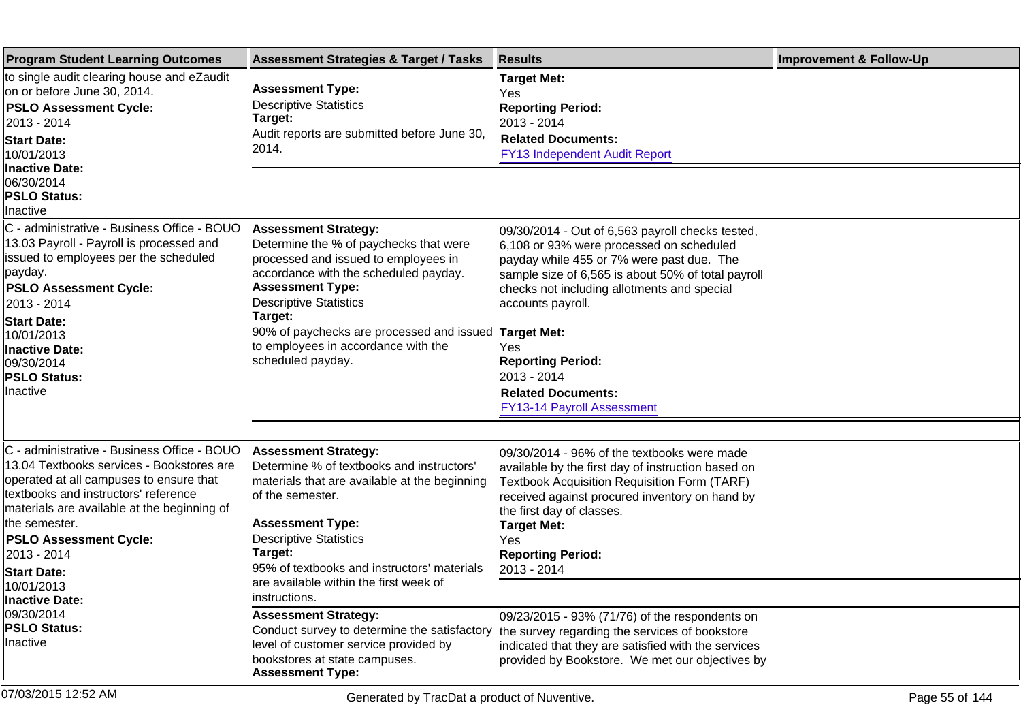| <b>Program Student Learning Outcomes</b>                                                                                                                                                                                                                                                                                                           | <b>Assessment Strategies &amp; Target / Tasks</b>                                                                                                                                                                                                                                                                                      | <b>Results</b>                                                                                                                                                                                                                                                                                                                                                                                                | <b>Improvement &amp; Follow-Up</b> |
|----------------------------------------------------------------------------------------------------------------------------------------------------------------------------------------------------------------------------------------------------------------------------------------------------------------------------------------------------|----------------------------------------------------------------------------------------------------------------------------------------------------------------------------------------------------------------------------------------------------------------------------------------------------------------------------------------|---------------------------------------------------------------------------------------------------------------------------------------------------------------------------------------------------------------------------------------------------------------------------------------------------------------------------------------------------------------------------------------------------------------|------------------------------------|
| to single audit clearing house and eZaudit<br>on or before June 30, 2014.<br><b>PSLO Assessment Cycle:</b><br>2013 - 2014<br><b>Start Date:</b><br>10/01/2013<br><b>Inactive Date:</b>                                                                                                                                                             | <b>Assessment Type:</b><br><b>Descriptive Statistics</b><br>Target:<br>Audit reports are submitted before June 30,<br>2014.                                                                                                                                                                                                            | <b>Target Met:</b><br>Yes<br><b>Reporting Period:</b><br>2013 - 2014<br><b>Related Documents:</b><br>FY13 Independent Audit Report                                                                                                                                                                                                                                                                            |                                    |
| 06/30/2014<br><b>PSLO Status:</b><br>Inactive                                                                                                                                                                                                                                                                                                      |                                                                                                                                                                                                                                                                                                                                        |                                                                                                                                                                                                                                                                                                                                                                                                               |                                    |
| C - administrative - Business Office - BOUO<br>13.03 Payroll - Payroll is processed and<br>issued to employees per the scheduled<br> payday.<br><b>PSLO Assessment Cycle:</b><br>2013 - 2014<br><b>Start Date:</b><br>10/01/2013<br>Inactive Date:<br>09/30/2014<br><b>PSLO Status:</b><br>Inactive                                                | <b>Assessment Strategy:</b><br>Determine the % of paychecks that were<br>processed and issued to employees in<br>accordance with the scheduled payday.<br><b>Assessment Type:</b><br><b>Descriptive Statistics</b><br>Target:<br>90% of paychecks are processed and issued<br>to employees in accordance with the<br>scheduled payday. | 09/30/2014 - Out of 6,563 payroll checks tested,<br>6,108 or 93% were processed on scheduled<br>payday while 455 or 7% were past due. The<br>sample size of 6,565 is about 50% of total payroll<br>checks not including allotments and special<br>accounts payroll.<br><b>Target Met:</b><br><b>Yes</b><br><b>Reporting Period:</b><br>2013 - 2014<br><b>Related Documents:</b><br>FY13-14 Payroll Assessment |                                    |
| C - administrative - Business Office - BOUO<br>13.04 Textbooks services - Bookstores are<br>operated at all campuses to ensure that<br>textbooks and instructors' reference<br>materials are available at the beginning of<br>lthe semester.<br><b>PSLO Assessment Cycle:</b><br>2013 - 2014<br><b>Start Date:</b><br>10/01/2013<br>Inactive Date: | <b>Assessment Strategy:</b><br>Determine % of textbooks and instructors'<br>materials that are available at the beginning<br>of the semester.<br><b>Assessment Type:</b><br><b>Descriptive Statistics</b><br>Target:<br>95% of textbooks and instructors' materials<br>are available within the first week of<br>instructions.         | 09/30/2014 - 96% of the textbooks were made<br>available by the first day of instruction based on<br><b>Textbook Acquisition Requisition Form (TARF)</b><br>received against procured inventory on hand by<br>the first day of classes.<br><b>Target Met:</b><br>Yes<br><b>Reporting Period:</b><br>2013 - 2014                                                                                               |                                    |
| 09/30/2014<br><b>PSLO Status:</b><br>Inactive                                                                                                                                                                                                                                                                                                      | <b>Assessment Strategy:</b><br>Conduct survey to determine the satisfactory<br>level of customer service provided by<br>bookstores at state campuses.<br><b>Assessment Type:</b>                                                                                                                                                       | 09/23/2015 - 93% (71/76) of the respondents on<br>the survey regarding the services of bookstore<br>indicated that they are satisfied with the services<br>provided by Bookstore. We met our objectives by                                                                                                                                                                                                    |                                    |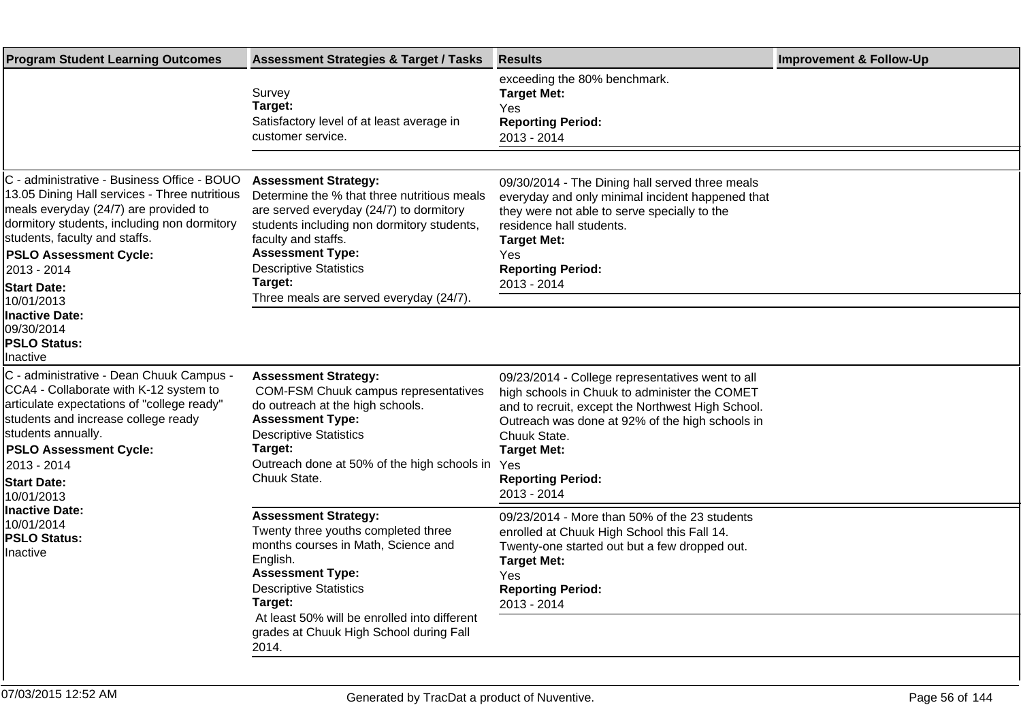| <b>Program Student Learning Outcomes</b>                                                                                                                                                                                                                                                    | <b>Assessment Strategies &amp; Target / Tasks</b>                                                                                                                                                                                                                 | <b>Results</b>                                                                                                                                                                                                                                                                                    | <b>Improvement &amp; Follow-Up</b> |
|---------------------------------------------------------------------------------------------------------------------------------------------------------------------------------------------------------------------------------------------------------------------------------------------|-------------------------------------------------------------------------------------------------------------------------------------------------------------------------------------------------------------------------------------------------------------------|---------------------------------------------------------------------------------------------------------------------------------------------------------------------------------------------------------------------------------------------------------------------------------------------------|------------------------------------|
|                                                                                                                                                                                                                                                                                             | Survey<br>Target:<br>Satisfactory level of at least average in<br>customer service.                                                                                                                                                                               | exceeding the 80% benchmark.<br><b>Target Met:</b><br>Yes<br><b>Reporting Period:</b><br>2013 - 2014                                                                                                                                                                                              |                                    |
|                                                                                                                                                                                                                                                                                             |                                                                                                                                                                                                                                                                   |                                                                                                                                                                                                                                                                                                   |                                    |
| C - administrative - Business Office - BOUO<br>13.05 Dining Hall services - Three nutritious<br>meals everyday (24/7) are provided to<br>dormitory students, including non dormitory<br>students, faculty and staffs.<br><b>PSLO Assessment Cycle:</b><br>2013 - 2014<br><b>Start Date:</b> | <b>Assessment Strategy:</b><br>Determine the % that three nutritious meals<br>are served everyday (24/7) to dormitory<br>students including non dormitory students,<br>faculty and staffs.<br><b>Assessment Type:</b><br><b>Descriptive Statistics</b><br>Target: | 09/30/2014 - The Dining hall served three meals<br>everyday and only minimal incident happened that<br>they were not able to serve specially to the<br>residence hall students.<br><b>Target Met:</b><br>Yes<br><b>Reporting Period:</b><br>2013 - 2014                                           |                                    |
| 10/01/2013                                                                                                                                                                                                                                                                                  | Three meals are served everyday (24/7).                                                                                                                                                                                                                           |                                                                                                                                                                                                                                                                                                   |                                    |
| Inactive Date:<br>09/30/2014<br><b>PSLO Status:</b><br>Inactive                                                                                                                                                                                                                             |                                                                                                                                                                                                                                                                   |                                                                                                                                                                                                                                                                                                   |                                    |
| C - administrative - Dean Chuuk Campus -<br>CCA4 - Collaborate with K-12 system to<br>articulate expectations of "college ready"<br>students and increase college ready<br>students annually.<br><b>PSLO Assessment Cycle:</b><br>2013 - 2014<br><b>Start Date:</b><br>10/01/2013           | <b>Assessment Strategy:</b><br><b>COM-FSM Chuuk campus representatives</b><br>do outreach at the high schools.<br><b>Assessment Type:</b><br><b>Descriptive Statistics</b><br>Target:<br>Outreach done at 50% of the high schools in<br>Chuuk State.              | 09/23/2014 - College representatives went to all<br>high schools in Chuuk to administer the COMET<br>and to recruit, except the Northwest High School.<br>Outreach was done at 92% of the high schools in<br>Chuuk State.<br><b>Target Met:</b><br>Yes<br><b>Reporting Period:</b><br>2013 - 2014 |                                    |
| <b>Inactive Date:</b><br>10/01/2014<br><b>PSLO Status:</b><br>Inactive                                                                                                                                                                                                                      | <b>Assessment Strategy:</b><br>Twenty three youths completed three<br>months courses in Math, Science and<br>English.<br><b>Assessment Type:</b><br><b>Descriptive Statistics</b><br>Target:<br>At least 50% will be enrolled into different                      | 09/23/2014 - More than 50% of the 23 students<br>enrolled at Chuuk High School this Fall 14.<br>Twenty-one started out but a few dropped out.<br><b>Target Met:</b><br>Yes<br><b>Reporting Period:</b><br>2013 - 2014                                                                             |                                    |
|                                                                                                                                                                                                                                                                                             | grades at Chuuk High School during Fall<br>2014.                                                                                                                                                                                                                  |                                                                                                                                                                                                                                                                                                   |                                    |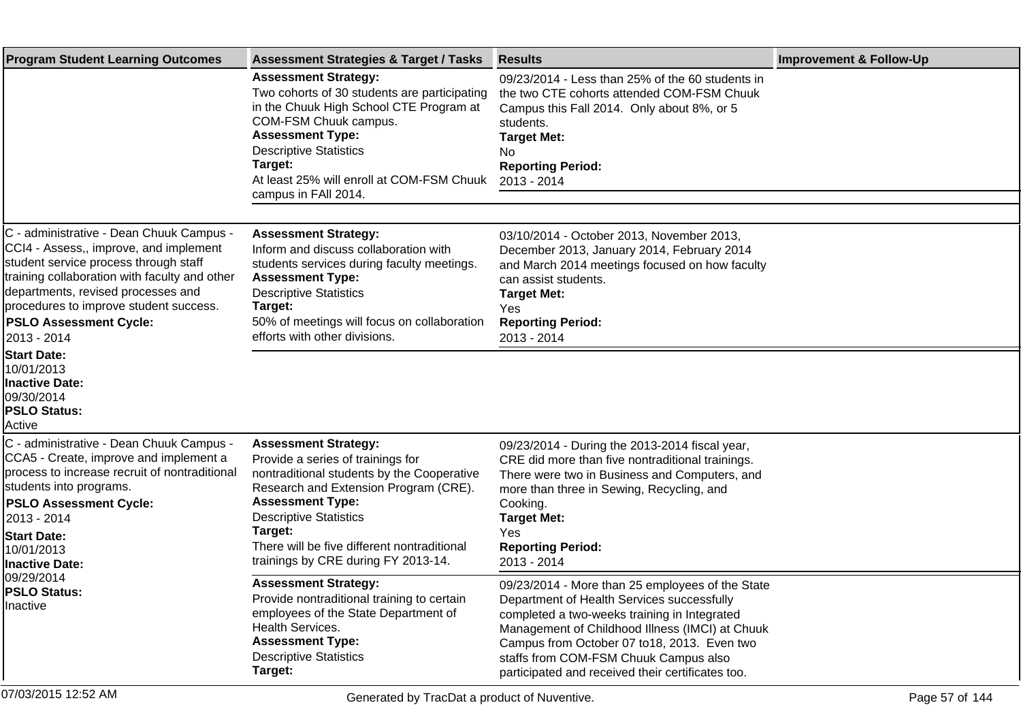| <b>Program Student Learning Outcomes</b>                                                                                                                                                                                                                                                                     | <b>Assessment Strategies &amp; Target / Tasks</b>                                                                                                                                                                                                                                                                    | <b>Results</b>                                                                                                                                                                                                                                                                                                                                 | <b>Improvement &amp; Follow-Up</b> |
|--------------------------------------------------------------------------------------------------------------------------------------------------------------------------------------------------------------------------------------------------------------------------------------------------------------|----------------------------------------------------------------------------------------------------------------------------------------------------------------------------------------------------------------------------------------------------------------------------------------------------------------------|------------------------------------------------------------------------------------------------------------------------------------------------------------------------------------------------------------------------------------------------------------------------------------------------------------------------------------------------|------------------------------------|
|                                                                                                                                                                                                                                                                                                              | <b>Assessment Strategy:</b><br>Two cohorts of 30 students are participating<br>in the Chuuk High School CTE Program at<br>COM-FSM Chuuk campus.<br><b>Assessment Type:</b><br><b>Descriptive Statistics</b><br>Target:<br>At least 25% will enroll at COM-FSM Chuuk<br>campus in FAII 2014.                          | 09/23/2014 - Less than 25% of the 60 students in<br>the two CTE cohorts attended COM-FSM Chuuk<br>Campus this Fall 2014. Only about 8%, or 5<br>students.<br><b>Target Met:</b><br>No.<br><b>Reporting Period:</b><br>2013 - 2014                                                                                                              |                                    |
|                                                                                                                                                                                                                                                                                                              |                                                                                                                                                                                                                                                                                                                      |                                                                                                                                                                                                                                                                                                                                                |                                    |
| C - administrative - Dean Chuuk Campus -<br>CCI4 - Assess,, improve, and implement<br>student service process through staff<br>training collaboration with faculty and other<br>departments, revised processes and<br>procedures to improve student success.<br><b>PSLO Assessment Cycle:</b><br>2013 - 2014 | <b>Assessment Strategy:</b><br>Inform and discuss collaboration with<br>students services during faculty meetings.<br><b>Assessment Type:</b><br><b>Descriptive Statistics</b><br>Target:<br>50% of meetings will focus on collaboration<br>efforts with other divisions.                                            | 03/10/2014 - October 2013, November 2013,<br>December 2013, January 2014, February 2014<br>and March 2014 meetings focused on how faculty<br>can assist students.<br><b>Target Met:</b><br>Yes<br><b>Reporting Period:</b><br>2013 - 2014                                                                                                      |                                    |
| <b>Start Date:</b><br>10/01/2013<br><b>Inactive Date:</b><br>09/30/2014<br><b>PSLO Status:</b><br>Active                                                                                                                                                                                                     |                                                                                                                                                                                                                                                                                                                      |                                                                                                                                                                                                                                                                                                                                                |                                    |
| C - administrative - Dean Chuuk Campus -<br>CCA5 - Create, improve and implement a<br>process to increase recruit of nontraditional<br>students into programs.<br><b>PSLO Assessment Cycle:</b><br>2013 - 2014<br><b>Start Date:</b><br>10/01/2013<br><b>Inactive Date:</b>                                  | <b>Assessment Strategy:</b><br>Provide a series of trainings for<br>nontraditional students by the Cooperative<br>Research and Extension Program (CRE).<br><b>Assessment Type:</b><br><b>Descriptive Statistics</b><br>Target:<br>There will be five different nontraditional<br>trainings by CRE during FY 2013-14. | 09/23/2014 - During the 2013-2014 fiscal year,<br>CRE did more than five nontraditional trainings.<br>There were two in Business and Computers, and<br>more than three in Sewing, Recycling, and<br>Cooking.<br><b>Target Met:</b><br>Yes<br><b>Reporting Period:</b><br>2013 - 2014                                                           |                                    |
| 09/29/2014<br><b>PSLO Status:</b><br><b>Inactive</b>                                                                                                                                                                                                                                                         | <b>Assessment Strategy:</b><br>Provide nontraditional training to certain<br>employees of the State Department of<br>Health Services.<br><b>Assessment Type:</b><br><b>Descriptive Statistics</b><br>Target:                                                                                                         | 09/23/2014 - More than 25 employees of the State<br>Department of Health Services successfully<br>completed a two-weeks training in Integrated<br>Management of Childhood Illness (IMCI) at Chuuk<br>Campus from October 07 to18, 2013. Even two<br>staffs from COM-FSM Chuuk Campus also<br>participated and received their certificates too. |                                    |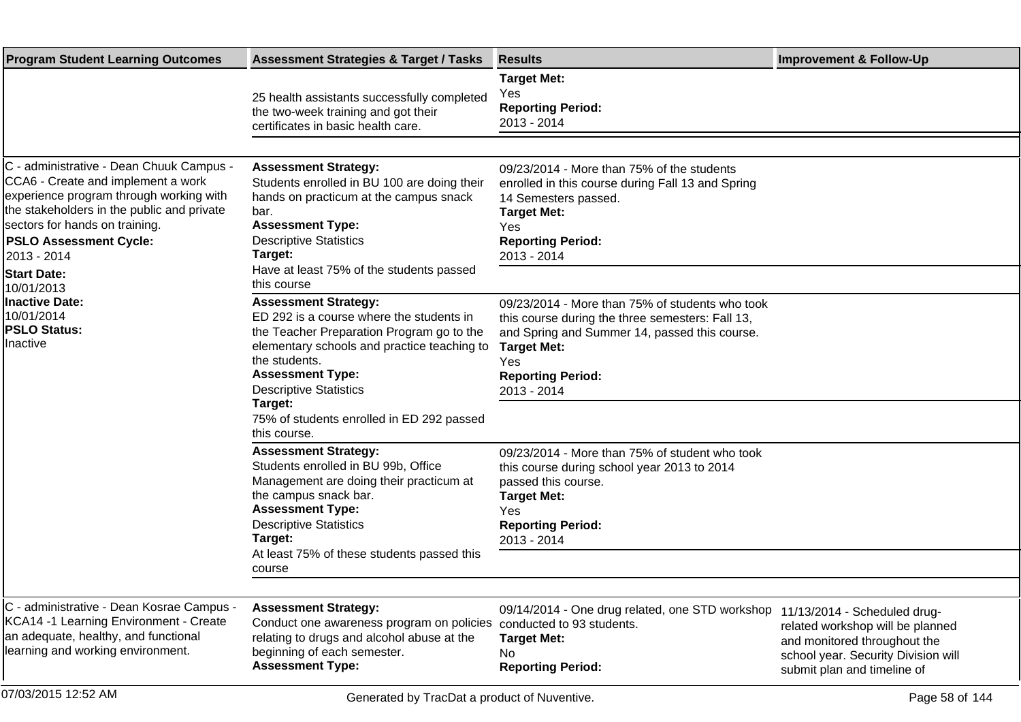| <b>Program Student Learning Outcomes</b>                                                                                                                                                                                                                                                                                                                                | <b>Assessment Strategies &amp; Target / Tasks</b>                                                                                                                                                                                                              | <b>Results</b>                                                                                                                                                                                                                      | <b>Improvement &amp; Follow-Up</b>                                                                                                                                     |
|-------------------------------------------------------------------------------------------------------------------------------------------------------------------------------------------------------------------------------------------------------------------------------------------------------------------------------------------------------------------------|----------------------------------------------------------------------------------------------------------------------------------------------------------------------------------------------------------------------------------------------------------------|-------------------------------------------------------------------------------------------------------------------------------------------------------------------------------------------------------------------------------------|------------------------------------------------------------------------------------------------------------------------------------------------------------------------|
|                                                                                                                                                                                                                                                                                                                                                                         | 25 health assistants successfully completed<br>the two-week training and got their<br>certificates in basic health care.                                                                                                                                       | <b>Target Met:</b><br><b>Yes</b><br><b>Reporting Period:</b><br>2013 - 2014                                                                                                                                                         |                                                                                                                                                                        |
|                                                                                                                                                                                                                                                                                                                                                                         |                                                                                                                                                                                                                                                                |                                                                                                                                                                                                                                     |                                                                                                                                                                        |
| C - administrative - Dean Chuuk Campus -<br>CCA6 - Create and implement a work<br>experience program through working with<br>the stakeholders in the public and private<br>sectors for hands on training.<br><b>PSLO Assessment Cycle:</b><br>2013 - 2014<br><b>Start Date:</b><br>10/01/2013<br><b>Inactive Date:</b><br>10/01/2014<br><b>PSLO Status:</b><br>Inactive | <b>Assessment Strategy:</b><br>Students enrolled in BU 100 are doing their<br>hands on practicum at the campus snack<br>bar.<br><b>Assessment Type:</b><br><b>Descriptive Statistics</b><br>Target:<br>Have at least 75% of the students passed<br>this course | 09/23/2014 - More than 75% of the students<br>enrolled in this course during Fall 13 and Spring<br>14 Semesters passed.<br><b>Target Met:</b><br>Yes<br><b>Reporting Period:</b><br>2013 - 2014                                     |                                                                                                                                                                        |
|                                                                                                                                                                                                                                                                                                                                                                         | <b>Assessment Strategy:</b><br>ED 292 is a course where the students in<br>the Teacher Preparation Program go to the<br>elementary schools and practice teaching to<br>the students.<br><b>Assessment Type:</b><br><b>Descriptive Statistics</b><br>Target:    | 09/23/2014 - More than 75% of students who took<br>this course during the three semesters: Fall 13,<br>and Spring and Summer 14, passed this course.<br><b>Target Met:</b><br><b>Yes</b><br><b>Reporting Period:</b><br>2013 - 2014 |                                                                                                                                                                        |
|                                                                                                                                                                                                                                                                                                                                                                         | 75% of students enrolled in ED 292 passed<br>this course.                                                                                                                                                                                                      |                                                                                                                                                                                                                                     |                                                                                                                                                                        |
|                                                                                                                                                                                                                                                                                                                                                                         | <b>Assessment Strategy:</b><br>Students enrolled in BU 99b, Office<br>Management are doing their practicum at<br>the campus snack bar.<br><b>Assessment Type:</b><br><b>Descriptive Statistics</b><br>Target:<br>At least 75% of these students passed this    | 09/23/2014 - More than 75% of student who took<br>this course during school year 2013 to 2014<br>passed this course.<br><b>Target Met:</b><br>Yes<br><b>Reporting Period:</b><br>2013 - 2014                                        |                                                                                                                                                                        |
|                                                                                                                                                                                                                                                                                                                                                                         | course                                                                                                                                                                                                                                                         |                                                                                                                                                                                                                                     |                                                                                                                                                                        |
| C - administrative - Dean Kosrae Campus -<br>KCA14 -1 Learning Environment - Create<br>an adequate, healthy, and functional<br>learning and working environment.                                                                                                                                                                                                        | <b>Assessment Strategy:</b><br>Conduct one awareness program on policies<br>relating to drugs and alcohol abuse at the<br>beginning of each semester.<br><b>Assessment Type:</b>                                                                               | 09/14/2014 - One drug related, one STD workshop<br>conducted to 93 students.<br><b>Target Met:</b><br>No<br><b>Reporting Period:</b>                                                                                                | 11/13/2014 - Scheduled drug-<br>related workshop will be planned<br>and monitored throughout the<br>school year. Security Division will<br>submit plan and timeline of |
| 07/03/2015 12:52 AM                                                                                                                                                                                                                                                                                                                                                     | Generated by TracDat a product of Nuventive.                                                                                                                                                                                                                   |                                                                                                                                                                                                                                     | Page 58 of 144                                                                                                                                                         |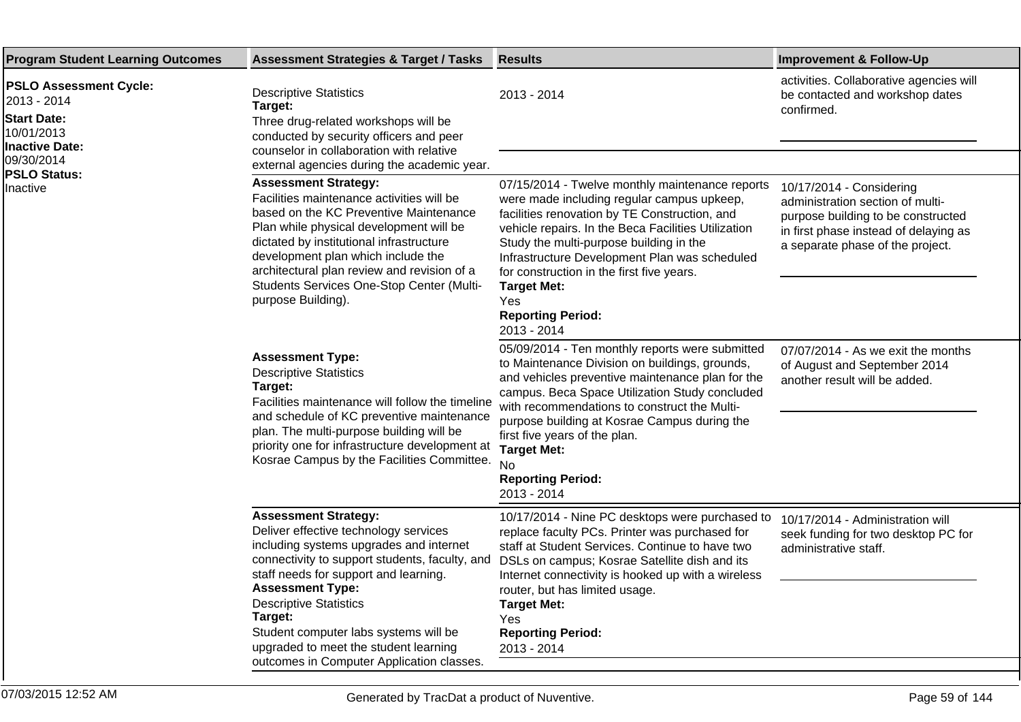| <b>Program Student Learning Outcomes</b>                                                                                                            | <b>Assessment Strategies &amp; Target / Tasks</b>                                                                                                                                                                                                                                                                                                                                                                | <b>Results</b>                                                                                                                                                                                                                                                                                                                                                                                                         | <b>Improvement &amp; Follow-Up</b>                                                                                                                                              |
|-----------------------------------------------------------------------------------------------------------------------------------------------------|------------------------------------------------------------------------------------------------------------------------------------------------------------------------------------------------------------------------------------------------------------------------------------------------------------------------------------------------------------------------------------------------------------------|------------------------------------------------------------------------------------------------------------------------------------------------------------------------------------------------------------------------------------------------------------------------------------------------------------------------------------------------------------------------------------------------------------------------|---------------------------------------------------------------------------------------------------------------------------------------------------------------------------------|
| <b>PSLO Assessment Cycle:</b><br>2013 - 2014<br><b>Start Date:</b><br>10/01/2013<br>Inactive Date:<br>09/30/2014<br><b>PSLO Status:</b><br>Inactive | <b>Descriptive Statistics</b><br>Target:<br>Three drug-related workshops will be<br>conducted by security officers and peer<br>counselor in collaboration with relative                                                                                                                                                                                                                                          | 2013 - 2014                                                                                                                                                                                                                                                                                                                                                                                                            | activities. Collaborative agencies will<br>be contacted and workshop dates<br>confirmed.                                                                                        |
|                                                                                                                                                     | external agencies during the academic year.<br><b>Assessment Strategy:</b><br>Facilities maintenance activities will be<br>based on the KC Preventive Maintenance<br>Plan while physical development will be<br>dictated by institutional infrastructure<br>development plan which include the<br>architectural plan review and revision of a<br>Students Services One-Stop Center (Multi-<br>purpose Building). | 07/15/2014 - Twelve monthly maintenance reports<br>were made including regular campus upkeep,<br>facilities renovation by TE Construction, and<br>vehicle repairs. In the Beca Facilities Utilization<br>Study the multi-purpose building in the<br>Infrastructure Development Plan was scheduled<br>for construction in the first five years.<br><b>Target Met:</b><br>Yes<br><b>Reporting Period:</b><br>2013 - 2014 | 10/17/2014 - Considering<br>administration section of multi-<br>purpose building to be constructed<br>in first phase instead of delaying as<br>a separate phase of the project. |
|                                                                                                                                                     | <b>Assessment Type:</b><br><b>Descriptive Statistics</b><br>Target:<br>Facilities maintenance will follow the timeline<br>and schedule of KC preventive maintenance<br>plan. The multi-purpose building will be<br>priority one for infrastructure development at<br>Kosrae Campus by the Facilities Committee.                                                                                                  | 05/09/2014 - Ten monthly reports were submitted<br>to Maintenance Division on buildings, grounds,<br>and vehicles preventive maintenance plan for the<br>campus. Beca Space Utilization Study concluded<br>with recommendations to construct the Multi-<br>purpose building at Kosrae Campus during the<br>first five years of the plan.<br><b>Target Met:</b><br><b>No</b><br><b>Reporting Period:</b><br>2013 - 2014 | 07/07/2014 - As we exit the months<br>of August and September 2014<br>another result will be added.                                                                             |
|                                                                                                                                                     | <b>Assessment Strategy:</b><br>Deliver effective technology services<br>including systems upgrades and internet<br>connectivity to support students, faculty, and<br>staff needs for support and learning.<br><b>Assessment Type:</b><br><b>Descriptive Statistics</b><br>Target:<br>Student computer labs systems will be<br>upgraded to meet the student learning<br>outcomes in Computer Application classes. | 10/17/2014 - Nine PC desktops were purchased to<br>replace faculty PCs. Printer was purchased for<br>staff at Student Services. Continue to have two<br>DSLs on campus; Kosrae Satellite dish and its<br>Internet connectivity is hooked up with a wireless<br>router, but has limited usage.<br><b>Target Met:</b><br>Yes<br><b>Reporting Period:</b><br>2013 - 2014                                                  | 10/17/2014 - Administration will<br>seek funding for two desktop PC for<br>administrative staff.                                                                                |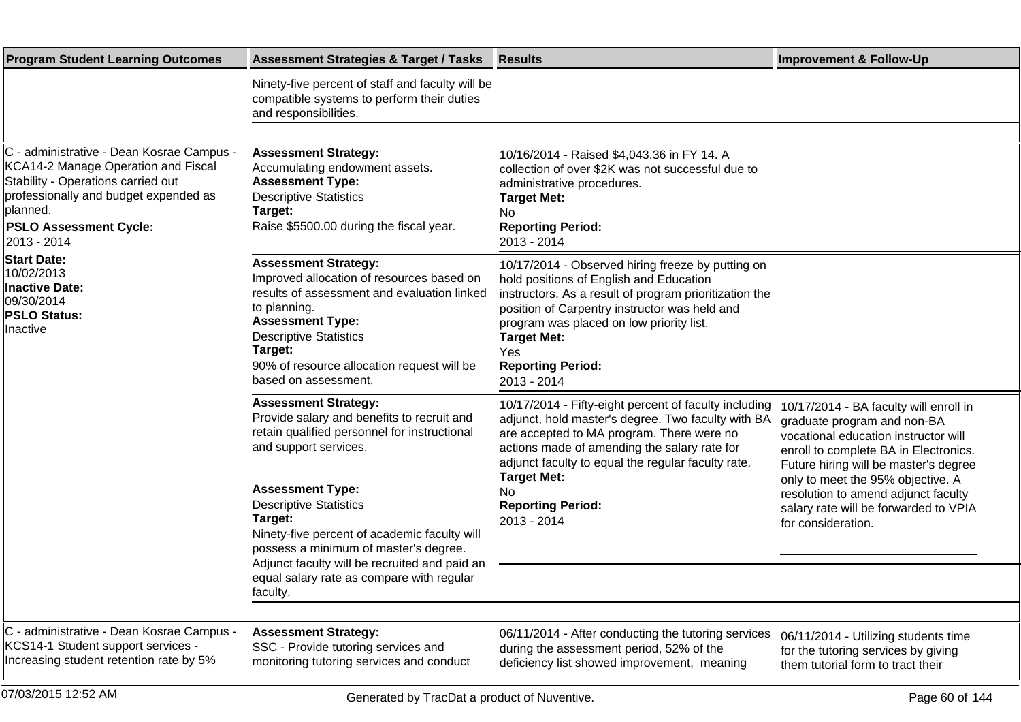| <b>Program Student Learning Outcomes</b>                                                                                                                                                                                    | <b>Assessment Strategies &amp; Target / Tasks</b>                                                                                                                                                                                                                                                                                                                                                                            | <b>Results</b>                                                                                                                                                                                                                                                                                                                         | <b>Improvement &amp; Follow-Up</b>                                                                                                                                                                                                                                                                                                         |
|-----------------------------------------------------------------------------------------------------------------------------------------------------------------------------------------------------------------------------|------------------------------------------------------------------------------------------------------------------------------------------------------------------------------------------------------------------------------------------------------------------------------------------------------------------------------------------------------------------------------------------------------------------------------|----------------------------------------------------------------------------------------------------------------------------------------------------------------------------------------------------------------------------------------------------------------------------------------------------------------------------------------|--------------------------------------------------------------------------------------------------------------------------------------------------------------------------------------------------------------------------------------------------------------------------------------------------------------------------------------------|
|                                                                                                                                                                                                                             | Ninety-five percent of staff and faculty will be<br>compatible systems to perform their duties<br>and responsibilities.                                                                                                                                                                                                                                                                                                      |                                                                                                                                                                                                                                                                                                                                        |                                                                                                                                                                                                                                                                                                                                            |
|                                                                                                                                                                                                                             |                                                                                                                                                                                                                                                                                                                                                                                                                              |                                                                                                                                                                                                                                                                                                                                        |                                                                                                                                                                                                                                                                                                                                            |
| C - administrative - Dean Kosrae Campus -<br>KCA14-2 Manage Operation and Fiscal<br>Stability - Operations carried out<br>professionally and budget expended as<br>planned.<br><b>PSLO Assessment Cycle:</b><br>2013 - 2014 | <b>Assessment Strategy:</b><br>Accumulating endowment assets.<br><b>Assessment Type:</b><br><b>Descriptive Statistics</b><br>Target:<br>Raise \$5500.00 during the fiscal year.                                                                                                                                                                                                                                              | 10/16/2014 - Raised \$4,043.36 in FY 14. A<br>collection of over \$2K was not successful due to<br>administrative procedures.<br><b>Target Met:</b><br>No<br><b>Reporting Period:</b><br>2013 - 2014                                                                                                                                   |                                                                                                                                                                                                                                                                                                                                            |
| <b>Start Date:</b><br>10/02/2013<br><b>Inactive Date:</b><br>09/30/2014<br><b>PSLO Status:</b><br>Inactive                                                                                                                  | <b>Assessment Strategy:</b><br>Improved allocation of resources based on<br>results of assessment and evaluation linked<br>to planning.<br><b>Assessment Type:</b><br><b>Descriptive Statistics</b><br>Target:<br>90% of resource allocation request will be<br>based on assessment.                                                                                                                                         | 10/17/2014 - Observed hiring freeze by putting on<br>hold positions of English and Education<br>instructors. As a result of program prioritization the<br>position of Carpentry instructor was held and<br>program was placed on low priority list.<br><b>Target Met:</b><br>Yes<br><b>Reporting Period:</b><br>2013 - 2014            |                                                                                                                                                                                                                                                                                                                                            |
|                                                                                                                                                                                                                             | <b>Assessment Strategy:</b><br>Provide salary and benefits to recruit and<br>retain qualified personnel for instructional<br>and support services.<br><b>Assessment Type:</b><br><b>Descriptive Statistics</b><br>Target:<br>Ninety-five percent of academic faculty will<br>possess a minimum of master's degree.<br>Adjunct faculty will be recruited and paid an<br>equal salary rate as compare with regular<br>faculty. | 10/17/2014 - Fifty-eight percent of faculty including<br>adjunct, hold master's degree. Two faculty with BA<br>are accepted to MA program. There were no<br>actions made of amending the salary rate for<br>adjunct faculty to equal the regular faculty rate.<br><b>Target Met:</b><br>No.<br><b>Reporting Period:</b><br>2013 - 2014 | 10/17/2014 - BA faculty will enroll in<br>graduate program and non-BA<br>vocational education instructor will<br>enroll to complete BA in Electronics.<br>Future hiring will be master's degree<br>only to meet the 95% objective. A<br>resolution to amend adjunct faculty<br>salary rate will be forwarded to VPIA<br>for consideration. |
|                                                                                                                                                                                                                             |                                                                                                                                                                                                                                                                                                                                                                                                                              |                                                                                                                                                                                                                                                                                                                                        |                                                                                                                                                                                                                                                                                                                                            |
| C - administrative - Dean Kosrae Campus -<br>KCS14-1 Student support services -<br>Increasing student retention rate by 5%                                                                                                  | <b>Assessment Strategy:</b><br>SSC - Provide tutoring services and<br>monitoring tutoring services and conduct                                                                                                                                                                                                                                                                                                               | 06/11/2014 - After conducting the tutoring services<br>during the assessment period, 52% of the<br>deficiency list showed improvement, meaning                                                                                                                                                                                         | 06/11/2014 - Utilizing students time<br>for the tutoring services by giving<br>them tutorial form to tract their                                                                                                                                                                                                                           |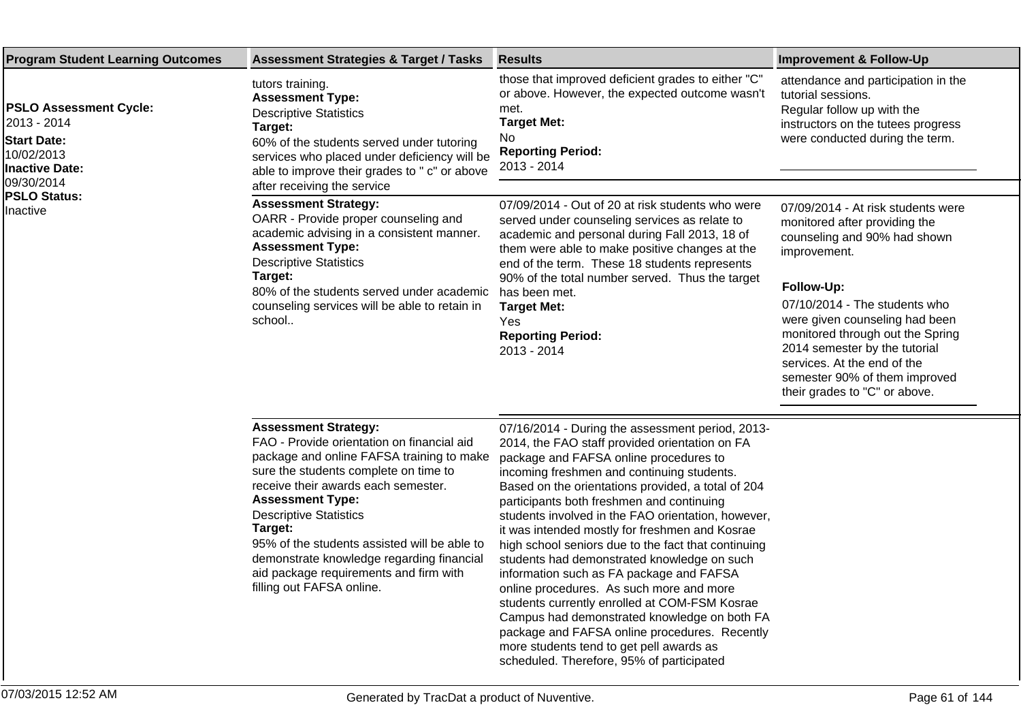| <b>Program Student Learning Outcomes</b>                                                                                                                   | <b>Assessment Strategies &amp; Target / Tasks</b>                                                                                                                                                                                                                                                                                                                                                                                                 | <b>Results</b>                                                                                                                                                                                                                                                                                                                                                                                                                                                                                                                                                                                                                                                                                                                                                                                                                                 | <b>Improvement &amp; Follow-Up</b>                                                                                                                                                                                                                                                                                                                                         |
|------------------------------------------------------------------------------------------------------------------------------------------------------------|---------------------------------------------------------------------------------------------------------------------------------------------------------------------------------------------------------------------------------------------------------------------------------------------------------------------------------------------------------------------------------------------------------------------------------------------------|------------------------------------------------------------------------------------------------------------------------------------------------------------------------------------------------------------------------------------------------------------------------------------------------------------------------------------------------------------------------------------------------------------------------------------------------------------------------------------------------------------------------------------------------------------------------------------------------------------------------------------------------------------------------------------------------------------------------------------------------------------------------------------------------------------------------------------------------|----------------------------------------------------------------------------------------------------------------------------------------------------------------------------------------------------------------------------------------------------------------------------------------------------------------------------------------------------------------------------|
| <b>PSLO Assessment Cycle:</b><br>2013 - 2014<br><b>Start Date:</b><br>10/02/2013<br><b>Inactive Date:</b><br>09/30/2014<br><b>PSLO Status:</b><br>Inactive | tutors training.<br><b>Assessment Type:</b><br><b>Descriptive Statistics</b><br>Target:<br>60% of the students served under tutoring<br>services who placed under deficiency will be<br>able to improve their grades to " c" or above<br>after receiving the service                                                                                                                                                                              | those that improved deficient grades to either "C"<br>or above. However, the expected outcome wasn't<br>met.<br><b>Target Met:</b><br>No.<br><b>Reporting Period:</b><br>2013 - 2014                                                                                                                                                                                                                                                                                                                                                                                                                                                                                                                                                                                                                                                           | attendance and participation in the<br>tutorial sessions.<br>Regular follow up with the<br>instructors on the tutees progress<br>were conducted during the term.                                                                                                                                                                                                           |
|                                                                                                                                                            | <b>Assessment Strategy:</b><br>OARR - Provide proper counseling and<br>academic advising in a consistent manner.<br><b>Assessment Type:</b><br><b>Descriptive Statistics</b><br>Target:<br>80% of the students served under academic<br>counseling services will be able to retain in<br>school                                                                                                                                                   | 07/09/2014 - Out of 20 at risk students who were<br>served under counseling services as relate to<br>academic and personal during Fall 2013, 18 of<br>them were able to make positive changes at the<br>end of the term. These 18 students represents<br>90% of the total number served. Thus the target<br>has been met.<br><b>Target Met:</b><br>Yes<br><b>Reporting Period:</b><br>2013 - 2014                                                                                                                                                                                                                                                                                                                                                                                                                                              | 07/09/2014 - At risk students were<br>monitored after providing the<br>counseling and 90% had shown<br>improvement.<br>Follow-Up:<br>07/10/2014 - The students who<br>were given counseling had been<br>monitored through out the Spring<br>2014 semester by the tutorial<br>services. At the end of the<br>semester 90% of them improved<br>their grades to "C" or above. |
|                                                                                                                                                            | <b>Assessment Strategy:</b><br>FAO - Provide orientation on financial aid<br>package and online FAFSA training to make<br>sure the students complete on time to<br>receive their awards each semester.<br><b>Assessment Type:</b><br><b>Descriptive Statistics</b><br>Target:<br>95% of the students assisted will be able to<br>demonstrate knowledge regarding financial<br>aid package requirements and firm with<br>filling out FAFSA online. | 07/16/2014 - During the assessment period, 2013-<br>2014, the FAO staff provided orientation on FA<br>package and FAFSA online procedures to<br>incoming freshmen and continuing students.<br>Based on the orientations provided, a total of 204<br>participants both freshmen and continuing<br>students involved in the FAO orientation, however,<br>it was intended mostly for freshmen and Kosrae<br>high school seniors due to the fact that continuing<br>students had demonstrated knowledge on such<br>information such as FA package and FAFSA<br>online procedures. As such more and more<br>students currently enrolled at COM-FSM Kosrae<br>Campus had demonstrated knowledge on both FA<br>package and FAFSA online procedures. Recently<br>more students tend to get pell awards as<br>scheduled. Therefore, 95% of participated |                                                                                                                                                                                                                                                                                                                                                                            |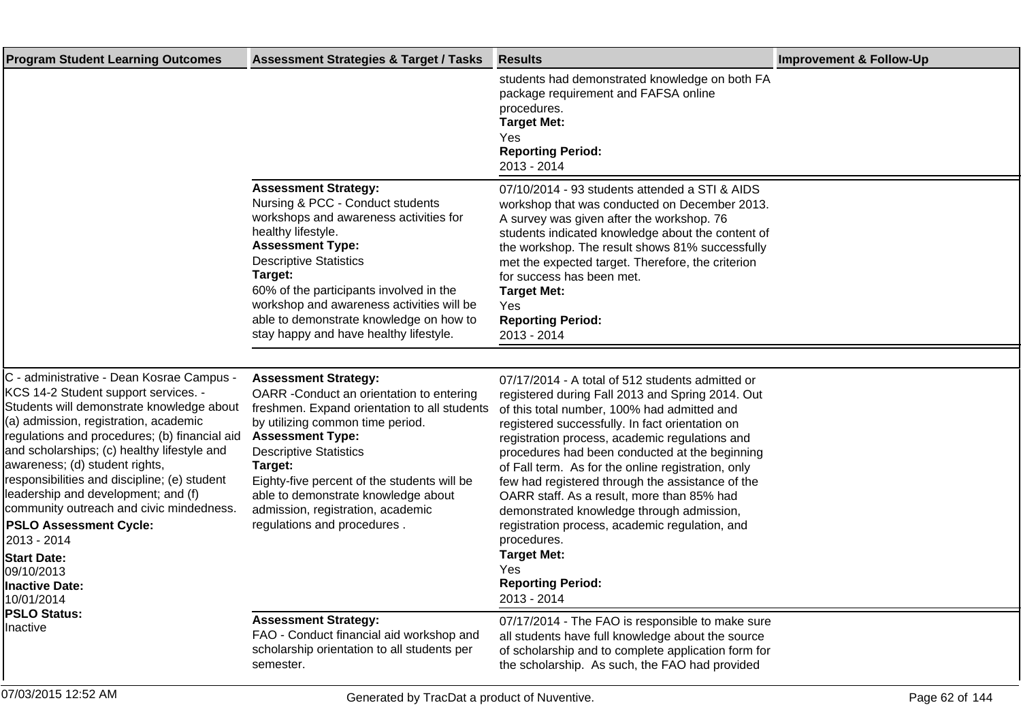| <b>Program Student Learning Outcomes</b>                                                                                                                                                                                                                                                                                                                                                                                                                                                                                                                                | <b>Assessment Strategies &amp; Target / Tasks</b>                                                                                                                                                                                                                                                                                                                                             | <b>Results</b>                                                                                                                                                                                                                                                                                                                                                                                                                                                                                                                                                                                                                                           | <b>Improvement &amp; Follow-Up</b> |
|-------------------------------------------------------------------------------------------------------------------------------------------------------------------------------------------------------------------------------------------------------------------------------------------------------------------------------------------------------------------------------------------------------------------------------------------------------------------------------------------------------------------------------------------------------------------------|-----------------------------------------------------------------------------------------------------------------------------------------------------------------------------------------------------------------------------------------------------------------------------------------------------------------------------------------------------------------------------------------------|----------------------------------------------------------------------------------------------------------------------------------------------------------------------------------------------------------------------------------------------------------------------------------------------------------------------------------------------------------------------------------------------------------------------------------------------------------------------------------------------------------------------------------------------------------------------------------------------------------------------------------------------------------|------------------------------------|
|                                                                                                                                                                                                                                                                                                                                                                                                                                                                                                                                                                         |                                                                                                                                                                                                                                                                                                                                                                                               | students had demonstrated knowledge on both FA<br>package requirement and FAFSA online<br>procedures.<br><b>Target Met:</b><br><b>Yes</b><br><b>Reporting Period:</b><br>2013 - 2014                                                                                                                                                                                                                                                                                                                                                                                                                                                                     |                                    |
|                                                                                                                                                                                                                                                                                                                                                                                                                                                                                                                                                                         | <b>Assessment Strategy:</b><br>Nursing & PCC - Conduct students<br>workshops and awareness activities for<br>healthy lifestyle.<br><b>Assessment Type:</b><br><b>Descriptive Statistics</b><br>Target:<br>60% of the participants involved in the<br>workshop and awareness activities will be<br>able to demonstrate knowledge on how to<br>stay happy and have healthy lifestyle.           | 07/10/2014 - 93 students attended a STI & AIDS<br>workshop that was conducted on December 2013.<br>A survey was given after the workshop. 76<br>students indicated knowledge about the content of<br>the workshop. The result shows 81% successfully<br>met the expected target. Therefore, the criterion<br>for success has been met.<br><b>Target Met:</b><br><b>Yes</b><br><b>Reporting Period:</b><br>2013 - 2014                                                                                                                                                                                                                                    |                                    |
|                                                                                                                                                                                                                                                                                                                                                                                                                                                                                                                                                                         |                                                                                                                                                                                                                                                                                                                                                                                               |                                                                                                                                                                                                                                                                                                                                                                                                                                                                                                                                                                                                                                                          |                                    |
| C - administrative - Dean Kosrae Campus -<br>KCS 14-2 Student support services. -<br>Students will demonstrate knowledge about<br>(a) admission, registration, academic<br>regulations and procedures; (b) financial aid<br>and scholarships; (c) healthy lifestyle and<br>awareness; (d) student rights,<br>responsibilities and discipline; (e) student<br>leadership and development; and (f)<br>community outreach and civic mindedness.<br><b>PSLO Assessment Cycle:</b><br>2013 - 2014<br><b>Start Date:</b><br>09/10/2013<br><b>Inactive Date:</b><br>10/01/2014 | <b>Assessment Strategy:</b><br>OARR - Conduct an orientation to entering<br>freshmen. Expand orientation to all students<br>by utilizing common time period.<br><b>Assessment Type:</b><br><b>Descriptive Statistics</b><br>Target:<br>Eighty-five percent of the students will be<br>able to demonstrate knowledge about<br>admission, registration, academic<br>regulations and procedures. | 07/17/2014 - A total of 512 students admitted or<br>registered during Fall 2013 and Spring 2014. Out<br>of this total number, 100% had admitted and<br>registered successfully. In fact orientation on<br>registration process, academic regulations and<br>procedures had been conducted at the beginning<br>of Fall term. As for the online registration, only<br>few had registered through the assistance of the<br>OARR staff. As a result, more than 85% had<br>demonstrated knowledge through admission,<br>registration process, academic regulation, and<br>procedures.<br><b>Target Met:</b><br>Yes<br><b>Reporting Period:</b><br>2013 - 2014 |                                    |
| <b>PSLO Status:</b><br>Inactive                                                                                                                                                                                                                                                                                                                                                                                                                                                                                                                                         | <b>Assessment Strategy:</b><br>FAO - Conduct financial aid workshop and<br>scholarship orientation to all students per<br>semester.                                                                                                                                                                                                                                                           | 07/17/2014 - The FAO is responsible to make sure<br>all students have full knowledge about the source<br>of scholarship and to complete application form for<br>the scholarship. As such, the FAO had provided                                                                                                                                                                                                                                                                                                                                                                                                                                           |                                    |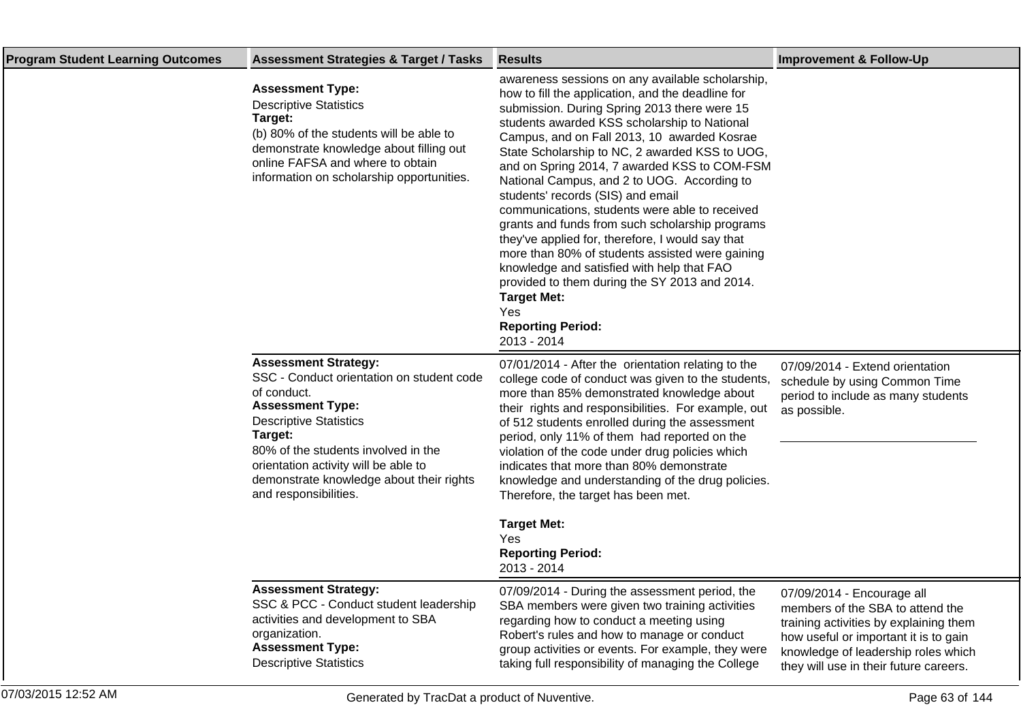| <b>Program Student Learning Outcomes</b> | <b>Assessment Strategies &amp; Target / Tasks</b>                                                                                                                                                                                                                                                                  | <b>Results</b>                                                                                                                                                                                                                                                                                                                                                                                                                                                                                                                                                                                                                                                                                                                                                                                                                | <b>Improvement &amp; Follow-Up</b>                                                                                                                                                                                                 |
|------------------------------------------|--------------------------------------------------------------------------------------------------------------------------------------------------------------------------------------------------------------------------------------------------------------------------------------------------------------------|-------------------------------------------------------------------------------------------------------------------------------------------------------------------------------------------------------------------------------------------------------------------------------------------------------------------------------------------------------------------------------------------------------------------------------------------------------------------------------------------------------------------------------------------------------------------------------------------------------------------------------------------------------------------------------------------------------------------------------------------------------------------------------------------------------------------------------|------------------------------------------------------------------------------------------------------------------------------------------------------------------------------------------------------------------------------------|
|                                          | <b>Assessment Type:</b><br><b>Descriptive Statistics</b><br>Target:<br>(b) 80% of the students will be able to<br>demonstrate knowledge about filling out<br>online FAFSA and where to obtain<br>information on scholarship opportunities.                                                                         | awareness sessions on any available scholarship,<br>how to fill the application, and the deadline for<br>submission. During Spring 2013 there were 15<br>students awarded KSS scholarship to National<br>Campus, and on Fall 2013, 10 awarded Kosrae<br>State Scholarship to NC, 2 awarded KSS to UOG,<br>and on Spring 2014, 7 awarded KSS to COM-FSM<br>National Campus, and 2 to UOG. According to<br>students' records (SIS) and email<br>communications, students were able to received<br>grants and funds from such scholarship programs<br>they've applied for, therefore, I would say that<br>more than 80% of students assisted were gaining<br>knowledge and satisfied with help that FAO<br>provided to them during the SY 2013 and 2014.<br><b>Target Met:</b><br>Yes<br><b>Reporting Period:</b><br>2013 - 2014 |                                                                                                                                                                                                                                    |
|                                          | <b>Assessment Strategy:</b><br>SSC - Conduct orientation on student code<br>of conduct.<br><b>Assessment Type:</b><br><b>Descriptive Statistics</b><br>Target:<br>80% of the students involved in the<br>orientation activity will be able to<br>demonstrate knowledge about their rights<br>and responsibilities. | 07/01/2014 - After the orientation relating to the<br>college code of conduct was given to the students,<br>more than 85% demonstrated knowledge about<br>their rights and responsibilities. For example, out<br>of 512 students enrolled during the assessment<br>period, only 11% of them had reported on the<br>violation of the code under drug policies which<br>indicates that more than 80% demonstrate<br>knowledge and understanding of the drug policies.<br>Therefore, the target has been met.<br><b>Target Met:</b><br>Yes<br><b>Reporting Period:</b><br>2013 - 2014                                                                                                                                                                                                                                            | 07/09/2014 - Extend orientation<br>schedule by using Common Time<br>period to include as many students<br>as possible.                                                                                                             |
|                                          | <b>Assessment Strategy:</b><br>SSC & PCC - Conduct student leadership<br>activities and development to SBA<br>organization.<br><b>Assessment Type:</b><br><b>Descriptive Statistics</b>                                                                                                                            | 07/09/2014 - During the assessment period, the<br>SBA members were given two training activities<br>regarding how to conduct a meeting using<br>Robert's rules and how to manage or conduct<br>group activities or events. For example, they were<br>taking full responsibility of managing the College                                                                                                                                                                                                                                                                                                                                                                                                                                                                                                                       | 07/09/2014 - Encourage all<br>members of the SBA to attend the<br>training activities by explaining them<br>how useful or important it is to gain<br>knowledge of leadership roles which<br>they will use in their future careers. |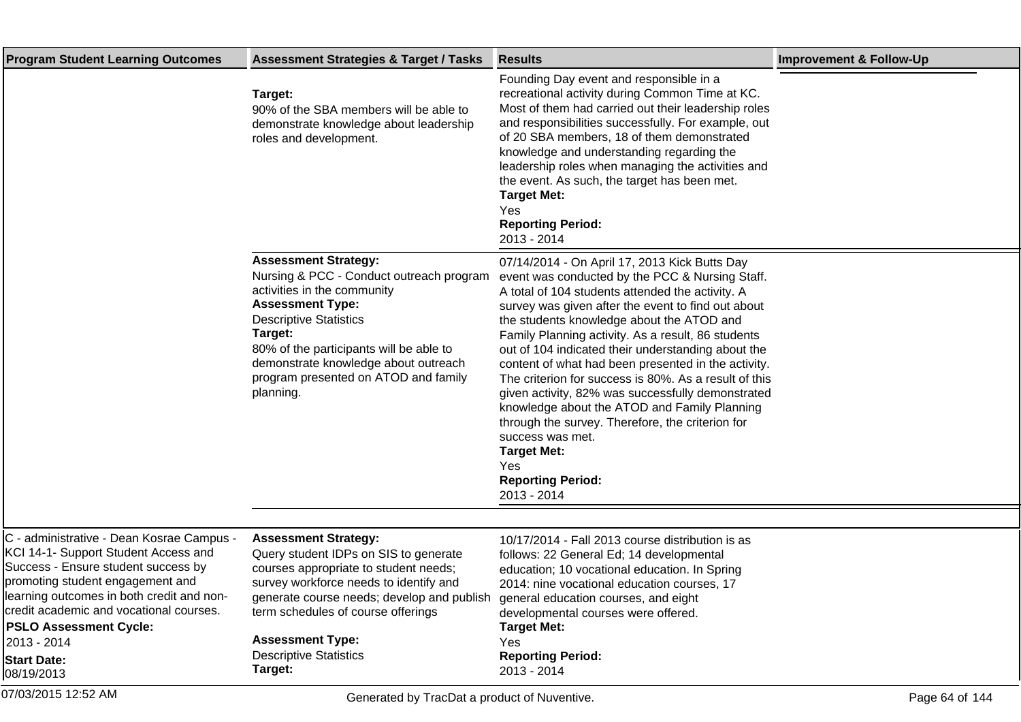| <b>Program Student Learning Outcomes</b>                                                                                                                                                                                                                                                                                                 | <b>Assessment Strategies &amp; Target / Tasks</b>                                                                                                                                                                                                                                                                     | <b>Results</b>                                                                                                                                                                                                                                                                                                                                                                                                                                                                                                                                                                                                                                                                                                                           | <b>Improvement &amp; Follow-Up</b> |
|------------------------------------------------------------------------------------------------------------------------------------------------------------------------------------------------------------------------------------------------------------------------------------------------------------------------------------------|-----------------------------------------------------------------------------------------------------------------------------------------------------------------------------------------------------------------------------------------------------------------------------------------------------------------------|------------------------------------------------------------------------------------------------------------------------------------------------------------------------------------------------------------------------------------------------------------------------------------------------------------------------------------------------------------------------------------------------------------------------------------------------------------------------------------------------------------------------------------------------------------------------------------------------------------------------------------------------------------------------------------------------------------------------------------------|------------------------------------|
|                                                                                                                                                                                                                                                                                                                                          | Target:<br>90% of the SBA members will be able to<br>demonstrate knowledge about leadership<br>roles and development.                                                                                                                                                                                                 | Founding Day event and responsible in a<br>recreational activity during Common Time at KC.<br>Most of them had carried out their leadership roles<br>and responsibilities successfully. For example, out<br>of 20 SBA members, 18 of them demonstrated<br>knowledge and understanding regarding the<br>leadership roles when managing the activities and<br>the event. As such, the target has been met.<br><b>Target Met:</b><br>Yes<br><b>Reporting Period:</b><br>2013 - 2014                                                                                                                                                                                                                                                         |                                    |
|                                                                                                                                                                                                                                                                                                                                          | <b>Assessment Strategy:</b><br>Nursing & PCC - Conduct outreach program<br>activities in the community<br><b>Assessment Type:</b><br><b>Descriptive Statistics</b><br>Target:<br>80% of the participants will be able to<br>demonstrate knowledge about outreach<br>program presented on ATOD and family<br>planning. | 07/14/2014 - On April 17, 2013 Kick Butts Day<br>event was conducted by the PCC & Nursing Staff.<br>A total of 104 students attended the activity. A<br>survey was given after the event to find out about<br>the students knowledge about the ATOD and<br>Family Planning activity. As a result, 86 students<br>out of 104 indicated their understanding about the<br>content of what had been presented in the activity.<br>The criterion for success is 80%. As a result of this<br>given activity, 82% was successfully demonstrated<br>knowledge about the ATOD and Family Planning<br>through the survey. Therefore, the criterion for<br>success was met.<br><b>Target Met:</b><br>Yes<br><b>Reporting Period:</b><br>2013 - 2014 |                                    |
|                                                                                                                                                                                                                                                                                                                                          |                                                                                                                                                                                                                                                                                                                       |                                                                                                                                                                                                                                                                                                                                                                                                                                                                                                                                                                                                                                                                                                                                          |                                    |
| C - administrative - Dean Kosrae Campus -<br>KCI 14-1- Support Student Access and<br>Success - Ensure student success by<br>promoting student engagement and<br>learning outcomes in both credit and non-<br>credit academic and vocational courses.<br><b>PSLO Assessment Cycle:</b><br>2013 - 2014<br><b>Start Date:</b><br>08/19/2013 | <b>Assessment Strategy:</b><br>Query student IDPs on SIS to generate<br>courses appropriate to student needs;<br>survey workforce needs to identify and<br>generate course needs; develop and publish<br>term schedules of course offerings<br><b>Assessment Type:</b><br><b>Descriptive Statistics</b><br>Target:    | 10/17/2014 - Fall 2013 course distribution is as<br>follows: 22 General Ed; 14 developmental<br>education; 10 vocational education. In Spring<br>2014: nine vocational education courses, 17<br>general education courses, and eight<br>developmental courses were offered.<br><b>Target Met:</b><br>Yes<br><b>Reporting Period:</b><br>2013 - 2014                                                                                                                                                                                                                                                                                                                                                                                      |                                    |
| 07/03/2015 12:52 AM                                                                                                                                                                                                                                                                                                                      | Generated by TracDat a product of Nuventive.                                                                                                                                                                                                                                                                          |                                                                                                                                                                                                                                                                                                                                                                                                                                                                                                                                                                                                                                                                                                                                          | Page 64 of 144                     |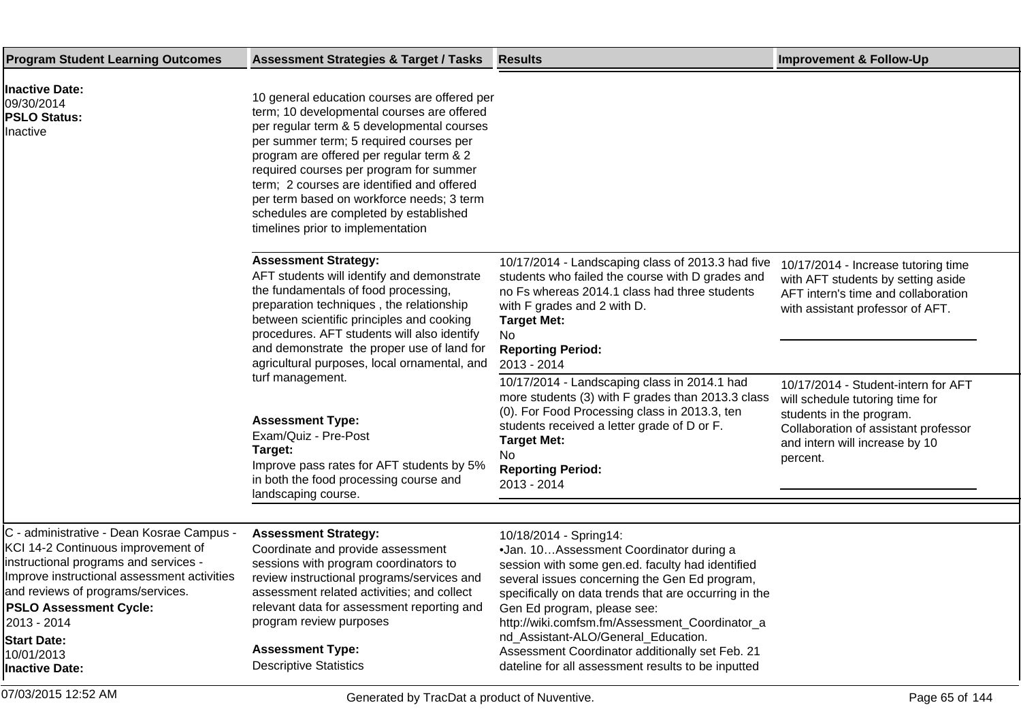| <b>Program Student Learning Outcomes</b>                                                                                                                                                                                                                                                                                  | <b>Assessment Strategies &amp; Target / Tasks</b>                                                                                                                                                                                                                                                                                                                                                                                                    | <b>Results</b>                                                                                                                                                                                                                                                                                                                                                                                                                                                     | <b>Improvement &amp; Follow-Up</b>                                                                                                                                                       |
|---------------------------------------------------------------------------------------------------------------------------------------------------------------------------------------------------------------------------------------------------------------------------------------------------------------------------|------------------------------------------------------------------------------------------------------------------------------------------------------------------------------------------------------------------------------------------------------------------------------------------------------------------------------------------------------------------------------------------------------------------------------------------------------|--------------------------------------------------------------------------------------------------------------------------------------------------------------------------------------------------------------------------------------------------------------------------------------------------------------------------------------------------------------------------------------------------------------------------------------------------------------------|------------------------------------------------------------------------------------------------------------------------------------------------------------------------------------------|
| <b>Inactive Date:</b><br>09/30/2014<br><b>PSLO Status:</b><br>Inactive                                                                                                                                                                                                                                                    | 10 general education courses are offered per<br>term; 10 developmental courses are offered<br>per regular term & 5 developmental courses<br>per summer term; 5 required courses per<br>program are offered per regular term & 2<br>required courses per program for summer<br>term; 2 courses are identified and offered<br>per term based on workforce needs; 3 term<br>schedules are completed by established<br>timelines prior to implementation |                                                                                                                                                                                                                                                                                                                                                                                                                                                                    |                                                                                                                                                                                          |
|                                                                                                                                                                                                                                                                                                                           | <b>Assessment Strategy:</b><br>AFT students will identify and demonstrate<br>the fundamentals of food processing,<br>preparation techniques, the relationship<br>between scientific principles and cooking<br>procedures. AFT students will also identify<br>and demonstrate the proper use of land for<br>agricultural purposes, local ornamental, and                                                                                              | 10/17/2014 - Landscaping class of 2013.3 had five<br>students who failed the course with D grades and<br>no Fs whereas 2014.1 class had three students<br>with F grades and 2 with D.<br><b>Target Met:</b><br>No<br><b>Reporting Period:</b><br>2013 - 2014                                                                                                                                                                                                       | 10/17/2014 - Increase tutoring time<br>with AFT students by setting aside<br>AFT intern's time and collaboration<br>with assistant professor of AFT.                                     |
|                                                                                                                                                                                                                                                                                                                           | turf management.<br><b>Assessment Type:</b><br>Exam/Quiz - Pre-Post<br>Target:<br>Improve pass rates for AFT students by 5%<br>in both the food processing course and<br>landscaping course.                                                                                                                                                                                                                                                         | 10/17/2014 - Landscaping class in 2014.1 had<br>more students (3) with F grades than 2013.3 class<br>(0). For Food Processing class in 2013.3, ten<br>students received a letter grade of D or F.<br><b>Target Met:</b><br>No.<br><b>Reporting Period:</b><br>2013 - 2014                                                                                                                                                                                          | 10/17/2014 - Student-intern for AFT<br>will schedule tutoring time for<br>students in the program.<br>Collaboration of assistant professor<br>and intern will increase by 10<br>percent. |
|                                                                                                                                                                                                                                                                                                                           |                                                                                                                                                                                                                                                                                                                                                                                                                                                      |                                                                                                                                                                                                                                                                                                                                                                                                                                                                    |                                                                                                                                                                                          |
| C - administrative - Dean Kosrae Campus -<br>KCI 14-2 Continuous improvement of<br>instructional programs and services -<br>Improve instructional assessment activities<br>and reviews of programs/services.<br><b>PSLO Assessment Cycle:</b><br>2013 - 2014<br><b>Start Date:</b><br>10/01/2013<br><b>Inactive Date:</b> | <b>Assessment Strategy:</b><br>Coordinate and provide assessment<br>sessions with program coordinators to<br>review instructional programs/services and<br>assessment related activities; and collect<br>relevant data for assessment reporting and<br>program review purposes<br><b>Assessment Type:</b><br><b>Descriptive Statistics</b>                                                                                                           | 10/18/2014 - Spring14:<br>· Jan. 10 Assessment Coordinator during a<br>session with some gen.ed. faculty had identified<br>several issues concerning the Gen Ed program,<br>specifically on data trends that are occurring in the<br>Gen Ed program, please see:<br>http://wiki.comfsm.fm/Assessment_Coordinator_a<br>nd_Assistant-ALO/General_Education.<br>Assessment Coordinator additionally set Feb. 21<br>dateline for all assessment results to be inputted |                                                                                                                                                                                          |
| 07/03/2015 12:52 AM                                                                                                                                                                                                                                                                                                       | Generated by TracDat a product of Nuventive.                                                                                                                                                                                                                                                                                                                                                                                                         |                                                                                                                                                                                                                                                                                                                                                                                                                                                                    | Page 65 of 144                                                                                                                                                                           |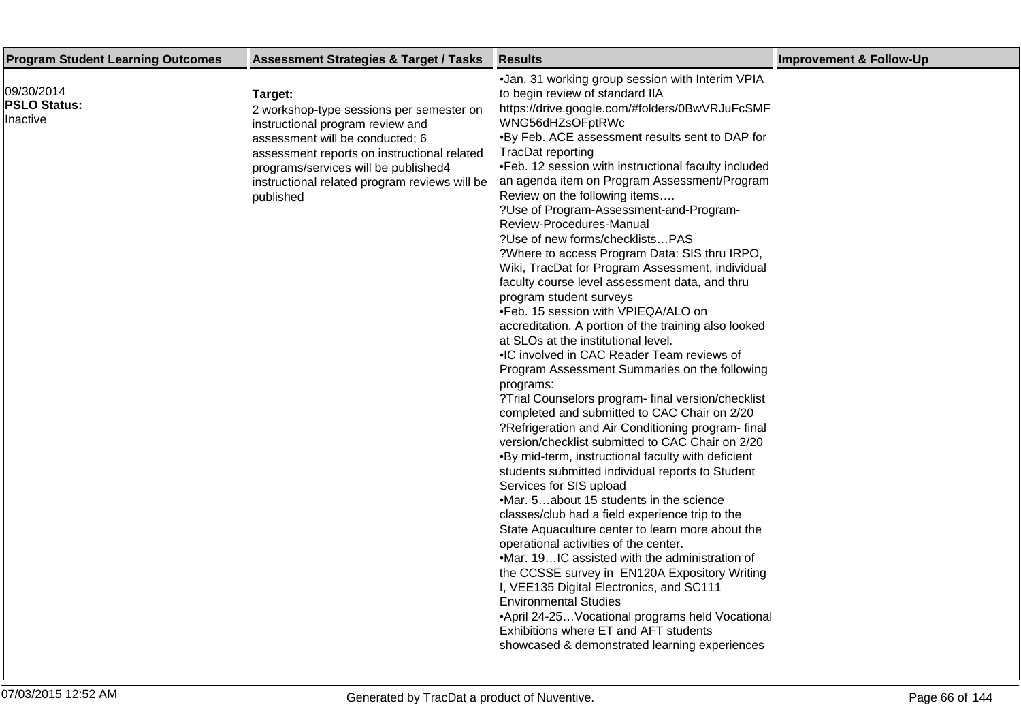| <b>Program Student Learning Outcomes</b>      | <b>Assessment Strategies &amp; Target / Tasks</b>                                                                                                                                                                                                                               | <b>Results</b>                                                                                                                                                                                                                                                                                                                                                                                                                                                                                                                                                                                                                                                                                                                                                                                                                                                                                                                                                                                                                                                                                                                                                                                                                                                                                                                                                                                                                                                                                                                                                                                                                                                                                                                                                                                                      | <b>Improvement &amp; Follow-Up</b> |
|-----------------------------------------------|---------------------------------------------------------------------------------------------------------------------------------------------------------------------------------------------------------------------------------------------------------------------------------|---------------------------------------------------------------------------------------------------------------------------------------------------------------------------------------------------------------------------------------------------------------------------------------------------------------------------------------------------------------------------------------------------------------------------------------------------------------------------------------------------------------------------------------------------------------------------------------------------------------------------------------------------------------------------------------------------------------------------------------------------------------------------------------------------------------------------------------------------------------------------------------------------------------------------------------------------------------------------------------------------------------------------------------------------------------------------------------------------------------------------------------------------------------------------------------------------------------------------------------------------------------------------------------------------------------------------------------------------------------------------------------------------------------------------------------------------------------------------------------------------------------------------------------------------------------------------------------------------------------------------------------------------------------------------------------------------------------------------------------------------------------------------------------------------------------------|------------------------------------|
| 09/30/2014<br><b>PSLO Status:</b><br>Inactive | Target:<br>2 workshop-type sessions per semester on<br>instructional program review and<br>assessment will be conducted; 6<br>assessment reports on instructional related<br>programs/services will be published4<br>instructional related program reviews will be<br>published | • Jan. 31 working group session with Interim VPIA<br>to begin review of standard IIA<br>https://drive.google.com/#folders/0BwVRJuFcSMF<br>WNG56dHZsOFptRWc<br>. By Feb. ACE assessment results sent to DAP for<br>TracDat reporting<br>• Feb. 12 session with instructional faculty included<br>an agenda item on Program Assessment/Program<br>Review on the following items<br>? Use of Program-Assessment-and-Program-<br>Review-Procedures-Manual<br>? Use of new forms/checklistsPAS<br>? Where to access Program Data: SIS thru IRPO,<br>Wiki, TracDat for Program Assessment, individual<br>faculty course level assessment data, and thru<br>program student surveys<br>• Feb. 15 session with VPIEQA/ALO on<br>accreditation. A portion of the training also looked<br>at SLOs at the institutional level.<br>• IC involved in CAC Reader Team reviews of<br>Program Assessment Summaries on the following<br>programs:<br>? Trial Counselors program- final version/checklist<br>completed and submitted to CAC Chair on 2/20<br>? Refrigeration and Air Conditioning program- final<br>version/checklist submitted to CAC Chair on 2/20<br>. By mid-term, instructional faculty with deficient<br>students submitted individual reports to Student<br>Services for SIS upload<br>• Mar. 5about 15 students in the science<br>classes/club had a field experience trip to the<br>State Aquaculture center to learn more about the<br>operational activities of the center.<br>• Mar. 19IC assisted with the administration of<br>the CCSSE survey in EN120A Expository Writing<br>I, VEE135 Digital Electronics, and SC111<br><b>Environmental Studies</b><br>• April 24-25 Vocational programs held Vocational<br>Exhibitions where ET and AFT students<br>showcased & demonstrated learning experiences |                                    |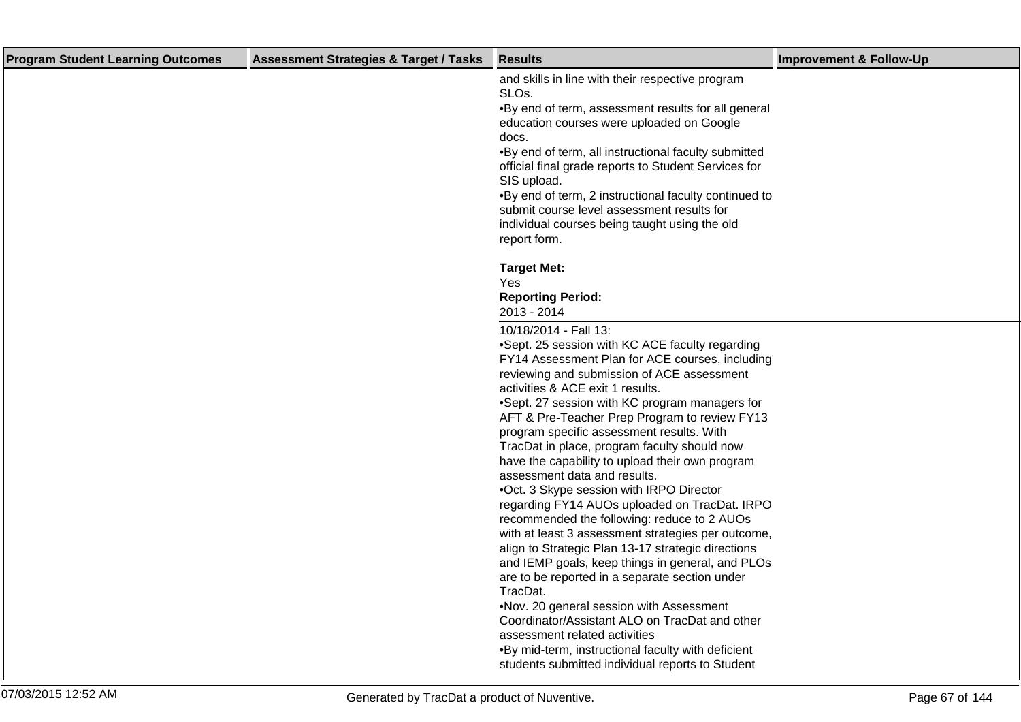| <b>Program Student Learning Outcomes</b> | <b>Assessment Strategies &amp; Target / Tasks</b> | <b>Results</b>                                                                                                                                                                                                                                                                                                                                                                                                                                                                                                                                                                                                                                                                                                                                                                                                                                                                                                                                                                                                | <b>Improvement &amp; Follow-Up</b> |
|------------------------------------------|---------------------------------------------------|---------------------------------------------------------------------------------------------------------------------------------------------------------------------------------------------------------------------------------------------------------------------------------------------------------------------------------------------------------------------------------------------------------------------------------------------------------------------------------------------------------------------------------------------------------------------------------------------------------------------------------------------------------------------------------------------------------------------------------------------------------------------------------------------------------------------------------------------------------------------------------------------------------------------------------------------------------------------------------------------------------------|------------------------------------|
|                                          |                                                   | and skills in line with their respective program<br>SLO <sub>s</sub> .<br>. By end of term, assessment results for all general<br>education courses were uploaded on Google<br>docs.<br>. By end of term, all instructional faculty submitted<br>official final grade reports to Student Services for<br>SIS upload.<br>. By end of term, 2 instructional faculty continued to<br>submit course level assessment results for<br>individual courses being taught using the old<br>report form.                                                                                                                                                                                                                                                                                                                                                                                                                                                                                                                 |                                    |
|                                          |                                                   | <b>Target Met:</b><br>Yes<br><b>Reporting Period:</b><br>2013 - 2014                                                                                                                                                                                                                                                                                                                                                                                                                                                                                                                                                                                                                                                                                                                                                                                                                                                                                                                                          |                                    |
|                                          |                                                   | 10/18/2014 - Fall 13:<br>• Sept. 25 session with KC ACE faculty regarding<br>FY14 Assessment Plan for ACE courses, including<br>reviewing and submission of ACE assessment<br>activities & ACE exit 1 results.<br>• Sept. 27 session with KC program managers for<br>AFT & Pre-Teacher Prep Program to review FY13<br>program specific assessment results. With<br>TracDat in place, program faculty should now<br>have the capability to upload their own program<br>assessment data and results.<br>• Oct. 3 Skype session with IRPO Director<br>regarding FY14 AUOs uploaded on TracDat. IRPO<br>recommended the following: reduce to 2 AUOs<br>with at least 3 assessment strategies per outcome,<br>align to Strategic Plan 13-17 strategic directions<br>and IEMP goals, keep things in general, and PLOs<br>are to be reported in a separate section under<br>TracDat.<br>. Nov. 20 general session with Assessment<br>Coordinator/Assistant ALO on TracDat and other<br>assessment related activities |                                    |
| 07/03/2015 12:52 AM                      | Generated by TracDat a product of Nuventive.      | . By mid-term, instructional faculty with deficient<br>students submitted individual reports to Student                                                                                                                                                                                                                                                                                                                                                                                                                                                                                                                                                                                                                                                                                                                                                                                                                                                                                                       | Page 67 of 144                     |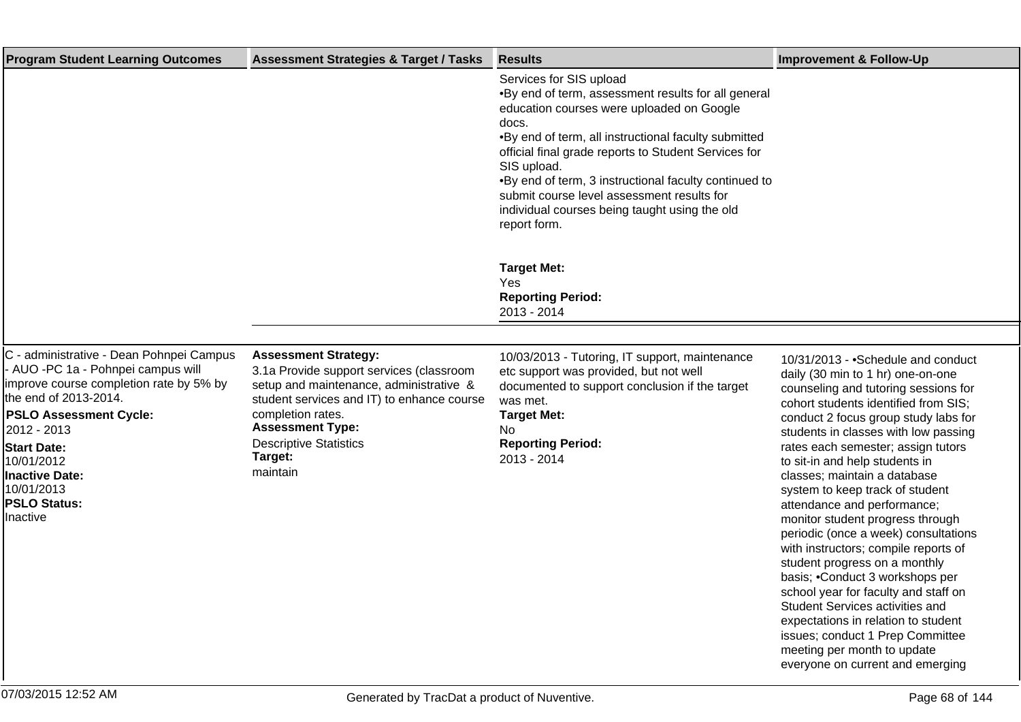| <b>Program Student Learning Outcomes</b>                                                                                                                                                           | <b>Assessment Strategies &amp; Target / Tasks</b>                                                                                                                                                                | <b>Results</b>                                                                                                                                                                                                                                                                                                                                                                                                                                 | <b>Improvement &amp; Follow-Up</b>                                                                                                                                                                                                                                                                                                                                                                                                                                                                                           |
|----------------------------------------------------------------------------------------------------------------------------------------------------------------------------------------------------|------------------------------------------------------------------------------------------------------------------------------------------------------------------------------------------------------------------|------------------------------------------------------------------------------------------------------------------------------------------------------------------------------------------------------------------------------------------------------------------------------------------------------------------------------------------------------------------------------------------------------------------------------------------------|------------------------------------------------------------------------------------------------------------------------------------------------------------------------------------------------------------------------------------------------------------------------------------------------------------------------------------------------------------------------------------------------------------------------------------------------------------------------------------------------------------------------------|
|                                                                                                                                                                                                    |                                                                                                                                                                                                                  | Services for SIS upload<br>• By end of term, assessment results for all general<br>education courses were uploaded on Google<br>docs.<br>. By end of term, all instructional faculty submitted<br>official final grade reports to Student Services for<br>SIS upload.<br>. By end of term, 3 instructional faculty continued to<br>submit course level assessment results for<br>individual courses being taught using the old<br>report form. |                                                                                                                                                                                                                                                                                                                                                                                                                                                                                                                              |
|                                                                                                                                                                                                    |                                                                                                                                                                                                                  | <b>Target Met:</b><br>Yes<br><b>Reporting Period:</b><br>2013 - 2014                                                                                                                                                                                                                                                                                                                                                                           |                                                                                                                                                                                                                                                                                                                                                                                                                                                                                                                              |
|                                                                                                                                                                                                    |                                                                                                                                                                                                                  |                                                                                                                                                                                                                                                                                                                                                                                                                                                |                                                                                                                                                                                                                                                                                                                                                                                                                                                                                                                              |
| C - administrative - Dean Pohnpei Campus<br>- AUO -PC 1a - Pohnpei campus will<br>improve course completion rate by 5% by<br>the end of 2013-2014.<br><b>PSLO Assessment Cycle:</b><br>2012 - 2013 | <b>Assessment Strategy:</b><br>3.1a Provide support services (classroom<br>setup and maintenance, administrative &<br>student services and IT) to enhance course<br>completion rates.<br><b>Assessment Type:</b> | 10/03/2013 - Tutoring, IT support, maintenance<br>etc support was provided, but not well<br>documented to support conclusion if the target<br>was met.<br><b>Target Met:</b><br>No.                                                                                                                                                                                                                                                            | 10/31/2013 - • Schedule and conduct<br>daily (30 min to 1 hr) one-on-one<br>counseling and tutoring sessions for<br>cohort students identified from SIS;<br>conduct 2 focus group study labs for<br>students in classes with low passing                                                                                                                                                                                                                                                                                     |
| <b>Start Date:</b><br>10/01/2012<br><b>Inactive Date:</b><br>10/01/2013<br><b>PSLO Status:</b><br>Inactive                                                                                         | <b>Descriptive Statistics</b><br>Target:<br>maintain                                                                                                                                                             | <b>Reporting Period:</b><br>2013 - 2014                                                                                                                                                                                                                                                                                                                                                                                                        | rates each semester; assign tutors<br>to sit-in and help students in<br>classes; maintain a database<br>system to keep track of student<br>attendance and performance;<br>monitor student progress through<br>periodic (once a week) consultations<br>with instructors; compile reports of<br>student progress on a monthly<br>basis; • Conduct 3 workshops per<br>school year for faculty and staff on<br><b>Student Services activities and</b><br>expectations in relation to student<br>issues; conduct 1 Prep Committee |

meeting per month to update everyone on current and emerging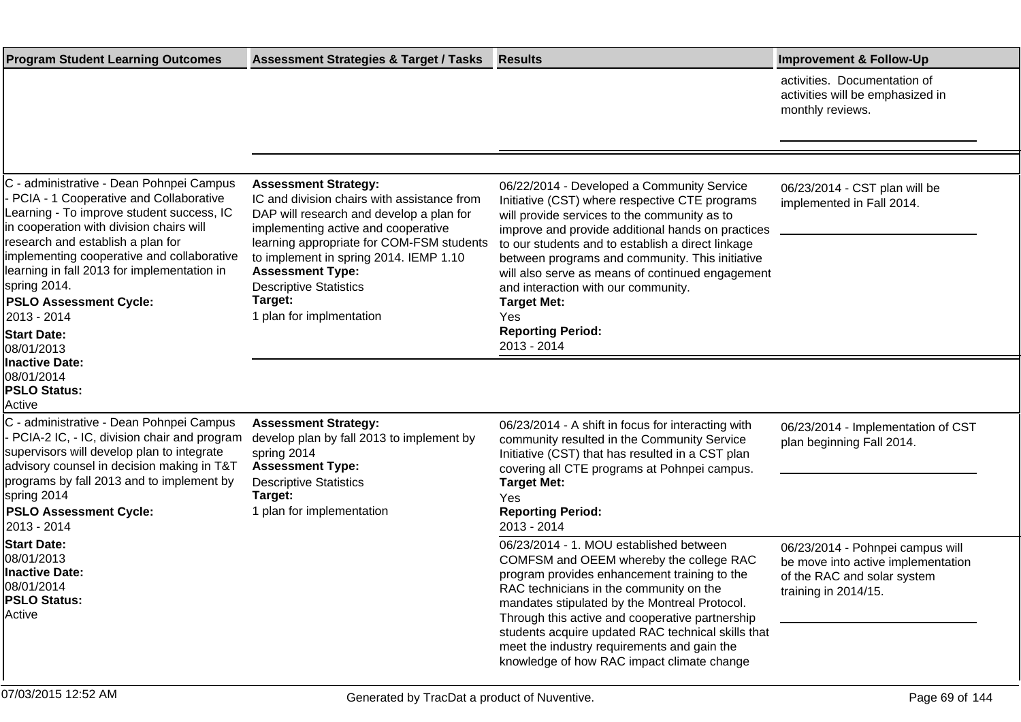| <b>Program Student Learning Outcomes</b>                                                                                                                                                                                                                                                                                                                                                                            | <b>Assessment Strategies &amp; Target / Tasks</b>                                                                                                                                                                                                                                                                                                       | <b>Results</b>                                                                                                                                                                                                                                                                                                                                                                                                                                                               | <b>Improvement &amp; Follow-Up</b>                                                                                            |
|---------------------------------------------------------------------------------------------------------------------------------------------------------------------------------------------------------------------------------------------------------------------------------------------------------------------------------------------------------------------------------------------------------------------|---------------------------------------------------------------------------------------------------------------------------------------------------------------------------------------------------------------------------------------------------------------------------------------------------------------------------------------------------------|------------------------------------------------------------------------------------------------------------------------------------------------------------------------------------------------------------------------------------------------------------------------------------------------------------------------------------------------------------------------------------------------------------------------------------------------------------------------------|-------------------------------------------------------------------------------------------------------------------------------|
|                                                                                                                                                                                                                                                                                                                                                                                                                     |                                                                                                                                                                                                                                                                                                                                                         |                                                                                                                                                                                                                                                                                                                                                                                                                                                                              | activities. Documentation of<br>activities will be emphasized in<br>monthly reviews.                                          |
|                                                                                                                                                                                                                                                                                                                                                                                                                     |                                                                                                                                                                                                                                                                                                                                                         |                                                                                                                                                                                                                                                                                                                                                                                                                                                                              |                                                                                                                               |
| C - administrative - Dean Pohnpei Campus<br>- PCIA - 1 Cooperative and Collaborative<br>Learning - To improve student success, IC<br>in cooperation with division chairs will<br>research and establish a plan for<br>implementing cooperative and collaborative<br>learning in fall 2013 for implementation in<br>spring 2014.<br><b>PSLO Assessment Cycle:</b><br>2013 - 2014<br><b>Start Date:</b><br>08/01/2013 | <b>Assessment Strategy:</b><br>IC and division chairs with assistance from<br>DAP will research and develop a plan for<br>implementing active and cooperative<br>learning appropriate for COM-FSM students<br>to implement in spring 2014. IEMP 1.10<br><b>Assessment Type:</b><br><b>Descriptive Statistics</b><br>Target:<br>1 plan for implmentation | 06/22/2014 - Developed a Community Service<br>Initiative (CST) where respective CTE programs<br>will provide services to the community as to<br>improve and provide additional hands on practices<br>to our students and to establish a direct linkage<br>between programs and community. This initiative<br>will also serve as means of continued engagement<br>and interaction with our community.<br><b>Target Met:</b><br>Yes<br><b>Reporting Period:</b><br>2013 - 2014 | 06/23/2014 - CST plan will be<br>implemented in Fall 2014.                                                                    |
| Inactive Date:<br>08/01/2014<br><b>PSLO Status:</b><br>Active                                                                                                                                                                                                                                                                                                                                                       |                                                                                                                                                                                                                                                                                                                                                         |                                                                                                                                                                                                                                                                                                                                                                                                                                                                              |                                                                                                                               |
| C - administrative - Dean Pohnpei Campus<br>- PCIA-2 IC, - IC, division chair and program<br>supervisors will develop plan to integrate<br>advisory counsel in decision making in T&T<br>programs by fall 2013 and to implement by<br>spring 2014<br><b>PSLO Assessment Cycle:</b><br>2013 - 2014                                                                                                                   | <b>Assessment Strategy:</b><br>develop plan by fall 2013 to implement by<br>spring 2014<br><b>Assessment Type:</b><br><b>Descriptive Statistics</b><br>Target:<br>1 plan for implementation                                                                                                                                                             | 06/23/2014 - A shift in focus for interacting with<br>community resulted in the Community Service<br>Initiative (CST) that has resulted in a CST plan<br>covering all CTE programs at Pohnpei campus.<br><b>Target Met:</b><br>Yes<br><b>Reporting Period:</b><br>2013 - 2014                                                                                                                                                                                                | 06/23/2014 - Implementation of CST<br>plan beginning Fall 2014.                                                               |
| <b>Start Date:</b><br>08/01/2013<br>Inactive Date:<br>08/01/2014<br><b>PSLO Status:</b><br>Active                                                                                                                                                                                                                                                                                                                   |                                                                                                                                                                                                                                                                                                                                                         | 06/23/2014 - 1. MOU established between<br>COMFSM and OEEM whereby the college RAC<br>program provides enhancement training to the<br>RAC technicians in the community on the<br>mandates stipulated by the Montreal Protocol.<br>Through this active and cooperative partnership<br>students acquire updated RAC technical skills that<br>meet the industry requirements and gain the<br>knowledge of how RAC impact climate change                                         | 06/23/2014 - Pohnpei campus will<br>be move into active implementation<br>of the RAC and solar system<br>training in 2014/15. |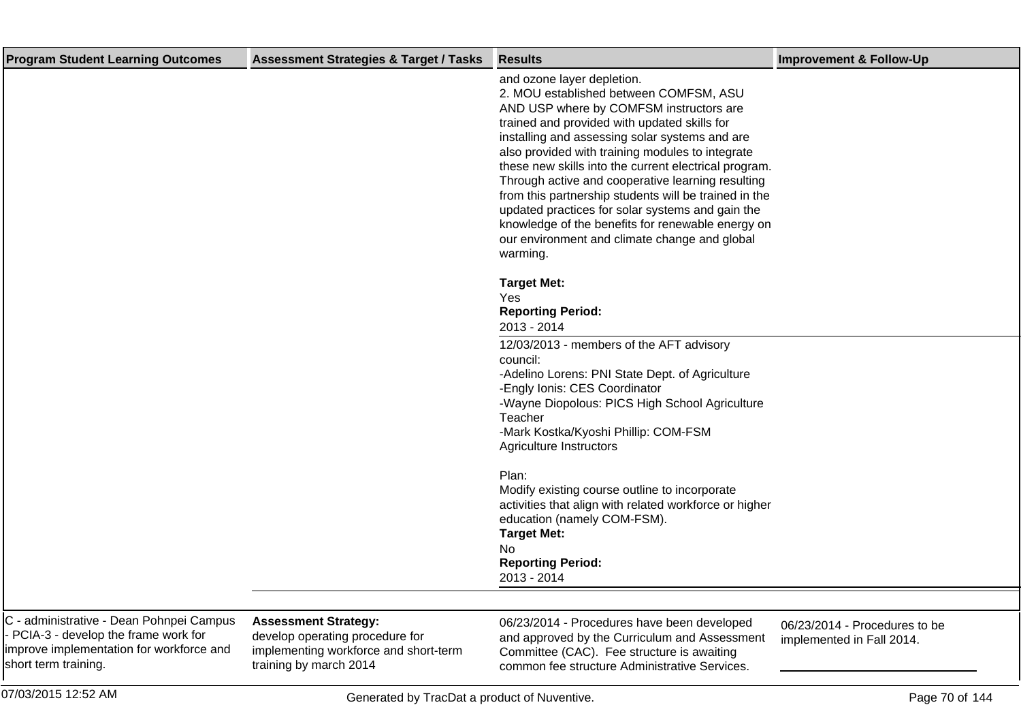| <b>Program Student Learning Outcomes</b>                                                                                                              | <b>Assessment Strategies &amp; Target / Tasks</b>                                                                                 | <b>Results</b>                                                                                                                                                                                                                                                                                                                                                                                                                                                                                                                                                                                                     | <b>Improvement &amp; Follow-Up</b>                         |
|-------------------------------------------------------------------------------------------------------------------------------------------------------|-----------------------------------------------------------------------------------------------------------------------------------|--------------------------------------------------------------------------------------------------------------------------------------------------------------------------------------------------------------------------------------------------------------------------------------------------------------------------------------------------------------------------------------------------------------------------------------------------------------------------------------------------------------------------------------------------------------------------------------------------------------------|------------------------------------------------------------|
|                                                                                                                                                       |                                                                                                                                   | and ozone layer depletion.<br>2. MOU established between COMFSM, ASU<br>AND USP where by COMFSM instructors are<br>trained and provided with updated skills for<br>installing and assessing solar systems and are<br>also provided with training modules to integrate<br>these new skills into the current electrical program.<br>Through active and cooperative learning resulting<br>from this partnership students will be trained in the<br>updated practices for solar systems and gain the<br>knowledge of the benefits for renewable energy on<br>our environment and climate change and global<br>warming. |                                                            |
|                                                                                                                                                       |                                                                                                                                   | <b>Target Met:</b><br>Yes<br><b>Reporting Period:</b><br>2013 - 2014                                                                                                                                                                                                                                                                                                                                                                                                                                                                                                                                               |                                                            |
|                                                                                                                                                       |                                                                                                                                   | 12/03/2013 - members of the AFT advisory<br>council:<br>-Adelino Lorens: PNI State Dept. of Agriculture<br>-Engly Ionis: CES Coordinator<br>-Wayne Diopolous: PICS High School Agriculture<br>Teacher<br>-Mark Kostka/Kyoshi Phillip: COM-FSM<br>Agriculture Instructors                                                                                                                                                                                                                                                                                                                                           |                                                            |
|                                                                                                                                                       |                                                                                                                                   | Plan:<br>Modify existing course outline to incorporate<br>activities that align with related workforce or higher<br>education (namely COM-FSM).<br><b>Target Met:</b><br>No.<br><b>Reporting Period:</b><br>2013 - 2014                                                                                                                                                                                                                                                                                                                                                                                            |                                                            |
|                                                                                                                                                       |                                                                                                                                   |                                                                                                                                                                                                                                                                                                                                                                                                                                                                                                                                                                                                                    |                                                            |
| C - administrative - Dean Pohnpei Campus<br>- PCIA-3 - develop the frame work for<br>improve implementation for workforce and<br>short term training. | <b>Assessment Strategy:</b><br>develop operating procedure for<br>implementing workforce and short-term<br>training by march 2014 | 06/23/2014 - Procedures have been developed<br>and approved by the Curriculum and Assessment<br>Committee (CAC). Fee structure is awaiting<br>common fee structure Administrative Services.                                                                                                                                                                                                                                                                                                                                                                                                                        | 06/23/2014 - Procedures to be<br>implemented in Fall 2014. |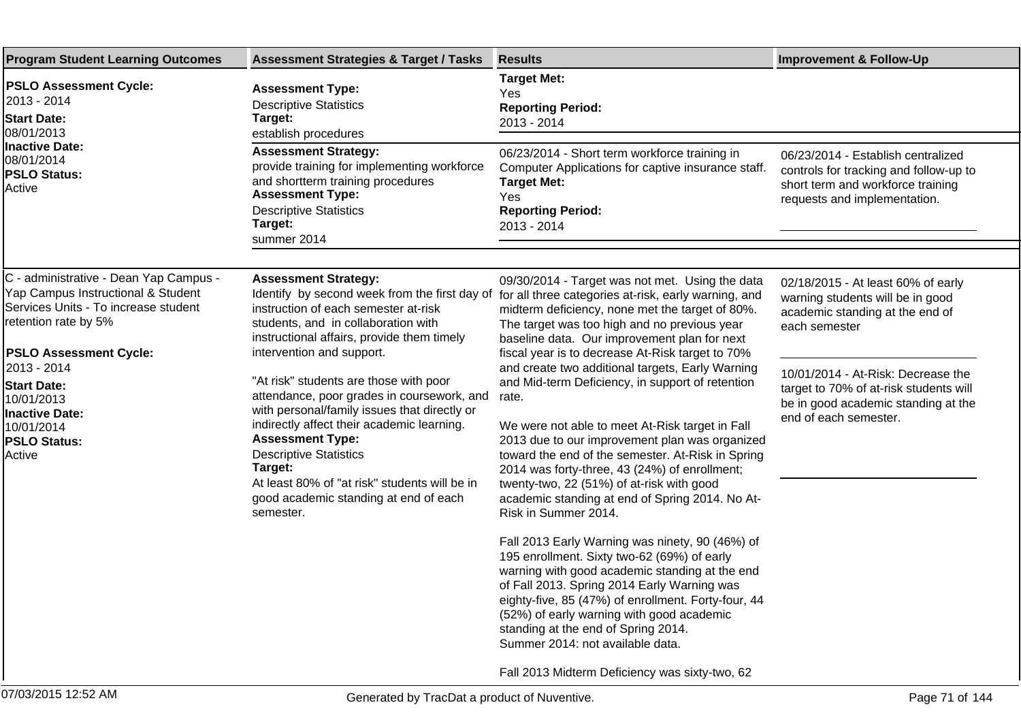| <b>Program Student Learning Outcomes</b>                                                                                                                                                                                                                  | <b>Assessment Strategies &amp; Target / Tasks</b>                                                                                                                                                                                                                                                                                                                              | <b>Results</b>                                                                                                                                                                                                                                                                                                                                                                                                                  | <b>Improvement &amp; Follow-Up</b>                                                                                                                                                                                                                                         |
|-----------------------------------------------------------------------------------------------------------------------------------------------------------------------------------------------------------------------------------------------------------|--------------------------------------------------------------------------------------------------------------------------------------------------------------------------------------------------------------------------------------------------------------------------------------------------------------------------------------------------------------------------------|---------------------------------------------------------------------------------------------------------------------------------------------------------------------------------------------------------------------------------------------------------------------------------------------------------------------------------------------------------------------------------------------------------------------------------|----------------------------------------------------------------------------------------------------------------------------------------------------------------------------------------------------------------------------------------------------------------------------|
| <b>PSLO Assessment Cycle:</b><br>2013 - 2014<br><b>Start Date:</b><br>08/01/2013<br><b>Inactive Date:</b><br>08/01/2014<br><b>PSLO Status:</b><br>Active                                                                                                  | <b>Assessment Type:</b><br><b>Descriptive Statistics</b><br>Target:<br>establish procedures                                                                                                                                                                                                                                                                                    | <b>Target Met:</b><br>Yes<br><b>Reporting Period:</b><br>2013 - 2014                                                                                                                                                                                                                                                                                                                                                            |                                                                                                                                                                                                                                                                            |
|                                                                                                                                                                                                                                                           | <b>Assessment Strategy:</b><br>provide training for implementing workforce<br>and shortterm training procedures<br><b>Assessment Type:</b><br><b>Descriptive Statistics</b><br>Target:<br>summer 2014                                                                                                                                                                          | 06/23/2014 - Short term workforce training in<br>Computer Applications for captive insurance staff.<br><b>Target Met:</b><br>Yes<br><b>Reporting Period:</b><br>2013 - 2014                                                                                                                                                                                                                                                     | 06/23/2014 - Establish centralized<br>controls for tracking and follow-up to<br>short term and workforce training<br>requests and implementation.                                                                                                                          |
| C - administrative - Dean Yap Campus -<br>Yap Campus Instructional & Student<br>Services Units - To increase student<br>retention rate by 5%<br><b>PSLO Assessment Cycle:</b><br>2013 - 2014<br><b>Start Date:</b><br>10/01/2013<br><b>Inactive Date:</b> | <b>Assessment Strategy:</b><br>Identify by second week from the first day of<br>instruction of each semester at-risk<br>students, and in collaboration with<br>instructional affairs, provide them timely<br>intervention and support.<br>"At risk" students are those with poor<br>attendance, poor grades in coursework, and<br>with personal/family issues that directly or | 09/30/2014 - Target was not met. Using the data<br>for all three categories at-risk, early warning, and<br>midterm deficiency, none met the target of 80%.<br>The target was too high and no previous year<br>baseline data. Our improvement plan for next<br>fiscal year is to decrease At-Risk target to 70%<br>and create two additional targets, Early Warning<br>and Mid-term Deficiency, in support of retention<br>rate. | 02/18/2015 - At least 60% of early<br>warning students will be in good<br>academic standing at the end of<br>each semester<br>10/01/2014 - At-Risk: Decrease the<br>target to 70% of at-risk students will<br>be in good academic standing at the<br>end of each semester. |
| 10/01/2014<br><b>PSLO Status:</b><br>Active                                                                                                                                                                                                               | indirectly affect their academic learning.<br><b>Assessment Type:</b><br><b>Descriptive Statistics</b><br>Target:<br>At least 80% of "at risk" students will be in<br>good academic standing at end of each<br>semester.                                                                                                                                                       | We were not able to meet At-Risk target in Fall<br>2013 due to our improvement plan was organized<br>toward the end of the semester. At-Risk in Spring<br>2014 was forty-three, 43 (24%) of enrollment;<br>twenty-two, 22 (51%) of at-risk with good<br>academic standing at end of Spring 2014. No At-<br>Risk in Summer 2014.                                                                                                 |                                                                                                                                                                                                                                                                            |
|                                                                                                                                                                                                                                                           |                                                                                                                                                                                                                                                                                                                                                                                | Fall 2013 Early Warning was ninety, 90 (46%) of<br>195 enrollment. Sixty two-62 (69%) of early<br>warning with good academic standing at the end<br>of Fall 2013. Spring 2014 Early Warning was<br>eighty-five, 85 (47%) of enrollment. Forty-four, 44<br>(52%) of early warning with good academic<br>standing at the end of Spring 2014.<br>Summer 2014: not available data.                                                  |                                                                                                                                                                                                                                                                            |
|                                                                                                                                                                                                                                                           |                                                                                                                                                                                                                                                                                                                                                                                | Fall 2013 Midterm Deficiency was sixty-two, 62                                                                                                                                                                                                                                                                                                                                                                                  |                                                                                                                                                                                                                                                                            |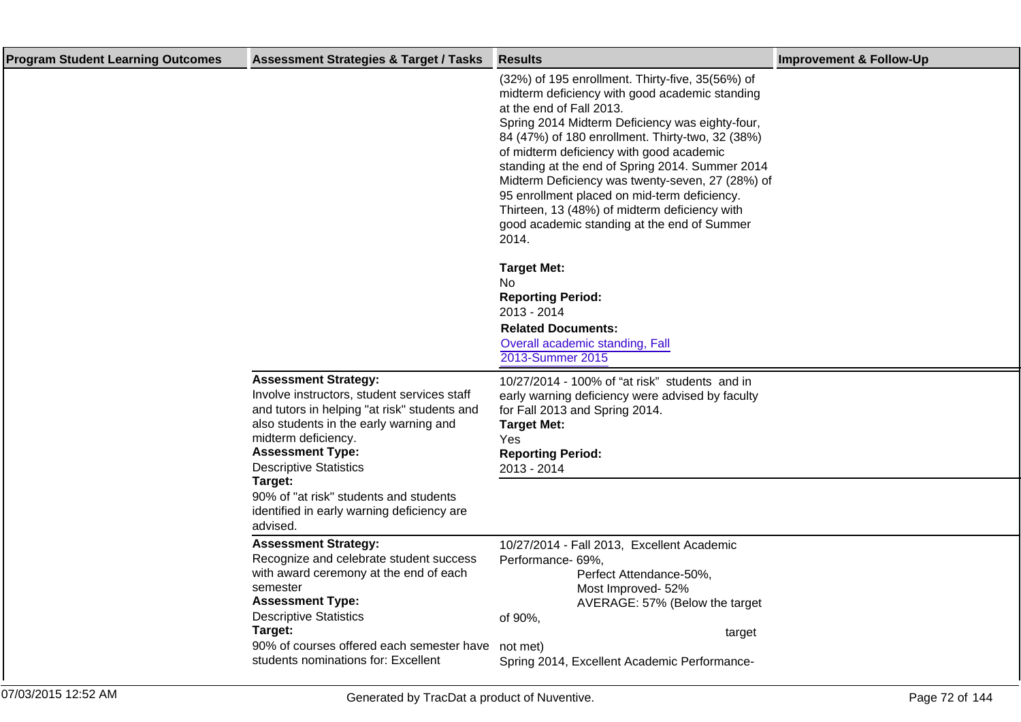| <b>Program Student Learning Outcomes</b> | <b>Assessment Strategies &amp; Target / Tasks</b>                                                                                                                                                                                                                                       | <b>Results</b>                                                                                                                                                                                                                                                                                                                                                                                                                                                                                                                                    | <b>Improvement &amp; Follow-Up</b> |
|------------------------------------------|-----------------------------------------------------------------------------------------------------------------------------------------------------------------------------------------------------------------------------------------------------------------------------------------|---------------------------------------------------------------------------------------------------------------------------------------------------------------------------------------------------------------------------------------------------------------------------------------------------------------------------------------------------------------------------------------------------------------------------------------------------------------------------------------------------------------------------------------------------|------------------------------------|
|                                          |                                                                                                                                                                                                                                                                                         | (32%) of 195 enrollment. Thirty-five, 35(56%) of<br>midterm deficiency with good academic standing<br>at the end of Fall 2013.<br>Spring 2014 Midterm Deficiency was eighty-four,<br>84 (47%) of 180 enrollment. Thirty-two, 32 (38%)<br>of midterm deficiency with good academic<br>standing at the end of Spring 2014. Summer 2014<br>Midterm Deficiency was twenty-seven, 27 (28%) of<br>95 enrollment placed on mid-term deficiency.<br>Thirteen, 13 (48%) of midterm deficiency with<br>good academic standing at the end of Summer<br>2014. |                                    |
|                                          |                                                                                                                                                                                                                                                                                         | <b>Target Met:</b><br>No.<br><b>Reporting Period:</b><br>2013 - 2014<br><b>Related Documents:</b><br>Overall academic standing, Fall<br>2013-Summer 2015                                                                                                                                                                                                                                                                                                                                                                                          |                                    |
|                                          | <b>Assessment Strategy:</b><br>Involve instructors, student services staff<br>and tutors in helping "at risk" students and<br>also students in the early warning and<br>midterm deficiency.<br><b>Assessment Type:</b><br><b>Descriptive Statistics</b>                                 | 10/27/2014 - 100% of "at risk" students and in<br>early warning deficiency were advised by faculty<br>for Fall 2013 and Spring 2014.<br><b>Target Met:</b><br><b>Yes</b><br><b>Reporting Period:</b><br>2013 - 2014                                                                                                                                                                                                                                                                                                                               |                                    |
|                                          | Target:<br>90% of "at risk" students and students<br>identified in early warning deficiency are<br>advised.                                                                                                                                                                             |                                                                                                                                                                                                                                                                                                                                                                                                                                                                                                                                                   |                                    |
|                                          | <b>Assessment Strategy:</b><br>Recognize and celebrate student success<br>with award ceremony at the end of each<br>semester<br><b>Assessment Type:</b><br><b>Descriptive Statistics</b><br>Target:<br>90% of courses offered each semester have<br>students nominations for: Excellent | 10/27/2014 - Fall 2013, Excellent Academic<br>Performance- 69%,<br>Perfect Attendance-50%,<br>Most Improved-52%<br>AVERAGE: 57% (Below the target<br>of 90%,<br>target<br>not met)<br>Spring 2014, Excellent Academic Performance-                                                                                                                                                                                                                                                                                                                |                                    |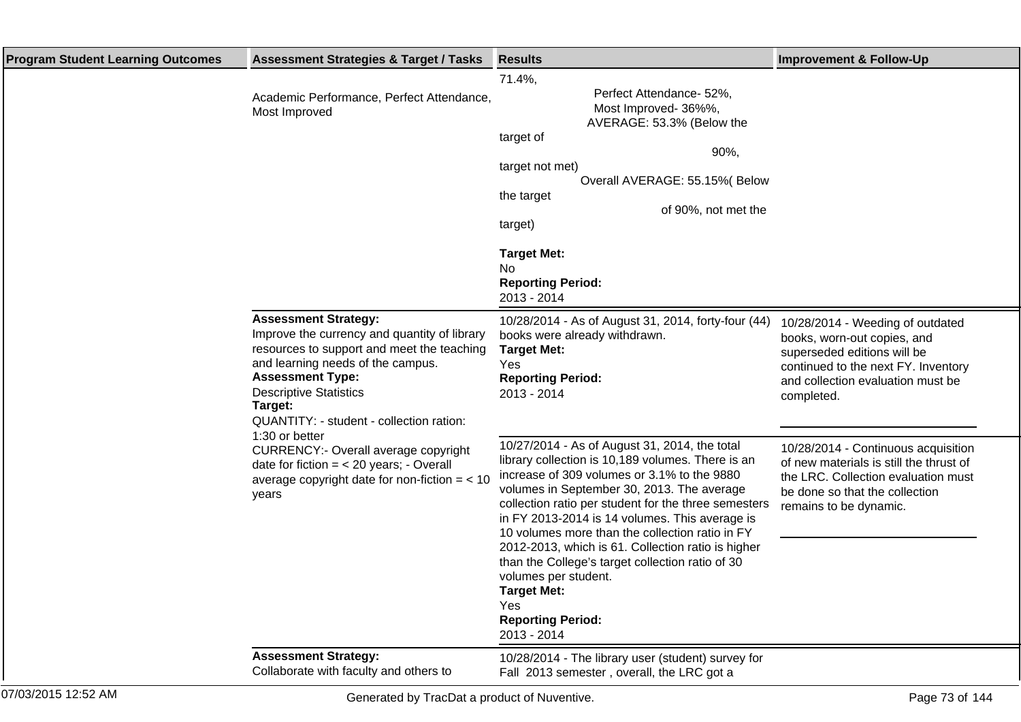| <b>Program Student Learning Outcomes</b> | <b>Assessment Strategies &amp; Target / Tasks</b>                                                                                                                                                                                                                                                   | <b>Results</b>                                                                                                                                                                                                                                                                                                                                                                                                                                                                                                                                                         | <b>Improvement &amp; Follow-Up</b>                                                                                                                                                       |
|------------------------------------------|-----------------------------------------------------------------------------------------------------------------------------------------------------------------------------------------------------------------------------------------------------------------------------------------------------|------------------------------------------------------------------------------------------------------------------------------------------------------------------------------------------------------------------------------------------------------------------------------------------------------------------------------------------------------------------------------------------------------------------------------------------------------------------------------------------------------------------------------------------------------------------------|------------------------------------------------------------------------------------------------------------------------------------------------------------------------------------------|
|                                          | Academic Performance, Perfect Attendance,<br>Most Improved                                                                                                                                                                                                                                          | 71.4%,<br>Perfect Attendance- 52%,<br>Most Improved-36%%,<br>AVERAGE: 53.3% (Below the<br>target of<br>90%,<br>target not met)<br>Overall AVERAGE: 55.15% (Below<br>the target<br>of 90%, not met the<br>target)<br><b>Target Met:</b><br>No.<br><b>Reporting Period:</b><br>2013 - 2014                                                                                                                                                                                                                                                                               |                                                                                                                                                                                          |
|                                          | <b>Assessment Strategy:</b><br>Improve the currency and quantity of library<br>resources to support and meet the teaching<br>and learning needs of the campus.<br><b>Assessment Type:</b><br><b>Descriptive Statistics</b><br>Target:<br>QUANTITY: - student - collection ration:<br>1:30 or better | 10/28/2014 - As of August 31, 2014, forty-four (44)<br>books were already withdrawn.<br><b>Target Met:</b><br>Yes<br><b>Reporting Period:</b><br>2013 - 2014                                                                                                                                                                                                                                                                                                                                                                                                           | 10/28/2014 - Weeding of outdated<br>books, worn-out copies, and<br>superseded editions will be<br>continued to the next FY. Inventory<br>and collection evaluation must be<br>completed. |
|                                          | <b>CURRENCY:- Overall average copyright</b><br>date for fiction $=$ < 20 years; - Overall<br>average copyright date for non-fiction $=$ < 10<br>years                                                                                                                                               | 10/27/2014 - As of August 31, 2014, the total<br>library collection is 10,189 volumes. There is an<br>increase of 309 volumes or 3.1% to the 9880<br>volumes in September 30, 2013. The average<br>collection ratio per student for the three semesters<br>in FY 2013-2014 is 14 volumes. This average is<br>10 volumes more than the collection ratio in FY<br>2012-2013, which is 61. Collection ratio is higher<br>than the College's target collection ratio of 30<br>volumes per student.<br><b>Target Met:</b><br>Yes<br><b>Reporting Period:</b><br>2013 - 2014 | 10/28/2014 - Continuous acquisition<br>of new materials is still the thrust of<br>the LRC. Collection evaluation must<br>be done so that the collection<br>remains to be dynamic.        |
|                                          | <b>Assessment Strategy:</b><br>Collaborate with faculty and others to                                                                                                                                                                                                                               | 10/28/2014 - The library user (student) survey for<br>Fall 2013 semester, overall, the LRC got a                                                                                                                                                                                                                                                                                                                                                                                                                                                                       |                                                                                                                                                                                          |

07/03/2015 12:52 AM Generated by TracDat a product of Nuventive. Page 73 of 144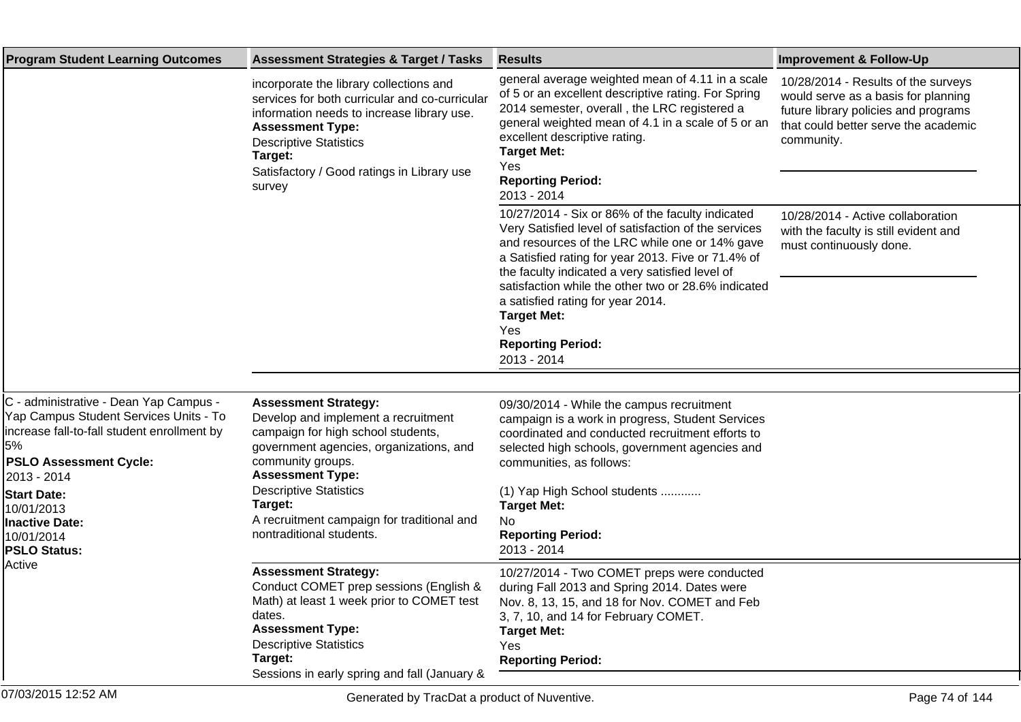| <b>Program Student Learning Outcomes</b>                                                                                                                                              | <b>Assessment Strategies &amp; Target / Tasks</b>                                                                                                                                                                                                                      | <b>Results</b>                                                                                                                                                                                                                                                                                                         | <b>Improvement &amp; Follow-Up</b>                                                                                                                                       |
|---------------------------------------------------------------------------------------------------------------------------------------------------------------------------------------|------------------------------------------------------------------------------------------------------------------------------------------------------------------------------------------------------------------------------------------------------------------------|------------------------------------------------------------------------------------------------------------------------------------------------------------------------------------------------------------------------------------------------------------------------------------------------------------------------|--------------------------------------------------------------------------------------------------------------------------------------------------------------------------|
|                                                                                                                                                                                       | incorporate the library collections and<br>services for both curricular and co-curricular<br>information needs to increase library use.<br><b>Assessment Type:</b><br><b>Descriptive Statistics</b><br>Target:<br>Satisfactory / Good ratings in Library use<br>survey | general average weighted mean of 4.11 in a scale<br>of 5 or an excellent descriptive rating. For Spring<br>2014 semester, overall, the LRC registered a<br>general weighted mean of 4.1 in a scale of 5 or an<br>excellent descriptive rating.<br><b>Target Met:</b><br>Yes<br><b>Reporting Period:</b><br>2013 - 2014 | 10/28/2014 - Results of the surveys<br>would serve as a basis for planning<br>future library policies and programs<br>that could better serve the academic<br>community. |
|                                                                                                                                                                                       |                                                                                                                                                                                                                                                                        | 10/27/2014 - Six or 86% of the faculty indicated<br>Very Satisfied level of satisfaction of the services<br>and resources of the LRC while one or 14% gave<br>a Satisfied rating for year 2013. Five or 71.4% of<br>the faculty indicated a very satisfied level of                                                    | 10/28/2014 - Active collaboration<br>with the faculty is still evident and<br>must continuously done.                                                                    |
|                                                                                                                                                                                       |                                                                                                                                                                                                                                                                        | satisfaction while the other two or 28.6% indicated<br>a satisfied rating for year 2014.<br><b>Target Met:</b><br>Yes<br><b>Reporting Period:</b><br>2013 - 2014                                                                                                                                                       |                                                                                                                                                                          |
|                                                                                                                                                                                       |                                                                                                                                                                                                                                                                        |                                                                                                                                                                                                                                                                                                                        |                                                                                                                                                                          |
| C - administrative - Dean Yap Campus -<br>Yap Campus Student Services Units - To<br>increase fall-to-fall student enrollment by<br>5%<br><b>PSLO Assessment Cycle:</b><br>2013 - 2014 | <b>Assessment Strategy:</b><br>Develop and implement a recruitment<br>campaign for high school students,<br>government agencies, organizations, and<br>community groups.<br><b>Assessment Type:</b>                                                                    | 09/30/2014 - While the campus recruitment<br>campaign is a work in progress, Student Services<br>coordinated and conducted recruitment efforts to<br>selected high schools, government agencies and<br>communities, as follows:                                                                                        |                                                                                                                                                                          |
| <b>Start Date:</b><br>10/01/2013<br><b>Inactive Date:</b><br>10/01/2014<br><b>PSLO Status:</b><br>Active                                                                              | <b>Descriptive Statistics</b><br>Target:<br>A recruitment campaign for traditional and<br>nontraditional students.                                                                                                                                                     | (1) Yap High School students<br><b>Target Met:</b><br>No<br><b>Reporting Period:</b><br>2013 - 2014                                                                                                                                                                                                                    |                                                                                                                                                                          |
|                                                                                                                                                                                       | <b>Assessment Strategy:</b><br>Conduct COMET prep sessions (English &<br>Math) at least 1 week prior to COMET test<br>dates.<br><b>Assessment Type:</b><br><b>Descriptive Statistics</b><br>Target:<br>Sessions in early spring and fall (January &                    | 10/27/2014 - Two COMET preps were conducted<br>during Fall 2013 and Spring 2014. Dates were<br>Nov. 8, 13, 15, and 18 for Nov. COMET and Feb<br>3, 7, 10, and 14 for February COMET.<br><b>Target Met:</b><br>Yes<br><b>Reporting Period:</b>                                                                          |                                                                                                                                                                          |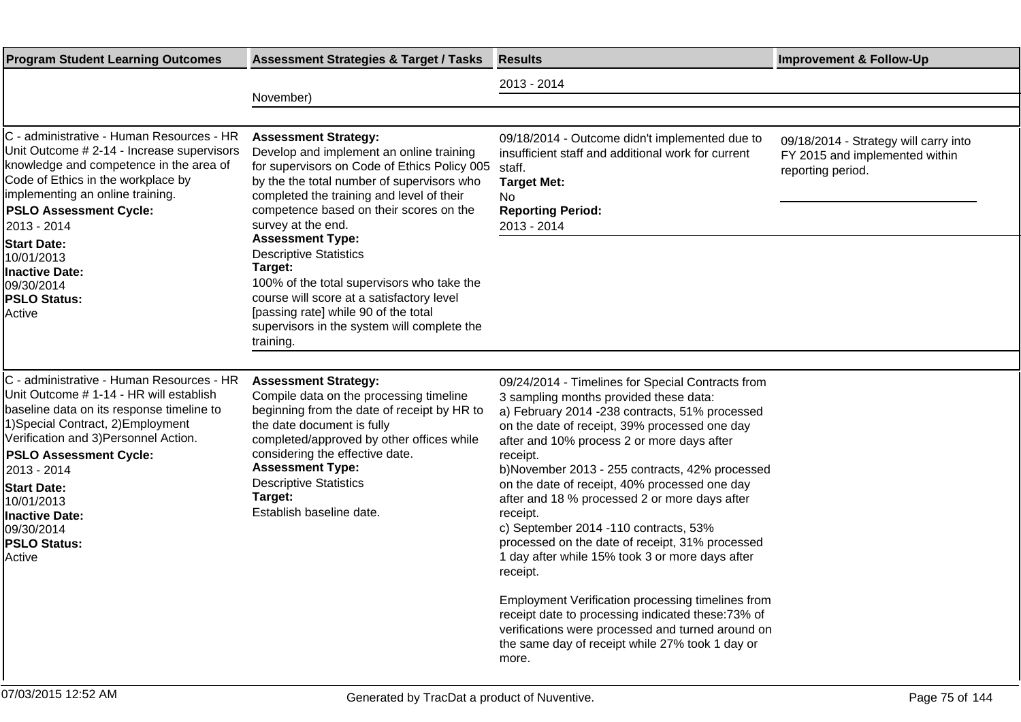| <b>Program Student Learning Outcomes</b>                                                                                                                                                                                                                                                                                                                                 | <b>Assessment Strategies &amp; Target / Tasks</b>                                                                                                                                                                                                                                                                                                                                                                                                                                                                                                         | <b>Results</b>                                                                                                                                                                                                                                                                                                                                                                                                                                                                                                                                                                                                                                                                                                                                                                                                 | <b>Improvement &amp; Follow-Up</b>                                                           |
|--------------------------------------------------------------------------------------------------------------------------------------------------------------------------------------------------------------------------------------------------------------------------------------------------------------------------------------------------------------------------|-----------------------------------------------------------------------------------------------------------------------------------------------------------------------------------------------------------------------------------------------------------------------------------------------------------------------------------------------------------------------------------------------------------------------------------------------------------------------------------------------------------------------------------------------------------|----------------------------------------------------------------------------------------------------------------------------------------------------------------------------------------------------------------------------------------------------------------------------------------------------------------------------------------------------------------------------------------------------------------------------------------------------------------------------------------------------------------------------------------------------------------------------------------------------------------------------------------------------------------------------------------------------------------------------------------------------------------------------------------------------------------|----------------------------------------------------------------------------------------------|
|                                                                                                                                                                                                                                                                                                                                                                          | November)                                                                                                                                                                                                                                                                                                                                                                                                                                                                                                                                                 | 2013 - 2014                                                                                                                                                                                                                                                                                                                                                                                                                                                                                                                                                                                                                                                                                                                                                                                                    |                                                                                              |
| C - administrative - Human Resources - HR<br>Unit Outcome # 2-14 - Increase supervisors<br>knowledge and competence in the area of<br>Code of Ethics in the workplace by<br>implementing an online training.<br><b>PSLO Assessment Cycle:</b><br>2013 - 2014<br><b>Start Date:</b><br>10/01/2013<br><b>Inactive Date:</b><br>09/30/2014<br><b>PSLO Status:</b><br>Active | <b>Assessment Strategy:</b><br>Develop and implement an online training<br>for supervisors on Code of Ethics Policy 005<br>by the the total number of supervisors who<br>completed the training and level of their<br>competence based on their scores on the<br>survey at the end.<br><b>Assessment Type:</b><br><b>Descriptive Statistics</b><br>Target:<br>100% of the total supervisors who take the<br>course will score at a satisfactory level<br>[passing rate] while 90 of the total<br>supervisors in the system will complete the<br>training. | 09/18/2014 - Outcome didn't implemented due to<br>insufficient staff and additional work for current<br>staff.<br><b>Target Met:</b><br>No<br><b>Reporting Period:</b><br>2013 - 2014                                                                                                                                                                                                                                                                                                                                                                                                                                                                                                                                                                                                                          | 09/18/2014 - Strategy will carry into<br>FY 2015 and implemented within<br>reporting period. |
| C - administrative - Human Resources - HR<br>Unit Outcome # 1-14 - HR will establish<br>baseline data on its response timeline to<br>1) Special Contract, 2) Employment<br>Verification and 3) Personnel Action.<br><b>PSLO Assessment Cycle:</b><br>2013 - 2014<br><b>Start Date:</b><br>10/01/2013<br>Inactive Date:<br>09/30/2014<br><b>PSLO Status:</b><br>Active    | <b>Assessment Strategy:</b><br>Compile data on the processing timeline<br>beginning from the date of receipt by HR to<br>the date document is fully<br>completed/approved by other offices while<br>considering the effective date.<br><b>Assessment Type:</b><br><b>Descriptive Statistics</b><br>Target:<br>Establish baseline date.                                                                                                                                                                                                                    | 09/24/2014 - Timelines for Special Contracts from<br>3 sampling months provided these data:<br>a) February 2014 -238 contracts, 51% processed<br>on the date of receipt, 39% processed one day<br>after and 10% process 2 or more days after<br>receipt.<br>b)November 2013 - 255 contracts, 42% processed<br>on the date of receipt, 40% processed one day<br>after and 18 % processed 2 or more days after<br>receipt.<br>c) September 2014 -110 contracts, 53%<br>processed on the date of receipt, 31% processed<br>1 day after while 15% took 3 or more days after<br>receipt.<br>Employment Verification processing timelines from<br>receipt date to processing indicated these:73% of<br>verifications were processed and turned around on<br>the same day of receipt while 27% took 1 day or<br>more. |                                                                                              |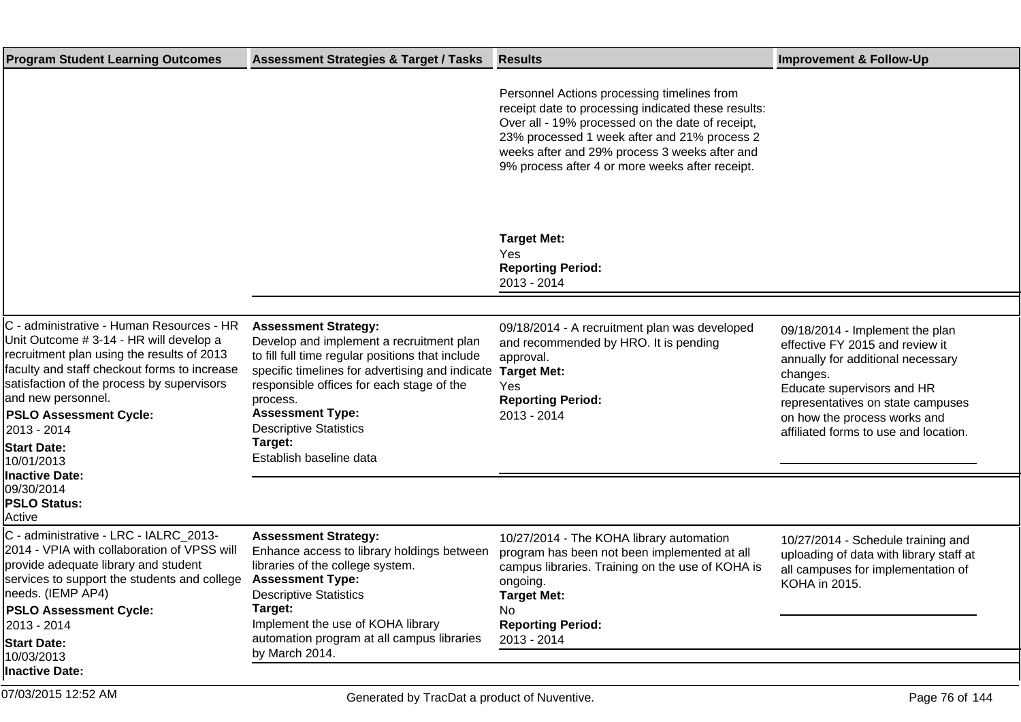| <b>Assessment Strategies &amp; Target / Tasks</b>                                                                                                                                                                                                                                                                                         | <b>Results</b>                                                                                                                                                                                                                                                                                             | <b>Improvement &amp; Follow-Up</b>                                                                                                                                                                                                                              |
|-------------------------------------------------------------------------------------------------------------------------------------------------------------------------------------------------------------------------------------------------------------------------------------------------------------------------------------------|------------------------------------------------------------------------------------------------------------------------------------------------------------------------------------------------------------------------------------------------------------------------------------------------------------|-----------------------------------------------------------------------------------------------------------------------------------------------------------------------------------------------------------------------------------------------------------------|
|                                                                                                                                                                                                                                                                                                                                           | Personnel Actions processing timelines from<br>receipt date to processing indicated these results:<br>Over all - 19% processed on the date of receipt,<br>23% processed 1 week after and 21% process 2<br>weeks after and 29% process 3 weeks after and<br>9% process after 4 or more weeks after receipt. |                                                                                                                                                                                                                                                                 |
|                                                                                                                                                                                                                                                                                                                                           | <b>Target Met:</b><br>Yes<br><b>Reporting Period:</b><br>2013 - 2014                                                                                                                                                                                                                                       |                                                                                                                                                                                                                                                                 |
| <b>Assessment Strategy:</b><br>Develop and implement a recruitment plan<br>to fill full time regular positions that include<br>specific timelines for advertising and indicate<br>responsible offices for each stage of the<br>process.<br><b>Assessment Type:</b><br><b>Descriptive Statistics</b><br>Target:<br>Establish baseline data | 09/18/2014 - A recruitment plan was developed<br>and recommended by HRO. It is pending<br>approval.<br><b>Target Met:</b><br>Yes<br><b>Reporting Period:</b><br>2013 - 2014                                                                                                                                | 09/18/2014 - Implement the plan<br>effective FY 2015 and review it<br>annually for additional necessary<br>changes.<br>Educate supervisors and HR<br>representatives on state campuses<br>on how the process works and<br>affiliated forms to use and location. |
|                                                                                                                                                                                                                                                                                                                                           |                                                                                                                                                                                                                                                                                                            |                                                                                                                                                                                                                                                                 |
| <b>Assessment Strategy:</b><br>Enhance access to library holdings between<br>libraries of the college system.<br><b>Assessment Type:</b><br><b>Descriptive Statistics</b>                                                                                                                                                                 | 10/27/2014 - The KOHA library automation<br>program has been not been implemented at all<br>campus libraries. Training on the use of KOHA is<br>ongoing.<br><b>Target Met:</b>                                                                                                                             | 10/27/2014 - Schedule training and<br>uploading of data with library staff at<br>all campuses for implementation of<br>KOHA in 2015.                                                                                                                            |
| Implement the use of KOHA library<br>automation program at all campus libraries<br>by March 2014.                                                                                                                                                                                                                                         | <b>Reporting Period:</b><br>2013 - 2014                                                                                                                                                                                                                                                                    |                                                                                                                                                                                                                                                                 |
|                                                                                                                                                                                                                                                                                                                                           | Target:                                                                                                                                                                                                                                                                                                    | No                                                                                                                                                                                                                                                              |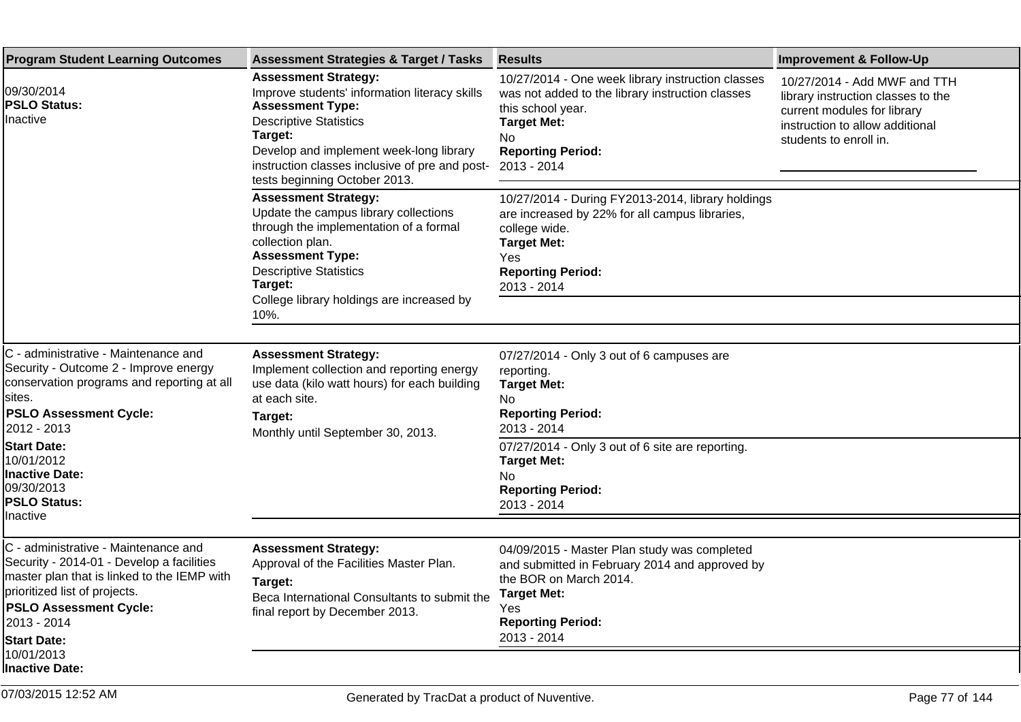| <b>Program Student Learning Outcomes</b>                                                                                                                                                                                                                                                     | <b>Assessment Strategies &amp; Target / Tasks</b>                                                                                                                                                                                                                                 | <b>Results</b>                                                                                                                                                                                                                                            | <b>Improvement &amp; Follow-Up</b>                                                                                                                             |
|----------------------------------------------------------------------------------------------------------------------------------------------------------------------------------------------------------------------------------------------------------------------------------------------|-----------------------------------------------------------------------------------------------------------------------------------------------------------------------------------------------------------------------------------------------------------------------------------|-----------------------------------------------------------------------------------------------------------------------------------------------------------------------------------------------------------------------------------------------------------|----------------------------------------------------------------------------------------------------------------------------------------------------------------|
| 09/30/2014<br><b>PSLO Status:</b><br>Inactive                                                                                                                                                                                                                                                | <b>Assessment Strategy:</b><br>Improve students' information literacy skills<br><b>Assessment Type:</b><br><b>Descriptive Statistics</b><br>Target:<br>Develop and implement week-long library<br>instruction classes inclusive of pre and post-<br>tests beginning October 2013. | 10/27/2014 - One week library instruction classes<br>was not added to the library instruction classes<br>this school year.<br><b>Target Met:</b><br>No<br><b>Reporting Period:</b><br>2013 - 2014                                                         | 10/27/2014 - Add MWF and TTH<br>library instruction classes to the<br>current modules for library<br>instruction to allow additional<br>students to enroll in. |
|                                                                                                                                                                                                                                                                                              | <b>Assessment Strategy:</b><br>Update the campus library collections<br>through the implementation of a formal<br>collection plan.<br><b>Assessment Type:</b><br><b>Descriptive Statistics</b><br>Target:<br>College library holdings are increased by<br>10%.                    | 10/27/2014 - During FY2013-2014, library holdings<br>are increased by 22% for all campus libraries,<br>college wide.<br><b>Target Met:</b><br>Yes<br><b>Reporting Period:</b><br>2013 - 2014                                                              |                                                                                                                                                                |
| C - administrative - Maintenance and<br>Security - Outcome 2 - Improve energy<br>conservation programs and reporting at all<br>sites.<br><b>PSLO Assessment Cycle:</b><br>2012 - 2013<br><b>Start Date:</b><br>10/01/2012<br>Inactive Date:<br>09/30/2013<br><b>PSLO Status:</b><br>Inactive | <b>Assessment Strategy:</b><br>Implement collection and reporting energy<br>use data (kilo watt hours) for each building<br>at each site.<br>Target:<br>Monthly until September 30, 2013.                                                                                         | 07/27/2014 - Only 3 out of 6 campuses are<br>reporting.<br><b>Target Met:</b><br>No<br><b>Reporting Period:</b><br>2013 - 2014<br>07/27/2014 - Only 3 out of 6 site are reporting.<br><b>Target Met:</b><br>No<br><b>Reporting Period:</b><br>2013 - 2014 |                                                                                                                                                                |
| C - administrative - Maintenance and<br>Security - 2014-01 - Develop a facilities<br>master plan that is linked to the IEMP with<br>prioritized list of projects.<br><b>PSLO Assessment Cycle:</b><br>2013 - 2014<br><b>Start Date:</b><br>10/01/2013<br>Inactive Date:                      | <b>Assessment Strategy:</b><br>Approval of the Facilities Master Plan.<br>Target:<br>Beca International Consultants to submit the<br>final report by December 2013.                                                                                                               | 04/09/2015 - Master Plan study was completed<br>and submitted in February 2014 and approved by<br>the BOR on March 2014.<br><b>Target Met:</b><br>Yes<br><b>Reporting Period:</b><br>2013 - 2014                                                          |                                                                                                                                                                |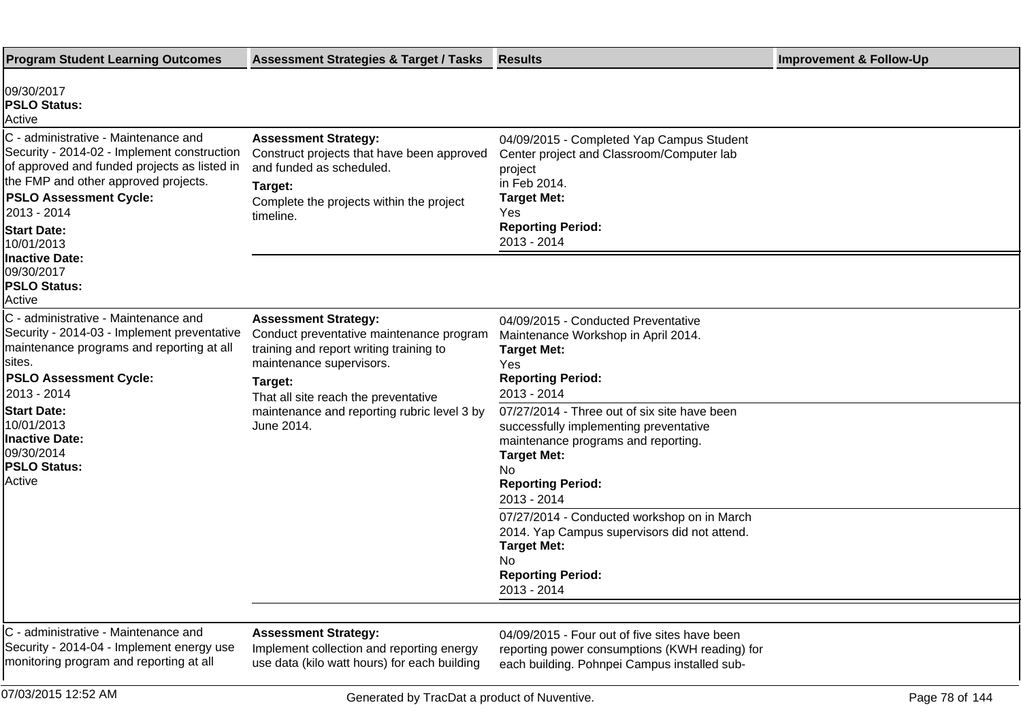| <b>Program Student Learning Outcomes</b>                                                                                                                                                                                                                        | <b>Assessment Strategies &amp; Target / Tasks</b>                                                                                                                                                 | <b>Results</b>                                                                                                                                                                            | <b>Improvement &amp; Follow-Up</b> |
|-----------------------------------------------------------------------------------------------------------------------------------------------------------------------------------------------------------------------------------------------------------------|---------------------------------------------------------------------------------------------------------------------------------------------------------------------------------------------------|-------------------------------------------------------------------------------------------------------------------------------------------------------------------------------------------|------------------------------------|
| 09/30/2017<br><b>PSLO Status:</b><br>Active                                                                                                                                                                                                                     |                                                                                                                                                                                                   |                                                                                                                                                                                           |                                    |
| C - administrative - Maintenance and<br>Security - 2014-02 - Implement construction<br>of approved and funded projects as listed in<br>the FMP and other approved projects.<br><b>PSLO Assessment Cycle:</b><br>2013 - 2014<br><b>Start Date:</b><br>10/01/2013 | <b>Assessment Strategy:</b><br>Construct projects that have been approved<br>and funded as scheduled.<br>Target:<br>Complete the projects within the project<br>timeline.                         | 04/09/2015 - Completed Yap Campus Student<br>Center project and Classroom/Computer lab<br>project<br>in Feb 2014.<br><b>Target Met:</b><br>Yes<br><b>Reporting Period:</b><br>2013 - 2014 |                                    |
| <b>Inactive Date:</b><br>09/30/2017<br><b>PSLO Status:</b><br>Active                                                                                                                                                                                            |                                                                                                                                                                                                   |                                                                                                                                                                                           |                                    |
| C - administrative - Maintenance and<br>Security - 2014-03 - Implement preventative<br>maintenance programs and reporting at all<br>sites.<br><b>PSLO Assessment Cycle:</b><br>2013 - 2014                                                                      | <b>Assessment Strategy:</b><br>Conduct preventative maintenance program<br>training and report writing training to<br>maintenance supervisors.<br>Target:<br>That all site reach the preventative | 04/09/2015 - Conducted Preventative<br>Maintenance Workshop in April 2014.<br><b>Target Met:</b><br>Yes<br><b>Reporting Period:</b><br>2013 - 2014                                        |                                    |
| <b>Start Date:</b><br>10/01/2013<br>Inactive Date:<br>09/30/2014<br><b>PSLO Status:</b><br><b>Active</b>                                                                                                                                                        | maintenance and reporting rubric level 3 by<br>June 2014.                                                                                                                                         | 07/27/2014 - Three out of six site have been<br>successfully implementing preventative<br>maintenance programs and reporting.<br><b>Target Met:</b><br>No<br><b>Reporting Period:</b>     |                                    |
|                                                                                                                                                                                                                                                                 |                                                                                                                                                                                                   | 2013 - 2014<br>07/27/2014 - Conducted workshop on in March<br>2014. Yap Campus supervisors did not attend.<br><b>Target Met:</b><br>No<br><b>Reporting Period:</b><br>2013 - 2014         |                                    |
| C - administrative - Maintenance and<br>Security - 2014-04 - Implement energy use<br>monitoring program and reporting at all                                                                                                                                    | <b>Assessment Strategy:</b><br>Implement collection and reporting energy<br>use data (kilo watt hours) for each building                                                                          | 04/09/2015 - Four out of five sites have been<br>reporting power consumptions (KWH reading) for<br>each building. Pohnpei Campus installed sub-                                           |                                    |
| 07/03/2015 12:52 AM                                                                                                                                                                                                                                             | Generated by TracDat a product of Nuventive.                                                                                                                                                      |                                                                                                                                                                                           | Page 78 of 144                     |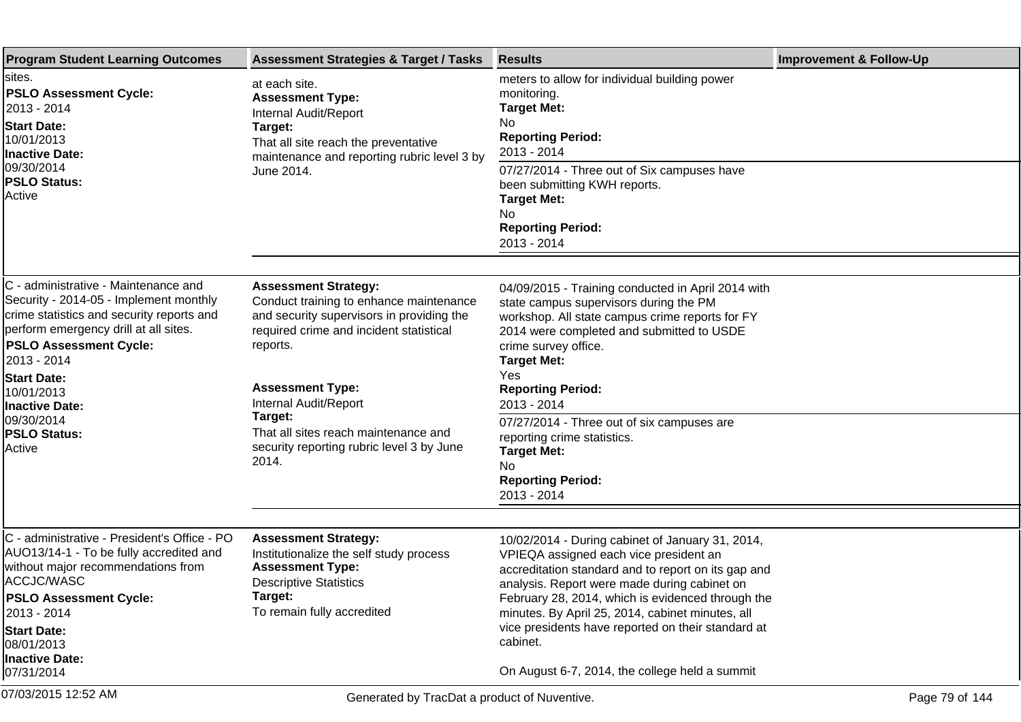| <b>Program Student Learning Outcomes</b>                                                                                                                                                                              | <b>Assessment Strategies &amp; Target / Tasks</b>                                                                                                                                 | <b>Results</b>                                                                                                                                                                                                                             | <b>Improvement &amp; Follow-Up</b> |
|-----------------------------------------------------------------------------------------------------------------------------------------------------------------------------------------------------------------------|-----------------------------------------------------------------------------------------------------------------------------------------------------------------------------------|--------------------------------------------------------------------------------------------------------------------------------------------------------------------------------------------------------------------------------------------|------------------------------------|
| sites.<br><b>PSLO Assessment Cycle:</b><br>2013 - 2014<br><b>Start Date:</b><br>10/01/2013<br><b>Inactive Date:</b><br>09/30/2014<br><b>PSLO Status:</b><br>Active                                                    | at each site.<br><b>Assessment Type:</b><br>Internal Audit/Report<br>Target:<br>That all site reach the preventative<br>maintenance and reporting rubric level 3 by<br>June 2014. | meters to allow for individual building power<br>monitoring.<br><b>Target Met:</b><br>No<br><b>Reporting Period:</b><br>2013 - 2014                                                                                                        |                                    |
|                                                                                                                                                                                                                       |                                                                                                                                                                                   | 07/27/2014 - Three out of Six campuses have<br>been submitting KWH reports.<br><b>Target Met:</b><br>No.<br><b>Reporting Period:</b><br>2013 - 2014                                                                                        |                                    |
|                                                                                                                                                                                                                       |                                                                                                                                                                                   |                                                                                                                                                                                                                                            |                                    |
| C - administrative - Maintenance and<br>Security - 2014-05 - Implement monthly<br>crime statistics and security reports and<br>perform emergency drill at all sites.<br><b>PSLO Assessment Cycle:</b><br>l2013 - 2014 | <b>Assessment Strategy:</b><br>Conduct training to enhance maintenance<br>and security supervisors in providing the<br>required crime and incident statistical<br>reports.        | 04/09/2015 - Training conducted in April 2014 with<br>state campus supervisors during the PM<br>workshop. All state campus crime reports for FY<br>2014 were completed and submitted to USDE<br>crime survey office.<br><b>Target Met:</b> |                                    |
| <b>Start Date:</b><br>10/01/2013                                                                                                                                                                                      | <b>Assessment Type:</b>                                                                                                                                                           | Yes.<br><b>Reporting Period:</b>                                                                                                                                                                                                           |                                    |
| Inactive Date:<br>09/30/2014<br><b>PSLO Status:</b><br><b>Active</b>                                                                                                                                                  | Internal Audit/Report<br>Target:<br>That all sites reach maintenance and<br>security reporting rubric level 3 by June<br>2014.                                                    | 2013 - 2014                                                                                                                                                                                                                                |                                    |
|                                                                                                                                                                                                                       |                                                                                                                                                                                   | 07/27/2014 - Three out of six campuses are<br>reporting crime statistics.<br><b>Target Met:</b><br>No.                                                                                                                                     |                                    |
|                                                                                                                                                                                                                       |                                                                                                                                                                                   | <b>Reporting Period:</b><br>2013 - 2014                                                                                                                                                                                                    |                                    |
|                                                                                                                                                                                                                       |                                                                                                                                                                                   |                                                                                                                                                                                                                                            |                                    |
| C - administrative - President's Office - PO<br>AUO13/14-1 - To be fully accredited and<br>without major recommendations from<br>ACCJC/WASC                                                                           | <b>Assessment Strategy:</b><br>Institutionalize the self study process<br><b>Assessment Type:</b><br><b>Descriptive Statistics</b>                                                | 10/02/2014 - During cabinet of January 31, 2014,<br>VPIEQA assigned each vice president an<br>accreditation standard and to report on its gap and<br>analysis. Report were made during cabinet on                                          |                                    |
| <b>PSLO Assessment Cycle:</b>                                                                                                                                                                                         | Target:                                                                                                                                                                           | February 28, 2014, which is evidenced through the                                                                                                                                                                                          |                                    |
| 2013 - 2014                                                                                                                                                                                                           | To remain fully accredited                                                                                                                                                        | minutes. By April 25, 2014, cabinet minutes, all<br>vice presidents have reported on their standard at                                                                                                                                     |                                    |
| <b>Start Date:</b><br>08/01/2013                                                                                                                                                                                      |                                                                                                                                                                                   | cabinet.                                                                                                                                                                                                                                   |                                    |
| Inactive Date:<br>07/31/2014                                                                                                                                                                                          |                                                                                                                                                                                   | On August 6-7, 2014, the college held a summit                                                                                                                                                                                             |                                    |
| 07/03/2015 12:52 AM                                                                                                                                                                                                   | Generated by TracDat a product of Nuventive.                                                                                                                                      |                                                                                                                                                                                                                                            | Page 79 of 144                     |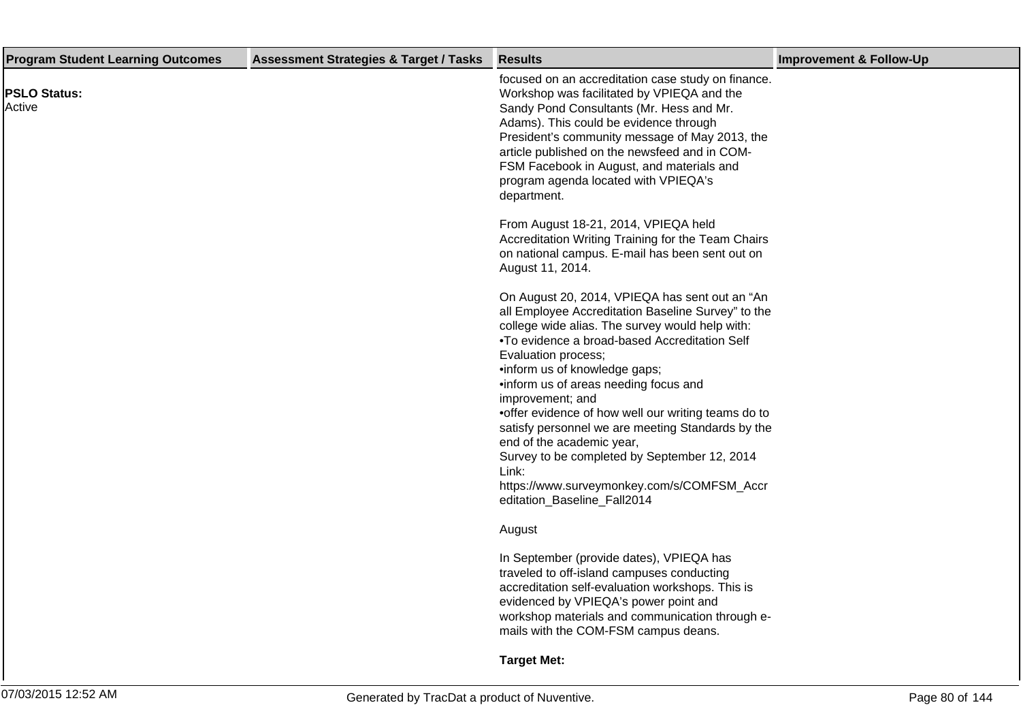| <b>Program Student Learning Outcomes</b> | <b>Assessment Strategies &amp; Target / Tasks</b> | <b>Results</b>                                                                                                                                                                                                                                                                                                                                                                                                                                                                                                                                                                                                   | <b>Improvement &amp; Follow-Up</b> |
|------------------------------------------|---------------------------------------------------|------------------------------------------------------------------------------------------------------------------------------------------------------------------------------------------------------------------------------------------------------------------------------------------------------------------------------------------------------------------------------------------------------------------------------------------------------------------------------------------------------------------------------------------------------------------------------------------------------------------|------------------------------------|
| <b>PSLO Status:</b><br>Active            |                                                   | focused on an accreditation case study on finance.<br>Workshop was facilitated by VPIEQA and the<br>Sandy Pond Consultants (Mr. Hess and Mr.<br>Adams). This could be evidence through<br>President's community message of May 2013, the<br>article published on the newsfeed and in COM-<br>FSM Facebook in August, and materials and<br>program agenda located with VPIEQA's<br>department.                                                                                                                                                                                                                    |                                    |
|                                          |                                                   | From August 18-21, 2014, VPIEQA held<br>Accreditation Writing Training for the Team Chairs<br>on national campus. E-mail has been sent out on<br>August 11, 2014.                                                                                                                                                                                                                                                                                                                                                                                                                                                |                                    |
|                                          |                                                   | On August 20, 2014, VPIEQA has sent out an "An<br>all Employee Accreditation Baseline Survey" to the<br>college wide alias. The survey would help with:<br>• To evidence a broad-based Accreditation Self<br>Evaluation process;<br>• inform us of knowledge gaps;<br>• inform us of areas needing focus and<br>improvement; and<br>• offer evidence of how well our writing teams do to<br>satisfy personnel we are meeting Standards by the<br>end of the academic year,<br>Survey to be completed by September 12, 2014<br>Link:<br>https://www.surveymonkey.com/s/COMFSM_Accr<br>editation_Baseline_Fall2014 |                                    |
|                                          |                                                   | August                                                                                                                                                                                                                                                                                                                                                                                                                                                                                                                                                                                                           |                                    |
|                                          |                                                   | In September (provide dates), VPIEQA has<br>traveled to off-island campuses conducting<br>accreditation self-evaluation workshops. This is<br>evidenced by VPIEQA's power point and<br>workshop materials and communication through e-<br>mails with the COM-FSM campus deans.                                                                                                                                                                                                                                                                                                                                   |                                    |
|                                          |                                                   | <b>Target Met:</b>                                                                                                                                                                                                                                                                                                                                                                                                                                                                                                                                                                                               |                                    |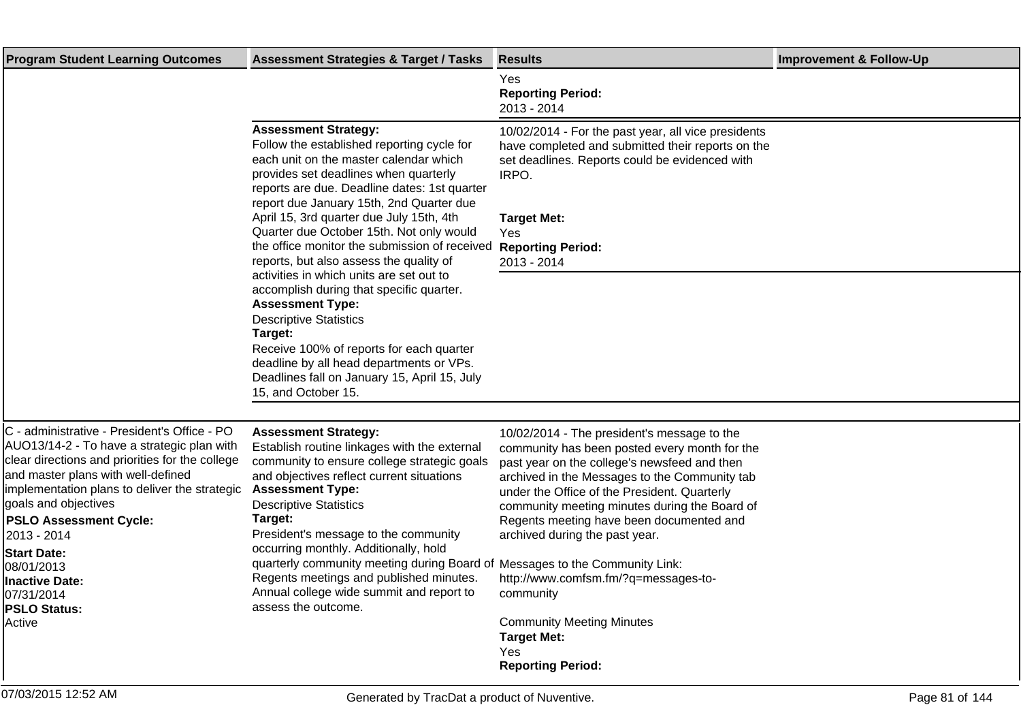| <b>Program Student Learning Outcomes</b>                                                                                                                                                                                                                                                                                                                                                                          | <b>Assessment Strategies &amp; Target / Tasks</b>                                                                                                                                                                                                                                                                                                                                                                                                                                                                            | <b>Results</b>                                                                                                                                                                                                                                                                                                                                                                                                                                                                                                                 | <b>Improvement &amp; Follow-Up</b> |
|-------------------------------------------------------------------------------------------------------------------------------------------------------------------------------------------------------------------------------------------------------------------------------------------------------------------------------------------------------------------------------------------------------------------|------------------------------------------------------------------------------------------------------------------------------------------------------------------------------------------------------------------------------------------------------------------------------------------------------------------------------------------------------------------------------------------------------------------------------------------------------------------------------------------------------------------------------|--------------------------------------------------------------------------------------------------------------------------------------------------------------------------------------------------------------------------------------------------------------------------------------------------------------------------------------------------------------------------------------------------------------------------------------------------------------------------------------------------------------------------------|------------------------------------|
|                                                                                                                                                                                                                                                                                                                                                                                                                   |                                                                                                                                                                                                                                                                                                                                                                                                                                                                                                                              | Yes<br><b>Reporting Period:</b><br>2013 - 2014                                                                                                                                                                                                                                                                                                                                                                                                                                                                                 |                                    |
|                                                                                                                                                                                                                                                                                                                                                                                                                   | <b>Assessment Strategy:</b><br>Follow the established reporting cycle for<br>each unit on the master calendar which<br>provides set deadlines when quarterly<br>reports are due. Deadline dates: 1st quarter<br>report due January 15th, 2nd Quarter due<br>April 15, 3rd quarter due July 15th, 4th<br>Quarter due October 15th. Not only would<br>the office monitor the submission of received<br>reports, but also assess the quality of<br>activities in which units are set out to                                     | 10/02/2014 - For the past year, all vice presidents<br>have completed and submitted their reports on the<br>set deadlines. Reports could be evidenced with<br>IRPO.<br><b>Target Met:</b><br>Yes<br><b>Reporting Period:</b><br>2013 - 2014                                                                                                                                                                                                                                                                                    |                                    |
|                                                                                                                                                                                                                                                                                                                                                                                                                   | accomplish during that specific quarter.<br><b>Assessment Type:</b><br><b>Descriptive Statistics</b><br>Target:<br>Receive 100% of reports for each quarter<br>deadline by all head departments or VPs.<br>Deadlines fall on January 15, April 15, July<br>15, and October 15.                                                                                                                                                                                                                                               |                                                                                                                                                                                                                                                                                                                                                                                                                                                                                                                                |                                    |
| C - administrative - President's Office - PO<br>AUO13/14-2 - To have a strategic plan with<br>clear directions and priorities for the college<br>and master plans with well-defined<br>implementation plans to deliver the strategic<br>goals and objectives<br><b>PSLO Assessment Cycle:</b><br>2013 - 2014<br><b>Start Date:</b><br>08/01/2013<br>Inactive Date:<br>07/31/2014<br><b>PSLO Status:</b><br>Active | <b>Assessment Strategy:</b><br>Establish routine linkages with the external<br>community to ensure college strategic goals<br>and objectives reflect current situations<br><b>Assessment Type:</b><br><b>Descriptive Statistics</b><br>Target:<br>President's message to the community<br>occurring monthly. Additionally, hold<br>quarterly community meeting during Board of Messages to the Community Link:<br>Regents meetings and published minutes.<br>Annual college wide summit and report to<br>assess the outcome. | 10/02/2014 - The president's message to the<br>community has been posted every month for the<br>past year on the college's newsfeed and then<br>archived in the Messages to the Community tab<br>under the Office of the President. Quarterly<br>community meeting minutes during the Board of<br>Regents meeting have been documented and<br>archived during the past year.<br>http://www.comfsm.fm/?q=messages-to-<br>community<br><b>Community Meeting Minutes</b><br><b>Target Met:</b><br>Yes<br><b>Reporting Period:</b> |                                    |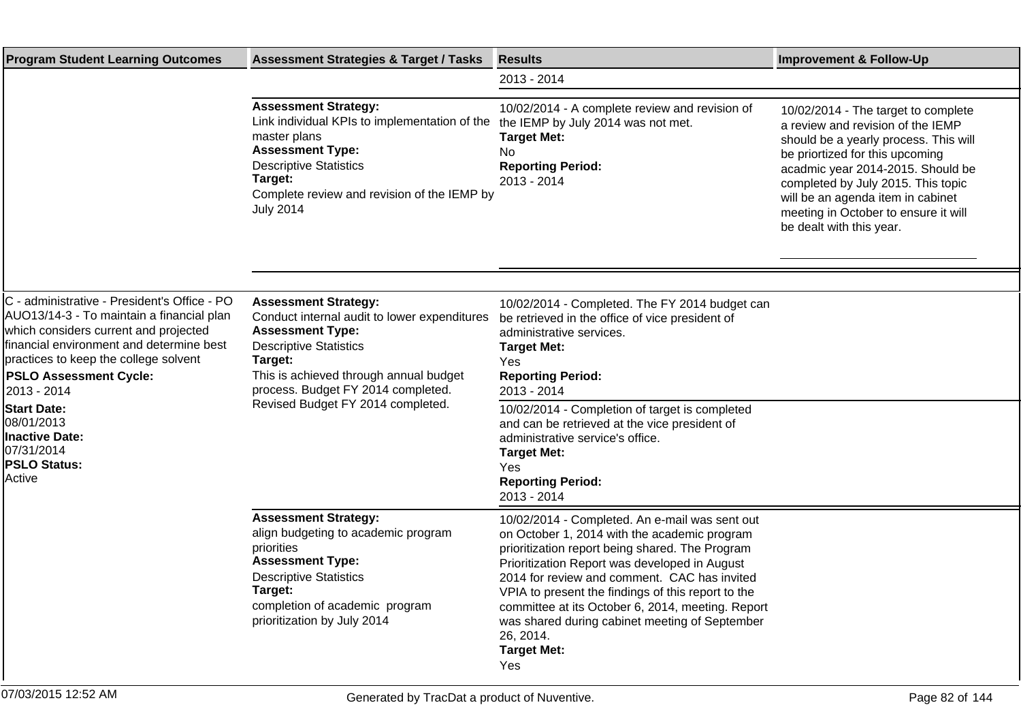| <b>Program Student Learning Outcomes</b>                                                                                                                                                                                                                                                                                                                                            | <b>Assessment Strategies &amp; Target / Tasks</b>                                                                                                                                                                                                                       | <b>Results</b>                                                                                                                                                                                                                                                                                                                                                                                                                                            | <b>Improvement &amp; Follow-Up</b>                                                                                                                                                                                                                                                                                                       |
|-------------------------------------------------------------------------------------------------------------------------------------------------------------------------------------------------------------------------------------------------------------------------------------------------------------------------------------------------------------------------------------|-------------------------------------------------------------------------------------------------------------------------------------------------------------------------------------------------------------------------------------------------------------------------|-----------------------------------------------------------------------------------------------------------------------------------------------------------------------------------------------------------------------------------------------------------------------------------------------------------------------------------------------------------------------------------------------------------------------------------------------------------|------------------------------------------------------------------------------------------------------------------------------------------------------------------------------------------------------------------------------------------------------------------------------------------------------------------------------------------|
|                                                                                                                                                                                                                                                                                                                                                                                     |                                                                                                                                                                                                                                                                         | 2013 - 2014                                                                                                                                                                                                                                                                                                                                                                                                                                               |                                                                                                                                                                                                                                                                                                                                          |
|                                                                                                                                                                                                                                                                                                                                                                                     | <b>Assessment Strategy:</b><br>Link individual KPIs to implementation of the<br>master plans<br><b>Assessment Type:</b><br><b>Descriptive Statistics</b><br>Target:<br>Complete review and revision of the IEMP by<br><b>July 2014</b>                                  | 10/02/2014 - A complete review and revision of<br>the IEMP by July 2014 was not met.<br><b>Target Met:</b><br>No<br><b>Reporting Period:</b><br>2013 - 2014                                                                                                                                                                                                                                                                                               | 10/02/2014 - The target to complete<br>a review and revision of the IEMP<br>should be a yearly process. This will<br>be priortized for this upcoming<br>acadmic year 2014-2015. Should be<br>completed by July 2015. This topic<br>will be an agenda item in cabinet<br>meeting in October to ensure it will<br>be dealt with this year. |
|                                                                                                                                                                                                                                                                                                                                                                                     |                                                                                                                                                                                                                                                                         |                                                                                                                                                                                                                                                                                                                                                                                                                                                           |                                                                                                                                                                                                                                                                                                                                          |
| C - administrative - President's Office - PO<br>AUO13/14-3 - To maintain a financial plan<br>which considers current and projected<br>financial environment and determine best<br>practices to keep the college solvent<br><b>PSLO Assessment Cycle:</b><br>2013 - 2014<br><b>Start Date:</b><br>08/01/2013<br><b>Inactive Date:</b><br>07/31/2014<br><b>PSLO Status:</b><br>Active | <b>Assessment Strategy:</b><br>Conduct internal audit to lower expenditures<br><b>Assessment Type:</b><br><b>Descriptive Statistics</b><br>Target:<br>This is achieved through annual budget<br>process. Budget FY 2014 completed.<br>Revised Budget FY 2014 completed. | 10/02/2014 - Completed. The FY 2014 budget can<br>be retrieved in the office of vice president of<br>administrative services.<br><b>Target Met:</b><br>Yes<br><b>Reporting Period:</b><br>2013 - 2014<br>10/02/2014 - Completion of target is completed<br>and can be retrieved at the vice president of<br>administrative service's office.<br><b>Target Met:</b><br>Yes<br><b>Reporting Period:</b><br>2013 - 2014                                      |                                                                                                                                                                                                                                                                                                                                          |
|                                                                                                                                                                                                                                                                                                                                                                                     | <b>Assessment Strategy:</b><br>align budgeting to academic program<br>priorities<br><b>Assessment Type:</b><br><b>Descriptive Statistics</b><br>Target:<br>completion of academic program<br>prioritization by July 2014                                                | 10/02/2014 - Completed. An e-mail was sent out<br>on October 1, 2014 with the academic program<br>prioritization report being shared. The Program<br>Prioritization Report was developed in August<br>2014 for review and comment. CAC has invited<br>VPIA to present the findings of this report to the<br>committee at its October 6, 2014, meeting. Report<br>was shared during cabinet meeting of September<br>26, 2014.<br><b>Target Met:</b><br>Yes |                                                                                                                                                                                                                                                                                                                                          |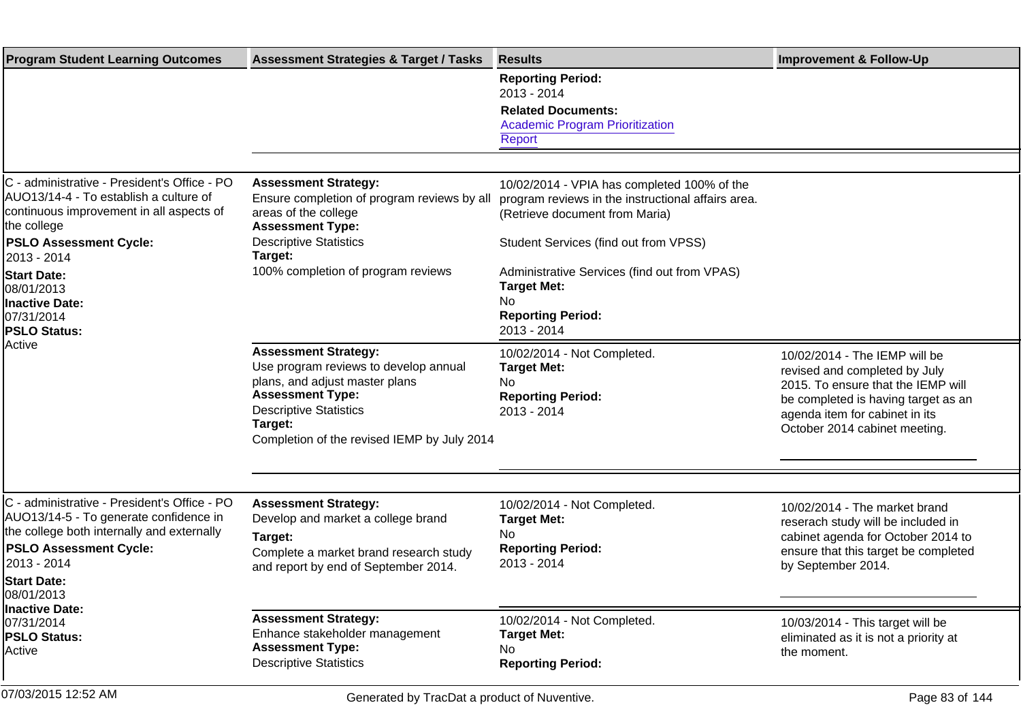| <b>Program Student Learning Outcomes</b>                                                                                                                                                                   | <b>Assessment Strategies &amp; Target / Tasks</b>                                                                                                                                                                            | <b>Results</b>                                                                                                                      | <b>Improvement &amp; Follow-Up</b>                                                                                                                                                                             |
|------------------------------------------------------------------------------------------------------------------------------------------------------------------------------------------------------------|------------------------------------------------------------------------------------------------------------------------------------------------------------------------------------------------------------------------------|-------------------------------------------------------------------------------------------------------------------------------------|----------------------------------------------------------------------------------------------------------------------------------------------------------------------------------------------------------------|
|                                                                                                                                                                                                            |                                                                                                                                                                                                                              | <b>Reporting Period:</b><br>2013 - 2014<br><b>Related Documents:</b><br><b>Academic Program Prioritization</b><br>Report            |                                                                                                                                                                                                                |
|                                                                                                                                                                                                            |                                                                                                                                                                                                                              |                                                                                                                                     |                                                                                                                                                                                                                |
| C - administrative - President's Office - PO<br>AUO13/14-4 - To establish a culture of<br>continuous improvement in all aspects of<br>the college                                                          | <b>Assessment Strategy:</b><br>Ensure completion of program reviews by all<br>areas of the college<br><b>Assessment Type:</b>                                                                                                | 10/02/2014 - VPIA has completed 100% of the<br>program reviews in the instructional affairs area.<br>(Retrieve document from Maria) |                                                                                                                                                                                                                |
| <b>PSLO Assessment Cycle:</b>                                                                                                                                                                              | <b>Descriptive Statistics</b><br>Target:                                                                                                                                                                                     | Student Services (find out from VPSS)                                                                                               |                                                                                                                                                                                                                |
| 2013 - 2014<br><b>Start Date:</b><br>08/01/2013<br>Inactive Date:<br>07/31/2014<br><b>PSLO Status:</b><br>Active                                                                                           | 100% completion of program reviews                                                                                                                                                                                           | Administrative Services (find out from VPAS)<br><b>Target Met:</b><br>No.<br><b>Reporting Period:</b><br>2013 - 2014                |                                                                                                                                                                                                                |
|                                                                                                                                                                                                            | <b>Assessment Strategy:</b><br>Use program reviews to develop annual<br>plans, and adjust master plans<br><b>Assessment Type:</b><br><b>Descriptive Statistics</b><br>Target:<br>Completion of the revised IEMP by July 2014 | 10/02/2014 - Not Completed.<br><b>Target Met:</b><br>No.<br><b>Reporting Period:</b><br>2013 - 2014                                 | 10/02/2014 - The IEMP will be<br>revised and completed by July<br>2015. To ensure that the IEMP will<br>be completed is having target as an<br>agenda item for cabinet in its<br>October 2014 cabinet meeting. |
|                                                                                                                                                                                                            |                                                                                                                                                                                                                              |                                                                                                                                     |                                                                                                                                                                                                                |
| C - administrative - President's Office - PO<br>AUO13/14-5 - To generate confidence in<br>the college both internally and externally<br><b>PSLO Assessment Cycle:</b><br>2013 - 2014<br><b>Start Date:</b> | <b>Assessment Strategy:</b><br>Develop and market a college brand<br>Target:<br>Complete a market brand research study<br>and report by end of September 2014.                                                               | 10/02/2014 - Not Completed.<br><b>Target Met:</b><br>No.<br><b>Reporting Period:</b><br>2013 - 2014                                 | 10/02/2014 - The market brand<br>reserach study will be included in<br>cabinet agenda for October 2014 to<br>ensure that this target be completed<br>by September 2014.                                        |
| 08/01/2013<br>Inactive Date:                                                                                                                                                                               |                                                                                                                                                                                                                              |                                                                                                                                     |                                                                                                                                                                                                                |
| 07/31/2014<br><b>PSLO Status:</b><br>Active                                                                                                                                                                | <b>Assessment Strategy:</b><br>Enhance stakeholder management<br><b>Assessment Type:</b><br><b>Descriptive Statistics</b>                                                                                                    | 10/02/2014 - Not Completed.<br><b>Target Met:</b><br>No.<br><b>Reporting Period:</b>                                                | 10/03/2014 - This target will be<br>eliminated as it is not a priority at<br>the moment.                                                                                                                       |
| 07/03/2015 12:52 AM                                                                                                                                                                                        | Generated by TracDat a product of Nuventive.                                                                                                                                                                                 |                                                                                                                                     | Page 83 of 144                                                                                                                                                                                                 |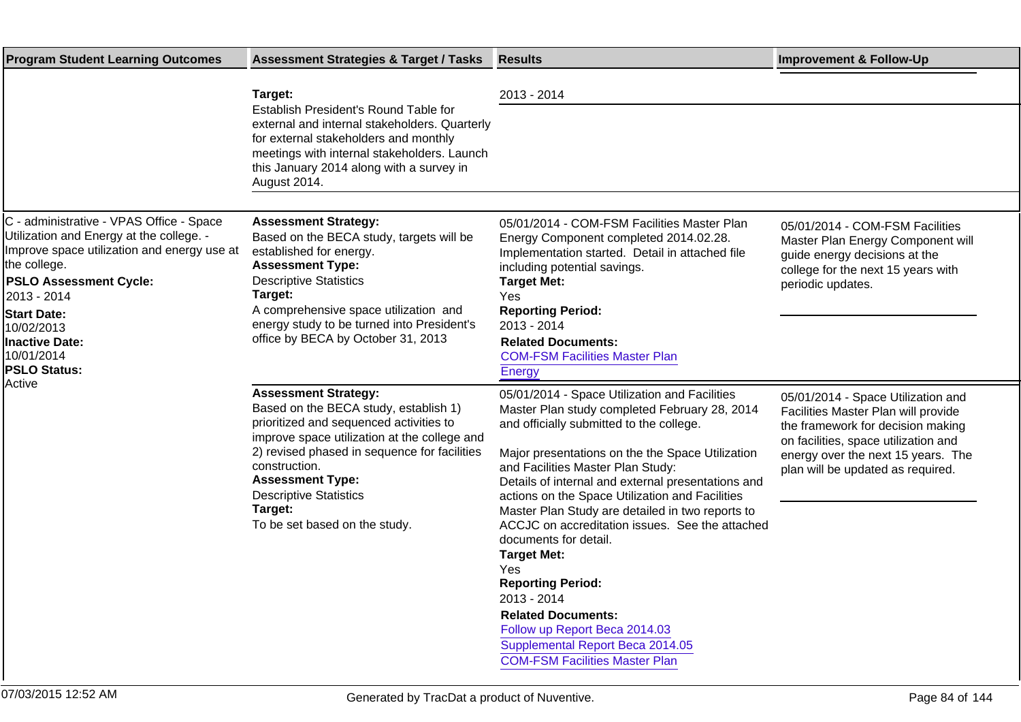| <b>Program Student Learning Outcomes</b>                                                                                                                                                                                                                                                              | <b>Assessment Strategies &amp; Target / Tasks</b>                                                                                                                                                                                                                                                                                        | <b>Results</b>                                                                                                                                                                                                                                                                                                                                                                                                                                                                                                                                                                                                                                                                                         | <b>Improvement &amp; Follow-Up</b>                                                                                                                                                                                                |
|-------------------------------------------------------------------------------------------------------------------------------------------------------------------------------------------------------------------------------------------------------------------------------------------------------|------------------------------------------------------------------------------------------------------------------------------------------------------------------------------------------------------------------------------------------------------------------------------------------------------------------------------------------|--------------------------------------------------------------------------------------------------------------------------------------------------------------------------------------------------------------------------------------------------------------------------------------------------------------------------------------------------------------------------------------------------------------------------------------------------------------------------------------------------------------------------------------------------------------------------------------------------------------------------------------------------------------------------------------------------------|-----------------------------------------------------------------------------------------------------------------------------------------------------------------------------------------------------------------------------------|
|                                                                                                                                                                                                                                                                                                       | Target:<br>Establish President's Round Table for<br>external and internal stakeholders. Quarterly<br>for external stakeholders and monthly<br>meetings with internal stakeholders. Launch<br>this January 2014 along with a survey in<br>August 2014.                                                                                    | 2013 - 2014                                                                                                                                                                                                                                                                                                                                                                                                                                                                                                                                                                                                                                                                                            |                                                                                                                                                                                                                                   |
| C - administrative - VPAS Office - Space<br>Utilization and Energy at the college. -<br>Improve space utilization and energy use at<br>the college.<br><b>PSLO Assessment Cycle:</b><br>2013 - 2014<br><b>Start Date:</b><br>10/02/2013<br><b>Inactive Date:</b><br>10/01/2014<br><b>PSLO Status:</b> | <b>Assessment Strategy:</b><br>Based on the BECA study, targets will be<br>established for energy.<br><b>Assessment Type:</b><br><b>Descriptive Statistics</b><br>Target:<br>A comprehensive space utilization and<br>energy study to be turned into President's<br>office by BECA by October 31, 2013                                   | 05/01/2014 - COM-FSM Facilities Master Plan<br>Energy Component completed 2014.02.28.<br>Implementation started. Detail in attached file<br>including potential savings.<br><b>Target Met:</b><br>Yes<br><b>Reporting Period:</b><br>2013 - 2014<br><b>Related Documents:</b><br><b>COM-FSM Facilities Master Plan</b><br><b>Energy</b>                                                                                                                                                                                                                                                                                                                                                                | 05/01/2014 - COM-FSM Facilities<br>Master Plan Energy Component will<br>guide energy decisions at the<br>college for the next 15 years with<br>periodic updates.                                                                  |
| Active                                                                                                                                                                                                                                                                                                | <b>Assessment Strategy:</b><br>Based on the BECA study, establish 1)<br>prioritized and sequenced activities to<br>improve space utilization at the college and<br>2) revised phased in sequence for facilities<br>construction.<br><b>Assessment Type:</b><br><b>Descriptive Statistics</b><br>Target:<br>To be set based on the study. | 05/01/2014 - Space Utilization and Facilities<br>Master Plan study completed February 28, 2014<br>and officially submitted to the college.<br>Major presentations on the the Space Utilization<br>and Facilities Master Plan Study:<br>Details of internal and external presentations and<br>actions on the Space Utilization and Facilities<br>Master Plan Study are detailed in two reports to<br>ACCJC on accreditation issues. See the attached<br>documents for detail.<br><b>Target Met:</b><br><b>Yes</b><br><b>Reporting Period:</b><br>2013 - 2014<br><b>Related Documents:</b><br>Follow up Report Beca 2014.03<br>Supplemental Report Beca 2014.05<br><b>COM-FSM Facilities Master Plan</b> | 05/01/2014 - Space Utilization and<br>Facilities Master Plan will provide<br>the framework for decision making<br>on facilities, space utilization and<br>energy over the next 15 years. The<br>plan will be updated as required. |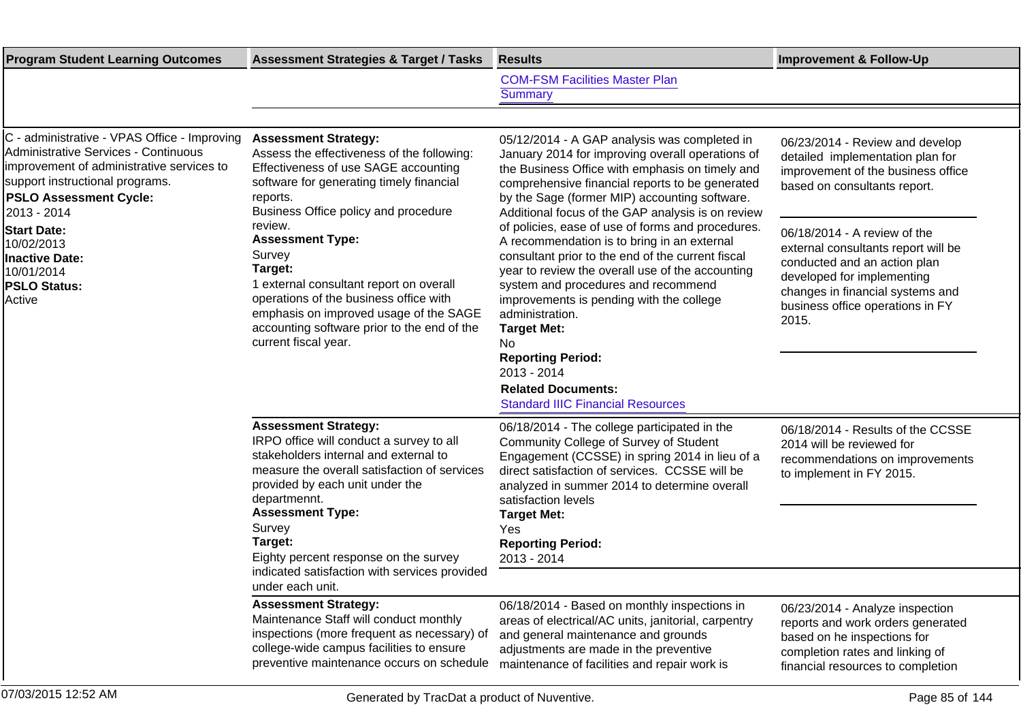| <b>Program Student Learning Outcomes</b>                                                                                                                                                                                    | <b>Assessment Strategies &amp; Target / Tasks</b>                                                                                                                                                                                                                                                                                                             | <b>Results</b>                                                                                                                                                                                                                                                                                                                                                                                                                                                   | <b>Improvement &amp; Follow-Up</b>                                                                                                                                                                                 |
|-----------------------------------------------------------------------------------------------------------------------------------------------------------------------------------------------------------------------------|---------------------------------------------------------------------------------------------------------------------------------------------------------------------------------------------------------------------------------------------------------------------------------------------------------------------------------------------------------------|------------------------------------------------------------------------------------------------------------------------------------------------------------------------------------------------------------------------------------------------------------------------------------------------------------------------------------------------------------------------------------------------------------------------------------------------------------------|--------------------------------------------------------------------------------------------------------------------------------------------------------------------------------------------------------------------|
|                                                                                                                                                                                                                             |                                                                                                                                                                                                                                                                                                                                                               | <b>COM-FSM Facilities Master Plan</b><br><b>Summary</b>                                                                                                                                                                                                                                                                                                                                                                                                          |                                                                                                                                                                                                                    |
|                                                                                                                                                                                                                             |                                                                                                                                                                                                                                                                                                                                                               |                                                                                                                                                                                                                                                                                                                                                                                                                                                                  |                                                                                                                                                                                                                    |
| C - administrative - VPAS Office - Improving<br><b>Administrative Services - Continuous</b><br>improvement of administrative services to<br>support instructional programs.<br><b>PSLO Assessment Cycle:</b><br>2013 - 2014 | <b>Assessment Strategy:</b><br>Assess the effectiveness of the following:<br>Effectiveness of use SAGE accounting<br>software for generating timely financial<br>reports.<br>Business Office policy and procedure                                                                                                                                             | 05/12/2014 - A GAP analysis was completed in<br>January 2014 for improving overall operations of<br>the Business Office with emphasis on timely and<br>comprehensive financial reports to be generated<br>by the Sage (former MIP) accounting software.<br>Additional focus of the GAP analysis is on review                                                                                                                                                     | 06/23/2014 - Review and develop<br>detailed implementation plan for<br>improvement of the business office<br>based on consultants report.                                                                          |
| <b>Start Date:</b><br>10/02/2013<br><b>Inactive Date:</b><br>10/01/2014<br><b>PSLO Status:</b><br>Active                                                                                                                    | review.<br><b>Assessment Type:</b><br>Survey<br>Target:<br>1 external consultant report on overall<br>operations of the business office with<br>emphasis on improved usage of the SAGE<br>accounting software prior to the end of the<br>current fiscal year.                                                                                                 | of policies, ease of use of forms and procedures.<br>A recommendation is to bring in an external<br>consultant prior to the end of the current fiscal<br>year to review the overall use of the accounting<br>system and procedures and recommend<br>improvements is pending with the college<br>administration.<br><b>Target Met:</b><br>No.<br><b>Reporting Period:</b><br>2013 - 2014<br><b>Related Documents:</b><br><b>Standard IIIC Financial Resources</b> | 06/18/2014 - A review of the<br>external consultants report will be<br>conducted and an action plan<br>developed for implementing<br>changes in financial systems and<br>business office operations in FY<br>2015. |
|                                                                                                                                                                                                                             | <b>Assessment Strategy:</b><br>IRPO office will conduct a survey to all<br>stakeholders internal and external to<br>measure the overall satisfaction of services<br>provided by each unit under the<br>departmennt.<br><b>Assessment Type:</b><br>Survey<br>Target:<br>Eighty percent response on the survey<br>indicated satisfaction with services provided | 06/18/2014 - The college participated in the<br>Community College of Survey of Student<br>Engagement (CCSSE) in spring 2014 in lieu of a<br>direct satisfaction of services. CCSSE will be<br>analyzed in summer 2014 to determine overall<br>satisfaction levels<br><b>Target Met:</b><br>Yes<br><b>Reporting Period:</b><br>2013 - 2014                                                                                                                        | 06/18/2014 - Results of the CCSSE<br>2014 will be reviewed for<br>recommendations on improvements<br>to implement in FY 2015.                                                                                      |
|                                                                                                                                                                                                                             | under each unit.                                                                                                                                                                                                                                                                                                                                              |                                                                                                                                                                                                                                                                                                                                                                                                                                                                  |                                                                                                                                                                                                                    |
|                                                                                                                                                                                                                             | <b>Assessment Strategy:</b><br>Maintenance Staff will conduct monthly<br>inspections (more frequent as necessary) of<br>college-wide campus facilities to ensure<br>preventive maintenance occurs on schedule                                                                                                                                                 | 06/18/2014 - Based on monthly inspections in<br>areas of electrical/AC units, janitorial, carpentry<br>and general maintenance and grounds<br>adjustments are made in the preventive<br>maintenance of facilities and repair work is                                                                                                                                                                                                                             | 06/23/2014 - Analyze inspection<br>reports and work orders generated<br>based on he inspections for<br>completion rates and linking of<br>financial resources to completion                                        |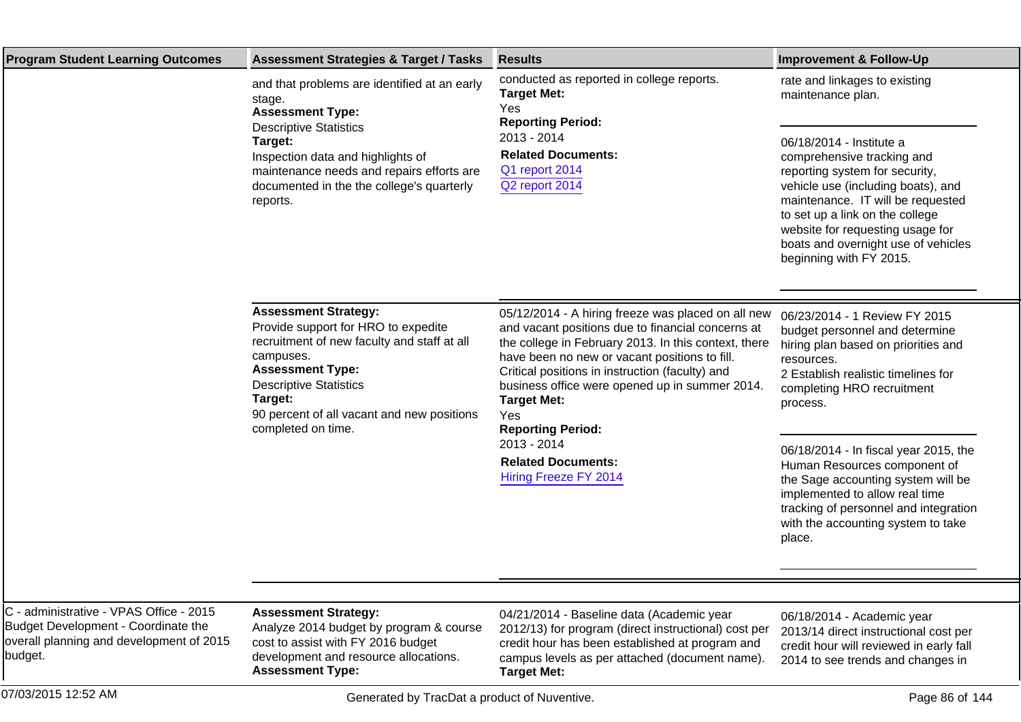| <b>Program Student Learning Outcomes</b>                                                                                              | <b>Assessment Strategies &amp; Target / Tasks</b>                                                                                                                                                                                                                         | <b>Results</b>                                                                                                                                                                                                                                                                                                                                                                                                                                      | <b>Improvement &amp; Follow-Up</b>                                                                                                                                                                                                                                                                                                                                                                                                              |
|---------------------------------------------------------------------------------------------------------------------------------------|---------------------------------------------------------------------------------------------------------------------------------------------------------------------------------------------------------------------------------------------------------------------------|-----------------------------------------------------------------------------------------------------------------------------------------------------------------------------------------------------------------------------------------------------------------------------------------------------------------------------------------------------------------------------------------------------------------------------------------------------|-------------------------------------------------------------------------------------------------------------------------------------------------------------------------------------------------------------------------------------------------------------------------------------------------------------------------------------------------------------------------------------------------------------------------------------------------|
|                                                                                                                                       | and that problems are identified at an early<br>stage.<br><b>Assessment Type:</b>                                                                                                                                                                                         | conducted as reported in college reports.<br><b>Target Met:</b><br>Yes<br><b>Reporting Period:</b>                                                                                                                                                                                                                                                                                                                                                  | rate and linkages to existing<br>maintenance plan.                                                                                                                                                                                                                                                                                                                                                                                              |
|                                                                                                                                       | <b>Descriptive Statistics</b><br>Target:<br>Inspection data and highlights of<br>maintenance needs and repairs efforts are<br>documented in the the college's quarterly<br>reports.                                                                                       | 2013 - 2014<br><b>Related Documents:</b><br>Q1 report 2014<br>Q2 report 2014                                                                                                                                                                                                                                                                                                                                                                        | 06/18/2014 - Institute a<br>comprehensive tracking and<br>reporting system for security,<br>vehicle use (including boats), and<br>maintenance. IT will be requested<br>to set up a link on the college<br>website for requesting usage for<br>boats and overnight use of vehicles<br>beginning with FY 2015.                                                                                                                                    |
|                                                                                                                                       | <b>Assessment Strategy:</b><br>Provide support for HRO to expedite<br>recruitment of new faculty and staff at all<br>campuses.<br><b>Assessment Type:</b><br><b>Descriptive Statistics</b><br>Target:<br>90 percent of all vacant and new positions<br>completed on time. | 05/12/2014 - A hiring freeze was placed on all new<br>and vacant positions due to financial concerns at<br>the college in February 2013. In this context, there<br>have been no new or vacant positions to fill.<br>Critical positions in instruction (faculty) and<br>business office were opened up in summer 2014.<br><b>Target Met:</b><br>Yes<br><b>Reporting Period:</b><br>2013 - 2014<br><b>Related Documents:</b><br>Hiring Freeze FY 2014 | 06/23/2014 - 1 Review FY 2015<br>budget personnel and determine<br>hiring plan based on priorities and<br>resources.<br>2 Establish realistic timelines for<br>completing HRO recruitment<br>process.<br>06/18/2014 - In fiscal year 2015, the<br>Human Resources component of<br>the Sage accounting system will be<br>implemented to allow real time<br>tracking of personnel and integration<br>with the accounting system to take<br>place. |
|                                                                                                                                       |                                                                                                                                                                                                                                                                           |                                                                                                                                                                                                                                                                                                                                                                                                                                                     |                                                                                                                                                                                                                                                                                                                                                                                                                                                 |
| C - administrative - VPAS Office - 2015<br>Budget Development - Coordinate the<br>overall planning and development of 2015<br>budget. | <b>Assessment Strategy:</b><br>Analyze 2014 budget by program & course<br>cost to assist with FY 2016 budget<br>development and resource allocations.<br><b>Assessment Type:</b>                                                                                          | 04/21/2014 - Baseline data (Academic year<br>2012/13) for program (direct instructional) cost per<br>credit hour has been established at program and<br>campus levels as per attached (document name).<br><b>Target Met:</b>                                                                                                                                                                                                                        | 06/18/2014 - Academic year<br>2013/14 direct instructional cost per<br>credit hour will reviewed in early fall<br>2014 to see trends and changes in                                                                                                                                                                                                                                                                                             |
| 07/03/2015 12:52 AM                                                                                                                   | Generated by TracDat a product of Nuventive.                                                                                                                                                                                                                              |                                                                                                                                                                                                                                                                                                                                                                                                                                                     | Page 86 of 144                                                                                                                                                                                                                                                                                                                                                                                                                                  |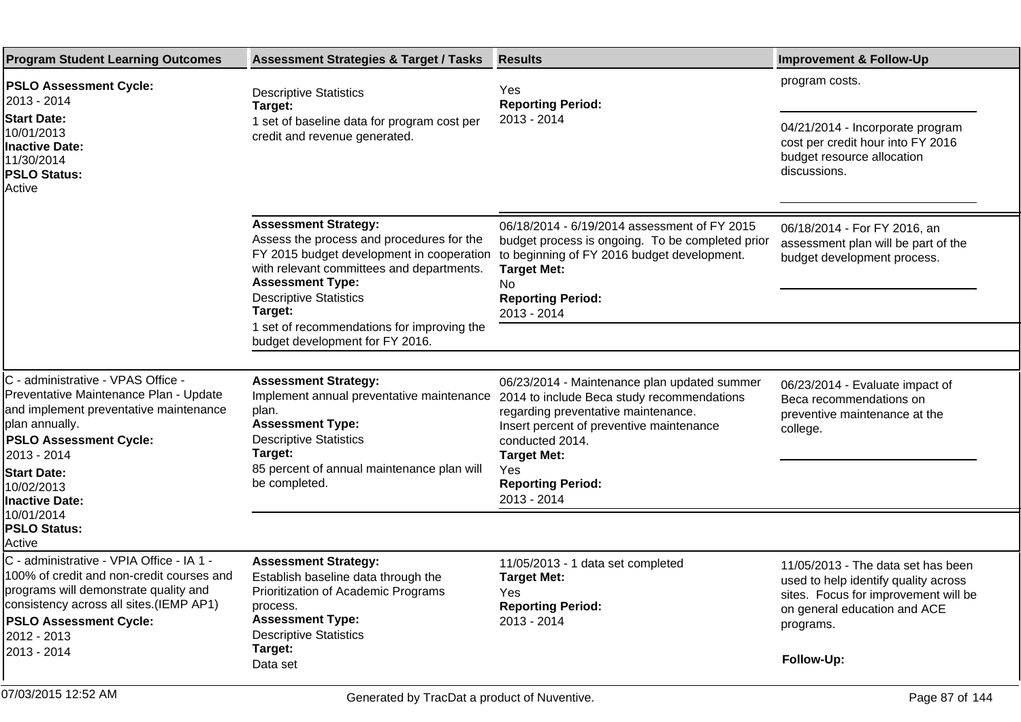| <b>Program Student Learning Outcomes</b>                                                                                                                                                                                                                                            | <b>Assessment Strategies &amp; Target / Tasks</b>                                                                                                                                                                                                                             | <b>Results</b>                                                                                                                                                                                                                                                           | <b>Improvement &amp; Follow-Up</b>                                                                                                                                            |
|-------------------------------------------------------------------------------------------------------------------------------------------------------------------------------------------------------------------------------------------------------------------------------------|-------------------------------------------------------------------------------------------------------------------------------------------------------------------------------------------------------------------------------------------------------------------------------|--------------------------------------------------------------------------------------------------------------------------------------------------------------------------------------------------------------------------------------------------------------------------|-------------------------------------------------------------------------------------------------------------------------------------------------------------------------------|
| <b>PSLO Assessment Cycle:</b><br>2013 - 2014<br><b>Start Date:</b><br>10/01/2013<br>Inactive Date:<br>11/30/2014<br><b>PSLO Status:</b><br>Active                                                                                                                                   | <b>Descriptive Statistics</b><br>Target:<br>1 set of baseline data for program cost per<br>credit and revenue generated.                                                                                                                                                      | Yes<br><b>Reporting Period:</b><br>2013 - 2014                                                                                                                                                                                                                           | program costs.<br>04/21/2014 - Incorporate program<br>cost per credit hour into FY 2016<br>budget resource allocation<br>discussions.                                         |
|                                                                                                                                                                                                                                                                                     | <b>Assessment Strategy:</b><br>Assess the process and procedures for the<br>with relevant committees and departments.<br><b>Assessment Type:</b><br><b>Descriptive Statistics</b><br>Target:<br>1 set of recommendations for improving the<br>budget development for FY 2016. | 06/18/2014 - 6/19/2014 assessment of FY 2015<br>budget process is ongoing. To be completed prior<br>FY 2015 budget development in cooperation to beginning of FY 2016 budget development.<br><b>Target Met:</b><br><b>No</b><br><b>Reporting Period:</b><br>2013 - 2014  | 06/18/2014 - For FY 2016, an<br>assessment plan will be part of the<br>budget development process.                                                                            |
| C - administrative - VPAS Office -<br>Preventative Maintenance Plan - Update<br>and implement preventative maintenance<br>plan annually.<br><b>PSLO Assessment Cycle:</b><br>2013 - 2014<br><b>Start Date:</b><br>10/02/2013<br>Inactive Date:<br>10/01/2014<br><b>PSLO Status:</b> | <b>Assessment Strategy:</b><br>Implement annual preventative maintenance<br>plan.<br><b>Assessment Type:</b><br><b>Descriptive Statistics</b><br>Target:<br>85 percent of annual maintenance plan will<br>be completed.                                                       | 06/23/2014 - Maintenance plan updated summer<br>2014 to include Beca study recommendations<br>regarding preventative maintenance.<br>Insert percent of preventive maintenance<br>conducted 2014.<br><b>Target Met:</b><br>Yes<br><b>Reporting Period:</b><br>2013 - 2014 | 06/23/2014 - Evaluate impact of<br>Beca recommendations on<br>preventive maintenance at the<br>college.                                                                       |
| Active<br>C - administrative - VPIA Office - IA 1 -<br>100% of credit and non-credit courses and<br>programs will demonstrate quality and<br>consistency across all sites.(IEMP AP1)<br><b>PSLO Assessment Cycle:</b><br>2012 - 2013<br>2013 - 2014                                 | <b>Assessment Strategy:</b><br>Establish baseline data through the<br>Prioritization of Academic Programs<br>process.<br><b>Assessment Type:</b><br><b>Descriptive Statistics</b><br>Target:<br>Data set                                                                      | 11/05/2013 - 1 data set completed<br><b>Target Met:</b><br>Yes<br><b>Reporting Period:</b><br>2013 - 2014                                                                                                                                                                | 11/05/2013 - The data set has been<br>used to help identify quality across<br>sites. Focus for improvement will be<br>on general education and ACE<br>programs.<br>Follow-Up: |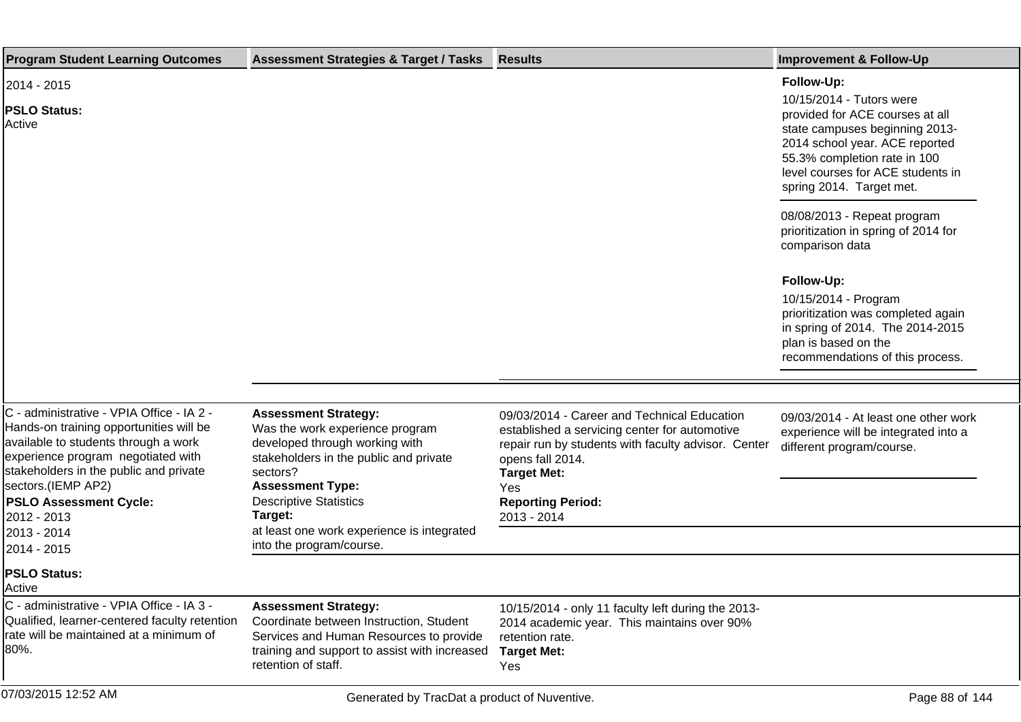| <b>Program Student Learning Outcomes</b>                                                                                                                                                                                                                                           | <b>Assessment Strategies &amp; Target / Tasks</b>                                                                                                                                                                             | <b>Results</b>                                                                                                                                                                                                                                  | <b>Improvement &amp; Follow-Up</b>                                                                                                                                                                                                             |
|------------------------------------------------------------------------------------------------------------------------------------------------------------------------------------------------------------------------------------------------------------------------------------|-------------------------------------------------------------------------------------------------------------------------------------------------------------------------------------------------------------------------------|-------------------------------------------------------------------------------------------------------------------------------------------------------------------------------------------------------------------------------------------------|------------------------------------------------------------------------------------------------------------------------------------------------------------------------------------------------------------------------------------------------|
| 2014 - 2015<br><b>PSLO Status:</b><br>Active                                                                                                                                                                                                                                       |                                                                                                                                                                                                                               |                                                                                                                                                                                                                                                 | Follow-Up:<br>10/15/2014 - Tutors were<br>provided for ACE courses at all<br>state campuses beginning 2013-<br>2014 school year. ACE reported<br>55.3% completion rate in 100<br>level courses for ACE students in<br>spring 2014. Target met. |
|                                                                                                                                                                                                                                                                                    |                                                                                                                                                                                                                               |                                                                                                                                                                                                                                                 | 08/08/2013 - Repeat program<br>prioritization in spring of 2014 for<br>comparison data                                                                                                                                                         |
|                                                                                                                                                                                                                                                                                    |                                                                                                                                                                                                                               |                                                                                                                                                                                                                                                 | Follow-Up:<br>10/15/2014 - Program<br>prioritization was completed again<br>in spring of 2014. The 2014-2015<br>plan is based on the<br>recommendations of this process.                                                                       |
|                                                                                                                                                                                                                                                                                    |                                                                                                                                                                                                                               |                                                                                                                                                                                                                                                 |                                                                                                                                                                                                                                                |
| C - administrative - VPIA Office - IA 2 -<br>Hands-on training opportunities will be<br>available to students through a work<br>experience program negotiated with<br>stakeholders in the public and private<br>sectors.(IEMP AP2)<br><b>PSLO Assessment Cycle:</b><br>2012 - 2013 | <b>Assessment Strategy:</b><br>Was the work experience program<br>developed through working with<br>stakeholders in the public and private<br>sectors?<br><b>Assessment Type:</b><br><b>Descriptive Statistics</b><br>Target: | 09/03/2014 - Career and Technical Education<br>established a servicing center for automotive<br>repair run by students with faculty advisor. Center<br>opens fall 2014.<br><b>Target Met:</b><br>Yes<br><b>Reporting Period:</b><br>2013 - 2014 | 09/03/2014 - At least one other work<br>experience will be integrated into a<br>different program/course.                                                                                                                                      |
| 2013 - 2014<br>2014 - 2015                                                                                                                                                                                                                                                         | at least one work experience is integrated<br>into the program/course.                                                                                                                                                        |                                                                                                                                                                                                                                                 |                                                                                                                                                                                                                                                |
| <b>PSLO Status:</b><br>Active                                                                                                                                                                                                                                                      |                                                                                                                                                                                                                               |                                                                                                                                                                                                                                                 |                                                                                                                                                                                                                                                |
| C - administrative - VPIA Office - IA 3 -<br>Qualified, learner-centered faculty retention<br>Irate will be maintained at a minimum of<br>80%.                                                                                                                                     | <b>Assessment Strategy:</b><br>Coordinate between Instruction, Student<br>Services and Human Resources to provide<br>training and support to assist with increased<br>retention of staff.                                     | 10/15/2014 - only 11 faculty left during the 2013-<br>2014 academic year. This maintains over 90%<br>retention rate.<br><b>Target Met:</b><br>Yes                                                                                               |                                                                                                                                                                                                                                                |
| 07/03/2015 12:52 AM                                                                                                                                                                                                                                                                | Generated by TracDat a product of Nuventive.                                                                                                                                                                                  |                                                                                                                                                                                                                                                 | Page 88 of 144                                                                                                                                                                                                                                 |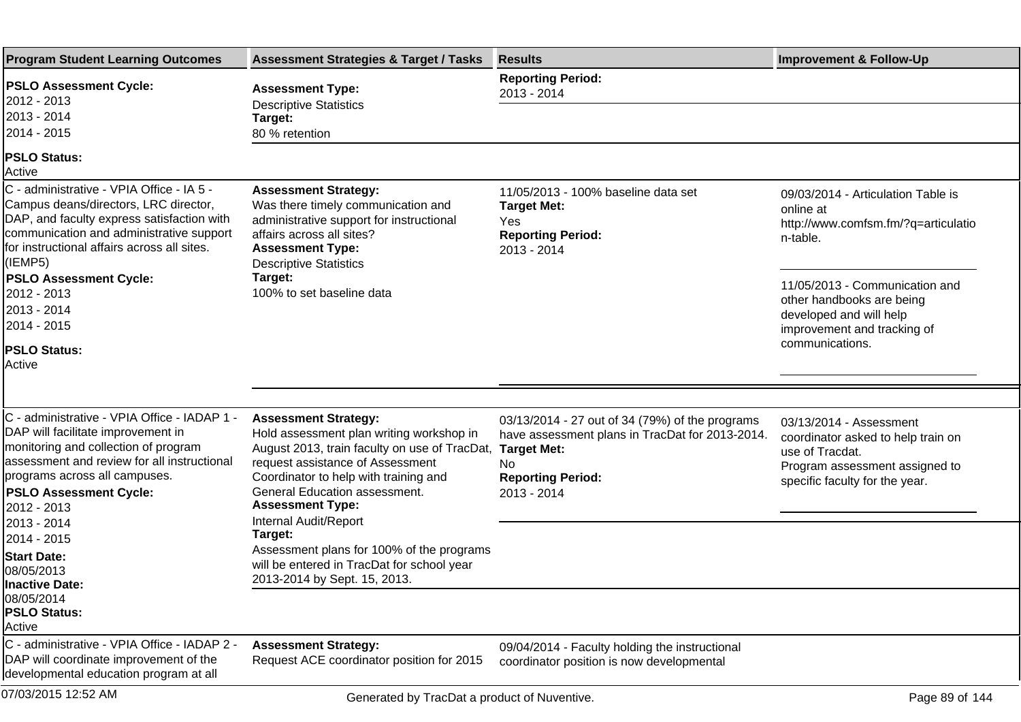| <b>Program Student Learning Outcomes</b>                                                                                                                                                                                                                                               | <b>Assessment Strategies &amp; Target / Tasks</b>                                                                                                                                                                                                                                          | <b>Results</b>                                                                                                                                                                   | <b>Improvement &amp; Follow-Up</b>                                                                                                                   |
|----------------------------------------------------------------------------------------------------------------------------------------------------------------------------------------------------------------------------------------------------------------------------------------|--------------------------------------------------------------------------------------------------------------------------------------------------------------------------------------------------------------------------------------------------------------------------------------------|----------------------------------------------------------------------------------------------------------------------------------------------------------------------------------|------------------------------------------------------------------------------------------------------------------------------------------------------|
| <b>PSLO Assessment Cycle:</b><br>2012 - 2013                                                                                                                                                                                                                                           | <b>Assessment Type:</b><br><b>Descriptive Statistics</b>                                                                                                                                                                                                                                   | <b>Reporting Period:</b><br>2013 - 2014                                                                                                                                          |                                                                                                                                                      |
| 2013 - 2014                                                                                                                                                                                                                                                                            | Target:                                                                                                                                                                                                                                                                                    |                                                                                                                                                                                  |                                                                                                                                                      |
| 2014 - 2015                                                                                                                                                                                                                                                                            | 80 % retention                                                                                                                                                                                                                                                                             |                                                                                                                                                                                  |                                                                                                                                                      |
| <b>PSLO Status:</b><br>Active                                                                                                                                                                                                                                                          |                                                                                                                                                                                                                                                                                            |                                                                                                                                                                                  |                                                                                                                                                      |
| C - administrative - VPIA Office - IA 5 -<br>Campus deans/directors, LRC director,<br>DAP, and faculty express satisfaction with<br>communication and administrative support<br>for instructional affairs across all sites.<br>(IEMP5)<br><b>PSLO Assessment Cycle:</b><br>2012 - 2013 | <b>Assessment Strategy:</b><br>Was there timely communication and<br>administrative support for instructional<br>affairs across all sites?<br><b>Assessment Type:</b><br><b>Descriptive Statistics</b><br>Target:<br>100% to set baseline data                                             | 11/05/2013 - 100% baseline data set<br><b>Target Met:</b><br>Yes<br><b>Reporting Period:</b><br>2013 - 2014                                                                      | 09/03/2014 - Articulation Table is<br>online at<br>http://www.comfsm.fm/?q=articulatio<br>n-table.<br>11/05/2013 - Communication and                 |
| 2013 - 2014                                                                                                                                                                                                                                                                            |                                                                                                                                                                                                                                                                                            |                                                                                                                                                                                  | other handbooks are being<br>developed and will help                                                                                                 |
| 2014 - 2015                                                                                                                                                                                                                                                                            |                                                                                                                                                                                                                                                                                            |                                                                                                                                                                                  | improvement and tracking of                                                                                                                          |
| <b>PSLO Status:</b><br><b>Active</b>                                                                                                                                                                                                                                                   |                                                                                                                                                                                                                                                                                            |                                                                                                                                                                                  | communications.                                                                                                                                      |
|                                                                                                                                                                                                                                                                                        |                                                                                                                                                                                                                                                                                            |                                                                                                                                                                                  |                                                                                                                                                      |
| C - administrative - VPIA Office - IADAP 1 -<br>DAP will facilitate improvement in<br>monitoring and collection of program<br>assessment and review for all instructional<br>programs across all campuses.<br><b>PSLO Assessment Cycle:</b><br>2012 - 2013                             | <b>Assessment Strategy:</b><br>Hold assessment plan writing workshop in<br>August 2013, train faculty on use of TracDat,<br>request assistance of Assessment<br>Coordinator to help with training and<br>General Education assessment.<br><b>Assessment Type:</b><br>Internal Audit/Report | 03/13/2014 - 27 out of 34 (79%) of the programs<br>have assessment plans in TracDat for 2013-2014.<br><b>Target Met:</b><br><b>No</b><br><b>Reporting Period:</b><br>2013 - 2014 | 03/13/2014 - Assessment<br>coordinator asked to help train on<br>use of Tracdat.<br>Program assessment assigned to<br>specific faculty for the year. |
| 2013 - 2014<br>2014 - 2015                                                                                                                                                                                                                                                             | Target:                                                                                                                                                                                                                                                                                    |                                                                                                                                                                                  |                                                                                                                                                      |
| <b>Start Date:</b><br>08/05/2013<br>llnactive Date:                                                                                                                                                                                                                                    | Assessment plans for 100% of the programs<br>will be entered in TracDat for school year<br>2013-2014 by Sept. 15, 2013.                                                                                                                                                                    |                                                                                                                                                                                  |                                                                                                                                                      |
| 08/05/2014<br><b>PSLO Status:</b><br>Active                                                                                                                                                                                                                                            |                                                                                                                                                                                                                                                                                            |                                                                                                                                                                                  |                                                                                                                                                      |
| C - administrative - VPIA Office - IADAP 2 -<br>DAP will coordinate improvement of the<br>developmental education program at all                                                                                                                                                       | <b>Assessment Strategy:</b><br>Request ACE coordinator position for 2015                                                                                                                                                                                                                   | 09/04/2014 - Faculty holding the instructional<br>coordinator position is now developmental                                                                                      |                                                                                                                                                      |
| 07/03/2015 12:52 AM                                                                                                                                                                                                                                                                    | Generated by TracDat a product of Nuventive.                                                                                                                                                                                                                                               |                                                                                                                                                                                  | Page 89 of 144                                                                                                                                       |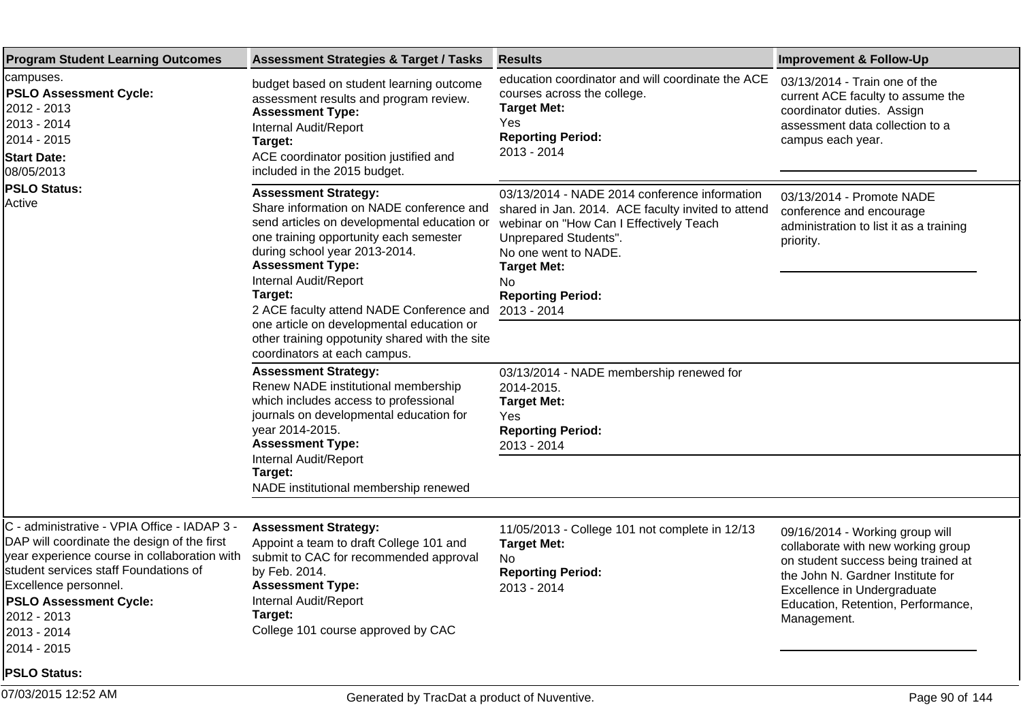| <b>Program Student Learning Outcomes</b>                                                                                                                                                                                                                                                                           | <b>Assessment Strategies &amp; Target / Tasks</b>                                                                                                                                                                                                                                                                                                                                                                                           | <b>Results</b>                                                                                                                                                                                                                                                          | <b>Improvement &amp; Follow-Up</b>                                                                                                                                                                                                    |
|--------------------------------------------------------------------------------------------------------------------------------------------------------------------------------------------------------------------------------------------------------------------------------------------------------------------|---------------------------------------------------------------------------------------------------------------------------------------------------------------------------------------------------------------------------------------------------------------------------------------------------------------------------------------------------------------------------------------------------------------------------------------------|-------------------------------------------------------------------------------------------------------------------------------------------------------------------------------------------------------------------------------------------------------------------------|---------------------------------------------------------------------------------------------------------------------------------------------------------------------------------------------------------------------------------------|
| campuses.<br><b>PSLO Assessment Cycle:</b><br>2012 - 2013<br>2013 - 2014<br>2014 - 2015 <br><b>Start Date:</b><br>08/05/2013<br><b>PSLO Status:</b><br>Active                                                                                                                                                      | budget based on student learning outcome<br>assessment results and program review.<br><b>Assessment Type:</b><br>Internal Audit/Report<br>Target:<br>ACE coordinator position justified and<br>included in the 2015 budget.                                                                                                                                                                                                                 | education coordinator and will coordinate the ACE<br>courses across the college.<br><b>Target Met:</b><br>Yes<br><b>Reporting Period:</b><br>2013 - 2014                                                                                                                | 03/13/2014 - Train one of the<br>current ACE faculty to assume the<br>coordinator duties. Assign<br>assessment data collection to a<br>campus each year.                                                                              |
|                                                                                                                                                                                                                                                                                                                    | <b>Assessment Strategy:</b><br>Share information on NADE conference and<br>send articles on developmental education or<br>one training opportunity each semester<br>during school year 2013-2014.<br><b>Assessment Type:</b><br>Internal Audit/Report<br>Target:<br>2 ACE faculty attend NADE Conference and<br>one article on developmental education or<br>other training oppotunity shared with the site<br>coordinators at each campus. | 03/13/2014 - NADE 2014 conference information<br>shared in Jan. 2014. ACE faculty invited to attend<br>webinar on "How Can I Effectively Teach<br>Unprepared Students".<br>No one went to NADE.<br><b>Target Met:</b><br>No.<br><b>Reporting Period:</b><br>2013 - 2014 | 03/13/2014 - Promote NADE<br>conference and encourage<br>administration to list it as a training<br>priority.                                                                                                                         |
|                                                                                                                                                                                                                                                                                                                    | <b>Assessment Strategy:</b><br>Renew NADE institutional membership<br>which includes access to professional<br>journals on developmental education for<br>year 2014-2015.<br><b>Assessment Type:</b><br>Internal Audit/Report                                                                                                                                                                                                               | 03/13/2014 - NADE membership renewed for<br>2014-2015.<br><b>Target Met:</b><br><b>Yes</b><br><b>Reporting Period:</b><br>2013 - 2014                                                                                                                                   |                                                                                                                                                                                                                                       |
|                                                                                                                                                                                                                                                                                                                    | Target:<br>NADE institutional membership renewed                                                                                                                                                                                                                                                                                                                                                                                            |                                                                                                                                                                                                                                                                         |                                                                                                                                                                                                                                       |
| C - administrative - VPIA Office - IADAP 3 -<br>DAP will coordinate the design of the first<br>year experience course in collaboration with<br>student services staff Foundations of<br>Excellence personnel.<br><b>PSLO Assessment Cycle:</b><br>2012 - 2013<br>2013 - 2014<br>2014 - 2015<br><b>PSLO Status:</b> | <b>Assessment Strategy:</b><br>Appoint a team to draft College 101 and<br>submit to CAC for recommended approval<br>by Feb. 2014.<br><b>Assessment Type:</b><br>Internal Audit/Report<br>Target:<br>College 101 course approved by CAC                                                                                                                                                                                                      | 11/05/2013 - College 101 not complete in 12/13<br><b>Target Met:</b><br>No.<br><b>Reporting Period:</b><br>2013 - 2014                                                                                                                                                  | 09/16/2014 - Working group will<br>collaborate with new working group<br>on student success being trained at<br>the John N. Gardner Institute for<br>Excellence in Undergraduate<br>Education, Retention, Performance,<br>Management. |
| 07/03/2015 12:52 AM                                                                                                                                                                                                                                                                                                | Generated by TracDat a product of Nuventive.                                                                                                                                                                                                                                                                                                                                                                                                |                                                                                                                                                                                                                                                                         | Page 90 of 144                                                                                                                                                                                                                        |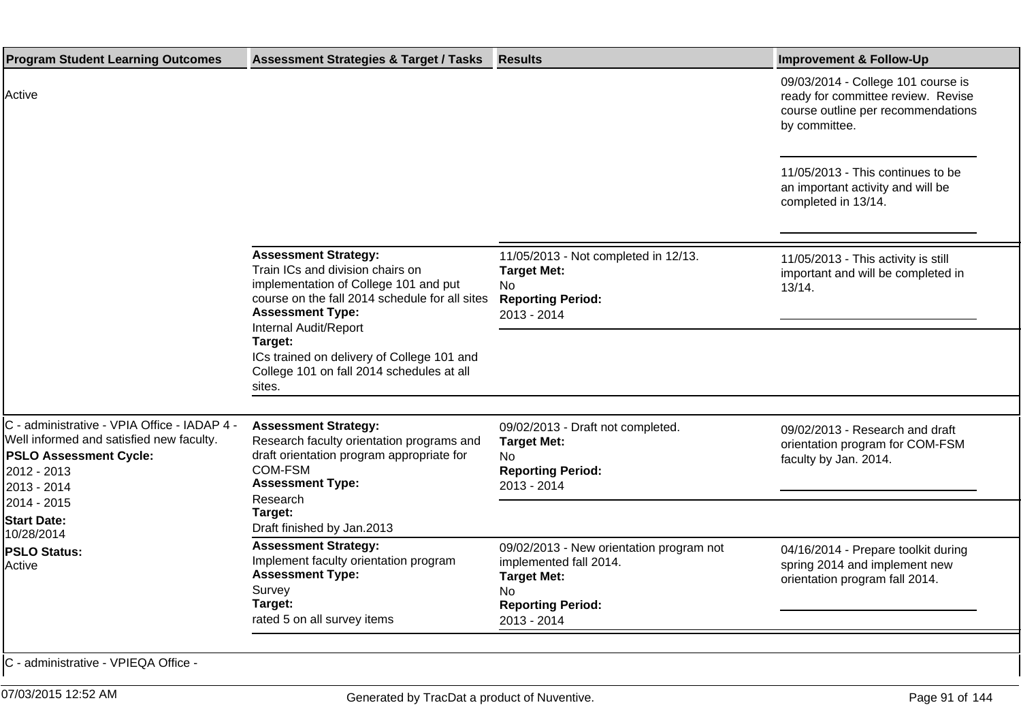| <b>Program Student Learning Outcomes</b>                                                                                                                               | <b>Assessment Strategies &amp; Target / Tasks</b>                                                                                                                                     | <b>Results</b>                                                                                                                             | <b>Improvement &amp; Follow-Up</b>                                                                                              |
|------------------------------------------------------------------------------------------------------------------------------------------------------------------------|---------------------------------------------------------------------------------------------------------------------------------------------------------------------------------------|--------------------------------------------------------------------------------------------------------------------------------------------|---------------------------------------------------------------------------------------------------------------------------------|
| Active                                                                                                                                                                 |                                                                                                                                                                                       |                                                                                                                                            | 09/03/2014 - College 101 course is<br>ready for committee review. Revise<br>course outline per recommendations<br>by committee. |
|                                                                                                                                                                        |                                                                                                                                                                                       |                                                                                                                                            | 11/05/2013 - This continues to be<br>an important activity and will be<br>completed in 13/14.                                   |
|                                                                                                                                                                        | <b>Assessment Strategy:</b><br>Train ICs and division chairs on<br>implementation of College 101 and put<br>course on the fall 2014 schedule for all sites<br><b>Assessment Type:</b> | 11/05/2013 - Not completed in 12/13.<br><b>Target Met:</b><br>No.<br><b>Reporting Period:</b><br>2013 - 2014                               | 11/05/2013 - This activity is still<br>important and will be completed in<br>13/14.                                             |
|                                                                                                                                                                        | Internal Audit/Report<br>Target:<br>ICs trained on delivery of College 101 and<br>College 101 on fall 2014 schedules at all<br>sites.                                                 |                                                                                                                                            |                                                                                                                                 |
| C - administrative - VPIA Office - IADAP 4 -<br>Well informed and satisfied new faculty.<br><b>PSLO Assessment Cycle:</b><br>2012 - 2013<br>2013 - 2014<br>2014 - 2015 | <b>Assessment Strategy:</b><br>Research faculty orientation programs and<br>draft orientation program appropriate for<br>COM-FSM<br><b>Assessment Type:</b><br>Research               | 09/02/2013 - Draft not completed.<br><b>Target Met:</b><br>No.<br><b>Reporting Period:</b><br>2013 - 2014                                  | 09/02/2013 - Research and draft<br>orientation program for COM-FSM<br>faculty by Jan. 2014.                                     |
| <b>Start Date:</b><br>10/28/2014<br>PSLO Status:<br>Active                                                                                                             | Target:<br>Draft finished by Jan.2013<br><b>Assessment Strategy:</b>                                                                                                                  |                                                                                                                                            |                                                                                                                                 |
|                                                                                                                                                                        | Implement faculty orientation program<br><b>Assessment Type:</b><br>Survey<br>Target:<br>rated 5 on all survey items                                                                  | 09/02/2013 - New orientation program not<br>implemented fall 2014.<br><b>Target Met:</b><br>No.<br><b>Reporting Period:</b><br>2013 - 2014 | 04/16/2014 - Prepare toolkit during<br>spring 2014 and implement new<br>orientation program fall 2014.                          |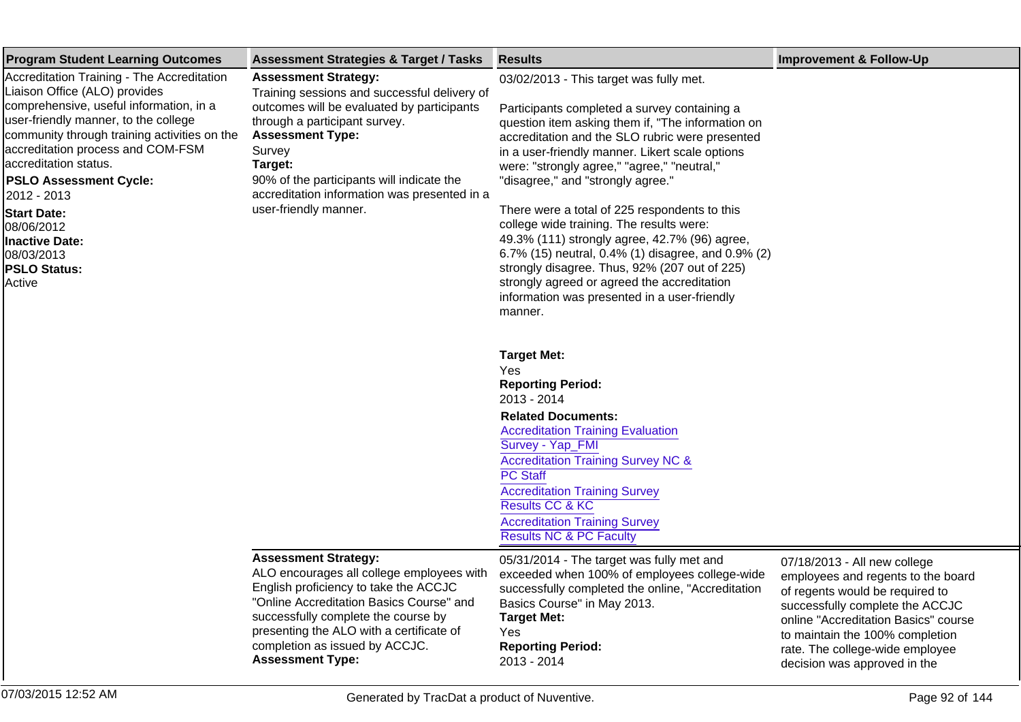| <b>Program Student Learning Outcomes</b>                                                                                                                                                                                                                                                                                                                                                                                          | <b>Assessment Strategies &amp; Target / Tasks</b>                                                                                                                                                                                                                                                                                | <b>Results</b>                                                                                                                                                                                                                                                                                                                                                                                                                                                                                                                                                                                                                                                                                        | <b>Improvement &amp; Follow-Up</b>                                                                                                                                                                                                                                                     |
|-----------------------------------------------------------------------------------------------------------------------------------------------------------------------------------------------------------------------------------------------------------------------------------------------------------------------------------------------------------------------------------------------------------------------------------|----------------------------------------------------------------------------------------------------------------------------------------------------------------------------------------------------------------------------------------------------------------------------------------------------------------------------------|-------------------------------------------------------------------------------------------------------------------------------------------------------------------------------------------------------------------------------------------------------------------------------------------------------------------------------------------------------------------------------------------------------------------------------------------------------------------------------------------------------------------------------------------------------------------------------------------------------------------------------------------------------------------------------------------------------|----------------------------------------------------------------------------------------------------------------------------------------------------------------------------------------------------------------------------------------------------------------------------------------|
| Accreditation Training - The Accreditation<br>Liaison Office (ALO) provides<br>comprehensive, useful information, in a<br>user-friendly manner, to the college<br>community through training activities on the<br>accreditation process and COM-FSM<br>accreditation status.<br><b>PSLO Assessment Cycle:</b><br>2012 - 2013<br><b>Start Date:</b><br>08/06/2012<br>Inactive Date:<br>08/03/2013<br><b>PSLO Status:</b><br>Active | <b>Assessment Strategy:</b><br>Training sessions and successful delivery of<br>outcomes will be evaluated by participants<br>through a participant survey.<br><b>Assessment Type:</b><br>Survey<br>Target:<br>90% of the participants will indicate the<br>accreditation information was presented in a<br>user-friendly manner. | 03/02/2013 - This target was fully met.<br>Participants completed a survey containing a<br>question item asking them if, "The information on<br>accreditation and the SLO rubric were presented<br>in a user-friendly manner. Likert scale options<br>were: "strongly agree," "agree," "neutral,"<br>"disagree," and "strongly agree."<br>There were a total of 225 respondents to this<br>college wide training. The results were:<br>49.3% (111) strongly agree, 42.7% (96) agree,<br>6.7% (15) neutral, 0.4% (1) disagree, and 0.9% (2)<br>strongly disagree. Thus, 92% (207 out of 225)<br>strongly agreed or agreed the accreditation<br>information was presented in a user-friendly<br>manner. |                                                                                                                                                                                                                                                                                        |
|                                                                                                                                                                                                                                                                                                                                                                                                                                   |                                                                                                                                                                                                                                                                                                                                  | <b>Target Met:</b><br>Yes<br><b>Reporting Period:</b><br>2013 - 2014<br><b>Related Documents:</b><br><b>Accreditation Training Evaluation</b><br>Survey - Yap_FMI<br><b>Accreditation Training Survey NC &amp;</b><br><b>PC Staff</b><br><b>Accreditation Training Survey</b><br>Results CC & KC<br><b>Accreditation Training Survey</b><br><b>Results NC &amp; PC Faculty</b>                                                                                                                                                                                                                                                                                                                        |                                                                                                                                                                                                                                                                                        |
|                                                                                                                                                                                                                                                                                                                                                                                                                                   | <b>Assessment Strategy:</b><br>ALO encourages all college employees with<br>English proficiency to take the ACCJC<br>"Online Accreditation Basics Course" and<br>successfully complete the course by<br>presenting the ALO with a certificate of<br>completion as issued by ACCJC.<br><b>Assessment Type:</b>                    | 05/31/2014 - The target was fully met and<br>exceeded when 100% of employees college-wide<br>successfully completed the online, "Accreditation<br>Basics Course" in May 2013.<br><b>Target Met:</b><br>Yes<br><b>Reporting Period:</b><br>2013 - 2014                                                                                                                                                                                                                                                                                                                                                                                                                                                 | 07/18/2013 - All new college<br>employees and regents to the board<br>of regents would be required to<br>successfully complete the ACCJC<br>online "Accreditation Basics" course<br>to maintain the 100% completion<br>rate. The college-wide employee<br>decision was approved in the |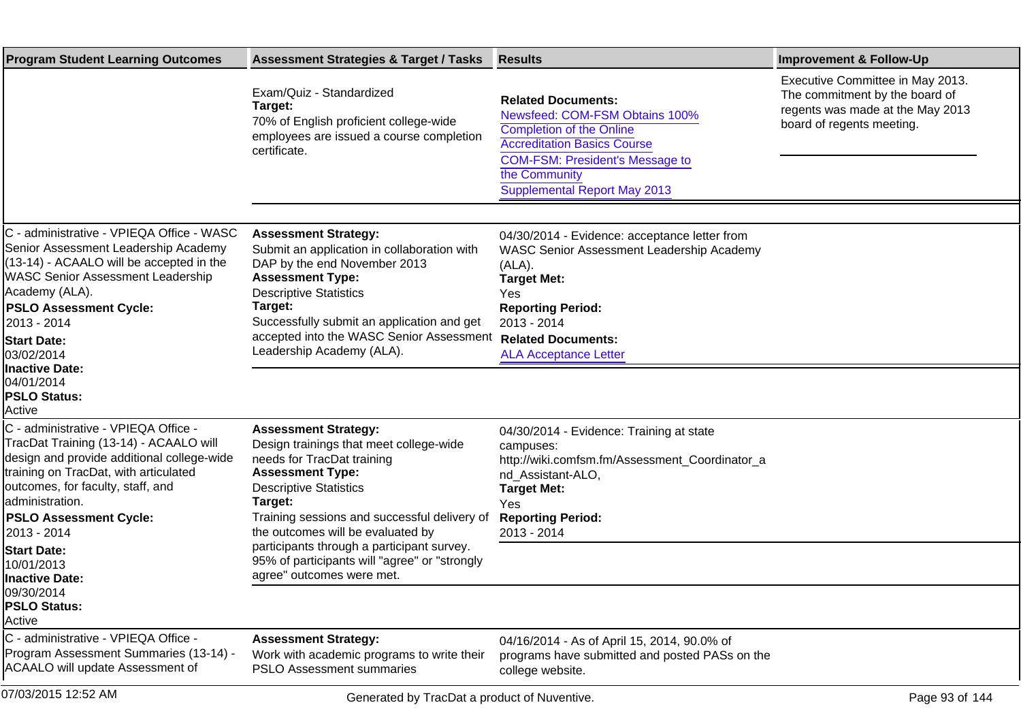| <b>Program Student Learning Outcomes</b>                                                                                                                                                                                                                                                            | <b>Assessment Strategies &amp; Target / Tasks</b>                                                                                                                                                                                                                                                                                                               | <b>Results</b>                                                                                                                                                                                                                               | <b>Improvement &amp; Follow-Up</b>                                                                                                  |
|-----------------------------------------------------------------------------------------------------------------------------------------------------------------------------------------------------------------------------------------------------------------------------------------------------|-----------------------------------------------------------------------------------------------------------------------------------------------------------------------------------------------------------------------------------------------------------------------------------------------------------------------------------------------------------------|----------------------------------------------------------------------------------------------------------------------------------------------------------------------------------------------------------------------------------------------|-------------------------------------------------------------------------------------------------------------------------------------|
|                                                                                                                                                                                                                                                                                                     | Exam/Quiz - Standardized<br>Target:<br>70% of English proficient college-wide<br>employees are issued a course completion<br>certificate.                                                                                                                                                                                                                       | <b>Related Documents:</b><br>Newsfeed: COM-FSM Obtains 100%<br><b>Completion of the Online</b><br><b>Accreditation Basics Course</b><br><b>COM-FSM: President's Message to</b><br>the Community<br><b>Supplemental Report May 2013</b>       | Executive Committee in May 2013.<br>The commitment by the board of<br>regents was made at the May 2013<br>board of regents meeting. |
| C - administrative - VPIEQA Office - WASC<br>Senior Assessment Leadership Academy<br>(13-14) - ACAALO will be accepted in the<br><b>WASC Senior Assessment Leadership</b><br>Academy (ALA).<br><b>PSLO Assessment Cycle:</b><br>2013 - 2014<br><b>Start Date:</b><br>03/02/2014<br>Inactive Date:   | <b>Assessment Strategy:</b><br>Submit an application in collaboration with<br>DAP by the end November 2013<br><b>Assessment Type:</b><br><b>Descriptive Statistics</b><br>Target:<br>Successfully submit an application and get<br>accepted into the WASC Senior Assessment<br>Leadership Academy (ALA).                                                        | 04/30/2014 - Evidence: acceptance letter from<br>WASC Senior Assessment Leadership Academy<br>$(ALA)$ .<br><b>Target Met:</b><br>Yes<br><b>Reporting Period:</b><br>2013 - 2014<br><b>Related Documents:</b><br><b>ALA Acceptance Letter</b> |                                                                                                                                     |
| 04/01/2014<br><b>PSLO Status:</b><br>Active                                                                                                                                                                                                                                                         |                                                                                                                                                                                                                                                                                                                                                                 |                                                                                                                                                                                                                                              |                                                                                                                                     |
| C - administrative - VPIEQA Office -<br>TracDat Training (13-14) - ACAALO will<br>design and provide additional college-wide<br>training on TracDat, with articulated<br>outcomes, for faculty, staff, and<br>administration.<br><b>PSLO Assessment Cycle:</b><br>2013 - 2014<br><b>Start Date:</b> | <b>Assessment Strategy:</b><br>Design trainings that meet college-wide<br>needs for TracDat training<br><b>Assessment Type:</b><br><b>Descriptive Statistics</b><br>Target:<br>Training sessions and successful delivery of<br>the outcomes will be evaluated by<br>participants through a participant survey.<br>95% of participants will "agree" or "strongly | 04/30/2014 - Evidence: Training at state<br>campuses:<br>http://wiki.comfsm.fm/Assessment_Coordinator_a<br>nd_Assistant-ALO,<br><b>Target Met:</b><br>Yes<br><b>Reporting Period:</b><br>2013 - 2014                                         |                                                                                                                                     |
| 10/01/2013<br>Inactive Date:<br>09/30/2014<br><b>PSLO Status:</b><br>Active                                                                                                                                                                                                                         | agree" outcomes were met.                                                                                                                                                                                                                                                                                                                                       |                                                                                                                                                                                                                                              |                                                                                                                                     |
| C - administrative - VPIEQA Office -<br>Program Assessment Summaries (13-14) -<br><b>ACAALO will update Assessment of</b>                                                                                                                                                                           | <b>Assessment Strategy:</b><br>Work with academic programs to write their<br><b>PSLO Assessment summaries</b>                                                                                                                                                                                                                                                   | 04/16/2014 - As of April 15, 2014, 90.0% of<br>programs have submitted and posted PASs on the<br>college website.                                                                                                                            |                                                                                                                                     |
| 07/03/2015 12:52 AM                                                                                                                                                                                                                                                                                 | Generated by TracDat a product of Nuventive.                                                                                                                                                                                                                                                                                                                    |                                                                                                                                                                                                                                              | Page 93 of 144                                                                                                                      |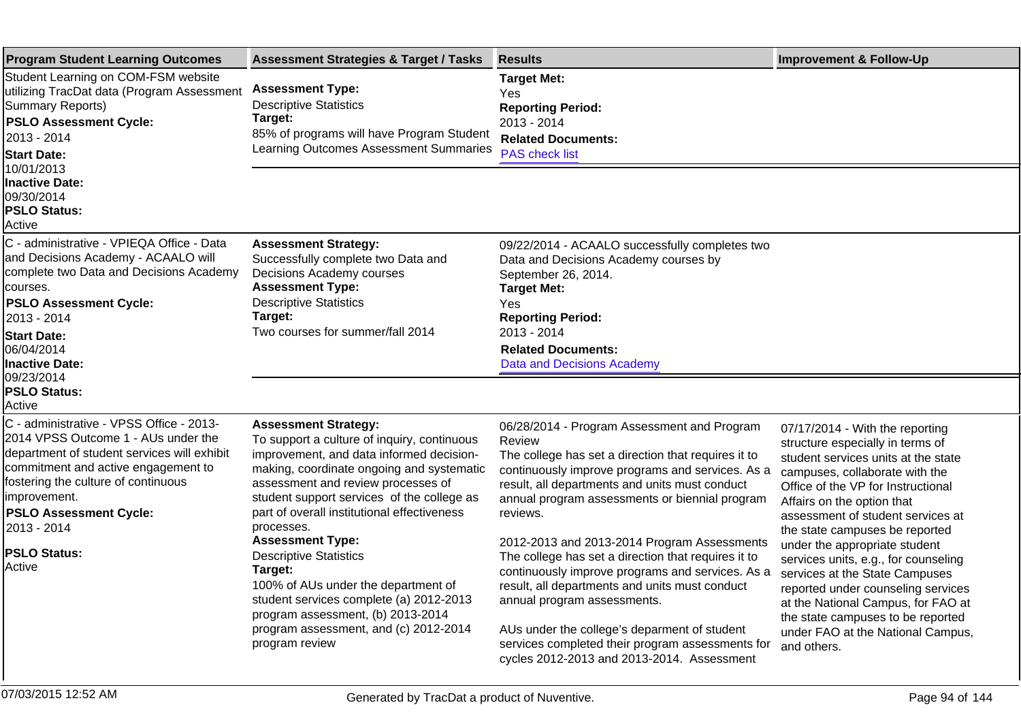| <b>Program Student Learning Outcomes</b>                                                                                                                                                                                                                                                                      | <b>Assessment Strategies &amp; Target / Tasks</b>                                                                                                                                                                                                                                                                                                                                                                                                                                                                                                                             | <b>Results</b>                                                                                                                                                                                                                                                                                                                                                                                                                                                                                                                                                                                                                                                                | <b>Improvement &amp; Follow-Up</b>                                                                                                                                                                                                                                                                                                                                                                                                                                                                                                                                      |
|---------------------------------------------------------------------------------------------------------------------------------------------------------------------------------------------------------------------------------------------------------------------------------------------------------------|-------------------------------------------------------------------------------------------------------------------------------------------------------------------------------------------------------------------------------------------------------------------------------------------------------------------------------------------------------------------------------------------------------------------------------------------------------------------------------------------------------------------------------------------------------------------------------|-------------------------------------------------------------------------------------------------------------------------------------------------------------------------------------------------------------------------------------------------------------------------------------------------------------------------------------------------------------------------------------------------------------------------------------------------------------------------------------------------------------------------------------------------------------------------------------------------------------------------------------------------------------------------------|-------------------------------------------------------------------------------------------------------------------------------------------------------------------------------------------------------------------------------------------------------------------------------------------------------------------------------------------------------------------------------------------------------------------------------------------------------------------------------------------------------------------------------------------------------------------------|
| Student Learning on COM-FSM website<br>utilizing TracDat data (Program Assessment<br>Summary Reports)<br><b>PSLO Assessment Cycle:</b><br>2013 - 2014<br><b>Start Date:</b>                                                                                                                                   | <b>Assessment Type:</b><br><b>Descriptive Statistics</b><br>Target:<br>85% of programs will have Program Student<br>Learning Outcomes Assessment Summaries                                                                                                                                                                                                                                                                                                                                                                                                                    | <b>Target Met:</b><br>Yes<br><b>Reporting Period:</b><br>2013 - 2014<br><b>Related Documents:</b><br><b>PAS check list</b>                                                                                                                                                                                                                                                                                                                                                                                                                                                                                                                                                    |                                                                                                                                                                                                                                                                                                                                                                                                                                                                                                                                                                         |
| 10/01/2013<br><b>Inactive Date:</b><br>09/30/2014<br><b>PSLO Status:</b><br>Active                                                                                                                                                                                                                            |                                                                                                                                                                                                                                                                                                                                                                                                                                                                                                                                                                               |                                                                                                                                                                                                                                                                                                                                                                                                                                                                                                                                                                                                                                                                               |                                                                                                                                                                                                                                                                                                                                                                                                                                                                                                                                                                         |
| C - administrative - VPIEQA Office - Data<br>and Decisions Academy - ACAALO will<br>complete two Data and Decisions Academy<br>courses.<br><b>PSLO Assessment Cycle:</b><br>2013 - 2014<br><b>Start Date:</b><br>06/04/2014<br><b>Inactive Date:</b><br>09/23/2014<br><b>PSLO Status:</b><br>Active           | <b>Assessment Strategy:</b><br>Successfully complete two Data and<br>Decisions Academy courses<br><b>Assessment Type:</b><br><b>Descriptive Statistics</b><br>Target:<br>Two courses for summer/fall 2014                                                                                                                                                                                                                                                                                                                                                                     | 09/22/2014 - ACAALO successfully completes two<br>Data and Decisions Academy courses by<br>September 26, 2014.<br><b>Target Met:</b><br>Yes<br><b>Reporting Period:</b><br>2013 - 2014<br><b>Related Documents:</b><br><b>Data and Decisions Academy</b>                                                                                                                                                                                                                                                                                                                                                                                                                      |                                                                                                                                                                                                                                                                                                                                                                                                                                                                                                                                                                         |
| C - administrative - VPSS Office - 2013-<br>2014 VPSS Outcome 1 - AUs under the<br>department of student services will exhibit<br>commitment and active engagement to<br>fostering the culture of continuous<br>improvement.<br><b>PSLO Assessment Cycle:</b><br>2013 - 2014<br><b>PSLO Status:</b><br>Active | <b>Assessment Strategy:</b><br>To support a culture of inquiry, continuous<br>improvement, and data informed decision-<br>making, coordinate ongoing and systematic<br>assessment and review processes of<br>student support services of the college as<br>part of overall institutional effectiveness<br>processes.<br><b>Assessment Type:</b><br><b>Descriptive Statistics</b><br>Target:<br>100% of AUs under the department of<br>student services complete (a) 2012-2013<br>program assessment, (b) 2013-2014<br>program assessment, and (c) 2012-2014<br>program review | 06/28/2014 - Program Assessment and Program<br>Review<br>The college has set a direction that requires it to<br>continuously improve programs and services. As a<br>result, all departments and units must conduct<br>annual program assessments or biennial program<br>reviews.<br>2012-2013 and 2013-2014 Program Assessments<br>The college has set a direction that requires it to<br>continuously improve programs and services. As a<br>result, all departments and units must conduct<br>annual program assessments.<br>AUs under the college's deparment of student<br>services completed their program assessments for<br>cycles 2012-2013 and 2013-2014. Assessment | 07/17/2014 - With the reporting<br>structure especially in terms of<br>student services units at the state<br>campuses, collaborate with the<br>Office of the VP for Instructional<br>Affairs on the option that<br>assessment of student services at<br>the state campuses be reported<br>under the appropriate student<br>services units, e.g., for counseling<br>services at the State Campuses<br>reported under counseling services<br>at the National Campus, for FAO at<br>the state campuses to be reported<br>under FAO at the National Campus,<br>and others. |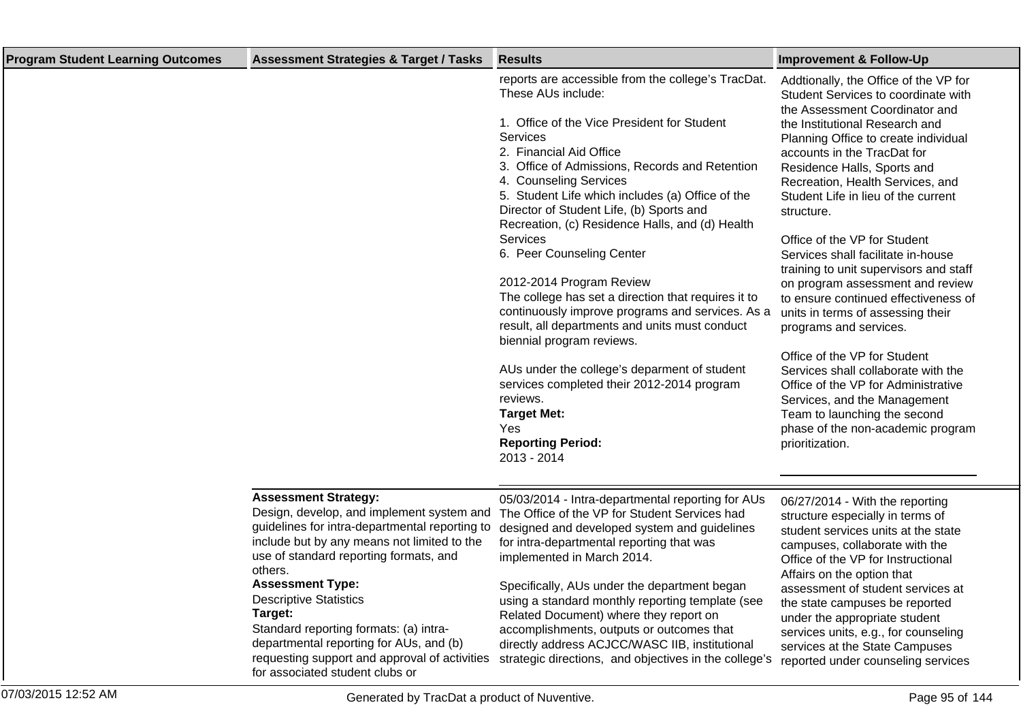| <b>Program Student Learning Outcomes</b> | <b>Assessment Strategies &amp; Target / Tasks</b>                                                                                                                                                                                                                                                                                                                                                                                           | <b>Results</b>                                                                                                                                                                                                                                                                                                                                                                                                                                                                                                                                                                                                                                                                                                                                                                                                                         | <b>Improvement &amp; Follow-Up</b>                                                                                                                                                                                                                                                                                                                                                                                                                                                                                                                                                                                                                                                                                                                                                                                                               |
|------------------------------------------|---------------------------------------------------------------------------------------------------------------------------------------------------------------------------------------------------------------------------------------------------------------------------------------------------------------------------------------------------------------------------------------------------------------------------------------------|----------------------------------------------------------------------------------------------------------------------------------------------------------------------------------------------------------------------------------------------------------------------------------------------------------------------------------------------------------------------------------------------------------------------------------------------------------------------------------------------------------------------------------------------------------------------------------------------------------------------------------------------------------------------------------------------------------------------------------------------------------------------------------------------------------------------------------------|--------------------------------------------------------------------------------------------------------------------------------------------------------------------------------------------------------------------------------------------------------------------------------------------------------------------------------------------------------------------------------------------------------------------------------------------------------------------------------------------------------------------------------------------------------------------------------------------------------------------------------------------------------------------------------------------------------------------------------------------------------------------------------------------------------------------------------------------------|
|                                          |                                                                                                                                                                                                                                                                                                                                                                                                                                             | reports are accessible from the college's TracDat.<br>These AUs include:<br>1. Office of the Vice President for Student<br><b>Services</b><br>2. Financial Aid Office<br>3. Office of Admissions, Records and Retention<br>4. Counseling Services<br>5. Student Life which includes (a) Office of the<br>Director of Student Life, (b) Sports and<br>Recreation, (c) Residence Halls, and (d) Health<br>Services<br>6. Peer Counseling Center<br>2012-2014 Program Review<br>The college has set a direction that requires it to<br>continuously improve programs and services. As a<br>result, all departments and units must conduct<br>biennial program reviews.<br>AUs under the college's deparment of student<br>services completed their 2012-2014 program<br>reviews.<br><b>Target Met:</b><br>Yes<br><b>Reporting Period:</b> | Addtionally, the Office of the VP for<br>Student Services to coordinate with<br>the Assessment Coordinator and<br>the Institutional Research and<br>Planning Office to create individual<br>accounts in the TracDat for<br>Residence Halls, Sports and<br>Recreation, Health Services, and<br>Student Life in lieu of the current<br>structure.<br>Office of the VP for Student<br>Services shall facilitate in-house<br>training to unit supervisors and staff<br>on program assessment and review<br>to ensure continued effectiveness of<br>units in terms of assessing their<br>programs and services.<br>Office of the VP for Student<br>Services shall collaborate with the<br>Office of the VP for Administrative<br>Services, and the Management<br>Team to launching the second<br>phase of the non-academic program<br>prioritization. |
|                                          |                                                                                                                                                                                                                                                                                                                                                                                                                                             | 2013 - 2014                                                                                                                                                                                                                                                                                                                                                                                                                                                                                                                                                                                                                                                                                                                                                                                                                            |                                                                                                                                                                                                                                                                                                                                                                                                                                                                                                                                                                                                                                                                                                                                                                                                                                                  |
|                                          |                                                                                                                                                                                                                                                                                                                                                                                                                                             |                                                                                                                                                                                                                                                                                                                                                                                                                                                                                                                                                                                                                                                                                                                                                                                                                                        |                                                                                                                                                                                                                                                                                                                                                                                                                                                                                                                                                                                                                                                                                                                                                                                                                                                  |
|                                          | <b>Assessment Strategy:</b><br>Design, develop, and implement system and<br>guidelines for intra-departmental reporting to<br>include but by any means not limited to the<br>use of standard reporting formats, and<br>others.<br><b>Assessment Type:</b><br><b>Descriptive Statistics</b><br>Target:<br>Standard reporting formats: (a) intra-<br>departmental reporting for AUs, and (b)<br>requesting support and approval of activities | 05/03/2014 - Intra-departmental reporting for AUs<br>The Office of the VP for Student Services had<br>designed and developed system and guidelines<br>for intra-departmental reporting that was<br>implemented in March 2014.<br>Specifically, AUs under the department began<br>using a standard monthly reporting template (see<br>Related Document) where they report on<br>accomplishments, outputs or outcomes that<br>directly address ACJCC/WASC IIB, institutional<br>strategic directions, and objectives in the college's                                                                                                                                                                                                                                                                                                    | 06/27/2014 - With the reporting<br>structure especially in terms of<br>student services units at the state<br>campuses, collaborate with the<br>Office of the VP for Instructional<br>Affairs on the option that<br>assessment of student services at<br>the state campuses be reported<br>under the appropriate student<br>services units, e.g., for counseling<br>services at the State Campuses<br>reported under counseling services                                                                                                                                                                                                                                                                                                                                                                                                         |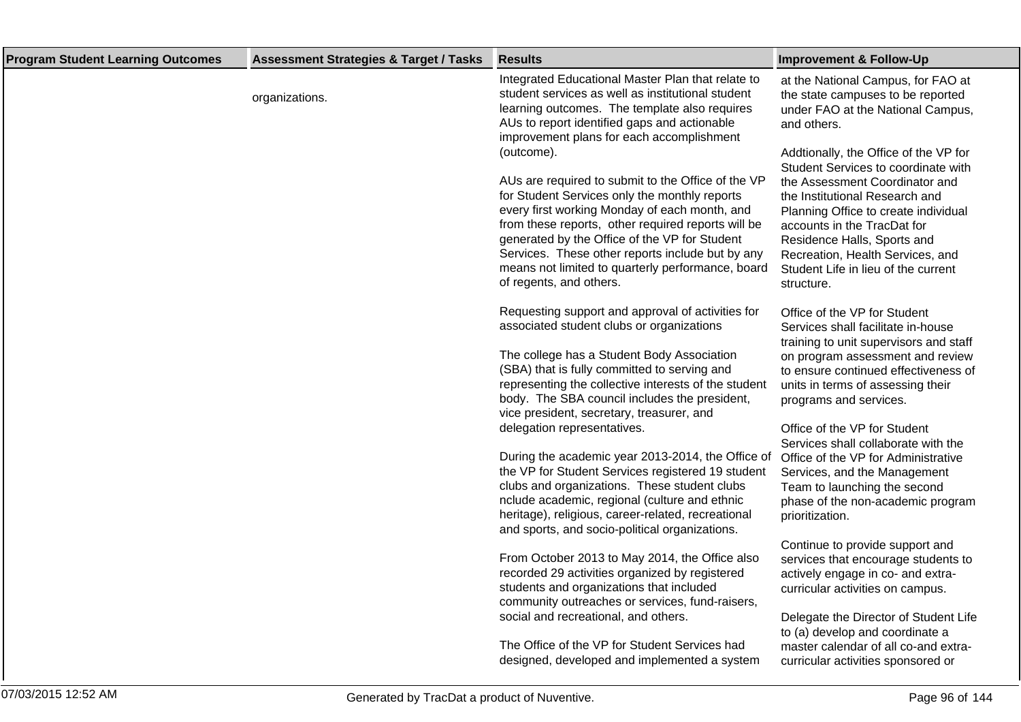| <b>Program Student Learning Outcomes</b> | <b>Assessment Strategies &amp; Target / Tasks</b> | <b>Results</b>                                                                                                                                                                                                                                                                                                                                                                                                                                                                                                                                                                                                                                                                                                                                                                                                                                                                                                                                                                                                                                                                                                                                                                                                                                                                                                                                                                                                                                                                                                                                                                                                                                                                                                            | <b>Improvement &amp; Follow-Up</b>                                                                                                                                                                                                                                                                                                                                                                                                                                                                                                                                                                                                                                                                                                                                                                                                                                                                                                                                                                                                                                                                                                                                                                                                                     |
|------------------------------------------|---------------------------------------------------|---------------------------------------------------------------------------------------------------------------------------------------------------------------------------------------------------------------------------------------------------------------------------------------------------------------------------------------------------------------------------------------------------------------------------------------------------------------------------------------------------------------------------------------------------------------------------------------------------------------------------------------------------------------------------------------------------------------------------------------------------------------------------------------------------------------------------------------------------------------------------------------------------------------------------------------------------------------------------------------------------------------------------------------------------------------------------------------------------------------------------------------------------------------------------------------------------------------------------------------------------------------------------------------------------------------------------------------------------------------------------------------------------------------------------------------------------------------------------------------------------------------------------------------------------------------------------------------------------------------------------------------------------------------------------------------------------------------------------|--------------------------------------------------------------------------------------------------------------------------------------------------------------------------------------------------------------------------------------------------------------------------------------------------------------------------------------------------------------------------------------------------------------------------------------------------------------------------------------------------------------------------------------------------------------------------------------------------------------------------------------------------------------------------------------------------------------------------------------------------------------------------------------------------------------------------------------------------------------------------------------------------------------------------------------------------------------------------------------------------------------------------------------------------------------------------------------------------------------------------------------------------------------------------------------------------------------------------------------------------------|
|                                          | organizations.                                    | Integrated Educational Master Plan that relate to<br>student services as well as institutional student<br>learning outcomes. The template also requires<br>AUs to report identified gaps and actionable<br>improvement plans for each accomplishment<br>(outcome).<br>AUs are required to submit to the Office of the VP<br>for Student Services only the monthly reports<br>every first working Monday of each month, and<br>from these reports, other required reports will be<br>generated by the Office of the VP for Student<br>Services. These other reports include but by any<br>means not limited to quarterly performance, board<br>of regents, and others.<br>Requesting support and approval of activities for<br>associated student clubs or organizations<br>The college has a Student Body Association<br>(SBA) that is fully committed to serving and<br>representing the collective interests of the student<br>body. The SBA council includes the president,<br>vice president, secretary, treasurer, and<br>delegation representatives.<br>During the academic year 2013-2014, the Office of<br>the VP for Student Services registered 19 student<br>clubs and organizations. These student clubs<br>nclude academic, regional (culture and ethnic<br>heritage), religious, career-related, recreational<br>and sports, and socio-political organizations.<br>From October 2013 to May 2014, the Office also<br>recorded 29 activities organized by registered<br>students and organizations that included<br>community outreaches or services, fund-raisers,<br>social and recreational, and others.<br>The Office of the VP for Student Services had<br>designed, developed and implemented a system | at the National Campus, for FAO at<br>the state campuses to be reported<br>under FAO at the National Campus,<br>and others.<br>Addtionally, the Office of the VP for<br>Student Services to coordinate with<br>the Assessment Coordinator and<br>the Institutional Research and<br>Planning Office to create individual<br>accounts in the TracDat for<br>Residence Halls, Sports and<br>Recreation, Health Services, and<br>Student Life in lieu of the current<br>structure.<br>Office of the VP for Student<br>Services shall facilitate in-house<br>training to unit supervisors and staff<br>on program assessment and review<br>to ensure continued effectiveness of<br>units in terms of assessing their<br>programs and services.<br>Office of the VP for Student<br>Services shall collaborate with the<br>Office of the VP for Administrative<br>Services, and the Management<br>Team to launching the second<br>phase of the non-academic program<br>prioritization.<br>Continue to provide support and<br>services that encourage students to<br>actively engage in co- and extra-<br>curricular activities on campus.<br>Delegate the Director of Student Life<br>to (a) develop and coordinate a<br>master calendar of all co-and extra- |
|                                          |                                                   |                                                                                                                                                                                                                                                                                                                                                                                                                                                                                                                                                                                                                                                                                                                                                                                                                                                                                                                                                                                                                                                                                                                                                                                                                                                                                                                                                                                                                                                                                                                                                                                                                                                                                                                           | curricular activities sponsored or                                                                                                                                                                                                                                                                                                                                                                                                                                                                                                                                                                                                                                                                                                                                                                                                                                                                                                                                                                                                                                                                                                                                                                                                                     |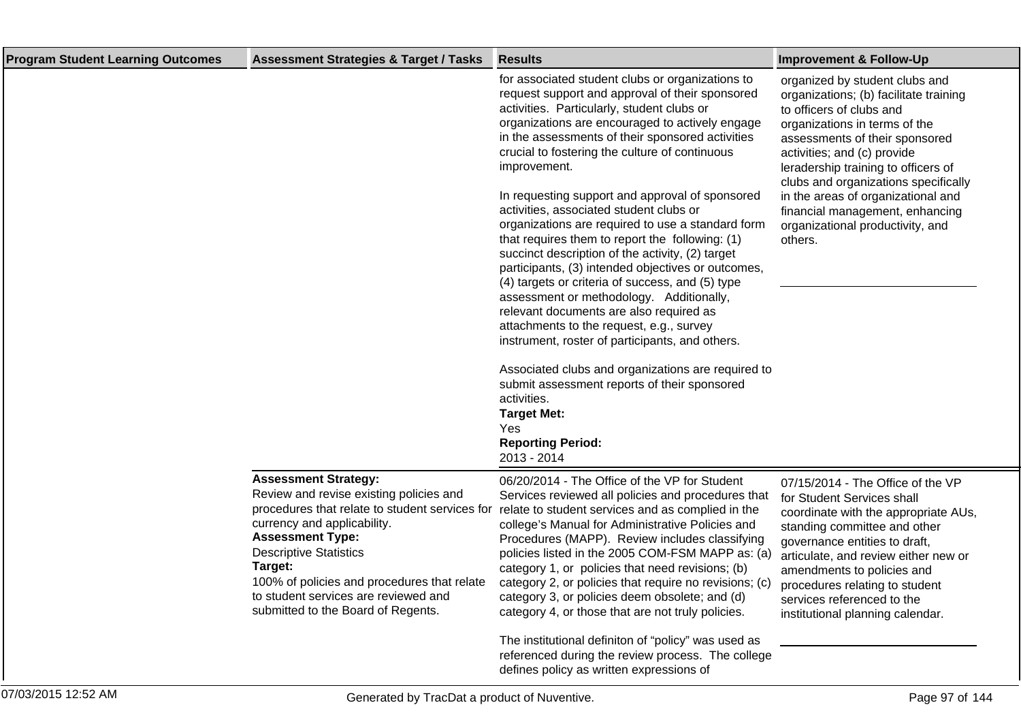| <b>Program Student Learning Outcomes</b> | <b>Assessment Strategies &amp; Target / Tasks</b>                                                                                                                                                                                                                                                                                                           | <b>Results</b>                                                                                                                                                                                                                                                                                                                                                                                                                                                                                                                                                                                                                                                                                                                                                                                                                                                                                                                                                                                                                                                                    | <b>Improvement &amp; Follow-Up</b>                                                                                                                                                                                                                                                                                                                                                                            |
|------------------------------------------|-------------------------------------------------------------------------------------------------------------------------------------------------------------------------------------------------------------------------------------------------------------------------------------------------------------------------------------------------------------|-----------------------------------------------------------------------------------------------------------------------------------------------------------------------------------------------------------------------------------------------------------------------------------------------------------------------------------------------------------------------------------------------------------------------------------------------------------------------------------------------------------------------------------------------------------------------------------------------------------------------------------------------------------------------------------------------------------------------------------------------------------------------------------------------------------------------------------------------------------------------------------------------------------------------------------------------------------------------------------------------------------------------------------------------------------------------------------|---------------------------------------------------------------------------------------------------------------------------------------------------------------------------------------------------------------------------------------------------------------------------------------------------------------------------------------------------------------------------------------------------------------|
|                                          |                                                                                                                                                                                                                                                                                                                                                             | for associated student clubs or organizations to<br>request support and approval of their sponsored<br>activities. Particularly, student clubs or<br>organizations are encouraged to actively engage<br>in the assessments of their sponsored activities<br>crucial to fostering the culture of continuous<br>improvement.<br>In requesting support and approval of sponsored<br>activities, associated student clubs or<br>organizations are required to use a standard form<br>that requires them to report the following: (1)<br>succinct description of the activity, (2) target<br>participants, (3) intended objectives or outcomes,<br>(4) targets or criteria of success, and (5) type<br>assessment or methodology. Additionally,<br>relevant documents are also required as<br>attachments to the request, e.g., survey<br>instrument, roster of participants, and others.<br>Associated clubs and organizations are required to<br>submit assessment reports of their sponsored<br>activities.<br><b>Target Met:</b><br>Yes<br><b>Reporting Period:</b><br>2013 - 2014 | organized by student clubs and<br>organizations; (b) facilitate training<br>to officers of clubs and<br>organizations in terms of the<br>assessments of their sponsored<br>activities; and (c) provide<br>leradership training to officers of<br>clubs and organizations specifically<br>in the areas of organizational and<br>financial management, enhancing<br>organizational productivity, and<br>others. |
|                                          | <b>Assessment Strategy:</b><br>Review and revise existing policies and<br>procedures that relate to student services for<br>currency and applicability.<br><b>Assessment Type:</b><br><b>Descriptive Statistics</b><br>Target:<br>100% of policies and procedures that relate<br>to student services are reviewed and<br>submitted to the Board of Regents. | 06/20/2014 - The Office of the VP for Student<br>Services reviewed all policies and procedures that<br>relate to student services and as complied in the<br>college's Manual for Administrative Policies and<br>Procedures (MAPP). Review includes classifying<br>policies listed in the 2005 COM-FSM MAPP as: (a)<br>category 1, or policies that need revisions; (b)<br>category 2, or policies that require no revisions; (c)<br>category 3, or policies deem obsolete; and (d)<br>category 4, or those that are not truly policies.<br>The institutional definiton of "policy" was used as<br>referenced during the review process. The college<br>defines policy as written expressions of                                                                                                                                                                                                                                                                                                                                                                                   | 07/15/2014 - The Office of the VP<br>for Student Services shall<br>coordinate with the appropriate AUs,<br>standing committee and other<br>governance entities to draft,<br>articulate, and review either new or<br>amendments to policies and<br>procedures relating to student<br>services referenced to the<br>institutional planning calendar.                                                            |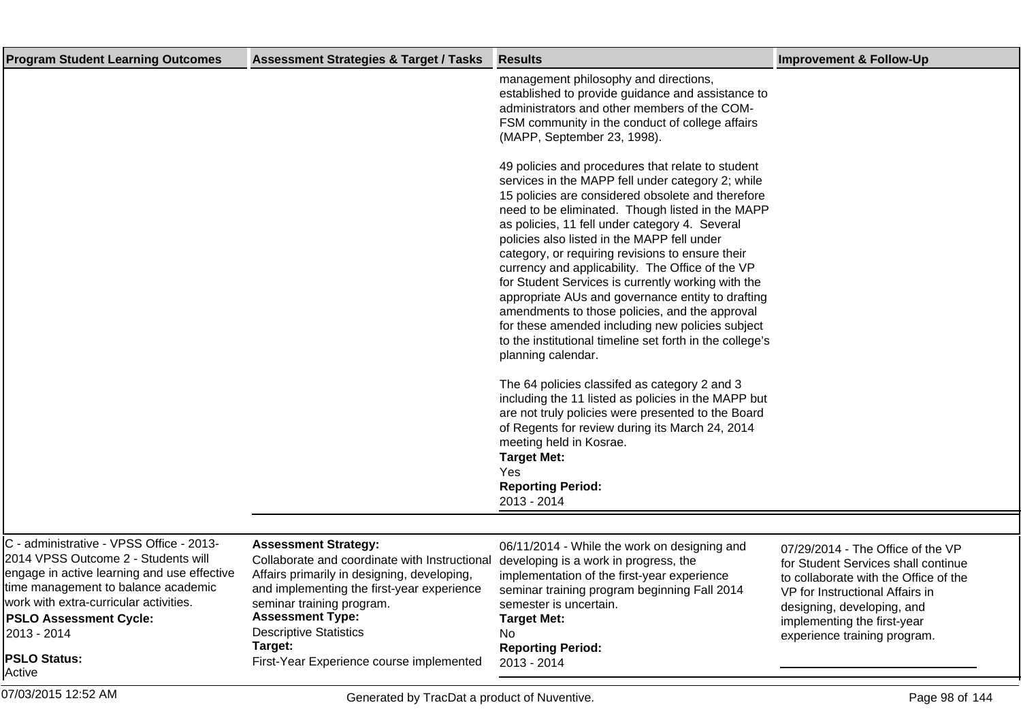| <b>Program Student Learning Outcomes</b>                                                                                                                                                                                                                                                         | <b>Assessment Strategies &amp; Target / Tasks</b>                                                                                                                                                                                                                                                                                                               | <b>Results</b>                                                                                                                                                                                                                                                                                                                                                                                                                                                                                                                                                                                                                                                                                                              | <b>Improvement &amp; Follow-Up</b>                                                                                                                                                                                                                |
|--------------------------------------------------------------------------------------------------------------------------------------------------------------------------------------------------------------------------------------------------------------------------------------------------|-----------------------------------------------------------------------------------------------------------------------------------------------------------------------------------------------------------------------------------------------------------------------------------------------------------------------------------------------------------------|-----------------------------------------------------------------------------------------------------------------------------------------------------------------------------------------------------------------------------------------------------------------------------------------------------------------------------------------------------------------------------------------------------------------------------------------------------------------------------------------------------------------------------------------------------------------------------------------------------------------------------------------------------------------------------------------------------------------------------|---------------------------------------------------------------------------------------------------------------------------------------------------------------------------------------------------------------------------------------------------|
|                                                                                                                                                                                                                                                                                                  |                                                                                                                                                                                                                                                                                                                                                                 | management philosophy and directions,<br>established to provide guidance and assistance to<br>administrators and other members of the COM-<br>FSM community in the conduct of college affairs<br>(MAPP, September 23, 1998).                                                                                                                                                                                                                                                                                                                                                                                                                                                                                                |                                                                                                                                                                                                                                                   |
|                                                                                                                                                                                                                                                                                                  |                                                                                                                                                                                                                                                                                                                                                                 | 49 policies and procedures that relate to student<br>services in the MAPP fell under category 2; while<br>15 policies are considered obsolete and therefore<br>need to be eliminated. Though listed in the MAPP<br>as policies, 11 fell under category 4. Several<br>policies also listed in the MAPP fell under<br>category, or requiring revisions to ensure their<br>currency and applicability. The Office of the VP<br>for Student Services is currently working with the<br>appropriate AUs and governance entity to drafting<br>amendments to those policies, and the approval<br>for these amended including new policies subject<br>to the institutional timeline set forth in the college's<br>planning calendar. |                                                                                                                                                                                                                                                   |
|                                                                                                                                                                                                                                                                                                  |                                                                                                                                                                                                                                                                                                                                                                 | The 64 policies classifed as category 2 and 3<br>including the 11 listed as policies in the MAPP but<br>are not truly policies were presented to the Board<br>of Regents for review during its March 24, 2014<br>meeting held in Kosrae.<br><b>Target Met:</b><br>Yes<br><b>Reporting Period:</b><br>2013 - 2014                                                                                                                                                                                                                                                                                                                                                                                                            |                                                                                                                                                                                                                                                   |
|                                                                                                                                                                                                                                                                                                  |                                                                                                                                                                                                                                                                                                                                                                 |                                                                                                                                                                                                                                                                                                                                                                                                                                                                                                                                                                                                                                                                                                                             |                                                                                                                                                                                                                                                   |
| C - administrative - VPSS Office - 2013-<br>2014 VPSS Outcome 2 - Students will<br>engage in active learning and use effective<br>time management to balance academic<br>work with extra-curricular activities.<br><b>PSLO Assessment Cycle:</b><br>2013 - 2014<br><b>PSLO Status:</b><br>Active | <b>Assessment Strategy:</b><br>Collaborate and coordinate with Instructional developing is a work in progress, the<br>Affairs primarily in designing, developing,<br>and implementing the first-year experience<br>seminar training program.<br><b>Assessment Type:</b><br><b>Descriptive Statistics</b><br>Target:<br>First-Year Experience course implemented | 06/11/2014 - While the work on designing and<br>implementation of the first-year experience<br>seminar training program beginning Fall 2014<br>semester is uncertain.<br><b>Target Met:</b><br>No<br><b>Reporting Period:</b><br>2013 - 2014                                                                                                                                                                                                                                                                                                                                                                                                                                                                                | 07/29/2014 - The Office of the VP<br>for Student Services shall continue<br>to collaborate with the Office of the<br>VP for Instructional Affairs in<br>designing, developing, and<br>implementing the first-year<br>experience training program. |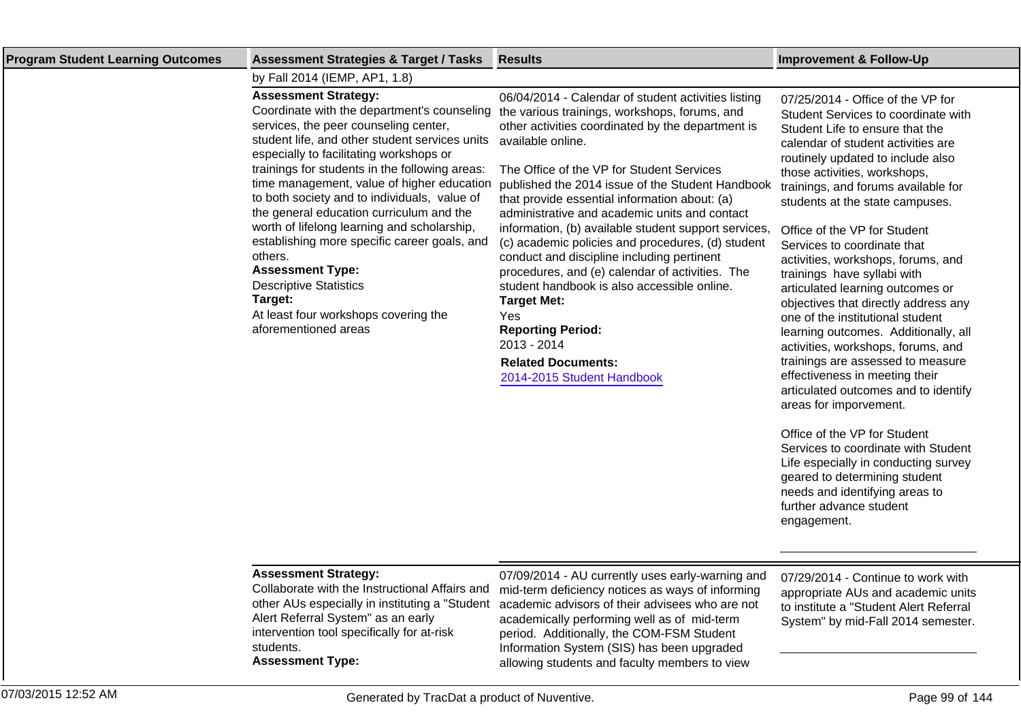| <b>Program Student Learning Outcomes</b> | <b>Assessment Strategies &amp; Target / Tasks</b>                                                                                                                                                                                                                                                                                                                                                                                                                                                                                                                                             | <b>Results</b>                                                                                                                                                                                                                                                                                                                                                                                                                                                                                                                                                                                                                                                       | <b>Improvement &amp; Follow-Up</b>                                                                                                                                                                                                                                                                                                                                                                                                                                       |
|------------------------------------------|-----------------------------------------------------------------------------------------------------------------------------------------------------------------------------------------------------------------------------------------------------------------------------------------------------------------------------------------------------------------------------------------------------------------------------------------------------------------------------------------------------------------------------------------------------------------------------------------------|----------------------------------------------------------------------------------------------------------------------------------------------------------------------------------------------------------------------------------------------------------------------------------------------------------------------------------------------------------------------------------------------------------------------------------------------------------------------------------------------------------------------------------------------------------------------------------------------------------------------------------------------------------------------|--------------------------------------------------------------------------------------------------------------------------------------------------------------------------------------------------------------------------------------------------------------------------------------------------------------------------------------------------------------------------------------------------------------------------------------------------------------------------|
|                                          | by Fall 2014 (IEMP, AP1, 1.8)                                                                                                                                                                                                                                                                                                                                                                                                                                                                                                                                                                 |                                                                                                                                                                                                                                                                                                                                                                                                                                                                                                                                                                                                                                                                      |                                                                                                                                                                                                                                                                                                                                                                                                                                                                          |
|                                          | <b>Assessment Strategy:</b><br>Coordinate with the department's counseling<br>services, the peer counseling center,<br>student life, and other student services units<br>especially to facilitating workshops or<br>trainings for students in the following areas:<br>time management, value of higher education<br>to both society and to individuals, value of<br>the general education curriculum and the<br>worth of lifelong learning and scholarship,<br>establishing more specific career goals, and<br>others.<br><b>Assessment Type:</b><br><b>Descriptive Statistics</b><br>Target: | 06/04/2014 - Calendar of student activities listing<br>the various trainings, workshops, forums, and<br>other activities coordinated by the department is<br>available online.<br>The Office of the VP for Student Services<br>published the 2014 issue of the Student Handbook<br>that provide essential information about: (a)<br>administrative and academic units and contact<br>information, (b) available student support services,<br>(c) academic policies and procedures, (d) student<br>conduct and discipline including pertinent<br>procedures, and (e) calendar of activities. The<br>student handbook is also accessible online.<br><b>Target Met:</b> | 07/25/2014 - Office of the VP for<br>Student Services to coordinate with<br>Student Life to ensure that the<br>calendar of student activities are<br>routinely updated to include also<br>those activities, workshops,<br>trainings, and forums available for<br>students at the state campuses.<br>Office of the VP for Student<br>Services to coordinate that<br>activities, workshops, forums, and<br>trainings have syllabi with<br>articulated learning outcomes or |
|                                          | At least four workshops covering the<br>aforementioned areas                                                                                                                                                                                                                                                                                                                                                                                                                                                                                                                                  | Yes<br><b>Reporting Period:</b><br>2013 - 2014                                                                                                                                                                                                                                                                                                                                                                                                                                                                                                                                                                                                                       | objectives that directly address any<br>one of the institutional student<br>learning outcomes. Additionally, all<br>activities, workshops, forums, and                                                                                                                                                                                                                                                                                                                   |
|                                          |                                                                                                                                                                                                                                                                                                                                                                                                                                                                                                                                                                                               | <b>Related Documents:</b><br>2014-2015 Student Handbook                                                                                                                                                                                                                                                                                                                                                                                                                                                                                                                                                                                                              | trainings are assessed to measure<br>effectiveness in meeting their<br>articulated outcomes and to identify<br>areas for imporvement.                                                                                                                                                                                                                                                                                                                                    |

Office of the VP for Student Services to coordinate with Student Life especially in conducting survey geared to determining student needs and identifying areas to further advance student engagement.

## **Assessment Strategy:**

Collaborate with the Instructional Affairs and other AUs especially in instituting a "Student Alert Referral System" as an early intervention tool specifically for at-risk students. **Assessment Type:**

07/09/2014 - AU currently uses early-warning and mid-term deficiency notices as ways of informing academic advisors of their advisees who are not academically performing well as of mid-term period. Additionally, the COM-FSM Student Information System (SIS) has been upgraded allowing students and faculty members to view

07/29/2014 - Continue to work with appropriate AUs and academic units to institute a "Student Alert Referral System" by mid-Fall 2014 semester.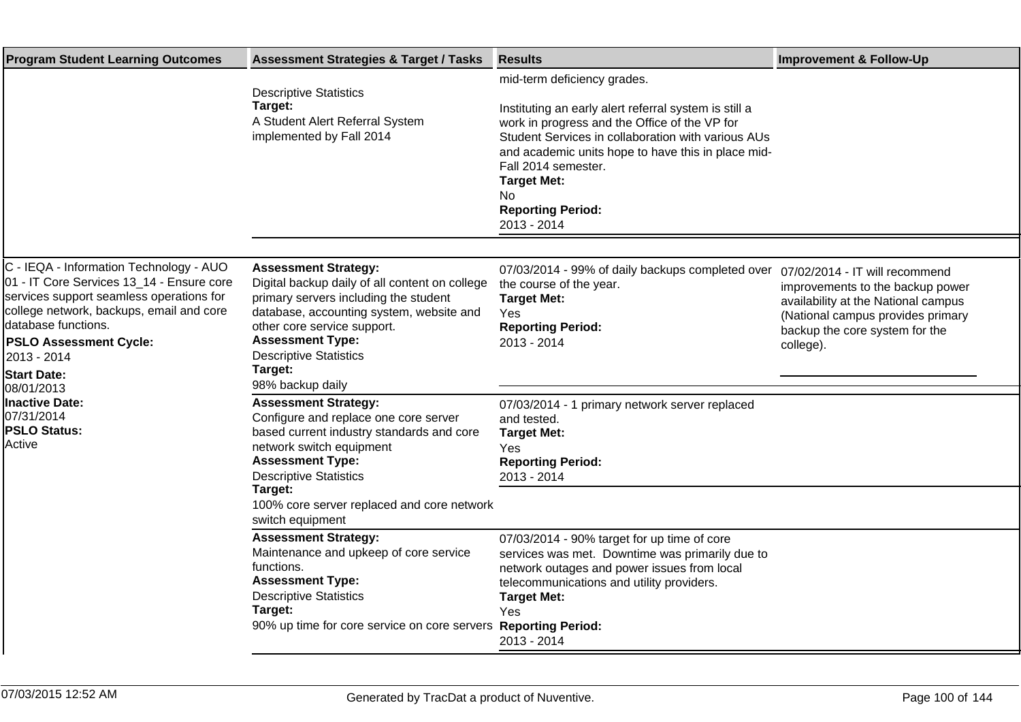| <b>Program Student Learning Outcomes</b>                                                                                                                                                                                                                                                                                                                        | <b>Assessment Strategies &amp; Target / Tasks</b>                                                                                                                                                                                                                                            | <b>Results</b>                                                                                                                                                                                                                                                                                                                                   | <b>Improvement &amp; Follow-Up</b>                                                                                                                                                            |
|-----------------------------------------------------------------------------------------------------------------------------------------------------------------------------------------------------------------------------------------------------------------------------------------------------------------------------------------------------------------|----------------------------------------------------------------------------------------------------------------------------------------------------------------------------------------------------------------------------------------------------------------------------------------------|--------------------------------------------------------------------------------------------------------------------------------------------------------------------------------------------------------------------------------------------------------------------------------------------------------------------------------------------------|-----------------------------------------------------------------------------------------------------------------------------------------------------------------------------------------------|
|                                                                                                                                                                                                                                                                                                                                                                 | <b>Descriptive Statistics</b><br>Target:<br>A Student Alert Referral System<br>implemented by Fall 2014                                                                                                                                                                                      | mid-term deficiency grades.<br>Instituting an early alert referral system is still a<br>work in progress and the Office of the VP for<br>Student Services in collaboration with various AUs<br>and academic units hope to have this in place mid-<br>Fall 2014 semester.<br><b>Target Met:</b><br>No.<br><b>Reporting Period:</b><br>2013 - 2014 |                                                                                                                                                                                               |
| C - IEQA - Information Technology - AUO<br>01 - IT Core Services 13_14 - Ensure core<br>services support seamless operations for<br>college network, backups, email and core<br>database functions.<br><b>PSLO Assessment Cycle:</b><br>2013 - 2014<br><b>Start Date:</b><br>08/01/2013<br><b>Inactive Date:</b><br>07/31/2014<br><b>PSLO Status:</b><br>Active | <b>Assessment Strategy:</b><br>Digital backup daily of all content on college<br>primary servers including the student<br>database, accounting system, website and<br>other core service support.<br><b>Assessment Type:</b><br><b>Descriptive Statistics</b><br>Target:<br>98% backup daily | 07/03/2014 - 99% of daily backups completed over<br>the course of the year.<br><b>Target Met:</b><br>Yes<br><b>Reporting Period:</b><br>2013 - 2014                                                                                                                                                                                              | 07/02/2014 - IT will recommend<br>improvements to the backup power<br>availability at the National campus<br>(National campus provides primary<br>backup the core system for the<br>college). |
|                                                                                                                                                                                                                                                                                                                                                                 | <b>Assessment Strategy:</b><br>Configure and replace one core server<br>based current industry standards and core<br>network switch equipment<br><b>Assessment Type:</b><br><b>Descriptive Statistics</b><br>Target:<br>100% core server replaced and core network<br>switch equipment       | 07/03/2014 - 1 primary network server replaced<br>and tested.<br><b>Target Met:</b><br>Yes<br><b>Reporting Period:</b><br>2013 - 2014                                                                                                                                                                                                            |                                                                                                                                                                                               |
|                                                                                                                                                                                                                                                                                                                                                                 | <b>Assessment Strategy:</b><br>Maintenance and upkeep of core service<br>functions.<br><b>Assessment Type:</b><br><b>Descriptive Statistics</b><br>Target:<br>90% up time for core service on core servers                                                                                   | 07/03/2014 - 90% target for up time of core<br>services was met. Downtime was primarily due to<br>network outages and power issues from local<br>telecommunications and utility providers.<br><b>Target Met:</b><br>Yes<br><b>Reporting Period:</b><br>2013 - 2014                                                                               |                                                                                                                                                                                               |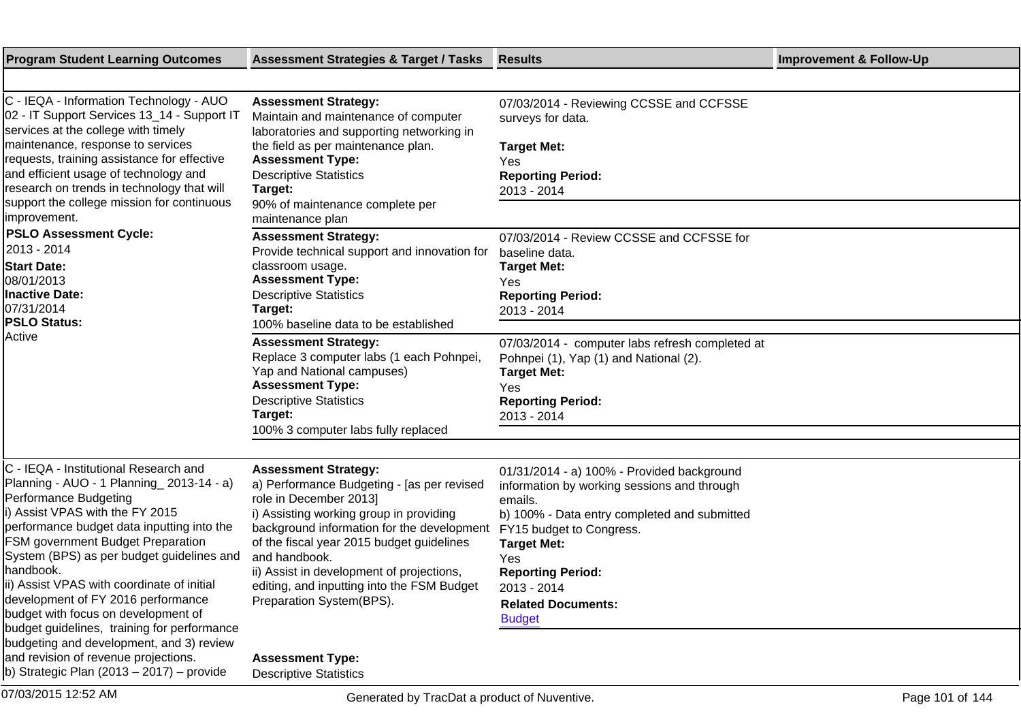| <b>Program Student Learning Outcomes</b>                                                                                                                                                                                                                                                                                                                                                                                                                                                                                | <b>Assessment Strategies &amp; Target / Tasks</b>                                                                                                                                                                                                                                                                                                                                 | <b>Results</b>                                                                                                                                                                                                                                                                                         | <b>Improvement &amp; Follow-Up</b> |
|-------------------------------------------------------------------------------------------------------------------------------------------------------------------------------------------------------------------------------------------------------------------------------------------------------------------------------------------------------------------------------------------------------------------------------------------------------------------------------------------------------------------------|-----------------------------------------------------------------------------------------------------------------------------------------------------------------------------------------------------------------------------------------------------------------------------------------------------------------------------------------------------------------------------------|--------------------------------------------------------------------------------------------------------------------------------------------------------------------------------------------------------------------------------------------------------------------------------------------------------|------------------------------------|
|                                                                                                                                                                                                                                                                                                                                                                                                                                                                                                                         |                                                                                                                                                                                                                                                                                                                                                                                   |                                                                                                                                                                                                                                                                                                        |                                    |
| C - IEQA - Information Technology - AUO<br>02 - IT Support Services 13_14 - Support IT<br>services at the college with timely<br>maintenance, response to services<br>requests, training assistance for effective<br>and efficient usage of technology and<br>research on trends in technology that will<br>support the college mission for continuous<br>limprovement.                                                                                                                                                 | <b>Assessment Strategy:</b><br>Maintain and maintenance of computer<br>laboratories and supporting networking in<br>the field as per maintenance plan.<br><b>Assessment Type:</b><br><b>Descriptive Statistics</b><br>Target:<br>90% of maintenance complete per<br>maintenance plan                                                                                              | 07/03/2014 - Reviewing CCSSE and CCFSSE<br>surveys for data.<br><b>Target Met:</b><br>Yes<br><b>Reporting Period:</b><br>2013 - 2014                                                                                                                                                                   |                                    |
| <b>PSLO Assessment Cycle:</b><br>2013 - 2014<br><b>Start Date:</b><br>08/01/2013<br><b>Inactive Date:</b><br>07/31/2014<br><b>PSLO Status:</b>                                                                                                                                                                                                                                                                                                                                                                          | <b>Assessment Strategy:</b><br>Provide technical support and innovation for<br>classroom usage.<br><b>Assessment Type:</b><br><b>Descriptive Statistics</b><br>Target:<br>100% baseline data to be established                                                                                                                                                                    | 07/03/2014 - Review CCSSE and CCFSSE for<br>baseline data.<br><b>Target Met:</b><br>Yes<br><b>Reporting Period:</b><br>2013 - 2014                                                                                                                                                                     |                                    |
| Active                                                                                                                                                                                                                                                                                                                                                                                                                                                                                                                  | <b>Assessment Strategy:</b><br>Replace 3 computer labs (1 each Pohnpei,<br>Yap and National campuses)<br><b>Assessment Type:</b><br><b>Descriptive Statistics</b><br>Target:<br>100% 3 computer labs fully replaced                                                                                                                                                               | 07/03/2014 - computer labs refresh completed at<br>Pohnpei (1), Yap (1) and National (2).<br><b>Target Met:</b><br>Yes<br><b>Reporting Period:</b><br>2013 - 2014                                                                                                                                      |                                    |
| C - IEQA - Institutional Research and<br>Planning - AUO - 1 Planning 2013-14 - a)<br>Performance Budgeting<br>i) Assist VPAS with the FY 2015<br>performance budget data inputting into the<br><b>FSM government Budget Preparation</b><br>System (BPS) as per budget guidelines and<br>handbook.<br>ii) Assist VPAS with coordinate of initial<br>development of FY 2016 performance<br>budget with focus on development of<br>budget guidelines, training for performance<br>budgeting and development, and 3) review | <b>Assessment Strategy:</b><br>a) Performance Budgeting - [as per revised<br>role in December 2013]<br>i) Assisting working group in providing<br>background information for the development<br>of the fiscal year 2015 budget guidelines<br>and handbook.<br>ii) Assist in development of projections,<br>editing, and inputting into the FSM Budget<br>Preparation System(BPS). | 01/31/2014 - a) 100% - Provided background<br>information by working sessions and through<br>emails.<br>b) 100% - Data entry completed and submitted<br>FY15 budget to Congress.<br><b>Target Met:</b><br>Yes<br><b>Reporting Period:</b><br>2013 - 2014<br><b>Related Documents:</b><br><b>Budget</b> |                                    |
| and revision of revenue projections.<br>$ b $ Strategic Plan (2013 – 2017) – provide                                                                                                                                                                                                                                                                                                                                                                                                                                    | <b>Assessment Type:</b><br><b>Descriptive Statistics</b>                                                                                                                                                                                                                                                                                                                          |                                                                                                                                                                                                                                                                                                        |                                    |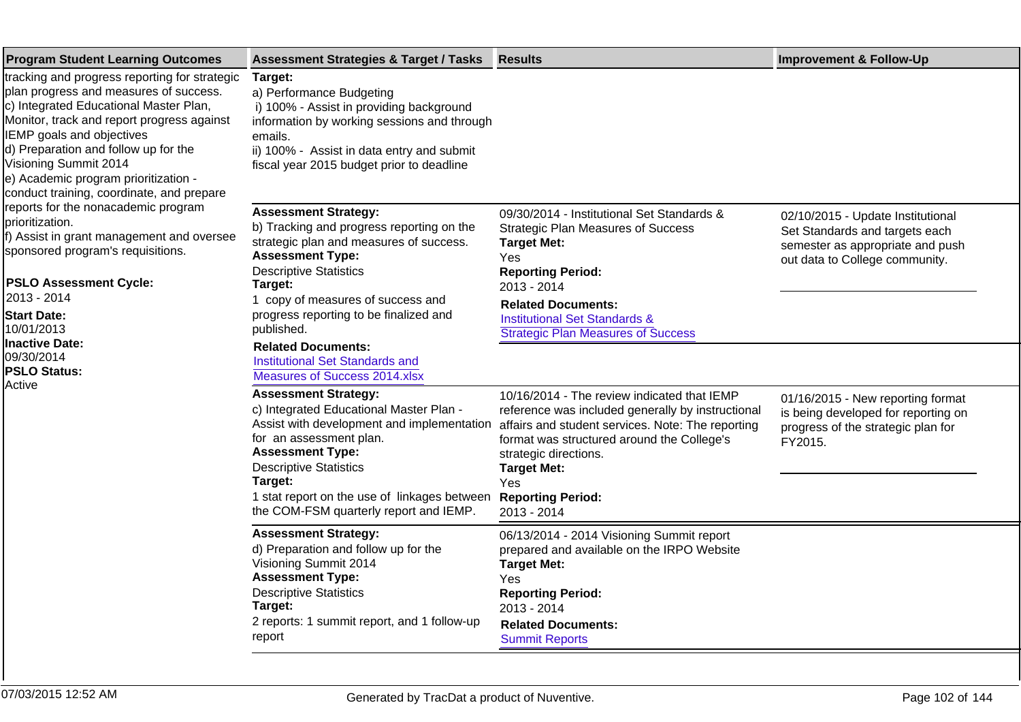| <b>Program Student Learning Outcomes</b>                                                                                                                                                                                                                                                                                                                                                                                                                                                                                                                                                                                                                                   | <b>Assessment Strategies &amp; Target / Tasks</b>                                                                                                                                                                                                                                                                                                                                               | <b>Results</b>                                                                                                                                                                                                                                                                        | <b>Improvement &amp; Follow-Up</b>                                                                                                        |
|----------------------------------------------------------------------------------------------------------------------------------------------------------------------------------------------------------------------------------------------------------------------------------------------------------------------------------------------------------------------------------------------------------------------------------------------------------------------------------------------------------------------------------------------------------------------------------------------------------------------------------------------------------------------------|-------------------------------------------------------------------------------------------------------------------------------------------------------------------------------------------------------------------------------------------------------------------------------------------------------------------------------------------------------------------------------------------------|---------------------------------------------------------------------------------------------------------------------------------------------------------------------------------------------------------------------------------------------------------------------------------------|-------------------------------------------------------------------------------------------------------------------------------------------|
| tracking and progress reporting for strategic<br>plan progress and measures of success.<br>c) Integrated Educational Master Plan,<br>Monitor, track and report progress against<br>IEMP goals and objectives<br>d) Preparation and follow up for the<br>Visioning Summit 2014<br>e) Academic program prioritization -<br>conduct training, coordinate, and prepare<br>reports for the nonacademic program<br>prioritization.<br>f) Assist in grant management and oversee<br>sponsored program's requisitions.<br><b>PSLO Assessment Cycle:</b><br>2013 - 2014<br><b>Start Date:</b><br>10/01/2013<br><b>Inactive Date:</b><br>09/30/2014<br><b>PSLO Status:</b><br>Active | Target:<br>a) Performance Budgeting<br>i) 100% - Assist in providing background<br>information by working sessions and through<br>emails.<br>ii) 100% - Assist in data entry and submit<br>fiscal year 2015 budget prior to deadline                                                                                                                                                            |                                                                                                                                                                                                                                                                                       |                                                                                                                                           |
|                                                                                                                                                                                                                                                                                                                                                                                                                                                                                                                                                                                                                                                                            | <b>Assessment Strategy:</b><br>b) Tracking and progress reporting on the<br>strategic plan and measures of success.<br><b>Assessment Type:</b><br><b>Descriptive Statistics</b><br>Target:<br>1 copy of measures of success and<br>progress reporting to be finalized and<br>published.<br><b>Related Documents:</b><br><b>Institutional Set Standards and</b><br>Measures of Success 2014.xlsx | 09/30/2014 - Institutional Set Standards &<br><b>Strategic Plan Measures of Success</b><br><b>Target Met:</b><br>Yes<br><b>Reporting Period:</b><br>2013 - 2014<br><b>Related Documents:</b><br><b>Institutional Set Standards &amp;</b><br><b>Strategic Plan Measures of Success</b> | 02/10/2015 - Update Institutional<br>Set Standards and targets each<br>semester as appropriate and push<br>out data to College community. |
|                                                                                                                                                                                                                                                                                                                                                                                                                                                                                                                                                                                                                                                                            | <b>Assessment Strategy:</b><br>c) Integrated Educational Master Plan -<br>Assist with development and implementation<br>for an assessment plan.<br><b>Assessment Type:</b><br><b>Descriptive Statistics</b><br>Target:<br>1 stat report on the use of linkages between Reporting Period:<br>the COM-FSM quarterly report and IEMP.                                                              | 10/16/2014 - The review indicated that IEMP<br>reference was included generally by instructional<br>affairs and student services. Note: The reporting<br>format was structured around the College's<br>strategic directions.<br><b>Target Met:</b><br>Yes<br>2013 - 2014              | 01/16/2015 - New reporting format<br>is being developed for reporting on<br>progress of the strategic plan for<br>FY2015.                 |
|                                                                                                                                                                                                                                                                                                                                                                                                                                                                                                                                                                                                                                                                            | <b>Assessment Strategy:</b><br>d) Preparation and follow up for the<br>Visioning Summit 2014<br><b>Assessment Type:</b><br><b>Descriptive Statistics</b><br>Target:<br>2 reports: 1 summit report, and 1 follow-up<br>report                                                                                                                                                                    | 06/13/2014 - 2014 Visioning Summit report<br>prepared and available on the IRPO Website<br><b>Target Met:</b><br>Yes<br><b>Reporting Period:</b><br>2013 - 2014<br><b>Related Documents:</b><br><b>Summit Reports</b>                                                                 |                                                                                                                                           |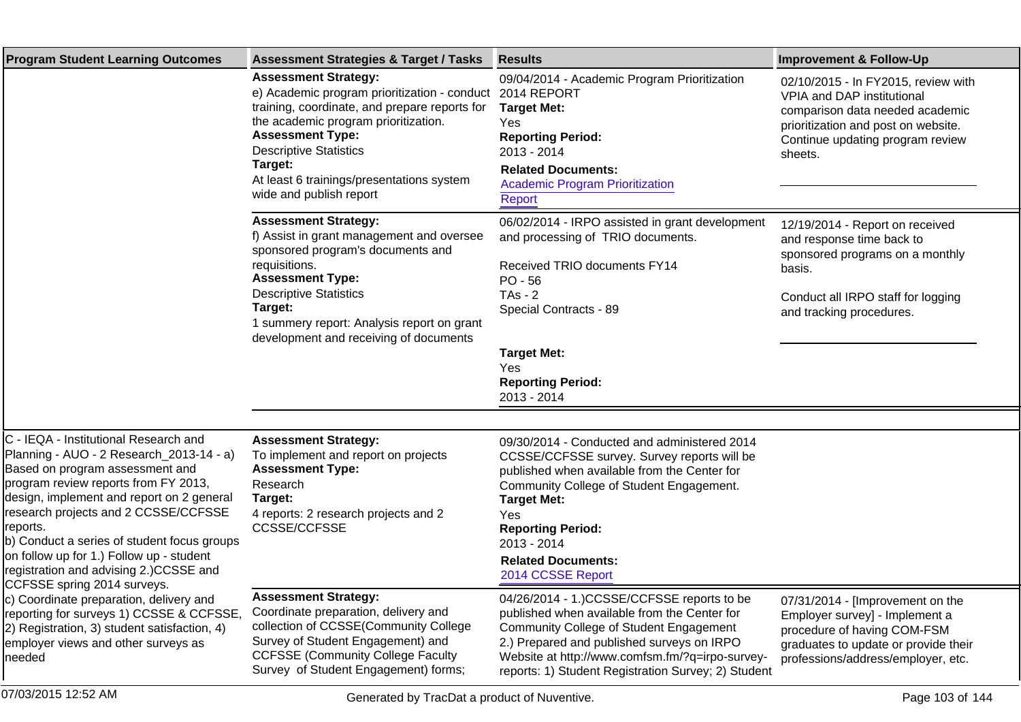| <b>Program Student Learning Outcomes</b>                                                                                                                                                                                                                                                                                                                                                                                                                                                                                                                                                                                    | <b>Assessment Strategies &amp; Target / Tasks</b>                                                                                                                                                                                                                                                                   | <b>Results</b>                                                                                                                                                                                                                                                                                                    | <b>Improvement &amp; Follow-Up</b>                                                                                                                                                         |
|-----------------------------------------------------------------------------------------------------------------------------------------------------------------------------------------------------------------------------------------------------------------------------------------------------------------------------------------------------------------------------------------------------------------------------------------------------------------------------------------------------------------------------------------------------------------------------------------------------------------------------|---------------------------------------------------------------------------------------------------------------------------------------------------------------------------------------------------------------------------------------------------------------------------------------------------------------------|-------------------------------------------------------------------------------------------------------------------------------------------------------------------------------------------------------------------------------------------------------------------------------------------------------------------|--------------------------------------------------------------------------------------------------------------------------------------------------------------------------------------------|
|                                                                                                                                                                                                                                                                                                                                                                                                                                                                                                                                                                                                                             | <b>Assessment Strategy:</b><br>e) Academic program prioritization - conduct<br>training, coordinate, and prepare reports for<br>the academic program prioritization.<br><b>Assessment Type:</b><br><b>Descriptive Statistics</b><br>Target:<br>At least 6 trainings/presentations system<br>wide and publish report | 09/04/2014 - Academic Program Prioritization<br>2014 REPORT<br><b>Target Met:</b><br>Yes<br><b>Reporting Period:</b><br>2013 - 2014<br><b>Related Documents:</b><br><b>Academic Program Prioritization</b><br>Report                                                                                              | 02/10/2015 - In FY2015, review with<br>VPIA and DAP institutional<br>comparison data needed academic<br>prioritization and post on website.<br>Continue updating program review<br>sheets. |
|                                                                                                                                                                                                                                                                                                                                                                                                                                                                                                                                                                                                                             | <b>Assessment Strategy:</b><br>f) Assist in grant management and oversee<br>sponsored program's documents and<br>requisitions.<br><b>Assessment Type:</b><br><b>Descriptive Statistics</b><br>Target:<br>1 summery report: Analysis report on grant<br>development and receiving of documents                       | 06/02/2014 - IRPO assisted in grant development<br>and processing of TRIO documents.<br>Received TRIO documents FY14<br>$PO - 56$<br>$TAs - 2$<br>Special Contracts - 89<br><b>Target Met:</b><br>Yes<br><b>Reporting Period:</b><br>2013 - 2014                                                                  | 12/19/2014 - Report on received<br>and response time back to<br>sponsored programs on a monthly<br>basis.<br>Conduct all IRPO staff for logging<br>and tracking procedures.                |
| C - IEQA - Institutional Research and<br>Planning - AUO - 2 Research_2013-14 - a)<br>Based on program assessment and<br>program review reports from FY 2013,<br>design, implement and report on 2 general<br>research projects and 2 CCSSE/CCFSSE<br>reports.<br>b) Conduct a series of student focus groups<br>on follow up for 1.) Follow up - student<br>registration and advising 2.)CCSSE and<br>CCFSSE spring 2014 surveys.<br>c) Coordinate preparation, delivery and<br>reporting for surveys 1) CCSSE & CCFSSE,<br>[2) Registration, 3) student satisfaction, 4)<br>employer views and other surveys as<br>Ineeded | <b>Assessment Strategy:</b><br>To implement and report on projects<br><b>Assessment Type:</b><br>Research<br>Target:<br>4 reports: 2 research projects and 2<br><b>CCSSE/CCFSSE</b>                                                                                                                                 | 09/30/2014 - Conducted and administered 2014<br>CCSSE/CCFSSE survey. Survey reports will be<br>published when available from the Center for<br>Community College of Student Engagement.<br><b>Target Met:</b><br>Yes<br><b>Reporting Period:</b><br>2013 - 2014<br><b>Related Documents:</b><br>2014 CCSSE Report |                                                                                                                                                                                            |
|                                                                                                                                                                                                                                                                                                                                                                                                                                                                                                                                                                                                                             | <b>Assessment Strategy:</b><br>Coordinate preparation, delivery and<br>collection of CCSSE(Community College<br>Survey of Student Engagement) and<br><b>CCFSSE (Community College Faculty</b><br>Survey of Student Engagement) forms;                                                                               | 04/26/2014 - 1.)CCSSE/CCFSSE reports to be<br>published when available from the Center for<br>Community College of Student Engagement<br>2.) Prepared and published surveys on IRPO<br>Website at http://www.comfsm.fm/?q=irpo-survey-<br>reports: 1) Student Registration Survey; 2) Student                     | 07/31/2014 - [Improvement on the<br>Employer survey] - Implement a<br>procedure of having COM-FSM<br>graduates to update or provide their<br>professions/address/employer, etc.            |
| 07/03/2015 12:52 AM                                                                                                                                                                                                                                                                                                                                                                                                                                                                                                                                                                                                         | Generated by TracDat a product of Nuventive.                                                                                                                                                                                                                                                                        |                                                                                                                                                                                                                                                                                                                   | Page 103 of 144                                                                                                                                                                            |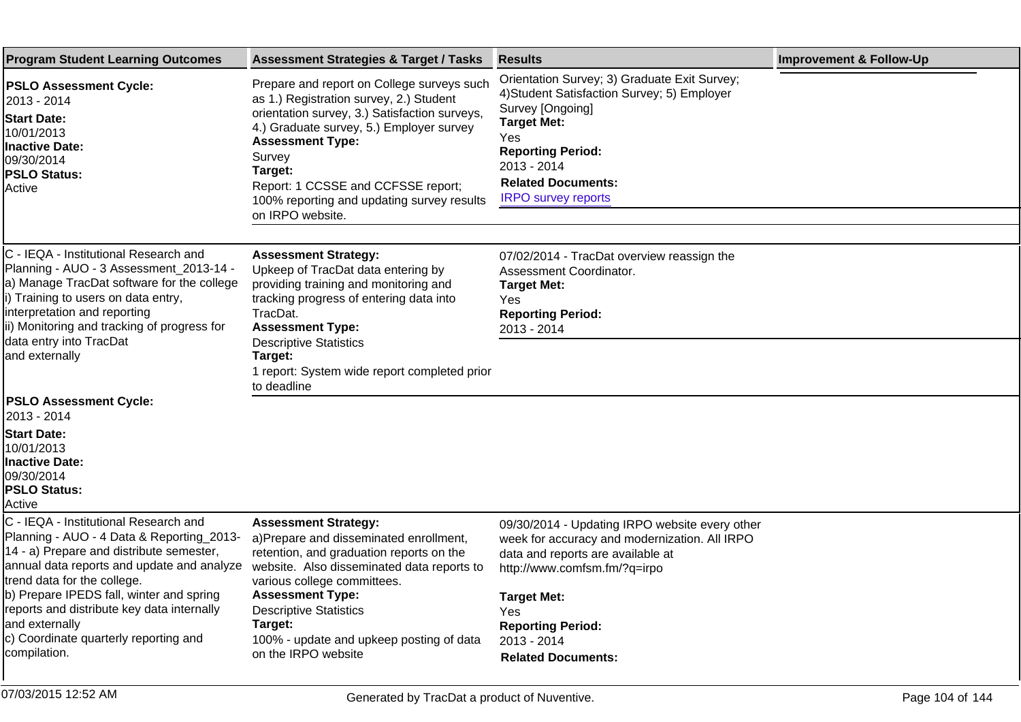| <b>Program Student Learning Outcomes</b>                                                                                                                                                                                                                                                                                                                                         | <b>Assessment Strategies &amp; Target / Tasks</b>                                                                                                                                                                                                                                                                                          | <b>Results</b>                                                                                                                                                                                                                                                            | <b>Improvement &amp; Follow-Up</b> |
|----------------------------------------------------------------------------------------------------------------------------------------------------------------------------------------------------------------------------------------------------------------------------------------------------------------------------------------------------------------------------------|--------------------------------------------------------------------------------------------------------------------------------------------------------------------------------------------------------------------------------------------------------------------------------------------------------------------------------------------|---------------------------------------------------------------------------------------------------------------------------------------------------------------------------------------------------------------------------------------------------------------------------|------------------------------------|
| <b>PSLO Assessment Cycle:</b><br>2013 - 2014<br><b>Start Date:</b><br>10/01/2013<br><b>Inactive Date:</b><br>09/30/2014<br><b>PSLO Status:</b><br>Active                                                                                                                                                                                                                         | Prepare and report on College surveys such<br>as 1.) Registration survey, 2.) Student<br>orientation survey, 3.) Satisfaction surveys,<br>4.) Graduate survey, 5.) Employer survey<br><b>Assessment Type:</b><br>Survey<br>Target:<br>Report: 1 CCSSE and CCFSSE report;<br>100% reporting and updating survey results<br>on IRPO website. | Orientation Survey; 3) Graduate Exit Survey;<br>4) Student Satisfaction Survey; 5) Employer<br>Survey [Ongoing]<br><b>Target Met:</b><br>Yes<br><b>Reporting Period:</b><br>2013 - 2014<br><b>Related Documents:</b><br><b>IRPO survey reports</b>                        |                                    |
| C - IEQA - Institutional Research and<br>Planning - AUO - 3 Assessment_2013-14 -<br>a) Manage TracDat software for the college<br>i) Training to users on data entry,<br>interpretation and reporting<br>ii) Monitoring and tracking of progress for<br>data entry into TracDat<br>and externally                                                                                | <b>Assessment Strategy:</b><br>Upkeep of TracDat data entering by<br>providing training and monitoring and<br>tracking progress of entering data into<br>TracDat.<br><b>Assessment Type:</b><br><b>Descriptive Statistics</b><br>Target:<br>1 report: System wide report completed prior<br>to deadline                                    | 07/02/2014 - TracDat overview reassign the<br>Assessment Coordinator.<br><b>Target Met:</b><br>Yes<br><b>Reporting Period:</b><br>2013 - 2014                                                                                                                             |                                    |
| <b>PSLO Assessment Cycle:</b><br>2013 - 2014<br><b>Start Date:</b><br>10/01/2013<br><b>Inactive Date:</b><br>09/30/2014<br><b>PSLO Status:</b><br>Active                                                                                                                                                                                                                         |                                                                                                                                                                                                                                                                                                                                            |                                                                                                                                                                                                                                                                           |                                    |
| C - IEQA - Institutional Research and<br>Planning - AUO - 4 Data & Reporting_2013-<br>14 - a) Prepare and distribute semester,<br>annual data reports and update and analyze<br>trend data for the college.<br>b) Prepare IPEDS fall, winter and spring<br>reports and distribute key data internally<br>and externally<br>c) Coordinate quarterly reporting and<br>compilation. | <b>Assessment Strategy:</b><br>a)Prepare and disseminated enrollment,<br>retention, and graduation reports on the<br>website. Also disseminated data reports to<br>various college committees.<br><b>Assessment Type:</b><br><b>Descriptive Statistics</b><br>Target:<br>100% - update and upkeep posting of data<br>on the IRPO website   | 09/30/2014 - Updating IRPO website every other<br>week for accuracy and modernization. All IRPO<br>data and reports are available at<br>http://www.comfsm.fm/?q=irpo<br><b>Target Met:</b><br>Yes<br><b>Reporting Period:</b><br>2013 - 2014<br><b>Related Documents:</b> |                                    |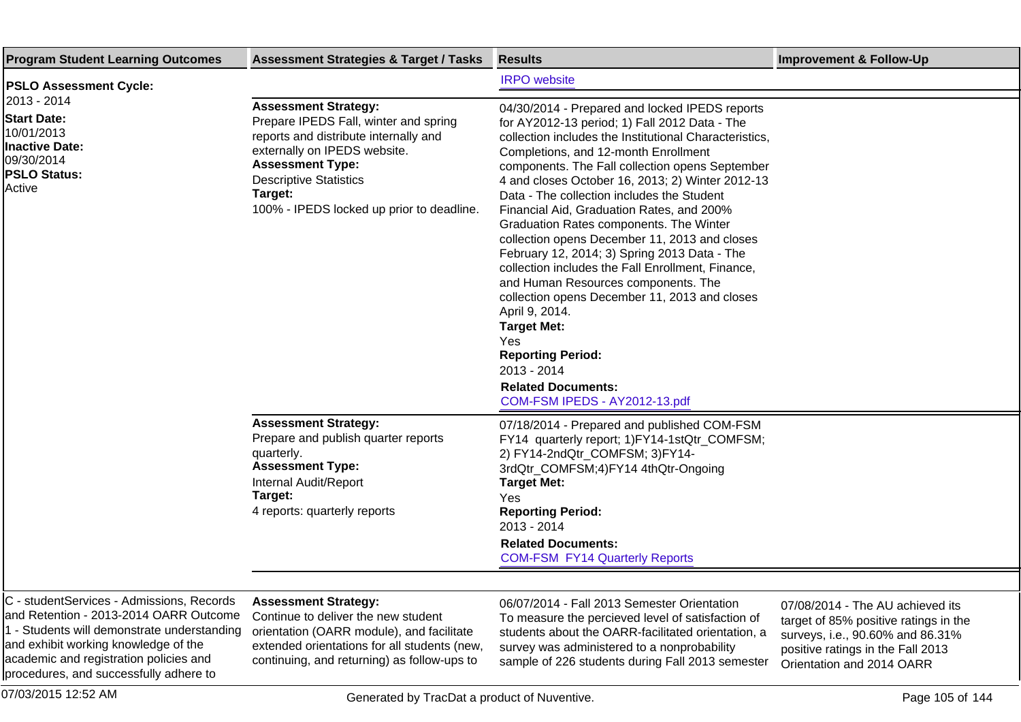| <b>Program Student Learning Outcomes</b>                                                                                                                                                                                                                       | <b>Assessment Strategies &amp; Target / Tasks</b>                                                                                                                                                                                                                 | <b>Results</b>                                                                                                                                                                                                                                                                                                                                                                                                                                                                                                                                                                                                                                                                                                                                                                                                                                       | <b>Improvement &amp; Follow-Up</b>                                                                                                                                              |
|----------------------------------------------------------------------------------------------------------------------------------------------------------------------------------------------------------------------------------------------------------------|-------------------------------------------------------------------------------------------------------------------------------------------------------------------------------------------------------------------------------------------------------------------|------------------------------------------------------------------------------------------------------------------------------------------------------------------------------------------------------------------------------------------------------------------------------------------------------------------------------------------------------------------------------------------------------------------------------------------------------------------------------------------------------------------------------------------------------------------------------------------------------------------------------------------------------------------------------------------------------------------------------------------------------------------------------------------------------------------------------------------------------|---------------------------------------------------------------------------------------------------------------------------------------------------------------------------------|
| <b>PSLO Assessment Cycle:</b>                                                                                                                                                                                                                                  |                                                                                                                                                                                                                                                                   | <b>IRPO</b> website                                                                                                                                                                                                                                                                                                                                                                                                                                                                                                                                                                                                                                                                                                                                                                                                                                  |                                                                                                                                                                                 |
| 2013 - 2014<br><b>Start Date:</b><br>10/01/2013<br><b>Inactive Date:</b><br>09/30/2014<br><b>PSLO Status:</b><br>Active                                                                                                                                        | <b>Assessment Strategy:</b><br>Prepare IPEDS Fall, winter and spring<br>reports and distribute internally and<br>externally on IPEDS website.<br><b>Assessment Type:</b><br><b>Descriptive Statistics</b><br>Target:<br>100% - IPEDS locked up prior to deadline. | 04/30/2014 - Prepared and locked IPEDS reports<br>for AY2012-13 period; 1) Fall 2012 Data - The<br>collection includes the Institutional Characteristics,<br>Completions, and 12-month Enrollment<br>components. The Fall collection opens September<br>4 and closes October 16, 2013; 2) Winter 2012-13<br>Data - The collection includes the Student<br>Financial Aid, Graduation Rates, and 200%<br>Graduation Rates components. The Winter<br>collection opens December 11, 2013 and closes<br>February 12, 2014; 3) Spring 2013 Data - The<br>collection includes the Fall Enrollment, Finance,<br>and Human Resources components. The<br>collection opens December 11, 2013 and closes<br>April 9, 2014.<br><b>Target Met:</b><br>Yes<br><b>Reporting Period:</b><br>2013 - 2014<br><b>Related Documents:</b><br>COM-FSM IPEDS - AY2012-13.pdf |                                                                                                                                                                                 |
|                                                                                                                                                                                                                                                                | <b>Assessment Strategy:</b><br>Prepare and publish quarter reports<br>quarterly.<br><b>Assessment Type:</b><br>Internal Audit/Report<br>Target:<br>4 reports: quarterly reports                                                                                   | 07/18/2014 - Prepared and published COM-FSM<br>FY14 quarterly report; 1)FY14-1stQtr_COMFSM;<br>2) FY14-2ndQtr_COMFSM; 3)FY14-<br>3rdQtr_COMFSM;4)FY14 4thQtr-Ongoing<br><b>Target Met:</b><br>Yes<br><b>Reporting Period:</b><br>2013 - 2014<br><b>Related Documents:</b><br><b>COM-FSM FY14 Quarterly Reports</b>                                                                                                                                                                                                                                                                                                                                                                                                                                                                                                                                   |                                                                                                                                                                                 |
|                                                                                                                                                                                                                                                                |                                                                                                                                                                                                                                                                   |                                                                                                                                                                                                                                                                                                                                                                                                                                                                                                                                                                                                                                                                                                                                                                                                                                                      |                                                                                                                                                                                 |
| C - studentServices - Admissions, Records<br>and Retention - 2013-2014 OARR Outcome<br>1 - Students will demonstrate understanding<br>and exhibit working knowledge of the<br>academic and registration policies and<br>procedures, and successfully adhere to | <b>Assessment Strategy:</b><br>Continue to deliver the new student<br>orientation (OARR module), and facilitate<br>extended orientations for all students (new,<br>continuing, and returning) as follow-ups to                                                    | 06/07/2014 - Fall 2013 Semester Orientation<br>To measure the percieved level of satisfaction of<br>students about the OARR-facilitated orientation, a<br>survey was administered to a nonprobability<br>sample of 226 students during Fall 2013 semester                                                                                                                                                                                                                                                                                                                                                                                                                                                                                                                                                                                            | 07/08/2014 - The AU achieved its<br>target of 85% positive ratings in the<br>surveys, i.e., 90.60% and 86.31%<br>positive ratings in the Fall 2013<br>Orientation and 2014 OARR |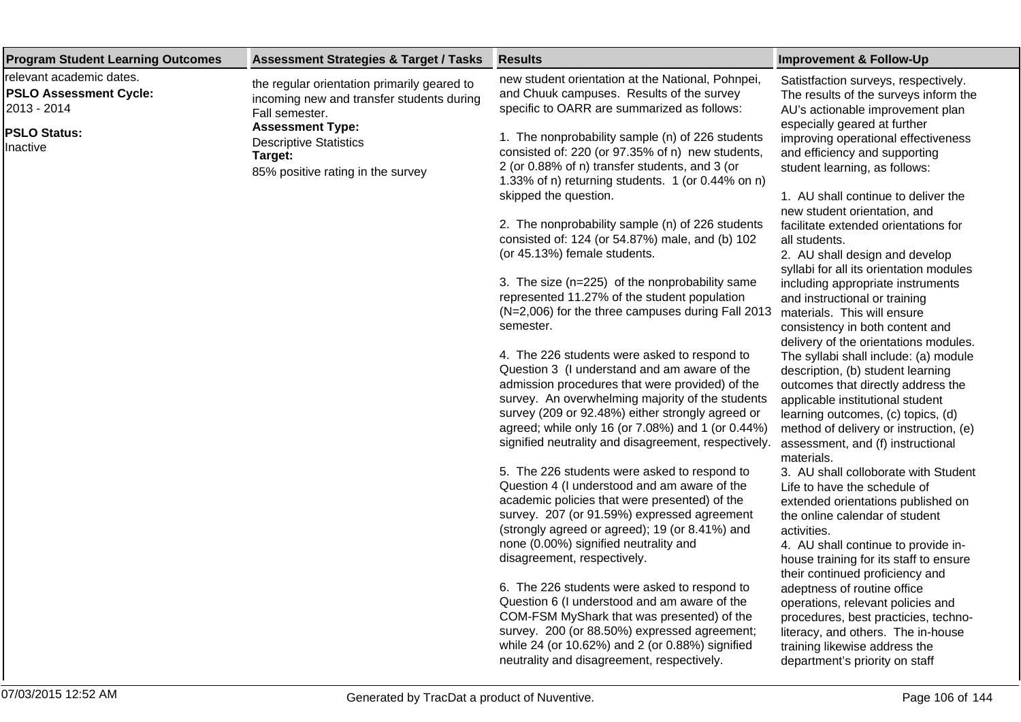| <b>Program Student Learning Outcomes</b>                                 | <b>Assessment Strategies &amp; Target / Tasks</b>                                                          | <b>Results</b>                                                                                                                                                                                                                                                                                                                                                       | <b>Improvement &amp; Follow-Up</b>                                                                                                                                                                                                                                                      |
|--------------------------------------------------------------------------|------------------------------------------------------------------------------------------------------------|----------------------------------------------------------------------------------------------------------------------------------------------------------------------------------------------------------------------------------------------------------------------------------------------------------------------------------------------------------------------|-----------------------------------------------------------------------------------------------------------------------------------------------------------------------------------------------------------------------------------------------------------------------------------------|
| relevant academic dates.<br><b>PSLO Assessment Cycle:</b><br>2013 - 2014 | the regular orientation primarily geared to<br>incoming new and transfer students during<br>Fall semester. | new student orientation at the National, Pohnpei,<br>and Chuuk campuses. Results of the survey<br>specific to OARR are summarized as follows:                                                                                                                                                                                                                        | Satistfaction surveys, respectively.<br>The results of the surveys inform the<br>AU's actionable improvement plan                                                                                                                                                                       |
| <b>PSLO Status:</b><br>Inactive                                          | <b>Assessment Type:</b><br><b>Descriptive Statistics</b><br>Target:<br>85% positive rating in the survey   | 1. The nonprobability sample (n) of 226 students<br>consisted of: 220 (or 97.35% of n) new students,<br>2 (or 0.88% of n) transfer students, and 3 (or<br>1.33% of n) returning students. 1 (or 0.44% on n)<br>skipped the question.                                                                                                                                 | especially geared at further<br>improving operational effectiveness<br>and efficiency and supporting<br>student learning, as follows:<br>1. AU shall continue to deliver the                                                                                                            |
|                                                                          |                                                                                                            | 2. The nonprobability sample (n) of 226 students<br>consisted of: 124 (or 54.87%) male, and (b) 102<br>(or 45.13%) female students.                                                                                                                                                                                                                                  | new student orientation, and<br>facilitate extended orientations for<br>all students.<br>2. AU shall design and develop<br>syllabi for all its orientation modules                                                                                                                      |
|                                                                          |                                                                                                            | 3. The size (n=225) of the nonprobability same<br>represented 11.27% of the student population<br>(N=2,006) for the three campuses during Fall 2013<br>semester.                                                                                                                                                                                                     | including appropriate instruments<br>and instructional or training<br>materials. This will ensure<br>consistency in both content and<br>delivery of the orientations modules.                                                                                                           |
|                                                                          |                                                                                                            | 4. The 226 students were asked to respond to<br>Question 3 (I understand and am aware of the<br>admission procedures that were provided) of the<br>survey. An overwhelming majority of the students<br>survey (209 or 92.48%) either strongly agreed or<br>agreed; while only 16 (or 7.08%) and 1 (or 0.44%)<br>signified neutrality and disagreement, respectively. | The syllabi shall include: (a) module<br>description, (b) student learning<br>outcomes that directly address the<br>applicable institutional student<br>learning outcomes, (c) topics, (d)<br>method of delivery or instruction, (e)<br>assessment, and (f) instructional<br>materials. |
|                                                                          |                                                                                                            | 5. The 226 students were asked to respond to<br>Question 4 (I understood and am aware of the<br>academic policies that were presented) of the<br>survey. 207 (or 91.59%) expressed agreement<br>(strongly agreed or agreed); 19 (or 8.41%) and<br>none (0.00%) signified neutrality and<br>disagreement, respectively.                                               | 3. AU shall colloborate with Student<br>Life to have the schedule of<br>extended orientations published on<br>the online calendar of student<br>activities.<br>4. AU shall continue to provide in-<br>house training for its staff to ensure<br>their continued proficiency and         |
|                                                                          |                                                                                                            | 6. The 226 students were asked to respond to<br>Question 6 (I understood and am aware of the<br>COM-FSM MyShark that was presented) of the<br>survey. 200 (or 88.50%) expressed agreement;<br>while 24 (or 10.62%) and 2 (or 0.88%) signified                                                                                                                        | adeptness of routine office<br>operations, relevant policies and<br>procedures, best practicies, techno-<br>literacy, and others. The in-house<br>training likewise address the                                                                                                         |

neutrality and disagreement, respectively.

department's priority on staff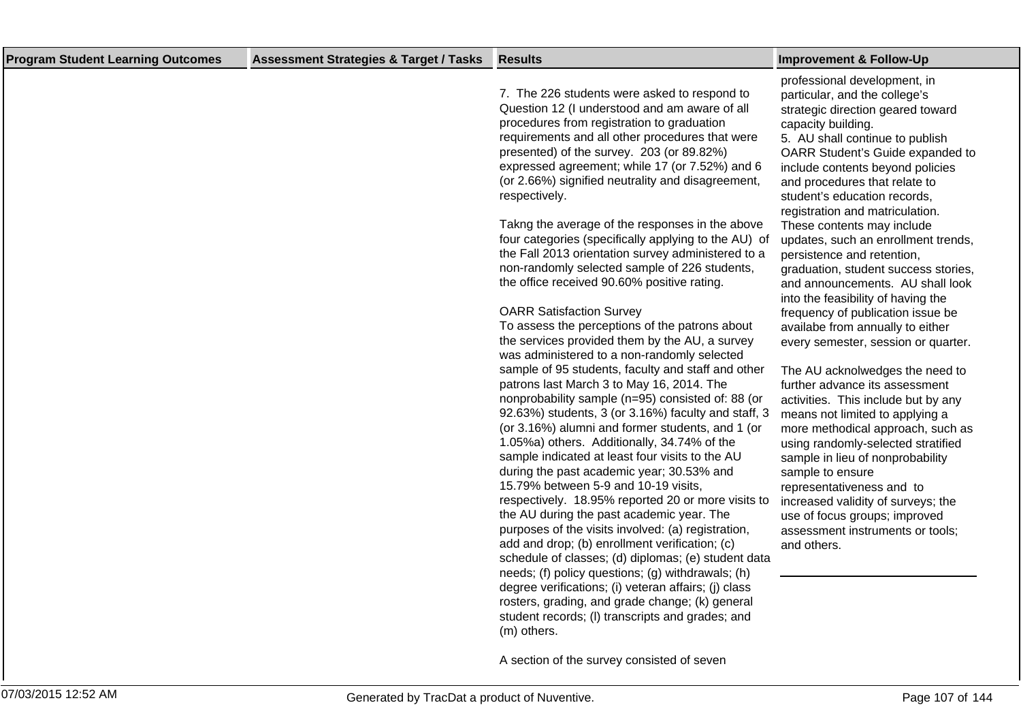| <b>Program Student Learning Outcomes</b> | <b>Assessment Strategies &amp; Target / Tasks</b> | <b>Results</b>                                                                                                                                                                                                                                                                                                                                                                                                                                                                                                                                                                                                                                                                                                                                                                                                                                                                                                                                                                                                                                                                                                                                                                                                                                                                                                                                                                                                                                                                                                                                                                                                                                                                                                                                                                                                                          | <b>Improvement &amp; Follow-Up</b>                                                                                                                                                                                                                                                                                                                                                                                                                                                                                                                                                                                                                                                                                                                                                                                                                                                                                                                                                                                                                                                                                    |
|------------------------------------------|---------------------------------------------------|-----------------------------------------------------------------------------------------------------------------------------------------------------------------------------------------------------------------------------------------------------------------------------------------------------------------------------------------------------------------------------------------------------------------------------------------------------------------------------------------------------------------------------------------------------------------------------------------------------------------------------------------------------------------------------------------------------------------------------------------------------------------------------------------------------------------------------------------------------------------------------------------------------------------------------------------------------------------------------------------------------------------------------------------------------------------------------------------------------------------------------------------------------------------------------------------------------------------------------------------------------------------------------------------------------------------------------------------------------------------------------------------------------------------------------------------------------------------------------------------------------------------------------------------------------------------------------------------------------------------------------------------------------------------------------------------------------------------------------------------------------------------------------------------------------------------------------------------|-----------------------------------------------------------------------------------------------------------------------------------------------------------------------------------------------------------------------------------------------------------------------------------------------------------------------------------------------------------------------------------------------------------------------------------------------------------------------------------------------------------------------------------------------------------------------------------------------------------------------------------------------------------------------------------------------------------------------------------------------------------------------------------------------------------------------------------------------------------------------------------------------------------------------------------------------------------------------------------------------------------------------------------------------------------------------------------------------------------------------|
|                                          |                                                   | 7. The 226 students were asked to respond to<br>Question 12 (I understood and am aware of all<br>procedures from registration to graduation<br>requirements and all other procedures that were<br>presented) of the survey. 203 (or 89.82%)<br>expressed agreement; while 17 (or 7.52%) and 6<br>(or 2.66%) signified neutrality and disagreement,<br>respectively.<br>Takng the average of the responses in the above<br>four categories (specifically applying to the AU) of<br>the Fall 2013 orientation survey administered to a<br>non-randomly selected sample of 226 students,<br>the office received 90.60% positive rating.<br><b>OARR Satisfaction Survey</b><br>To assess the perceptions of the patrons about<br>the services provided them by the AU, a survey<br>was administered to a non-randomly selected<br>sample of 95 students, faculty and staff and other<br>patrons last March 3 to May 16, 2014. The<br>nonprobability sample (n=95) consisted of: 88 (or<br>92.63%) students, 3 (or 3.16%) faculty and staff, 3<br>(or 3.16%) alumni and former students, and 1 (or<br>1.05%a) others. Additionally, 34.74% of the<br>sample indicated at least four visits to the AU<br>during the past academic year; 30.53% and<br>15.79% between 5-9 and 10-19 visits,<br>respectively. 18.95% reported 20 or more visits to<br>the AU during the past academic year. The<br>purposes of the visits involved: (a) registration,<br>add and drop; (b) enrollment verification; (c)<br>schedule of classes; (d) diplomas; (e) student data<br>needs; (f) policy questions; (g) withdrawals; (h)<br>degree verifications; (i) veteran affairs; (j) class<br>rosters, grading, and grade change; (k) general<br>student records; (I) transcripts and grades; and<br>(m) others.<br>A section of the survey consisted of seven | professional development, in<br>particular, and the college's<br>strategic direction geared toward<br>capacity building.<br>5. AU shall continue to publish<br>OARR Student's Guide expanded to<br>include contents beyond policies<br>and procedures that relate to<br>student's education records,<br>registration and matriculation.<br>These contents may include<br>updates, such an enrollment trends,<br>persistence and retention,<br>graduation, student success stories,<br>and announcements. AU shall look<br>into the feasibility of having the<br>frequency of publication issue be<br>availabe from annually to either<br>every semester, session or quarter.<br>The AU acknolwedges the need to<br>further advance its assessment<br>activities. This include but by any<br>means not limited to applying a<br>more methodical approach, such as<br>using randomly-selected stratified<br>sample in lieu of nonprobability<br>sample to ensure<br>representativeness and to<br>increased validity of surveys; the<br>use of focus groups; improved<br>assessment instruments or tools;<br>and others. |
|                                          |                                                   |                                                                                                                                                                                                                                                                                                                                                                                                                                                                                                                                                                                                                                                                                                                                                                                                                                                                                                                                                                                                                                                                                                                                                                                                                                                                                                                                                                                                                                                                                                                                                                                                                                                                                                                                                                                                                                         |                                                                                                                                                                                                                                                                                                                                                                                                                                                                                                                                                                                                                                                                                                                                                                                                                                                                                                                                                                                                                                                                                                                       |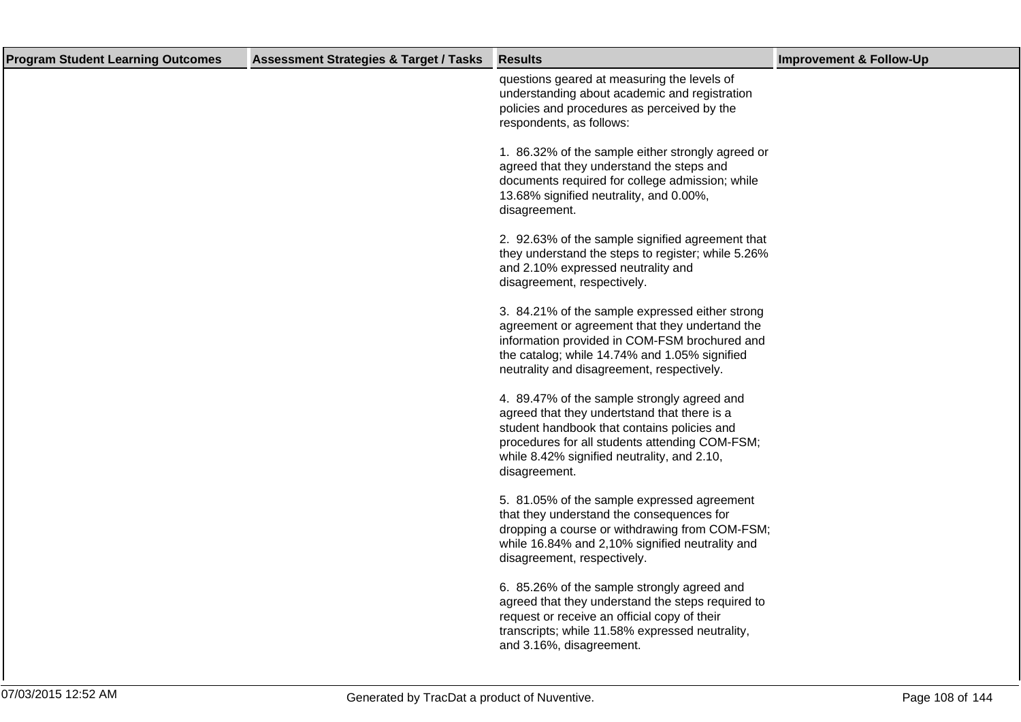| <b>Program Student Learning Outcomes</b> | <b>Assessment Strategies &amp; Target / Tasks</b> | <b>Results</b>                                                                                                                                                                                                                                               | <b>Improvement &amp; Follow-Up</b> |
|------------------------------------------|---------------------------------------------------|--------------------------------------------------------------------------------------------------------------------------------------------------------------------------------------------------------------------------------------------------------------|------------------------------------|
|                                          |                                                   | questions geared at measuring the levels of<br>understanding about academic and registration<br>policies and procedures as perceived by the<br>respondents, as follows:                                                                                      |                                    |
|                                          |                                                   | 1. 86.32% of the sample either strongly agreed or<br>agreed that they understand the steps and<br>documents required for college admission; while<br>13.68% signified neutrality, and 0.00%,<br>disagreement.                                                |                                    |
|                                          |                                                   | 2. 92.63% of the sample signified agreement that<br>they understand the steps to register; while 5.26%<br>and 2.10% expressed neutrality and<br>disagreement, respectively.                                                                                  |                                    |
|                                          |                                                   | 3. 84.21% of the sample expressed either strong<br>agreement or agreement that they undertand the<br>information provided in COM-FSM brochured and<br>the catalog; while 14.74% and 1.05% signified<br>neutrality and disagreement, respectively.            |                                    |
|                                          |                                                   | 4. 89.47% of the sample strongly agreed and<br>agreed that they undertstand that there is a<br>student handbook that contains policies and<br>procedures for all students attending COM-FSM;<br>while 8.42% signified neutrality, and 2.10,<br>disagreement. |                                    |
|                                          |                                                   | 5. 81.05% of the sample expressed agreement<br>that they understand the consequences for<br>dropping a course or withdrawing from COM-FSM;<br>while 16.84% and 2,10% signified neutrality and<br>disagreement, respectively.                                 |                                    |
|                                          |                                                   | 6. 85.26% of the sample strongly agreed and<br>agreed that they understand the steps required to<br>request or receive an official copy of their<br>transcripts; while 11.58% expressed neutrality,<br>and 3.16%, disagreement.                              |                                    |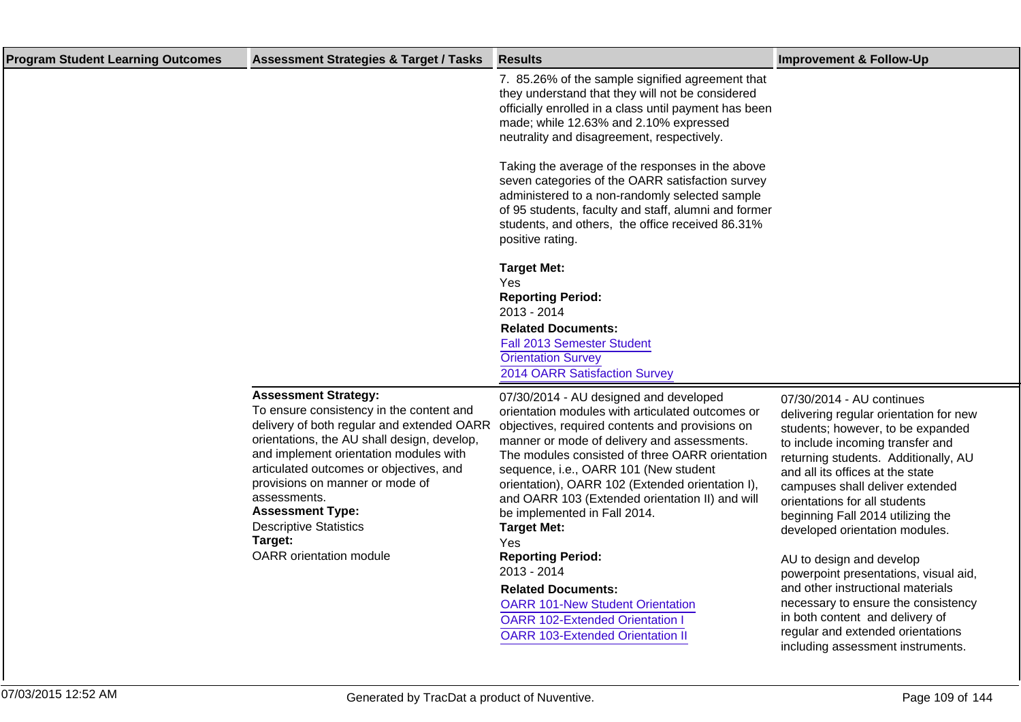| <b>Program Student Learning Outcomes</b> | <b>Assessment Strategies &amp; Target / Tasks</b>                                                                                                                                                                                                                                                                                                                                   | <b>Results</b>                                                                                                                                                                                                                                                                                                                                                                                                                                               | <b>Improvement &amp; Follow-Up</b>                                                                                                                                                                                                                                                                                                                                  |
|------------------------------------------|-------------------------------------------------------------------------------------------------------------------------------------------------------------------------------------------------------------------------------------------------------------------------------------------------------------------------------------------------------------------------------------|--------------------------------------------------------------------------------------------------------------------------------------------------------------------------------------------------------------------------------------------------------------------------------------------------------------------------------------------------------------------------------------------------------------------------------------------------------------|---------------------------------------------------------------------------------------------------------------------------------------------------------------------------------------------------------------------------------------------------------------------------------------------------------------------------------------------------------------------|
|                                          |                                                                                                                                                                                                                                                                                                                                                                                     | 7. 85.26% of the sample signified agreement that<br>they understand that they will not be considered<br>officially enrolled in a class until payment has been<br>made; while 12.63% and 2.10% expressed<br>neutrality and disagreement, respectively.                                                                                                                                                                                                        |                                                                                                                                                                                                                                                                                                                                                                     |
|                                          |                                                                                                                                                                                                                                                                                                                                                                                     | Taking the average of the responses in the above<br>seven categories of the OARR satisfaction survey<br>administered to a non-randomly selected sample<br>of 95 students, faculty and staff, alumni and former<br>students, and others, the office received 86.31%<br>positive rating.                                                                                                                                                                       |                                                                                                                                                                                                                                                                                                                                                                     |
|                                          |                                                                                                                                                                                                                                                                                                                                                                                     | <b>Target Met:</b><br>Yes<br><b>Reporting Period:</b><br>2013 - 2014<br><b>Related Documents:</b><br>Fall 2013 Semester Student<br><b>Orientation Survey</b><br>2014 OARR Satisfaction Survey                                                                                                                                                                                                                                                                |                                                                                                                                                                                                                                                                                                                                                                     |
|                                          | <b>Assessment Strategy:</b><br>To ensure consistency in the content and<br>delivery of both regular and extended OARR<br>orientations, the AU shall design, develop,<br>and implement orientation modules with<br>articulated outcomes or objectives, and<br>provisions on manner or mode of<br>assessments.<br><b>Assessment Type:</b><br><b>Descriptive Statistics</b><br>Target: | 07/30/2014 - AU designed and developed<br>orientation modules with articulated outcomes or<br>objectives, required contents and provisions on<br>manner or mode of delivery and assessments.<br>The modules consisted of three OARR orientation<br>sequence, i.e., OARR 101 (New student<br>orientation), OARR 102 (Extended orientation I),<br>and OARR 103 (Extended orientation II) and will<br>be implemented in Fall 2014.<br><b>Target Met:</b><br>Yes | 07/30/2014 - AU continues<br>delivering regular orientation for new<br>students; however, to be expanded<br>to include incoming transfer and<br>returning students. Additionally, AU<br>and all its offices at the state<br>campuses shall deliver extended<br>orientations for all students<br>beginning Fall 2014 utilizing the<br>developed orientation modules. |
|                                          | <b>OARR</b> orientation module                                                                                                                                                                                                                                                                                                                                                      | <b>Reporting Period:</b><br>2013 - 2014<br><b>Related Documents:</b><br><b>OARR 101-New Student Orientation</b><br><b>OARR 102-Extended Orientation I</b><br><b>OARR 103-Extended Orientation II</b>                                                                                                                                                                                                                                                         | AU to design and develop<br>powerpoint presentations, visual aid,<br>and other instructional materials<br>necessary to ensure the consistency<br>in both content and delivery of<br>regular and extended orientations<br>including assessment instruments.                                                                                                          |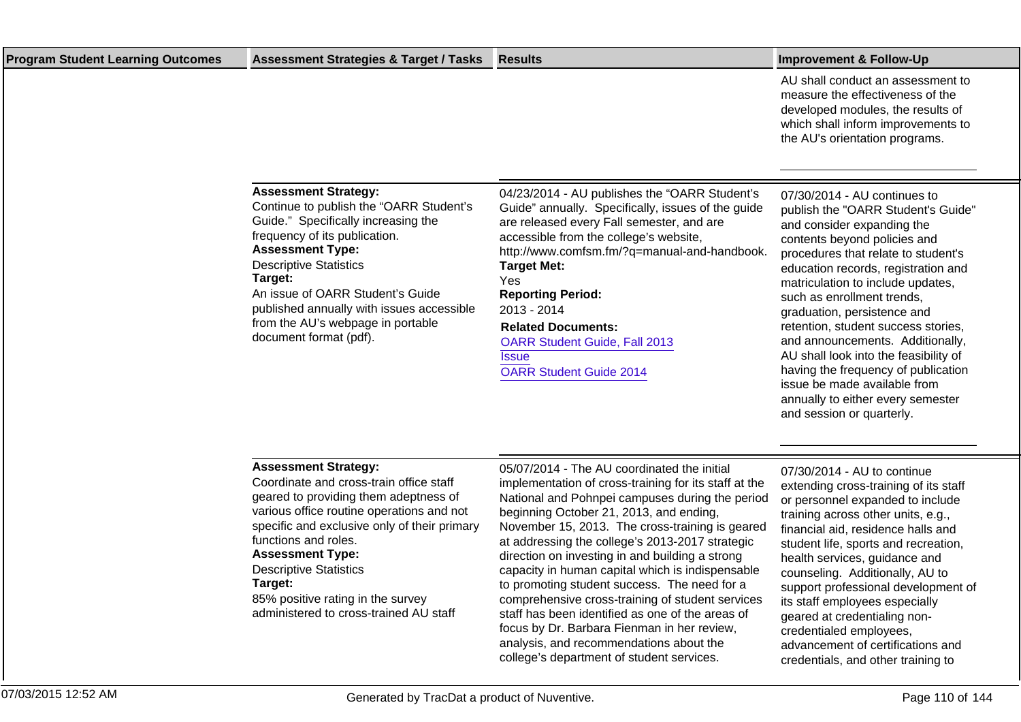| <b>Program Student Learning Outcomes</b> | <b>Assessment Strategies &amp; Target / Tasks</b>                                                                                                                                                                                                                                                                                                                     | Results                                                                                                                                                                                                                                                                                                                                                                                                                                   | <b>Improvement &amp; Follow-Up</b>                                                                                                                                                                                                                                                                                                                                                                                                                                                                                                                                            |
|------------------------------------------|-----------------------------------------------------------------------------------------------------------------------------------------------------------------------------------------------------------------------------------------------------------------------------------------------------------------------------------------------------------------------|-------------------------------------------------------------------------------------------------------------------------------------------------------------------------------------------------------------------------------------------------------------------------------------------------------------------------------------------------------------------------------------------------------------------------------------------|-------------------------------------------------------------------------------------------------------------------------------------------------------------------------------------------------------------------------------------------------------------------------------------------------------------------------------------------------------------------------------------------------------------------------------------------------------------------------------------------------------------------------------------------------------------------------------|
|                                          |                                                                                                                                                                                                                                                                                                                                                                       |                                                                                                                                                                                                                                                                                                                                                                                                                                           | AU shall conduct an assessment to<br>measure the effectiveness of the<br>developed modules, the results of<br>which shall inform improvements to<br>the AU's orientation programs.                                                                                                                                                                                                                                                                                                                                                                                            |
|                                          | <b>Assessment Strategy:</b><br>Continue to publish the "OARR Student's<br>Guide." Specifically increasing the<br>frequency of its publication.<br><b>Assessment Type:</b><br><b>Descriptive Statistics</b><br>Target:<br>An issue of OARR Student's Guide<br>published annually with issues accessible<br>from the AU's webpage in portable<br>document format (pdf). | 04/23/2014 - AU publishes the "OARR Student's<br>Guide" annually. Specifically, issues of the guide<br>are released every Fall semester, and are<br>accessible from the college's website,<br>http://www.comfsm.fm/?q=manual-and-handbook.<br><b>Target Met:</b><br>Yes<br><b>Reporting Period:</b><br>2013 - 2014<br><b>Related Documents:</b><br><b>OARR Student Guide, Fall 2013</b><br><b>Issue</b><br><b>OARR Student Guide 2014</b> | 07/30/2014 - AU continues to<br>publish the "OARR Student's Guide"<br>and consider expanding the<br>contents beyond policies and<br>procedures that relate to student's<br>education records, registration and<br>matriculation to include updates,<br>such as enrollment trends,<br>graduation, persistence and<br>retention, student success stories,<br>and announcements. Additionally,<br>AU shall look into the feasibility of<br>having the frequency of publication<br>issue be made available from<br>annually to either every semester<br>and session or quarterly. |
|                                          | <b>Assessment Strategy:</b><br>Coordinate and erese train office staff                                                                                                                                                                                                                                                                                                | 05/07/2014 - The AU coordinated the initial<br>the color of a contraction of the second state in the first state of the state of the second state of the state of the second state of the second state of the second state of the second state of the second state of the sec                                                                                                                                                             | 07/30/2014 - AU to continue                                                                                                                                                                                                                                                                                                                                                                                                                                                                                                                                                   |

Coordinate and cross-train office staff geared to providing them adeptness of various office routine operations and not specific and exclusive only of their primary functions and roles.

### **Assessment Type:**

Descriptive Statistics **Target:** 85% positive rating in the survey

administered to cross-trained AU staff

implementation of cross-training for its staff at the National and Pohnpei campuses during the period beginning October 21, 2013, and ending, November 15, 2013. The cross-training is geared at addressing the college's 2013-2017 strategic direction on investing in and building a strong capacity in human capital which is indispensable to promoting student success. The need for a comprehensive cross-training of student services staff has been identified as one of the areas of focus by Dr. Barbara Fienman in her review, analysis, and recommendations about the college's department of student services.

extending cross-training of its staff or personnel expanded to include training across other units, e.g., financial aid, residence halls and student life, sports and recreation, health services, guidance and counseling. Additionally, AU to support professional development of its staff employees especially geared at credentialing noncredentialed employees, advancement of certifications and credentials, and other training to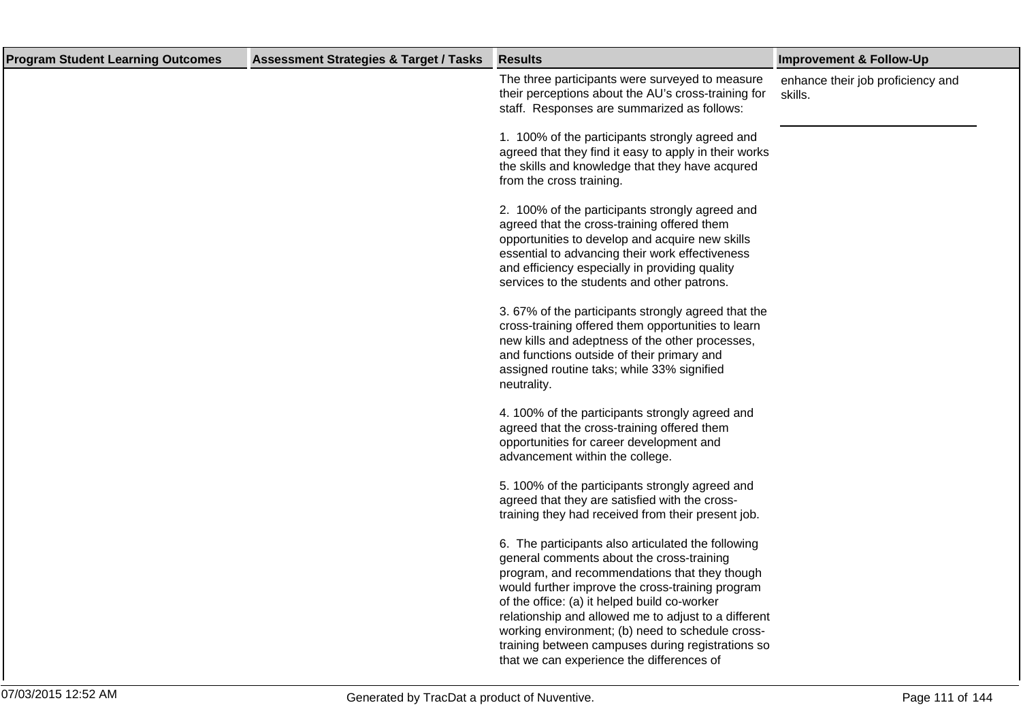| <b>Program Student Learning Outcomes</b> | <b>Assessment Strategies &amp; Target / Tasks</b> | <b>Results</b>                                                                                                                                                                                                                                                                                                                                                                                                                                                     | <b>Improvement &amp; Follow-Up</b>           |
|------------------------------------------|---------------------------------------------------|--------------------------------------------------------------------------------------------------------------------------------------------------------------------------------------------------------------------------------------------------------------------------------------------------------------------------------------------------------------------------------------------------------------------------------------------------------------------|----------------------------------------------|
|                                          |                                                   | The three participants were surveyed to measure<br>their perceptions about the AU's cross-training for<br>staff. Responses are summarized as follows:                                                                                                                                                                                                                                                                                                              | enhance their job proficiency and<br>skills. |
|                                          |                                                   | 1. 100% of the participants strongly agreed and<br>agreed that they find it easy to apply in their works<br>the skills and knowledge that they have acqured<br>from the cross training.                                                                                                                                                                                                                                                                            |                                              |
|                                          |                                                   | 2. 100% of the participants strongly agreed and<br>agreed that the cross-training offered them<br>opportunities to develop and acquire new skills<br>essential to advancing their work effectiveness<br>and efficiency especially in providing quality<br>services to the students and other patrons.                                                                                                                                                              |                                              |
|                                          |                                                   | 3.67% of the participants strongly agreed that the<br>cross-training offered them opportunities to learn<br>new kills and adeptness of the other processes,<br>and functions outside of their primary and<br>assigned routine taks; while 33% signified<br>neutrality.                                                                                                                                                                                             |                                              |
|                                          |                                                   | 4. 100% of the participants strongly agreed and<br>agreed that the cross-training offered them<br>opportunities for career development and<br>advancement within the college.                                                                                                                                                                                                                                                                                      |                                              |
|                                          |                                                   | 5. 100% of the participants strongly agreed and<br>agreed that they are satisfied with the cross-<br>training they had received from their present job.                                                                                                                                                                                                                                                                                                            |                                              |
|                                          |                                                   | 6. The participants also articulated the following<br>general comments about the cross-training<br>program, and recommendations that they though<br>would further improve the cross-training program<br>of the office: (a) it helped build co-worker<br>relationship and allowed me to adjust to a different<br>working environment; (b) need to schedule cross-<br>training between campuses during registrations so<br>that we can experience the differences of |                                              |
|                                          |                                                   |                                                                                                                                                                                                                                                                                                                                                                                                                                                                    |                                              |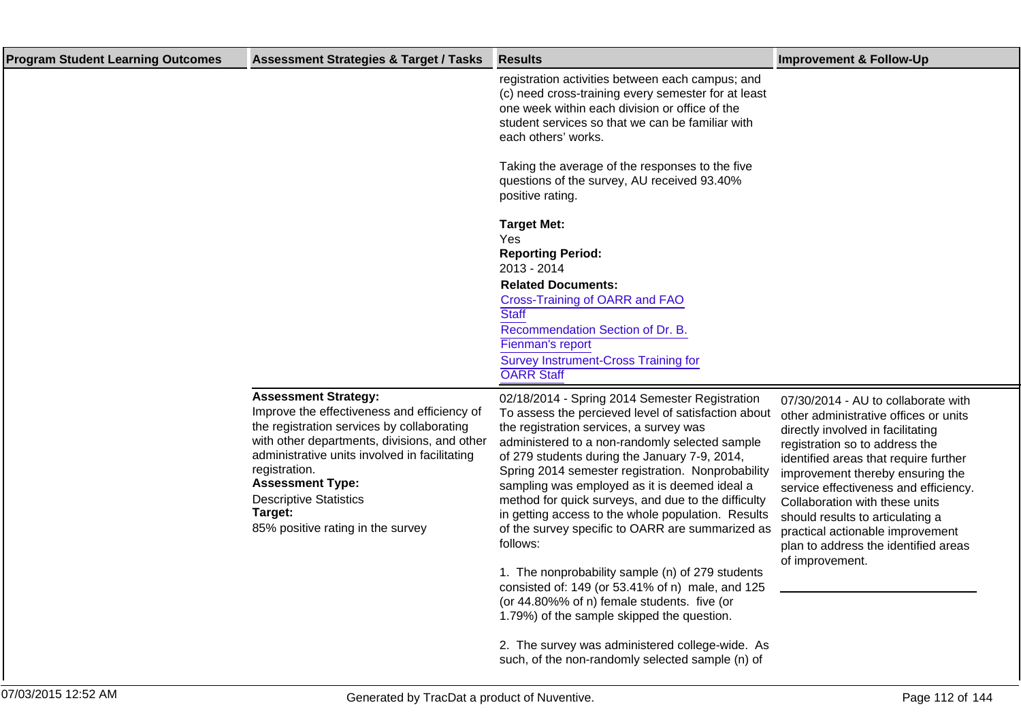| <b>Program Student Learning Outcomes</b> | <b>Assessment Strategies &amp; Target / Tasks</b>                                                                                                                                                                                                                                                                                                      | <b>Results</b>                                                                                                                                                                                                                                                                                                                                                                                                                                                                                                                                                                                                                                                                                                                                                                                                                                     | <b>Improvement &amp; Follow-Up</b>                                                                                                                                                                                                                                                                                                                                                                                                             |
|------------------------------------------|--------------------------------------------------------------------------------------------------------------------------------------------------------------------------------------------------------------------------------------------------------------------------------------------------------------------------------------------------------|----------------------------------------------------------------------------------------------------------------------------------------------------------------------------------------------------------------------------------------------------------------------------------------------------------------------------------------------------------------------------------------------------------------------------------------------------------------------------------------------------------------------------------------------------------------------------------------------------------------------------------------------------------------------------------------------------------------------------------------------------------------------------------------------------------------------------------------------------|------------------------------------------------------------------------------------------------------------------------------------------------------------------------------------------------------------------------------------------------------------------------------------------------------------------------------------------------------------------------------------------------------------------------------------------------|
|                                          |                                                                                                                                                                                                                                                                                                                                                        | registration activities between each campus; and<br>(c) need cross-training every semester for at least<br>one week within each division or office of the<br>student services so that we can be familiar with<br>each others' works.                                                                                                                                                                                                                                                                                                                                                                                                                                                                                                                                                                                                               |                                                                                                                                                                                                                                                                                                                                                                                                                                                |
|                                          |                                                                                                                                                                                                                                                                                                                                                        | Taking the average of the responses to the five<br>questions of the survey, AU received 93.40%<br>positive rating.                                                                                                                                                                                                                                                                                                                                                                                                                                                                                                                                                                                                                                                                                                                                 |                                                                                                                                                                                                                                                                                                                                                                                                                                                |
|                                          |                                                                                                                                                                                                                                                                                                                                                        | <b>Target Met:</b><br>Yes<br><b>Reporting Period:</b><br>2013 - 2014<br><b>Related Documents:</b><br>Cross-Training of OARR and FAO<br><b>Staff</b><br>Recommendation Section of Dr. B.<br>Fienman's report<br><b>Survey Instrument-Cross Training for</b><br><b>OARR Staff</b>                                                                                                                                                                                                                                                                                                                                                                                                                                                                                                                                                                    |                                                                                                                                                                                                                                                                                                                                                                                                                                                |
|                                          | <b>Assessment Strategy:</b><br>Improve the effectiveness and efficiency of<br>the registration services by collaborating<br>with other departments, divisions, and other<br>administrative units involved in facilitating<br>registration.<br><b>Assessment Type:</b><br><b>Descriptive Statistics</b><br>Target:<br>85% positive rating in the survey | 02/18/2014 - Spring 2014 Semester Registration<br>To assess the percieved level of satisfaction about<br>the registration services, a survey was<br>administered to a non-randomly selected sample<br>of 279 students during the January 7-9, 2014,<br>Spring 2014 semester registration. Nonprobability<br>sampling was employed as it is deemed ideal a<br>method for quick surveys, and due to the difficulty<br>in getting access to the whole population. Results<br>of the survey specific to OARR are summarized as<br>follows:<br>1. The nonprobability sample (n) of 279 students<br>consisted of: 149 (or 53.41% of n) male, and 125<br>(or 44.80%% of n) female students. five (or<br>1.79%) of the sample skipped the question.<br>2. The survey was administered college-wide. As<br>such, of the non-randomly selected sample (n) of | 07/30/2014 - AU to collaborate with<br>other administrative offices or units<br>directly involved in facilitating<br>registration so to address the<br>identified areas that require further<br>improvement thereby ensuring the<br>service effectiveness and efficiency.<br>Collaboration with these units<br>should results to articulating a<br>practical actionable improvement<br>plan to address the identified areas<br>of improvement. |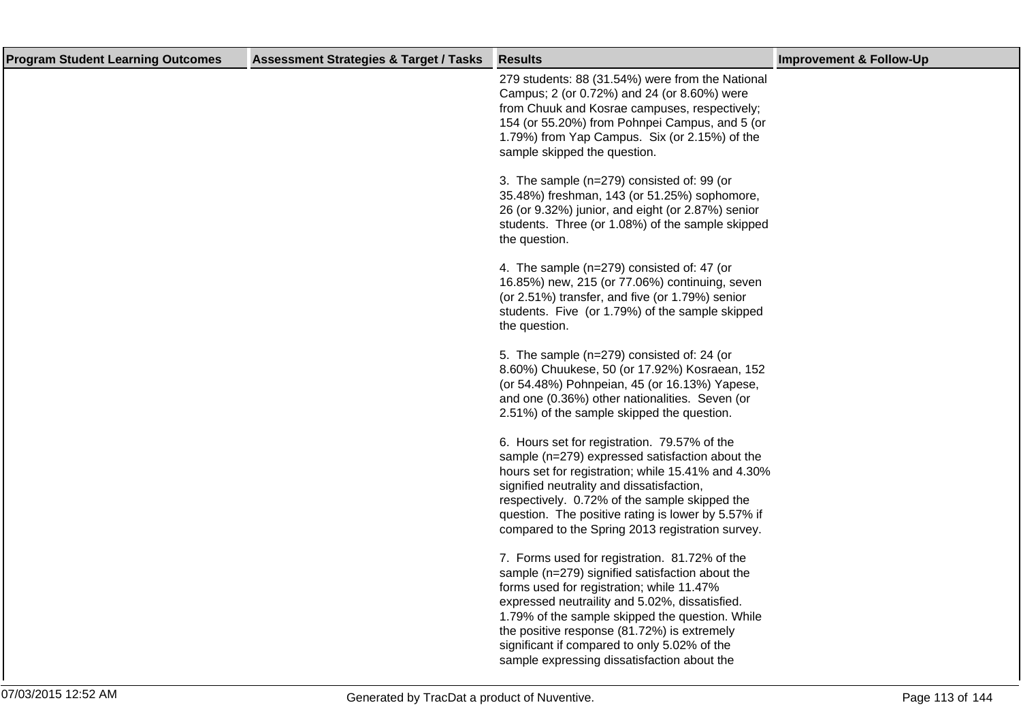| 279 students: 88 (31.54%) were from the National<br>Campus; 2 (or 0.72%) and 24 (or 8.60%) were<br>from Chuuk and Kosrae campuses, respectively;<br>154 (or 55.20%) from Pohnpei Campus, and 5 (or<br>1.79%) from Yap Campus. Six (or 2.15%) of the<br>sample skipped the question.<br>3. The sample (n=279) consisted of: 99 (or<br>35.48%) freshman, 143 (or 51.25%) sophomore,<br>26 (or 9.32%) junior, and eight (or 2.87%) senior<br>students. Three (or 1.08%) of the sample skipped<br>the question.<br>4. The sample (n=279) consisted of: 47 (or<br>16.85%) new, 215 (or 77.06%) continuing, seven<br>(or 2.51%) transfer, and five (or 1.79%) senior<br>students. Five (or 1.79%) of the sample skipped<br>the question.<br>5. The sample (n=279) consisted of: 24 (or<br>8.60%) Chuukese, 50 (or 17.92%) Kosraean, 152<br>(or 54.48%) Pohnpeian, 45 (or 16.13%) Yapese,<br>and one (0.36%) other nationalities. Seven (or<br>2.51%) of the sample skipped the question.<br>6. Hours set for registration. 79.57% of the<br>sample (n=279) expressed satisfaction about the<br>hours set for registration; while 15.41% and 4.30%<br>signified neutrality and dissatisfaction,<br>respectively. 0.72% of the sample skipped the<br>question. The positive rating is lower by 5.57% if<br>compared to the Spring 2013 registration survey.<br>7. Forms used for registration. 81.72% of the<br>sample (n=279) signified satisfaction about the<br>forms used for registration; while 11.47%<br>expressed neutraility and 5.02%, dissatisfied.<br>1.79% of the sample skipped the question. While<br>the positive response (81.72%) is extremely<br>significant if compared to only 5.02% of the<br>sample expressing dissatisfaction about the | <b>Program Student Learning Outcomes</b> | <b>Assessment Strategies &amp; Target / Tasks</b> | <b>Results</b> | <b>Improvement &amp; Follow-Up</b> |
|---------------------------------------------------------------------------------------------------------------------------------------------------------------------------------------------------------------------------------------------------------------------------------------------------------------------------------------------------------------------------------------------------------------------------------------------------------------------------------------------------------------------------------------------------------------------------------------------------------------------------------------------------------------------------------------------------------------------------------------------------------------------------------------------------------------------------------------------------------------------------------------------------------------------------------------------------------------------------------------------------------------------------------------------------------------------------------------------------------------------------------------------------------------------------------------------------------------------------------------------------------------------------------------------------------------------------------------------------------------------------------------------------------------------------------------------------------------------------------------------------------------------------------------------------------------------------------------------------------------------------------------------------------------------------------------------------------------------------------------------------------|------------------------------------------|---------------------------------------------------|----------------|------------------------------------|
|                                                                                                                                                                                                                                                                                                                                                                                                                                                                                                                                                                                                                                                                                                                                                                                                                                                                                                                                                                                                                                                                                                                                                                                                                                                                                                                                                                                                                                                                                                                                                                                                                                                                                                                                                         |                                          |                                                   |                |                                    |
|                                                                                                                                                                                                                                                                                                                                                                                                                                                                                                                                                                                                                                                                                                                                                                                                                                                                                                                                                                                                                                                                                                                                                                                                                                                                                                                                                                                                                                                                                                                                                                                                                                                                                                                                                         |                                          |                                                   |                |                                    |
|                                                                                                                                                                                                                                                                                                                                                                                                                                                                                                                                                                                                                                                                                                                                                                                                                                                                                                                                                                                                                                                                                                                                                                                                                                                                                                                                                                                                                                                                                                                                                                                                                                                                                                                                                         |                                          |                                                   |                |                                    |
|                                                                                                                                                                                                                                                                                                                                                                                                                                                                                                                                                                                                                                                                                                                                                                                                                                                                                                                                                                                                                                                                                                                                                                                                                                                                                                                                                                                                                                                                                                                                                                                                                                                                                                                                                         |                                          |                                                   |                |                                    |
|                                                                                                                                                                                                                                                                                                                                                                                                                                                                                                                                                                                                                                                                                                                                                                                                                                                                                                                                                                                                                                                                                                                                                                                                                                                                                                                                                                                                                                                                                                                                                                                                                                                                                                                                                         |                                          |                                                   |                |                                    |
|                                                                                                                                                                                                                                                                                                                                                                                                                                                                                                                                                                                                                                                                                                                                                                                                                                                                                                                                                                                                                                                                                                                                                                                                                                                                                                                                                                                                                                                                                                                                                                                                                                                                                                                                                         |                                          |                                                   |                |                                    |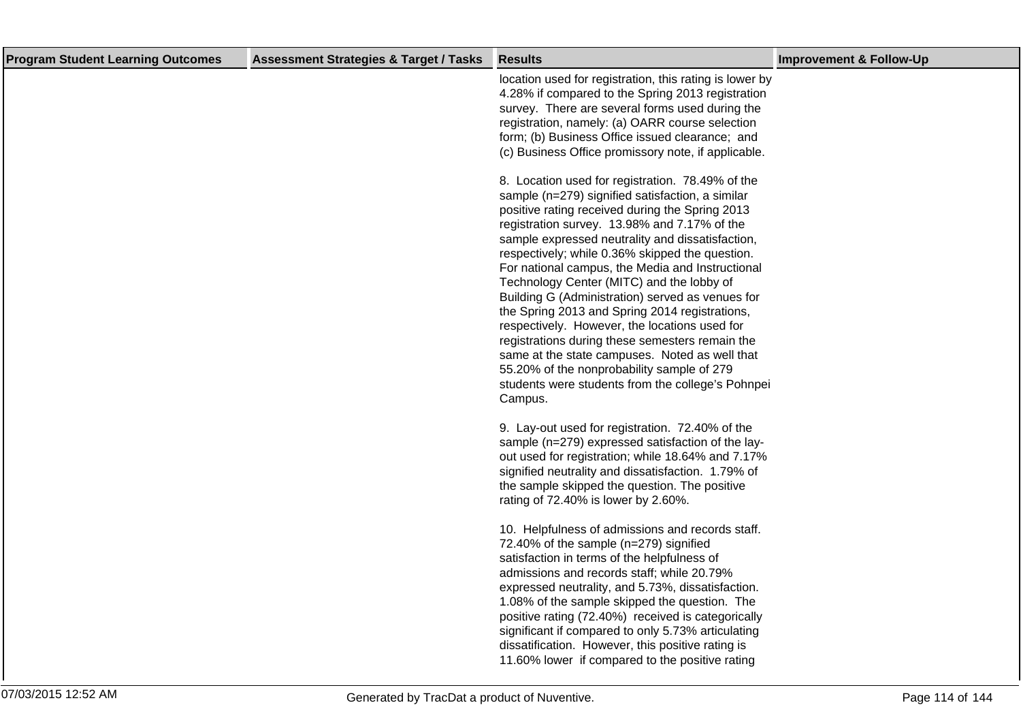| <b>Program Student Learning Outcomes</b> | <b>Assessment Strategies &amp; Target / Tasks</b> | <b>Results</b>                                                                                                                                                                                                                                                                                                                                                                                                                                                                                                                                                                                                                                                                                                                                                                            | <b>Improvement &amp; Follow-Up</b> |
|------------------------------------------|---------------------------------------------------|-------------------------------------------------------------------------------------------------------------------------------------------------------------------------------------------------------------------------------------------------------------------------------------------------------------------------------------------------------------------------------------------------------------------------------------------------------------------------------------------------------------------------------------------------------------------------------------------------------------------------------------------------------------------------------------------------------------------------------------------------------------------------------------------|------------------------------------|
|                                          |                                                   | location used for registration, this rating is lower by<br>4.28% if compared to the Spring 2013 registration<br>survey. There are several forms used during the<br>registration, namely: (a) OARR course selection<br>form; (b) Business Office issued clearance; and<br>(c) Business Office promissory note, if applicable.                                                                                                                                                                                                                                                                                                                                                                                                                                                              |                                    |
|                                          |                                                   | 8. Location used for registration. 78.49% of the<br>sample (n=279) signified satisfaction, a similar<br>positive rating received during the Spring 2013<br>registration survey. 13.98% and 7.17% of the<br>sample expressed neutrality and dissatisfaction,<br>respectively; while 0.36% skipped the question.<br>For national campus, the Media and Instructional<br>Technology Center (MITC) and the lobby of<br>Building G (Administration) served as venues for<br>the Spring 2013 and Spring 2014 registrations,<br>respectively. However, the locations used for<br>registrations during these semesters remain the<br>same at the state campuses. Noted as well that<br>55.20% of the nonprobability sample of 279<br>students were students from the college's Pohnpei<br>Campus. |                                    |
|                                          |                                                   | 9. Lay-out used for registration. 72.40% of the<br>sample (n=279) expressed satisfaction of the lay-<br>out used for registration; while 18.64% and 7.17%<br>signified neutrality and dissatisfaction. 1.79% of<br>the sample skipped the question. The positive<br>rating of 72.40% is lower by 2.60%.                                                                                                                                                                                                                                                                                                                                                                                                                                                                                   |                                    |
|                                          |                                                   | 10. Helpfulness of admissions and records staff.<br>72.40% of the sample (n=279) signified<br>satisfaction in terms of the helpfulness of<br>admissions and records staff; while 20.79%<br>expressed neutrality, and 5.73%, dissatisfaction.<br>1.08% of the sample skipped the question. The<br>positive rating (72.40%) received is categorically<br>significant if compared to only 5.73% articulating<br>dissatification. However, this positive rating is<br>11.60% lower if compared to the positive rating                                                                                                                                                                                                                                                                         |                                    |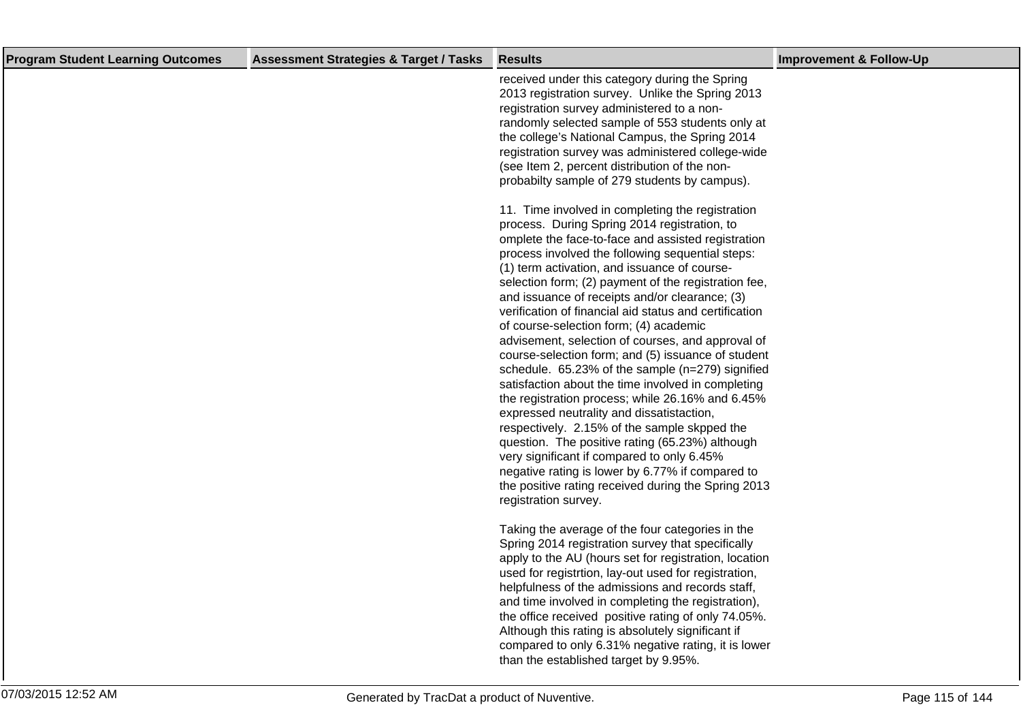| <b>Program Student Learning Outcomes</b> | <b>Assessment Strategies &amp; Target / Tasks</b> | <b>Results</b>                                                                                                                                                                                                                                                                                                                                                                                                                                                                                                                                                                                                                                                                                                                                                                                                                                                                                                                                                                                                                                                                     | <b>Improvement &amp; Follow-Up</b> |
|------------------------------------------|---------------------------------------------------|------------------------------------------------------------------------------------------------------------------------------------------------------------------------------------------------------------------------------------------------------------------------------------------------------------------------------------------------------------------------------------------------------------------------------------------------------------------------------------------------------------------------------------------------------------------------------------------------------------------------------------------------------------------------------------------------------------------------------------------------------------------------------------------------------------------------------------------------------------------------------------------------------------------------------------------------------------------------------------------------------------------------------------------------------------------------------------|------------------------------------|
|                                          |                                                   | received under this category during the Spring<br>2013 registration survey. Unlike the Spring 2013<br>registration survey administered to a non-<br>randomly selected sample of 553 students only at<br>the college's National Campus, the Spring 2014<br>registration survey was administered college-wide<br>(see Item 2, percent distribution of the non-<br>probabilty sample of 279 students by campus).                                                                                                                                                                                                                                                                                                                                                                                                                                                                                                                                                                                                                                                                      |                                    |
|                                          |                                                   | 11. Time involved in completing the registration<br>process. During Spring 2014 registration, to<br>omplete the face-to-face and assisted registration<br>process involved the following sequential steps:<br>(1) term activation, and issuance of course-<br>selection form; (2) payment of the registration fee,<br>and issuance of receipts and/or clearance; (3)<br>verification of financial aid status and certification<br>of course-selection form; (4) academic<br>advisement, selection of courses, and approval of<br>course-selection form; and (5) issuance of student<br>schedule. 65.23% of the sample (n=279) signified<br>satisfaction about the time involved in completing<br>the registration process; while 26.16% and 6.45%<br>expressed neutrality and dissatistaction,<br>respectively. 2.15% of the sample skpped the<br>question. The positive rating (65.23%) although<br>very significant if compared to only 6.45%<br>negative rating is lower by 6.77% if compared to<br>the positive rating received during the Spring 2013<br>registration survey. |                                    |
|                                          |                                                   | Taking the average of the four categories in the<br>Spring 2014 registration survey that specifically<br>apply to the AU (hours set for registration, location<br>used for registrtion, lay-out used for registration,<br>helpfulness of the admissions and records staff,<br>and time involved in completing the registration),<br>the office received positive rating of only 74.05%.<br>Although this rating is absolutely significant if<br>compared to only 6.31% negative rating, it is lower<br>than the established target by 9.95%.                                                                                                                                                                                                                                                                                                                                                                                                                                                                                                                                       |                                    |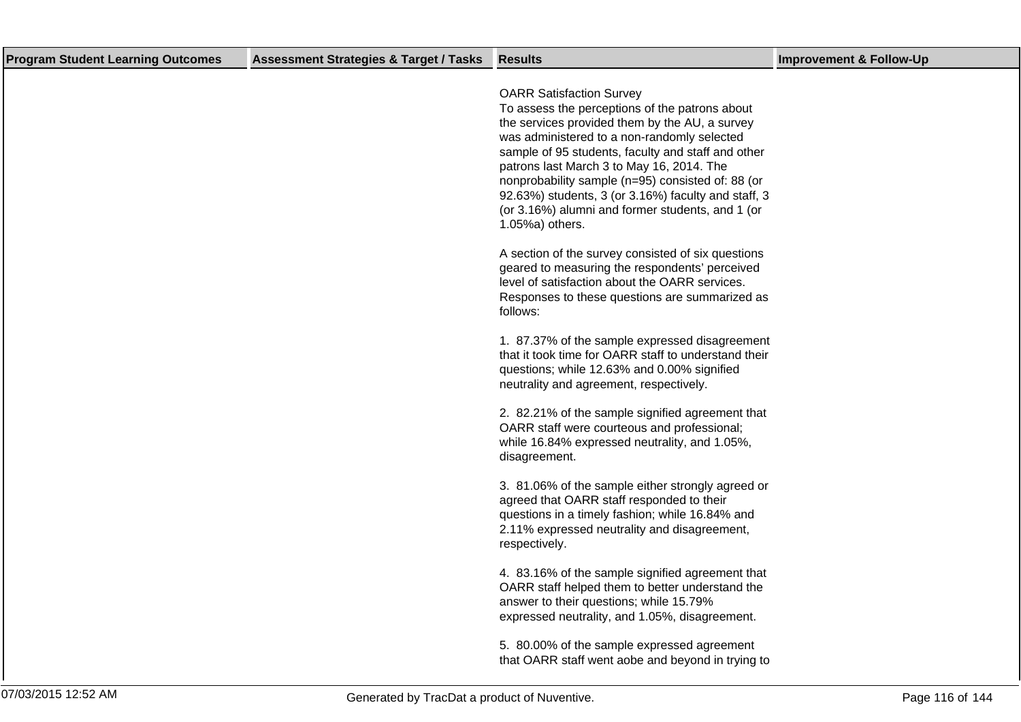| <b>Program Student Learning Outcomes</b> | <b>Assessment Strategies &amp; Target / Tasks</b> | <b>Results</b>                                                                                                                                                                                                                                                                                                                                                                                                                                                           | <b>Improvement &amp; Follow-Up</b> |
|------------------------------------------|---------------------------------------------------|--------------------------------------------------------------------------------------------------------------------------------------------------------------------------------------------------------------------------------------------------------------------------------------------------------------------------------------------------------------------------------------------------------------------------------------------------------------------------|------------------------------------|
|                                          |                                                   | <b>OARR Satisfaction Survey</b><br>To assess the perceptions of the patrons about<br>the services provided them by the AU, a survey<br>was administered to a non-randomly selected<br>sample of 95 students, faculty and staff and other<br>patrons last March 3 to May 16, 2014. The<br>nonprobability sample (n=95) consisted of: 88 (or<br>92.63%) students, 3 (or 3.16%) faculty and staff, 3<br>(or 3.16%) alumni and former students, and 1 (or<br>1.05%a) others. |                                    |
|                                          |                                                   | A section of the survey consisted of six questions<br>geared to measuring the respondents' perceived<br>level of satisfaction about the OARR services.<br>Responses to these questions are summarized as<br>follows:                                                                                                                                                                                                                                                     |                                    |
|                                          |                                                   | 1. 87.37% of the sample expressed disagreement<br>that it took time for OARR staff to understand their<br>questions; while 12.63% and 0.00% signified<br>neutrality and agreement, respectively.                                                                                                                                                                                                                                                                         |                                    |
|                                          |                                                   | 2. 82.21% of the sample signified agreement that<br>OARR staff were courteous and professional;<br>while 16.84% expressed neutrality, and 1.05%,<br>disagreement.                                                                                                                                                                                                                                                                                                        |                                    |
|                                          |                                                   | 3. 81.06% of the sample either strongly agreed or<br>agreed that OARR staff responded to their<br>questions in a timely fashion; while 16.84% and<br>2.11% expressed neutrality and disagreement,<br>respectively.                                                                                                                                                                                                                                                       |                                    |
|                                          |                                                   | 4. 83.16% of the sample signified agreement that<br>OARR staff helped them to better understand the<br>answer to their questions; while 15.79%<br>expressed neutrality, and 1.05%, disagreement.                                                                                                                                                                                                                                                                         |                                    |
|                                          |                                                   | 5. 80.00% of the sample expressed agreement<br>that OARR staff went aobe and beyond in trying to                                                                                                                                                                                                                                                                                                                                                                         |                                    |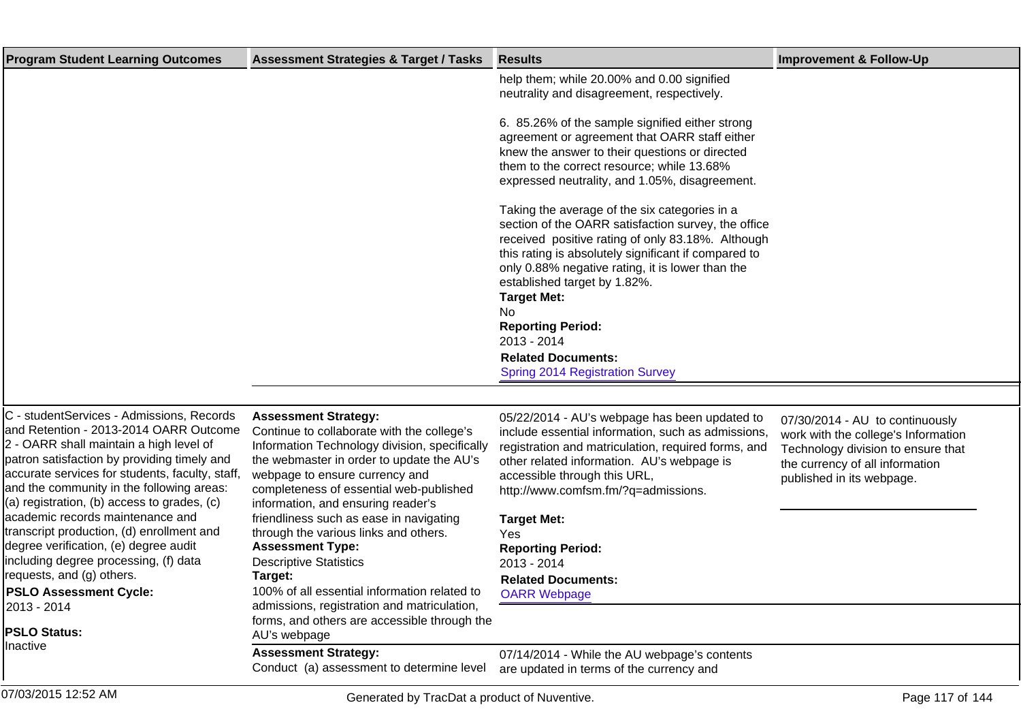| <b>Program Student Learning Outcomes</b> | <b>Assessment Strategies &amp; Target / Tasks</b> | <b>Results</b>                                                                                                                                                                                                                                                                                                                                                                | <b>Improvement &amp; Follow-Up</b> |
|------------------------------------------|---------------------------------------------------|-------------------------------------------------------------------------------------------------------------------------------------------------------------------------------------------------------------------------------------------------------------------------------------------------------------------------------------------------------------------------------|------------------------------------|
|                                          |                                                   | help them; while 20.00% and 0.00 signified<br>neutrality and disagreement, respectively.                                                                                                                                                                                                                                                                                      |                                    |
|                                          |                                                   | 6. 85.26% of the sample signified either strong<br>agreement or agreement that OARR staff either<br>knew the answer to their questions or directed<br>them to the correct resource; while 13.68%<br>expressed neutrality, and 1.05%, disagreement.                                                                                                                            |                                    |
|                                          |                                                   | Taking the average of the six categories in a<br>section of the OARR satisfaction survey, the office<br>received positive rating of only 83.18%. Although<br>this rating is absolutely significant if compared to<br>only 0.88% negative rating, it is lower than the<br>established target by 1.82%.<br><b>Target Met:</b><br>No.<br><b>Reporting Period:</b><br>2013 - 2014 |                                    |
|                                          |                                                   | <b>Related Documents:</b><br>Spring 2014 Registration Survey                                                                                                                                                                                                                                                                                                                  |                                    |

## C - studentServices - Admissions, Records and Retention - 2013-2014 OARR Outcome 2 - OARR shall maintain a high level of patron satisfaction by providing timely and accurate services for students, faculty, staff, and the community in the following areas:  $(a)$  registration, (b) access to grades, (c) academic records maintenance and transcript production, (d) enrollment and degree verification, (e) degree audit including degree processing, (f) data requests, and (g) others.

**PSLO Assessment Cycle:** 2013 - 2014

**PSLO Status:** Inactive

### **Assessment Strategy:**

Continue to collaborate with the college's Information Technology division, specifically the webmaster in order to update the AU's webpage to ensure currency and completeness of essential web-published information, and ensuring reader's friendliness such as ease in navigating through the various links and others. **Assessment Type:** Descriptive Statistics **Target:** 100% of all essential information related to admissions, registration and matriculation,

forms, and others are accessible through the AU's webpage

### **Assessment Strategy:**

Conduct (a) assessment to determine level

05/22/2014 - AU's webpage has been updated to include essential information, such as admissions, registration and matriculation, required forms, and other related information. AU's webpage is accessible through this URL, http://www.comfsm.fm/?q=admissions.

07/30/2014 - AU to continuously work with the college's Information Technology division to ensure that the currency of all information published in its webpage.

### **Target Met:** Yes **Reporting Period:** 2013 - 2014 **Related Documents:** [OARR Webpage](https://comfsm.tracdat.com:443/tracdat/viewDocument?y=TlL2tU8o8Qb9)

07/14/2014 - While the AU webpage's contents are updated in terms of the currency and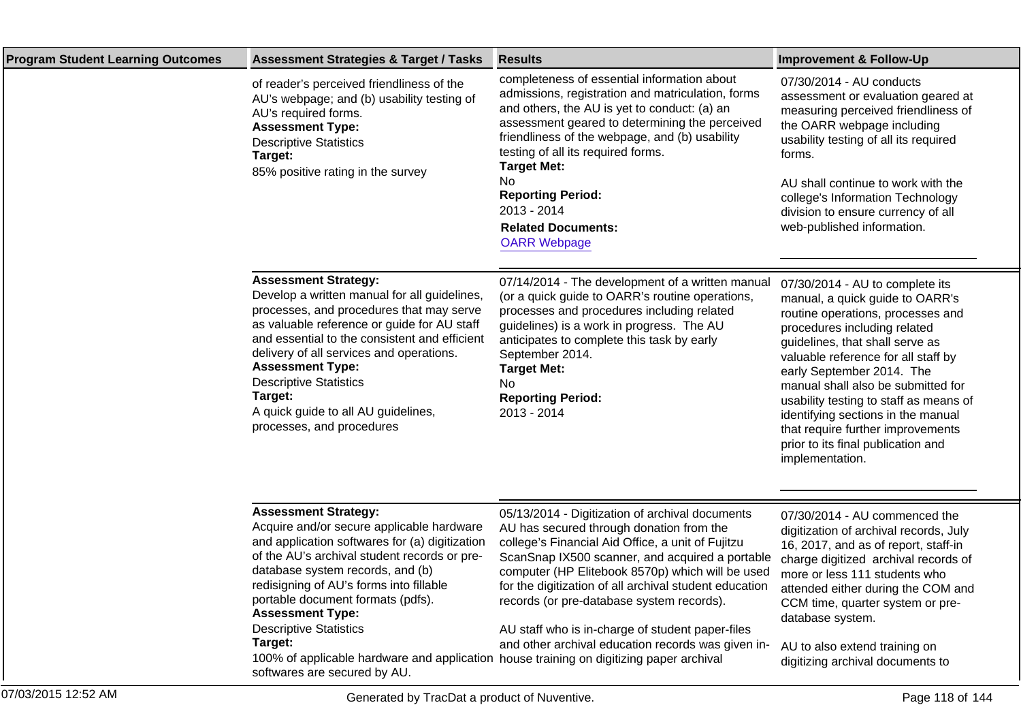| <b>Program Student Learning Outcomes</b> | <b>Assessment Strategies &amp; Target / Tasks</b>                                                                                                                                                                                                                                                                                                                                                              | <b>Results</b>                                                                                                                                                                                                                                                                                                                                                                                                                                                           | <b>Improvement &amp; Follow-Up</b>                                                                                                                                                                                                                                                                                                                                                                                                                                 |
|------------------------------------------|----------------------------------------------------------------------------------------------------------------------------------------------------------------------------------------------------------------------------------------------------------------------------------------------------------------------------------------------------------------------------------------------------------------|--------------------------------------------------------------------------------------------------------------------------------------------------------------------------------------------------------------------------------------------------------------------------------------------------------------------------------------------------------------------------------------------------------------------------------------------------------------------------|--------------------------------------------------------------------------------------------------------------------------------------------------------------------------------------------------------------------------------------------------------------------------------------------------------------------------------------------------------------------------------------------------------------------------------------------------------------------|
|                                          | of reader's perceived friendliness of the<br>AU's webpage; and (b) usability testing of<br>AU's required forms.<br><b>Assessment Type:</b><br><b>Descriptive Statistics</b><br>Target:<br>85% positive rating in the survey                                                                                                                                                                                    | completeness of essential information about<br>admissions, registration and matriculation, forms<br>and others, the AU is yet to conduct: (a) an<br>assessment geared to determining the perceived<br>friendliness of the webpage, and (b) usability<br>testing of all its required forms.<br><b>Target Met:</b><br>No<br><b>Reporting Period:</b><br>2013 - 2014<br><b>Related Documents:</b><br><b>OARR Webpage</b>                                                    | 07/30/2014 - AU conducts<br>assessment or evaluation geared at<br>measuring perceived friendliness of<br>the OARR webpage including<br>usability testing of all its required<br>forms.<br>AU shall continue to work with the<br>college's Information Technology<br>division to ensure currency of all<br>web-published information.                                                                                                                               |
|                                          | <b>Assessment Strategy:</b><br>Develop a written manual for all guidelines,<br>processes, and procedures that may serve<br>as valuable reference or guide for AU staff<br>and essential to the consistent and efficient<br>delivery of all services and operations.<br><b>Assessment Type:</b><br><b>Descriptive Statistics</b><br>Target:<br>A quick guide to all AU guidelines,<br>processes, and procedures | 07/14/2014 - The development of a written manual<br>(or a quick guide to OARR's routine operations,<br>processes and procedures including related<br>guidelines) is a work in progress. The AU<br>anticipates to complete this task by early<br>September 2014.<br><b>Target Met:</b><br>No<br><b>Reporting Period:</b><br>2013 - 2014                                                                                                                                   | 07/30/2014 - AU to complete its<br>manual, a quick guide to OARR's<br>routine operations, processes and<br>procedures including related<br>guidelines, that shall serve as<br>valuable reference for all staff by<br>early September 2014. The<br>manual shall also be submitted for<br>usability testing to staff as means of<br>identifying sections in the manual<br>that require further improvements<br>prior to its final publication and<br>implementation. |
|                                          | <b>Assessment Strategy:</b><br>Acquire and/or secure applicable hardware<br>and application softwares for (a) digitization<br>of the AU's archival student records or pre-<br>database system records, and (b)<br>redisigning of AU's forms into fillable<br>portable document formats (pdfs).<br><b>Assessment Type:</b><br><b>Descriptive Statistics</b><br>Target:                                          | 05/13/2014 - Digitization of archival documents<br>AU has secured through donation from the<br>college's Financial Aid Office, a unit of Fujitzu<br>ScanSnap IX500 scanner, and acquired a portable<br>computer (HP Elitebook 8570p) which will be used<br>for the digitization of all archival student education<br>records (or pre-database system records).<br>AU staff who is in-charge of student paper-files<br>and other archival education records was given in- | 07/30/2014 - AU commenced the<br>digitization of archival records, July<br>16, 2017, and as of report, staff-in<br>charge digitized archival records of<br>more or less 111 students who<br>attended either during the COM and<br>CCM time, quarter system or pre-<br>database system.<br>AU to also extend training on                                                                                                                                            |

100% of applicable hardware and application softwares are secured by AU. house training on digitizing paper archival

digitizing archival documents to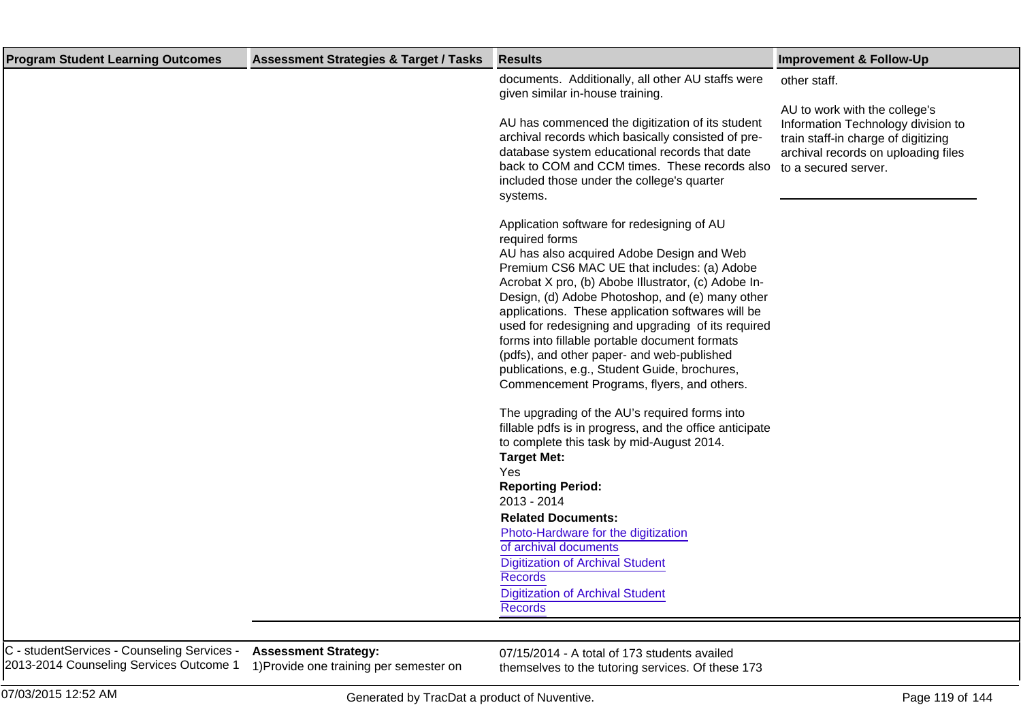| documents. Additionally, all other AU staffs were<br>other staff.<br>given similar in-house training.<br>AU to work with the college's<br>AU has commenced the digitization of its student<br>Information Technology division to<br>archival records which basically consisted of pre-<br>train staff-in charge of digitizing<br>database system educational records that date<br>archival records on uploading files<br>back to COM and CCM times. These records also<br>to a secured server.<br>included those under the college's quarter<br>systems.<br>Application software for redesigning of AU<br>required forms<br>AU has also acquired Adobe Design and Web<br>Premium CS6 MAC UE that includes: (a) Adobe<br>Acrobat X pro, (b) Abobe Illustrator, (c) Adobe In-<br>Design, (d) Adobe Photoshop, and (e) many other<br>applications. These application softwares will be<br>used for redesigning and upgrading of its required<br>forms into fillable portable document formats<br>(pdfs), and other paper- and web-published<br>publications, e.g., Student Guide, brochures,<br>Commencement Programs, flyers, and others.<br>The upgrading of the AU's required forms into<br>fillable pdfs is in progress, and the office anticipate<br>to complete this task by mid-August 2014.<br><b>Target Met:</b><br>Yes<br><b>Reporting Period:</b><br>2013 - 2014<br><b>Related Documents:</b><br>Photo-Hardware for the digitization<br>of archival documents<br><b>Digitization of Archival Student</b><br><b>Records</b><br><b>Digitization of Archival Student</b><br><b>Records</b> | <b>Program Student Learning Outcomes</b><br><b>Assessment Strategies &amp; Target / Tasks</b><br><b>Results</b> | <b>Improvement &amp; Follow-Up</b> |  |
|-------------------------------------------------------------------------------------------------------------------------------------------------------------------------------------------------------------------------------------------------------------------------------------------------------------------------------------------------------------------------------------------------------------------------------------------------------------------------------------------------------------------------------------------------------------------------------------------------------------------------------------------------------------------------------------------------------------------------------------------------------------------------------------------------------------------------------------------------------------------------------------------------------------------------------------------------------------------------------------------------------------------------------------------------------------------------------------------------------------------------------------------------------------------------------------------------------------------------------------------------------------------------------------------------------------------------------------------------------------------------------------------------------------------------------------------------------------------------------------------------------------------------------------------------------------------------------------------------|-----------------------------------------------------------------------------------------------------------------|------------------------------------|--|
|                                                                                                                                                                                                                                                                                                                                                                                                                                                                                                                                                                                                                                                                                                                                                                                                                                                                                                                                                                                                                                                                                                                                                                                                                                                                                                                                                                                                                                                                                                                                                                                                 |                                                                                                                 |                                    |  |

C - studentServices - Counseling Services - 2013-2014 Counseling Services Outcome 1

**Assessment Strategy:** 1) Provide one training per semester on

07/15/2014 - A total of 173 students availed themselves to the tutoring services. Of these 173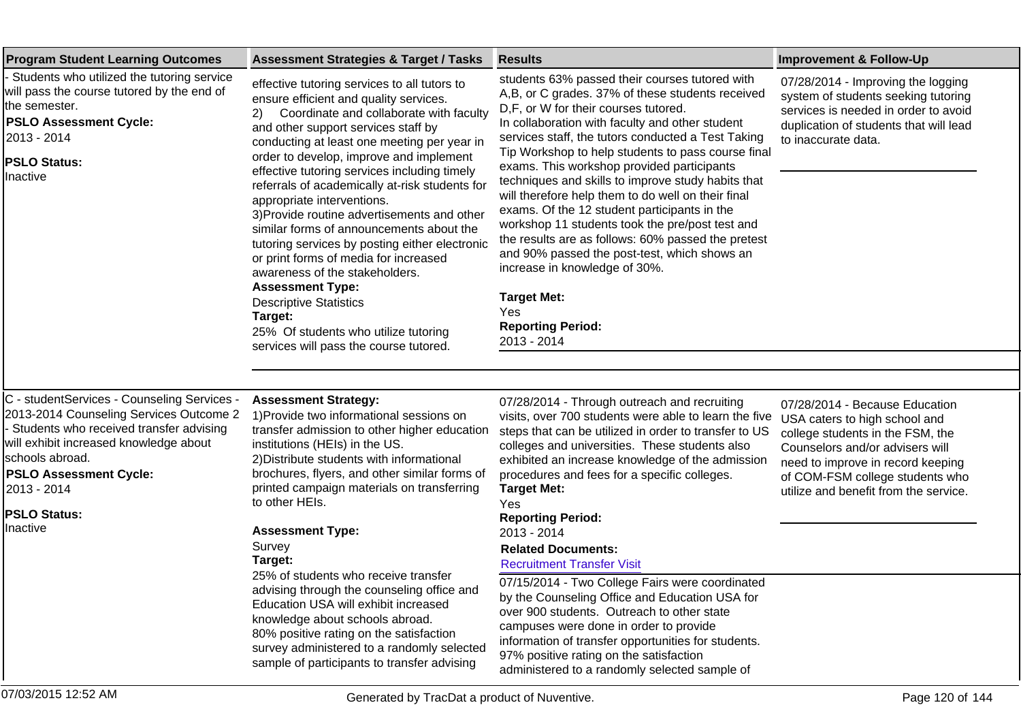| <b>Program Student Learning Outcomes</b>                                                                                                                                                                                                                                          | <b>Assessment Strategies &amp; Target / Tasks</b>                                                                                                                                                                                                                                                                                                                                                                                                                                                                                                                                                                                                                                                                                                                                          | <b>Results</b>                                                                                                                                                                                                                                                                                                                                                                                                                                                                                                                                                                                                                                                                                                                                                                                                 | <b>Improvement &amp; Follow-Up</b>                                                                                                                                                                                                                      |
|-----------------------------------------------------------------------------------------------------------------------------------------------------------------------------------------------------------------------------------------------------------------------------------|--------------------------------------------------------------------------------------------------------------------------------------------------------------------------------------------------------------------------------------------------------------------------------------------------------------------------------------------------------------------------------------------------------------------------------------------------------------------------------------------------------------------------------------------------------------------------------------------------------------------------------------------------------------------------------------------------------------------------------------------------------------------------------------------|----------------------------------------------------------------------------------------------------------------------------------------------------------------------------------------------------------------------------------------------------------------------------------------------------------------------------------------------------------------------------------------------------------------------------------------------------------------------------------------------------------------------------------------------------------------------------------------------------------------------------------------------------------------------------------------------------------------------------------------------------------------------------------------------------------------|---------------------------------------------------------------------------------------------------------------------------------------------------------------------------------------------------------------------------------------------------------|
| Students who utilized the tutoring service<br>will pass the course tutored by the end of<br>the semester.<br><b>PSLO Assessment Cycle:</b><br>2013 - 2014<br><b>PSLO Status:</b><br>Ilnactive                                                                                     | effective tutoring services to all tutors to<br>ensure efficient and quality services.<br>Coordinate and collaborate with faculty<br>2).<br>and other support services staff by<br>conducting at least one meeting per year in<br>order to develop, improve and implement<br>effective tutoring services including timely<br>referrals of academically at-risk students for<br>appropriate interventions.<br>3) Provide routine advertisements and other<br>similar forms of announcements about the<br>tutoring services by posting either electronic<br>or print forms of media for increased<br>awareness of the stakeholders.<br><b>Assessment Type:</b><br><b>Descriptive Statistics</b><br>Target:<br>25% Of students who utilize tutoring<br>services will pass the course tutored. | students 63% passed their courses tutored with<br>A,B, or C grades. 37% of these students received<br>D,F, or W for their courses tutored.<br>In collaboration with faculty and other student<br>services staff, the tutors conducted a Test Taking<br>Tip Workshop to help students to pass course final<br>exams. This workshop provided participants<br>techniques and skills to improve study habits that<br>will therefore help them to do well on their final<br>exams. Of the 12 student participants in the<br>workshop 11 students took the pre/post test and<br>the results are as follows: 60% passed the pretest<br>and 90% passed the post-test, which shows an<br>increase in knowledge of 30%.<br><b>Target Met:</b><br>Yes<br><b>Reporting Period:</b><br>2013 - 2014                          | 07/28/2014 - Improving the logging<br>system of students seeking tutoring<br>services is needed in order to avoid<br>duplication of students that will lead<br>to inaccurate data.                                                                      |
|                                                                                                                                                                                                                                                                                   |                                                                                                                                                                                                                                                                                                                                                                                                                                                                                                                                                                                                                                                                                                                                                                                            |                                                                                                                                                                                                                                                                                                                                                                                                                                                                                                                                                                                                                                                                                                                                                                                                                |                                                                                                                                                                                                                                                         |
| C - studentServices - Counseling Services -<br>2013-2014 Counseling Services Outcome 2<br>Students who received transfer advising<br>will exhibit increased knowledge about<br>schools abroad.<br><b>PSLO Assessment Cycle:</b><br>2013 - 2014<br><b>PSLO Status:</b><br>Inactive | <b>Assessment Strategy:</b><br>1) Provide two informational sessions on<br>transfer admission to other higher education<br>institutions (HEIs) in the US.<br>2) Distribute students with informational<br>brochures, flyers, and other similar forms of<br>printed campaign materials on transferring<br>to other HEIs.<br><b>Assessment Type:</b><br>Survey<br>Target:<br>25% of students who receive transfer<br>advising through the counseling office and<br>Education USA will exhibit increased<br>knowledge about schools abroad.<br>80% positive rating on the satisfaction<br>survey administered to a randomly selected<br>sample of participants to transfer advising                                                                                                           | 07/28/2014 - Through outreach and recruiting<br>visits, over 700 students were able to learn the five<br>steps that can be utilized in order to transfer to US<br>colleges and universities. These students also<br>exhibited an increase knowledge of the admission<br>procedures and fees for a specific colleges.<br><b>Target Met:</b><br>Yes<br><b>Reporting Period:</b><br>2013 - 2014<br><b>Related Documents:</b><br><b>Recruitment Transfer Visit</b><br>07/15/2014 - Two College Fairs were coordinated<br>by the Counseling Office and Education USA for<br>over 900 students. Outreach to other state<br>campuses were done in order to provide<br>information of transfer opportunities for students.<br>97% positive rating on the satisfaction<br>administered to a randomly selected sample of | 07/28/2014 - Because Education<br>USA caters to high school and<br>college students in the FSM, the<br>Counselors and/or advisers will<br>need to improve in record keeping<br>of COM-FSM college students who<br>utilize and benefit from the service. |
| 07/03/2015 12:52 AM                                                                                                                                                                                                                                                               | Generated by TracDat a product of Nuventive.                                                                                                                                                                                                                                                                                                                                                                                                                                                                                                                                                                                                                                                                                                                                               |                                                                                                                                                                                                                                                                                                                                                                                                                                                                                                                                                                                                                                                                                                                                                                                                                | Page 120 of 144                                                                                                                                                                                                                                         |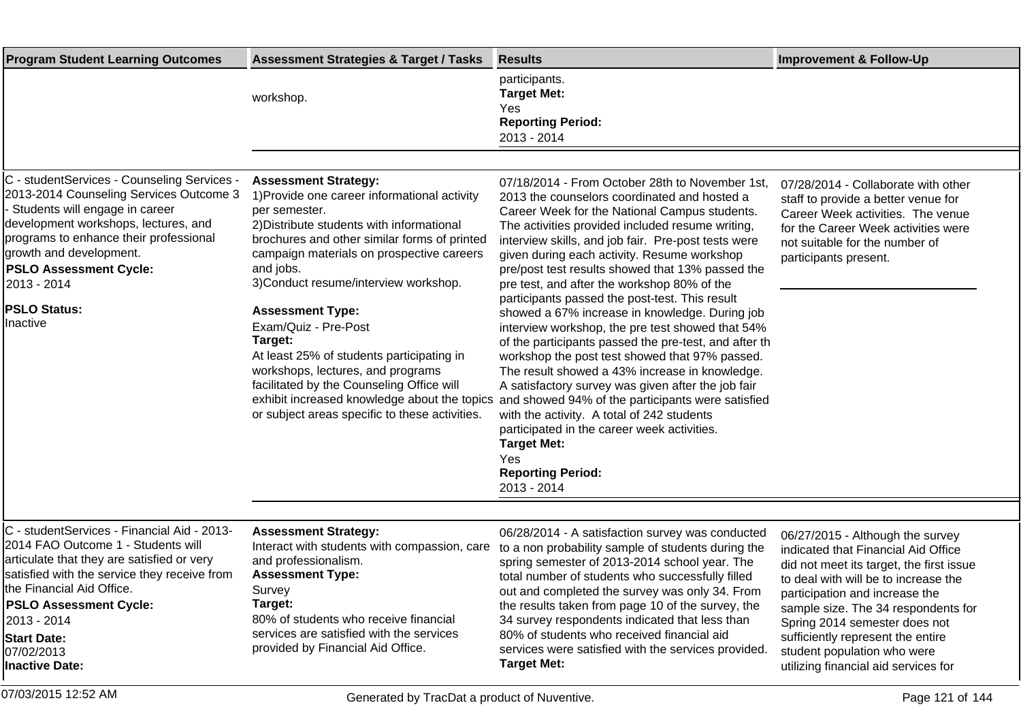| <b>Program Student Learning Outcomes</b>                                                                                                                                                                                                                                                                                  | <b>Assessment Strategies &amp; Target / Tasks</b>                                                                                                                                                                                                                                                                                                                                                                                                                                                                                                                                           | <b>Results</b>                                                                                                                                                                                                                                                                                                                                                                                                                                                                                                                                                                                                                                                                                                                                                                                                                                                                                                                                                                                                     | <b>Improvement &amp; Follow-Up</b>                                                                                                                                                                                                                                                                                                                                                |
|---------------------------------------------------------------------------------------------------------------------------------------------------------------------------------------------------------------------------------------------------------------------------------------------------------------------------|---------------------------------------------------------------------------------------------------------------------------------------------------------------------------------------------------------------------------------------------------------------------------------------------------------------------------------------------------------------------------------------------------------------------------------------------------------------------------------------------------------------------------------------------------------------------------------------------|--------------------------------------------------------------------------------------------------------------------------------------------------------------------------------------------------------------------------------------------------------------------------------------------------------------------------------------------------------------------------------------------------------------------------------------------------------------------------------------------------------------------------------------------------------------------------------------------------------------------------------------------------------------------------------------------------------------------------------------------------------------------------------------------------------------------------------------------------------------------------------------------------------------------------------------------------------------------------------------------------------------------|-----------------------------------------------------------------------------------------------------------------------------------------------------------------------------------------------------------------------------------------------------------------------------------------------------------------------------------------------------------------------------------|
|                                                                                                                                                                                                                                                                                                                           | workshop.                                                                                                                                                                                                                                                                                                                                                                                                                                                                                                                                                                                   | participants.<br><b>Target Met:</b><br>Yes<br><b>Reporting Period:</b><br>2013 - 2014                                                                                                                                                                                                                                                                                                                                                                                                                                                                                                                                                                                                                                                                                                                                                                                                                                                                                                                              |                                                                                                                                                                                                                                                                                                                                                                                   |
|                                                                                                                                                                                                                                                                                                                           |                                                                                                                                                                                                                                                                                                                                                                                                                                                                                                                                                                                             |                                                                                                                                                                                                                                                                                                                                                                                                                                                                                                                                                                                                                                                                                                                                                                                                                                                                                                                                                                                                                    |                                                                                                                                                                                                                                                                                                                                                                                   |
| C - studentServices - Counseling Services -<br>2013-2014 Counseling Services Outcome 3<br>Students will engage in career<br>development workshops, lectures, and<br>programs to enhance their professional<br>growth and development.<br><b>PSLO Assessment Cycle:</b><br>2013 - 2014<br><b>PSLO Status:</b><br>Inactive  | <b>Assessment Strategy:</b><br>1) Provide one career informational activity<br>per semester.<br>2) Distribute students with informational<br>brochures and other similar forms of printed<br>campaign materials on prospective careers<br>and jobs.<br>3) Conduct resume/interview workshop.<br><b>Assessment Type:</b><br>Exam/Quiz - Pre-Post<br>Target:<br>At least 25% of students participating in<br>workshops, lectures, and programs<br>facilitated by the Counseling Office will<br>exhibit increased knowledge about the topics<br>or subject areas specific to these activities. | 07/18/2014 - From October 28th to November 1st,<br>2013 the counselors coordinated and hosted a<br>Career Week for the National Campus students.<br>The activities provided included resume writing,<br>interview skills, and job fair. Pre-post tests were<br>given during each activity. Resume workshop<br>pre/post test results showed that 13% passed the<br>pre test, and after the workshop 80% of the<br>participants passed the post-test. This result<br>showed a 67% increase in knowledge. During job<br>interview workshop, the pre test showed that 54%<br>of the participants passed the pre-test, and after th<br>workshop the post test showed that 97% passed.<br>The result showed a 43% increase in knowledge.<br>A satisfactory survey was given after the job fair<br>and showed 94% of the participants were satisfied<br>with the activity. A total of 242 students<br>participated in the career week activities.<br><b>Target Met:</b><br>Yes<br><b>Reporting Period:</b><br>2013 - 2014 | 07/28/2014 - Collaborate with other<br>staff to provide a better venue for<br>Career Week activities. The venue<br>for the Career Week activities were<br>not suitable for the number of<br>participants present.                                                                                                                                                                 |
|                                                                                                                                                                                                                                                                                                                           |                                                                                                                                                                                                                                                                                                                                                                                                                                                                                                                                                                                             |                                                                                                                                                                                                                                                                                                                                                                                                                                                                                                                                                                                                                                                                                                                                                                                                                                                                                                                                                                                                                    |                                                                                                                                                                                                                                                                                                                                                                                   |
| C - studentServices - Financial Aid - 2013-<br>2014 FAO Outcome 1 - Students will<br>articulate that they are satisfied or very<br>satisfied with the service they receive from<br>the Financial Aid Office.<br><b>PSLO Assessment Cycle:</b><br>2013 - 2014<br><b>Start Date:</b><br>07/02/2013<br><b>Inactive Date:</b> | <b>Assessment Strategy:</b><br>Interact with students with compassion, care<br>and professionalism.<br><b>Assessment Type:</b><br>Survey<br>Target:<br>80% of students who receive financial<br>services are satisfied with the services<br>provided by Financial Aid Office.                                                                                                                                                                                                                                                                                                               | 06/28/2014 - A satisfaction survey was conducted<br>to a non probability sample of students during the<br>spring semester of 2013-2014 school year. The<br>total number of students who successfully filled<br>out and completed the survey was only 34. From<br>the results taken from page 10 of the survey, the<br>34 survey respondents indicated that less than<br>80% of students who received financial aid<br>services were satisfied with the services provided.<br><b>Target Met:</b>                                                                                                                                                                                                                                                                                                                                                                                                                                                                                                                    | 06/27/2015 - Although the survey<br>indicated that Financial Aid Office<br>did not meet its target, the first issue<br>to deal with will be to increase the<br>participation and increase the<br>sample size. The 34 respondents for<br>Spring 2014 semester does not<br>sufficiently represent the entire<br>student population who were<br>utilizing financial aid services for |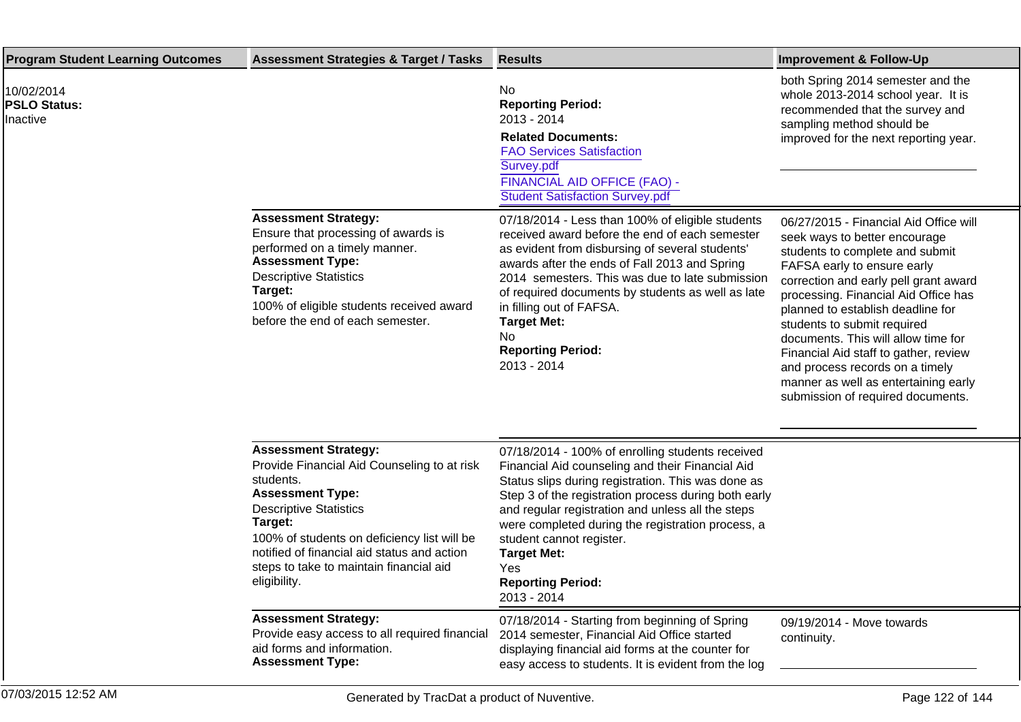| <b>Program Student Learning Outcomes</b>      | <b>Assessment Strategies &amp; Target / Tasks</b>                                                                                                                                                                                                                                                                       | <b>Results</b>                                                                                                                                                                                                                                                                                                                                                                                                                   | <b>Improvement &amp; Follow-Up</b>                                                                                                                                                                                                                                                                                                                                                                                                                                                             |
|-----------------------------------------------|-------------------------------------------------------------------------------------------------------------------------------------------------------------------------------------------------------------------------------------------------------------------------------------------------------------------------|----------------------------------------------------------------------------------------------------------------------------------------------------------------------------------------------------------------------------------------------------------------------------------------------------------------------------------------------------------------------------------------------------------------------------------|------------------------------------------------------------------------------------------------------------------------------------------------------------------------------------------------------------------------------------------------------------------------------------------------------------------------------------------------------------------------------------------------------------------------------------------------------------------------------------------------|
| 10/02/2014<br><b>PSLO Status:</b><br>Inactive |                                                                                                                                                                                                                                                                                                                         | No<br><b>Reporting Period:</b><br>2013 - 2014<br><b>Related Documents:</b><br><b>FAO Services Satisfaction</b><br>Survey.pdf<br>FINANCIAL AID OFFICE (FAO) -<br><b>Student Satisfaction Survey.pdf</b>                                                                                                                                                                                                                           | both Spring 2014 semester and the<br>whole 2013-2014 school year. It is<br>recommended that the survey and<br>sampling method should be<br>improved for the next reporting year.                                                                                                                                                                                                                                                                                                               |
|                                               | <b>Assessment Strategy:</b><br>Ensure that processing of awards is<br>performed on a timely manner.<br><b>Assessment Type:</b><br><b>Descriptive Statistics</b><br>Target:<br>100% of eligible students received award<br>before the end of each semester.                                                              | 07/18/2014 - Less than 100% of eligible students<br>received award before the end of each semester<br>as evident from disbursing of several students'<br>awards after the ends of Fall 2013 and Spring<br>2014 semesters. This was due to late submission<br>of required documents by students as well as late<br>in filling out of FAFSA.<br><b>Target Met:</b><br>No<br><b>Reporting Period:</b><br>2013 - 2014                | 06/27/2015 - Financial Aid Office will<br>seek ways to better encourage<br>students to complete and submit<br>FAFSA early to ensure early<br>correction and early pell grant award<br>processing. Financial Aid Office has<br>planned to establish deadline for<br>students to submit required<br>documents. This will allow time for<br>Financial Aid staff to gather, review<br>and process records on a timely<br>manner as well as entertaining early<br>submission of required documents. |
|                                               | <b>Assessment Strategy:</b><br>Provide Financial Aid Counseling to at risk<br>students.<br><b>Assessment Type:</b><br><b>Descriptive Statistics</b><br>Target:<br>100% of students on deficiency list will be<br>notified of financial aid status and action<br>steps to take to maintain financial aid<br>eligibility. | 07/18/2014 - 100% of enrolling students received<br>Financial Aid counseling and their Financial Aid<br>Status slips during registration. This was done as<br>Step 3 of the registration process during both early<br>and regular registration and unless all the steps<br>were completed during the registration process, a<br>student cannot register.<br><b>Target Met:</b><br>Yes<br><b>Reporting Period:</b><br>2013 - 2014 |                                                                                                                                                                                                                                                                                                                                                                                                                                                                                                |
|                                               | <b>Assessment Strategy:</b><br>Provide easy access to all required financial<br>aid forms and information.<br><b>Assessment Type:</b>                                                                                                                                                                                   | 07/18/2014 - Starting from beginning of Spring<br>2014 semester, Financial Aid Office started<br>displaying financial aid forms at the counter for<br>easy access to students. It is evident from the log                                                                                                                                                                                                                        | 09/19/2014 - Move towards<br>continuity.                                                                                                                                                                                                                                                                                                                                                                                                                                                       |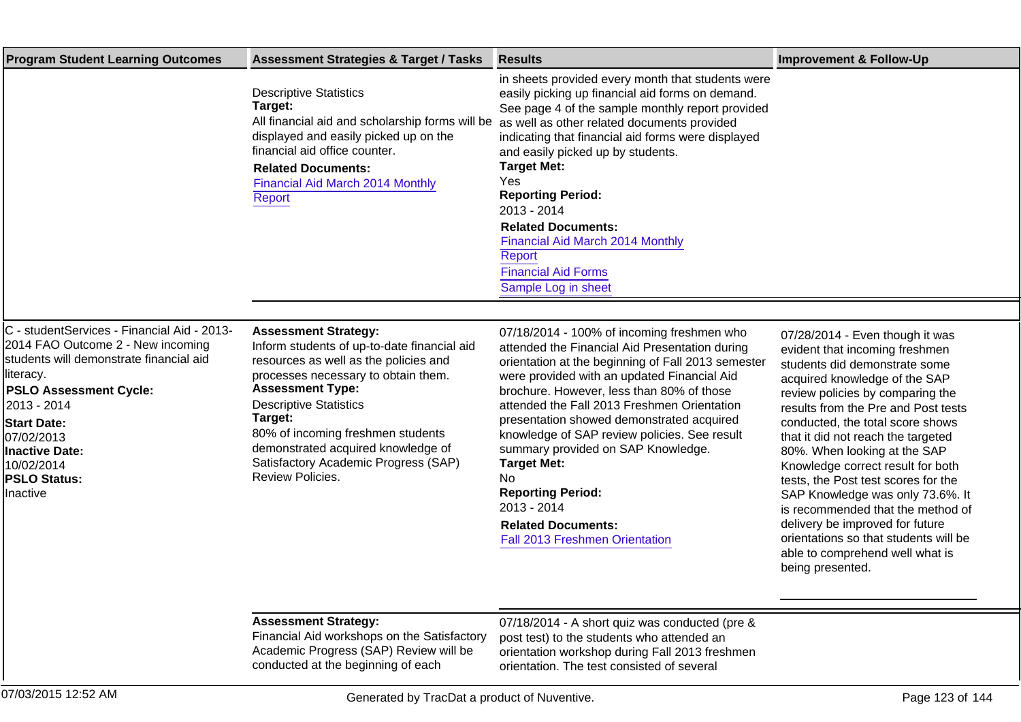| <b>Program Student Learning Outcomes</b>                                                                                                                                                                                                                                                          | <b>Assessment Strategies &amp; Target / Tasks</b>                                                                                                                                                                                                                                                                                                                        | <b>Results</b>                                                                                                                                                                                                                                                                                                                                                                                                                                                                                                                                                          | <b>Improvement &amp; Follow-Up</b>                                                                                                                                                                                                                                                                                                                                                                                                                                                                                                                                                                               |
|---------------------------------------------------------------------------------------------------------------------------------------------------------------------------------------------------------------------------------------------------------------------------------------------------|--------------------------------------------------------------------------------------------------------------------------------------------------------------------------------------------------------------------------------------------------------------------------------------------------------------------------------------------------------------------------|-------------------------------------------------------------------------------------------------------------------------------------------------------------------------------------------------------------------------------------------------------------------------------------------------------------------------------------------------------------------------------------------------------------------------------------------------------------------------------------------------------------------------------------------------------------------------|------------------------------------------------------------------------------------------------------------------------------------------------------------------------------------------------------------------------------------------------------------------------------------------------------------------------------------------------------------------------------------------------------------------------------------------------------------------------------------------------------------------------------------------------------------------------------------------------------------------|
|                                                                                                                                                                                                                                                                                                   | <b>Descriptive Statistics</b><br>Target:<br>All financial aid and scholarship forms will be<br>displayed and easily picked up on the<br>financial aid office counter.<br><b>Related Documents:</b><br>Financial Aid March 2014 Monthly<br>Report                                                                                                                         | in sheets provided every month that students were<br>easily picking up financial aid forms on demand.<br>See page 4 of the sample monthly report provided<br>as well as other related documents provided<br>indicating that financial aid forms were displayed<br>and easily picked up by students.<br><b>Target Met:</b><br>Yes<br><b>Reporting Period:</b><br>2013 - 2014<br><b>Related Documents:</b><br>Financial Aid March 2014 Monthly<br>Report<br><b>Financial Aid Forms</b><br>Sample Log in sheet                                                             |                                                                                                                                                                                                                                                                                                                                                                                                                                                                                                                                                                                                                  |
| C - studentServices - Financial Aid - 2013-<br>2014 FAO Outcome 2 - New incoming<br>Istudents will demonstrate financial aid<br>lliteracy.<br><b>PSLO Assessment Cycle:</b><br>2013 - 2014<br><b>Start Date:</b><br>07/02/2013<br>Inactive Date:<br>10/02/2014<br><b>PSLO Status:</b><br>Inactive | <b>Assessment Strategy:</b><br>Inform students of up-to-date financial aid<br>resources as well as the policies and<br>processes necessary to obtain them.<br><b>Assessment Type:</b><br><b>Descriptive Statistics</b><br>Target:<br>80% of incoming freshmen students<br>demonstrated acquired knowledge of<br>Satisfactory Academic Progress (SAP)<br>Review Policies. | 07/18/2014 - 100% of incoming freshmen who<br>attended the Financial Aid Presentation during<br>orientation at the beginning of Fall 2013 semester<br>were provided with an updated Financial Aid<br>brochure. However, less than 80% of those<br>attended the Fall 2013 Freshmen Orientation<br>presentation showed demonstrated acquired<br>knowledge of SAP review policies. See result<br>summary provided on SAP Knowledge.<br><b>Target Met:</b><br>No.<br><b>Reporting Period:</b><br>2013 - 2014<br><b>Related Documents:</b><br>Fall 2013 Freshmen Orientation | 07/28/2014 - Even though it was<br>evident that incoming freshmen<br>students did demonstrate some<br>acquired knowledge of the SAP<br>review policies by comparing the<br>results from the Pre and Post tests<br>conducted, the total score shows<br>that it did not reach the targeted<br>80%. When looking at the SAP<br>Knowledge correct result for both<br>tests, the Post test scores for the<br>SAP Knowledge was only 73.6%. It<br>is recommended that the method of<br>delivery be improved for future<br>orientations so that students will be<br>able to comprehend well what is<br>being presented. |
|                                                                                                                                                                                                                                                                                                   | <b>Assessment Strategy:</b><br>Financial Aid workshops on the Satisfactory<br>Academic Progress (SAP) Review will be<br>conducted at the beginning of each                                                                                                                                                                                                               | 07/18/2014 - A short quiz was conducted (pre &<br>post test) to the students who attended an<br>orientation workshop during Fall 2013 freshmen<br>orientation. The test consisted of several                                                                                                                                                                                                                                                                                                                                                                            |                                                                                                                                                                                                                                                                                                                                                                                                                                                                                                                                                                                                                  |
| 07/03/2015 12:52 AM                                                                                                                                                                                                                                                                               | Generated by TracDat a product of Nuventive.                                                                                                                                                                                                                                                                                                                             |                                                                                                                                                                                                                                                                                                                                                                                                                                                                                                                                                                         | Page 123 of 144                                                                                                                                                                                                                                                                                                                                                                                                                                                                                                                                                                                                  |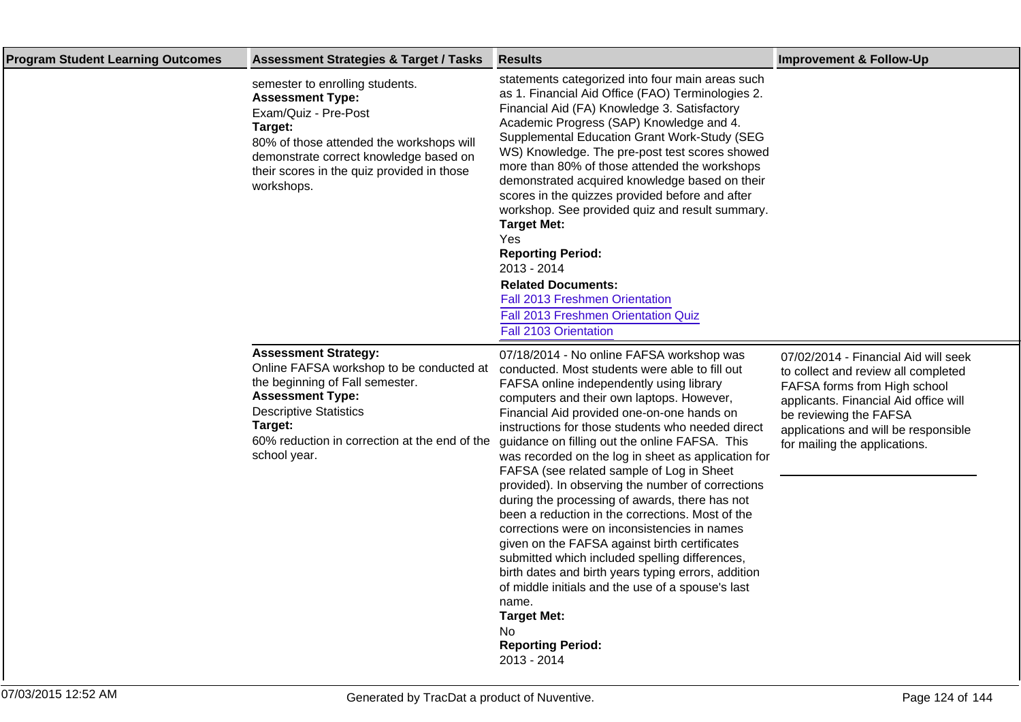| <b>Program Student Learning Outcomes</b> | <b>Assessment Strategies &amp; Target / Tasks</b>                                                                                                                                                                                                  | <b>Results</b>                                                                                                                                                                                                                                                                                                                                                                                                                                                                                                                                                                                                                                                                                                                                                                                                                                                                                                                                           | <b>Improvement &amp; Follow-Up</b>                                                                                                                                                                                                                      |
|------------------------------------------|----------------------------------------------------------------------------------------------------------------------------------------------------------------------------------------------------------------------------------------------------|----------------------------------------------------------------------------------------------------------------------------------------------------------------------------------------------------------------------------------------------------------------------------------------------------------------------------------------------------------------------------------------------------------------------------------------------------------------------------------------------------------------------------------------------------------------------------------------------------------------------------------------------------------------------------------------------------------------------------------------------------------------------------------------------------------------------------------------------------------------------------------------------------------------------------------------------------------|---------------------------------------------------------------------------------------------------------------------------------------------------------------------------------------------------------------------------------------------------------|
|                                          | semester to enrolling students.<br><b>Assessment Type:</b><br>Exam/Quiz - Pre-Post<br>Target:<br>80% of those attended the workshops will<br>demonstrate correct knowledge based on<br>their scores in the quiz provided in those<br>workshops.    | statements categorized into four main areas such<br>as 1. Financial Aid Office (FAO) Terminologies 2.<br>Financial Aid (FA) Knowledge 3. Satisfactory<br>Academic Progress (SAP) Knowledge and 4.<br>Supplemental Education Grant Work-Study (SEG<br>WS) Knowledge. The pre-post test scores showed<br>more than 80% of those attended the workshops<br>demonstrated acquired knowledge based on their<br>scores in the quizzes provided before and after<br>workshop. See provided quiz and result summary.<br><b>Target Met:</b><br>Yes<br><b>Reporting Period:</b><br>2013 - 2014<br><b>Related Documents:</b><br>Fall 2013 Freshmen Orientation<br>Fall 2013 Freshmen Orientation Quiz<br>Fall 2103 Orientation                                                                                                                                                                                                                                      |                                                                                                                                                                                                                                                         |
|                                          | <b>Assessment Strategy:</b><br>Online FAFSA workshop to be conducted at<br>the beginning of Fall semester.<br><b>Assessment Type:</b><br><b>Descriptive Statistics</b><br>Target:<br>60% reduction in correction at the end of the<br>school year. | 07/18/2014 - No online FAFSA workshop was<br>conducted. Most students were able to fill out<br>FAFSA online independently using library<br>computers and their own laptops. However,<br>Financial Aid provided one-on-one hands on<br>instructions for those students who needed direct<br>guidance on filling out the online FAFSA. This<br>was recorded on the log in sheet as application for<br>FAFSA (see related sample of Log in Sheet<br>provided). In observing the number of corrections<br>during the processing of awards, there has not<br>been a reduction in the corrections. Most of the<br>corrections were on inconsistencies in names<br>given on the FAFSA against birth certificates<br>submitted which included spelling differences,<br>birth dates and birth years typing errors, addition<br>of middle initials and the use of a spouse's last<br>name.<br><b>Target Met:</b><br>No.<br><b>Reporting Period:</b><br>2013 - 2014 | 07/02/2014 - Financial Aid will seek<br>to collect and review all completed<br>FAFSA forms from High school<br>applicants. Financial Aid office will<br>be reviewing the FAFSA<br>applications and will be responsible<br>for mailing the applications. |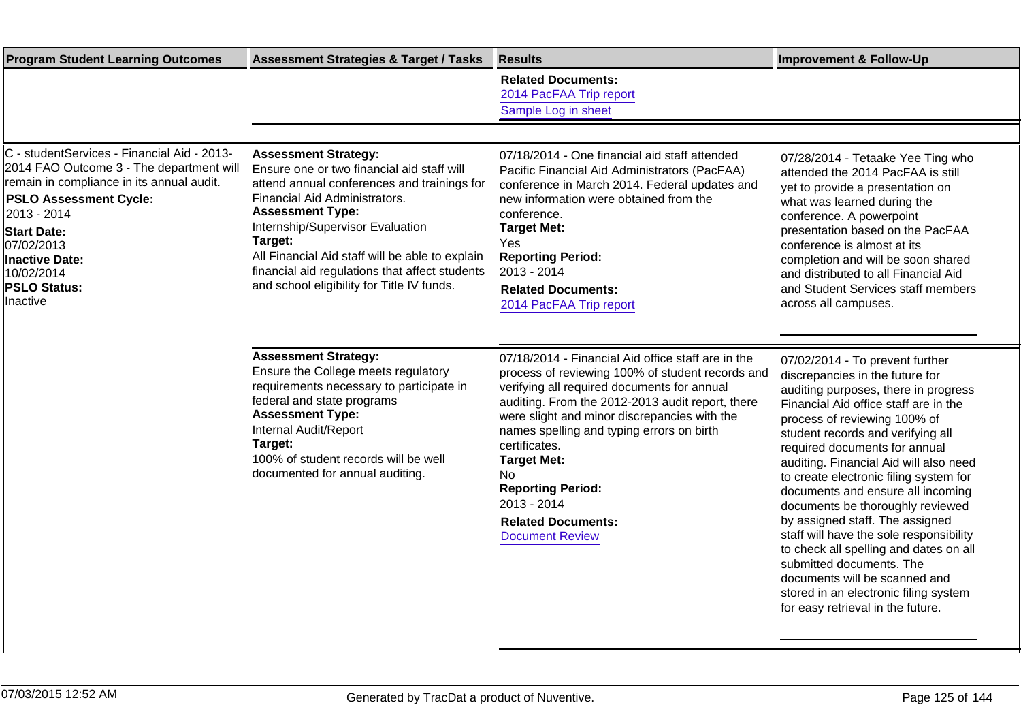| <b>Program Student Learning Outcomes</b>                                                                                                                                                                                                                                                           | <b>Assessment Strategies &amp; Target / Tasks</b>                                                                                                                                                                                                                                                                                                                                      | <b>Results</b>                                                                                                                                                                                                                                                                                                                                                                                                                                               | <b>Improvement &amp; Follow-Up</b>                                                                                                                                                                                                                                                                                                                                                                                                                                                                                                                                                                                                                                                        |
|----------------------------------------------------------------------------------------------------------------------------------------------------------------------------------------------------------------------------------------------------------------------------------------------------|----------------------------------------------------------------------------------------------------------------------------------------------------------------------------------------------------------------------------------------------------------------------------------------------------------------------------------------------------------------------------------------|--------------------------------------------------------------------------------------------------------------------------------------------------------------------------------------------------------------------------------------------------------------------------------------------------------------------------------------------------------------------------------------------------------------------------------------------------------------|-------------------------------------------------------------------------------------------------------------------------------------------------------------------------------------------------------------------------------------------------------------------------------------------------------------------------------------------------------------------------------------------------------------------------------------------------------------------------------------------------------------------------------------------------------------------------------------------------------------------------------------------------------------------------------------------|
|                                                                                                                                                                                                                                                                                                    |                                                                                                                                                                                                                                                                                                                                                                                        | <b>Related Documents:</b><br>2014 PacFAA Trip report<br>Sample Log in sheet                                                                                                                                                                                                                                                                                                                                                                                  |                                                                                                                                                                                                                                                                                                                                                                                                                                                                                                                                                                                                                                                                                           |
|                                                                                                                                                                                                                                                                                                    |                                                                                                                                                                                                                                                                                                                                                                                        |                                                                                                                                                                                                                                                                                                                                                                                                                                                              |                                                                                                                                                                                                                                                                                                                                                                                                                                                                                                                                                                                                                                                                                           |
| C - studentServices - Financial Aid - 2013-<br>2014 FAO Outcome 3 - The department will<br>remain in compliance in its annual audit.<br><b>PSLO Assessment Cycle:</b><br>2013 - 2014<br><b>Start Date:</b><br>07/02/2013<br><b>Inactive Date:</b><br>10/02/2014<br><b>PSLO Status:</b><br>Inactive | <b>Assessment Strategy:</b><br>Ensure one or two financial aid staff will<br>attend annual conferences and trainings for<br>Financial Aid Administrators.<br><b>Assessment Type:</b><br>Internship/Supervisor Evaluation<br>Target:<br>All Financial Aid staff will be able to explain<br>financial aid regulations that affect students<br>and school eligibility for Title IV funds. | 07/18/2014 - One financial aid staff attended<br>Pacific Financial Aid Administrators (PacFAA)<br>conference in March 2014. Federal updates and<br>new information were obtained from the<br>conference.<br><b>Target Met:</b><br>Yes<br><b>Reporting Period:</b><br>2013 - 2014<br><b>Related Documents:</b><br>2014 PacFAA Trip report                                                                                                                     | 07/28/2014 - Tetaake Yee Ting who<br>attended the 2014 PacFAA is still<br>yet to provide a presentation on<br>what was learned during the<br>conference. A powerpoint<br>presentation based on the PacFAA<br>conference is almost at its<br>completion and will be soon shared<br>and distributed to all Financial Aid<br>and Student Services staff members<br>across all campuses.                                                                                                                                                                                                                                                                                                      |
|                                                                                                                                                                                                                                                                                                    | <b>Assessment Strategy:</b><br>Ensure the College meets regulatory<br>requirements necessary to participate in<br>federal and state programs<br><b>Assessment Type:</b><br>Internal Audit/Report<br>Target:<br>100% of student records will be well<br>documented for annual auditing.                                                                                                 | 07/18/2014 - Financial Aid office staff are in the<br>process of reviewing 100% of student records and<br>verifying all required documents for annual<br>auditing. From the 2012-2013 audit report, there<br>were slight and minor discrepancies with the<br>names spelling and typing errors on birth<br>certificates.<br><b>Target Met:</b><br><b>No</b><br><b>Reporting Period:</b><br>2013 - 2014<br><b>Related Documents:</b><br><b>Document Review</b> | 07/02/2014 - To prevent further<br>discrepancies in the future for<br>auditing purposes, there in progress<br>Financial Aid office staff are in the<br>process of reviewing 100% of<br>student records and verifying all<br>required documents for annual<br>auditing. Financial Aid will also need<br>to create electronic filing system for<br>documents and ensure all incoming<br>documents be thoroughly reviewed<br>by assigned staff. The assigned<br>staff will have the sole responsibility<br>to check all spelling and dates on all<br>submitted documents. The<br>documents will be scanned and<br>stored in an electronic filing system<br>for easy retrieval in the future. |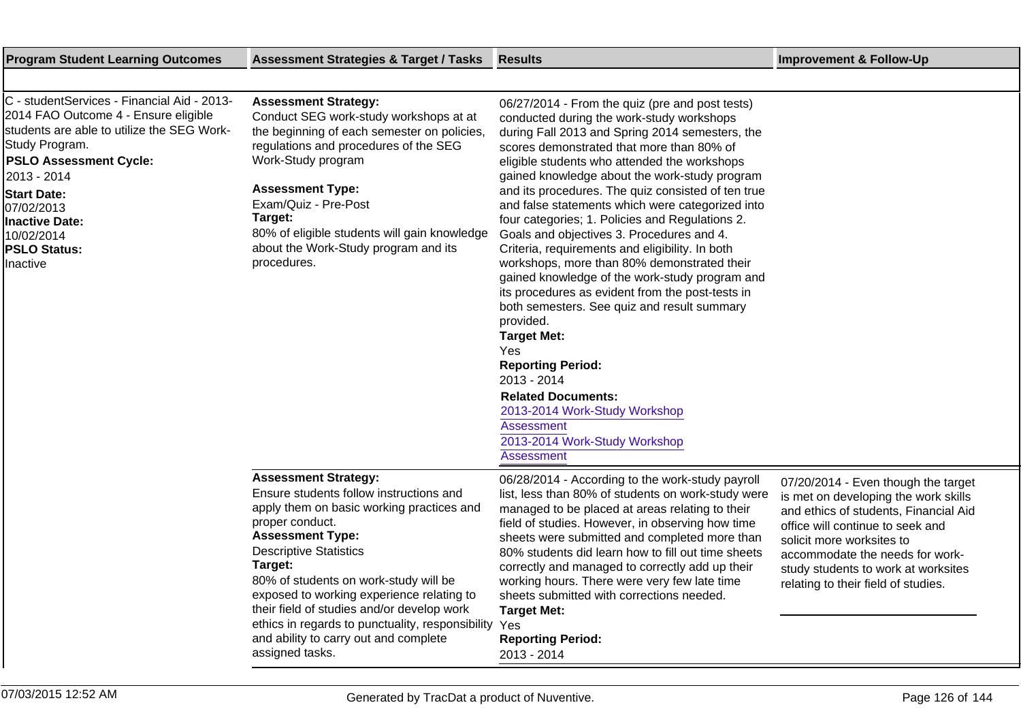| <b>Program Student Learning Outcomes</b>                                                                                                                                                                                                                                                                   | <b>Assessment Strategies &amp; Target / Tasks</b>                                                                                                                                                                                                                                                                                                                                                                                                                 | <b>Results</b>                                                                                                                                                                                                                                                                                                                                                                                                                                                                                                                                                                                                                                                                                                                                                                                                                                                                                                                                                                               | <b>Improvement &amp; Follow-Up</b>                                                                                                                                                                                                                                                                     |
|------------------------------------------------------------------------------------------------------------------------------------------------------------------------------------------------------------------------------------------------------------------------------------------------------------|-------------------------------------------------------------------------------------------------------------------------------------------------------------------------------------------------------------------------------------------------------------------------------------------------------------------------------------------------------------------------------------------------------------------------------------------------------------------|----------------------------------------------------------------------------------------------------------------------------------------------------------------------------------------------------------------------------------------------------------------------------------------------------------------------------------------------------------------------------------------------------------------------------------------------------------------------------------------------------------------------------------------------------------------------------------------------------------------------------------------------------------------------------------------------------------------------------------------------------------------------------------------------------------------------------------------------------------------------------------------------------------------------------------------------------------------------------------------------|--------------------------------------------------------------------------------------------------------------------------------------------------------------------------------------------------------------------------------------------------------------------------------------------------------|
|                                                                                                                                                                                                                                                                                                            |                                                                                                                                                                                                                                                                                                                                                                                                                                                                   |                                                                                                                                                                                                                                                                                                                                                                                                                                                                                                                                                                                                                                                                                                                                                                                                                                                                                                                                                                                              |                                                                                                                                                                                                                                                                                                        |
| C - studentServices - Financial Aid - 2013-<br>2014 FAO Outcome 4 - Ensure eligible<br>students are able to utilize the SEG Work-<br>Study Program.<br><b>PSLO Assessment Cycle:</b><br>2013 - 2014<br><b>Start Date:</b><br>07/02/2013<br>Inactive Date:<br>10/02/2014<br><b>PSLO Status:</b><br>Inactive | <b>Assessment Strategy:</b><br>Conduct SEG work-study workshops at at<br>the beginning of each semester on policies,<br>regulations and procedures of the SEG<br>Work-Study program<br><b>Assessment Type:</b><br>Exam/Quiz - Pre-Post<br>Target:<br>80% of eligible students will gain knowledge<br>about the Work-Study program and its<br>procedures.                                                                                                          | 06/27/2014 - From the quiz (pre and post tests)<br>conducted during the work-study workshops<br>during Fall 2013 and Spring 2014 semesters, the<br>scores demonstrated that more than 80% of<br>eligible students who attended the workshops<br>gained knowledge about the work-study program<br>and its procedures. The quiz consisted of ten true<br>and false statements which were categorized into<br>four categories; 1. Policies and Regulations 2.<br>Goals and objectives 3. Procedures and 4.<br>Criteria, requirements and eligibility. In both<br>workshops, more than 80% demonstrated their<br>gained knowledge of the work-study program and<br>its procedures as evident from the post-tests in<br>both semesters. See quiz and result summary<br>provided.<br><b>Target Met:</b><br>Yes<br><b>Reporting Period:</b><br>2013 - 2014<br><b>Related Documents:</b><br>2013-2014 Work-Study Workshop<br><b>Assessment</b><br>2013-2014 Work-Study Workshop<br><b>Assessment</b> |                                                                                                                                                                                                                                                                                                        |
|                                                                                                                                                                                                                                                                                                            | <b>Assessment Strategy:</b><br>Ensure students follow instructions and<br>apply them on basic working practices and<br>proper conduct.<br><b>Assessment Type:</b><br><b>Descriptive Statistics</b><br>Target:<br>80% of students on work-study will be<br>exposed to working experience relating to<br>their field of studies and/or develop work<br>ethics in regards to punctuality, responsibility<br>and ability to carry out and complete<br>assigned tasks. | 06/28/2014 - According to the work-study payroll<br>list, less than 80% of students on work-study were<br>managed to be placed at areas relating to their<br>field of studies. However, in observing how time<br>sheets were submitted and completed more than<br>80% students did learn how to fill out time sheets<br>correctly and managed to correctly add up their<br>working hours. There were very few late time<br>sheets submitted with corrections needed.<br><b>Target Met:</b><br>Yes<br><b>Reporting Period:</b><br>2013 - 2014                                                                                                                                                                                                                                                                                                                                                                                                                                                 | 07/20/2014 - Even though the target<br>is met on developing the work skills<br>and ethics of students, Financial Aid<br>office will continue to seek and<br>solicit more worksites to<br>accommodate the needs for work-<br>study students to work at worksites<br>relating to their field of studies. |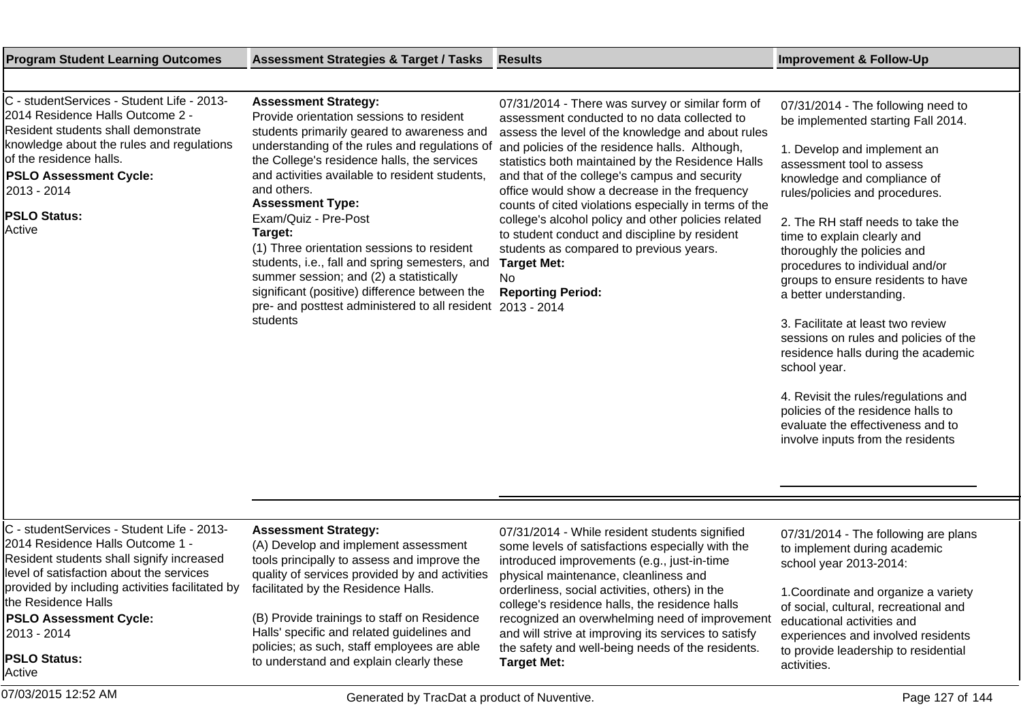**Target Met:**

# No **Reporting Period:** 2013 - 2014

**Target Met:**

and that of the college's campus and security office would show a decrease in the frequency counts of cited violations especially in terms of the college's alcohol policy and other policies related to student conduct and discipline by resident students as compared to previous years.

physical maintenance, cleanliness and orderliness, social activities, others) in the college's residence halls, the residence halls recognized an overwhelming need of improvement and will strive at improving its services to satisfy the safety and well-being needs of the residents.

### **Program Student Learning Outcomes Assessment Strategies & Target / Tasks Results Improvement & Follow-Up**

and others.

**Target:**

students

**Assessment Type:** Exam/Quiz - Pre-Post

**Assessment Strategy:**

(A) Develop and implement assessment tools principally to assess and improve the quality of services provided by and activities

(B) Provide trainings to staff on Residence Halls' specific and related guidelines and policies; as such, staff employees are able to understand and explain clearly these

facilitated by the Residence Halls.

**Assessment Strategy:**

Provide orientation sessions to resident students primarily geared to awareness and understanding of the rules and regulations of the College's residence halls, the services and activities available to resident students,

(1) Three orientation sessions to resident students, i.e., fall and spring semesters, and summer session; and (2) a statistically significant (positive) difference between the pre- and posttest administered to all resident

C - studentServices - Student Life - 2013- 2014 Residence Halls Outcome 2 - Resident students shall demonstrate knowledge about the rules and regulations of the residence halls.

C - studentServices - Student Life - 2013- 2014 Residence Halls Outcome 1 - Resident students shall signify increased level of satisfaction about the services provided by including activities facilitated by

the Residence Halls

2013 - 2014

**PSLO Status:**

**PSLO Assessment Cycle:**

### **PSLO Assessment Cycle:**

2013 - 2014

**PSLO Status:** Active

07/31/2014 - There was survey or similar form of assessment conducted to no data collected to assess the level of the knowledge and about rules and policies of the residence halls. Although, statistics both maintained by the Residence Halls 07/31/2014 - The following need to be implemented starting Fall 2014. 1. Develop and implement an

assessment tool to assess knowledge and compliance of rules/policies and procedures.

2. The RH staff needs to take the time to explain clearly and thoroughly the policies and procedures to individual and/or groups to ensure residents to have a better understanding.

3. Facilitate at least two review sessions on rules and policies of the residence halls during the academic school year.

4. Revisit the rules/regulations and policies of the residence halls to evaluate the effectiveness and to involve inputs from the residents

### 07/31/2014 - While resident students signified some levels of satisfactions especially with the introduced improvements (e.g., just-in-time 07/31/2014 - The following are plans to implement during academic school year 2013-2014:

1.Coordinate and organize a variety of social, cultural, recreational and educational activities and experiences and involved residents to provide leadership to residential activities.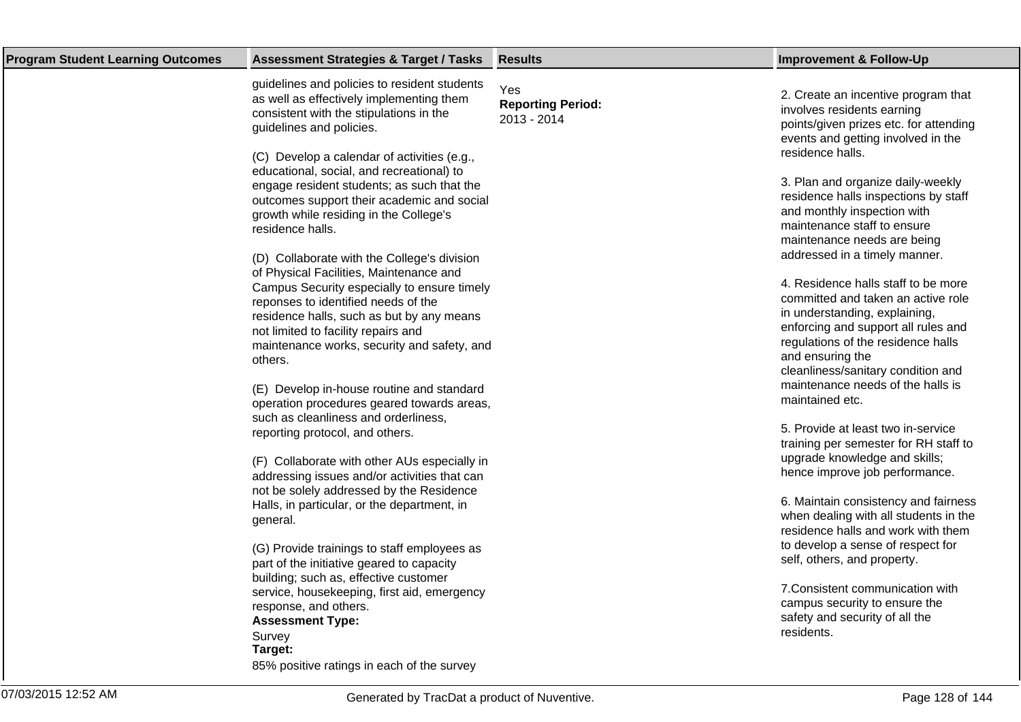| <b>Program Student Learning Outcomes</b> | <b>Assessment Strategies &amp; Target / Tasks</b>                                                                                                                                                                                                                                                                                                                                                                                                                                                                                                                                                                                                                                                                                                                                                                                                                                                                                                                                                                                                                                                                                                                                                                                                                                                                                                                                                                                           | <b>Results</b>                                 | <b>Improvement &amp; Follow-Up</b>                                                                                                                                                                                                                                                                                                                                                                                                                                                                                                                                                                                                                                                                                                                                                                                                                                                                                                                                                                                                                                                                                                                              |
|------------------------------------------|---------------------------------------------------------------------------------------------------------------------------------------------------------------------------------------------------------------------------------------------------------------------------------------------------------------------------------------------------------------------------------------------------------------------------------------------------------------------------------------------------------------------------------------------------------------------------------------------------------------------------------------------------------------------------------------------------------------------------------------------------------------------------------------------------------------------------------------------------------------------------------------------------------------------------------------------------------------------------------------------------------------------------------------------------------------------------------------------------------------------------------------------------------------------------------------------------------------------------------------------------------------------------------------------------------------------------------------------------------------------------------------------------------------------------------------------|------------------------------------------------|-----------------------------------------------------------------------------------------------------------------------------------------------------------------------------------------------------------------------------------------------------------------------------------------------------------------------------------------------------------------------------------------------------------------------------------------------------------------------------------------------------------------------------------------------------------------------------------------------------------------------------------------------------------------------------------------------------------------------------------------------------------------------------------------------------------------------------------------------------------------------------------------------------------------------------------------------------------------------------------------------------------------------------------------------------------------------------------------------------------------------------------------------------------------|
|                                          | guidelines and policies to resident students<br>as well as effectively implementing them<br>consistent with the stipulations in the<br>guidelines and policies.<br>(C) Develop a calendar of activities (e.g.,<br>educational, social, and recreational) to<br>engage resident students; as such that the<br>outcomes support their academic and social<br>growth while residing in the College's<br>residence halls.<br>(D) Collaborate with the College's division<br>of Physical Facilities, Maintenance and<br>Campus Security especially to ensure timely<br>reponses to identified needs of the<br>residence halls, such as but by any means<br>not limited to facility repairs and<br>maintenance works, security and safety, and<br>others.<br>(E) Develop in-house routine and standard<br>operation procedures geared towards areas,<br>such as cleanliness and orderliness,<br>reporting protocol, and others.<br>(F) Collaborate with other AUs especially in<br>addressing issues and/or activities that can<br>not be solely addressed by the Residence<br>Halls, in particular, or the department, in<br>general.<br>(G) Provide trainings to staff employees as<br>part of the initiative geared to capacity<br>building; such as, effective customer<br>service, housekeeping, first aid, emergency<br>response, and others.<br><b>Assessment Type:</b><br>Survey<br>Target:<br>85% positive ratings in each of the survey | Yes<br><b>Reporting Period:</b><br>2013 - 2014 | 2. Create an incentive program that<br>involves residents earning<br>points/given prizes etc. for attending<br>events and getting involved in the<br>residence halls.<br>3. Plan and organize daily-weekly<br>residence halls inspections by staff<br>and monthly inspection with<br>maintenance staff to ensure<br>maintenance needs are being<br>addressed in a timely manner.<br>4. Residence halls staff to be more<br>committed and taken an active role<br>in understanding, explaining,<br>enforcing and support all rules and<br>regulations of the residence halls<br>and ensuring the<br>cleanliness/sanitary condition and<br>maintenance needs of the halls is<br>maintained etc.<br>5. Provide at least two in-service<br>training per semester for RH staff to<br>upgrade knowledge and skills;<br>hence improve job performance.<br>6. Maintain consistency and fairness<br>when dealing with all students in the<br>residence halls and work with them<br>to develop a sense of respect for<br>self, others, and property.<br>7. Consistent communication with<br>campus security to ensure the<br>safety and security of all the<br>residents. |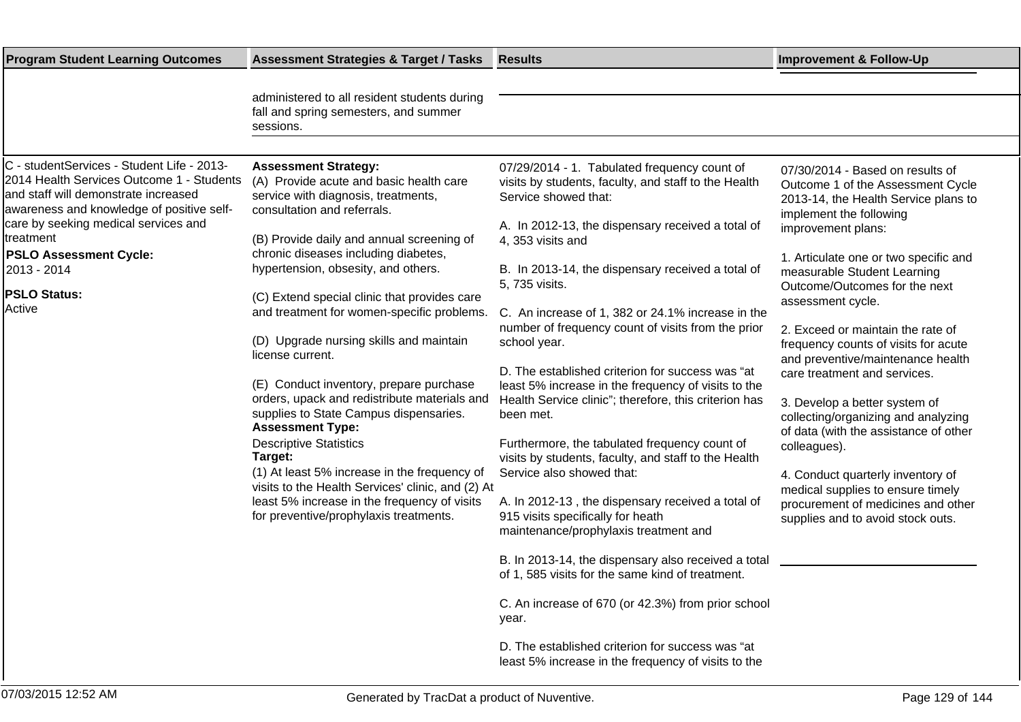| <b>Program Student Learning Outcomes</b>                                                                                                                                                                                                                                                                           | <b>Assessment Strategies &amp; Target / Tasks</b>                                                                                                                                                                                                                                                                                                                                                                                                                                                                                                                                                                                                 | <b>Results</b>                                                                                                                                                                                                                                                                                                                                                                                                                                                                                                                                                                                                                                                                                                                  | <b>Improvement &amp; Follow-Up</b>                                                                                                                                                                                                                                                                                                                                                                                                                                                                                                                                              |
|--------------------------------------------------------------------------------------------------------------------------------------------------------------------------------------------------------------------------------------------------------------------------------------------------------------------|---------------------------------------------------------------------------------------------------------------------------------------------------------------------------------------------------------------------------------------------------------------------------------------------------------------------------------------------------------------------------------------------------------------------------------------------------------------------------------------------------------------------------------------------------------------------------------------------------------------------------------------------------|---------------------------------------------------------------------------------------------------------------------------------------------------------------------------------------------------------------------------------------------------------------------------------------------------------------------------------------------------------------------------------------------------------------------------------------------------------------------------------------------------------------------------------------------------------------------------------------------------------------------------------------------------------------------------------------------------------------------------------|---------------------------------------------------------------------------------------------------------------------------------------------------------------------------------------------------------------------------------------------------------------------------------------------------------------------------------------------------------------------------------------------------------------------------------------------------------------------------------------------------------------------------------------------------------------------------------|
|                                                                                                                                                                                                                                                                                                                    | administered to all resident students during<br>fall and spring semesters, and summer<br>sessions.                                                                                                                                                                                                                                                                                                                                                                                                                                                                                                                                                |                                                                                                                                                                                                                                                                                                                                                                                                                                                                                                                                                                                                                                                                                                                                 |                                                                                                                                                                                                                                                                                                                                                                                                                                                                                                                                                                                 |
|                                                                                                                                                                                                                                                                                                                    |                                                                                                                                                                                                                                                                                                                                                                                                                                                                                                                                                                                                                                                   |                                                                                                                                                                                                                                                                                                                                                                                                                                                                                                                                                                                                                                                                                                                                 |                                                                                                                                                                                                                                                                                                                                                                                                                                                                                                                                                                                 |
| C - studentServices - Student Life - 2013-<br>2014 Health Services Outcome 1 - Students<br>and staff will demonstrate increased<br>awareness and knowledge of positive self-<br>care by seeking medical services and<br>treatment<br><b>PSLO Assessment Cycle:</b><br>2013 - 2014<br><b>PSLO Status:</b><br>Active | <b>Assessment Strategy:</b><br>(A) Provide acute and basic health care<br>service with diagnosis, treatments,<br>consultation and referrals.<br>(B) Provide daily and annual screening of<br>chronic diseases including diabetes,<br>hypertension, obsesity, and others.<br>(C) Extend special clinic that provides care<br>and treatment for women-specific problems.<br>(D) Upgrade nursing skills and maintain<br>license current.<br>(E) Conduct inventory, prepare purchase<br>orders, upack and redistribute materials and<br>supplies to State Campus dispensaries.<br><b>Assessment Type:</b><br><b>Descriptive Statistics</b><br>Target: | 07/29/2014 - 1. Tabulated frequency count of<br>visits by students, faculty, and staff to the Health<br>Service showed that:<br>A. In 2012-13, the dispensary received a total of<br>4, 353 visits and<br>B. In 2013-14, the dispensary received a total of<br>5, 735 visits.<br>C. An increase of 1, 382 or 24.1% increase in the<br>number of frequency count of visits from the prior<br>school year.<br>D. The established criterion for success was "at<br>least 5% increase in the frequency of visits to the<br>Health Service clinic"; therefore, this criterion has<br>been met.<br>Furthermore, the tabulated frequency count of<br>visits by students, faculty, and staff to the Health<br>Service also showed that: | 07/30/2014 - Based on results of<br>Outcome 1 of the Assessment Cycle<br>2013-14, the Health Service plans to<br>implement the following<br>improvement plans:<br>1. Articulate one or two specific and<br>measurable Student Learning<br>Outcome/Outcomes for the next<br>assessment cycle.<br>2. Exceed or maintain the rate of<br>frequency counts of visits for acute<br>and preventive/maintenance health<br>care treatment and services.<br>3. Develop a better system of<br>collecting/organizing and analyzing<br>of data (with the assistance of other<br>colleagues). |
|                                                                                                                                                                                                                                                                                                                    | (1) At least 5% increase in the frequency of<br>visits to the Health Services' clinic, and (2) At<br>least 5% increase in the frequency of visits<br>for preventive/prophylaxis treatments.                                                                                                                                                                                                                                                                                                                                                                                                                                                       | A. In 2012-13, the dispensary received a total of<br>915 visits specifically for heath<br>maintenance/prophylaxis treatment and<br>B. In 2013-14, the dispensary also received a total<br>of 1, 585 visits for the same kind of treatment.<br>C. An increase of 670 (or 42.3%) from prior school<br>year.<br>D. The established criterion for success was "at<br>least 5% increase in the frequency of visits to the                                                                                                                                                                                                                                                                                                            | 4. Conduct quarterly inventory of<br>medical supplies to ensure timely<br>procurement of medicines and other<br>supplies and to avoid stock outs.                                                                                                                                                                                                                                                                                                                                                                                                                               |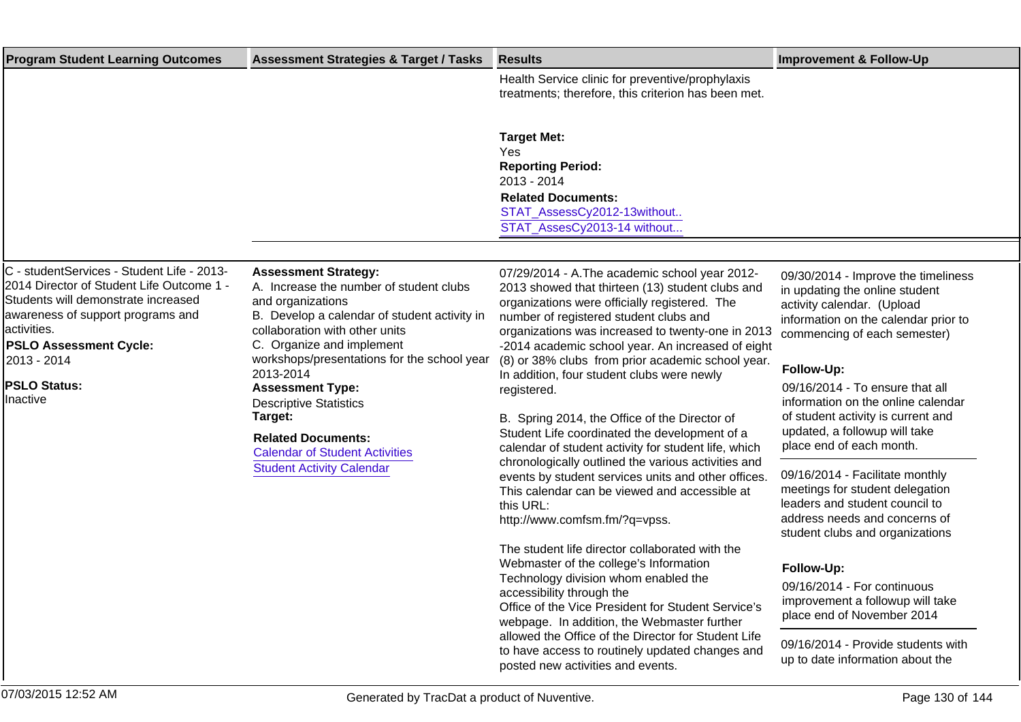| <b>Program Student Learning Outcomes</b>                                                                                                                                                                                 | <b>Assessment Strategies &amp; Target / Tasks</b>                                                                                                                                                                                                                                                                                                                                                                                                       | <b>Results</b>                                                                                                                                                                                                                                                                                                                                                                                                                                                                                                                                                                                                                                                                                                                                                                                   | <b>Improvement &amp; Follow-Up</b>                                                                                                                                                                                                                                                                                                                                                                                                                                                                                                                |
|--------------------------------------------------------------------------------------------------------------------------------------------------------------------------------------------------------------------------|---------------------------------------------------------------------------------------------------------------------------------------------------------------------------------------------------------------------------------------------------------------------------------------------------------------------------------------------------------------------------------------------------------------------------------------------------------|--------------------------------------------------------------------------------------------------------------------------------------------------------------------------------------------------------------------------------------------------------------------------------------------------------------------------------------------------------------------------------------------------------------------------------------------------------------------------------------------------------------------------------------------------------------------------------------------------------------------------------------------------------------------------------------------------------------------------------------------------------------------------------------------------|---------------------------------------------------------------------------------------------------------------------------------------------------------------------------------------------------------------------------------------------------------------------------------------------------------------------------------------------------------------------------------------------------------------------------------------------------------------------------------------------------------------------------------------------------|
|                                                                                                                                                                                                                          |                                                                                                                                                                                                                                                                                                                                                                                                                                                         | Health Service clinic for preventive/prophylaxis<br>treatments; therefore, this criterion has been met.                                                                                                                                                                                                                                                                                                                                                                                                                                                                                                                                                                                                                                                                                          |                                                                                                                                                                                                                                                                                                                                                                                                                                                                                                                                                   |
|                                                                                                                                                                                                                          |                                                                                                                                                                                                                                                                                                                                                                                                                                                         | <b>Target Met:</b><br>Yes<br><b>Reporting Period:</b><br>2013 - 2014<br><b>Related Documents:</b><br>STAT_AssessCy2012-13without<br>STAT AssesCy2013-14 without                                                                                                                                                                                                                                                                                                                                                                                                                                                                                                                                                                                                                                  |                                                                                                                                                                                                                                                                                                                                                                                                                                                                                                                                                   |
| C - studentServices - Student Life - 2013-                                                                                                                                                                               |                                                                                                                                                                                                                                                                                                                                                                                                                                                         |                                                                                                                                                                                                                                                                                                                                                                                                                                                                                                                                                                                                                                                                                                                                                                                                  |                                                                                                                                                                                                                                                                                                                                                                                                                                                                                                                                                   |
| 2014 Director of Student Life Outcome 1 -<br>Students will demonstrate increased<br>awareness of support programs and<br>lactivities.<br><b>PSLO Assessment Cycle:</b><br>2013 - 2014<br><b>PSLO Status:</b><br>Inactive | <b>Assessment Strategy:</b><br>A. Increase the number of student clubs<br>and organizations<br>B. Develop a calendar of student activity in<br>collaboration with other units<br>C. Organize and implement<br>workshops/presentations for the school year<br>2013-2014<br><b>Assessment Type:</b><br><b>Descriptive Statistics</b><br>Target:<br><b>Related Documents:</b><br><b>Calendar of Student Activities</b><br><b>Student Activity Calendar</b> | 07/29/2014 - A. The academic school year 2012-<br>2013 showed that thirteen (13) student clubs and<br>organizations were officially registered. The<br>number of registered student clubs and<br>organizations was increased to twenty-one in 2013<br>-2014 academic school year. An increased of eight<br>(8) or 38% clubs from prior academic school year.<br>In addition, four student clubs were newly<br>registered.<br>B. Spring 2014, the Office of the Director of<br>Student Life coordinated the development of a<br>calendar of student activity for student life, which<br>chronologically outlined the various activities and<br>events by student services units and other offices.<br>This calendar can be viewed and accessible at<br>this URL:<br>http://www.comfsm.fm/?q=vpss. | 09/30/2014 - Improve the timeliness<br>in updating the online student<br>activity calendar. (Upload<br>information on the calendar prior to<br>commencing of each semester)<br>Follow-Up:<br>09/16/2014 - To ensure that all<br>information on the online calendar<br>of student activity is current and<br>updated, a followup will take<br>place end of each month.<br>09/16/2014 - Facilitate monthly<br>meetings for student delegation<br>leaders and student council to<br>address needs and concerns of<br>student clubs and organizations |
|                                                                                                                                                                                                                          |                                                                                                                                                                                                                                                                                                                                                                                                                                                         | The student life director collaborated with the<br>Webmaster of the college's Information<br>Technology division whom enabled the<br>accessibility through the<br>Office of the Vice President for Student Service's<br>webpage. In addition, the Webmaster further<br>allowed the Office of the Director for Student Life                                                                                                                                                                                                                                                                                                                                                                                                                                                                       | Follow-Up:<br>09/16/2014 - For continuous<br>improvement a followup will take<br>place end of November 2014<br>09/16/2014 - Provide students with                                                                                                                                                                                                                                                                                                                                                                                                 |
|                                                                                                                                                                                                                          |                                                                                                                                                                                                                                                                                                                                                                                                                                                         | to have access to routinely updated changes and<br>posted new activities and events.                                                                                                                                                                                                                                                                                                                                                                                                                                                                                                                                                                                                                                                                                                             | up to date information about the                                                                                                                                                                                                                                                                                                                                                                                                                                                                                                                  |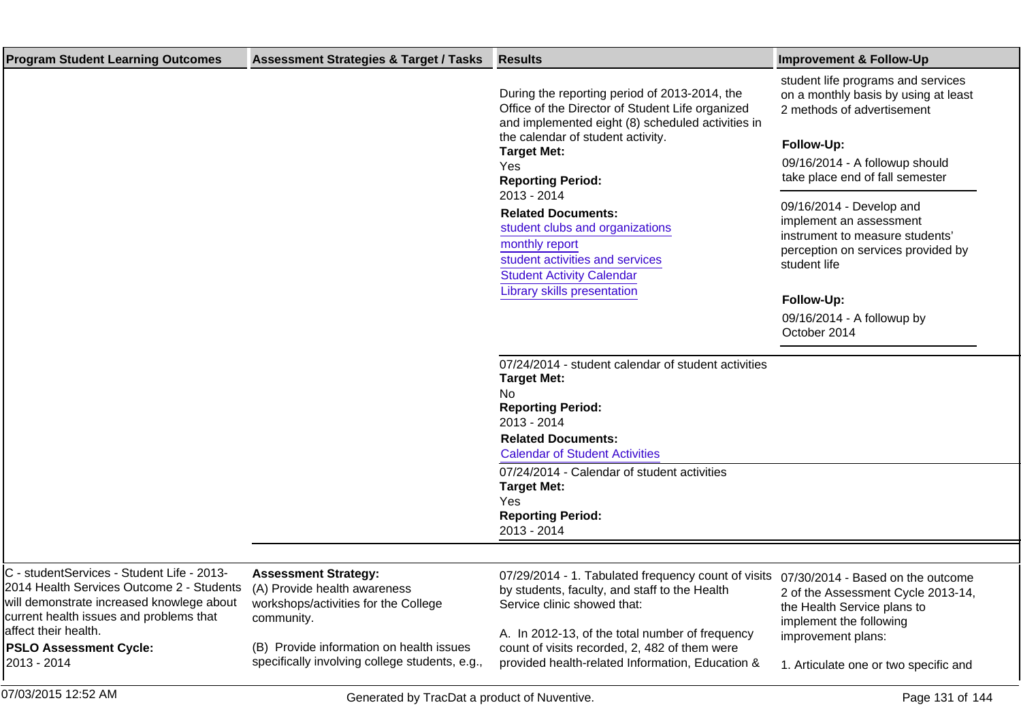| <b>Program Student Learning Outcomes</b>                                                                                                                                                                                             | <b>Assessment Strategies &amp; Target / Tasks</b>                                          | <b>Results</b>                                                                                                                                                                                                                                                                                                                                                                                                                                              | <b>Improvement &amp; Follow-Up</b>                                                                                                                                                                                                                                                                                                                                                                      |
|--------------------------------------------------------------------------------------------------------------------------------------------------------------------------------------------------------------------------------------|--------------------------------------------------------------------------------------------|-------------------------------------------------------------------------------------------------------------------------------------------------------------------------------------------------------------------------------------------------------------------------------------------------------------------------------------------------------------------------------------------------------------------------------------------------------------|---------------------------------------------------------------------------------------------------------------------------------------------------------------------------------------------------------------------------------------------------------------------------------------------------------------------------------------------------------------------------------------------------------|
|                                                                                                                                                                                                                                      |                                                                                            | During the reporting period of 2013-2014, the<br>Office of the Director of Student Life organized<br>and implemented eight (8) scheduled activities in<br>the calendar of student activity.<br><b>Target Met:</b><br>Yes<br><b>Reporting Period:</b><br>2013 - 2014<br><b>Related Documents:</b><br>student clubs and organizations<br>monthly report<br>student activities and services<br><b>Student Activity Calendar</b><br>Library skills presentation | student life programs and services<br>on a monthly basis by using at least<br>2 methods of advertisement<br>Follow-Up:<br>09/16/2014 - A followup should<br>take place end of fall semester<br>09/16/2014 - Develop and<br>implement an assessment<br>instrument to measure students'<br>perception on services provided by<br>student life<br>Follow-Up:<br>09/16/2014 - A followup by<br>October 2014 |
|                                                                                                                                                                                                                                      |                                                                                            | 07/24/2014 - student calendar of student activities<br><b>Target Met:</b><br>No<br><b>Reporting Period:</b><br>2013 - 2014<br><b>Related Documents:</b><br><b>Calendar of Student Activities</b>                                                                                                                                                                                                                                                            |                                                                                                                                                                                                                                                                                                                                                                                                         |
|                                                                                                                                                                                                                                      |                                                                                            | 07/24/2014 - Calendar of student activities<br><b>Target Met:</b><br>Yes<br><b>Reporting Period:</b><br>2013 - 2014                                                                                                                                                                                                                                                                                                                                         |                                                                                                                                                                                                                                                                                                                                                                                                         |
|                                                                                                                                                                                                                                      |                                                                                            |                                                                                                                                                                                                                                                                                                                                                                                                                                                             |                                                                                                                                                                                                                                                                                                                                                                                                         |
| C - studentServices - Student Life - 2013-<br>2014 Health Services Outcome 2 - Students (A) Provide health awareness<br>will demonstrate increased knowlege about<br>current health issues and problems that<br>affect their health. | <b>Assessment Strategy:</b><br>workshops/activities for the College<br>community.          | 07/29/2014 - 1. Tabulated frequency count of visits 07/30/2014 - Based on the outcome<br>by students, faculty, and staff to the Health<br>Service clinic showed that:<br>A. In 2012-13, of the total number of frequency                                                                                                                                                                                                                                    | 2 of the Assessment Cycle 2013-14,<br>the Health Service plans to<br>implement the following                                                                                                                                                                                                                                                                                                            |
| <b>PSLO Assessment Cycle:</b><br>2013 - 2014                                                                                                                                                                                         | (B) Provide information on health issues<br>specifically involving college students, e.g., | count of visits recorded, 2, 482 of them were<br>provided health-related Information, Education &                                                                                                                                                                                                                                                                                                                                                           | improvement plans:<br>1. Articulate one or two specific and                                                                                                                                                                                                                                                                                                                                             |
| 07/03/2015 12:52 AM                                                                                                                                                                                                                  | Generated by TracDat a product of Nuventive.                                               |                                                                                                                                                                                                                                                                                                                                                                                                                                                             | Page 131 of 144                                                                                                                                                                                                                                                                                                                                                                                         |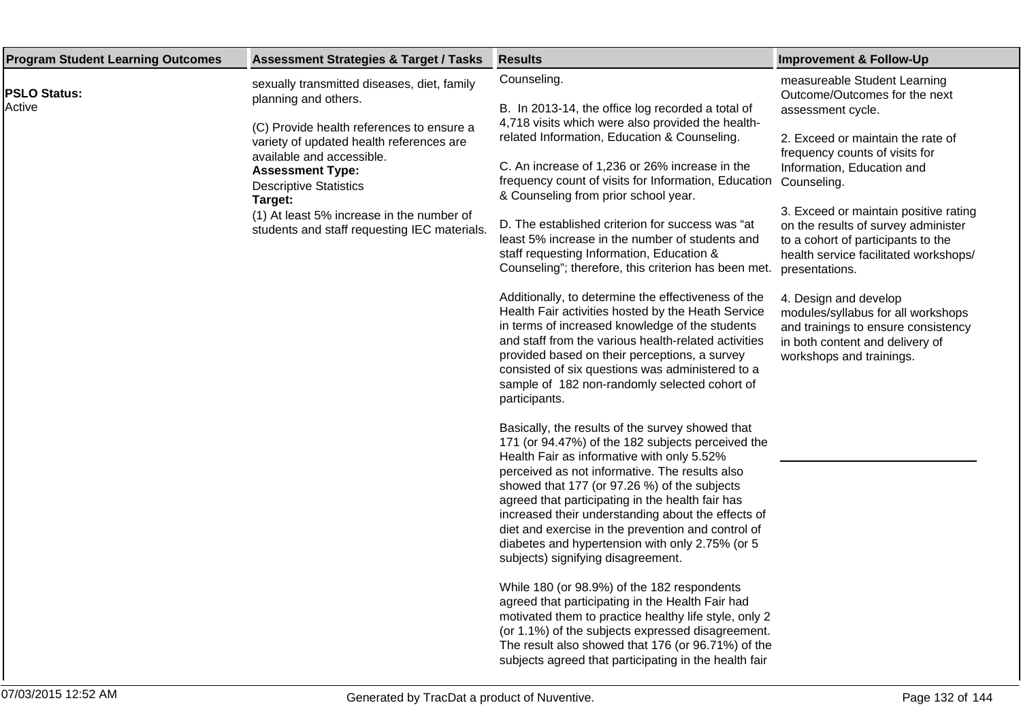| <b>Program Student Learning Outcomes</b><br><b>Assessment Strategies &amp; Target / Tasks</b>                                                                                                                                                                                                                                                                                                  | <b>Results</b>                                                                                                                                                                                                                                                                                                                                                                                                                                                                                                                                                                                                                                                                                                                                                                                                                                                                                                                                                                                                                                                                                                                                                                                                                                                                                                                                                                                                                                                                                                                                                                                                                                                                    | <b>Improvement &amp; Follow-Up</b>                                                                                                                                                                                                                                                                                                                                                                                                                                                                                                            |
|------------------------------------------------------------------------------------------------------------------------------------------------------------------------------------------------------------------------------------------------------------------------------------------------------------------------------------------------------------------------------------------------|-----------------------------------------------------------------------------------------------------------------------------------------------------------------------------------------------------------------------------------------------------------------------------------------------------------------------------------------------------------------------------------------------------------------------------------------------------------------------------------------------------------------------------------------------------------------------------------------------------------------------------------------------------------------------------------------------------------------------------------------------------------------------------------------------------------------------------------------------------------------------------------------------------------------------------------------------------------------------------------------------------------------------------------------------------------------------------------------------------------------------------------------------------------------------------------------------------------------------------------------------------------------------------------------------------------------------------------------------------------------------------------------------------------------------------------------------------------------------------------------------------------------------------------------------------------------------------------------------------------------------------------------------------------------------------------|-----------------------------------------------------------------------------------------------------------------------------------------------------------------------------------------------------------------------------------------------------------------------------------------------------------------------------------------------------------------------------------------------------------------------------------------------------------------------------------------------------------------------------------------------|
| sexually transmitted diseases, diet, family<br><b>PSLO Status:</b><br>planning and others.<br>Active<br>(C) Provide health references to ensure a<br>variety of updated health references are<br>available and accessible.<br><b>Assessment Type:</b><br><b>Descriptive Statistics</b><br>Target:<br>(1) At least 5% increase in the number of<br>students and staff requesting IEC materials. | Counseling.<br>B. In 2013-14, the office log recorded a total of<br>4,718 visits which were also provided the health-<br>related Information, Education & Counseling.<br>C. An increase of 1,236 or 26% increase in the<br>frequency count of visits for Information, Education Counseling.<br>& Counseling from prior school year.<br>D. The established criterion for success was "at<br>least 5% increase in the number of students and<br>staff requesting Information, Education &<br>Counseling"; therefore, this criterion has been met.<br>Additionally, to determine the effectiveness of the<br>Health Fair activities hosted by the Heath Service<br>in terms of increased knowledge of the students<br>and staff from the various health-related activities<br>provided based on their perceptions, a survey<br>consisted of six questions was administered to a<br>sample of 182 non-randomly selected cohort of<br>participants.<br>Basically, the results of the survey showed that<br>171 (or 94.47%) of the 182 subjects perceived the<br>Health Fair as informative with only 5.52%<br>perceived as not informative. The results also<br>showed that 177 (or 97.26 %) of the subjects<br>agreed that participating in the health fair has<br>increased their understanding about the effects of<br>diet and exercise in the prevention and control of<br>diabetes and hypertension with only 2.75% (or 5<br>subjects) signifying disagreement.<br>While 180 (or 98.9%) of the 182 respondents<br>agreed that participating in the Health Fair had<br>motivated them to practice healthy life style, only 2<br>(or 1.1%) of the subjects expressed disagreement. | measureable Student Learning<br>Outcome/Outcomes for the next<br>assessment cycle.<br>2. Exceed or maintain the rate of<br>frequency counts of visits for<br>Information, Education and<br>3. Exceed or maintain positive rating<br>on the results of survey administer<br>to a cohort of participants to the<br>health service facilitated workshops/<br>presentations.<br>4. Design and develop<br>modules/syllabus for all workshops<br>and trainings to ensure consistency<br>in both content and delivery of<br>workshops and trainings. |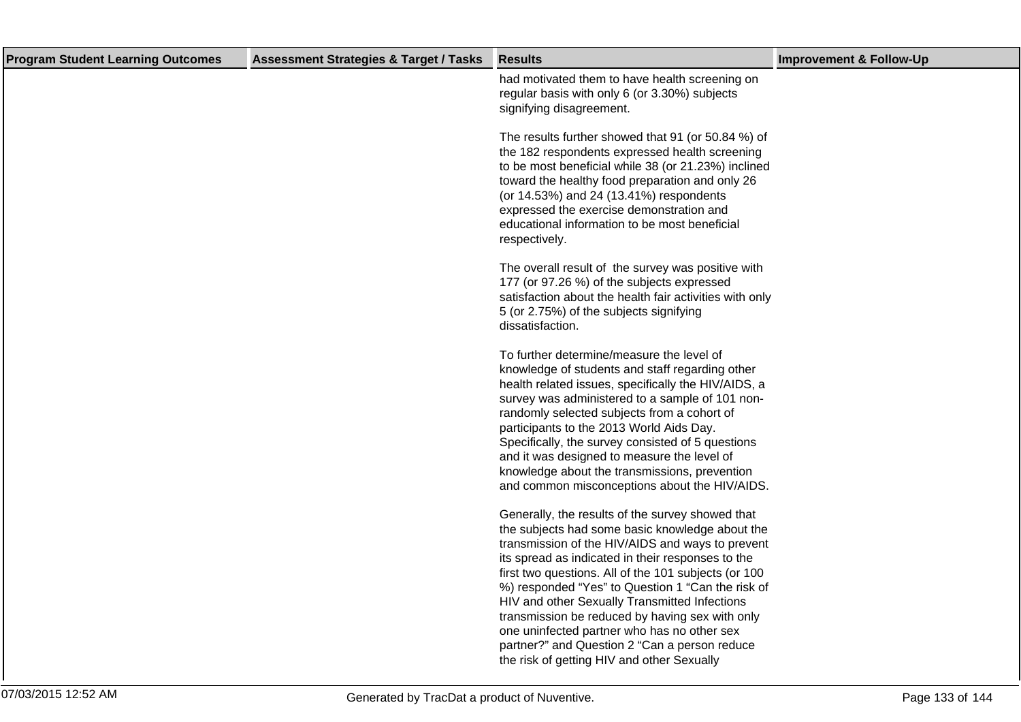| <b>Program Student Learning Outcomes</b> | <b>Assessment Strategies &amp; Target / Tasks</b> | <b>Results</b>                                                                                                                                                                                                                                                                                                                                                                                                                                                                                                                                                              | <b>Improvement &amp; Follow-Up</b> |
|------------------------------------------|---------------------------------------------------|-----------------------------------------------------------------------------------------------------------------------------------------------------------------------------------------------------------------------------------------------------------------------------------------------------------------------------------------------------------------------------------------------------------------------------------------------------------------------------------------------------------------------------------------------------------------------------|------------------------------------|
|                                          |                                                   | had motivated them to have health screening on<br>regular basis with only 6 (or 3.30%) subjects<br>signifying disagreement.                                                                                                                                                                                                                                                                                                                                                                                                                                                 |                                    |
|                                          |                                                   | The results further showed that 91 (or 50.84 %) of<br>the 182 respondents expressed health screening<br>to be most beneficial while 38 (or 21.23%) inclined<br>toward the healthy food preparation and only 26<br>(or 14.53%) and 24 (13.41%) respondents<br>expressed the exercise demonstration and<br>educational information to be most beneficial<br>respectively.                                                                                                                                                                                                     |                                    |
|                                          |                                                   | The overall result of the survey was positive with<br>177 (or 97.26 %) of the subjects expressed<br>satisfaction about the health fair activities with only<br>5 (or 2.75%) of the subjects signifying<br>dissatisfaction.                                                                                                                                                                                                                                                                                                                                                  |                                    |
|                                          |                                                   | To further determine/measure the level of<br>knowledge of students and staff regarding other<br>health related issues, specifically the HIV/AIDS, a<br>survey was administered to a sample of 101 non-<br>randomly selected subjects from a cohort of<br>participants to the 2013 World Aids Day.<br>Specifically, the survey consisted of 5 questions<br>and it was designed to measure the level of<br>knowledge about the transmissions, prevention<br>and common misconceptions about the HIV/AIDS.                                                                     |                                    |
|                                          |                                                   | Generally, the results of the survey showed that<br>the subjects had some basic knowledge about the<br>transmission of the HIV/AIDS and ways to prevent<br>its spread as indicated in their responses to the<br>first two questions. All of the 101 subjects (or 100<br>%) responded "Yes" to Question 1 "Can the risk of<br>HIV and other Sexually Transmitted Infections<br>transmission be reduced by having sex with only<br>one uninfected partner who has no other sex<br>partner?" and Question 2 "Can a person reduce<br>the risk of getting HIV and other Sexually |                                    |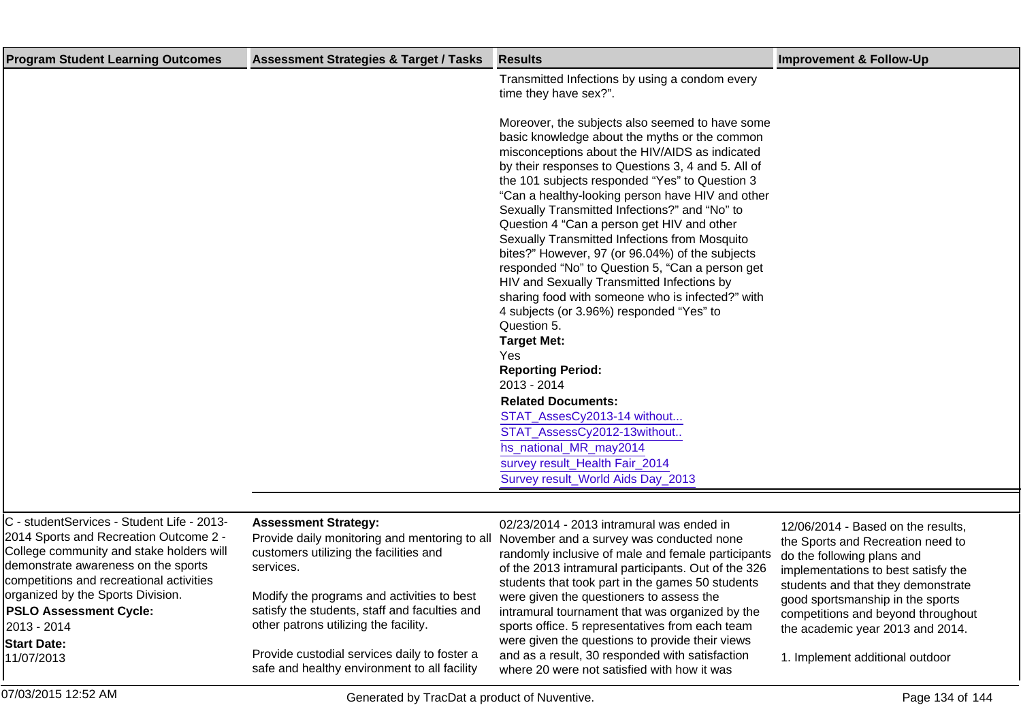| <b>Program Student Learning Outcomes</b> | <b>Assessment Strategies &amp; Target / Tasks</b> | <b>Results</b>                                                                              | <b>Improvement &amp; Follow-Up</b> |
|------------------------------------------|---------------------------------------------------|---------------------------------------------------------------------------------------------|------------------------------------|
|                                          |                                                   | Transmitted Infections by using a condom every                                              |                                    |
|                                          |                                                   | time they have sex?".                                                                       |                                    |
|                                          |                                                   |                                                                                             |                                    |
|                                          |                                                   | Moreover, the subjects also seemed to have some                                             |                                    |
|                                          |                                                   | basic knowledge about the myths or the common                                               |                                    |
|                                          |                                                   | misconceptions about the HIV/AIDS as indicated                                              |                                    |
|                                          |                                                   | by their responses to Questions 3, 4 and 5. All of                                          |                                    |
|                                          |                                                   | the 101 subjects responded "Yes" to Question 3                                              |                                    |
|                                          |                                                   | "Can a healthy-looking person have HIV and other                                            |                                    |
|                                          |                                                   | Sexually Transmitted Infections?" and "No" to<br>Question 4 "Can a person get HIV and other |                                    |
|                                          |                                                   | Sexually Transmitted Infections from Mosquito                                               |                                    |
|                                          |                                                   | bites?" However, 97 (or 96.04%) of the subjects                                             |                                    |
|                                          |                                                   | responded "No" to Question 5, "Can a person get                                             |                                    |
|                                          |                                                   | HIV and Sexually Transmitted Infections by                                                  |                                    |
|                                          |                                                   | sharing food with someone who is infected?" with                                            |                                    |
|                                          |                                                   | 4 subjects (or 3.96%) responded "Yes" to                                                    |                                    |
|                                          |                                                   | Question 5.                                                                                 |                                    |
|                                          |                                                   | <b>Target Met:</b>                                                                          |                                    |
|                                          |                                                   | Yes                                                                                         |                                    |
|                                          |                                                   | <b>Reporting Period:</b>                                                                    |                                    |
|                                          |                                                   | 2013 - 2014                                                                                 |                                    |
|                                          |                                                   | <b>Related Documents:</b>                                                                   |                                    |
|                                          |                                                   | STAT_AssesCy2013-14 without                                                                 |                                    |
|                                          |                                                   | STAT_AssessCy2012-13without                                                                 |                                    |
|                                          |                                                   | hs_national_MR_may2014                                                                      |                                    |
|                                          |                                                   | survey result_Health Fair_2014                                                              |                                    |
|                                          |                                                   | Survey result_World Aids Day_2013                                                           |                                    |
|                                          |                                                   |                                                                                             |                                    |
|                                          |                                                   |                                                                                             |                                    |

C - studentServices - Student Life - 2013- 2014 Sports and Recreation Outcome 2 - College community and stake holders will demonstrate awareness on the sports competitions and recreational activities organized by the Sports Division. **PSLO Assessment Cycle:** 2013 - 2014 **Start Date:** 11/07/2013

### **Assessment Strategy:**

Provide daily monitoring and mentoring to all customers utilizing the facilities and services.

Modify the programs and activities to best satisfy the students, staff and faculties and other patrons utilizing the facility.

Provide custodial services daily to foster a safe and healthy environment to all facility

02/23/2014 - 2013 intramural was ended in November and a survey was conducted none randomly inclusive of male and female participants of the 2013 intramural participants. Out of the 326 students that took part in the games 50 students were given the questioners to assess the intramural tournament that was organized by the sports office. 5 representatives from each team were given the questions to provide their views and as a result, 30 responded with satisfaction where 20 were not satisfied with how it was

12/06/2014 - Based on the results, the Sports and Recreation need to do the following plans and implementations to best satisfy the students and that they demonstrate good sportsmanship in the sports competitions and beyond throughout the academic year 2013 and 2014.

1. Implement additional outdoor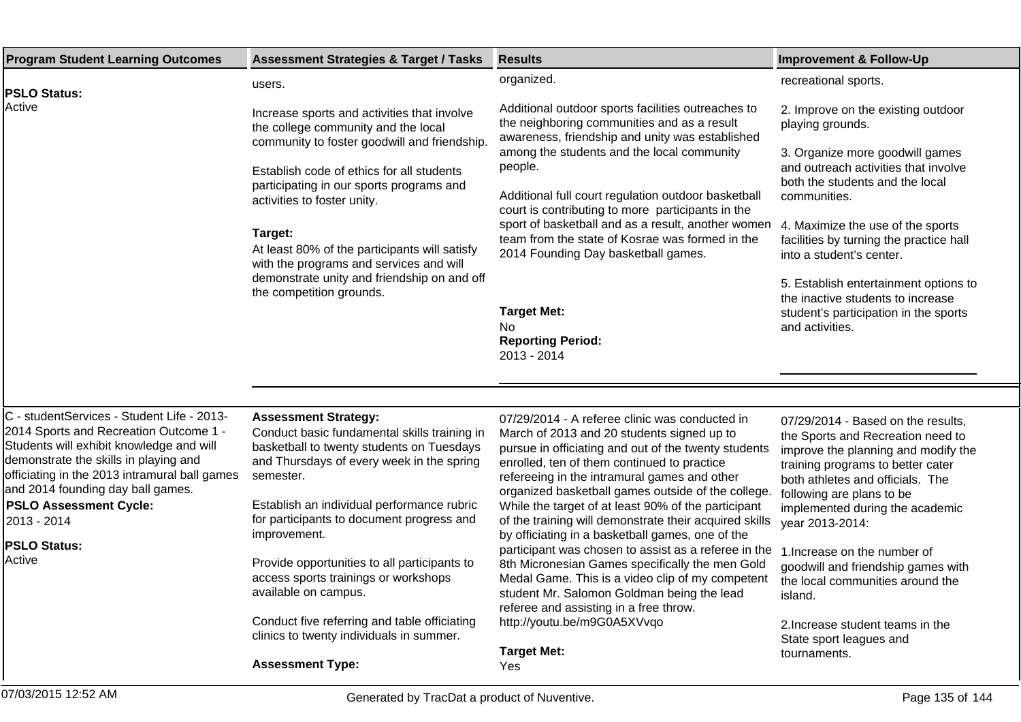| <b>Program Student Learning Outcomes</b>                                                                                                                                                                                                                                                                                                         | <b>Assessment Strategies &amp; Target / Tasks</b>                                                                                                                                                                                                                                                                                                                                                                                                                                                                                    | <b>Results</b>                                                                                                                                                                                                                                                                                                                                                                                                                                                                                                                                                                                                                                                                                                                                                                                    | <b>Improvement &amp; Follow-Up</b>                                                                                                                                                                                                                                                                                                                                                                                                                                             |
|--------------------------------------------------------------------------------------------------------------------------------------------------------------------------------------------------------------------------------------------------------------------------------------------------------------------------------------------------|--------------------------------------------------------------------------------------------------------------------------------------------------------------------------------------------------------------------------------------------------------------------------------------------------------------------------------------------------------------------------------------------------------------------------------------------------------------------------------------------------------------------------------------|---------------------------------------------------------------------------------------------------------------------------------------------------------------------------------------------------------------------------------------------------------------------------------------------------------------------------------------------------------------------------------------------------------------------------------------------------------------------------------------------------------------------------------------------------------------------------------------------------------------------------------------------------------------------------------------------------------------------------------------------------------------------------------------------------|--------------------------------------------------------------------------------------------------------------------------------------------------------------------------------------------------------------------------------------------------------------------------------------------------------------------------------------------------------------------------------------------------------------------------------------------------------------------------------|
| <b>PSLO Status:</b>                                                                                                                                                                                                                                                                                                                              | users.                                                                                                                                                                                                                                                                                                                                                                                                                                                                                                                               | organized.                                                                                                                                                                                                                                                                                                                                                                                                                                                                                                                                                                                                                                                                                                                                                                                        | recreational sports.                                                                                                                                                                                                                                                                                                                                                                                                                                                           |
| Active                                                                                                                                                                                                                                                                                                                                           | Increase sports and activities that involve<br>the college community and the local<br>community to foster goodwill and friendship.<br>Establish code of ethics for all students<br>participating in our sports programs and<br>activities to foster unity.<br>Target:<br>At least 80% of the participants will satisfy<br>with the programs and services and will<br>demonstrate unity and friendship on and off<br>the competition grounds.                                                                                         | Additional outdoor sports facilities outreaches to<br>the neighboring communities and as a result<br>awareness, friendship and unity was established<br>among the students and the local community<br>people.<br>Additional full court regulation outdoor basketball<br>court is contributing to more participants in the<br>sport of basketball and as a result, another women<br>team from the state of Kosrae was formed in the<br>2014 Founding Day basketball games.<br><b>Target Met:</b><br>No.<br><b>Reporting Period:</b><br>2013 - 2014                                                                                                                                                                                                                                                 | 2. Improve on the existing outdoor<br>playing grounds.<br>3. Organize more goodwill games<br>and outreach activities that involve<br>both the students and the local<br>communities.<br>4. Maximize the use of the sports<br>facilities by turning the practice hall<br>into a student's center.<br>5. Establish entertainment options to<br>the inactive students to increase<br>student's participation in the sports<br>and activities.                                     |
|                                                                                                                                                                                                                                                                                                                                                  |                                                                                                                                                                                                                                                                                                                                                                                                                                                                                                                                      |                                                                                                                                                                                                                                                                                                                                                                                                                                                                                                                                                                                                                                                                                                                                                                                                   |                                                                                                                                                                                                                                                                                                                                                                                                                                                                                |
| C - studentServices - Student Life - 2013-<br>2014 Sports and Recreation Outcome 1 -<br>Students will exhibit knowledge and will<br>demonstrate the skills in playing and<br>officiating in the 2013 intramural ball games<br>and 2014 founding day ball games.<br><b>PSLO Assessment Cycle:</b><br>2013 - 2014<br><b>PSLO Status:</b><br>Active | <b>Assessment Strategy:</b><br>Conduct basic fundamental skills training in<br>basketball to twenty students on Tuesdays<br>and Thursdays of every week in the spring<br>semester.<br>Establish an individual performance rubric<br>for participants to document progress and<br>improvement.<br>Provide opportunities to all participants to<br>access sports trainings or workshops<br>available on campus.<br>Conduct five referring and table officiating<br>clinics to twenty individuals in summer.<br><b>Assessment Type:</b> | 07/29/2014 - A referee clinic was conducted in<br>March of 2013 and 20 students signed up to<br>pursue in officiating and out of the twenty students<br>enrolled, ten of them continued to practice<br>refereeing in the intramural games and other<br>organized basketball games outside of the college.<br>While the target of at least 90% of the participant<br>of the training will demonstrate their acquired skills<br>by officiating in a basketball games, one of the<br>participant was chosen to assist as a referee in the<br>8th Micronesian Games specifically the men Gold<br>Medal Game. This is a video clip of my competent<br>student Mr. Salomon Goldman being the lead<br>referee and assisting in a free throw.<br>http://youtu.be/m9G0A5XVvqo<br><b>Target Met:</b><br>Yes | 07/29/2014 - Based on the results,<br>the Sports and Recreation need to<br>improve the planning and modify the<br>training programs to better cater<br>both athletes and officials. The<br>following are plans to be<br>implemented during the academic<br>year 2013-2014:<br>1. Increase on the number of<br>goodwill and friendship games with<br>the local communities around the<br>island.<br>2. Increase student teams in the<br>State sport leagues and<br>tournaments. |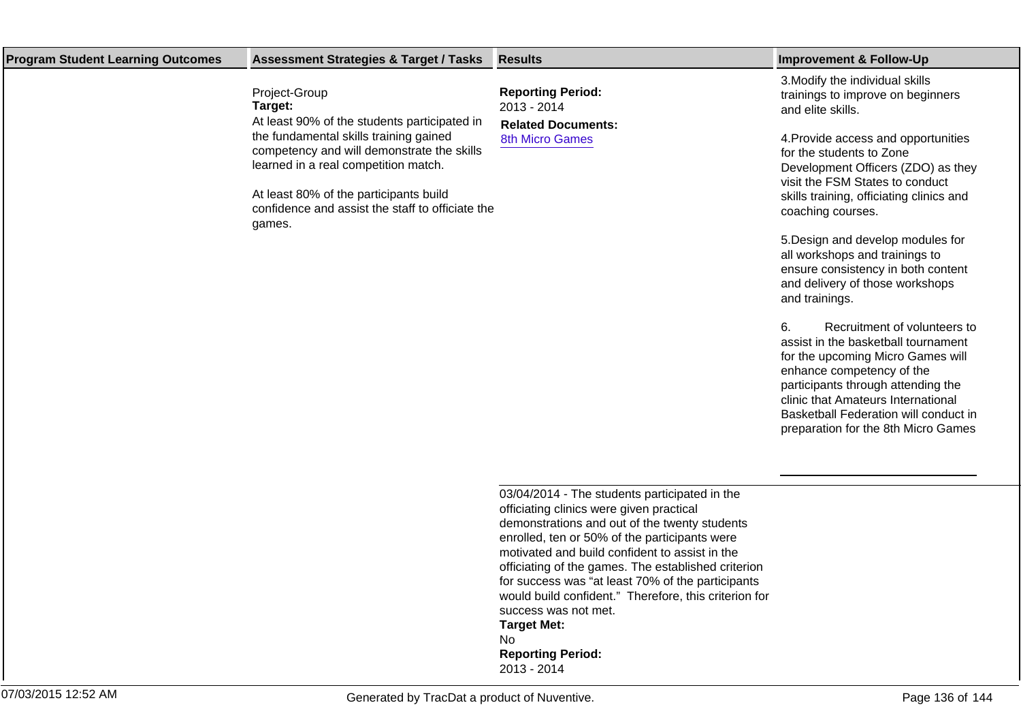| <b>Program Student Learning Outcomes</b> | <b>Assessment Strategies &amp; Target / Tasks</b>                                                                                                                            | <b>Results</b>                                                                                                                                                                                                                                                                                                                                                                                                                                                          | <b>Improvement &amp; Follow-Up</b>                                                                                                                                                                                      |
|------------------------------------------|------------------------------------------------------------------------------------------------------------------------------------------------------------------------------|-------------------------------------------------------------------------------------------------------------------------------------------------------------------------------------------------------------------------------------------------------------------------------------------------------------------------------------------------------------------------------------------------------------------------------------------------------------------------|-------------------------------------------------------------------------------------------------------------------------------------------------------------------------------------------------------------------------|
|                                          | Project-Group<br>Target:                                                                                                                                                     | <b>Reporting Period:</b><br>2013 - 2014                                                                                                                                                                                                                                                                                                                                                                                                                                 | 3. Modify the individual skills<br>trainings to improve on beginners<br>and elite skills.                                                                                                                               |
|                                          | At least 90% of the students participated in<br>the fundamental skills training gained<br>competency and will demonstrate the skills<br>learned in a real competition match. | <b>Related Documents:</b><br><b>8th Micro Games</b>                                                                                                                                                                                                                                                                                                                                                                                                                     | 4. Provide access and opportunities<br>for the students to Zone<br>Development Officers (ZDO) as they<br>visit the FSM States to conduct                                                                                |
|                                          | At least 80% of the participants build<br>confidence and assist the staff to officiate the<br>games.                                                                         |                                                                                                                                                                                                                                                                                                                                                                                                                                                                         | skills training, officiating clinics and<br>coaching courses.                                                                                                                                                           |
|                                          |                                                                                                                                                                              |                                                                                                                                                                                                                                                                                                                                                                                                                                                                         | 5. Design and develop modules for<br>all workshops and trainings to<br>ensure consistency in both content<br>and delivery of those workshops<br>and trainings.                                                          |
|                                          |                                                                                                                                                                              |                                                                                                                                                                                                                                                                                                                                                                                                                                                                         | 6.<br>Recruitment of volunteers to<br>assist in the basketball tournament<br>for the upcoming Micro Games will<br>enhance competency of the<br>participants through attending the<br>clinic that Amateurs International |
|                                          |                                                                                                                                                                              |                                                                                                                                                                                                                                                                                                                                                                                                                                                                         | Basketball Federation will conduct in<br>preparation for the 8th Micro Games                                                                                                                                            |
|                                          |                                                                                                                                                                              |                                                                                                                                                                                                                                                                                                                                                                                                                                                                         |                                                                                                                                                                                                                         |
|                                          |                                                                                                                                                                              | 03/04/2014 - The students participated in the<br>officiating clinics were given practical<br>demonstrations and out of the twenty students<br>enrolled, ten or 50% of the participants were<br>motivated and build confident to assist in the<br>officiating of the games. The established criterion<br>for success was "at least 70% of the participants<br>would build confident." Therefore, this criterion for<br>success was not met.<br><b>Target Met:</b><br>No. |                                                                                                                                                                                                                         |
|                                          |                                                                                                                                                                              | <b>Reporting Period:</b><br>2013 - 2014                                                                                                                                                                                                                                                                                                                                                                                                                                 |                                                                                                                                                                                                                         |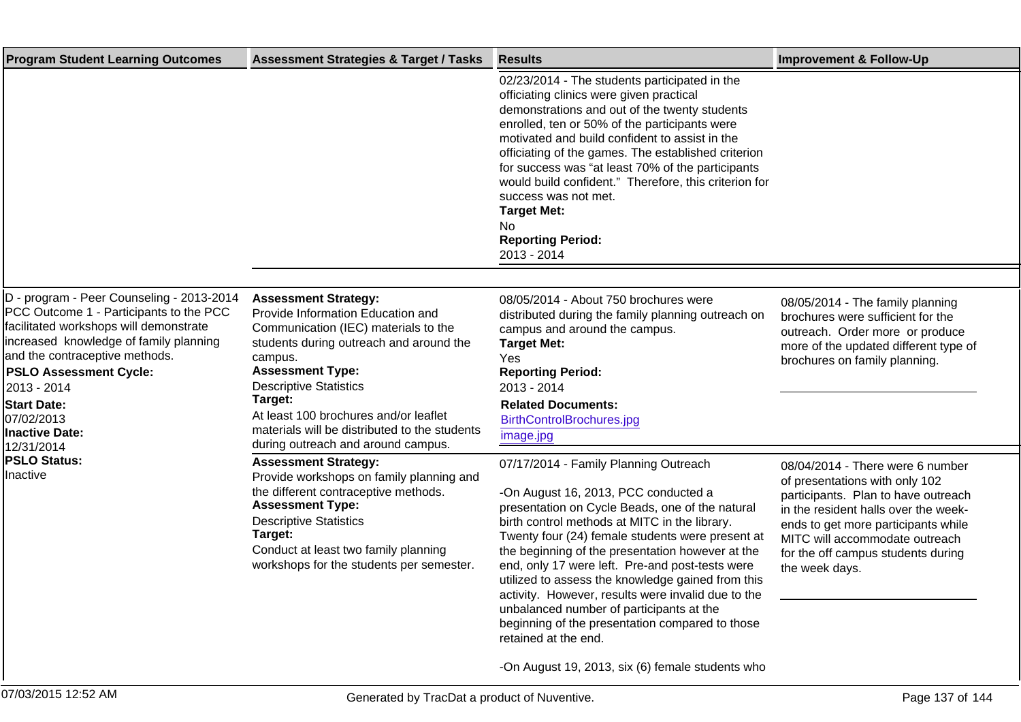| <b>Program Student Learning Outcomes</b>                                                                                                                                                                                                                                                                                       | <b>Assessment Strategies &amp; Target / Tasks</b>                                                                                                                                                                                                                                                                                                                     | <b>Results</b>                                                                                                                                                                                                                                                                                                                                                                                                                                                                                                                                                                                                                       | <b>Improvement &amp; Follow-Up</b>                                                                                                                                                                                                                                                 |
|--------------------------------------------------------------------------------------------------------------------------------------------------------------------------------------------------------------------------------------------------------------------------------------------------------------------------------|-----------------------------------------------------------------------------------------------------------------------------------------------------------------------------------------------------------------------------------------------------------------------------------------------------------------------------------------------------------------------|--------------------------------------------------------------------------------------------------------------------------------------------------------------------------------------------------------------------------------------------------------------------------------------------------------------------------------------------------------------------------------------------------------------------------------------------------------------------------------------------------------------------------------------------------------------------------------------------------------------------------------------|------------------------------------------------------------------------------------------------------------------------------------------------------------------------------------------------------------------------------------------------------------------------------------|
|                                                                                                                                                                                                                                                                                                                                |                                                                                                                                                                                                                                                                                                                                                                       | 02/23/2014 - The students participated in the<br>officiating clinics were given practical<br>demonstrations and out of the twenty students<br>enrolled, ten or 50% of the participants were<br>motivated and build confident to assist in the<br>officiating of the games. The established criterion<br>for success was "at least 70% of the participants<br>would build confident." Therefore, this criterion for<br>success was not met.<br><b>Target Met:</b><br>No<br><b>Reporting Period:</b><br>2013 - 2014                                                                                                                    |                                                                                                                                                                                                                                                                                    |
|                                                                                                                                                                                                                                                                                                                                |                                                                                                                                                                                                                                                                                                                                                                       |                                                                                                                                                                                                                                                                                                                                                                                                                                                                                                                                                                                                                                      |                                                                                                                                                                                                                                                                                    |
| D - program - Peer Counseling - 2013-2014<br>PCC Outcome 1 - Participants to the PCC<br>facilitated workshops will demonstrate<br>increased knowledge of family planning<br>and the contraceptive methods.<br><b>PSLO Assessment Cycle:</b><br>2013 - 2014<br><b>Start Date:</b><br>07/02/2013<br>Inactive Date:<br>12/31/2014 | <b>Assessment Strategy:</b><br>Provide Information Education and<br>Communication (IEC) materials to the<br>students during outreach and around the<br>campus.<br><b>Assessment Type:</b><br><b>Descriptive Statistics</b><br>Target:<br>At least 100 brochures and/or leaflet<br>materials will be distributed to the students<br>during outreach and around campus. | 08/05/2014 - About 750 brochures were<br>distributed during the family planning outreach on<br>campus and around the campus.<br><b>Target Met:</b><br>Yes<br><b>Reporting Period:</b><br>2013 - 2014<br><b>Related Documents:</b><br>BirthControlBrochures.jpg<br>image.jpg                                                                                                                                                                                                                                                                                                                                                          | 08/05/2014 - The family planning<br>brochures were sufficient for the<br>outreach. Order more or produce<br>more of the updated different type of<br>brochures on family planning.                                                                                                 |
| <b>PSLO Status:</b><br>Inactive                                                                                                                                                                                                                                                                                                | <b>Assessment Strategy:</b><br>Provide workshops on family planning and<br>the different contraceptive methods.<br><b>Assessment Type:</b><br><b>Descriptive Statistics</b><br>Target:<br>Conduct at least two family planning<br>workshops for the students per semester.                                                                                            | 07/17/2014 - Family Planning Outreach<br>- On August 16, 2013, PCC conducted a<br>presentation on Cycle Beads, one of the natural<br>birth control methods at MITC in the library.<br>Twenty four (24) female students were present at<br>the beginning of the presentation however at the<br>end, only 17 were left. Pre-and post-tests were<br>utilized to assess the knowledge gained from this<br>activity. However, results were invalid due to the<br>unbalanced number of participants at the<br>beginning of the presentation compared to those<br>retained at the end.<br>- On August 19, 2013, six (6) female students who | 08/04/2014 - There were 6 number<br>of presentations with only 102<br>participants. Plan to have outreach<br>in the resident halls over the week-<br>ends to get more participants while<br>MITC will accommodate outreach<br>for the off campus students during<br>the week days. |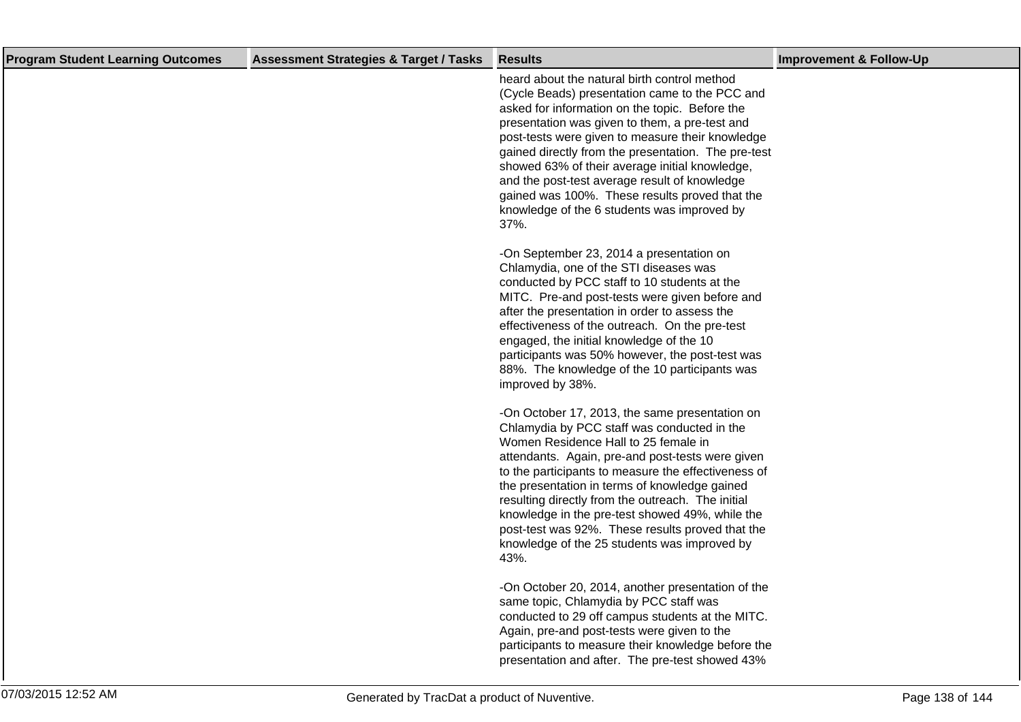| <b>Program Student Learning Outcomes</b> | <b>Assessment Strategies &amp; Target / Tasks</b> | <b>Results</b>                                                                                                                                                                                                                                                                                                                                                                                                                                                                                                            | <b>Improvement &amp; Follow-Up</b> |
|------------------------------------------|---------------------------------------------------|---------------------------------------------------------------------------------------------------------------------------------------------------------------------------------------------------------------------------------------------------------------------------------------------------------------------------------------------------------------------------------------------------------------------------------------------------------------------------------------------------------------------------|------------------------------------|
|                                          |                                                   | heard about the natural birth control method<br>(Cycle Beads) presentation came to the PCC and<br>asked for information on the topic. Before the<br>presentation was given to them, a pre-test and<br>post-tests were given to measure their knowledge<br>gained directly from the presentation. The pre-test<br>showed 63% of their average initial knowledge,<br>and the post-test average result of knowledge<br>gained was 100%. These results proved that the<br>knowledge of the 6 students was improved by<br>37%. |                                    |
|                                          |                                                   | - On September 23, 2014 a presentation on<br>Chlamydia, one of the STI diseases was<br>conducted by PCC staff to 10 students at the<br>MITC. Pre-and post-tests were given before and<br>after the presentation in order to assess the<br>effectiveness of the outreach. On the pre-test<br>engaged, the initial knowledge of the 10<br>participants was 50% however, the post-test was<br>88%. The knowledge of the 10 participants was<br>improved by 38%.                                                              |                                    |
|                                          |                                                   | - On October 17, 2013, the same presentation on<br>Chlamydia by PCC staff was conducted in the<br>Women Residence Hall to 25 female in<br>attendants. Again, pre-and post-tests were given<br>to the participants to measure the effectiveness of<br>the presentation in terms of knowledge gained<br>resulting directly from the outreach. The initial<br>knowledge in the pre-test showed 49%, while the<br>post-test was 92%. These results proved that the<br>knowledge of the 25 students was improved by<br>43%.    |                                    |
|                                          |                                                   | - On October 20, 2014, another presentation of the<br>same topic, Chlamydia by PCC staff was<br>conducted to 29 off campus students at the MITC.<br>Again, pre-and post-tests were given to the<br>participants to measure their knowledge before the<br>presentation and after. The pre-test showed 43%                                                                                                                                                                                                                  |                                    |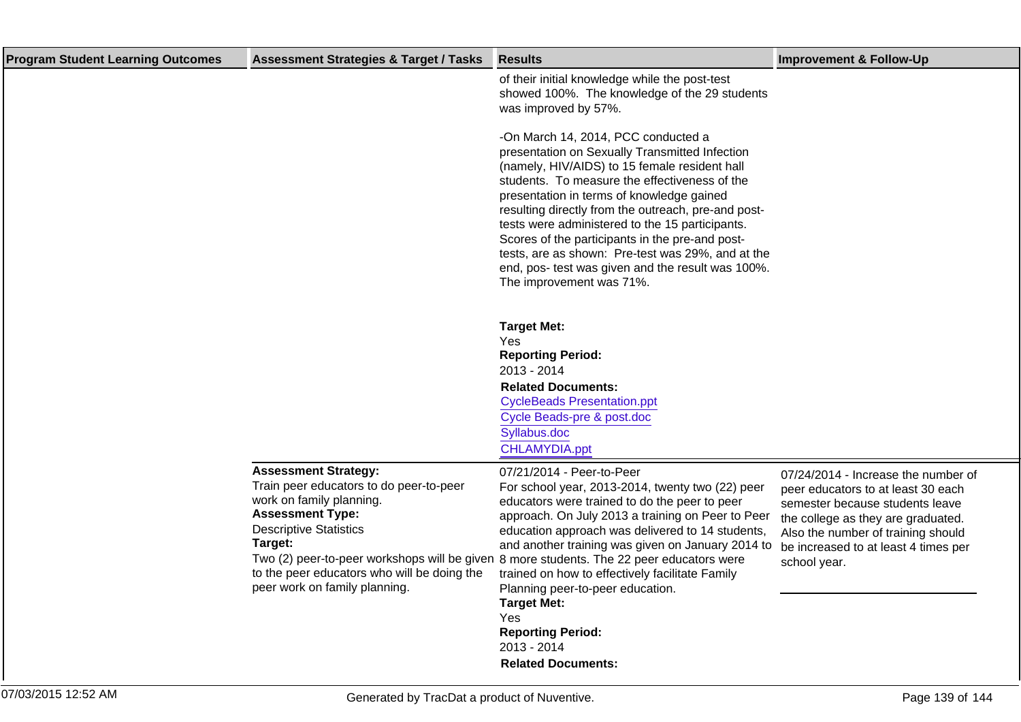| <b>Program Student Learning Outcomes</b> | <b>Assessment Strategies &amp; Target / Tasks</b>                                                                                                                                                                                                         | <b>Results</b>                                                                                                                                                                                                                                                                                                                                                                                                                                                                                                                                                                                                                                                                            | <b>Improvement &amp; Follow-Up</b>                                                                                                                                                                                                               |
|------------------------------------------|-----------------------------------------------------------------------------------------------------------------------------------------------------------------------------------------------------------------------------------------------------------|-------------------------------------------------------------------------------------------------------------------------------------------------------------------------------------------------------------------------------------------------------------------------------------------------------------------------------------------------------------------------------------------------------------------------------------------------------------------------------------------------------------------------------------------------------------------------------------------------------------------------------------------------------------------------------------------|--------------------------------------------------------------------------------------------------------------------------------------------------------------------------------------------------------------------------------------------------|
|                                          |                                                                                                                                                                                                                                                           | of their initial knowledge while the post-test<br>showed 100%. The knowledge of the 29 students<br>was improved by 57%.<br>- On March 14, 2014, PCC conducted a<br>presentation on Sexually Transmitted Infection<br>(namely, HIV/AIDS) to 15 female resident hall<br>students. To measure the effectiveness of the<br>presentation in terms of knowledge gained<br>resulting directly from the outreach, pre-and post-<br>tests were administered to the 15 participants.<br>Scores of the participants in the pre-and post-<br>tests, are as shown: Pre-test was 29%, and at the<br>end, pos- test was given and the result was 100%.<br>The improvement was 71%.<br><b>Target Met:</b> |                                                                                                                                                                                                                                                  |
|                                          |                                                                                                                                                                                                                                                           | Yes<br><b>Reporting Period:</b>                                                                                                                                                                                                                                                                                                                                                                                                                                                                                                                                                                                                                                                           |                                                                                                                                                                                                                                                  |
|                                          |                                                                                                                                                                                                                                                           | 2013 - 2014                                                                                                                                                                                                                                                                                                                                                                                                                                                                                                                                                                                                                                                                               |                                                                                                                                                                                                                                                  |
|                                          |                                                                                                                                                                                                                                                           | <b>Related Documents:</b><br><b>CycleBeads Presentation.ppt</b>                                                                                                                                                                                                                                                                                                                                                                                                                                                                                                                                                                                                                           |                                                                                                                                                                                                                                                  |
|                                          |                                                                                                                                                                                                                                                           | Cycle Beads-pre & post.doc<br>Syllabus.doc                                                                                                                                                                                                                                                                                                                                                                                                                                                                                                                                                                                                                                                |                                                                                                                                                                                                                                                  |
|                                          |                                                                                                                                                                                                                                                           | CHLAMYDIA.ppt                                                                                                                                                                                                                                                                                                                                                                                                                                                                                                                                                                                                                                                                             |                                                                                                                                                                                                                                                  |
|                                          | <b>Assessment Strategy:</b><br>Train peer educators to do peer-to-peer<br>work on family planning.<br><b>Assessment Type:</b><br><b>Descriptive Statistics</b><br>Target:<br>to the peer educators who will be doing the<br>peer work on family planning. | 07/21/2014 - Peer-to-Peer<br>For school year, 2013-2014, twenty two (22) peer<br>educators were trained to do the peer to peer<br>approach. On July 2013 a training on Peer to Peer<br>education approach was delivered to 14 students,<br>and another training was given on January 2014 to<br>Two (2) peer-to-peer workshops will be given 8 more students. The 22 peer educators were<br>trained on how to effectively facilitate Family<br>Planning peer-to-peer education.<br><b>Target Met:</b><br>Yes<br><b>Reporting Period:</b><br>2013 - 2014<br><b>Related Documents:</b>                                                                                                      | 07/24/2014 - Increase the number of<br>peer educators to at least 30 each<br>semester because students leave<br>the college as they are graduated.<br>Also the number of training should<br>be increased to at least 4 times per<br>school year. |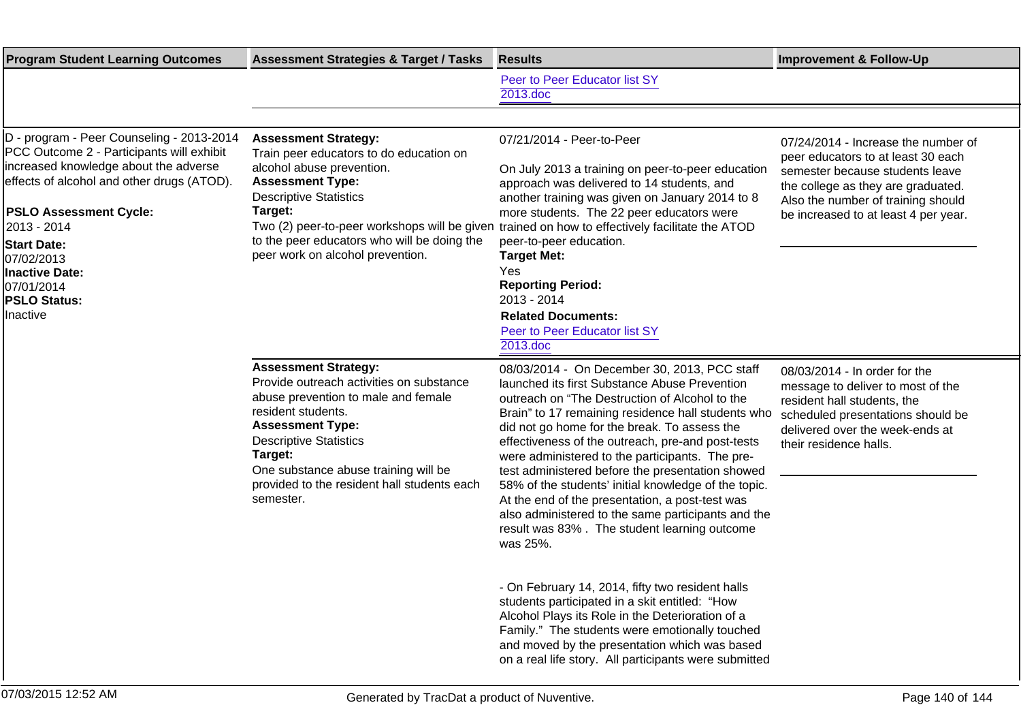| <b>Program Student Learning Outcomes</b>                                                                                                                                                                                                                                                                                                    | <b>Assessment Strategies &amp; Target / Tasks</b>                                                                                                                                                                                                                                                               | <b>Results</b>                                                                                                                                                                                                                                                                                                                                                                                                                                                                                                                                                                                                                                 | <b>Improvement &amp; Follow-Up</b>                                                                                                                                                                                               |
|---------------------------------------------------------------------------------------------------------------------------------------------------------------------------------------------------------------------------------------------------------------------------------------------------------------------------------------------|-----------------------------------------------------------------------------------------------------------------------------------------------------------------------------------------------------------------------------------------------------------------------------------------------------------------|------------------------------------------------------------------------------------------------------------------------------------------------------------------------------------------------------------------------------------------------------------------------------------------------------------------------------------------------------------------------------------------------------------------------------------------------------------------------------------------------------------------------------------------------------------------------------------------------------------------------------------------------|----------------------------------------------------------------------------------------------------------------------------------------------------------------------------------------------------------------------------------|
|                                                                                                                                                                                                                                                                                                                                             |                                                                                                                                                                                                                                                                                                                 | Peer to Peer Educator list SY<br>2013.doc                                                                                                                                                                                                                                                                                                                                                                                                                                                                                                                                                                                                      |                                                                                                                                                                                                                                  |
|                                                                                                                                                                                                                                                                                                                                             |                                                                                                                                                                                                                                                                                                                 |                                                                                                                                                                                                                                                                                                                                                                                                                                                                                                                                                                                                                                                |                                                                                                                                                                                                                                  |
| D - program - Peer Counseling - 2013-2014<br>PCC Outcome 2 - Participants will exhibit<br>increased knowledge about the adverse<br>effects of alcohol and other drugs (ATOD).<br><b>PSLO Assessment Cycle:</b><br>2013 - 2014<br><b>Start Date:</b><br>07/02/2013<br><b>Inactive Date:</b><br>07/01/2014<br><b>PSLO Status:</b><br>Inactive | <b>Assessment Strategy:</b><br>Train peer educators to do education on<br>alcohol abuse prevention.<br><b>Assessment Type:</b><br><b>Descriptive Statistics</b><br>Target:<br>Two (2) peer-to-peer workshops will be given<br>to the peer educators who will be doing the<br>peer work on alcohol prevention.   | 07/21/2014 - Peer-to-Peer<br>On July 2013 a training on peer-to-peer education<br>approach was delivered to 14 students, and<br>another training was given on January 2014 to 8<br>more students. The 22 peer educators were<br>trained on how to effectively facilitate the ATOD<br>peer-to-peer education.<br><b>Target Met:</b><br>Yes<br><b>Reporting Period:</b><br>2013 - 2014<br><b>Related Documents:</b><br>Peer to Peer Educator list SY<br>2013.doc                                                                                                                                                                                 | 07/24/2014 - Increase the number of<br>peer educators to at least 30 each<br>semester because students leave<br>the college as they are graduated.<br>Also the number of training should<br>be increased to at least 4 per year. |
|                                                                                                                                                                                                                                                                                                                                             | <b>Assessment Strategy:</b><br>Provide outreach activities on substance<br>abuse prevention to male and female<br>resident students.<br><b>Assessment Type:</b><br><b>Descriptive Statistics</b><br>Target:<br>One substance abuse training will be<br>provided to the resident hall students each<br>semester. | 08/03/2014 - On December 30, 2013, PCC staff<br>launched its first Substance Abuse Prevention<br>outreach on "The Destruction of Alcohol to the<br>Brain" to 17 remaining residence hall students who<br>did not go home for the break. To assess the<br>effectiveness of the outreach, pre-and post-tests<br>were administered to the participants. The pre-<br>test administered before the presentation showed<br>58% of the students' initial knowledge of the topic.<br>At the end of the presentation, a post-test was<br>also administered to the same participants and the<br>result was 83%. The student learning outcome<br>was 25%. | 08/03/2014 - In order for the<br>message to deliver to most of the<br>resident hall students, the<br>scheduled presentations should be<br>delivered over the week-ends at<br>their residence halls.                              |
|                                                                                                                                                                                                                                                                                                                                             |                                                                                                                                                                                                                                                                                                                 | - On February 14, 2014, fifty two resident halls<br>students participated in a skit entitled: "How<br>Alcohol Plays its Role in the Deterioration of a<br>Family." The students were emotionally touched<br>and moved by the presentation which was based<br>on a real life story. All participants were submitted                                                                                                                                                                                                                                                                                                                             |                                                                                                                                                                                                                                  |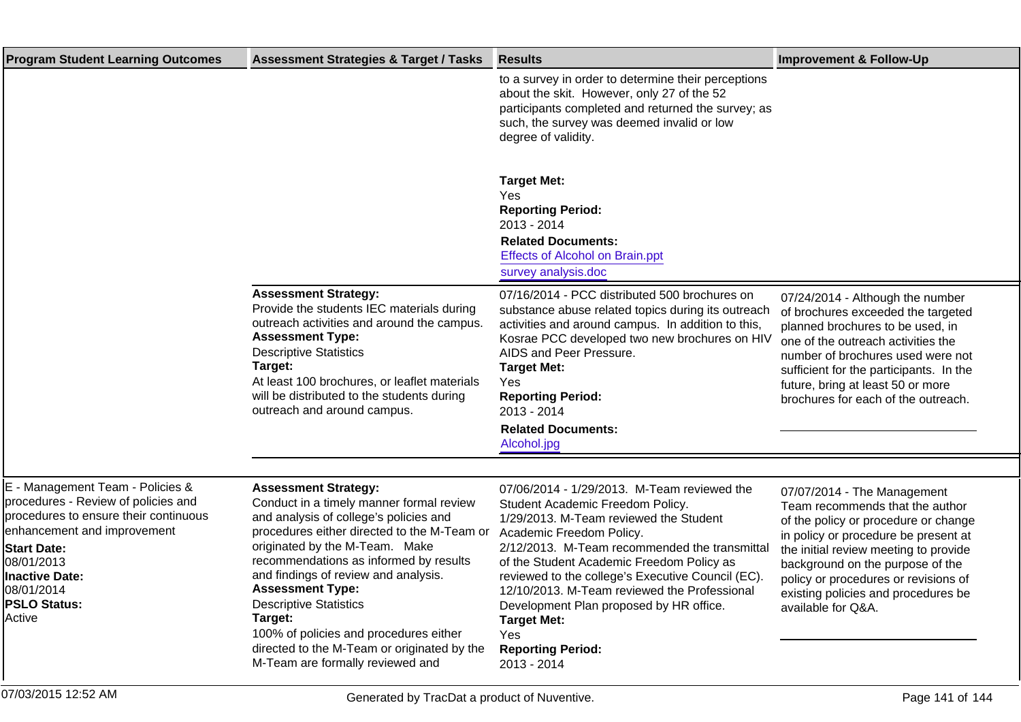| <b>Program Student Learning Outcomes</b>                                                                                                                                                                                                             | <b>Assessment Strategies &amp; Target / Tasks</b>                                                                                                                                                                                                                                                                                                                                                                                                                                        | <b>Results</b>                                                                                                                                                                                                                                                                                                                                                                                                                                                              | <b>Improvement &amp; Follow-Up</b>                                                                                                                                                                                                                                                                                               |
|------------------------------------------------------------------------------------------------------------------------------------------------------------------------------------------------------------------------------------------------------|------------------------------------------------------------------------------------------------------------------------------------------------------------------------------------------------------------------------------------------------------------------------------------------------------------------------------------------------------------------------------------------------------------------------------------------------------------------------------------------|-----------------------------------------------------------------------------------------------------------------------------------------------------------------------------------------------------------------------------------------------------------------------------------------------------------------------------------------------------------------------------------------------------------------------------------------------------------------------------|----------------------------------------------------------------------------------------------------------------------------------------------------------------------------------------------------------------------------------------------------------------------------------------------------------------------------------|
|                                                                                                                                                                                                                                                      |                                                                                                                                                                                                                                                                                                                                                                                                                                                                                          | to a survey in order to determine their perceptions<br>about the skit. However, only 27 of the 52<br>participants completed and returned the survey; as<br>such, the survey was deemed invalid or low<br>degree of validity.                                                                                                                                                                                                                                                |                                                                                                                                                                                                                                                                                                                                  |
|                                                                                                                                                                                                                                                      |                                                                                                                                                                                                                                                                                                                                                                                                                                                                                          | <b>Target Met:</b><br>Yes<br><b>Reporting Period:</b><br>2013 - 2014<br><b>Related Documents:</b><br><b>Effects of Alcohol on Brain.ppt</b><br>survey analysis.doc                                                                                                                                                                                                                                                                                                          |                                                                                                                                                                                                                                                                                                                                  |
|                                                                                                                                                                                                                                                      | <b>Assessment Strategy:</b><br>Provide the students IEC materials during<br>outreach activities and around the campus.<br><b>Assessment Type:</b><br><b>Descriptive Statistics</b><br>Target:<br>At least 100 brochures, or leaflet materials<br>will be distributed to the students during<br>outreach and around campus.                                                                                                                                                               | 07/16/2014 - PCC distributed 500 brochures on<br>substance abuse related topics during its outreach<br>activities and around campus. In addition to this,<br>Kosrae PCC developed two new brochures on HIV<br>AIDS and Peer Pressure.<br><b>Target Met:</b><br>Yes<br><b>Reporting Period:</b><br>2013 - 2014<br><b>Related Documents:</b><br>Alcohol.jpg                                                                                                                   | 07/24/2014 - Although the number<br>of brochures exceeded the targeted<br>planned brochures to be used, in<br>one of the outreach activities the<br>number of brochures used were not<br>sufficient for the participants. In the<br>future, bring at least 50 or more<br>brochures for each of the outreach.                     |
|                                                                                                                                                                                                                                                      |                                                                                                                                                                                                                                                                                                                                                                                                                                                                                          |                                                                                                                                                                                                                                                                                                                                                                                                                                                                             |                                                                                                                                                                                                                                                                                                                                  |
| E - Management Team - Policies &<br>procedures - Review of policies and<br>procedures to ensure their continuous<br>enhancement and improvement<br><b>Start Date:</b><br>08/01/2013<br>Inactive Date:<br>08/01/2014<br><b>PSLO Status:</b><br>Active | <b>Assessment Strategy:</b><br>Conduct in a timely manner formal review<br>and analysis of college's policies and<br>procedures either directed to the M-Team or<br>originated by the M-Team. Make<br>recommendations as informed by results<br>and findings of review and analysis.<br><b>Assessment Type:</b><br><b>Descriptive Statistics</b><br>Target:<br>100% of policies and procedures either<br>directed to the M-Team or originated by the<br>M-Team are formally reviewed and | 07/06/2014 - 1/29/2013. M-Team reviewed the<br>Student Academic Freedom Policy.<br>1/29/2013. M-Team reviewed the Student<br>Academic Freedom Policy.<br>2/12/2013. M-Team recommended the transmittal<br>of the Student Academic Freedom Policy as<br>reviewed to the college's Executive Council (EC).<br>12/10/2013. M-Team reviewed the Professional<br>Development Plan proposed by HR office.<br><b>Target Met:</b><br>Yes<br><b>Reporting Period:</b><br>2013 - 2014 | 07/07/2014 - The Management<br>Team recommends that the author<br>of the policy or procedure or change<br>in policy or procedure be present at<br>the initial review meeting to provide<br>background on the purpose of the<br>policy or procedures or revisions of<br>existing policies and procedures be<br>available for Q&A. |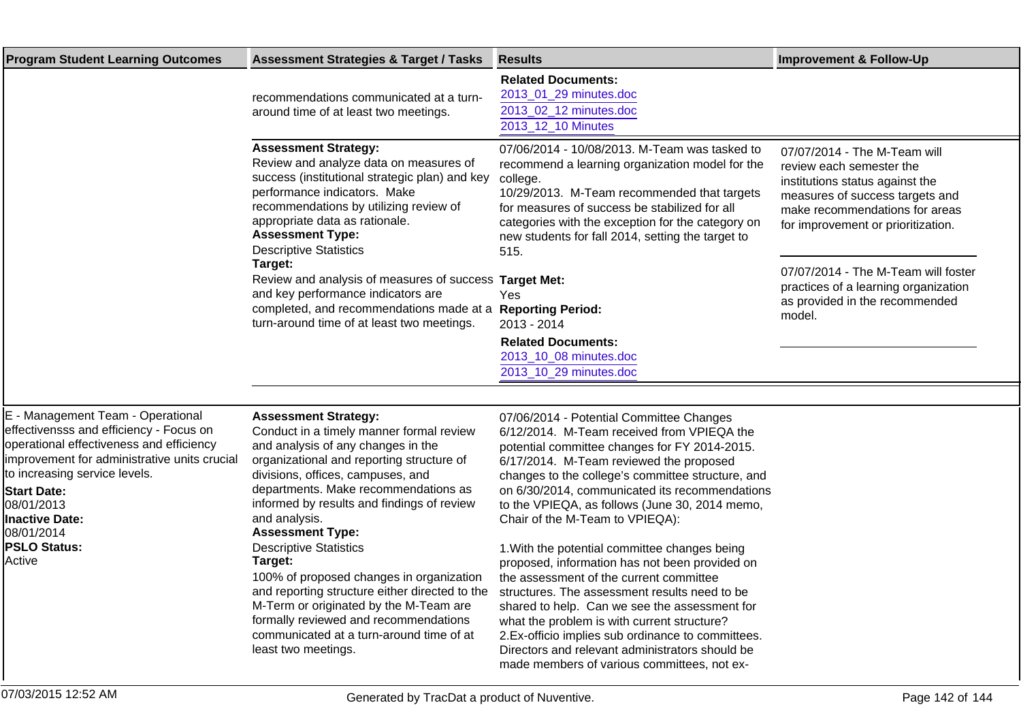| <b>Program Student Learning Outcomes</b>                                                                                                                                                                                                                                                                              | <b>Assessment Strategies &amp; Target / Tasks</b>                                                                                                                                                                                                                                                                                                                                                                                                                                                                                                              | <b>Results</b>                                                                                                                                                                                                                                                                                                                                                                                                                                                                                                                                                                                                                                                                | <b>Improvement &amp; Follow-Up</b>                                                                                                                                                                     |
|-----------------------------------------------------------------------------------------------------------------------------------------------------------------------------------------------------------------------------------------------------------------------------------------------------------------------|----------------------------------------------------------------------------------------------------------------------------------------------------------------------------------------------------------------------------------------------------------------------------------------------------------------------------------------------------------------------------------------------------------------------------------------------------------------------------------------------------------------------------------------------------------------|-------------------------------------------------------------------------------------------------------------------------------------------------------------------------------------------------------------------------------------------------------------------------------------------------------------------------------------------------------------------------------------------------------------------------------------------------------------------------------------------------------------------------------------------------------------------------------------------------------------------------------------------------------------------------------|--------------------------------------------------------------------------------------------------------------------------------------------------------------------------------------------------------|
|                                                                                                                                                                                                                                                                                                                       | recommendations communicated at a turn-<br>around time of at least two meetings.                                                                                                                                                                                                                                                                                                                                                                                                                                                                               | <b>Related Documents:</b><br>2013_01_29 minutes.doc<br>2013_02_12 minutes.doc<br>2013 12 10 Minutes                                                                                                                                                                                                                                                                                                                                                                                                                                                                                                                                                                           |                                                                                                                                                                                                        |
|                                                                                                                                                                                                                                                                                                                       | <b>Assessment Strategy:</b><br>Review and analyze data on measures of<br>success (institutional strategic plan) and key<br>performance indicators. Make<br>recommendations by utilizing review of<br>appropriate data as rationale.<br><b>Assessment Type:</b><br><b>Descriptive Statistics</b>                                                                                                                                                                                                                                                                | 07/06/2014 - 10/08/2013. M-Team was tasked to<br>recommend a learning organization model for the<br>college.<br>10/29/2013. M-Team recommended that targets<br>for measures of success be stabilized for all<br>categories with the exception for the category on<br>new students for fall 2014, setting the target to<br>515.                                                                                                                                                                                                                                                                                                                                                | 07/07/2014 - The M-Team will<br>review each semester the<br>institutions status against the<br>measures of success targets and<br>make recommendations for areas<br>for improvement or prioritization. |
|                                                                                                                                                                                                                                                                                                                       | Target:<br>Review and analysis of measures of success Target Met:<br>and key performance indicators are<br>completed, and recommendations made at a Reporting Period:<br>turn-around time of at least two meetings.                                                                                                                                                                                                                                                                                                                                            | Yes<br>2013 - 2014<br><b>Related Documents:</b><br>2013_10_08 minutes.doc<br>2013_10_29 minutes.doc                                                                                                                                                                                                                                                                                                                                                                                                                                                                                                                                                                           | 07/07/2014 - The M-Team will foster<br>practices of a learning organization<br>as provided in the recommended<br>model.                                                                                |
|                                                                                                                                                                                                                                                                                                                       |                                                                                                                                                                                                                                                                                                                                                                                                                                                                                                                                                                |                                                                                                                                                                                                                                                                                                                                                                                                                                                                                                                                                                                                                                                                               |                                                                                                                                                                                                        |
| E - Management Team - Operational<br>effectivensss and efficiency - Focus on<br>operational effectiveness and efficiency<br>improvement for administrative units crucial<br>to increasing service levels.<br><b>Start Date:</b><br>08/01/2013<br><b>Inactive Date:</b><br>08/01/2014<br><b>PSLO Status:</b><br>Active | <b>Assessment Strategy:</b><br>Conduct in a timely manner formal review<br>and analysis of any changes in the<br>organizational and reporting structure of<br>divisions, offices, campuses, and<br>departments. Make recommendations as<br>informed by results and findings of review<br>and analysis.<br><b>Assessment Type:</b><br><b>Descriptive Statistics</b><br>Target:<br>100% of proposed changes in organization<br>and reporting structure either directed to the<br>M-Term or originated by the M-Team are<br>formally reviewed and recommendations | 07/06/2014 - Potential Committee Changes<br>6/12/2014. M-Team received from VPIEQA the<br>potential committee changes for FY 2014-2015.<br>6/17/2014. M-Team reviewed the proposed<br>changes to the college's committee structure, and<br>on 6/30/2014, communicated its recommendations<br>to the VPIEQA, as follows (June 30, 2014 memo,<br>Chair of the M-Team to VPIEQA):<br>1. With the potential committee changes being<br>proposed, information has not been provided on<br>the assessment of the current committee<br>structures. The assessment results need to be<br>shared to help. Can we see the assessment for<br>what the problem is with current structure? |                                                                                                                                                                                                        |

2. Ex-officio implies sub ordinance to committees. Directors and relevant administrators should be made members of various committees, not ex-

communicated at a turn-around time of at

least two meetings.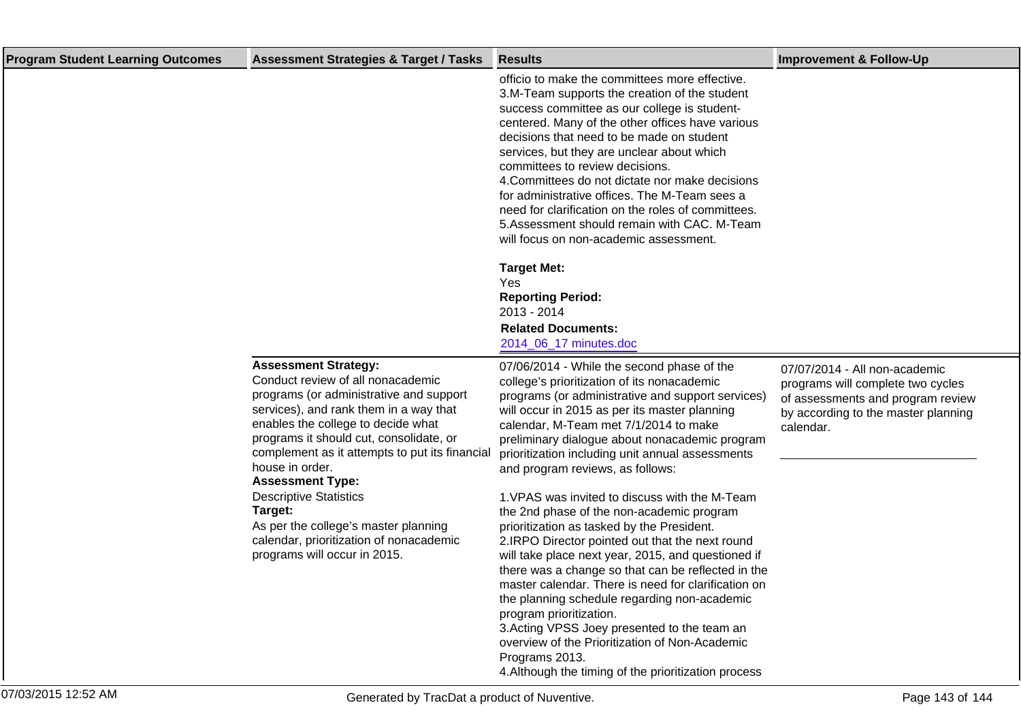| <b>Program Student Learning Outcomes</b> | <b>Assessment Strategies &amp; Target / Tasks</b>                                                                                                                                                                                                                                                                                                                                                                                                                                                     | <b>Results</b>                                                                                                                                                                                                                                                                                                                                                                                                                                                                                                                                                                                                                                                                                                                                                                                                                                                                                                                                                                                                | <b>Improvement &amp; Follow-Up</b>                                                                                                                          |
|------------------------------------------|-------------------------------------------------------------------------------------------------------------------------------------------------------------------------------------------------------------------------------------------------------------------------------------------------------------------------------------------------------------------------------------------------------------------------------------------------------------------------------------------------------|---------------------------------------------------------------------------------------------------------------------------------------------------------------------------------------------------------------------------------------------------------------------------------------------------------------------------------------------------------------------------------------------------------------------------------------------------------------------------------------------------------------------------------------------------------------------------------------------------------------------------------------------------------------------------------------------------------------------------------------------------------------------------------------------------------------------------------------------------------------------------------------------------------------------------------------------------------------------------------------------------------------|-------------------------------------------------------------------------------------------------------------------------------------------------------------|
|                                          |                                                                                                                                                                                                                                                                                                                                                                                                                                                                                                       | officio to make the committees more effective.<br>3. M-Team supports the creation of the student<br>success committee as our college is student-<br>centered. Many of the other offices have various<br>decisions that need to be made on student<br>services, but they are unclear about which<br>committees to review decisions.<br>4. Committees do not dictate nor make decisions<br>for administrative offices. The M-Team sees a<br>need for clarification on the roles of committees.<br>5. Assessment should remain with CAC. M-Team<br>will focus on non-academic assessment.<br><b>Target Met:</b><br>Yes<br><b>Reporting Period:</b><br>2013 - 2014<br><b>Related Documents:</b><br>2014_06_17 minutes.doc                                                                                                                                                                                                                                                                                         |                                                                                                                                                             |
|                                          | <b>Assessment Strategy:</b><br>Conduct review of all nonacademic<br>programs (or administrative and support<br>services), and rank them in a way that<br>enables the college to decide what<br>programs it should cut, consolidate, or<br>complement as it attempts to put its financial<br>house in order.<br><b>Assessment Type:</b><br><b>Descriptive Statistics</b><br>Target:<br>As per the college's master planning<br>calendar, prioritization of nonacademic<br>programs will occur in 2015. | 07/06/2014 - While the second phase of the<br>college's prioritization of its nonacademic<br>programs (or administrative and support services)<br>will occur in 2015 as per its master planning<br>calendar, M-Team met 7/1/2014 to make<br>preliminary dialogue about nonacademic program<br>prioritization including unit annual assessments<br>and program reviews, as follows:<br>1. VPAS was invited to discuss with the M-Team<br>the 2nd phase of the non-academic program<br>prioritization as tasked by the President.<br>2. IRPO Director pointed out that the next round<br>will take place next year, 2015, and questioned if<br>there was a change so that can be reflected in the<br>master calendar. There is need for clarification on<br>the planning schedule regarding non-academic<br>program prioritization.<br>3. Acting VPSS Joey presented to the team an<br>overview of the Prioritization of Non-Academic<br>Programs 2013.<br>4. Although the timing of the prioritization process | 07/07/2014 - All non-academic<br>programs will complete two cycles<br>of assessments and program review<br>by according to the master planning<br>calendar. |